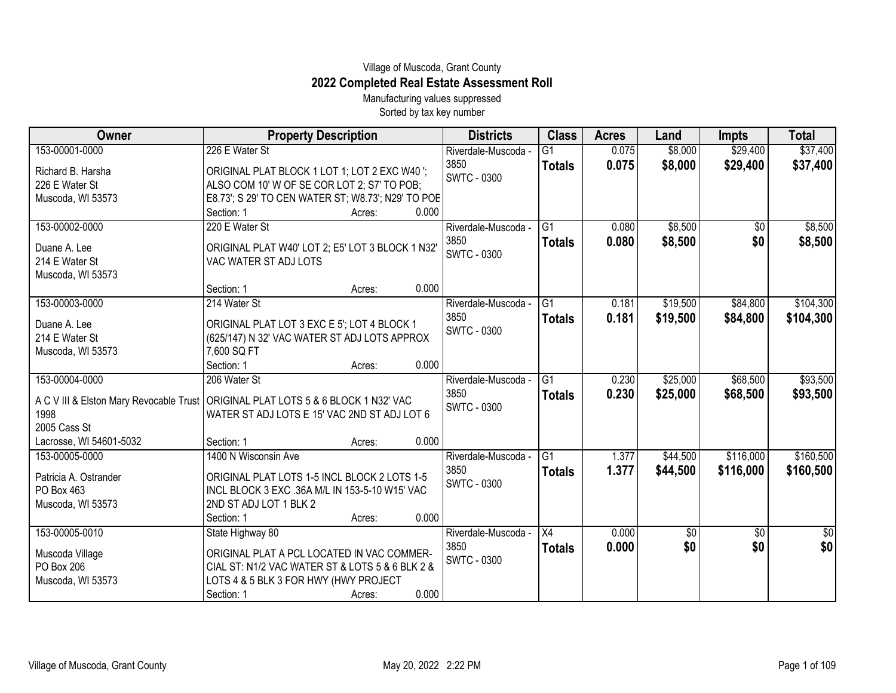## Village of Muscoda, Grant County **2022 Completed Real Estate Assessment Roll**

Manufacturing values suppressed Sorted by tax key number

| Owner                   | <b>Property Description</b>                                                                                                         | <b>Districts</b>           | <b>Class</b>    | <b>Acres</b> | Land     | <b>Impts</b>    | <b>Total</b> |
|-------------------------|-------------------------------------------------------------------------------------------------------------------------------------|----------------------------|-----------------|--------------|----------|-----------------|--------------|
| 153-00001-0000          | 226 E Water St                                                                                                                      | Riverdale-Muscoda -        | G1              | 0.075        | \$8,000  | \$29,400        | \$37,400     |
| Richard B. Harsha       | ORIGINAL PLAT BLOCK 1 LOT 1; LOT 2 EXC W40 ';                                                                                       | 3850                       | <b>Totals</b>   | 0.075        | \$8,000  | \$29,400        | \$37,400     |
| 226 E Water St          | ALSO COM 10' W OF SE COR LOT 2; S7' TO POB;                                                                                         | <b>SWTC - 0300</b>         |                 |              |          |                 |              |
| Muscoda, WI 53573       | E8.73'; S 29' TO CEN WATER ST; W8.73'; N29' TO POE                                                                                  |                            |                 |              |          |                 |              |
|                         | Section: 1<br>0.000<br>Acres:                                                                                                       |                            |                 |              |          |                 |              |
| 153-00002-0000          | 220 E Water St                                                                                                                      | Riverdale-Muscoda -        | G1              | 0.080        | \$8,500  | $\overline{50}$ | \$8,500      |
| Duane A. Lee            | ORIGINAL PLAT W40' LOT 2; E5' LOT 3 BLOCK 1 N32'                                                                                    | 3850                       | <b>Totals</b>   | 0.080        | \$8,500  | \$0             | \$8,500      |
| 214 E Water St          | VAC WATER ST ADJ LOTS                                                                                                               | <b>SWTC - 0300</b>         |                 |              |          |                 |              |
| Muscoda, WI 53573       |                                                                                                                                     |                            |                 |              |          |                 |              |
|                         | 0.000<br>Section: 1<br>Acres:                                                                                                       |                            |                 |              |          |                 |              |
| 153-00003-0000          | 214 Water St                                                                                                                        | Riverdale-Muscoda -        | G <sub>1</sub>  | 0.181        | \$19,500 | \$84,800        | \$104,300    |
| Duane A. Lee            | ORIGINAL PLAT LOT 3 EXC E 5'; LOT 4 BLOCK 1                                                                                         | 3850                       | <b>Totals</b>   | 0.181        | \$19,500 | \$84,800        | \$104,300    |
| 214 E Water St          | (625/147) N 32' VAC WATER ST ADJ LOTS APPROX                                                                                        | <b>SWTC - 0300</b>         |                 |              |          |                 |              |
| Muscoda, WI 53573       | 7,600 SQ FT                                                                                                                         |                            |                 |              |          |                 |              |
|                         | 0.000<br>Section: 1<br>Acres:                                                                                                       |                            |                 |              |          |                 |              |
| 153-00004-0000          | 206 Water St                                                                                                                        | Riverdale-Muscoda -        | $\overline{G1}$ | 0.230        | \$25,000 | \$68,500        | \$93,500     |
|                         |                                                                                                                                     | 3850                       | <b>Totals</b>   | 0.230        | \$25,000 | \$68,500        | \$93,500     |
| 1998                    | A C V III & Elston Mary Revocable Trust   ORIGINAL PLAT LOTS 5 & 6 BLOCK 1 N32' VAC<br>WATER ST ADJ LOTS E 15' VAC 2ND ST ADJ LOT 6 | <b>SWTC - 0300</b>         |                 |              |          |                 |              |
| 2005 Cass St            |                                                                                                                                     |                            |                 |              |          |                 |              |
| Lacrosse, WI 54601-5032 | 0.000<br>Section: 1<br>Acres:                                                                                                       |                            |                 |              |          |                 |              |
| 153-00005-0000          | 1400 N Wisconsin Ave                                                                                                                | Riverdale-Muscoda -        | $\overline{G1}$ | 1.377        | \$44,500 | \$116,000       | \$160,500    |
|                         |                                                                                                                                     | 3850                       | <b>Totals</b>   | 1.377        | \$44,500 | \$116,000       | \$160,500    |
| Patricia A. Ostrander   | ORIGINAL PLAT LOTS 1-5 INCL BLOCK 2 LOTS 1-5                                                                                        | <b>SWTC - 0300</b>         |                 |              |          |                 |              |
| PO Box 463              | INCL BLOCK 3 EXC .36A M/L IN 153-5-10 W15' VAC                                                                                      |                            |                 |              |          |                 |              |
| Muscoda, WI 53573       | 2ND ST ADJ LOT 1 BLK 2                                                                                                              |                            |                 |              |          |                 |              |
|                         | 0.000<br>Section: 1<br>Acres:                                                                                                       |                            |                 |              |          |                 |              |
| 153-00005-0010          | State Highway 80                                                                                                                    | Riverdale-Muscoda -        | X4              | 0.000        | \$0      | \$0             | \$0          |
| Muscoda Village         | ORIGINAL PLAT A PCL LOCATED IN VAC COMMER-                                                                                          | 3850<br><b>SWTC - 0300</b> | <b>Totals</b>   | 0.000        | \$0      | \$0             | \$0          |
| PO Box 206              | CIAL ST: N1/2 VAC WATER ST & LOTS 5 & 6 BLK 2 &                                                                                     |                            |                 |              |          |                 |              |
| Muscoda, WI 53573       | LOTS 4 & 5 BLK 3 FOR HWY (HWY PROJECT                                                                                               |                            |                 |              |          |                 |              |
|                         | Section: 1<br>Acres:                                                                                                                | 0.000                      |                 |              |          |                 |              |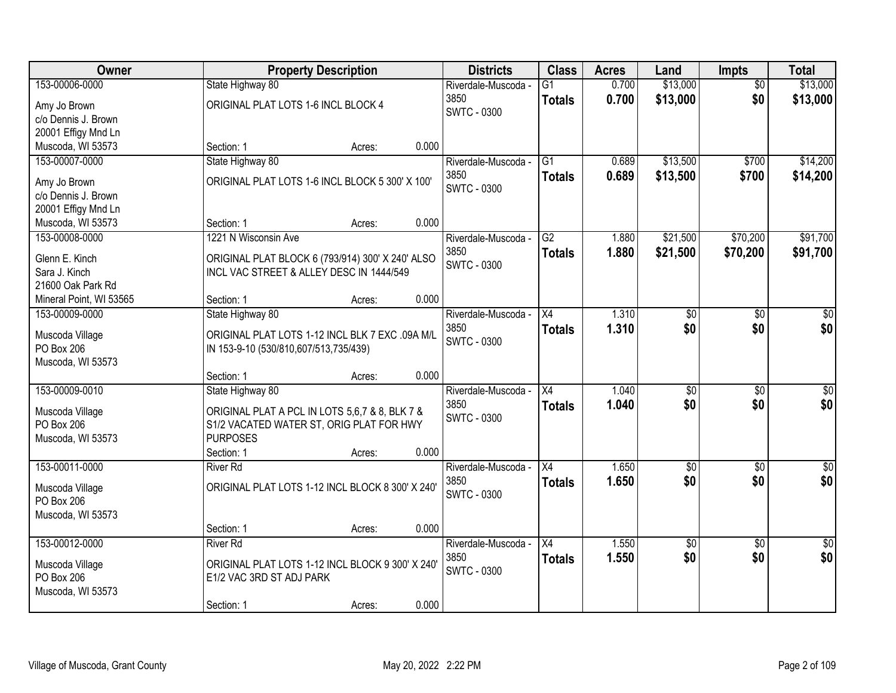| Owner                           | <b>Property Description</b>                                                                  |        |       | <b>Districts</b>           | <b>Class</b>    | <b>Acres</b> | Land            | Impts           | <b>Total</b>     |
|---------------------------------|----------------------------------------------------------------------------------------------|--------|-------|----------------------------|-----------------|--------------|-----------------|-----------------|------------------|
| 153-00006-0000                  | State Highway 80                                                                             |        |       | Riverdale-Muscoda -        | $\overline{G1}$ | 0.700        | \$13,000        | $\overline{50}$ | \$13,000         |
| Amy Jo Brown                    | ORIGINAL PLAT LOTS 1-6 INCL BLOCK 4                                                          |        |       | 3850                       | <b>Totals</b>   | 0.700        | \$13,000        | \$0             | \$13,000         |
| c/o Dennis J. Brown             |                                                                                              |        |       | <b>SWTC - 0300</b>         |                 |              |                 |                 |                  |
| 20001 Effigy Mnd Ln             |                                                                                              |        |       |                            |                 |              |                 |                 |                  |
| Muscoda, WI 53573               | Section: 1                                                                                   | Acres: | 0.000 |                            |                 |              |                 |                 |                  |
| 153-00007-0000                  | State Highway 80                                                                             |        |       | Riverdale-Muscoda -        | $\overline{G1}$ | 0.689        | \$13,500        | \$700           | \$14,200         |
| Amy Jo Brown                    | ORIGINAL PLAT LOTS 1-6 INCL BLOCK 5 300' X 100'                                              |        |       | 3850                       | <b>Totals</b>   | 0.689        | \$13,500        | \$700           | \$14,200         |
| c/o Dennis J. Brown             |                                                                                              |        |       | <b>SWTC - 0300</b>         |                 |              |                 |                 |                  |
| 20001 Effigy Mnd Ln             |                                                                                              |        |       |                            |                 |              |                 |                 |                  |
| Muscoda, WI 53573               | Section: 1                                                                                   | Acres: | 0.000 |                            |                 |              |                 |                 |                  |
| 153-00008-0000                  | 1221 N Wisconsin Ave                                                                         |        |       | Riverdale-Muscoda -        | G2              | 1.880        | \$21,500        | \$70,200        | \$91,700         |
|                                 |                                                                                              |        |       | 3850                       | <b>Totals</b>   | 1.880        | \$21,500        | \$70,200        | \$91,700         |
| Glenn E. Kinch<br>Sara J. Kinch | ORIGINAL PLAT BLOCK 6 (793/914) 300' X 240' ALSO<br>INCL VAC STREET & ALLEY DESC IN 1444/549 |        |       | <b>SWTC - 0300</b>         |                 |              |                 |                 |                  |
| 21600 Oak Park Rd               |                                                                                              |        |       |                            |                 |              |                 |                 |                  |
| Mineral Point, WI 53565         | Section: 1                                                                                   | Acres: | 0.000 |                            |                 |              |                 |                 |                  |
| 153-00009-0000                  | State Highway 80                                                                             |        |       | Riverdale-Muscoda -        | X4              | 1.310        | \$0             | \$0             | \$0              |
|                                 |                                                                                              |        |       | 3850                       | <b>Totals</b>   | 1.310        | \$0             | \$0             | \$0              |
| Muscoda Village                 | ORIGINAL PLAT LOTS 1-12 INCL BLK 7 EXC .09A M/L                                              |        |       | <b>SWTC - 0300</b>         |                 |              |                 |                 |                  |
| PO Box 206                      | IN 153-9-10 (530/810,607/513,735/439)                                                        |        |       |                            |                 |              |                 |                 |                  |
| Muscoda, WI 53573               |                                                                                              |        |       |                            |                 |              |                 |                 |                  |
|                                 | Section: 1                                                                                   | Acres: | 0.000 |                            |                 |              |                 |                 |                  |
| 153-00009-0010                  | State Highway 80                                                                             |        |       | Riverdale-Muscoda -        | $\overline{X4}$ | 1.040        | $\overline{50}$ | $\overline{50}$ | $\overline{50}$  |
| Muscoda Village                 | ORIGINAL PLAT A PCL IN LOTS 5,6,7 & 8, BLK 7 &                                               |        |       | 3850<br><b>SWTC - 0300</b> | <b>Totals</b>   | 1.040        | \$0             | \$0             | \$0              |
| PO Box 206                      | S1/2 VACATED WATER ST, ORIG PLAT FOR HWY                                                     |        |       |                            |                 |              |                 |                 |                  |
| Muscoda, WI 53573               | <b>PURPOSES</b>                                                                              |        |       |                            |                 |              |                 |                 |                  |
|                                 | Section: 1                                                                                   | Acres: | 0.000 |                            |                 |              |                 |                 |                  |
| 153-00011-0000                  | <b>River Rd</b>                                                                              |        |       | Riverdale-Muscoda -        | $\overline{X4}$ | 1.650        | $\overline{50}$ | $\overline{50}$ | $\overline{\$0}$ |
| Muscoda Village                 | ORIGINAL PLAT LOTS 1-12 INCL BLOCK 8 300' X 240'                                             |        |       | 3850                       | <b>Totals</b>   | 1.650        | \$0             | \$0             | \$0              |
| PO Box 206                      |                                                                                              |        |       | <b>SWTC - 0300</b>         |                 |              |                 |                 |                  |
| Muscoda, WI 53573               |                                                                                              |        |       |                            |                 |              |                 |                 |                  |
|                                 | Section: 1                                                                                   | Acres: | 0.000 |                            |                 |              |                 |                 |                  |
| 153-00012-0000                  | <b>River Rd</b>                                                                              |        |       | Riverdale-Muscoda -        | $\overline{X4}$ | 1.550        | $\sqrt{50}$     | $\overline{30}$ | $\overline{50}$  |
| Muscoda Village                 | ORIGINAL PLAT LOTS 1-12 INCL BLOCK 9 300' X 240'                                             |        |       | 3850                       | <b>Totals</b>   | 1.550        | \$0             | \$0             | \$0              |
| PO Box 206                      | E1/2 VAC 3RD ST ADJ PARK                                                                     |        |       | <b>SWTC - 0300</b>         |                 |              |                 |                 |                  |
| Muscoda, WI 53573               |                                                                                              |        |       |                            |                 |              |                 |                 |                  |
|                                 | Section: 1                                                                                   | Acres: | 0.000 |                            |                 |              |                 |                 |                  |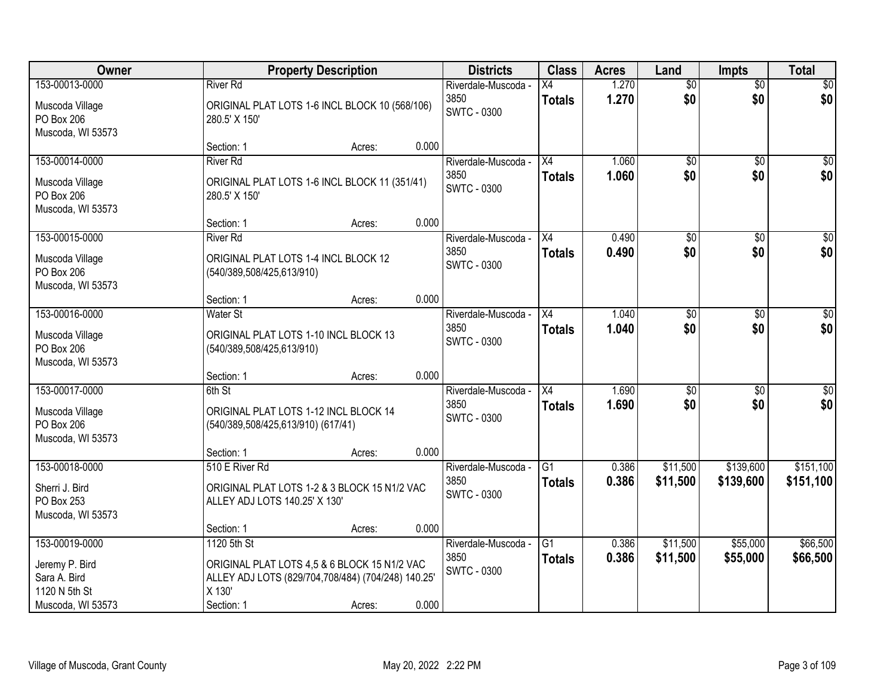| Owner                                                                |                                    | <b>Property Description</b>                                                                        |       | <b>Districts</b>                                  | <b>Class</b>                     | <b>Acres</b>   | Land                   | <b>Impts</b>           | <b>Total</b>         |
|----------------------------------------------------------------------|------------------------------------|----------------------------------------------------------------------------------------------------|-------|---------------------------------------------------|----------------------------------|----------------|------------------------|------------------------|----------------------|
| 153-00013-0000<br>Muscoda Village<br>PO Box 206<br>Muscoda, WI 53573 | <b>River Rd</b><br>280.5' X 150'   | ORIGINAL PLAT LOTS 1-6 INCL BLOCK 10 (568/106)                                                     |       | Riverdale-Muscoda -<br>3850<br><b>SWTC - 0300</b> | Х4<br><b>Totals</b>              | 1.270<br>1.270 | $\overline{50}$<br>\$0 | $\overline{50}$<br>\$0 | \$0<br>\$0           |
|                                                                      | Section: 1                         | Acres:                                                                                             | 0.000 |                                                   |                                  |                |                        |                        |                      |
| 153-00014-0000                                                       | <b>River Rd</b>                    |                                                                                                    |       | Riverdale-Muscoda -<br>3850                       | $\overline{X4}$<br><b>Totals</b> | 1.060<br>1.060 | $\overline{50}$<br>\$0 | $\overline{50}$<br>\$0 | \$0<br>\$0           |
| Muscoda Village<br>PO Box 206<br>Muscoda, WI 53573                   | 280.5' X 150'                      | ORIGINAL PLAT LOTS 1-6 INCL BLOCK 11 (351/41)                                                      |       | <b>SWTC - 0300</b>                                |                                  |                |                        |                        |                      |
|                                                                      | Section: 1                         | Acres:                                                                                             | 0.000 |                                                   |                                  |                |                        |                        |                      |
| 153-00015-0000                                                       | <b>River Rd</b>                    |                                                                                                    |       | Riverdale-Muscoda -                               | X4                               | 0.490          | $\overline{50}$        | \$0                    | $\overline{\$0}$     |
| Muscoda Village<br>PO Box 206<br>Muscoda, WI 53573                   | (540/389,508/425,613/910)          | ORIGINAL PLAT LOTS 1-4 INCL BLOCK 12                                                               |       | 3850<br><b>SWTC - 0300</b>                        | <b>Totals</b>                    | 0.490          | \$0                    | \$0                    | \$0                  |
|                                                                      | Section: 1                         | Acres:                                                                                             | 0.000 |                                                   |                                  |                |                        |                        |                      |
| 153-00016-0000                                                       | Water St                           |                                                                                                    |       | Riverdale-Muscoda -                               | X4                               | 1.040          | \$0                    | $\frac{1}{20}$         | $\sqrt{50}$          |
| Muscoda Village<br>PO Box 206<br>Muscoda, WI 53573                   | (540/389,508/425,613/910)          | ORIGINAL PLAT LOTS 1-10 INCL BLOCK 13                                                              |       | 3850<br>SWTC - 0300                               | <b>Totals</b>                    | 1.040          | \$0                    | \$0                    | \$0                  |
|                                                                      | Section: 1                         | Acres:                                                                                             | 0.000 |                                                   |                                  |                |                        |                        |                      |
| 153-00017-0000                                                       | 6th St                             |                                                                                                    |       | Riverdale-Muscoda -                               | $\overline{X4}$                  | 1.690          | $\overline{50}$        | $\overline{50}$        | $\overline{50}$      |
| Muscoda Village<br>PO Box 206<br>Muscoda, WI 53573                   | (540/389,508/425,613/910) (617/41) | ORIGINAL PLAT LOTS 1-12 INCL BLOCK 14                                                              |       | 3850<br><b>SWTC - 0300</b>                        | <b>Totals</b>                    | 1.690          | \$0                    | \$0                    | \$0                  |
|                                                                      | Section: 1                         | Acres:                                                                                             | 0.000 |                                                   |                                  |                |                        |                        |                      |
| 153-00018-0000                                                       | 510 E River Rd                     |                                                                                                    |       | Riverdale-Muscoda -                               | G1                               | 0.386          | \$11,500               | \$139,600              | \$151,100            |
| Sherri J. Bird<br>PO Box 253<br>Muscoda, WI 53573                    | ALLEY ADJ LOTS 140.25' X 130'      | ORIGINAL PLAT LOTS 1-2 & 3 BLOCK 15 N1/2 VAC                                                       |       | 3850<br><b>SWTC - 0300</b>                        | <b>Totals</b>                    | 0.386          | \$11,500               | \$139,600              | \$151,100            |
|                                                                      | Section: 1                         | Acres:                                                                                             | 0.000 |                                                   |                                  |                |                        |                        |                      |
| 153-00019-0000<br>Jeremy P. Bird<br>Sara A. Bird<br>1120 N 5th St    | 1120 5th St<br>X 130'              | ORIGINAL PLAT LOTS 4,5 & 6 BLOCK 15 N1/2 VAC<br>ALLEY ADJ LOTS (829/704,708/484) (704/248) 140.25' |       | Riverdale-Muscoda -<br>3850<br>SWTC - 0300        | $\overline{G1}$<br><b>Totals</b> | 0.386<br>0.386 | \$11,500<br>\$11,500   | \$55,000<br>\$55,000   | \$66,500<br>\$66,500 |
| Muscoda, WI 53573                                                    | Section: 1                         | Acres:                                                                                             | 0.000 |                                                   |                                  |                |                        |                        |                      |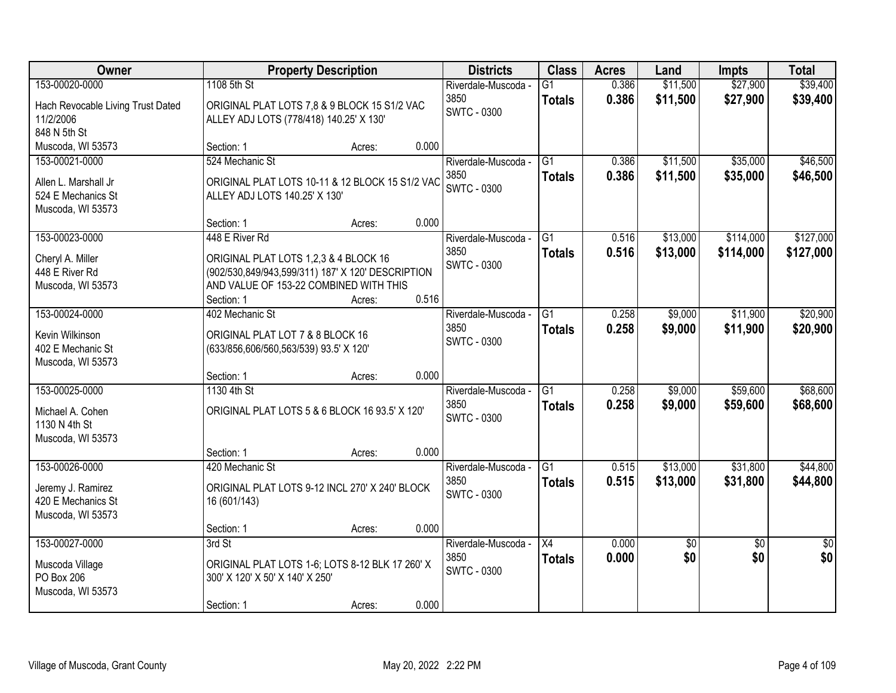| Owner                                                                             | <b>Property Description</b>                                                                                                                                                    |       | <b>Districts</b>                                  | <b>Class</b>                     | <b>Acres</b>   | Land                 | <b>Impts</b>           | <b>Total</b>           |
|-----------------------------------------------------------------------------------|--------------------------------------------------------------------------------------------------------------------------------------------------------------------------------|-------|---------------------------------------------------|----------------------------------|----------------|----------------------|------------------------|------------------------|
| 153-00020-0000                                                                    | 1108 5th St                                                                                                                                                                    |       | Riverdale-Muscoda -                               | $\overline{G1}$                  | 0.386          | \$11,500             | \$27,900               | \$39,400               |
| Hach Revocable Living Trust Dated<br>11/2/2006<br>848 N 5th St                    | ORIGINAL PLAT LOTS 7,8 & 9 BLOCK 15 S1/2 VAC<br>ALLEY ADJ LOTS (778/418) 140.25' X 130'                                                                                        |       | 3850<br><b>SWTC - 0300</b>                        | <b>Totals</b>                    | 0.386          | \$11,500             | \$27,900               | \$39,400               |
| Muscoda, WI 53573                                                                 | Section: 1<br>Acres:                                                                                                                                                           | 0.000 |                                                   |                                  |                |                      |                        |                        |
| 153-00021-0000<br>Allen L. Marshall Jr<br>524 E Mechanics St<br>Muscoda, WI 53573 | 524 Mechanic St<br>ORIGINAL PLAT LOTS 10-11 & 12 BLOCK 15 S1/2 VAC<br>ALLEY ADJ LOTS 140.25' X 130'                                                                            |       | Riverdale-Muscoda -<br>3850<br><b>SWTC - 0300</b> | $\overline{G1}$<br><b>Totals</b> | 0.386<br>0.386 | \$11,500<br>\$11,500 | \$35,000<br>\$35,000   | \$46,500<br>\$46,500   |
|                                                                                   | Section: 1<br>Acres:                                                                                                                                                           | 0.000 |                                                   |                                  |                |                      |                        |                        |
| 153-00023-0000<br>Cheryl A. Miller<br>448 E River Rd<br>Muscoda, WI 53573         | 448 E River Rd<br>ORIGINAL PLAT LOTS 1,2,3 & 4 BLOCK 16<br>(902/530,849/943,599/311) 187' X 120' DESCRIPTION<br>AND VALUE OF 153-22 COMBINED WITH THIS<br>Section: 1<br>Acres: | 0.516 | Riverdale-Muscoda -<br>3850<br><b>SWTC - 0300</b> | G1<br><b>Totals</b>              | 0.516<br>0.516 | \$13,000<br>\$13,000 | \$114,000<br>\$114,000 | \$127,000<br>\$127,000 |
| 153-00024-0000                                                                    | 402 Mechanic St                                                                                                                                                                |       | Riverdale-Muscoda -                               | G1                               | 0.258          | \$9,000              | \$11,900               | \$20,900               |
| Kevin Wilkinson<br>402 E Mechanic St<br>Muscoda, WI 53573                         | ORIGINAL PLAT LOT 7 & 8 BLOCK 16<br>(633/856,606/560,563/539) 93.5' X 120'                                                                                                     |       | 3850<br><b>SWTC - 0300</b>                        | <b>Totals</b>                    | 0.258          | \$9,000              | \$11,900               | \$20,900               |
|                                                                                   | Section: 1<br>Acres:                                                                                                                                                           | 0.000 |                                                   |                                  |                |                      |                        |                        |
| 153-00025-0000<br>Michael A. Cohen<br>1130 N 4th St<br>Muscoda, WI 53573          | 1130 4th St<br>ORIGINAL PLAT LOTS 5 & 6 BLOCK 16 93.5' X 120'                                                                                                                  |       | Riverdale-Muscoda -<br>3850<br><b>SWTC - 0300</b> | $\overline{G1}$<br><b>Totals</b> | 0.258<br>0.258 | \$9,000<br>\$9,000   | \$59,600<br>\$59,600   | \$68,600<br>\$68,600   |
|                                                                                   | Section: 1<br>Acres:                                                                                                                                                           | 0.000 |                                                   |                                  |                |                      |                        |                        |
| 153-00026-0000<br>Jeremy J. Ramirez<br>420 E Mechanics St<br>Muscoda, WI 53573    | 420 Mechanic St<br>ORIGINAL PLAT LOTS 9-12 INCL 270' X 240' BLOCK<br>16 (601/143)<br>Section: 1<br>Acres:                                                                      | 0.000 | Riverdale-Muscoda -<br>3850<br><b>SWTC - 0300</b> | $\overline{G1}$<br><b>Totals</b> | 0.515<br>0.515 | \$13,000<br>\$13,000 | \$31,800<br>\$31,800   | \$44,800<br>\$44,800   |
| 153-00027-0000                                                                    | 3rd St                                                                                                                                                                         |       | Riverdale-Muscoda -                               | $\overline{X4}$                  | 0.000          | $\sqrt{50}$          | $\overline{50}$        | $\overline{50}$        |
| Muscoda Village<br>PO Box 206<br>Muscoda, WI 53573                                | ORIGINAL PLAT LOTS 1-6; LOTS 8-12 BLK 17 260' X<br>300' X 120' X 50' X 140' X 250'<br>Section: 1<br>Acres:                                                                     | 0.000 | 3850<br><b>SWTC - 0300</b>                        | <b>Totals</b>                    | 0.000          | \$0                  | \$0                    | \$0                    |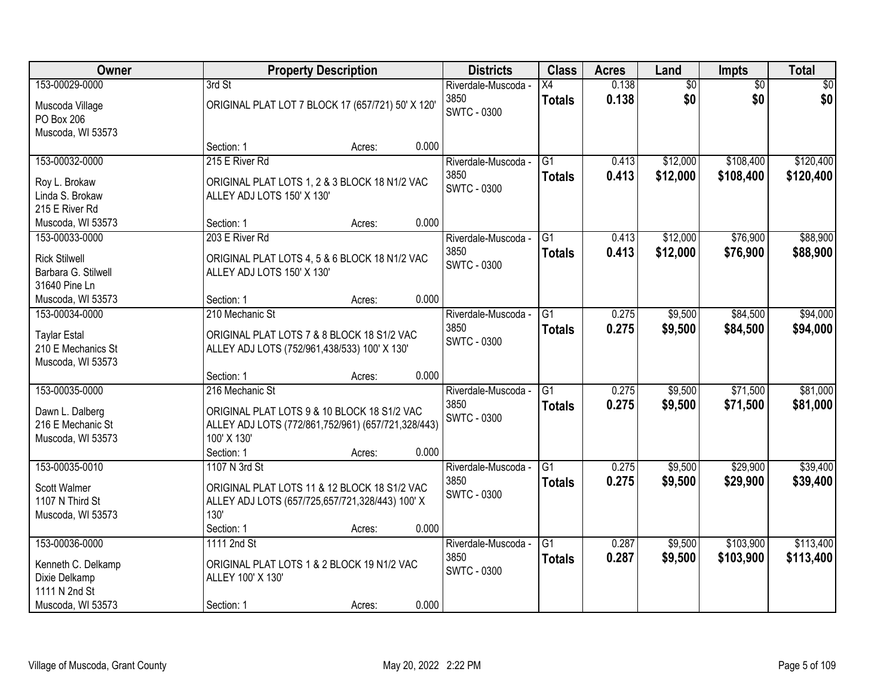| Owner                                | <b>Property Description</b>                        |        |       | <b>Districts</b>    | <b>Class</b>    | <b>Acres</b> | Land     | <b>Impts</b>    | <b>Total</b> |
|--------------------------------------|----------------------------------------------------|--------|-------|---------------------|-----------------|--------------|----------|-----------------|--------------|
| 153-00029-0000                       | 3rd St                                             |        |       | Riverdale-Muscoda - | X4              | 0.138        | \$0      | $\overline{50}$ | \$0          |
| Muscoda Village                      | ORIGINAL PLAT LOT 7 BLOCK 17 (657/721) 50' X 120'  |        |       | 3850                | <b>Totals</b>   | 0.138        | \$0      | \$0             | \$0          |
| PO Box 206                           |                                                    |        |       | <b>SWTC - 0300</b>  |                 |              |          |                 |              |
| Muscoda, WI 53573                    |                                                    |        |       |                     |                 |              |          |                 |              |
|                                      | Section: 1                                         | Acres: | 0.000 |                     |                 |              |          |                 |              |
| 153-00032-0000                       | 215 E River Rd                                     |        |       | Riverdale-Muscoda - | $\overline{G1}$ | 0.413        | \$12,000 | \$108,400       | \$120,400    |
| Roy L. Brokaw                        | ORIGINAL PLAT LOTS 1, 2 & 3 BLOCK 18 N1/2 VAC      |        |       | 3850                | <b>Totals</b>   | 0.413        | \$12,000 | \$108,400       | \$120,400    |
| Linda S. Brokaw                      | ALLEY ADJ LOTS 150' X 130'                         |        |       | <b>SWTC - 0300</b>  |                 |              |          |                 |              |
| 215 E River Rd                       |                                                    |        |       |                     |                 |              |          |                 |              |
| Muscoda, WI 53573                    | Section: 1                                         | Acres: | 0.000 |                     |                 |              |          |                 |              |
| 153-00033-0000                       | 203 E River Rd                                     |        |       | Riverdale-Muscoda - | G1              | 0.413        | \$12,000 | \$76,900        | \$88,900     |
| <b>Rick Stilwell</b>                 | ORIGINAL PLAT LOTS 4, 5 & 6 BLOCK 18 N1/2 VAC      |        |       | 3850                | <b>Totals</b>   | 0.413        | \$12,000 | \$76,900        | \$88,900     |
| Barbara G. Stilwell                  | ALLEY ADJ LOTS 150' X 130'                         |        |       | <b>SWTC - 0300</b>  |                 |              |          |                 |              |
| 31640 Pine Ln                        |                                                    |        |       |                     |                 |              |          |                 |              |
| Muscoda, WI 53573                    | Section: 1                                         | Acres: | 0.000 |                     |                 |              |          |                 |              |
| 153-00034-0000                       | 210 Mechanic St                                    |        |       | Riverdale-Muscoda - | G1              | 0.275        | \$9,500  | \$84,500        | \$94,000     |
| <b>Taylar Estal</b>                  | ORIGINAL PLAT LOTS 7 & 8 BLOCK 18 S1/2 VAC         |        |       | 3850                | <b>Totals</b>   | 0.275        | \$9,500  | \$84,500        | \$94,000     |
| 210 E Mechanics St                   | ALLEY ADJ LOTS (752/961,438/533) 100' X 130'       |        |       | <b>SWTC - 0300</b>  |                 |              |          |                 |              |
| Muscoda, WI 53573                    |                                                    |        |       |                     |                 |              |          |                 |              |
|                                      | Section: 1                                         | Acres: | 0.000 |                     |                 |              |          |                 |              |
| 153-00035-0000                       | 216 Mechanic St                                    |        |       | Riverdale-Muscoda - | $\overline{G1}$ | 0.275        | \$9,500  | \$71,500        | \$81,000     |
|                                      | ORIGINAL PLAT LOTS 9 & 10 BLOCK 18 S1/2 VAC        |        |       | 3850                | <b>Totals</b>   | 0.275        | \$9,500  | \$71,500        | \$81,000     |
| Dawn L. Dalberg<br>216 E Mechanic St | ALLEY ADJ LOTS (772/861,752/961) (657/721,328/443) |        |       | <b>SWTC - 0300</b>  |                 |              |          |                 |              |
| Muscoda, WI 53573                    | 100' X 130'                                        |        |       |                     |                 |              |          |                 |              |
|                                      | Section: 1                                         | Acres: | 0.000 |                     |                 |              |          |                 |              |
| 153-00035-0010                       | 1107 N 3rd St                                      |        |       | Riverdale-Muscoda - | $\overline{G1}$ | 0.275        | \$9,500  | \$29,900        | \$39,400     |
|                                      | ORIGINAL PLAT LOTS 11 & 12 BLOCK 18 S1/2 VAC       |        |       | 3850                | <b>Totals</b>   | 0.275        | \$9,500  | \$29,900        | \$39,400     |
| Scott Walmer<br>1107 N Third St      | ALLEY ADJ LOTS (657/725,657/721,328/443) 100' X    |        |       | <b>SWTC - 0300</b>  |                 |              |          |                 |              |
| Muscoda, WI 53573                    | 130'                                               |        |       |                     |                 |              |          |                 |              |
|                                      | Section: 1                                         | Acres: | 0.000 |                     |                 |              |          |                 |              |
| 153-00036-0000                       | 1111 2nd St                                        |        |       | Riverdale-Muscoda - | $\overline{G1}$ | 0.287        | \$9,500  | \$103,900       | \$113,400    |
| Kenneth C. Delkamp                   | ORIGINAL PLAT LOTS 1 & 2 BLOCK 19 N1/2 VAC         |        |       | 3850                | <b>Totals</b>   | 0.287        | \$9,500  | \$103,900       | \$113,400    |
| Dixie Delkamp                        | ALLEY 100' X 130'                                  |        |       | <b>SWTC - 0300</b>  |                 |              |          |                 |              |
| 1111 N 2nd St                        |                                                    |        |       |                     |                 |              |          |                 |              |
| Muscoda, WI 53573                    | Section: 1                                         | Acres: | 0.000 |                     |                 |              |          |                 |              |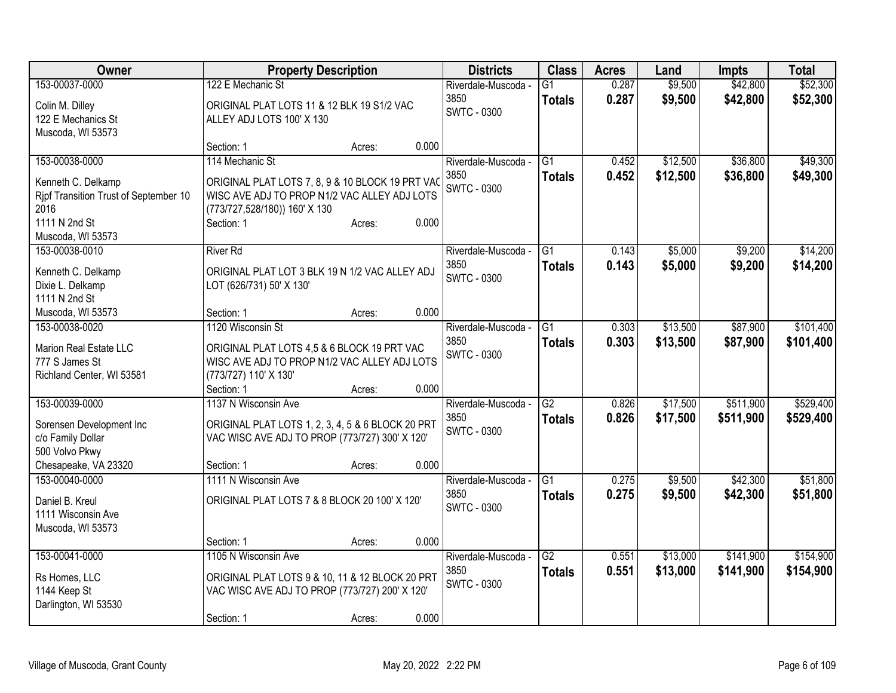| Owner                                 | <b>Property Description</b>                                                                      |        |       | <b>Districts</b>    | <b>Class</b>    | <b>Acres</b> | Land     | <b>Impts</b> | <b>Total</b> |
|---------------------------------------|--------------------------------------------------------------------------------------------------|--------|-------|---------------------|-----------------|--------------|----------|--------------|--------------|
| 153-00037-0000                        | 122 E Mechanic St                                                                                |        |       | Riverdale-Muscoda - | $\overline{G1}$ | 0.287        | \$9,500  | \$42,800     | \$52,300     |
| Colin M. Dilley                       | ORIGINAL PLAT LOTS 11 & 12 BLK 19 S1/2 VAC                                                       |        |       | 3850                | <b>Totals</b>   | 0.287        | \$9,500  | \$42,800     | \$52,300     |
| 122 E Mechanics St                    | ALLEY ADJ LOTS 100' X 130                                                                        |        |       | <b>SWTC - 0300</b>  |                 |              |          |              |              |
| Muscoda, WI 53573                     |                                                                                                  |        |       |                     |                 |              |          |              |              |
|                                       | Section: 1                                                                                       | Acres: | 0.000 |                     |                 |              |          |              |              |
| 153-00038-0000                        | 114 Mechanic St                                                                                  |        |       | Riverdale-Muscoda - | $\overline{G1}$ | 0.452        | \$12,500 | \$36,800     | \$49,300     |
| Kenneth C. Delkamp                    |                                                                                                  |        |       | 3850                | <b>Totals</b>   | 0.452        | \$12,500 | \$36,800     | \$49,300     |
| Ripf Transition Trust of September 10 | ORIGINAL PLAT LOTS 7, 8, 9 & 10 BLOCK 19 PRT VAC<br>WISC AVE ADJ TO PROP N1/2 VAC ALLEY ADJ LOTS |        |       | <b>SWTC - 0300</b>  |                 |              |          |              |              |
| 2016                                  | (773/727,528/180)) 160' X 130                                                                    |        |       |                     |                 |              |          |              |              |
| 1111 N 2nd St                         | Section: 1                                                                                       | Acres: | 0.000 |                     |                 |              |          |              |              |
| Muscoda, WI 53573                     |                                                                                                  |        |       |                     |                 |              |          |              |              |
| 153-00038-0010                        | <b>River Rd</b>                                                                                  |        |       | Riverdale-Muscoda - | $\overline{G1}$ | 0.143        | \$5,000  | \$9,200      | \$14,200     |
|                                       |                                                                                                  |        |       | 3850                | <b>Totals</b>   | 0.143        | \$5,000  | \$9,200      | \$14,200     |
| Kenneth C. Delkamp                    | ORIGINAL PLAT LOT 3 BLK 19 N 1/2 VAC ALLEY ADJ                                                   |        |       | <b>SWTC - 0300</b>  |                 |              |          |              |              |
| Dixie L. Delkamp                      | LOT (626/731) 50' X 130'                                                                         |        |       |                     |                 |              |          |              |              |
| 1111 N 2nd St                         | Section: 1                                                                                       |        | 0.000 |                     |                 |              |          |              |              |
| Muscoda, WI 53573<br>153-00038-0020   | 1120 Wisconsin St                                                                                | Acres: |       | Riverdale-Muscoda - | $\overline{G1}$ | 0.303        | \$13,500 | \$87,900     | \$101,400    |
|                                       |                                                                                                  |        |       | 3850                |                 |              |          |              |              |
| Marion Real Estate LLC                | ORIGINAL PLAT LOTS 4,5 & 6 BLOCK 19 PRT VAC                                                      |        |       | <b>SWTC - 0300</b>  | <b>Totals</b>   | 0.303        | \$13,500 | \$87,900     | \$101,400    |
| 777 S James St                        | WISC AVE ADJ TO PROP N1/2 VAC ALLEY ADJ LOTS                                                     |        |       |                     |                 |              |          |              |              |
| Richland Center, WI 53581             | (773/727) 110' X 130'                                                                            |        |       |                     |                 |              |          |              |              |
|                                       | Section: 1                                                                                       | Acres: | 0.000 |                     |                 |              |          |              |              |
| 153-00039-0000                        | 1137 N Wisconsin Ave                                                                             |        |       | Riverdale-Muscoda - | $\overline{G2}$ | 0.826        | \$17,500 | \$511,900    | \$529,400    |
| Sorensen Development Inc              | ORIGINAL PLAT LOTS 1, 2, 3, 4, 5 & 6 BLOCK 20 PRT                                                |        |       | 3850                | <b>Totals</b>   | 0.826        | \$17,500 | \$511,900    | \$529,400    |
| c/o Family Dollar                     | VAC WISC AVE ADJ TO PROP (773/727) 300' X 120'                                                   |        |       | SWTC - 0300         |                 |              |          |              |              |
| 500 Volvo Pkwy                        |                                                                                                  |        |       |                     |                 |              |          |              |              |
| Chesapeake, VA 23320                  | Section: 1                                                                                       | Acres: | 0.000 |                     |                 |              |          |              |              |
| 153-00040-0000                        | 1111 N Wisconsin Ave                                                                             |        |       | Riverdale-Muscoda - | $\overline{G1}$ | 0.275        | \$9,500  | \$42,300     | \$51,800     |
| Daniel B. Kreul                       | ORIGINAL PLAT LOTS 7 & 8 BLOCK 20 100' X 120'                                                    |        |       | 3850                | <b>Totals</b>   | 0.275        | \$9,500  | \$42,300     | \$51,800     |
| 1111 Wisconsin Ave                    |                                                                                                  |        |       | SWTC - 0300         |                 |              |          |              |              |
| Muscoda, WI 53573                     |                                                                                                  |        |       |                     |                 |              |          |              |              |
|                                       | Section: 1                                                                                       | Acres: | 0.000 |                     |                 |              |          |              |              |
| 153-00041-0000                        | 1105 N Wisconsin Ave                                                                             |        |       | Riverdale-Muscoda - | $\overline{G2}$ | 0.551        | \$13,000 | \$141,900    | \$154,900    |
|                                       |                                                                                                  |        |       | 3850                | <b>Totals</b>   | 0.551        | \$13,000 | \$141,900    | \$154,900    |
| Rs Homes, LLC                         | ORIGINAL PLAT LOTS 9 & 10, 11 & 12 BLOCK 20 PRT                                                  |        |       | <b>SWTC - 0300</b>  |                 |              |          |              |              |
| 1144 Keep St                          | VAC WISC AVE ADJ TO PROP (773/727) 200' X 120'                                                   |        |       |                     |                 |              |          |              |              |
| Darlington, WI 53530                  |                                                                                                  |        |       |                     |                 |              |          |              |              |
|                                       | Section: 1                                                                                       | Acres: | 0.000 |                     |                 |              |          |              |              |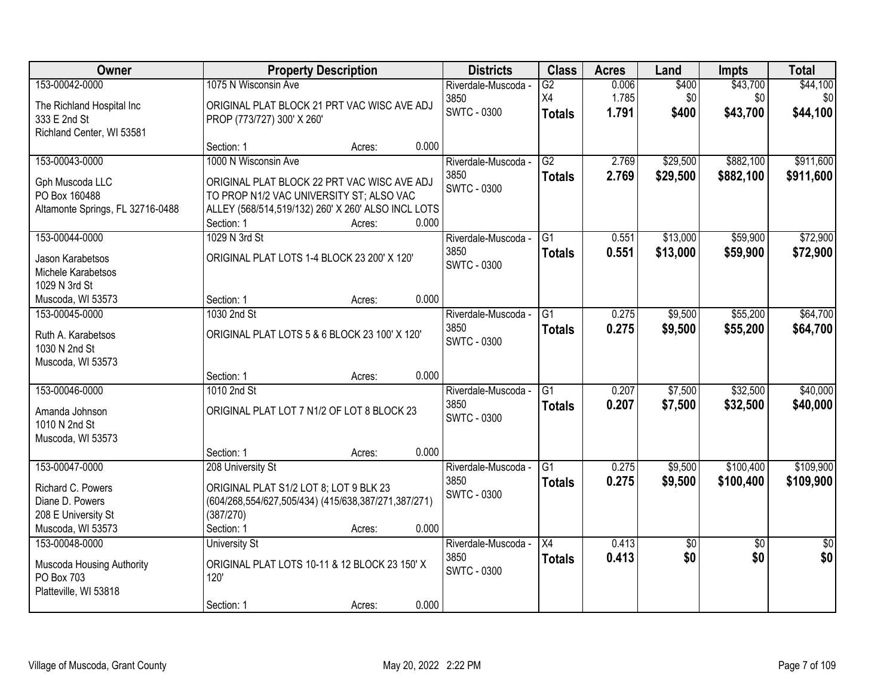| Owner                            |                                                     | <b>Property Description</b> |       | <b>Districts</b>    | <b>Class</b>    | <b>Acres</b> | Land            | <b>Impts</b>    | <b>Total</b>    |
|----------------------------------|-----------------------------------------------------|-----------------------------|-------|---------------------|-----------------|--------------|-----------------|-----------------|-----------------|
| 153-00042-0000                   | 1075 N Wisconsin Ave                                |                             |       | Riverdale-Muscoda - | $\overline{G2}$ | 0.006        | \$400           | \$43,700        | \$44,100        |
| The Richland Hospital Inc        | ORIGINAL PLAT BLOCK 21 PRT VAC WISC AVE ADJ         |                             |       | 3850                | X4              | 1.785        | \$0             | \$0             | \$0             |
| 333 E 2nd St                     | PROP (773/727) 300' X 260'                          |                             |       | <b>SWTC - 0300</b>  | <b>Totals</b>   | 1.791        | \$400           | \$43,700        | \$44,100        |
| Richland Center, WI 53581        |                                                     |                             |       |                     |                 |              |                 |                 |                 |
|                                  | Section: 1                                          | Acres:                      | 0.000 |                     |                 |              |                 |                 |                 |
| 153-00043-0000                   | 1000 N Wisconsin Ave                                |                             |       | Riverdale-Muscoda - | $\overline{G2}$ | 2.769        | \$29,500        | \$882,100       | \$911,600       |
| Gph Muscoda LLC                  | ORIGINAL PLAT BLOCK 22 PRT VAC WISC AVE ADJ         |                             |       | 3850                | <b>Totals</b>   | 2.769        | \$29,500        | \$882,100       | \$911,600       |
| PO Box 160488                    | TO PROP N1/2 VAC UNIVERSITY ST; ALSO VAC            |                             |       | <b>SWTC - 0300</b>  |                 |              |                 |                 |                 |
| Altamonte Springs, FL 32716-0488 | ALLEY (568/514,519/132) 260' X 260' ALSO INCL LOTS  |                             |       |                     |                 |              |                 |                 |                 |
|                                  | Section: 1                                          | Acres:                      | 0.000 |                     |                 |              |                 |                 |                 |
| 153-00044-0000                   | 1029 N 3rd St                                       |                             |       | Riverdale-Muscoda - | $\overline{G1}$ | 0.551        | \$13,000        | \$59,900        | \$72,900        |
| Jason Karabetsos                 | ORIGINAL PLAT LOTS 1-4 BLOCK 23 200' X 120'         |                             |       | 3850                | <b>Totals</b>   | 0.551        | \$13,000        | \$59,900        | \$72,900        |
| Michele Karabetsos               |                                                     |                             |       | <b>SWTC - 0300</b>  |                 |              |                 |                 |                 |
| 1029 N 3rd St                    |                                                     |                             |       |                     |                 |              |                 |                 |                 |
| Muscoda, WI 53573                | Section: 1                                          | Acres:                      | 0.000 |                     |                 |              |                 |                 |                 |
| 153-00045-0000                   | 1030 2nd St                                         |                             |       | Riverdale-Muscoda - | G1              | 0.275        | \$9,500         | \$55,200        | \$64,700        |
| Ruth A. Karabetsos               | ORIGINAL PLAT LOTS 5 & 6 BLOCK 23 100' X 120'       |                             |       | 3850                | <b>Totals</b>   | 0.275        | \$9,500         | \$55,200        | \$64,700        |
| 1030 N 2nd St                    |                                                     |                             |       | <b>SWTC - 0300</b>  |                 |              |                 |                 |                 |
| Muscoda, WI 53573                |                                                     |                             |       |                     |                 |              |                 |                 |                 |
|                                  | Section: 1                                          | Acres:                      | 0.000 |                     |                 |              |                 |                 |                 |
| 153-00046-0000                   | 1010 2nd St                                         |                             |       | Riverdale-Muscoda - | $\overline{G1}$ | 0.207        | \$7,500         | \$32,500        | \$40,000        |
| Amanda Johnson                   | ORIGINAL PLAT LOT 7 N1/2 OF LOT 8 BLOCK 23          |                             |       | 3850                | <b>Totals</b>   | 0.207        | \$7,500         | \$32,500        | \$40,000        |
| 1010 N 2nd St                    |                                                     |                             |       | <b>SWTC - 0300</b>  |                 |              |                 |                 |                 |
| Muscoda, WI 53573                |                                                     |                             |       |                     |                 |              |                 |                 |                 |
|                                  | Section: 1                                          | Acres:                      | 0.000 |                     |                 |              |                 |                 |                 |
| 153-00047-0000                   | 208 University St                                   |                             |       | Riverdale-Muscoda - | G1              | 0.275        | \$9,500         | \$100,400       | \$109,900       |
| Richard C. Powers                | ORIGINAL PLAT S1/2 LOT 8; LOT 9 BLK 23              |                             |       | 3850                | <b>Totals</b>   | 0.275        | \$9,500         | \$100,400       | \$109,900       |
| Diane D. Powers                  | (604/268,554/627,505/434) (415/638,387/271,387/271) |                             |       | <b>SWTC - 0300</b>  |                 |              |                 |                 |                 |
| 208 E University St              | (387/270)                                           |                             |       |                     |                 |              |                 |                 |                 |
| Muscoda, WI 53573                | Section: 1                                          | Acres:                      | 0.000 |                     |                 |              |                 |                 |                 |
| 153-00048-0000                   | <b>University St</b>                                |                             |       | Riverdale-Muscoda - | X4              | 0.413        | $\overline{50}$ | $\overline{50}$ | $\overline{50}$ |
| Muscoda Housing Authority        | ORIGINAL PLAT LOTS 10-11 & 12 BLOCK 23 150' X       |                             |       | 3850                | <b>Totals</b>   | 0.413        | \$0             | \$0             | \$0             |
| PO Box 703                       | 120'                                                |                             |       | <b>SWTC - 0300</b>  |                 |              |                 |                 |                 |
| Platteville, WI 53818            |                                                     |                             |       |                     |                 |              |                 |                 |                 |
|                                  | Section: 1                                          | Acres:                      | 0.000 |                     |                 |              |                 |                 |                 |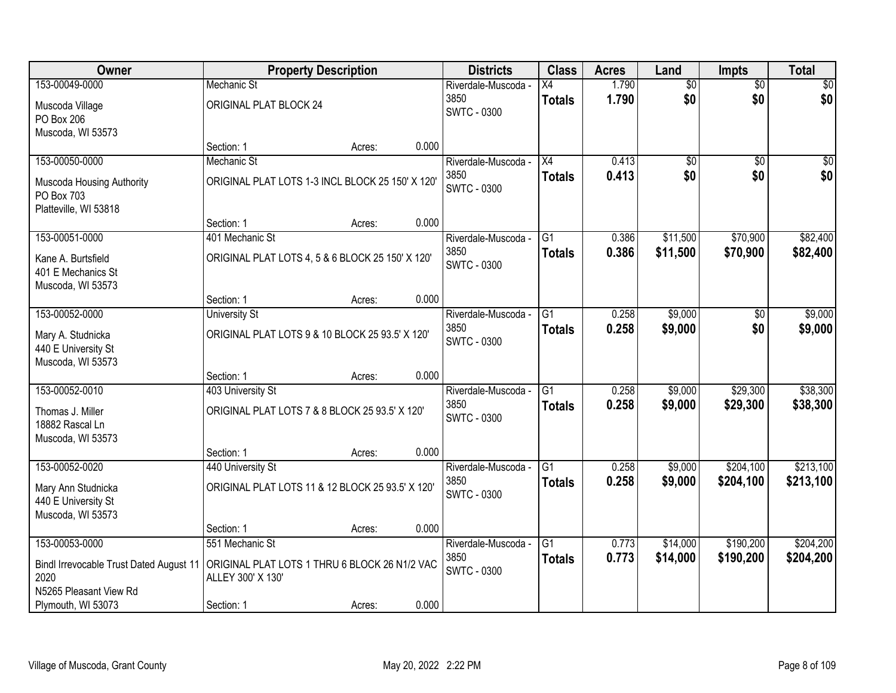| Owner                                           |                                                                    | <b>Property Description</b> |       | <b>Districts</b>           | <b>Class</b>    | <b>Acres</b> | Land            | <b>Impts</b>    | <b>Total</b> |
|-------------------------------------------------|--------------------------------------------------------------------|-----------------------------|-------|----------------------------|-----------------|--------------|-----------------|-----------------|--------------|
| 153-00049-0000                                  | <b>Mechanic St</b>                                                 |                             |       | Riverdale-Muscoda -        | Х4              | 1.790        | $\overline{50}$ | $\overline{50}$ | $\sqrt{50}$  |
| Muscoda Village                                 | ORIGINAL PLAT BLOCK 24                                             |                             |       | 3850<br><b>SWTC - 0300</b> | <b>Totals</b>   | 1.790        | \$0             | \$0             | \$0          |
| PO Box 206                                      |                                                                    |                             |       |                            |                 |              |                 |                 |              |
| Muscoda, WI 53573                               |                                                                    |                             |       |                            |                 |              |                 |                 |              |
|                                                 | Section: 1                                                         | Acres:                      | 0.000 |                            |                 |              |                 |                 |              |
| 153-00050-0000                                  | Mechanic St                                                        |                             |       | Riverdale-Muscoda -        | $\overline{X4}$ | 0.413        | $\overline{50}$ | $\overline{30}$ | $\sqrt{50}$  |
| Muscoda Housing Authority                       | ORIGINAL PLAT LOTS 1-3 INCL BLOCK 25 150' X 120'                   |                             |       | 3850<br><b>SWTC - 0300</b> | <b>Totals</b>   | 0.413        | \$0             | \$0             | \$0          |
| PO Box 703                                      |                                                                    |                             |       |                            |                 |              |                 |                 |              |
| Platteville, WI 53818                           |                                                                    |                             |       |                            |                 |              |                 |                 |              |
|                                                 | Section: 1                                                         | Acres:                      | 0.000 |                            |                 |              |                 |                 |              |
| 153-00051-0000                                  | 401 Mechanic St                                                    |                             |       | Riverdale-Muscoda -        | G1              | 0.386        | \$11,500        | \$70,900        | \$82,400     |
| Kane A. Burtsfield                              | ORIGINAL PLAT LOTS 4, 5 & 6 BLOCK 25 150' X 120'                   |                             |       | 3850                       | <b>Totals</b>   | 0.386        | \$11,500        | \$70,900        | \$82,400     |
| 401 E Mechanics St                              |                                                                    |                             |       | <b>SWTC - 0300</b>         |                 |              |                 |                 |              |
| Muscoda, WI 53573                               |                                                                    |                             |       |                            |                 |              |                 |                 |              |
|                                                 | Section: 1                                                         | Acres:                      | 0.000 |                            |                 |              |                 |                 |              |
| 153-00052-0000                                  | <b>University St</b>                                               |                             |       | Riverdale-Muscoda -        | G1              | 0.258        | \$9,000         | \$0             | \$9,000      |
| Mary A. Studnicka                               | ORIGINAL PLAT LOTS 9 & 10 BLOCK 25 93.5' X 120'                    |                             |       | 3850                       | <b>Totals</b>   | 0.258        | \$9,000         | \$0             | \$9,000      |
| 440 E University St                             |                                                                    |                             |       | <b>SWTC - 0300</b>         |                 |              |                 |                 |              |
| Muscoda, WI 53573                               |                                                                    |                             |       |                            |                 |              |                 |                 |              |
|                                                 | Section: 1                                                         | Acres:                      | 0.000 |                            |                 |              |                 |                 |              |
| 153-00052-0010                                  | 403 University St                                                  |                             |       | Riverdale-Muscoda -        | $\overline{G1}$ | 0.258        | \$9,000         | \$29,300        | \$38,300     |
| Thomas J. Miller                                | ORIGINAL PLAT LOTS 7 & 8 BLOCK 25 93.5' X 120'                     |                             |       | 3850                       | <b>Totals</b>   | 0.258        | \$9,000         | \$29,300        | \$38,300     |
| 18882 Rascal Ln                                 |                                                                    |                             |       | <b>SWTC - 0300</b>         |                 |              |                 |                 |              |
| Muscoda, WI 53573                               |                                                                    |                             |       |                            |                 |              |                 |                 |              |
|                                                 | Section: 1                                                         | Acres:                      | 0.000 |                            |                 |              |                 |                 |              |
| 153-00052-0020                                  | 440 University St                                                  |                             |       | Riverdale-Muscoda -        | $\overline{G1}$ | 0.258        | \$9,000         | \$204,100       | \$213,100    |
| Mary Ann Studnicka                              | ORIGINAL PLAT LOTS 11 & 12 BLOCK 25 93.5' X 120'                   |                             |       | 3850                       | <b>Totals</b>   | 0.258        | \$9,000         | \$204,100       | \$213,100    |
| 440 E University St                             |                                                                    |                             |       | <b>SWTC - 0300</b>         |                 |              |                 |                 |              |
| Muscoda, WI 53573                               |                                                                    |                             |       |                            |                 |              |                 |                 |              |
|                                                 | Section: 1                                                         | Acres:                      | 0.000 |                            |                 |              |                 |                 |              |
| 153-00053-0000                                  | 551 Mechanic St                                                    |                             |       | Riverdale-Muscoda -        | $\overline{G1}$ | 0.773        | \$14,000        | \$190,200       | \$204,200    |
|                                                 |                                                                    |                             |       | 3850                       | <b>Totals</b>   | 0.773        | \$14,000        | \$190,200       | \$204,200    |
| Bindl Irrevocable Trust Dated August 11<br>2020 | ORIGINAL PLAT LOTS 1 THRU 6 BLOCK 26 N1/2 VAC<br>ALLEY 300' X 130' |                             |       | SWTC - 0300                |                 |              |                 |                 |              |
| N5265 Pleasant View Rd                          |                                                                    |                             |       |                            |                 |              |                 |                 |              |
| Plymouth, WI 53073                              | Section: 1                                                         | Acres:                      | 0.000 |                            |                 |              |                 |                 |              |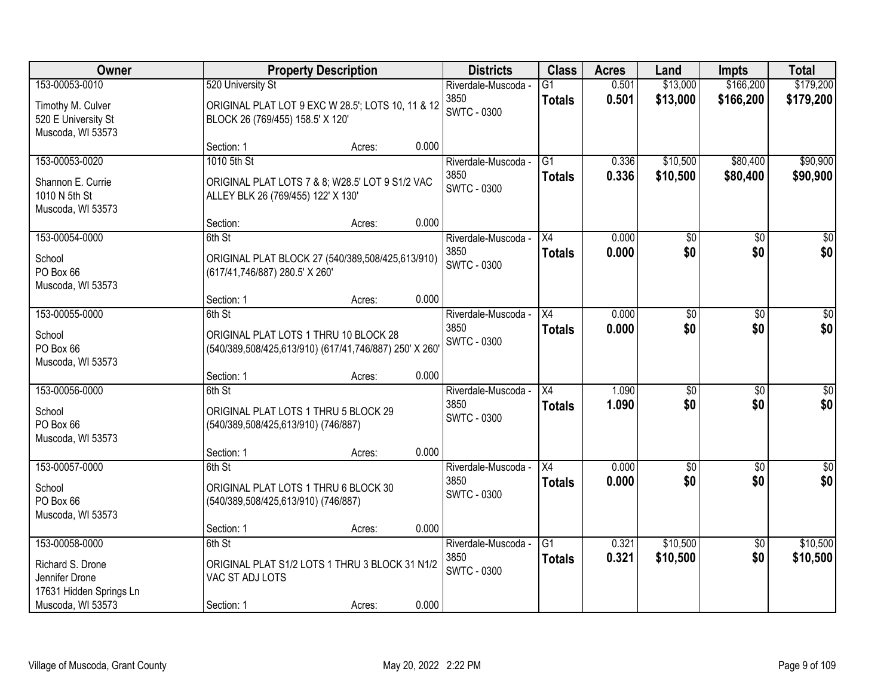| Owner                                                         |                                     | <b>Property Description</b>                                                                     |       | <b>Districts</b>            | <b>Class</b>        | <b>Acres</b>   | Land                   | <b>Impts</b>           | <b>Total</b>            |
|---------------------------------------------------------------|-------------------------------------|-------------------------------------------------------------------------------------------------|-------|-----------------------------|---------------------|----------------|------------------------|------------------------|-------------------------|
| 153-00053-0010                                                | 520 University St                   |                                                                                                 |       | Riverdale-Muscoda -         | $\overline{G1}$     | 0.501          | \$13,000               | \$166,200              | \$179,200               |
| Timothy M. Culver<br>520 E University St<br>Muscoda, WI 53573 | BLOCK 26 (769/455) 158.5' X 120'    | ORIGINAL PLAT LOT 9 EXC W 28.5'; LOTS 10, 11 & 12                                               |       | 3850<br><b>SWTC - 0300</b>  | <b>Totals</b>       | 0.501          | \$13,000               | \$166,200              | \$179,200               |
|                                                               | Section: 1                          | Acres:                                                                                          | 0.000 |                             |                     |                |                        |                        |                         |
| 153-00053-0020                                                | 1010 5th St                         |                                                                                                 |       | Riverdale-Muscoda -         | G1                  | 0.336          | \$10,500               | \$80,400               | \$90,900                |
| Shannon E. Currie<br>1010 N 5th St<br>Muscoda, WI 53573       | ALLEY BLK 26 (769/455) 122' X 130'  | ORIGINAL PLAT LOTS 7 & 8; W28.5' LOT 9 S1/2 VAC                                                 |       | 3850<br><b>SWTC - 0300</b>  | <b>Totals</b>       | 0.336          | \$10,500               | \$80,400               | \$90,900                |
|                                                               | Section:                            | Acres:                                                                                          | 0.000 |                             |                     |                |                        |                        |                         |
| 153-00054-0000                                                | 6th St                              |                                                                                                 |       | Riverdale-Muscoda -         | X4                  | 0.000          | $\overline{50}$        | \$0                    | $\overline{50}$         |
| School<br>PO Box 66<br>Muscoda, WI 53573                      | (617/41,746/887) 280.5' X 260'      | ORIGINAL PLAT BLOCK 27 (540/389,508/425,613/910)                                                |       | 3850<br><b>SWTC - 0300</b>  | <b>Totals</b>       | 0.000          | \$0                    | \$0                    | \$0                     |
|                                                               | Section: 1                          | Acres:                                                                                          | 0.000 |                             |                     |                |                        |                        |                         |
| 153-00055-0000                                                | 6th St                              |                                                                                                 |       | Riverdale-Muscoda -         | X4                  | 0.000          | $\overline{50}$        | \$0                    | $\sqrt{50}$             |
| School<br>PO Box 66<br>Muscoda, WI 53573                      |                                     | ORIGINAL PLAT LOTS 1 THRU 10 BLOCK 28<br>(540/389,508/425,613/910) (617/41,746/887) 250' X 260' |       | 3850<br><b>SWTC - 0300</b>  | <b>Totals</b>       | 0.000          | \$0                    | \$0                    | \$0                     |
|                                                               | Section: 1                          | Acres:                                                                                          | 0.000 |                             |                     |                |                        |                        |                         |
| 153-00056-0000                                                | 6th St                              |                                                                                                 |       | Riverdale-Muscoda -         | X4                  | 1.090          | \$0                    | \$0                    | $\sqrt{50}$             |
| School<br>PO Box 66<br>Muscoda, WI 53573                      | (540/389,508/425,613/910) (746/887) | ORIGINAL PLAT LOTS 1 THRU 5 BLOCK 29                                                            |       | 3850<br><b>SWTC - 0300</b>  | <b>Totals</b>       | 1.090          | \$0                    | \$0                    | \$0                     |
|                                                               | Section: 1                          | Acres:                                                                                          | 0.000 |                             |                     |                |                        |                        |                         |
| 153-00057-0000                                                | 6th St                              |                                                                                                 |       | Riverdale-Muscoda -<br>3850 | X4<br><b>Totals</b> | 0.000<br>0.000 | $\overline{50}$<br>\$0 | $\overline{50}$<br>\$0 | $\overline{\$0}$<br>\$0 |
| School<br>PO Box 66<br>Muscoda, WI 53573                      | (540/389,508/425,613/910) (746/887) | ORIGINAL PLAT LOTS 1 THRU 6 BLOCK 30                                                            |       | <b>SWTC - 0300</b>          |                     |                |                        |                        |                         |
|                                                               | Section: 1                          | Acres:                                                                                          | 0.000 |                             |                     |                |                        |                        |                         |
| 153-00058-0000                                                | 6th St                              |                                                                                                 |       | Riverdale-Muscoda -         | $\overline{G1}$     | 0.321          | \$10,500               | $\overline{50}$        | \$10,500                |
| Richard S. Drone<br>Jennifer Drone<br>17631 Hidden Springs Ln | VAC ST ADJ LOTS                     | ORIGINAL PLAT S1/2 LOTS 1 THRU 3 BLOCK 31 N1/2                                                  |       | 3850<br><b>SWTC - 0300</b>  | <b>Totals</b>       | 0.321          | \$10,500               | \$0                    | \$10,500                |
| Muscoda, WI 53573                                             | Section: 1                          | Acres:                                                                                          | 0.000 |                             |                     |                |                        |                        |                         |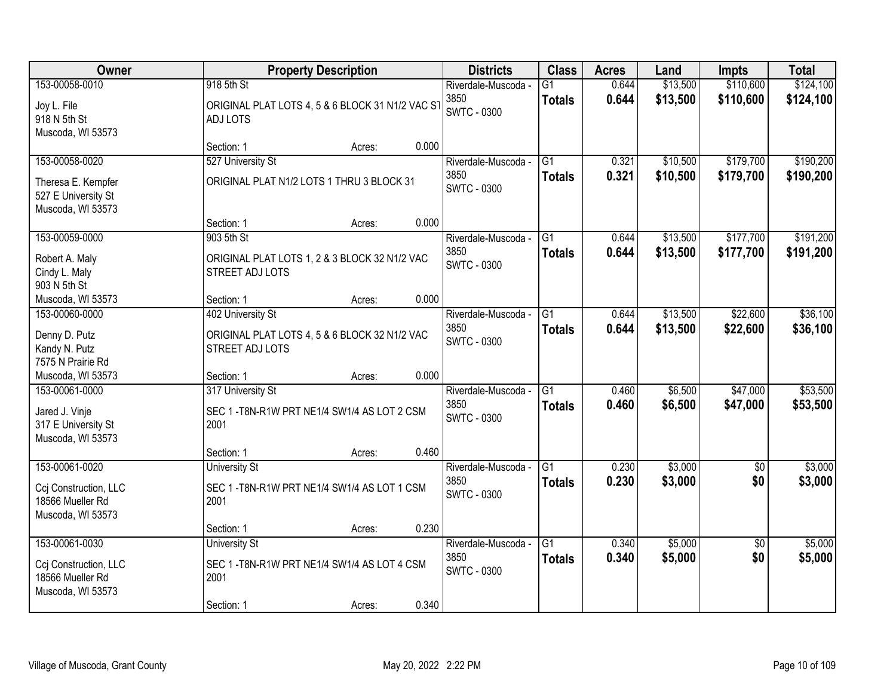| Owner                                                                            | <b>Property Description</b>                                                                                 | <b>Districts</b>                                  | <b>Class</b>                     | <b>Acres</b>   | Land                 | Impts                  | <b>Total</b>           |
|----------------------------------------------------------------------------------|-------------------------------------------------------------------------------------------------------------|---------------------------------------------------|----------------------------------|----------------|----------------------|------------------------|------------------------|
| 153-00058-0010<br>Joy L. File<br>918 N 5th St<br>Muscoda, WI 53573               | 918 5th St<br>ORIGINAL PLAT LOTS 4, 5 & 6 BLOCK 31 N1/2 VAC ST<br><b>ADJ LOTS</b>                           | Riverdale-Muscoda -<br>3850<br><b>SWTC - 0300</b> | $\overline{G1}$<br><b>Totals</b> | 0.644<br>0.644 | \$13,500<br>\$13,500 | \$110,600<br>\$110,600 | \$124,100<br>\$124,100 |
|                                                                                  | 0.000<br>Section: 1<br>Acres:                                                                               |                                                   |                                  |                |                      |                        |                        |
| 153-00058-0020<br>Theresa E. Kempfer<br>527 E University St<br>Muscoda, WI 53573 | 527 University St<br>ORIGINAL PLAT N1/2 LOTS 1 THRU 3 BLOCK 31                                              | Riverdale-Muscoda -<br>3850<br><b>SWTC - 0300</b> | $\overline{G1}$<br><b>Totals</b> | 0.321<br>0.321 | \$10,500<br>\$10,500 | \$179,700<br>\$179,700 | \$190,200<br>\$190,200 |
|                                                                                  | 0.000<br>Section: 1<br>Acres:                                                                               |                                                   |                                  |                |                      |                        |                        |
| 153-00059-0000<br>Robert A. Maly<br>Cindy L. Maly<br>903 N 5th St                | 903 5th St<br>ORIGINAL PLAT LOTS 1, 2 & 3 BLOCK 32 N1/2 VAC<br>STREET ADJ LOTS                              | Riverdale-Muscoda -<br>3850<br><b>SWTC - 0300</b> | $\overline{G1}$<br><b>Totals</b> | 0.644<br>0.644 | \$13,500<br>\$13,500 | \$177,700<br>\$177,700 | \$191,200<br>\$191,200 |
| Muscoda, WI 53573                                                                | 0.000<br>Section: 1<br>Acres:                                                                               |                                                   |                                  |                |                      |                        |                        |
| 153-00060-0000<br>Denny D. Putz<br>Kandy N. Putz<br>7575 N Prairie Rd            | 402 University St<br>ORIGINAL PLAT LOTS 4, 5 & 6 BLOCK 32 N1/2 VAC<br>STREET ADJ LOTS                       | Riverdale-Muscoda -<br>3850<br><b>SWTC - 0300</b> | G1<br><b>Totals</b>              | 0.644<br>0.644 | \$13,500<br>\$13,500 | \$22,600<br>\$22,600   | \$36,100<br>\$36,100   |
| Muscoda, WI 53573                                                                | 0.000<br>Section: 1<br>Acres:                                                                               |                                                   |                                  |                |                      |                        |                        |
| 153-00061-0000<br>Jared J. Vinje<br>317 E University St<br>Muscoda, WI 53573     | 317 University St<br>SEC 1 - T8N-R1W PRT NE1/4 SW1/4 AS LOT 2 CSM<br>2001                                   | Riverdale-Muscoda -<br>3850<br><b>SWTC - 0300</b> | $\overline{G1}$<br><b>Totals</b> | 0.460<br>0.460 | \$6,500<br>\$6,500   | \$47,000<br>\$47,000   | \$53,500<br>\$53,500   |
|                                                                                  | 0.460<br>Section: 1<br>Acres:                                                                               |                                                   |                                  |                |                      |                        |                        |
| 153-00061-0020<br>Ccj Construction, LLC<br>18566 Mueller Rd<br>Muscoda, WI 53573 | <b>University St</b><br>SEC 1 - T8N-R1W PRT NE1/4 SW1/4 AS LOT 1 CSM<br>2001                                | Riverdale-Muscoda -<br>3850<br><b>SWTC - 0300</b> | $\overline{G1}$<br><b>Totals</b> | 0.230<br>0.230 | \$3,000<br>\$3,000   | $\sqrt{6}$<br>\$0      | \$3,000<br>\$3,000     |
|                                                                                  | 0.230<br>Section: 1<br>Acres:                                                                               |                                                   |                                  |                |                      |                        |                        |
| 153-00061-0030<br>Ccj Construction, LLC<br>18566 Mueller Rd<br>Muscoda, WI 53573 | <b>University St</b><br>SEC 1-T8N-R1W PRT NE1/4 SW1/4 AS LOT 4 CSM<br>2001<br>0.340<br>Section: 1<br>Acres: | Riverdale-Muscoda -<br>3850<br><b>SWTC - 0300</b> | $\overline{G1}$<br><b>Totals</b> | 0.340<br>0.340 | \$5,000<br>\$5,000   | $\overline{50}$<br>\$0 | \$5,000<br>\$5,000     |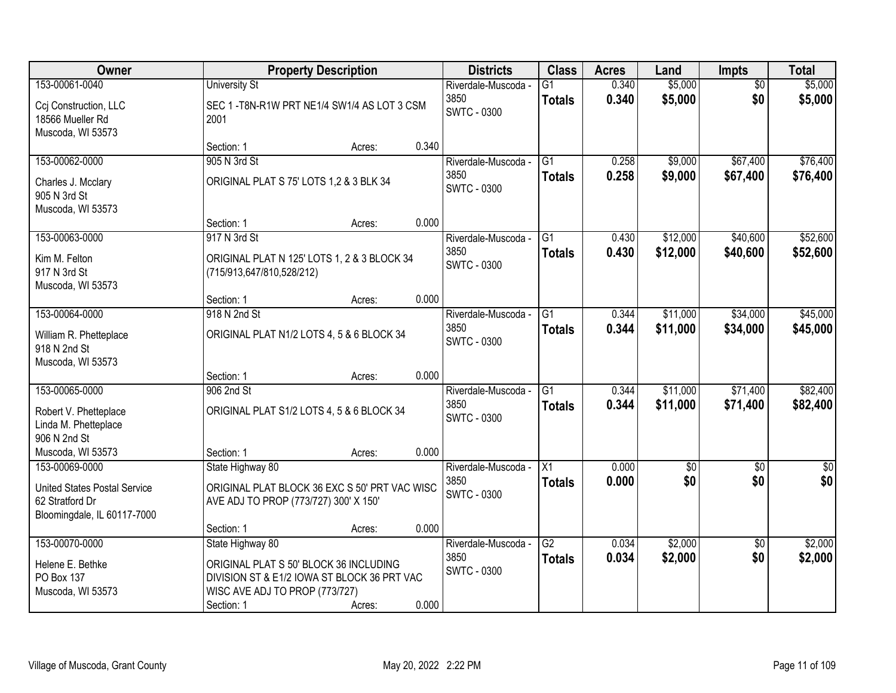| Owner                                                                                 |                                         | <b>Property Description</b>                   |       | <b>Districts</b>           | <b>Class</b>    | <b>Acres</b> | Land        | <b>Impts</b>    | <b>Total</b> |
|---------------------------------------------------------------------------------------|-----------------------------------------|-----------------------------------------------|-------|----------------------------|-----------------|--------------|-------------|-----------------|--------------|
| 153-00061-0040                                                                        | <b>University St</b>                    |                                               |       | Riverdale-Muscoda -        | G1              | 0.340        | \$5,000     | $\overline{50}$ | \$5,000      |
| Ccj Construction, LLC<br>18566 Mueller Rd<br>Muscoda, WI 53573                        | 2001                                    | SEC 1-T8N-R1W PRT NE1/4 SW1/4 AS LOT 3 CSM    |       | 3850<br><b>SWTC - 0300</b> | <b>Totals</b>   | 0.340        | \$5,000     | \$0             | \$5,000      |
|                                                                                       | Section: 1                              | Acres:                                        | 0.340 |                            |                 |              |             |                 |              |
| 153-00062-0000                                                                        | 905 N 3rd St                            |                                               |       | Riverdale-Muscoda -        | $\overline{G1}$ | 0.258        | \$9,000     | \$67,400        | \$76,400     |
| Charles J. Mcclary<br>905 N 3rd St<br>Muscoda, WI 53573                               | ORIGINAL PLAT S 75' LOTS 1,2 & 3 BLK 34 |                                               |       | 3850<br><b>SWTC - 0300</b> | <b>Totals</b>   | 0.258        | \$9,000     | \$67,400        | \$76,400     |
|                                                                                       | Section: 1                              | Acres:                                        | 0.000 |                            |                 |              |             |                 |              |
| 153-00063-0000                                                                        | 917 N 3rd St                            |                                               |       | Riverdale-Muscoda -        | G1              | 0.430        | \$12,000    | \$40,600        | \$52,600     |
| Kim M. Felton<br>917 N 3rd St<br>Muscoda, WI 53573                                    | (715/913,647/810,528/212)               | ORIGINAL PLAT N 125' LOTS 1, 2 & 3 BLOCK 34   |       | 3850<br><b>SWTC - 0300</b> | <b>Totals</b>   | 0.430        | \$12,000    | \$40,600        | \$52,600     |
|                                                                                       | Section: 1                              | Acres:                                        | 0.000 |                            |                 |              |             |                 |              |
| 153-00064-0000                                                                        | 918 N 2nd St                            |                                               |       | Riverdale-Muscoda -        | G1              | 0.344        | \$11,000    | \$34,000        | \$45,000     |
| William R. Phetteplace<br>918 N 2nd St<br>Muscoda, WI 53573                           |                                         | ORIGINAL PLAT N1/2 LOTS 4, 5 & 6 BLOCK 34     |       | 3850<br><b>SWTC - 0300</b> | <b>Totals</b>   | 0.344        | \$11,000    | \$34,000        | \$45,000     |
|                                                                                       | Section: 1                              | Acres:                                        | 0.000 |                            |                 |              |             |                 |              |
| 153-00065-0000                                                                        | 906 2nd St                              |                                               |       | Riverdale-Muscoda -        | $\overline{G1}$ | 0.344        | \$11,000    | \$71,400        | \$82,400     |
| Robert V. Phetteplace<br>Linda M. Phetteplace<br>906 N 2nd St                         |                                         | ORIGINAL PLAT S1/2 LOTS 4, 5 & 6 BLOCK 34     |       | 3850<br><b>SWTC - 0300</b> | <b>Totals</b>   | 0.344        | \$11,000    | \$71,400        | \$82,400     |
| Muscoda, WI 53573                                                                     | Section: 1                              | Acres:                                        | 0.000 |                            |                 |              |             |                 |              |
| 153-00069-0000                                                                        | State Highway 80                        |                                               |       | Riverdale-Muscoda -        | $\overline{X1}$ | 0.000        | $\sqrt{50}$ | $\overline{60}$ | $\sqrt{60}$  |
| <b>United States Postal Service</b><br>62 Stratford Dr<br>Bloomingdale, IL 60117-7000 | AVE ADJ TO PROP (773/727) 300' X 150'   | ORIGINAL PLAT BLOCK 36 EXC S 50' PRT VAC WISC |       | 3850<br><b>SWTC - 0300</b> | <b>Totals</b>   | 0.000        | \$0         | \$0             | \$0          |
|                                                                                       | Section: 1                              | Acres:                                        | 0.000 |                            |                 |              |             |                 |              |
| 153-00070-0000                                                                        | State Highway 80                        |                                               |       | Riverdale-Muscoda -        | $\overline{G2}$ | 0.034        | \$2,000     | $\overline{50}$ | \$2,000      |
| Helene E. Bethke                                                                      |                                         | ORIGINAL PLAT S 50' BLOCK 36 INCLUDING        |       | 3850                       | <b>Totals</b>   | 0.034        | \$2,000     | \$0             | \$2,000      |
| PO Box 137                                                                            |                                         | DIVISION ST & E1/2 IOWA ST BLOCK 36 PRT VAC   |       | SWTC - 0300                |                 |              |             |                 |              |
| Muscoda, WI 53573                                                                     | WISC AVE ADJ TO PROP (773/727)          |                                               |       |                            |                 |              |             |                 |              |
|                                                                                       | Section: 1                              | Acres:                                        | 0.000 |                            |                 |              |             |                 |              |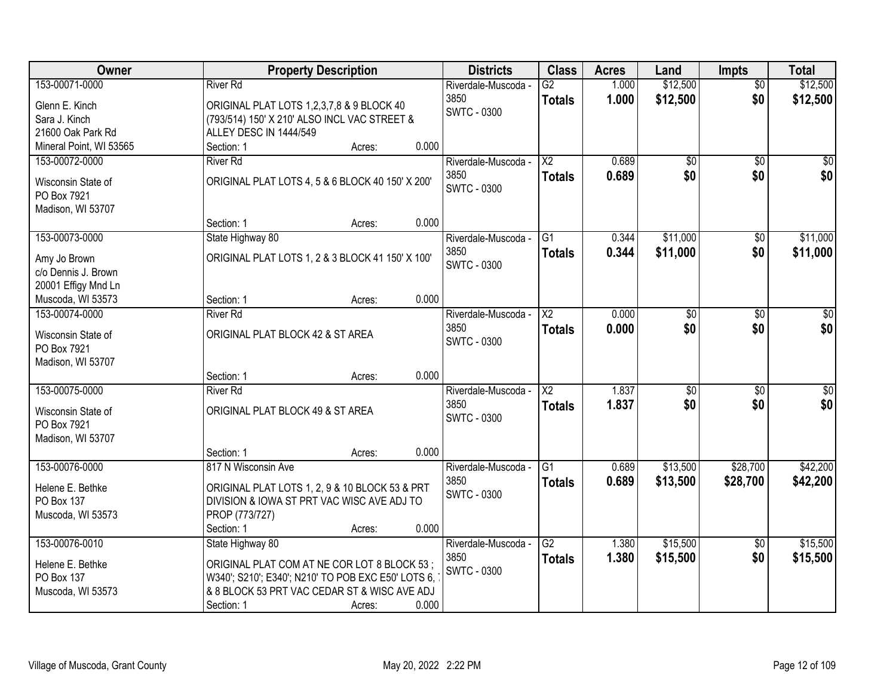| 153-00071-0000<br>1.000<br><b>River Rd</b><br>Riverdale-Muscoda -<br>$\overline{G2}$<br>$\overline{50}$<br>1.000<br>\$12,500<br>\$0<br>3850<br>\$12,500<br><b>Totals</b><br>Glenn E. Kinch<br>ORIGINAL PLAT LOTS 1,2,3,7,8 & 9 BLOCK 40<br><b>SWTC - 0300</b><br>Sara J. Kinch<br>(793/514) 150' X 210' ALSO INCL VAC STREET &<br>21600 Oak Park Rd<br>ALLEY DESC IN 1444/549<br>0.000<br>Mineral Point, WI 53565<br>Section: 1<br>Acres:<br>153-00072-0000<br>$\overline{\text{X2}}$<br>0.689<br>$\overline{50}$<br>$\overline{50}$<br>\$0<br><b>River Rd</b><br>Riverdale-Muscoda -<br>\$0<br>\$0 <br>3850<br>0.689<br>\$0<br><b>Totals</b><br>ORIGINAL PLAT LOTS 4, 5 & 6 BLOCK 40 150' X 200'<br>Wisconsin State of<br><b>SWTC - 0300</b><br>PO Box 7921<br>Madison, WI 53707<br>0.000<br>Section: 1<br>Acres:<br>\$11,000<br>\$11,000<br>153-00073-0000<br>State Highway 80<br>$\overline{G1}$<br>0.344<br>Riverdale-Muscoda -<br>$\sqrt[6]{3}$<br>\$0<br>3850<br>\$11,000<br>0.344<br>\$11,000<br><b>Totals</b><br>ORIGINAL PLAT LOTS 1, 2 & 3 BLOCK 41 150' X 100'<br>Amy Jo Brown<br><b>SWTC - 0300</b><br>c/o Dennis J. Brown<br>20001 Effigy Mnd Ln<br>0.000<br>Muscoda, WI 53573<br>Section: 1<br>Acres:<br>153-00074-0000<br>0.000<br>$\sqrt{50}$<br><b>River Rd</b><br>Riverdale-Muscoda -<br>X2<br>\$0<br>$\sqrt[6]{3}$<br>\$0<br>\$0<br>\$0<br>3850<br>0.000<br><b>Totals</b><br>ORIGINAL PLAT BLOCK 42 & ST AREA<br>Wisconsin State of<br><b>SWTC - 0300</b><br>PO Box 7921<br>Madison, WI 53707<br>0.000<br>Section: 1<br>Acres:<br>153-00075-0000<br>$\overline{\text{X2}}$<br>1.837<br>$\overline{50}$<br>$\overline{50}$<br><b>River Rd</b><br>\$0<br>Riverdale-Muscoda -<br>1.837<br>\$0<br>\$0<br>3850<br>\$0<br><b>Totals</b><br>ORIGINAL PLAT BLOCK 49 & ST AREA<br>Wisconsin State of<br><b>SWTC - 0300</b><br>PO Box 7921<br>Madison, WI 53707<br>0.000<br>Section: 1<br>Acres:<br>\$13,500<br>\$28,700<br>\$42,200<br>153-00076-0000<br>817 N Wisconsin Ave<br>$\overline{G1}$<br>0.689<br>Riverdale-Muscoda -<br>3850<br>0.689<br>\$13,500<br>\$28,700<br>\$42,200<br><b>Totals</b><br>ORIGINAL PLAT LOTS 1, 2, 9 & 10 BLOCK 53 & PRT<br>Helene E. Bethke<br><b>SWTC - 0300</b><br>DIVISION & IOWA ST PRT VAC WISC AVE ADJ TO<br>PO Box 137<br>PROP (773/727)<br>Muscoda, WI 53573<br>0.000<br>Section: 1<br>Acres: | Owner | <b>Property Description</b> | <b>Districts</b> | <b>Class</b> | <b>Acres</b> | Land     | <b>Impts</b> | <b>Total</b> |
|-------------------------------------------------------------------------------------------------------------------------------------------------------------------------------------------------------------------------------------------------------------------------------------------------------------------------------------------------------------------------------------------------------------------------------------------------------------------------------------------------------------------------------------------------------------------------------------------------------------------------------------------------------------------------------------------------------------------------------------------------------------------------------------------------------------------------------------------------------------------------------------------------------------------------------------------------------------------------------------------------------------------------------------------------------------------------------------------------------------------------------------------------------------------------------------------------------------------------------------------------------------------------------------------------------------------------------------------------------------------------------------------------------------------------------------------------------------------------------------------------------------------------------------------------------------------------------------------------------------------------------------------------------------------------------------------------------------------------------------------------------------------------------------------------------------------------------------------------------------------------------------------------------------------------------------------------------------------------------------------------------------------------------------------------------------------------------------------------------------------------------------------------------------------------------------------------------------------------------------------------------------------------------------------------------------------------------------------------|-------|-----------------------------|------------------|--------------|--------------|----------|--------------|--------------|
|                                                                                                                                                                                                                                                                                                                                                                                                                                                                                                                                                                                                                                                                                                                                                                                                                                                                                                                                                                                                                                                                                                                                                                                                                                                                                                                                                                                                                                                                                                                                                                                                                                                                                                                                                                                                                                                                                                                                                                                                                                                                                                                                                                                                                                                                                                                                                 |       |                             |                  |              |              | \$12,500 |              | \$12,500     |
|                                                                                                                                                                                                                                                                                                                                                                                                                                                                                                                                                                                                                                                                                                                                                                                                                                                                                                                                                                                                                                                                                                                                                                                                                                                                                                                                                                                                                                                                                                                                                                                                                                                                                                                                                                                                                                                                                                                                                                                                                                                                                                                                                                                                                                                                                                                                                 |       |                             |                  |              |              |          |              |              |
|                                                                                                                                                                                                                                                                                                                                                                                                                                                                                                                                                                                                                                                                                                                                                                                                                                                                                                                                                                                                                                                                                                                                                                                                                                                                                                                                                                                                                                                                                                                                                                                                                                                                                                                                                                                                                                                                                                                                                                                                                                                                                                                                                                                                                                                                                                                                                 |       |                             |                  |              |              |          |              |              |
|                                                                                                                                                                                                                                                                                                                                                                                                                                                                                                                                                                                                                                                                                                                                                                                                                                                                                                                                                                                                                                                                                                                                                                                                                                                                                                                                                                                                                                                                                                                                                                                                                                                                                                                                                                                                                                                                                                                                                                                                                                                                                                                                                                                                                                                                                                                                                 |       |                             |                  |              |              |          |              |              |
|                                                                                                                                                                                                                                                                                                                                                                                                                                                                                                                                                                                                                                                                                                                                                                                                                                                                                                                                                                                                                                                                                                                                                                                                                                                                                                                                                                                                                                                                                                                                                                                                                                                                                                                                                                                                                                                                                                                                                                                                                                                                                                                                                                                                                                                                                                                                                 |       |                             |                  |              |              |          |              |              |
|                                                                                                                                                                                                                                                                                                                                                                                                                                                                                                                                                                                                                                                                                                                                                                                                                                                                                                                                                                                                                                                                                                                                                                                                                                                                                                                                                                                                                                                                                                                                                                                                                                                                                                                                                                                                                                                                                                                                                                                                                                                                                                                                                                                                                                                                                                                                                 |       |                             |                  |              |              |          |              |              |
|                                                                                                                                                                                                                                                                                                                                                                                                                                                                                                                                                                                                                                                                                                                                                                                                                                                                                                                                                                                                                                                                                                                                                                                                                                                                                                                                                                                                                                                                                                                                                                                                                                                                                                                                                                                                                                                                                                                                                                                                                                                                                                                                                                                                                                                                                                                                                 |       |                             |                  |              |              |          |              |              |
|                                                                                                                                                                                                                                                                                                                                                                                                                                                                                                                                                                                                                                                                                                                                                                                                                                                                                                                                                                                                                                                                                                                                                                                                                                                                                                                                                                                                                                                                                                                                                                                                                                                                                                                                                                                                                                                                                                                                                                                                                                                                                                                                                                                                                                                                                                                                                 |       |                             |                  |              |              |          |              |              |
|                                                                                                                                                                                                                                                                                                                                                                                                                                                                                                                                                                                                                                                                                                                                                                                                                                                                                                                                                                                                                                                                                                                                                                                                                                                                                                                                                                                                                                                                                                                                                                                                                                                                                                                                                                                                                                                                                                                                                                                                                                                                                                                                                                                                                                                                                                                                                 |       |                             |                  |              |              |          |              |              |
|                                                                                                                                                                                                                                                                                                                                                                                                                                                                                                                                                                                                                                                                                                                                                                                                                                                                                                                                                                                                                                                                                                                                                                                                                                                                                                                                                                                                                                                                                                                                                                                                                                                                                                                                                                                                                                                                                                                                                                                                                                                                                                                                                                                                                                                                                                                                                 |       |                             |                  |              |              |          |              |              |
|                                                                                                                                                                                                                                                                                                                                                                                                                                                                                                                                                                                                                                                                                                                                                                                                                                                                                                                                                                                                                                                                                                                                                                                                                                                                                                                                                                                                                                                                                                                                                                                                                                                                                                                                                                                                                                                                                                                                                                                                                                                                                                                                                                                                                                                                                                                                                 |       |                             |                  |              |              |          |              |              |
|                                                                                                                                                                                                                                                                                                                                                                                                                                                                                                                                                                                                                                                                                                                                                                                                                                                                                                                                                                                                                                                                                                                                                                                                                                                                                                                                                                                                                                                                                                                                                                                                                                                                                                                                                                                                                                                                                                                                                                                                                                                                                                                                                                                                                                                                                                                                                 |       |                             |                  |              |              |          |              |              |
|                                                                                                                                                                                                                                                                                                                                                                                                                                                                                                                                                                                                                                                                                                                                                                                                                                                                                                                                                                                                                                                                                                                                                                                                                                                                                                                                                                                                                                                                                                                                                                                                                                                                                                                                                                                                                                                                                                                                                                                                                                                                                                                                                                                                                                                                                                                                                 |       |                             |                  |              |              |          |              |              |
|                                                                                                                                                                                                                                                                                                                                                                                                                                                                                                                                                                                                                                                                                                                                                                                                                                                                                                                                                                                                                                                                                                                                                                                                                                                                                                                                                                                                                                                                                                                                                                                                                                                                                                                                                                                                                                                                                                                                                                                                                                                                                                                                                                                                                                                                                                                                                 |       |                             |                  |              |              |          |              |              |
|                                                                                                                                                                                                                                                                                                                                                                                                                                                                                                                                                                                                                                                                                                                                                                                                                                                                                                                                                                                                                                                                                                                                                                                                                                                                                                                                                                                                                                                                                                                                                                                                                                                                                                                                                                                                                                                                                                                                                                                                                                                                                                                                                                                                                                                                                                                                                 |       |                             |                  |              |              |          |              |              |
|                                                                                                                                                                                                                                                                                                                                                                                                                                                                                                                                                                                                                                                                                                                                                                                                                                                                                                                                                                                                                                                                                                                                                                                                                                                                                                                                                                                                                                                                                                                                                                                                                                                                                                                                                                                                                                                                                                                                                                                                                                                                                                                                                                                                                                                                                                                                                 |       |                             |                  |              |              |          |              |              |
|                                                                                                                                                                                                                                                                                                                                                                                                                                                                                                                                                                                                                                                                                                                                                                                                                                                                                                                                                                                                                                                                                                                                                                                                                                                                                                                                                                                                                                                                                                                                                                                                                                                                                                                                                                                                                                                                                                                                                                                                                                                                                                                                                                                                                                                                                                                                                 |       |                             |                  |              |              |          |              |              |
|                                                                                                                                                                                                                                                                                                                                                                                                                                                                                                                                                                                                                                                                                                                                                                                                                                                                                                                                                                                                                                                                                                                                                                                                                                                                                                                                                                                                                                                                                                                                                                                                                                                                                                                                                                                                                                                                                                                                                                                                                                                                                                                                                                                                                                                                                                                                                 |       |                             |                  |              |              |          |              |              |
|                                                                                                                                                                                                                                                                                                                                                                                                                                                                                                                                                                                                                                                                                                                                                                                                                                                                                                                                                                                                                                                                                                                                                                                                                                                                                                                                                                                                                                                                                                                                                                                                                                                                                                                                                                                                                                                                                                                                                                                                                                                                                                                                                                                                                                                                                                                                                 |       |                             |                  |              |              |          |              |              |
|                                                                                                                                                                                                                                                                                                                                                                                                                                                                                                                                                                                                                                                                                                                                                                                                                                                                                                                                                                                                                                                                                                                                                                                                                                                                                                                                                                                                                                                                                                                                                                                                                                                                                                                                                                                                                                                                                                                                                                                                                                                                                                                                                                                                                                                                                                                                                 |       |                             |                  |              |              |          |              |              |
|                                                                                                                                                                                                                                                                                                                                                                                                                                                                                                                                                                                                                                                                                                                                                                                                                                                                                                                                                                                                                                                                                                                                                                                                                                                                                                                                                                                                                                                                                                                                                                                                                                                                                                                                                                                                                                                                                                                                                                                                                                                                                                                                                                                                                                                                                                                                                 |       |                             |                  |              |              |          |              |              |
|                                                                                                                                                                                                                                                                                                                                                                                                                                                                                                                                                                                                                                                                                                                                                                                                                                                                                                                                                                                                                                                                                                                                                                                                                                                                                                                                                                                                                                                                                                                                                                                                                                                                                                                                                                                                                                                                                                                                                                                                                                                                                                                                                                                                                                                                                                                                                 |       |                             |                  |              |              |          |              |              |
|                                                                                                                                                                                                                                                                                                                                                                                                                                                                                                                                                                                                                                                                                                                                                                                                                                                                                                                                                                                                                                                                                                                                                                                                                                                                                                                                                                                                                                                                                                                                                                                                                                                                                                                                                                                                                                                                                                                                                                                                                                                                                                                                                                                                                                                                                                                                                 |       |                             |                  |              |              |          |              |              |
|                                                                                                                                                                                                                                                                                                                                                                                                                                                                                                                                                                                                                                                                                                                                                                                                                                                                                                                                                                                                                                                                                                                                                                                                                                                                                                                                                                                                                                                                                                                                                                                                                                                                                                                                                                                                                                                                                                                                                                                                                                                                                                                                                                                                                                                                                                                                                 |       |                             |                  |              |              |          |              |              |
|                                                                                                                                                                                                                                                                                                                                                                                                                                                                                                                                                                                                                                                                                                                                                                                                                                                                                                                                                                                                                                                                                                                                                                                                                                                                                                                                                                                                                                                                                                                                                                                                                                                                                                                                                                                                                                                                                                                                                                                                                                                                                                                                                                                                                                                                                                                                                 |       |                             |                  |              |              |          |              |              |
|                                                                                                                                                                                                                                                                                                                                                                                                                                                                                                                                                                                                                                                                                                                                                                                                                                                                                                                                                                                                                                                                                                                                                                                                                                                                                                                                                                                                                                                                                                                                                                                                                                                                                                                                                                                                                                                                                                                                                                                                                                                                                                                                                                                                                                                                                                                                                 |       |                             |                  |              |              |          |              |              |
|                                                                                                                                                                                                                                                                                                                                                                                                                                                                                                                                                                                                                                                                                                                                                                                                                                                                                                                                                                                                                                                                                                                                                                                                                                                                                                                                                                                                                                                                                                                                                                                                                                                                                                                                                                                                                                                                                                                                                                                                                                                                                                                                                                                                                                                                                                                                                 |       |                             |                  |              |              |          |              |              |
|                                                                                                                                                                                                                                                                                                                                                                                                                                                                                                                                                                                                                                                                                                                                                                                                                                                                                                                                                                                                                                                                                                                                                                                                                                                                                                                                                                                                                                                                                                                                                                                                                                                                                                                                                                                                                                                                                                                                                                                                                                                                                                                                                                                                                                                                                                                                                 |       |                             |                  |              |              |          |              |              |
|                                                                                                                                                                                                                                                                                                                                                                                                                                                                                                                                                                                                                                                                                                                                                                                                                                                                                                                                                                                                                                                                                                                                                                                                                                                                                                                                                                                                                                                                                                                                                                                                                                                                                                                                                                                                                                                                                                                                                                                                                                                                                                                                                                                                                                                                                                                                                 |       |                             |                  |              |              |          |              |              |
|                                                                                                                                                                                                                                                                                                                                                                                                                                                                                                                                                                                                                                                                                                                                                                                                                                                                                                                                                                                                                                                                                                                                                                                                                                                                                                                                                                                                                                                                                                                                                                                                                                                                                                                                                                                                                                                                                                                                                                                                                                                                                                                                                                                                                                                                                                                                                 |       |                             |                  |              |              |          |              |              |
|                                                                                                                                                                                                                                                                                                                                                                                                                                                                                                                                                                                                                                                                                                                                                                                                                                                                                                                                                                                                                                                                                                                                                                                                                                                                                                                                                                                                                                                                                                                                                                                                                                                                                                                                                                                                                                                                                                                                                                                                                                                                                                                                                                                                                                                                                                                                                 |       |                             |                  |              |              |          |              |              |
| \$15,500<br>\$15,500<br>153-00076-0010<br>State Highway 80<br>$\overline{G2}$<br>Riverdale-Muscoda -<br>1.380<br>$\overline{50}$                                                                                                                                                                                                                                                                                                                                                                                                                                                                                                                                                                                                                                                                                                                                                                                                                                                                                                                                                                                                                                                                                                                                                                                                                                                                                                                                                                                                                                                                                                                                                                                                                                                                                                                                                                                                                                                                                                                                                                                                                                                                                                                                                                                                                |       |                             |                  |              |              |          |              |              |
| \$0<br>3850<br>1.380<br>\$15,500<br>\$15,500<br><b>Totals</b><br>Helene E. Bethke<br>ORIGINAL PLAT COM AT NE COR LOT 8 BLOCK 53;                                                                                                                                                                                                                                                                                                                                                                                                                                                                                                                                                                                                                                                                                                                                                                                                                                                                                                                                                                                                                                                                                                                                                                                                                                                                                                                                                                                                                                                                                                                                                                                                                                                                                                                                                                                                                                                                                                                                                                                                                                                                                                                                                                                                                |       |                             |                  |              |              |          |              |              |
| <b>SWTC - 0300</b><br><b>PO Box 137</b><br>W340'; S210'; E340'; N210' TO POB EXC E50' LOTS 6,                                                                                                                                                                                                                                                                                                                                                                                                                                                                                                                                                                                                                                                                                                                                                                                                                                                                                                                                                                                                                                                                                                                                                                                                                                                                                                                                                                                                                                                                                                                                                                                                                                                                                                                                                                                                                                                                                                                                                                                                                                                                                                                                                                                                                                                   |       |                             |                  |              |              |          |              |              |
| & 8 BLOCK 53 PRT VAC CEDAR ST & WISC AVE ADJ<br>Muscoda, WI 53573                                                                                                                                                                                                                                                                                                                                                                                                                                                                                                                                                                                                                                                                                                                                                                                                                                                                                                                                                                                                                                                                                                                                                                                                                                                                                                                                                                                                                                                                                                                                                                                                                                                                                                                                                                                                                                                                                                                                                                                                                                                                                                                                                                                                                                                                               |       |                             |                  |              |              |          |              |              |
| 0.000<br>Section: 1<br>Acres:                                                                                                                                                                                                                                                                                                                                                                                                                                                                                                                                                                                                                                                                                                                                                                                                                                                                                                                                                                                                                                                                                                                                                                                                                                                                                                                                                                                                                                                                                                                                                                                                                                                                                                                                                                                                                                                                                                                                                                                                                                                                                                                                                                                                                                                                                                                   |       |                             |                  |              |              |          |              |              |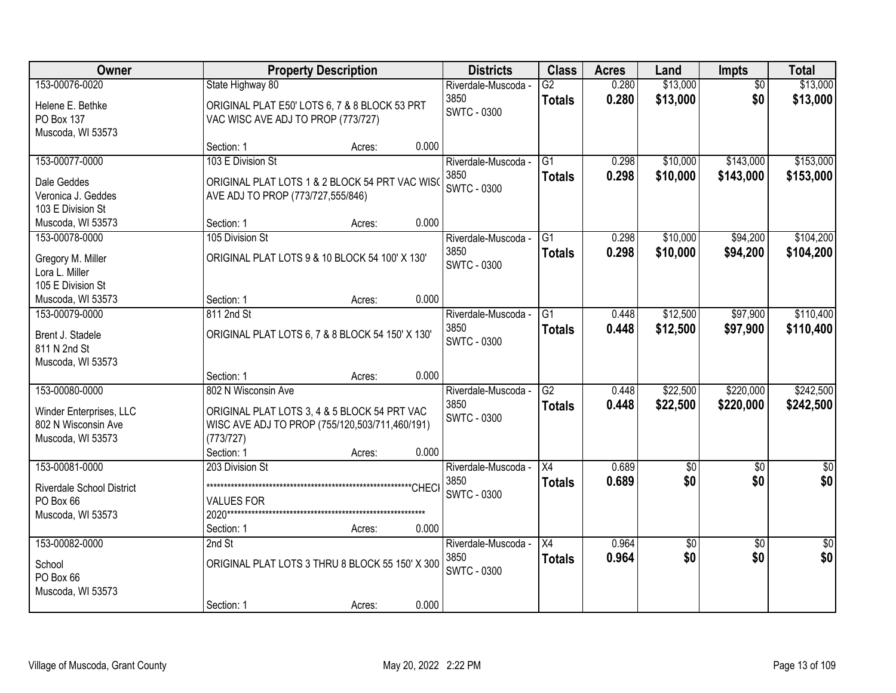| Owner                                                                                 | <b>Property Description</b>                                                                                                                                | <b>Districts</b>                                           | <b>Class</b>                     | <b>Acres</b>   | Land                   | Impts                  | <b>Total</b>           |
|---------------------------------------------------------------------------------------|------------------------------------------------------------------------------------------------------------------------------------------------------------|------------------------------------------------------------|----------------------------------|----------------|------------------------|------------------------|------------------------|
| 153-00076-0020<br>Helene E. Bethke<br>PO Box 137                                      | State Highway 80<br>ORIGINAL PLAT E50' LOTS 6, 7 & 8 BLOCK 53 PRT<br>VAC WISC AVE ADJ TO PROP (773/727)                                                    | Riverdale-Muscoda -<br>3850<br><b>SWTC - 0300</b>          | $\overline{G2}$<br><b>Totals</b> | 0.280<br>0.280 | \$13,000<br>\$13,000   | $\overline{50}$<br>\$0 | \$13,000<br>\$13,000   |
| Muscoda, WI 53573                                                                     | Section: 1<br>Acres:                                                                                                                                       | 0.000                                                      |                                  |                |                        |                        |                        |
| 153-00077-0000<br>Dale Geddes<br>Veronica J. Geddes                                   | 103 E Division St<br>ORIGINAL PLAT LOTS 1 & 2 BLOCK 54 PRT VAC WISC<br>AVE ADJ TO PROP (773/727,555/846)                                                   | Riverdale-Muscoda -<br>3850<br><b>SWTC - 0300</b>          | $\overline{G1}$<br><b>Totals</b> | 0.298<br>0.298 | \$10,000<br>\$10,000   | \$143,000<br>\$143,000 | \$153,000<br>\$153,000 |
| 103 E Division St<br>Muscoda, WI 53573                                                | Section: 1<br>Acres:                                                                                                                                       | 0.000                                                      |                                  |                |                        |                        |                        |
| 153-00078-0000<br>Gregory M. Miller<br>Lora L. Miller<br>105 E Division St            | 105 Division St<br>ORIGINAL PLAT LOTS 9 & 10 BLOCK 54 100' X 130'                                                                                          | Riverdale-Muscoda -<br>3850<br><b>SWTC - 0300</b>          | G1<br><b>Totals</b>              | 0.298<br>0.298 | \$10,000<br>\$10,000   | \$94,200<br>\$94,200   | \$104,200<br>\$104,200 |
| Muscoda, WI 53573                                                                     | Section: 1<br>Acres:                                                                                                                                       | 0.000                                                      |                                  |                |                        |                        |                        |
| 153-00079-0000<br>Brent J. Stadele<br>811 N 2nd St<br>Muscoda, WI 53573               | 811 2nd St<br>ORIGINAL PLAT LOTS 6, 7 & 8 BLOCK 54 150' X 130'                                                                                             | Riverdale-Muscoda -<br>3850<br><b>SWTC - 0300</b>          | G1<br><b>Totals</b>              | 0.448<br>0.448 | \$12,500<br>\$12,500   | \$97,900<br>\$97,900   | \$110,400<br>\$110,400 |
|                                                                                       | Section: 1<br>Acres:                                                                                                                                       | 0.000                                                      |                                  |                |                        |                        |                        |
| 153-00080-0000<br>Winder Enterprises, LLC<br>802 N Wisconsin Ave<br>Muscoda, WI 53573 | 802 N Wisconsin Ave<br>ORIGINAL PLAT LOTS 3, 4 & 5 BLOCK 54 PRT VAC<br>WISC AVE ADJ TO PROP (755/120,503/711,460/191)<br>(773/727)<br>Section: 1<br>Acres: | Riverdale-Muscoda -<br>3850<br><b>SWTC - 0300</b><br>0.000 | $\overline{G2}$<br><b>Totals</b> | 0.448<br>0.448 | \$22,500<br>\$22,500   | \$220,000<br>\$220,000 | \$242,500<br>\$242,500 |
| 153-00081-0000<br>Riverdale School District<br>PO Box 66<br>Muscoda, WI 53573         | 203 Division St<br><b>VALUES FOR</b><br>Section: 1<br>Acres:                                                                                               | Riverdale-Muscoda -<br>3850<br><b>SWTC - 0300</b><br>0.000 | $\overline{X4}$<br><b>Totals</b> | 0.689<br>0.689 | $\overline{50}$<br>\$0 | $\overline{50}$<br>\$0 | $\overline{50}$<br>\$0 |
| 153-00082-0000<br>School<br>PO Box 66<br>Muscoda, WI 53573                            | $2nd$ St<br>ORIGINAL PLAT LOTS 3 THRU 8 BLOCK 55 150' X 300<br>Section: 1<br>Acres:                                                                        | Riverdale-Muscoda -<br>3850<br><b>SWTC - 0300</b><br>0.000 | X4<br><b>Totals</b>              | 0.964<br>0.964 | \$0<br>\$0             | $\overline{50}$<br>\$0 | $\overline{50}$<br>\$0 |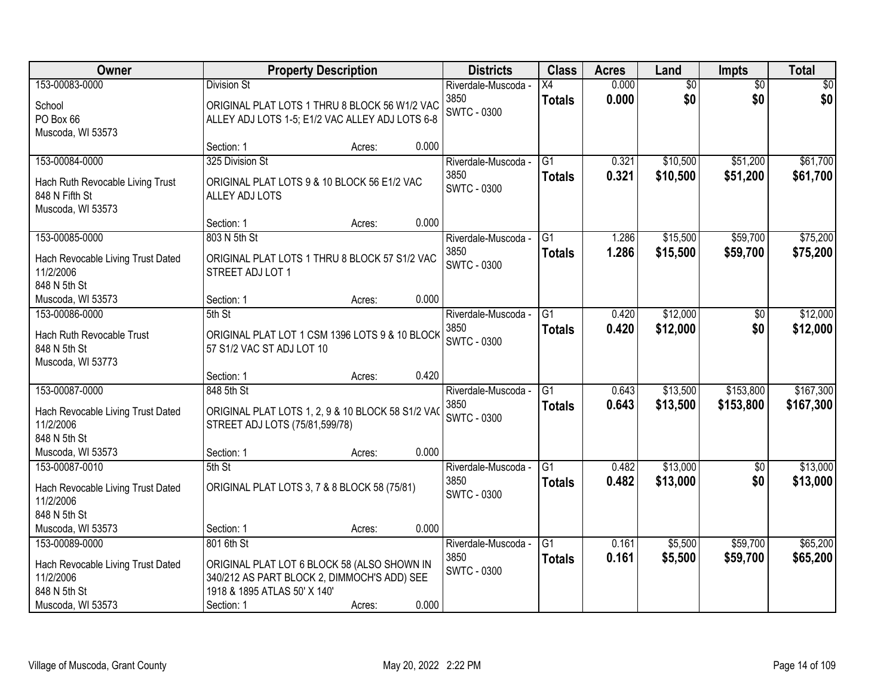| Owner                                                                   |                                                                                                                            | <b>Property Description</b> |       | <b>Districts</b>                                  | <b>Class</b>                     | <b>Acres</b>   | Land                   | <b>Impts</b>           | <b>Total</b> |
|-------------------------------------------------------------------------|----------------------------------------------------------------------------------------------------------------------------|-----------------------------|-------|---------------------------------------------------|----------------------------------|----------------|------------------------|------------------------|--------------|
| 153-00083-0000<br>School<br>PO Box 66                                   | <b>Division St</b><br>ORIGINAL PLAT LOTS 1 THRU 8 BLOCK 56 W1/2 VAC<br>ALLEY ADJ LOTS 1-5; E1/2 VAC ALLEY ADJ LOTS 6-8     |                             |       | Riverdale-Muscoda -<br>3850<br><b>SWTC - 0300</b> | $\overline{X4}$<br><b>Totals</b> | 0.000<br>0.000 | $\overline{60}$<br>\$0 | $\overline{50}$<br>\$0 | \$0<br>\$0   |
| Muscoda, WI 53573                                                       | Section: 1                                                                                                                 | Acres:                      | 0.000 |                                                   |                                  |                |                        |                        |              |
| 153-00084-0000                                                          | 325 Division St                                                                                                            |                             |       | Riverdale-Muscoda -                               | $\overline{G1}$                  | 0.321          | \$10,500               | \$51,200               | \$61,700     |
| Hach Ruth Revocable Living Trust<br>848 N Fifth St<br>Muscoda, WI 53573 | ORIGINAL PLAT LOTS 9 & 10 BLOCK 56 E1/2 VAC<br>ALLEY ADJ LOTS                                                              |                             |       | 3850<br><b>SWTC - 0300</b>                        | <b>Totals</b>                    | 0.321          | \$10,500               | \$51,200               | \$61,700     |
|                                                                         | Section: 1                                                                                                                 | Acres:                      | 0.000 |                                                   |                                  |                |                        |                        |              |
| 153-00085-0000                                                          | 803 N 5th St                                                                                                               |                             |       | Riverdale-Muscoda -                               | $\overline{G1}$                  | 1.286          | \$15,500               | \$59,700               | \$75,200     |
| Hach Revocable Living Trust Dated<br>11/2/2006<br>848 N 5th St          | ORIGINAL PLAT LOTS 1 THRU 8 BLOCK 57 S1/2 VAC<br>STREET ADJ LOT 1                                                          |                             |       | 3850<br><b>SWTC - 0300</b>                        | <b>Totals</b>                    | 1.286          | \$15,500               | \$59,700               | \$75,200     |
| Muscoda, WI 53573                                                       | Section: 1                                                                                                                 | Acres:                      | 0.000 |                                                   |                                  |                |                        |                        |              |
| 153-00086-0000                                                          | 5th St                                                                                                                     |                             |       | Riverdale-Muscoda -                               | G1                               | 0.420          | \$12,000               | \$0                    | \$12,000     |
| Hach Ruth Revocable Trust<br>848 N 5th St<br>Muscoda, WI 53773          | ORIGINAL PLAT LOT 1 CSM 1396 LOTS 9 & 10 BLOCK<br>57 S1/2 VAC ST ADJ LOT 10                                                |                             |       | 3850<br><b>SWTC - 0300</b>                        | <b>Totals</b>                    | 0.420          | \$12,000               | \$0                    | \$12,000     |
|                                                                         | Section: 1                                                                                                                 | Acres:                      | 0.420 |                                                   |                                  |                |                        |                        |              |
| 153-00087-0000                                                          | 848 5th St                                                                                                                 |                             |       | Riverdale-Muscoda -                               | $\overline{G1}$                  | 0.643          | \$13,500               | \$153,800              | \$167,300    |
| Hach Revocable Living Trust Dated<br>11/2/2006<br>848 N 5th St          | ORIGINAL PLAT LOTS 1, 2, 9 & 10 BLOCK 58 S1/2 VAO<br>STREET ADJ LOTS (75/81,599/78)                                        |                             |       | 3850<br><b>SWTC - 0300</b>                        | <b>Totals</b>                    | 0.643          | \$13,500               | \$153,800              | \$167,300    |
| Muscoda, WI 53573                                                       | Section: 1                                                                                                                 | Acres:                      | 0.000 |                                                   |                                  |                |                        |                        |              |
| 153-00087-0010                                                          | 5th St                                                                                                                     |                             |       | Riverdale-Muscoda -                               | $\overline{G1}$                  | 0.482          | \$13,000               | $\overline{60}$        | \$13,000     |
| Hach Revocable Living Trust Dated<br>11/2/2006<br>848 N 5th St          | ORIGINAL PLAT LOTS 3, 7 & 8 BLOCK 58 (75/81)                                                                               |                             |       | 3850<br><b>SWTC - 0300</b>                        | <b>Totals</b>                    | 0.482          | \$13,000               | \$0                    | \$13,000     |
| Muscoda, WI 53573                                                       | Section: 1                                                                                                                 | Acres:                      | 0.000 |                                                   |                                  |                |                        |                        |              |
| 153-00089-0000                                                          | 801 6th St                                                                                                                 |                             |       | Riverdale-Muscoda -                               | $\overline{G1}$                  | 0.161          | \$5,500                | \$59,700               | \$65,200     |
| Hach Revocable Living Trust Dated<br>11/2/2006<br>848 N 5th St          | ORIGINAL PLAT LOT 6 BLOCK 58 (ALSO SHOWN IN<br>340/212 AS PART BLOCK 2, DIMMOCH'S ADD) SEE<br>1918 & 1895 ATLAS 50' X 140' |                             |       | 3850<br><b>SWTC - 0300</b>                        | <b>Totals</b>                    | 0.161          | \$5,500                | \$59,700               | \$65,200     |
| Muscoda, WI 53573                                                       | Section: 1                                                                                                                 | Acres:                      | 0.000 |                                                   |                                  |                |                        |                        |              |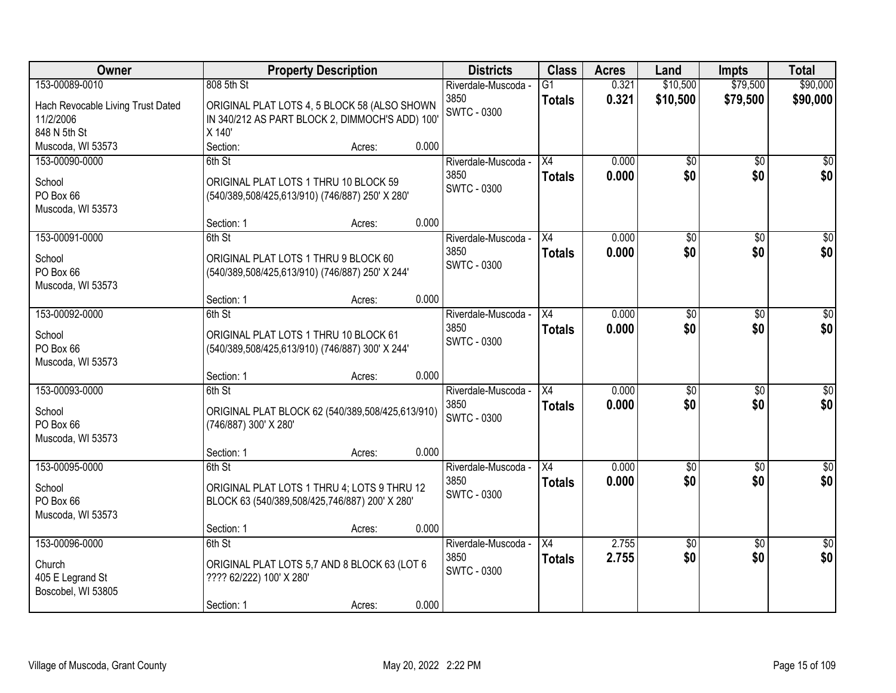| Owner                             | <b>Property Description</b>                      |                 | <b>Districts</b>    | <b>Class</b>    | <b>Acres</b> | Land            | <b>Impts</b>    | <b>Total</b>     |
|-----------------------------------|--------------------------------------------------|-----------------|---------------------|-----------------|--------------|-----------------|-----------------|------------------|
| 153-00089-0010                    | 808 5th St                                       |                 | Riverdale-Muscoda - | $\overline{G1}$ | 0.321        | \$10,500        | \$79,500        | \$90,000         |
| Hach Revocable Living Trust Dated | ORIGINAL PLAT LOTS 4, 5 BLOCK 58 (ALSO SHOWN     |                 | 3850                | <b>Totals</b>   | 0.321        | \$10,500        | \$79,500        | \$90,000         |
| 11/2/2006                         | IN 340/212 AS PART BLOCK 2, DIMMOCH'S ADD) 100'  |                 | <b>SWTC - 0300</b>  |                 |              |                 |                 |                  |
| 848 N 5th St                      | X 140'                                           |                 |                     |                 |              |                 |                 |                  |
| Muscoda, WI 53573                 | Section:                                         | 0.000<br>Acres: |                     |                 |              |                 |                 |                  |
| 153-00090-0000                    | 6th St                                           |                 | Riverdale-Muscoda - | X4              | 0.000        | \$0             | $\overline{50}$ | \$0              |
| School                            | ORIGINAL PLAT LOTS 1 THRU 10 BLOCK 59            |                 | 3850                | <b>Totals</b>   | 0.000        | \$0             | \$0             | \$0              |
| PO Box 66                         | (540/389,508/425,613/910) (746/887) 250' X 280'  |                 | <b>SWTC - 0300</b>  |                 |              |                 |                 |                  |
| Muscoda, WI 53573                 |                                                  |                 |                     |                 |              |                 |                 |                  |
|                                   | Section: 1                                       | 0.000<br>Acres: |                     |                 |              |                 |                 |                  |
| 153-00091-0000                    | 6th St                                           |                 | Riverdale-Muscoda - | X4              | 0.000        | \$0             | \$0             | $\overline{50}$  |
| School                            | ORIGINAL PLAT LOTS 1 THRU 9 BLOCK 60             |                 | 3850                | <b>Totals</b>   | 0.000        | \$0             | \$0             | \$0              |
| PO Box 66                         | (540/389,508/425,613/910) (746/887) 250' X 244'  |                 | SWTC - 0300         |                 |              |                 |                 |                  |
| Muscoda, WI 53573                 |                                                  |                 |                     |                 |              |                 |                 |                  |
|                                   | Section: 1                                       | 0.000<br>Acres: |                     |                 |              |                 |                 |                  |
| 153-00092-0000                    | 6th St                                           |                 | Riverdale-Muscoda - | X4              | 0.000        | \$0             | \$0             | $\sqrt{50}$      |
| School                            | ORIGINAL PLAT LOTS 1 THRU 10 BLOCK 61            |                 | 3850                | <b>Totals</b>   | 0.000        | \$0             | \$0             | \$0              |
| PO Box 66                         | (540/389,508/425,613/910) (746/887) 300' X 244'  |                 | <b>SWTC - 0300</b>  |                 |              |                 |                 |                  |
| Muscoda, WI 53573                 |                                                  |                 |                     |                 |              |                 |                 |                  |
|                                   | Section: 1                                       | 0.000<br>Acres: |                     |                 |              |                 |                 |                  |
| 153-00093-0000                    | 6th St                                           |                 | Riverdale-Muscoda - | X4              | 0.000        | $\overline{50}$ | $\overline{50}$ | $\overline{50}$  |
| School                            | ORIGINAL PLAT BLOCK 62 (540/389,508/425,613/910) |                 | 3850                | <b>Totals</b>   | 0.000        | \$0             | \$0             | \$0              |
| PO Box 66                         | (746/887) 300' X 280'                            |                 | SWTC - 0300         |                 |              |                 |                 |                  |
| Muscoda, WI 53573                 |                                                  |                 |                     |                 |              |                 |                 |                  |
|                                   | Section: 1                                       | 0.000<br>Acres: |                     |                 |              |                 |                 |                  |
| 153-00095-0000                    | 6th St                                           |                 | Riverdale-Muscoda - | X4              | 0.000        | $\overline{50}$ | $\overline{50}$ | $\overline{\$0}$ |
| School                            | ORIGINAL PLAT LOTS 1 THRU 4; LOTS 9 THRU 12      |                 | 3850                | <b>Totals</b>   | 0.000        | \$0             | \$0             | \$0              |
| PO Box 66                         | BLOCK 63 (540/389,508/425,746/887) 200' X 280'   |                 | <b>SWTC - 0300</b>  |                 |              |                 |                 |                  |
| Muscoda, WI 53573                 |                                                  |                 |                     |                 |              |                 |                 |                  |
|                                   | Section: 1                                       | 0.000<br>Acres: |                     |                 |              |                 |                 |                  |
| 153-00096-0000                    | 6th St                                           |                 | Riverdale-Muscoda - | $\overline{X4}$ | 2.755        | $\overline{50}$ | $\overline{50}$ | $\overline{30}$  |
| Church                            | ORIGINAL PLAT LOTS 5,7 AND 8 BLOCK 63 (LOT 6     |                 | 3850                | <b>Totals</b>   | 2.755        | \$0             | \$0             | \$0              |
| 405 E Legrand St                  | ???? 62/222) 100' X 280'                         |                 | <b>SWTC - 0300</b>  |                 |              |                 |                 |                  |
| Boscobel, WI 53805                |                                                  |                 |                     |                 |              |                 |                 |                  |
|                                   | Section: 1                                       | 0.000<br>Acres: |                     |                 |              |                 |                 |                  |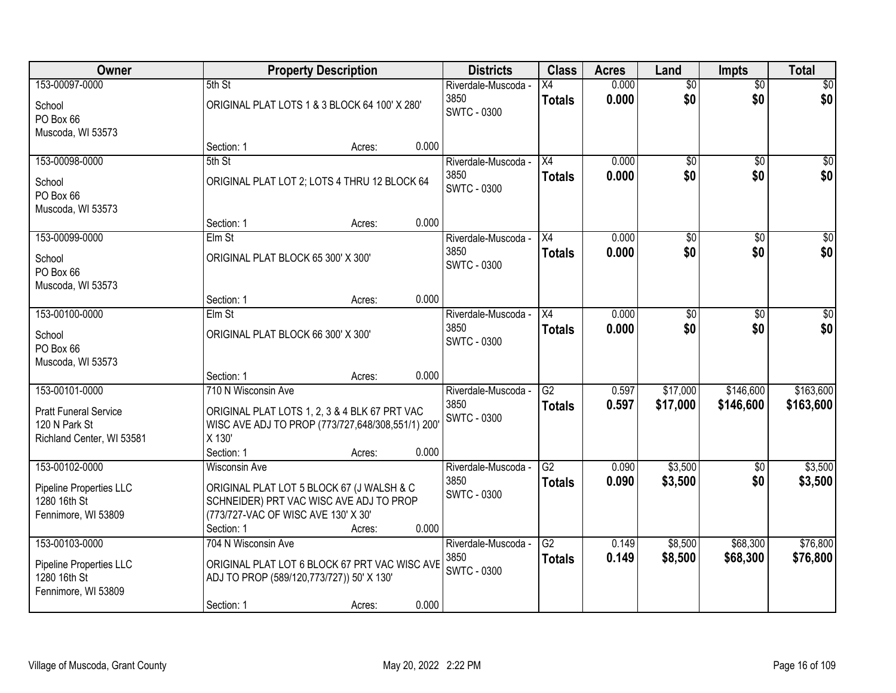| Owner                                                                            |                                                                                                                                                                   | <b>Property Description</b> |       | <b>Districts</b>                                  | <b>Class</b>                     | <b>Acres</b>   | Land                   | <b>Impts</b>           | <b>Total</b>           |
|----------------------------------------------------------------------------------|-------------------------------------------------------------------------------------------------------------------------------------------------------------------|-----------------------------|-------|---------------------------------------------------|----------------------------------|----------------|------------------------|------------------------|------------------------|
| 153-00097-0000<br>School<br>PO Box 66                                            | 5th St<br>ORIGINAL PLAT LOTS 1 & 3 BLOCK 64 100' X 280'                                                                                                           |                             |       | Riverdale-Muscoda -<br>3850<br><b>SWTC - 0300</b> | Х4<br><b>Totals</b>              | 0.000<br>0.000 | $\overline{50}$<br>\$0 | $\overline{50}$<br>\$0 | \$0<br>\$0             |
| Muscoda, WI 53573                                                                | Section: 1                                                                                                                                                        | Acres:                      | 0.000 |                                                   |                                  |                |                        |                        |                        |
| 153-00098-0000                                                                   | 5th St                                                                                                                                                            |                             |       | Riverdale-Muscoda -                               | $\overline{X4}$                  | 0.000          | $\overline{50}$        | $\overline{50}$        | \$0                    |
| School<br>PO Box 66<br>Muscoda, WI 53573                                         | ORIGINAL PLAT LOT 2; LOTS 4 THRU 12 BLOCK 64                                                                                                                      |                             |       | 3850<br><b>SWTC - 0300</b>                        | <b>Totals</b>                    | 0.000          | \$0                    | \$0                    | \$0                    |
|                                                                                  | Section: 1                                                                                                                                                        | Acres:                      | 0.000 |                                                   |                                  |                |                        |                        |                        |
| 153-00099-0000<br>School<br>PO Box 66                                            | Elm St<br>ORIGINAL PLAT BLOCK 65 300' X 300'                                                                                                                      |                             |       | Riverdale-Muscoda -<br>3850<br><b>SWTC - 0300</b> | X4<br><b>Totals</b>              | 0.000<br>0.000 | \$0<br>\$0             | \$0<br>\$0             | $\overline{50}$<br>\$0 |
| Muscoda, WI 53573                                                                | Section: 1                                                                                                                                                        | Acres:                      | 0.000 |                                                   |                                  |                |                        |                        |                        |
| 153-00100-0000                                                                   | Elm St                                                                                                                                                            |                             |       | Riverdale-Muscoda -<br>3850                       | X4                               | 0.000<br>0.000 | \$0<br>\$0             | $\sqrt[6]{}$<br>\$0    | $\sqrt{50}$<br>\$0     |
| School<br>PO Box 66<br>Muscoda, WI 53573                                         | ORIGINAL PLAT BLOCK 66 300' X 300'                                                                                                                                |                             |       | SWTC - 0300                                       | <b>Totals</b>                    |                |                        |                        |                        |
|                                                                                  | Section: 1                                                                                                                                                        | Acres:                      | 0.000 |                                                   |                                  |                |                        |                        |                        |
| 153-00101-0000                                                                   | 710 N Wisconsin Ave                                                                                                                                               |                             |       | Riverdale-Muscoda -                               | $\overline{G2}$                  | 0.597          | \$17,000               | \$146,600              | \$163,600              |
| <b>Pratt Funeral Service</b><br>120 N Park St<br>Richland Center, WI 53581       | ORIGINAL PLAT LOTS 1, 2, 3 & 4 BLK 67 PRT VAC<br>WISC AVE ADJ TO PROP (773/727,648/308,551/1) 200'<br>X 130'                                                      |                             |       | 3850<br><b>SWTC - 0300</b>                        | <b>Totals</b>                    | 0.597          | \$17,000               | \$146,600              | \$163,600              |
|                                                                                  | Section: 1                                                                                                                                                        | Acres:                      | 0.000 |                                                   |                                  |                |                        |                        |                        |
| 153-00102-0000<br>Pipeline Properties LLC<br>1280 16th St<br>Fennimore, WI 53809 | <b>Wisconsin Ave</b><br>ORIGINAL PLAT LOT 5 BLOCK 67 (J WALSH & C<br>SCHNEIDER) PRT VAC WISC AVE ADJ TO PROP<br>(773/727-VAC OF WISC AVE 130' X 30'<br>Section: 1 | Acres:                      | 0.000 | Riverdale-Muscoda -<br>3850<br><b>SWTC - 0300</b> | $\overline{G2}$<br><b>Totals</b> | 0.090<br>0.090 | \$3,500<br>\$3,500     | $\overline{50}$<br>\$0 | \$3,500<br>\$3,500     |
| 153-00103-0000                                                                   | 704 N Wisconsin Ave                                                                                                                                               |                             |       | Riverdale-Muscoda -                               | $\overline{G2}$                  | 0.149          | \$8,500                | \$68,300               | \$76,800               |
| Pipeline Properties LLC<br>1280 16th St<br>Fennimore, WI 53809                   | ORIGINAL PLAT LOT 6 BLOCK 67 PRT VAC WISC AVE<br>ADJ TO PROP (589/120,773/727)) 50' X 130'                                                                        |                             |       | 3850<br><b>SWTC - 0300</b>                        | <b>Totals</b>                    | 0.149          | \$8,500                | \$68,300               | \$76,800               |
|                                                                                  | Section: 1                                                                                                                                                        | Acres:                      | 0.000 |                                                   |                                  |                |                        |                        |                        |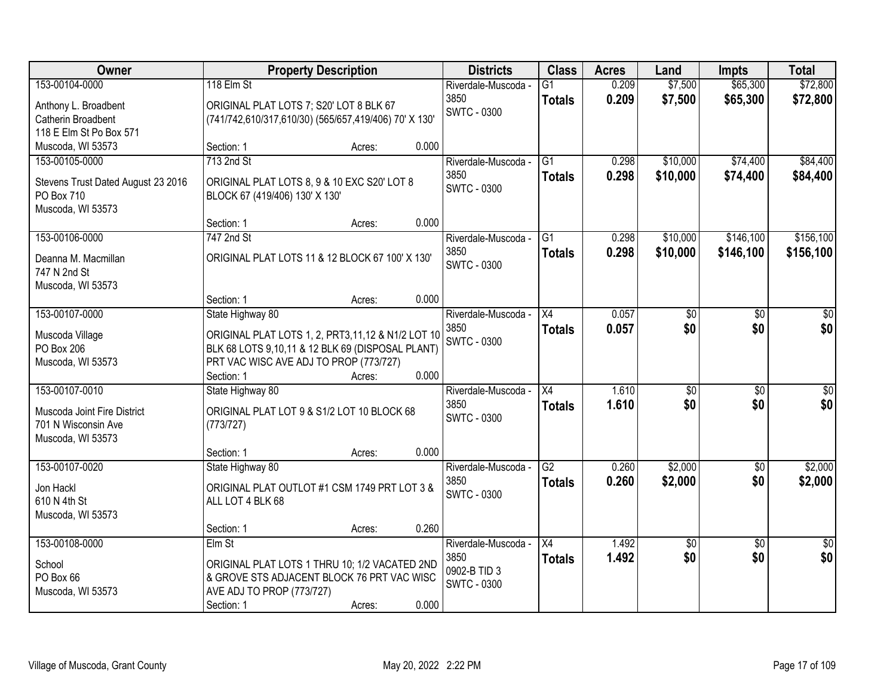| Owner                              |                                                       | <b>Property Description</b> |       | <b>Districts</b>            | <b>Class</b>    | <b>Acres</b> | Land            | <b>Impts</b>    | <b>Total</b>    |
|------------------------------------|-------------------------------------------------------|-----------------------------|-------|-----------------------------|-----------------|--------------|-----------------|-----------------|-----------------|
| 153-00104-0000                     | 118 Elm St                                            |                             |       | Riverdale-Muscoda -         | $\overline{G1}$ | 0.209        | \$7,500         | \$65,300        | \$72,800        |
| Anthony L. Broadbent               | ORIGINAL PLAT LOTS 7; S20' LOT 8 BLK 67               |                             |       | 3850                        | <b>Totals</b>   | 0.209        | \$7,500         | \$65,300        | \$72,800        |
| Catherin Broadbent                 | (741/742,610/317,610/30) (565/657,419/406) 70' X 130' |                             |       | <b>SWTC - 0300</b>          |                 |              |                 |                 |                 |
| 118 E Elm St Po Box 571            |                                                       |                             |       |                             |                 |              |                 |                 |                 |
| Muscoda, WI 53573                  | Section: 1                                            | Acres:                      | 0.000 |                             |                 |              |                 |                 |                 |
| 153-00105-0000                     | 713 2nd St                                            |                             |       | Riverdale-Muscoda -         | $\overline{G1}$ | 0.298        | \$10,000        | \$74,400        | \$84,400        |
|                                    |                                                       |                             |       | 3850                        | <b>Totals</b>   | 0.298        | \$10,000        | \$74,400        | \$84,400        |
| Stevens Trust Dated August 23 2016 | ORIGINAL PLAT LOTS 8, 9 & 10 EXC S20' LOT 8           |                             |       | <b>SWTC - 0300</b>          |                 |              |                 |                 |                 |
| PO Box 710                         | BLOCK 67 (419/406) 130' X 130'                        |                             |       |                             |                 |              |                 |                 |                 |
| Muscoda, WI 53573                  |                                                       |                             | 0.000 |                             |                 |              |                 |                 |                 |
| 153-00106-0000                     | Section: 1<br>747 2nd St                              | Acres:                      |       |                             | G1              |              |                 | \$146,100       | \$156,100       |
|                                    |                                                       |                             |       | Riverdale-Muscoda -<br>3850 |                 | 0.298        | \$10,000        |                 |                 |
| Deanna M. Macmillan                | ORIGINAL PLAT LOTS 11 & 12 BLOCK 67 100' X 130'       |                             |       | SWTC - 0300                 | <b>Totals</b>   | 0.298        | \$10,000        | \$146,100       | \$156,100       |
| 747 N 2nd St                       |                                                       |                             |       |                             |                 |              |                 |                 |                 |
| Muscoda, WI 53573                  |                                                       |                             |       |                             |                 |              |                 |                 |                 |
|                                    | Section: 1                                            | Acres:                      | 0.000 |                             |                 |              |                 |                 |                 |
| 153-00107-0000                     | State Highway 80                                      |                             |       | Riverdale-Muscoda -         | X4              | 0.057        | \$0             | \$0             | \$0             |
| Muscoda Village                    | ORIGINAL PLAT LOTS 1, 2, PRT3,11,12 & N1/2 LOT 10     |                             |       | 3850                        | <b>Totals</b>   | 0.057        | \$0             | \$0             | \$0             |
| PO Box 206                         | BLK 68 LOTS 9,10,11 & 12 BLK 69 (DISPOSAL PLANT)      |                             |       | <b>SWTC - 0300</b>          |                 |              |                 |                 |                 |
| Muscoda, WI 53573                  | PRT VAC WISC AVE ADJ TO PROP (773/727)                |                             |       |                             |                 |              |                 |                 |                 |
|                                    | Section: 1                                            | Acres:                      | 0.000 |                             |                 |              |                 |                 |                 |
| 153-00107-0010                     | State Highway 80                                      |                             |       | Riverdale-Muscoda -         | $\overline{X4}$ | 1.610        | \$0             | $\overline{50}$ | \$0             |
|                                    |                                                       |                             |       | 3850                        | <b>Totals</b>   | 1.610        | \$0             | \$0             | \$0             |
| Muscoda Joint Fire District        | ORIGINAL PLAT LOT 9 & S1/2 LOT 10 BLOCK 68            |                             |       | <b>SWTC - 0300</b>          |                 |              |                 |                 |                 |
| 701 N Wisconsin Ave                | (773/727)                                             |                             |       |                             |                 |              |                 |                 |                 |
| Muscoda, WI 53573                  |                                                       |                             |       |                             |                 |              |                 |                 |                 |
|                                    | Section: 1                                            | Acres:                      | 0.000 |                             |                 |              |                 |                 |                 |
| 153-00107-0020                     | State Highway 80                                      |                             |       | Riverdale-Muscoda -         | $\overline{G2}$ | 0.260        | \$2,000         | $\overline{60}$ | \$2,000         |
| Jon Hackl                          | ORIGINAL PLAT OUTLOT #1 CSM 1749 PRT LOT 3 &          |                             |       | 3850                        | <b>Totals</b>   | 0.260        | \$2,000         | \$0             | \$2,000         |
| 610 N 4th St                       | ALL LOT 4 BLK 68                                      |                             |       | <b>SWTC - 0300</b>          |                 |              |                 |                 |                 |
| Muscoda, WI 53573                  |                                                       |                             |       |                             |                 |              |                 |                 |                 |
|                                    | Section: 1                                            | Acres:                      | 0.260 |                             |                 |              |                 |                 |                 |
| 153-00108-0000                     | Elm St                                                |                             |       | Riverdale-Muscoda -         | X4              | 1.492        | $\overline{50}$ | $\overline{50}$ | $\overline{50}$ |
| School                             | ORIGINAL PLAT LOTS 1 THRU 10; 1/2 VACATED 2ND         |                             |       | 3850                        | <b>Totals</b>   | 1.492        | \$0             | \$0             | \$0             |
| PO Box 66                          | & GROVE STS ADJACENT BLOCK 76 PRT VAC WISC            |                             |       | 0902-B TID 3                |                 |              |                 |                 |                 |
| Muscoda, WI 53573                  | AVE ADJ TO PROP (773/727)                             |                             |       | <b>SWTC - 0300</b>          |                 |              |                 |                 |                 |
|                                    | Section: 1                                            | Acres:                      | 0.000 |                             |                 |              |                 |                 |                 |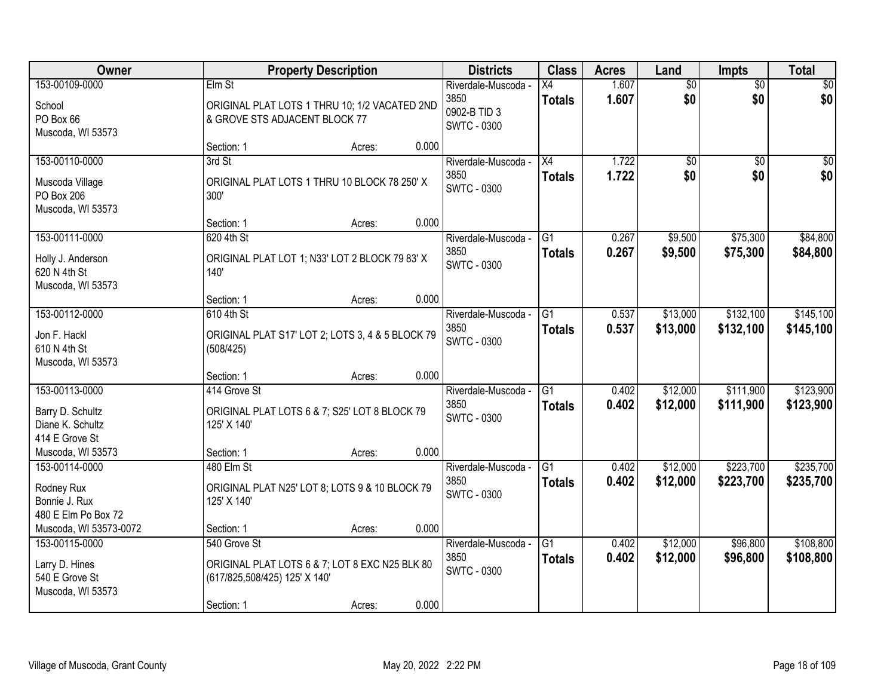| Owner                                                                    |                                                             | <b>Property Description</b>                      |       | <b>Districts</b>                                           | <b>Class</b>                     | <b>Acres</b>   | Land                   | <b>Impts</b>           | <b>Total</b>           |
|--------------------------------------------------------------------------|-------------------------------------------------------------|--------------------------------------------------|-------|------------------------------------------------------------|----------------------------------|----------------|------------------------|------------------------|------------------------|
| 153-00109-0000<br>School<br>PO Box 66                                    | Elm St<br>& GROVE STS ADJACENT BLOCK 77                     | ORIGINAL PLAT LOTS 1 THRU 10; 1/2 VACATED 2ND    |       | Riverdale-Muscoda -<br>3850<br>0902-B TID 3<br>SWTC - 0300 | Х4<br><b>Totals</b>              | 1.607<br>1.607 | $\overline{50}$<br>\$0 | $\overline{50}$<br>\$0 | \$0<br>\$0             |
| Muscoda, WI 53573                                                        | Section: 1                                                  | Acres:                                           | 0.000 |                                                            |                                  |                |                        |                        |                        |
| 153-00110-0000                                                           | 3rd St                                                      |                                                  |       | Riverdale-Muscoda -                                        | $\overline{X4}$                  | 1.722          | \$0                    | \$0                    | $\sqrt{50}$            |
| Muscoda Village<br>PO Box 206<br>Muscoda, WI 53573                       | 300'                                                        | ORIGINAL PLAT LOTS 1 THRU 10 BLOCK 78 250' X     |       | 3850<br><b>SWTC - 0300</b>                                 | <b>Totals</b>                    | 1.722          | \$0                    | \$0                    | \$0                    |
|                                                                          | Section: 1                                                  | Acres:                                           | 0.000 |                                                            |                                  |                |                        |                        |                        |
| 153-00111-0000<br>Holly J. Anderson<br>620 N 4th St<br>Muscoda, WI 53573 | 620 4th St<br>140'                                          | ORIGINAL PLAT LOT 1; N33' LOT 2 BLOCK 79 83' X   |       | Riverdale-Muscoda -<br>3850<br><b>SWTC - 0300</b>          | G <sub>1</sub><br><b>Totals</b>  | 0.267<br>0.267 | \$9,500<br>\$9,500     | \$75,300<br>\$75,300   | \$84,800<br>\$84,800   |
|                                                                          | Section: 1                                                  | Acres:                                           | 0.000 |                                                            |                                  |                |                        |                        |                        |
| 153-00112-0000<br>Jon F. Hackl<br>610 N 4th St<br>Muscoda, WI 53573      | 610 4th St<br>(508/425)                                     | ORIGINAL PLAT S17' LOT 2; LOTS 3, 4 & 5 BLOCK 79 |       | Riverdale-Muscoda -<br>3850<br><b>SWTC - 0300</b>          | $\overline{G1}$<br><b>Totals</b> | 0.537<br>0.537 | \$13,000<br>\$13,000   | \$132,100<br>\$132,100 | \$145,100<br>\$145,100 |
|                                                                          | Section: 1                                                  | Acres:                                           | 0.000 |                                                            |                                  |                |                        |                        |                        |
| 153-00113-0000<br>Barry D. Schultz<br>Diane K. Schultz<br>414 E Grove St | 414 Grove St<br>125' X 140'                                 | ORIGINAL PLAT LOTS 6 & 7; S25' LOT 8 BLOCK 79    |       | Riverdale-Muscoda -<br>3850<br><b>SWTC - 0300</b>          | $\overline{G1}$<br><b>Totals</b> | 0.402<br>0.402 | \$12,000<br>\$12,000   | \$111,900<br>\$111,900 | \$123,900<br>\$123,900 |
| Muscoda, WI 53573                                                        | Section: 1                                                  | Acres:                                           | 0.000 |                                                            |                                  |                |                        |                        |                        |
| 153-00114-0000<br>Rodney Rux<br>Bonnie J. Rux<br>480 E Elm Po Box 72     | 480 Elm St<br>125' X 140'                                   | ORIGINAL PLAT N25' LOT 8; LOTS 9 & 10 BLOCK 79   |       | Riverdale-Muscoda -<br>3850<br><b>SWTC - 0300</b>          | G1<br><b>Totals</b>              | 0.402<br>0.402 | \$12,000<br>\$12,000   | \$223,700<br>\$223,700 | \$235,700<br>\$235,700 |
| Muscoda, WI 53573-0072                                                   | Section: 1                                                  | Acres:                                           | 0.000 |                                                            |                                  |                |                        |                        |                        |
| 153-00115-0000<br>Larry D. Hines<br>540 E Grove St<br>Muscoda, WI 53573  | 540 Grove St<br>(617/825,508/425) 125' X 140'<br>Section: 1 | ORIGINAL PLAT LOTS 6 & 7; LOT 8 EXC N25 BLK 80   | 0.000 | Riverdale-Muscoda -<br>3850<br><b>SWTC - 0300</b>          | $\overline{G1}$<br><b>Totals</b> | 0.402<br>0.402 | \$12,000<br>\$12,000   | \$96,800<br>\$96,800   | \$108,800<br>\$108,800 |
|                                                                          |                                                             | Acres:                                           |       |                                                            |                                  |                |                        |                        |                        |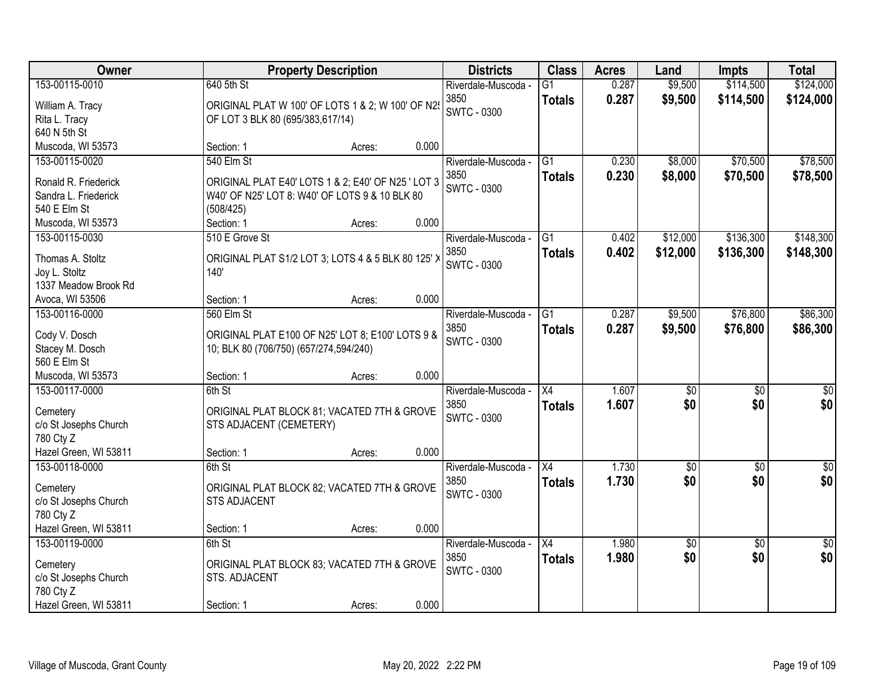| \$114,500<br>153-00115-0010<br>640 5th St<br>0.287<br>\$9,500<br>$\overline{G1}$<br>Riverdale-Muscoda -<br>3850<br>0.287<br>\$9,500<br>\$114,500<br><b>Totals</b><br>ORIGINAL PLAT W 100' OF LOTS 1 & 2; W 100' OF N29<br>William A. Tracy | \$124,000<br>\$124,000 |
|--------------------------------------------------------------------------------------------------------------------------------------------------------------------------------------------------------------------------------------------|------------------------|
|                                                                                                                                                                                                                                            |                        |
|                                                                                                                                                                                                                                            |                        |
| <b>SWTC - 0300</b><br>Rita L. Tracy<br>OF LOT 3 BLK 80 (695/383,617/14)                                                                                                                                                                    |                        |
| 640 N 5th St                                                                                                                                                                                                                               |                        |
| 0.000<br>Muscoda, WI 53573<br>Section: 1<br>Acres:                                                                                                                                                                                         |                        |
| 540 Elm St<br>\$8,000<br>\$70,500<br>153-00115-0020<br>$\overline{G1}$<br>0.230<br>Riverdale-Muscoda -                                                                                                                                     | \$78,500               |
| 0.230<br>3850<br>\$8,000<br>\$70,500<br><b>Totals</b>                                                                                                                                                                                      | \$78,500               |
| ORIGINAL PLAT E40' LOTS 1 & 2; E40' OF N25 ' LOT 3<br>Ronald R. Friederick<br><b>SWTC - 0300</b>                                                                                                                                           |                        |
| W40' OF N25' LOT 8: W40' OF LOTS 9 & 10 BLK 80<br>Sandra L. Friederick                                                                                                                                                                     |                        |
| 540 E Elm St<br>(508/425)                                                                                                                                                                                                                  |                        |
| 0.000<br>Muscoda, WI 53573<br>Section: 1<br>Acres:                                                                                                                                                                                         |                        |
| \$136,300<br>153-00115-0030<br>510 E Grove St<br>G1<br>\$12,000<br>Riverdale-Muscoda -<br>0.402                                                                                                                                            | \$148,300              |
| 3850<br>\$12,000<br>\$136,300<br>0.402<br><b>Totals</b><br>Thomas A. Stoltz<br>ORIGINAL PLAT S1/2 LOT 3; LOTS 4 & 5 BLK 80 125' X                                                                                                          | \$148,300              |
| <b>SWTC - 0300</b><br>Joy L. Stoltz<br>140'                                                                                                                                                                                                |                        |
| 1337 Meadow Brook Rd                                                                                                                                                                                                                       |                        |
| 0.000<br>Avoca, WI 53506<br>Section: 1<br>Acres:                                                                                                                                                                                           |                        |
| 560 Elm St<br>\$9,500<br>\$76,800<br>153-00116-0000<br>G1<br>0.287<br>Riverdale-Muscoda -                                                                                                                                                  | \$86,300               |
| 0.287<br>3850<br>\$76,800<br>\$9,500<br><b>Totals</b>                                                                                                                                                                                      | \$86,300               |
| ORIGINAL PLAT E100 OF N25' LOT 8; E100' LOTS 9 &<br>Cody V. Dosch<br><b>SWTC - 0300</b>                                                                                                                                                    |                        |
| Stacey M. Dosch<br>10; BLK 80 (706/750) (657/274,594/240)                                                                                                                                                                                  |                        |
| 560 E Elm St                                                                                                                                                                                                                               |                        |
| 0.000<br>Muscoda, WI 53573<br>Section: 1<br>Acres:                                                                                                                                                                                         |                        |
| 153-00117-0000<br>6th St<br>$\overline{X4}$<br>1.607<br>$\overline{50}$<br>$\overline{50}$<br>Riverdale-Muscoda -                                                                                                                          | $\overline{50}$        |
| 3850<br>1.607<br>\$0<br>\$0<br><b>Totals</b><br>ORIGINAL PLAT BLOCK 81; VACATED 7TH & GROVE<br>Cemetery                                                                                                                                    | \$0                    |
| SWTC - 0300<br>c/o St Josephs Church<br>STS ADJACENT (CEMETERY)                                                                                                                                                                            |                        |
| 780 Cty Z                                                                                                                                                                                                                                  |                        |
| Hazel Green, WI 53811<br>Section: 1<br>0.000<br>Acres:                                                                                                                                                                                     |                        |
| $\overline{X4}$<br>1.730<br>153-00118-0000<br>$\sqrt{50}$<br>$\overline{50}$<br>6th St<br>Riverdale-Muscoda -                                                                                                                              | $\overline{\$0}$       |
| \$0<br>\$0<br>3850<br>1.730<br><b>Totals</b>                                                                                                                                                                                               | \$0                    |
| ORIGINAL PLAT BLOCK 82; VACATED 7TH & GROVE<br>Cemetery<br><b>SWTC - 0300</b>                                                                                                                                                              |                        |
| c/o St Josephs Church<br><b>STS ADJACENT</b>                                                                                                                                                                                               |                        |
| 780 Cty Z                                                                                                                                                                                                                                  |                        |
| 0.000<br>Hazel Green, WI 53811<br>Section: 1<br>Acres:                                                                                                                                                                                     |                        |
| $\overline{30}$<br>153-00119-0000<br>6th St<br>$\overline{X4}$<br>1.980<br>\$0<br>Riverdale-Muscoda -                                                                                                                                      | $\overline{50}$        |
| \$0<br>\$0<br>3850<br>1.980<br><b>Totals</b><br>ORIGINAL PLAT BLOCK 83; VACATED 7TH & GROVE<br>Cemetery                                                                                                                                    | \$0                    |
| SWTC - 0300<br>c/o St Josephs Church<br>STS. ADJACENT                                                                                                                                                                                      |                        |
| 780 Cty Z                                                                                                                                                                                                                                  |                        |
| 0.000<br>Hazel Green, WI 53811<br>Section: 1<br>Acres:                                                                                                                                                                                     |                        |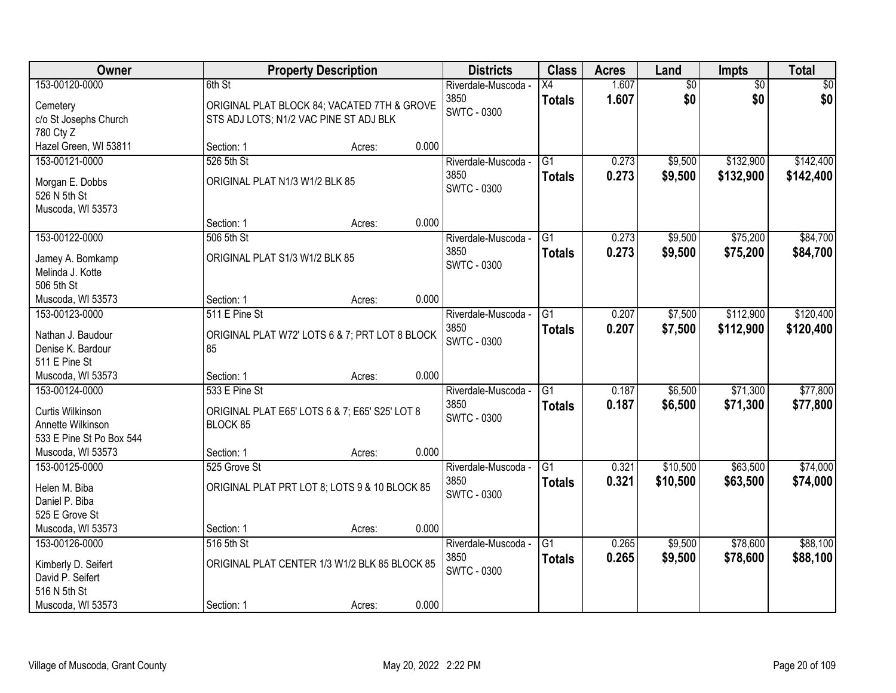| Owner                                |                                | <b>Property Description</b>                    |       | <b>Districts</b>    | <b>Class</b>    | <b>Acres</b> | Land            | Impts           | <b>Total</b> |
|--------------------------------------|--------------------------------|------------------------------------------------|-------|---------------------|-----------------|--------------|-----------------|-----------------|--------------|
| 153-00120-0000                       | 6th St                         |                                                |       | Riverdale-Muscoda - | $\overline{X4}$ | 1.607        | $\overline{60}$ | $\overline{50}$ | \$0          |
| Cemetery                             |                                | ORIGINAL PLAT BLOCK 84; VACATED 7TH & GROVE    |       | 3850                | <b>Totals</b>   | 1.607        | \$0             | \$0             | \$0          |
| c/o St Josephs Church                |                                | STS ADJ LOTS; N1/2 VAC PINE ST ADJ BLK         |       | <b>SWTC - 0300</b>  |                 |              |                 |                 |              |
| 780 Cty Z                            |                                |                                                |       |                     |                 |              |                 |                 |              |
| Hazel Green, WI 53811                | Section: 1                     | Acres:                                         | 0.000 |                     |                 |              |                 |                 |              |
| 153-00121-0000                       | 526 5th St                     |                                                |       | Riverdale-Muscoda - | $\overline{G1}$ | 0.273        | \$9,500         | \$132,900       | \$142,400    |
| Morgan E. Dobbs                      | ORIGINAL PLAT N1/3 W1/2 BLK 85 |                                                |       | 3850                | <b>Totals</b>   | 0.273        | \$9,500         | \$132,900       | \$142,400    |
| 526 N 5th St                         |                                |                                                |       | SWTC - 0300         |                 |              |                 |                 |              |
| Muscoda, WI 53573                    |                                |                                                |       |                     |                 |              |                 |                 |              |
|                                      | Section: 1                     | Acres:                                         | 0.000 |                     |                 |              |                 |                 |              |
| 153-00122-0000                       | 506 5th St                     |                                                |       | Riverdale-Muscoda - | $\overline{G1}$ | 0.273        | \$9,500         | \$75,200        | \$84,700     |
|                                      | ORIGINAL PLAT S1/3 W1/2 BLK 85 |                                                |       | 3850                | <b>Totals</b>   | 0.273        | \$9,500         | \$75,200        | \$84,700     |
| Jamey A. Bomkamp<br>Melinda J. Kotte |                                |                                                |       | <b>SWTC - 0300</b>  |                 |              |                 |                 |              |
| 506 5th St                           |                                |                                                |       |                     |                 |              |                 |                 |              |
| Muscoda, WI 53573                    | Section: 1                     | Acres:                                         | 0.000 |                     |                 |              |                 |                 |              |
| 153-00123-0000                       | 511 E Pine St                  |                                                |       | Riverdale-Muscoda - | $\overline{G1}$ | 0.207        | \$7,500         | \$112,900       | \$120,400    |
|                                      |                                |                                                |       | 3850                | <b>Totals</b>   | 0.207        | \$7,500         | \$112,900       | \$120,400    |
| Nathan J. Baudour                    |                                | ORIGINAL PLAT W72' LOTS 6 & 7; PRT LOT 8 BLOCK |       | <b>SWTC - 0300</b>  |                 |              |                 |                 |              |
| Denise K. Bardour<br>511 E Pine St   | 85                             |                                                |       |                     |                 |              |                 |                 |              |
| Muscoda, WI 53573                    | Section: 1                     |                                                | 0.000 |                     |                 |              |                 |                 |              |
| 153-00124-0000                       | 533 E Pine St                  | Acres:                                         |       | Riverdale-Muscoda - | $\overline{G1}$ | 0.187        | \$6,500         | \$71,300        | \$77,800     |
|                                      |                                |                                                |       | 3850                |                 | 0.187        | \$6,500         | \$71,300        | \$77,800     |
| Curtis Wilkinson                     |                                | ORIGINAL PLAT E65' LOTS 6 & 7; E65' S25' LOT 8 |       | <b>SWTC - 0300</b>  | <b>Totals</b>   |              |                 |                 |              |
| Annette Wilkinson                    | BLOCK 85                       |                                                |       |                     |                 |              |                 |                 |              |
| 533 E Pine St Po Box 544             |                                |                                                |       |                     |                 |              |                 |                 |              |
| Muscoda, WI 53573                    | Section: 1                     | Acres:                                         | 0.000 |                     |                 |              |                 |                 |              |
| 153-00125-0000                       | 525 Grove St                   |                                                |       | Riverdale-Muscoda - | G1              | 0.321        | \$10,500        | \$63,500        | \$74,000     |
| Helen M. Biba                        |                                | ORIGINAL PLAT PRT LOT 8; LOTS 9 & 10 BLOCK 85  |       | 3850                | <b>Totals</b>   | 0.321        | \$10,500        | \$63,500        | \$74,000     |
| Daniel P. Biba                       |                                |                                                |       | <b>SWTC - 0300</b>  |                 |              |                 |                 |              |
| 525 E Grove St                       |                                |                                                |       |                     |                 |              |                 |                 |              |
| Muscoda, WI 53573                    | Section: 1                     | Acres:                                         | 0.000 |                     |                 |              |                 |                 |              |
| 153-00126-0000                       | 516 5th St                     |                                                |       | Riverdale-Muscoda - | $\overline{G1}$ | 0.265        | \$9,500         | \$78,600        | \$88,100     |
| Kimberly D. Seifert                  |                                | ORIGINAL PLAT CENTER 1/3 W1/2 BLK 85 BLOCK 85  |       | 3850                | <b>Totals</b>   | 0.265        | \$9,500         | \$78,600        | \$88,100     |
| David P. Seifert                     |                                |                                                |       | <b>SWTC - 0300</b>  |                 |              |                 |                 |              |
| 516 N 5th St                         |                                |                                                |       |                     |                 |              |                 |                 |              |
| Muscoda, WI 53573                    | Section: 1                     | Acres:                                         | 0.000 |                     |                 |              |                 |                 |              |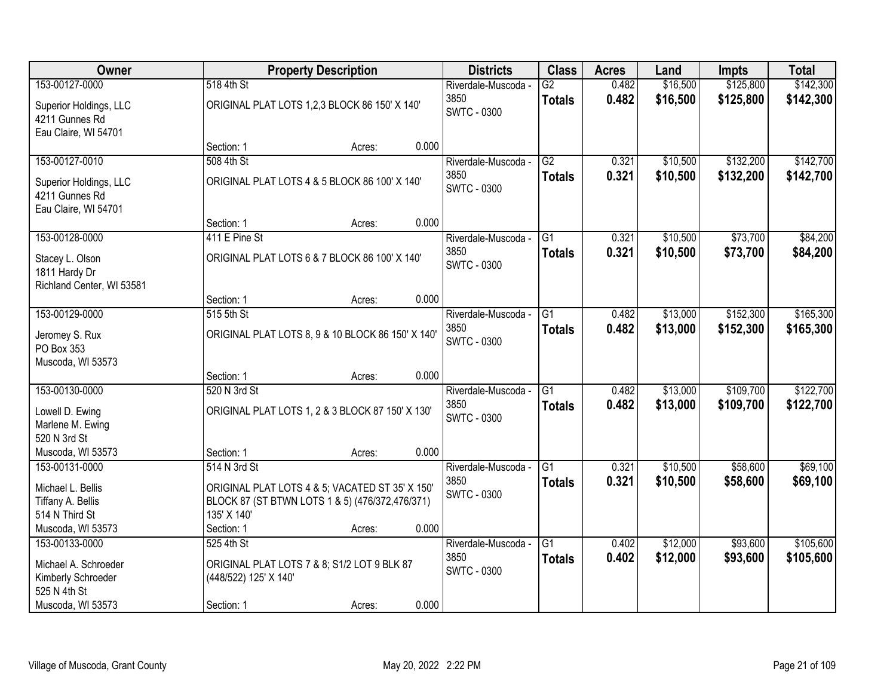| Owner                                                            |                       | <b>Property Description</b>                                                                        |       |                            | <b>Class</b>    | <b>Acres</b> | Land     | <b>Impts</b> | <b>Total</b> |
|------------------------------------------------------------------|-----------------------|----------------------------------------------------------------------------------------------------|-------|----------------------------|-----------------|--------------|----------|--------------|--------------|
| 153-00127-0000                                                   | 518 4th St            |                                                                                                    |       | Riverdale-Muscoda -        | $\overline{G2}$ | 0.482        | \$16,500 | \$125,800    | \$142,300    |
| Superior Holdings, LLC<br>4211 Gunnes Rd<br>Eau Claire, WI 54701 |                       | ORIGINAL PLAT LOTS 1,2,3 BLOCK 86 150' X 140'                                                      |       | 3850<br><b>SWTC - 0300</b> | <b>Totals</b>   | 0.482        | \$16,500 | \$125,800    | \$142,300    |
|                                                                  | Section: 1            | Acres:                                                                                             | 0.000 |                            |                 |              |          |              |              |
| 153-00127-0010                                                   | 508 4th St            |                                                                                                    |       | Riverdale-Muscoda -        | G2              | 0.321        | \$10,500 | \$132,200    | \$142,700    |
| Superior Holdings, LLC<br>4211 Gunnes Rd<br>Eau Claire, WI 54701 |                       | ORIGINAL PLAT LOTS 4 & 5 BLOCK 86 100' X 140'                                                      |       | 3850<br><b>SWTC - 0300</b> | <b>Totals</b>   | 0.321        | \$10,500 | \$132,200    | \$142,700    |
|                                                                  | Section: 1            | Acres:                                                                                             | 0.000 |                            |                 |              |          |              |              |
| 153-00128-0000                                                   | 411 E Pine St         |                                                                                                    |       | Riverdale-Muscoda -        | $\overline{G1}$ | 0.321        | \$10,500 | \$73,700     | \$84,200     |
| Stacey L. Olson<br>1811 Hardy Dr<br>Richland Center, WI 53581    |                       | ORIGINAL PLAT LOTS 6 & 7 BLOCK 86 100' X 140'                                                      |       | 3850<br><b>SWTC - 0300</b> | <b>Totals</b>   | 0.321        | \$10,500 | \$73,700     | \$84,200     |
|                                                                  | Section: 1            | Acres:                                                                                             | 0.000 |                            |                 |              |          |              |              |
| 153-00129-0000                                                   | 515 5th St            |                                                                                                    |       | Riverdale-Muscoda -        | G1              | 0.482        | \$13,000 | \$152,300    | \$165,300    |
| Jeromey S. Rux<br>PO Box 353<br>Muscoda, WI 53573                |                       | ORIGINAL PLAT LOTS 8, 9 & 10 BLOCK 86 150' X 140'                                                  |       | 3850<br><b>SWTC - 0300</b> | <b>Totals</b>   | 0.482        | \$13,000 | \$152,300    | \$165,300    |
|                                                                  | Section: 1            | Acres:                                                                                             | 0.000 |                            |                 |              |          |              |              |
| 153-00130-0000                                                   | 520 N 3rd St          |                                                                                                    |       | Riverdale-Muscoda -        | $\overline{G1}$ | 0.482        | \$13,000 | \$109,700    | \$122,700    |
| Lowell D. Ewing<br>Marlene M. Ewing                              |                       | ORIGINAL PLAT LOTS 1, 2 & 3 BLOCK 87 150' X 130'                                                   |       | 3850<br><b>SWTC - 0300</b> | <b>Totals</b>   | 0.482        | \$13,000 | \$109,700    | \$122,700    |
| 520 N 3rd St                                                     |                       |                                                                                                    |       |                            |                 |              |          |              |              |
| Muscoda, WI 53573                                                | Section: 1            | Acres:                                                                                             | 0.000 |                            |                 |              |          |              |              |
| 153-00131-0000                                                   | 514 N 3rd St          |                                                                                                    |       | Riverdale-Muscoda -        | $\overline{G1}$ | 0.321        | \$10,500 | \$58,600     | \$69,100     |
| Michael L. Bellis<br>Tiffany A. Bellis                           |                       | ORIGINAL PLAT LOTS 4 & 5; VACATED ST 35' X 150'<br>BLOCK 87 (ST BTWN LOTS 1 & 5) (476/372,476/371) |       | 3850<br><b>SWTC - 0300</b> | <b>Totals</b>   | 0.321        | \$10,500 | \$58,600     | \$69,100     |
| 514 N Third St                                                   | 135' X 140'           |                                                                                                    |       |                            |                 |              |          |              |              |
| Muscoda, WI 53573                                                | Section: 1            | Acres:                                                                                             | 0.000 |                            |                 |              |          |              |              |
| 153-00133-0000                                                   | 525 4th St            |                                                                                                    |       | Riverdale-Muscoda -        | $\overline{G1}$ | 0.402        | \$12,000 | \$93,600     | \$105,600    |
|                                                                  |                       |                                                                                                    |       | 3850                       | <b>Totals</b>   | 0.402        | \$12,000 | \$93,600     | \$105,600    |
| Michael A. Schroeder<br>Kimberly Schroeder                       | (448/522) 125' X 140' | ORIGINAL PLAT LOTS 7 & 8; S1/2 LOT 9 BLK 87                                                        |       | <b>SWTC - 0300</b>         |                 |              |          |              |              |
| 525 N 4th St                                                     |                       |                                                                                                    |       |                            |                 |              |          |              |              |
| Muscoda, WI 53573                                                | Section: 1            | Acres:                                                                                             | 0.000 |                            |                 |              |          |              |              |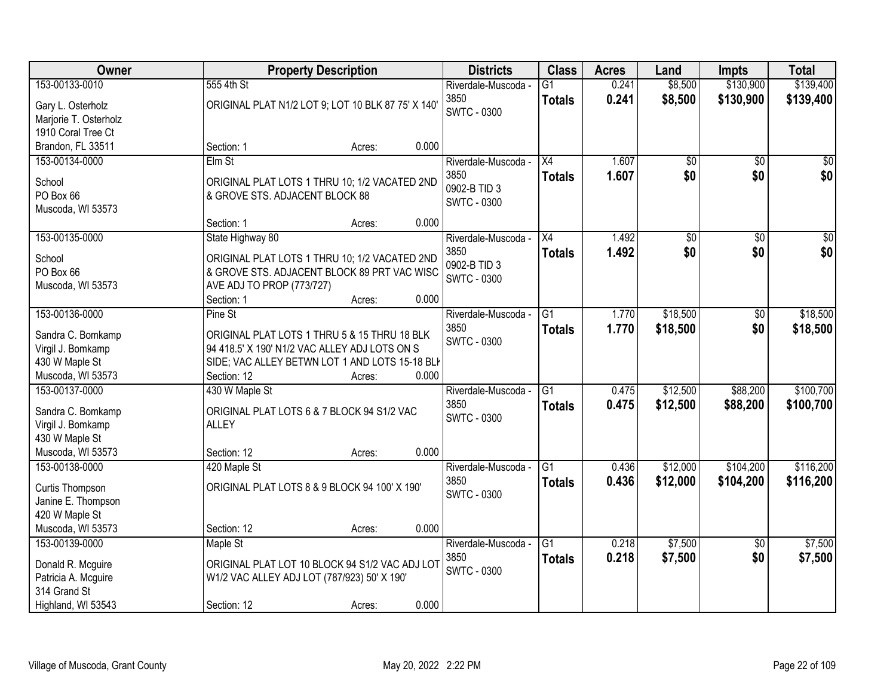| Owner                 | <b>Property Description</b>                        |        |       | <b>Districts</b>    | <b>Class</b>    | <b>Acres</b> | Land            | Impts           | <b>Total</b>    |
|-----------------------|----------------------------------------------------|--------|-------|---------------------|-----------------|--------------|-----------------|-----------------|-----------------|
| 153-00133-0010        | 555 4th St                                         |        |       | Riverdale-Muscoda - | $\overline{G1}$ | 0.241        | \$8,500         | \$130,900       | \$139,400       |
| Gary L. Osterholz     | ORIGINAL PLAT N1/2 LOT 9; LOT 10 BLK 87 75' X 140' |        |       | 3850                | <b>Totals</b>   | 0.241        | \$8,500         | \$130,900       | \$139,400       |
| Marjorie T. Osterholz |                                                    |        |       | <b>SWTC - 0300</b>  |                 |              |                 |                 |                 |
| 1910 Coral Tree Ct    |                                                    |        |       |                     |                 |              |                 |                 |                 |
| Brandon, FL 33511     | Section: 1                                         | Acres: | 0.000 |                     |                 |              |                 |                 |                 |
| 153-00134-0000        | $E$ Im St                                          |        |       | Riverdale-Muscoda - | $\overline{X4}$ | 1.607        | $\overline{50}$ | $\overline{50}$ | $\sqrt{50}$     |
| School                | ORIGINAL PLAT LOTS 1 THRU 10; 1/2 VACATED 2ND      |        |       | 3850                | <b>Totals</b>   | 1.607        | \$0             | \$0             | \$0             |
| PO Box 66             | & GROVE STS. ADJACENT BLOCK 88                     |        |       | 0902-B TID 3        |                 |              |                 |                 |                 |
| Muscoda, WI 53573     |                                                    |        |       | <b>SWTC - 0300</b>  |                 |              |                 |                 |                 |
|                       | Section: 1                                         | Acres: | 0.000 |                     |                 |              |                 |                 |                 |
| 153-00135-0000        | State Highway 80                                   |        |       | Riverdale-Muscoda - | X4              | 1.492        | $\overline{50}$ | $\overline{50}$ | $\overline{30}$ |
| School                | ORIGINAL PLAT LOTS 1 THRU 10; 1/2 VACATED 2ND      |        |       | 3850                | <b>Totals</b>   | 1.492        | \$0             | \$0             | \$0             |
| PO Box 66             | & GROVE STS. ADJACENT BLOCK 89 PRT VAC WISC        |        |       | 0902-B TID 3        |                 |              |                 |                 |                 |
| Muscoda, WI 53573     | AVE ADJ TO PROP (773/727)                          |        |       | <b>SWTC - 0300</b>  |                 |              |                 |                 |                 |
|                       | Section: 1                                         | Acres: | 0.000 |                     |                 |              |                 |                 |                 |
| 153-00136-0000        | Pine St                                            |        |       | Riverdale-Muscoda - | G1              | 1.770        | \$18,500        | \$0             | \$18,500        |
| Sandra C. Bomkamp     | ORIGINAL PLAT LOTS 1 THRU 5 & 15 THRU 18 BLK       |        |       | 3850                | <b>Totals</b>   | 1.770        | \$18,500        | \$0             | \$18,500        |
| Virgil J. Bomkamp     | 94 418.5' X 190' N1/2 VAC ALLEY ADJ LOTS ON S      |        |       | <b>SWTC - 0300</b>  |                 |              |                 |                 |                 |
| 430 W Maple St        | SIDE; VAC ALLEY BETWN LOT 1 AND LOTS 15-18 BLI     |        |       |                     |                 |              |                 |                 |                 |
| Muscoda, WI 53573     | Section: 12                                        | Acres: | 0.000 |                     |                 |              |                 |                 |                 |
| 153-00137-0000        | 430 W Maple St                                     |        |       | Riverdale-Muscoda - | $\overline{G1}$ | 0.475        | \$12,500        | \$88,200        | \$100,700       |
| Sandra C. Bomkamp     | ORIGINAL PLAT LOTS 6 & 7 BLOCK 94 S1/2 VAC         |        |       | 3850                | <b>Totals</b>   | 0.475        | \$12,500        | \$88,200        | \$100,700       |
| Virgil J. Bomkamp     | <b>ALLEY</b>                                       |        |       | <b>SWTC - 0300</b>  |                 |              |                 |                 |                 |
| 430 W Maple St        |                                                    |        |       |                     |                 |              |                 |                 |                 |
| Muscoda, WI 53573     | Section: 12                                        | Acres: | 0.000 |                     |                 |              |                 |                 |                 |
| 153-00138-0000        | 420 Maple St                                       |        |       | Riverdale-Muscoda - | $\overline{G1}$ | 0.436        | \$12,000        | \$104,200       | \$116,200       |
| Curtis Thompson       | ORIGINAL PLAT LOTS 8 & 9 BLOCK 94 100' X 190'      |        |       | 3850                | <b>Totals</b>   | 0.436        | \$12,000        | \$104,200       | \$116,200       |
| Janine E. Thompson    |                                                    |        |       | <b>SWTC - 0300</b>  |                 |              |                 |                 |                 |
| 420 W Maple St        |                                                    |        |       |                     |                 |              |                 |                 |                 |
| Muscoda, WI 53573     | Section: 12                                        | Acres: | 0.000 |                     |                 |              |                 |                 |                 |
| 153-00139-0000        | Maple St                                           |        |       | Riverdale-Muscoda - | $\overline{G1}$ | 0.218        | \$7,500         | $\overline{30}$ | \$7,500         |
| Donald R. Mcguire     | ORIGINAL PLAT LOT 10 BLOCK 94 S1/2 VAC ADJ LOT     |        |       | 3850                | <b>Totals</b>   | 0.218        | \$7,500         | \$0             | \$7,500         |
| Patricia A. Mcguire   | W1/2 VAC ALLEY ADJ LOT (787/923) 50' X 190'        |        |       | <b>SWTC - 0300</b>  |                 |              |                 |                 |                 |
| 314 Grand St          |                                                    |        |       |                     |                 |              |                 |                 |                 |
| Highland, WI 53543    | Section: 12                                        | Acres: | 0.000 |                     |                 |              |                 |                 |                 |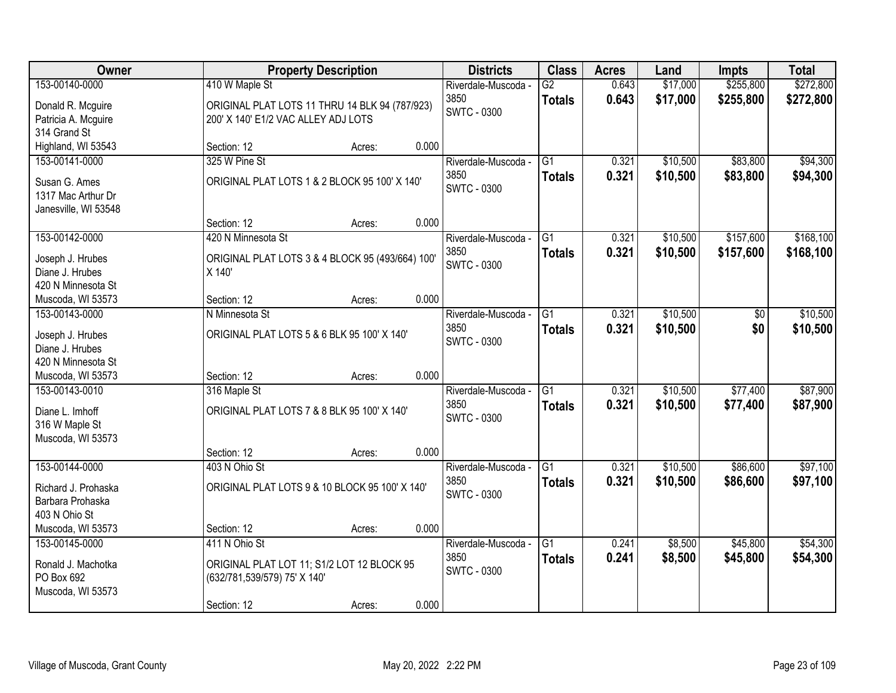| Owner                               |                                             | <b>Property Description</b>                      |       | <b>Districts</b>            | <b>Class</b>    | <b>Acres</b> | Land     | <b>Impts</b> | <b>Total</b> |
|-------------------------------------|---------------------------------------------|--------------------------------------------------|-------|-----------------------------|-----------------|--------------|----------|--------------|--------------|
| 153-00140-0000                      | 410 W Maple St                              |                                                  |       | Riverdale-Muscoda -         | $\overline{G2}$ | 0.643        | \$17,000 | \$255,800    | \$272,800    |
| Donald R. Mcguire                   |                                             | ORIGINAL PLAT LOTS 11 THRU 14 BLK 94 (787/923)   |       | 3850                        | <b>Totals</b>   | 0.643        | \$17,000 | \$255,800    | \$272,800    |
| Patricia A. Mcguire                 | 200' X 140' E1/2 VAC ALLEY ADJ LOTS         |                                                  |       | <b>SWTC - 0300</b>          |                 |              |          |              |              |
| 314 Grand St                        |                                             |                                                  |       |                             |                 |              |          |              |              |
| Highland, WI 53543                  | Section: 12                                 | Acres:                                           | 0.000 |                             |                 |              |          |              |              |
| 153-00141-0000                      | 325 W Pine St                               |                                                  |       | Riverdale-Muscoda -         | $\overline{G1}$ | 0.321        | \$10,500 | \$83,800     | \$94,300     |
| Susan G. Ames                       |                                             | ORIGINAL PLAT LOTS 1 & 2 BLOCK 95 100' X 140'    |       | 3850                        | <b>Totals</b>   | 0.321        | \$10,500 | \$83,800     | \$94,300     |
| 1317 Mac Arthur Dr                  |                                             |                                                  |       | <b>SWTC - 0300</b>          |                 |              |          |              |              |
| Janesville, WI 53548                |                                             |                                                  |       |                             |                 |              |          |              |              |
|                                     | Section: 12                                 | Acres:                                           | 0.000 |                             |                 |              |          |              |              |
| 153-00142-0000                      | 420 N Minnesota St                          |                                                  |       | Riverdale-Muscoda -         | G1              | 0.321        | \$10,500 | \$157,600    | \$168,100    |
| Joseph J. Hrubes                    |                                             |                                                  |       | 3850                        | <b>Totals</b>   | 0.321        | \$10,500 | \$157,600    | \$168,100    |
| Diane J. Hrubes                     | X 140'                                      | ORIGINAL PLAT LOTS 3 & 4 BLOCK 95 (493/664) 100' |       | <b>SWTC - 0300</b>          |                 |              |          |              |              |
| 420 N Minnesota St                  |                                             |                                                  |       |                             |                 |              |          |              |              |
| Muscoda, WI 53573                   | Section: 12                                 | Acres:                                           | 0.000 |                             |                 |              |          |              |              |
| 153-00143-0000                      | N Minnesota St                              |                                                  |       | Riverdale-Muscoda -         | G1              | 0.321        | \$10,500 | \$0          | \$10,500     |
|                                     |                                             |                                                  |       | 3850                        | <b>Totals</b>   | 0.321        | \$10,500 | \$0          | \$10,500     |
| Joseph J. Hrubes<br>Diane J. Hrubes | ORIGINAL PLAT LOTS 5 & 6 BLK 95 100' X 140' |                                                  |       | <b>SWTC - 0300</b>          |                 |              |          |              |              |
| 420 N Minnesota St                  |                                             |                                                  |       |                             |                 |              |          |              |              |
| Muscoda, WI 53573                   | Section: 12                                 | Acres:                                           | 0.000 |                             |                 |              |          |              |              |
| 153-00143-0010                      | 316 Maple St                                |                                                  |       | Riverdale-Muscoda -         | $\overline{G1}$ | 0.321        | \$10,500 | \$77,400     | \$87,900     |
|                                     |                                             |                                                  |       | 3850                        | <b>Totals</b>   | 0.321        | \$10,500 | \$77,400     | \$87,900     |
| Diane L. Imhoff                     | ORIGINAL PLAT LOTS 7 & 8 BLK 95 100' X 140' |                                                  |       | <b>SWTC - 0300</b>          |                 |              |          |              |              |
| 316 W Maple St                      |                                             |                                                  |       |                             |                 |              |          |              |              |
| Muscoda, WI 53573                   | Section: 12                                 | Acres:                                           | 0.000 |                             |                 |              |          |              |              |
| 153-00144-0000                      | 403 N Ohio St                               |                                                  |       | Riverdale-Muscoda -         | $\overline{G1}$ | 0.321        | \$10,500 | \$86,600     | \$97,100     |
|                                     |                                             |                                                  |       | 3850                        | <b>Totals</b>   | 0.321        | \$10,500 | \$86,600     | \$97,100     |
| Richard J. Prohaska                 |                                             | ORIGINAL PLAT LOTS 9 & 10 BLOCK 95 100' X 140'   |       | <b>SWTC - 0300</b>          |                 |              |          |              |              |
| Barbara Prohaska                    |                                             |                                                  |       |                             |                 |              |          |              |              |
| 403 N Ohio St                       |                                             |                                                  | 0.000 |                             |                 |              |          |              |              |
| Muscoda, WI 53573<br>153-00145-0000 | Section: 12<br>411 N Ohio St                | Acres:                                           |       |                             | $\overline{G1}$ | 0.241        | \$8,500  | \$45,800     | \$54,300     |
|                                     |                                             |                                                  |       | Riverdale-Muscoda -<br>3850 |                 | 0.241        | \$8,500  | \$45,800     |              |
| Ronald J. Machotka                  |                                             | ORIGINAL PLAT LOT 11; S1/2 LOT 12 BLOCK 95       |       | <b>SWTC - 0300</b>          | <b>Totals</b>   |              |          |              | \$54,300     |
| PO Box 692                          | (632/781,539/579) 75' X 140'                |                                                  |       |                             |                 |              |          |              |              |
| Muscoda, WI 53573                   |                                             |                                                  |       |                             |                 |              |          |              |              |
|                                     | Section: 12                                 | Acres:                                           | 0.000 |                             |                 |              |          |              |              |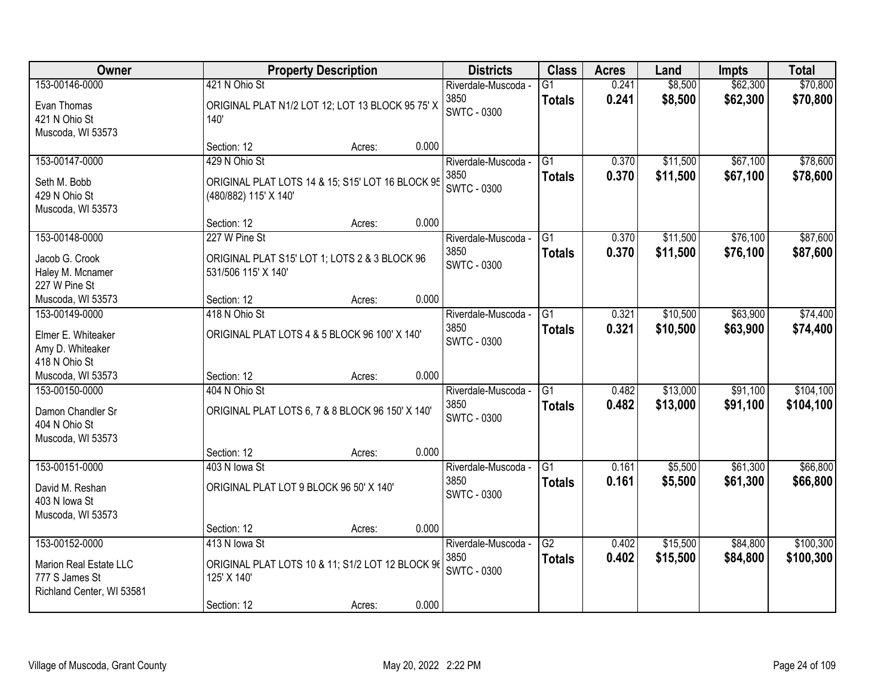| Owner                                                                                   |                                                                                                 | <b>Property Description</b> |       |                                                   | <b>Class</b>                     | <b>Acres</b>   | Land                 | <b>Impts</b>         | <b>Total</b>           |
|-----------------------------------------------------------------------------------------|-------------------------------------------------------------------------------------------------|-----------------------------|-------|---------------------------------------------------|----------------------------------|----------------|----------------------|----------------------|------------------------|
| 153-00146-0000<br>Evan Thomas<br>421 N Ohio St                                          | 421 N Ohio St<br>ORIGINAL PLAT N1/2 LOT 12; LOT 13 BLOCK 95 75' X<br>140'                       |                             |       | Riverdale-Muscoda -<br>3850<br><b>SWTC - 0300</b> | $\overline{G1}$<br><b>Totals</b> | 0.241<br>0.241 | \$8,500<br>\$8,500   | \$62,300<br>\$62,300 | \$70,800<br>\$70,800   |
| Muscoda, WI 53573                                                                       | Section: 12                                                                                     | Acres:                      | 0.000 |                                                   |                                  |                |                      |                      |                        |
| 153-00147-0000<br>Seth M. Bobb<br>429 N Ohio St<br>Muscoda, WI 53573                    | 429 N Ohio St<br>ORIGINAL PLAT LOTS 14 & 15; S15' LOT 16 BLOCK 95<br>(480/882) 115' X 140'      |                             |       | Riverdale-Muscoda -<br>3850<br><b>SWTC - 0300</b> | $\overline{G1}$<br><b>Totals</b> | 0.370<br>0.370 | \$11,500<br>\$11,500 | \$67,100<br>\$67,100 | \$78,600<br>\$78,600   |
|                                                                                         | Section: 12                                                                                     | Acres:                      | 0.000 |                                                   |                                  |                |                      |                      |                        |
| 153-00148-0000<br>Jacob G. Crook<br>Haley M. Mcnamer<br>227 W Pine St                   | 227 W Pine St<br>ORIGINAL PLAT S15' LOT 1; LOTS 2 & 3 BLOCK 96<br>531/506 115' X 140'           |                             |       | Riverdale-Muscoda -<br>3850<br><b>SWTC - 0300</b> | G1<br><b>Totals</b>              | 0.370<br>0.370 | \$11,500<br>\$11,500 | \$76,100<br>\$76,100 | \$87,600<br>\$87,600   |
| Muscoda, WI 53573                                                                       | Section: 12                                                                                     | Acres:                      | 0.000 |                                                   |                                  |                |                      |                      |                        |
| 153-00149-0000<br>Elmer E. Whiteaker<br>Amy D. Whiteaker<br>418 N Ohio St               | 418 N Ohio St<br>ORIGINAL PLAT LOTS 4 & 5 BLOCK 96 100' X 140'                                  |                             |       | Riverdale-Muscoda -<br>3850<br><b>SWTC - 0300</b> | G1<br><b>Totals</b>              | 0.321<br>0.321 | \$10,500<br>\$10,500 | \$63,900<br>\$63,900 | \$74,400<br>\$74,400   |
| Muscoda, WI 53573                                                                       | Section: 12                                                                                     | Acres:                      | 0.000 |                                                   |                                  |                |                      |                      |                        |
| 153-00150-0000<br>Damon Chandler Sr<br>404 N Ohio St<br>Muscoda, WI 53573               | 404 N Ohio St<br>ORIGINAL PLAT LOTS 6, 7 & 8 BLOCK 96 150' X 140'<br>Section: 12                | Acres:                      | 0.000 | Riverdale-Muscoda -<br>3850<br><b>SWTC - 0300</b> | $\overline{G1}$<br><b>Totals</b> | 0.482<br>0.482 | \$13,000<br>\$13,000 | \$91,100<br>\$91,100 | \$104,100<br>\$104,100 |
| 153-00151-0000                                                                          | 403 N lowa St                                                                                   |                             |       | Riverdale-Muscoda -                               | $\overline{G1}$                  | 0.161          | \$5,500              | \$61,300             | \$66,800               |
| David M. Reshan<br>403 N Iowa St<br>Muscoda, WI 53573                                   | ORIGINAL PLAT LOT 9 BLOCK 96 50' X 140'                                                         |                             |       | 3850<br><b>SWTC - 0300</b>                        | <b>Totals</b>                    | 0.161          | \$5,500              | \$61,300             | \$66,800               |
|                                                                                         | Section: 12                                                                                     | Acres:                      | 0.000 |                                                   |                                  |                |                      |                      |                        |
| 153-00152-0000<br>Marion Real Estate LLC<br>777 S James St<br>Richland Center, WI 53581 | 413 N lowa St<br>ORIGINAL PLAT LOTS 10 & 11; S1/2 LOT 12 BLOCK 96<br>125' X 140'<br>Section: 12 | Acres:                      | 0.000 | Riverdale-Muscoda -<br>3850<br><b>SWTC - 0300</b> | $\overline{G2}$<br><b>Totals</b> | 0.402<br>0.402 | \$15,500<br>\$15,500 | \$84,800<br>\$84,800 | \$100,300<br>\$100,300 |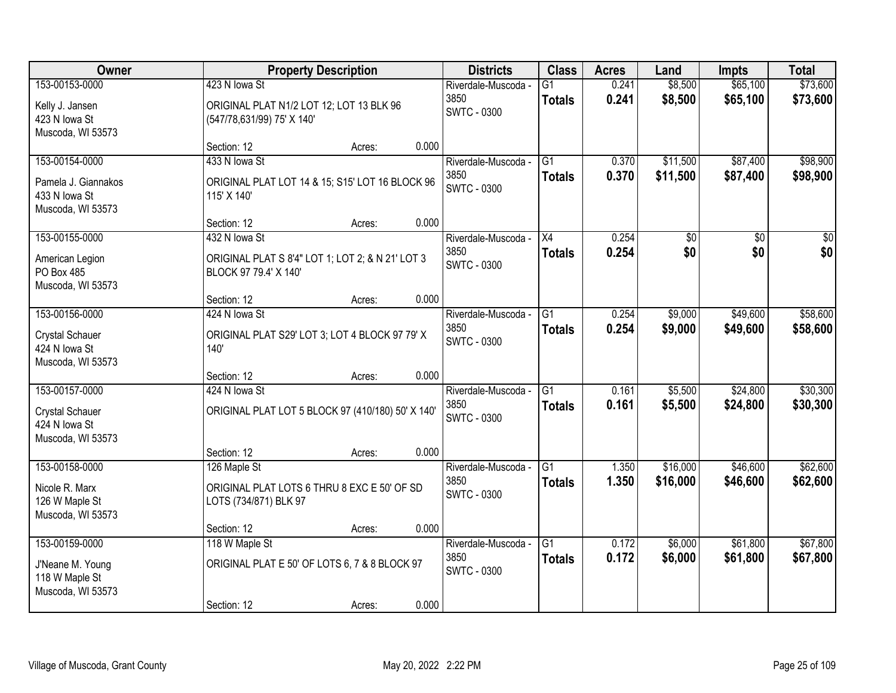| Owner                                                                          |                                                                                         | <b>Property Description</b> |       | <b>Districts</b>                                  | <b>Class</b>                     | <b>Acres</b>   | Land                 | <b>Impts</b>         | <b>Total</b>         |
|--------------------------------------------------------------------------------|-----------------------------------------------------------------------------------------|-----------------------------|-------|---------------------------------------------------|----------------------------------|----------------|----------------------|----------------------|----------------------|
| 153-00153-0000<br>Kelly J. Jansen<br>423 N lowa St<br>Muscoda, WI 53573        | 423 N lowa St<br>ORIGINAL PLAT N1/2 LOT 12; LOT 13 BLK 96<br>(547/78,631/99) 75' X 140' |                             |       | Riverdale-Muscoda -<br>3850<br><b>SWTC - 0300</b> | $\overline{G1}$<br><b>Totals</b> | 0.241<br>0.241 | \$8,500<br>\$8,500   | \$65,100<br>\$65,100 | \$73,600<br>\$73,600 |
|                                                                                | Section: 12                                                                             | Acres:                      | 0.000 |                                                   |                                  |                |                      |                      |                      |
| 153-00154-0000<br>Pamela J. Giannakos<br>433 N lowa St<br>Muscoda, WI 53573    | 433 N lowa St<br>ORIGINAL PLAT LOT 14 & 15; S15' LOT 16 BLOCK 96<br>115' X 140'         |                             |       | Riverdale-Muscoda -<br>3850<br><b>SWTC - 0300</b> | $\overline{G1}$<br><b>Totals</b> | 0.370<br>0.370 | \$11,500<br>\$11,500 | \$87,400<br>\$87,400 | \$98,900<br>\$98,900 |
| 153-00155-0000                                                                 | Section: 12<br>432 N lowa St                                                            | Acres:                      | 0.000 | Riverdale-Muscoda -                               | X4                               | 0.254          | \$0                  | \$0                  | $\overline{50}$      |
| American Legion<br>PO Box 485<br>Muscoda, WI 53573                             | ORIGINAL PLAT S 8'4" LOT 1; LOT 2; & N 21' LOT 3<br>BLOCK 97 79.4' X 140'               |                             |       | 3850<br><b>SWTC - 0300</b>                        | <b>Totals</b>                    | 0.254          | \$0                  | \$0                  | \$0                  |
|                                                                                | Section: 12                                                                             | Acres:                      | 0.000 |                                                   |                                  |                |                      |                      |                      |
| 153-00156-0000<br><b>Crystal Schauer</b><br>424 N lowa St<br>Muscoda, WI 53573 | 424 N lowa St<br>ORIGINAL PLAT S29' LOT 3; LOT 4 BLOCK 97 79' X<br>140'                 |                             |       | Riverdale-Muscoda -<br>3850<br><b>SWTC - 0300</b> | G1<br><b>Totals</b>              | 0.254<br>0.254 | \$9,000<br>\$9,000   | \$49,600<br>\$49,600 | \$58,600<br>\$58,600 |
|                                                                                | Section: 12                                                                             | Acres:                      | 0.000 |                                                   |                                  |                |                      |                      |                      |
| 153-00157-0000<br><b>Crystal Schauer</b><br>424 N lowa St<br>Muscoda, WI 53573 | 424 N lowa St<br>ORIGINAL PLAT LOT 5 BLOCK 97 (410/180) 50' X 140'                      |                             |       | Riverdale-Muscoda -<br>3850<br><b>SWTC - 0300</b> | $\overline{G1}$<br><b>Totals</b> | 0.161<br>0.161 | \$5,500<br>\$5,500   | \$24,800<br>\$24,800 | \$30,300<br>\$30,300 |
|                                                                                | Section: 12                                                                             | Acres:                      | 0.000 |                                                   |                                  |                |                      |                      |                      |
| 153-00158-0000<br>Nicole R. Marx<br>126 W Maple St<br>Muscoda, WI 53573        | 126 Maple St<br>ORIGINAL PLAT LOTS 6 THRU 8 EXC E 50' OF SD<br>LOTS (734/871) BLK 97    |                             |       | Riverdale-Muscoda -<br>3850<br><b>SWTC - 0300</b> | $\overline{G1}$<br><b>Totals</b> | 1.350<br>1.350 | \$16,000<br>\$16,000 | \$46,600<br>\$46,600 | \$62,600<br>\$62,600 |
|                                                                                | Section: 12                                                                             | Acres:                      | 0.000 |                                                   |                                  |                |                      |                      |                      |
| 153-00159-0000<br>J'Neane M. Young<br>118 W Maple St<br>Muscoda, WI 53573      | 118 W Maple St<br>ORIGINAL PLAT E 50' OF LOTS 6, 7 & 8 BLOCK 97<br>Section: 12          | Acres:                      | 0.000 | Riverdale-Muscoda -<br>3850<br><b>SWTC - 0300</b> | $\overline{G1}$<br><b>Totals</b> | 0.172<br>0.172 | \$6,000<br>\$6,000   | \$61,800<br>\$61,800 | \$67,800<br>\$67,800 |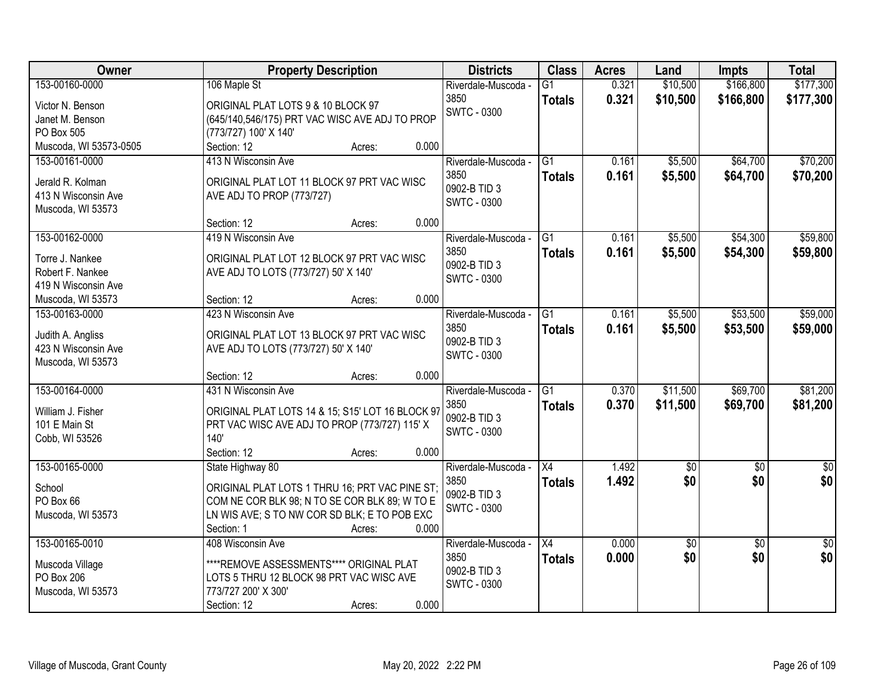| \$166,800<br>\$177,300<br>153-00160-0000<br>0.321<br>\$10,500<br>106 Maple St<br>Riverdale-Muscoda -<br>G1<br>3850<br>0.321<br>\$10,500<br>\$166,800<br>\$177,300<br><b>Totals</b><br>ORIGINAL PLAT LOTS 9 & 10 BLOCK 97<br>Victor N. Benson<br><b>SWTC - 0300</b><br>(645/140,546/175) PRT VAC WISC AVE ADJ TO PROP<br>Janet M. Benson<br>PO Box 505<br>(773/727) 100' X 140'<br>Muscoda, WI 53573-0505<br>0.000<br>Section: 12<br>Acres:<br>\$70,200<br>\$5,500<br>\$64,700<br>153-00161-0000<br>413 N Wisconsin Ave<br>G1<br>0.161<br>Riverdale-Muscoda -<br>3850<br>0.161<br>\$5,500<br>\$64,700<br>\$70,200<br><b>Totals</b><br>Jerald R. Kolman<br>ORIGINAL PLAT LOT 11 BLOCK 97 PRT VAC WISC<br>0902-B TID 3<br>413 N Wisconsin Ave<br>AVE ADJ TO PROP (773/727)<br><b>SWTC - 0300</b><br>Muscoda, WI 53573<br>0.000<br>Section: 12<br>Acres:<br>\$54,300<br>\$59,800<br>153-00162-0000<br>419 N Wisconsin Ave<br>$\overline{G1}$<br>\$5,500<br>0.161<br>Riverdale-Muscoda -<br>3850<br>\$5,500<br>\$54,300<br>0.161<br>\$59,800<br><b>Totals</b><br>Torre J. Nankee<br>ORIGINAL PLAT LOT 12 BLOCK 97 PRT VAC WISC<br>0902-B TID 3<br>Robert F. Nankee<br>AVE ADJ TO LOTS (773/727) 50' X 140'<br><b>SWTC - 0300</b><br>419 N Wisconsin Ave<br>0.000<br>Muscoda, WI 53573<br>Section: 12<br>Acres:<br>423 N Wisconsin Ave<br>\$5,500<br>\$53,500<br>153-00163-0000<br>$\overline{G1}$<br>0.161<br>Riverdale-Muscoda -<br>3850<br>0.161<br>\$5,500<br>\$53,500<br><b>Totals</b><br>Judith A. Angliss<br>ORIGINAL PLAT LOT 13 BLOCK 97 PRT VAC WISC<br>0902-B TID 3<br>423 N Wisconsin Ave<br>AVE ADJ TO LOTS (773/727) 50' X 140'<br><b>SWTC - 0300</b><br>Muscoda, WI 53573<br>0.000<br>Section: 12<br>Acres:<br>\$69,700<br>153-00164-0000<br>431 N Wisconsin Ave<br>$\overline{G1}$<br>\$11,500<br>0.370<br>Riverdale-Muscoda -<br>3850<br>0.370<br>\$69,700<br>\$11,500<br><b>Totals</b><br>ORIGINAL PLAT LOTS 14 & 15; S15' LOT 16 BLOCK 97<br>William J. Fisher<br>0902-B TID 3<br>101 E Main St<br>PRT VAC WISC AVE ADJ TO PROP (773/727) 115' X<br><b>SWTC - 0300</b><br>Cobb, WI 53526<br>140'<br>Section: 12<br>0.000<br>Acres:<br>$\overline{X4}$<br>153-00165-0000<br>1.492<br>$\overline{60}$<br>State Highway 80<br>Riverdale-Muscoda -<br>$\sqrt{50}$<br>\$0<br>3850<br>1.492<br>\$0<br><b>Totals</b><br>ORIGINAL PLAT LOTS 1 THRU 16; PRT VAC PINE ST;<br>School<br>0902-B TID 3<br>COM NE COR BLK 98; N TO SE COR BLK 89; W TO E<br>PO Box 66<br><b>SWTC - 0300</b><br>LN WIS AVE; S TO NW COR SD BLK; E TO POB EXC<br>Muscoda, WI 53573<br>0.000<br>Section: 1<br>Acres:<br>153-00165-0010<br>0.000<br>$\overline{30}$<br>408 Wisconsin Ave<br>Riverdale-Muscoda -<br>$\overline{X4}$<br>\$0<br>\$0<br>\$0<br>3850<br>0.000<br><b>Totals</b><br>****REMOVE ASSESSMENTS**** ORIGINAL PLAT<br>Muscoda Village<br>0902-B TID 3<br>PO Box 206<br>LOTS 5 THRU 12 BLOCK 98 PRT VAC WISC AVE<br><b>SWTC - 0300</b> | Owner             | <b>Property Description</b> | <b>Districts</b> | <b>Class</b> | <b>Acres</b> | Land | <b>Impts</b> | <b>Total</b> |
|-------------------------------------------------------------------------------------------------------------------------------------------------------------------------------------------------------------------------------------------------------------------------------------------------------------------------------------------------------------------------------------------------------------------------------------------------------------------------------------------------------------------------------------------------------------------------------------------------------------------------------------------------------------------------------------------------------------------------------------------------------------------------------------------------------------------------------------------------------------------------------------------------------------------------------------------------------------------------------------------------------------------------------------------------------------------------------------------------------------------------------------------------------------------------------------------------------------------------------------------------------------------------------------------------------------------------------------------------------------------------------------------------------------------------------------------------------------------------------------------------------------------------------------------------------------------------------------------------------------------------------------------------------------------------------------------------------------------------------------------------------------------------------------------------------------------------------------------------------------------------------------------------------------------------------------------------------------------------------------------------------------------------------------------------------------------------------------------------------------------------------------------------------------------------------------------------------------------------------------------------------------------------------------------------------------------------------------------------------------------------------------------------------------------------------------------------------------------------------------------------------------------------------------------------------------------------------------------------------------------------------------------------------------------------------------------------------------------------------------------------------------------------------------------------------------------------------------------------------------------------------------------------------------------------------------|-------------------|-----------------------------|------------------|--------------|--------------|------|--------------|--------------|
|                                                                                                                                                                                                                                                                                                                                                                                                                                                                                                                                                                                                                                                                                                                                                                                                                                                                                                                                                                                                                                                                                                                                                                                                                                                                                                                                                                                                                                                                                                                                                                                                                                                                                                                                                                                                                                                                                                                                                                                                                                                                                                                                                                                                                                                                                                                                                                                                                                                                                                                                                                                                                                                                                                                                                                                                                                                                                                                                     |                   |                             |                  |              |              |      |              |              |
|                                                                                                                                                                                                                                                                                                                                                                                                                                                                                                                                                                                                                                                                                                                                                                                                                                                                                                                                                                                                                                                                                                                                                                                                                                                                                                                                                                                                                                                                                                                                                                                                                                                                                                                                                                                                                                                                                                                                                                                                                                                                                                                                                                                                                                                                                                                                                                                                                                                                                                                                                                                                                                                                                                                                                                                                                                                                                                                                     |                   |                             |                  |              |              |      |              |              |
|                                                                                                                                                                                                                                                                                                                                                                                                                                                                                                                                                                                                                                                                                                                                                                                                                                                                                                                                                                                                                                                                                                                                                                                                                                                                                                                                                                                                                                                                                                                                                                                                                                                                                                                                                                                                                                                                                                                                                                                                                                                                                                                                                                                                                                                                                                                                                                                                                                                                                                                                                                                                                                                                                                                                                                                                                                                                                                                                     |                   |                             |                  |              |              |      |              |              |
|                                                                                                                                                                                                                                                                                                                                                                                                                                                                                                                                                                                                                                                                                                                                                                                                                                                                                                                                                                                                                                                                                                                                                                                                                                                                                                                                                                                                                                                                                                                                                                                                                                                                                                                                                                                                                                                                                                                                                                                                                                                                                                                                                                                                                                                                                                                                                                                                                                                                                                                                                                                                                                                                                                                                                                                                                                                                                                                                     |                   |                             |                  |              |              |      |              |              |
|                                                                                                                                                                                                                                                                                                                                                                                                                                                                                                                                                                                                                                                                                                                                                                                                                                                                                                                                                                                                                                                                                                                                                                                                                                                                                                                                                                                                                                                                                                                                                                                                                                                                                                                                                                                                                                                                                                                                                                                                                                                                                                                                                                                                                                                                                                                                                                                                                                                                                                                                                                                                                                                                                                                                                                                                                                                                                                                                     |                   |                             |                  |              |              |      |              |              |
|                                                                                                                                                                                                                                                                                                                                                                                                                                                                                                                                                                                                                                                                                                                                                                                                                                                                                                                                                                                                                                                                                                                                                                                                                                                                                                                                                                                                                                                                                                                                                                                                                                                                                                                                                                                                                                                                                                                                                                                                                                                                                                                                                                                                                                                                                                                                                                                                                                                                                                                                                                                                                                                                                                                                                                                                                                                                                                                                     |                   |                             |                  |              |              |      |              |              |
|                                                                                                                                                                                                                                                                                                                                                                                                                                                                                                                                                                                                                                                                                                                                                                                                                                                                                                                                                                                                                                                                                                                                                                                                                                                                                                                                                                                                                                                                                                                                                                                                                                                                                                                                                                                                                                                                                                                                                                                                                                                                                                                                                                                                                                                                                                                                                                                                                                                                                                                                                                                                                                                                                                                                                                                                                                                                                                                                     |                   |                             |                  |              |              |      |              |              |
|                                                                                                                                                                                                                                                                                                                                                                                                                                                                                                                                                                                                                                                                                                                                                                                                                                                                                                                                                                                                                                                                                                                                                                                                                                                                                                                                                                                                                                                                                                                                                                                                                                                                                                                                                                                                                                                                                                                                                                                                                                                                                                                                                                                                                                                                                                                                                                                                                                                                                                                                                                                                                                                                                                                                                                                                                                                                                                                                     |                   |                             |                  |              |              |      |              |              |
|                                                                                                                                                                                                                                                                                                                                                                                                                                                                                                                                                                                                                                                                                                                                                                                                                                                                                                                                                                                                                                                                                                                                                                                                                                                                                                                                                                                                                                                                                                                                                                                                                                                                                                                                                                                                                                                                                                                                                                                                                                                                                                                                                                                                                                                                                                                                                                                                                                                                                                                                                                                                                                                                                                                                                                                                                                                                                                                                     |                   |                             |                  |              |              |      |              |              |
|                                                                                                                                                                                                                                                                                                                                                                                                                                                                                                                                                                                                                                                                                                                                                                                                                                                                                                                                                                                                                                                                                                                                                                                                                                                                                                                                                                                                                                                                                                                                                                                                                                                                                                                                                                                                                                                                                                                                                                                                                                                                                                                                                                                                                                                                                                                                                                                                                                                                                                                                                                                                                                                                                                                                                                                                                                                                                                                                     |                   |                             |                  |              |              |      |              |              |
|                                                                                                                                                                                                                                                                                                                                                                                                                                                                                                                                                                                                                                                                                                                                                                                                                                                                                                                                                                                                                                                                                                                                                                                                                                                                                                                                                                                                                                                                                                                                                                                                                                                                                                                                                                                                                                                                                                                                                                                                                                                                                                                                                                                                                                                                                                                                                                                                                                                                                                                                                                                                                                                                                                                                                                                                                                                                                                                                     |                   |                             |                  |              |              |      |              |              |
|                                                                                                                                                                                                                                                                                                                                                                                                                                                                                                                                                                                                                                                                                                                                                                                                                                                                                                                                                                                                                                                                                                                                                                                                                                                                                                                                                                                                                                                                                                                                                                                                                                                                                                                                                                                                                                                                                                                                                                                                                                                                                                                                                                                                                                                                                                                                                                                                                                                                                                                                                                                                                                                                                                                                                                                                                                                                                                                                     |                   |                             |                  |              |              |      |              |              |
|                                                                                                                                                                                                                                                                                                                                                                                                                                                                                                                                                                                                                                                                                                                                                                                                                                                                                                                                                                                                                                                                                                                                                                                                                                                                                                                                                                                                                                                                                                                                                                                                                                                                                                                                                                                                                                                                                                                                                                                                                                                                                                                                                                                                                                                                                                                                                                                                                                                                                                                                                                                                                                                                                                                                                                                                                                                                                                                                     |                   |                             |                  |              |              |      |              |              |
|                                                                                                                                                                                                                                                                                                                                                                                                                                                                                                                                                                                                                                                                                                                                                                                                                                                                                                                                                                                                                                                                                                                                                                                                                                                                                                                                                                                                                                                                                                                                                                                                                                                                                                                                                                                                                                                                                                                                                                                                                                                                                                                                                                                                                                                                                                                                                                                                                                                                                                                                                                                                                                                                                                                                                                                                                                                                                                                                     |                   |                             |                  |              |              |      |              |              |
| \$59,000<br>\$59,000<br>\$81,200<br>\$81,200<br>$\sqrt{50}$<br>\$0<br>$\overline{50}$<br>\$0                                                                                                                                                                                                                                                                                                                                                                                                                                                                                                                                                                                                                                                                                                                                                                                                                                                                                                                                                                                                                                                                                                                                                                                                                                                                                                                                                                                                                                                                                                                                                                                                                                                                                                                                                                                                                                                                                                                                                                                                                                                                                                                                                                                                                                                                                                                                                                                                                                                                                                                                                                                                                                                                                                                                                                                                                                        |                   |                             |                  |              |              |      |              |              |
|                                                                                                                                                                                                                                                                                                                                                                                                                                                                                                                                                                                                                                                                                                                                                                                                                                                                                                                                                                                                                                                                                                                                                                                                                                                                                                                                                                                                                                                                                                                                                                                                                                                                                                                                                                                                                                                                                                                                                                                                                                                                                                                                                                                                                                                                                                                                                                                                                                                                                                                                                                                                                                                                                                                                                                                                                                                                                                                                     |                   |                             |                  |              |              |      |              |              |
|                                                                                                                                                                                                                                                                                                                                                                                                                                                                                                                                                                                                                                                                                                                                                                                                                                                                                                                                                                                                                                                                                                                                                                                                                                                                                                                                                                                                                                                                                                                                                                                                                                                                                                                                                                                                                                                                                                                                                                                                                                                                                                                                                                                                                                                                                                                                                                                                                                                                                                                                                                                                                                                                                                                                                                                                                                                                                                                                     |                   |                             |                  |              |              |      |              |              |
|                                                                                                                                                                                                                                                                                                                                                                                                                                                                                                                                                                                                                                                                                                                                                                                                                                                                                                                                                                                                                                                                                                                                                                                                                                                                                                                                                                                                                                                                                                                                                                                                                                                                                                                                                                                                                                                                                                                                                                                                                                                                                                                                                                                                                                                                                                                                                                                                                                                                                                                                                                                                                                                                                                                                                                                                                                                                                                                                     |                   |                             |                  |              |              |      |              |              |
|                                                                                                                                                                                                                                                                                                                                                                                                                                                                                                                                                                                                                                                                                                                                                                                                                                                                                                                                                                                                                                                                                                                                                                                                                                                                                                                                                                                                                                                                                                                                                                                                                                                                                                                                                                                                                                                                                                                                                                                                                                                                                                                                                                                                                                                                                                                                                                                                                                                                                                                                                                                                                                                                                                                                                                                                                                                                                                                                     |                   |                             |                  |              |              |      |              |              |
|                                                                                                                                                                                                                                                                                                                                                                                                                                                                                                                                                                                                                                                                                                                                                                                                                                                                                                                                                                                                                                                                                                                                                                                                                                                                                                                                                                                                                                                                                                                                                                                                                                                                                                                                                                                                                                                                                                                                                                                                                                                                                                                                                                                                                                                                                                                                                                                                                                                                                                                                                                                                                                                                                                                                                                                                                                                                                                                                     |                   |                             |                  |              |              |      |              |              |
|                                                                                                                                                                                                                                                                                                                                                                                                                                                                                                                                                                                                                                                                                                                                                                                                                                                                                                                                                                                                                                                                                                                                                                                                                                                                                                                                                                                                                                                                                                                                                                                                                                                                                                                                                                                                                                                                                                                                                                                                                                                                                                                                                                                                                                                                                                                                                                                                                                                                                                                                                                                                                                                                                                                                                                                                                                                                                                                                     |                   |                             |                  |              |              |      |              |              |
|                                                                                                                                                                                                                                                                                                                                                                                                                                                                                                                                                                                                                                                                                                                                                                                                                                                                                                                                                                                                                                                                                                                                                                                                                                                                                                                                                                                                                                                                                                                                                                                                                                                                                                                                                                                                                                                                                                                                                                                                                                                                                                                                                                                                                                                                                                                                                                                                                                                                                                                                                                                                                                                                                                                                                                                                                                                                                                                                     |                   |                             |                  |              |              |      |              |              |
|                                                                                                                                                                                                                                                                                                                                                                                                                                                                                                                                                                                                                                                                                                                                                                                                                                                                                                                                                                                                                                                                                                                                                                                                                                                                                                                                                                                                                                                                                                                                                                                                                                                                                                                                                                                                                                                                                                                                                                                                                                                                                                                                                                                                                                                                                                                                                                                                                                                                                                                                                                                                                                                                                                                                                                                                                                                                                                                                     |                   |                             |                  |              |              |      |              |              |
|                                                                                                                                                                                                                                                                                                                                                                                                                                                                                                                                                                                                                                                                                                                                                                                                                                                                                                                                                                                                                                                                                                                                                                                                                                                                                                                                                                                                                                                                                                                                                                                                                                                                                                                                                                                                                                                                                                                                                                                                                                                                                                                                                                                                                                                                                                                                                                                                                                                                                                                                                                                                                                                                                                                                                                                                                                                                                                                                     |                   |                             |                  |              |              |      |              |              |
|                                                                                                                                                                                                                                                                                                                                                                                                                                                                                                                                                                                                                                                                                                                                                                                                                                                                                                                                                                                                                                                                                                                                                                                                                                                                                                                                                                                                                                                                                                                                                                                                                                                                                                                                                                                                                                                                                                                                                                                                                                                                                                                                                                                                                                                                                                                                                                                                                                                                                                                                                                                                                                                                                                                                                                                                                                                                                                                                     |                   |                             |                  |              |              |      |              |              |
|                                                                                                                                                                                                                                                                                                                                                                                                                                                                                                                                                                                                                                                                                                                                                                                                                                                                                                                                                                                                                                                                                                                                                                                                                                                                                                                                                                                                                                                                                                                                                                                                                                                                                                                                                                                                                                                                                                                                                                                                                                                                                                                                                                                                                                                                                                                                                                                                                                                                                                                                                                                                                                                                                                                                                                                                                                                                                                                                     |                   |                             |                  |              |              |      |              |              |
|                                                                                                                                                                                                                                                                                                                                                                                                                                                                                                                                                                                                                                                                                                                                                                                                                                                                                                                                                                                                                                                                                                                                                                                                                                                                                                                                                                                                                                                                                                                                                                                                                                                                                                                                                                                                                                                                                                                                                                                                                                                                                                                                                                                                                                                                                                                                                                                                                                                                                                                                                                                                                                                                                                                                                                                                                                                                                                                                     |                   |                             |                  |              |              |      |              |              |
|                                                                                                                                                                                                                                                                                                                                                                                                                                                                                                                                                                                                                                                                                                                                                                                                                                                                                                                                                                                                                                                                                                                                                                                                                                                                                                                                                                                                                                                                                                                                                                                                                                                                                                                                                                                                                                                                                                                                                                                                                                                                                                                                                                                                                                                                                                                                                                                                                                                                                                                                                                                                                                                                                                                                                                                                                                                                                                                                     |                   |                             |                  |              |              |      |              |              |
|                                                                                                                                                                                                                                                                                                                                                                                                                                                                                                                                                                                                                                                                                                                                                                                                                                                                                                                                                                                                                                                                                                                                                                                                                                                                                                                                                                                                                                                                                                                                                                                                                                                                                                                                                                                                                                                                                                                                                                                                                                                                                                                                                                                                                                                                                                                                                                                                                                                                                                                                                                                                                                                                                                                                                                                                                                                                                                                                     |                   |                             |                  |              |              |      |              |              |
|                                                                                                                                                                                                                                                                                                                                                                                                                                                                                                                                                                                                                                                                                                                                                                                                                                                                                                                                                                                                                                                                                                                                                                                                                                                                                                                                                                                                                                                                                                                                                                                                                                                                                                                                                                                                                                                                                                                                                                                                                                                                                                                                                                                                                                                                                                                                                                                                                                                                                                                                                                                                                                                                                                                                                                                                                                                                                                                                     |                   |                             |                  |              |              |      |              |              |
|                                                                                                                                                                                                                                                                                                                                                                                                                                                                                                                                                                                                                                                                                                                                                                                                                                                                                                                                                                                                                                                                                                                                                                                                                                                                                                                                                                                                                                                                                                                                                                                                                                                                                                                                                                                                                                                                                                                                                                                                                                                                                                                                                                                                                                                                                                                                                                                                                                                                                                                                                                                                                                                                                                                                                                                                                                                                                                                                     |                   |                             |                  |              |              |      |              |              |
|                                                                                                                                                                                                                                                                                                                                                                                                                                                                                                                                                                                                                                                                                                                                                                                                                                                                                                                                                                                                                                                                                                                                                                                                                                                                                                                                                                                                                                                                                                                                                                                                                                                                                                                                                                                                                                                                                                                                                                                                                                                                                                                                                                                                                                                                                                                                                                                                                                                                                                                                                                                                                                                                                                                                                                                                                                                                                                                                     |                   |                             |                  |              |              |      |              |              |
|                                                                                                                                                                                                                                                                                                                                                                                                                                                                                                                                                                                                                                                                                                                                                                                                                                                                                                                                                                                                                                                                                                                                                                                                                                                                                                                                                                                                                                                                                                                                                                                                                                                                                                                                                                                                                                                                                                                                                                                                                                                                                                                                                                                                                                                                                                                                                                                                                                                                                                                                                                                                                                                                                                                                                                                                                                                                                                                                     |                   |                             |                  |              |              |      |              |              |
|                                                                                                                                                                                                                                                                                                                                                                                                                                                                                                                                                                                                                                                                                                                                                                                                                                                                                                                                                                                                                                                                                                                                                                                                                                                                                                                                                                                                                                                                                                                                                                                                                                                                                                                                                                                                                                                                                                                                                                                                                                                                                                                                                                                                                                                                                                                                                                                                                                                                                                                                                                                                                                                                                                                                                                                                                                                                                                                                     |                   |                             |                  |              |              |      |              |              |
|                                                                                                                                                                                                                                                                                                                                                                                                                                                                                                                                                                                                                                                                                                                                                                                                                                                                                                                                                                                                                                                                                                                                                                                                                                                                                                                                                                                                                                                                                                                                                                                                                                                                                                                                                                                                                                                                                                                                                                                                                                                                                                                                                                                                                                                                                                                                                                                                                                                                                                                                                                                                                                                                                                                                                                                                                                                                                                                                     | Muscoda, WI 53573 | 773/727 200' X 300'         |                  |              |              |      |              |              |
| 0.000<br>Section: 12<br>Acres:                                                                                                                                                                                                                                                                                                                                                                                                                                                                                                                                                                                                                                                                                                                                                                                                                                                                                                                                                                                                                                                                                                                                                                                                                                                                                                                                                                                                                                                                                                                                                                                                                                                                                                                                                                                                                                                                                                                                                                                                                                                                                                                                                                                                                                                                                                                                                                                                                                                                                                                                                                                                                                                                                                                                                                                                                                                                                                      |                   |                             |                  |              |              |      |              |              |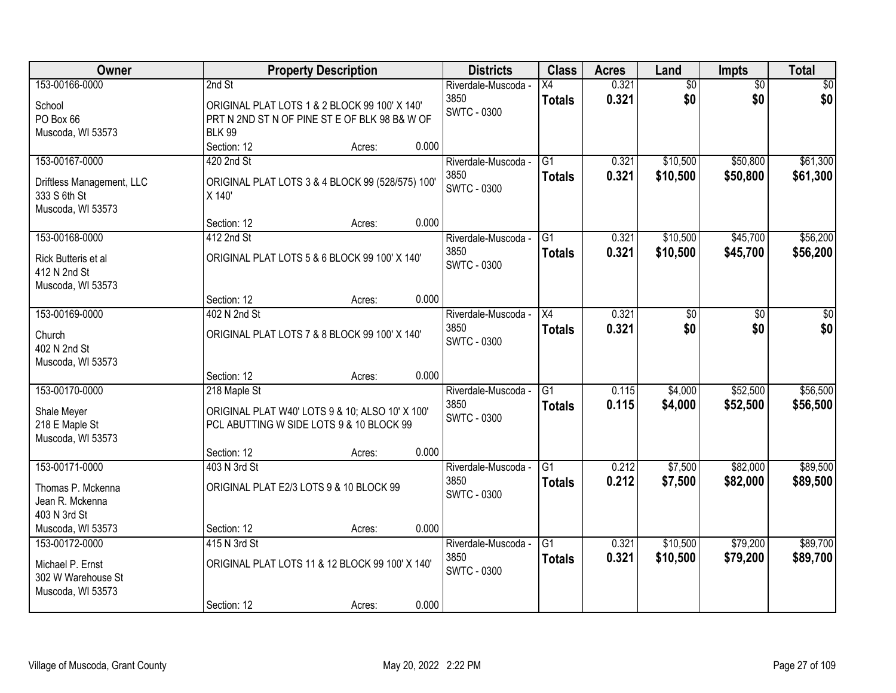| Owner                                                          | <b>Property Description</b>                                                                                     |                 | <b>Districts</b>           | <b>Class</b>    | <b>Acres</b> | Land            | <b>Impts</b>    | <b>Total</b> |
|----------------------------------------------------------------|-----------------------------------------------------------------------------------------------------------------|-----------------|----------------------------|-----------------|--------------|-----------------|-----------------|--------------|
| 153-00166-0000                                                 | 2nd St                                                                                                          |                 | Riverdale-Muscoda -        | X4              | 0.321        | \$0             | $\overline{50}$ | \$0          |
| School<br>PO Box 66<br>Muscoda, WI 53573                       | ORIGINAL PLAT LOTS 1 & 2 BLOCK 99 100' X 140'<br>PRT N 2ND ST N OF PINE ST E OF BLK 98 B& W OF<br><b>BLK 99</b> |                 | 3850<br><b>SWTC - 0300</b> | <b>Totals</b>   | 0.321        | \$0             | \$0             | \$0          |
|                                                                | Section: 12                                                                                                     | 0.000<br>Acres: |                            |                 |              |                 |                 |              |
| 153-00167-0000                                                 | 420 2nd St                                                                                                      |                 | Riverdale-Muscoda -        | G1              | 0.321        | \$10,500        | \$50,800        | \$61,300     |
| Driftless Management, LLC<br>333 S 6th St<br>Muscoda, WI 53573 | ORIGINAL PLAT LOTS 3 & 4 BLOCK 99 (528/575) 100'<br>X 140'                                                      |                 | 3850<br><b>SWTC - 0300</b> | <b>Totals</b>   | 0.321        | \$10,500        | \$50,800        | \$61,300     |
|                                                                | Section: 12                                                                                                     | 0.000<br>Acres: |                            |                 |              |                 |                 |              |
| 153-00168-0000                                                 | 412 2nd St                                                                                                      |                 | Riverdale-Muscoda -        | G1              | 0.321        | \$10,500        | \$45,700        | \$56,200     |
| Rick Butteris et al<br>412 N 2nd St<br>Muscoda, WI 53573       | ORIGINAL PLAT LOTS 5 & 6 BLOCK 99 100' X 140'                                                                   |                 | 3850<br><b>SWTC - 0300</b> | <b>Totals</b>   | 0.321        | \$10,500        | \$45,700        | \$56,200     |
|                                                                | Section: 12                                                                                                     | 0.000<br>Acres: |                            |                 |              |                 |                 |              |
| 153-00169-0000                                                 | 402 N 2nd St                                                                                                    |                 | Riverdale-Muscoda -        | X4              | 0.321        | $\overline{50}$ | \$0             | \$0          |
| Church<br>402 N 2nd St<br>Muscoda, WI 53573                    | ORIGINAL PLAT LOTS 7 & 8 BLOCK 99 100' X 140'                                                                   |                 | 3850<br><b>SWTC - 0300</b> | <b>Totals</b>   | 0.321        | \$0             | \$0             | \$0          |
|                                                                | Section: 12                                                                                                     | 0.000<br>Acres: |                            |                 |              |                 |                 |              |
| 153-00170-0000                                                 | 218 Maple St                                                                                                    |                 | Riverdale-Muscoda -        | $\overline{G1}$ | 0.115        | \$4,000         | \$52,500        | \$56,500     |
| Shale Meyer<br>218 E Maple St<br>Muscoda, WI 53573             | ORIGINAL PLAT W40' LOTS 9 & 10; ALSO 10' X 100'<br>PCL ABUTTING W SIDE LOTS 9 & 10 BLOCK 99                     |                 | 3850<br><b>SWTC - 0300</b> | <b>Totals</b>   | 0.115        | \$4,000         | \$52,500        | \$56,500     |
|                                                                | Section: 12                                                                                                     | 0.000<br>Acres: |                            |                 |              |                 |                 |              |
| 153-00171-0000                                                 | 403 N 3rd St                                                                                                    |                 | Riverdale-Muscoda -        | $\overline{G1}$ | 0.212        | \$7,500         | \$82,000        | \$89,500     |
| Thomas P. Mckenna<br>Jean R. Mckenna<br>403 N 3rd St           | ORIGINAL PLAT E2/3 LOTS 9 & 10 BLOCK 99                                                                         |                 | 3850<br><b>SWTC - 0300</b> | <b>Totals</b>   | 0.212        | \$7,500         | \$82,000        | \$89,500     |
| Muscoda, WI 53573                                              | Section: 12                                                                                                     | 0.000<br>Acres: |                            |                 |              |                 |                 |              |
| 153-00172-0000                                                 | 415 N 3rd St                                                                                                    |                 | Riverdale-Muscoda -        | $\overline{G1}$ | 0.321        | \$10,500        | \$79,200        | \$89,700     |
| Michael P. Ernst<br>302 W Warehouse St<br>Muscoda, WI 53573    | ORIGINAL PLAT LOTS 11 & 12 BLOCK 99 100' X 140'                                                                 |                 | 3850<br><b>SWTC - 0300</b> | <b>Totals</b>   | 0.321        | \$10,500        | \$79,200        | \$89,700     |
|                                                                | Section: 12                                                                                                     | 0.000<br>Acres: |                            |                 |              |                 |                 |              |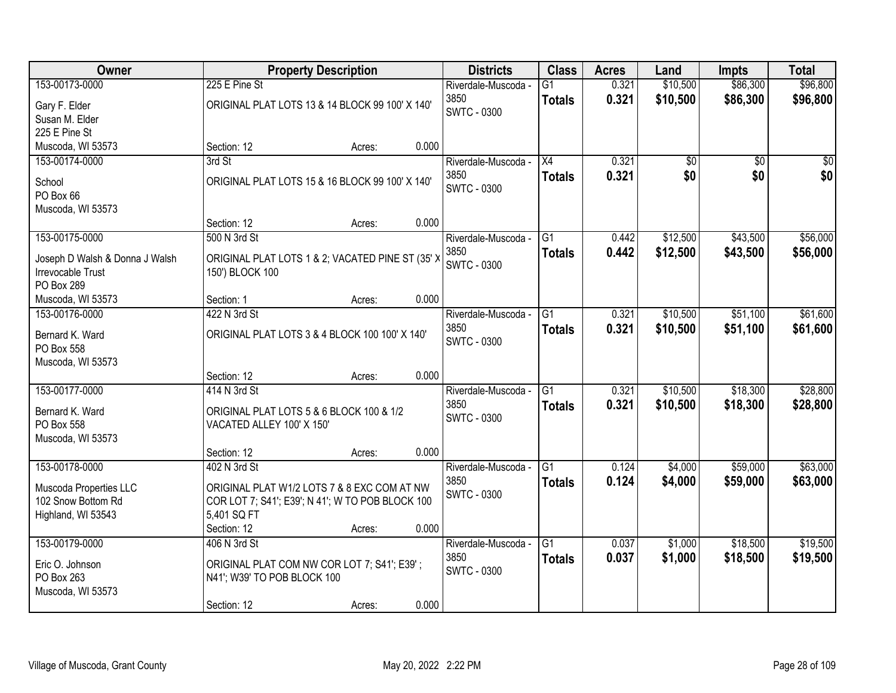| Owner                                                      |                                                                     | <b>Property Description</b> |       | <b>Districts</b>           | <b>Class</b>    | <b>Acres</b> | Land            | <b>Impts</b>    | <b>Total</b>    |
|------------------------------------------------------------|---------------------------------------------------------------------|-----------------------------|-------|----------------------------|-----------------|--------------|-----------------|-----------------|-----------------|
| 153-00173-0000                                             | 225 E Pine St                                                       |                             |       | Riverdale-Muscoda -        | $\overline{G1}$ | 0.321        | \$10,500        | \$86,300        | \$96,800        |
| Gary F. Elder                                              | ORIGINAL PLAT LOTS 13 & 14 BLOCK 99 100' X 140'                     |                             |       | 3850                       | <b>Totals</b>   | 0.321        | \$10,500        | \$86,300        | \$96,800        |
| Susan M. Elder                                             |                                                                     |                             |       | SWTC - 0300                |                 |              |                 |                 |                 |
| 225 E Pine St                                              |                                                                     |                             |       |                            |                 |              |                 |                 |                 |
| Muscoda, WI 53573                                          | Section: 12                                                         | Acres:                      | 0.000 |                            |                 |              |                 |                 |                 |
| 153-00174-0000                                             | 3rd St                                                              |                             |       | Riverdale-Muscoda -        | $\overline{X4}$ | 0.321        | $\overline{50}$ | $\overline{50}$ | $\overline{30}$ |
| School                                                     | ORIGINAL PLAT LOTS 15 & 16 BLOCK 99 100' X 140'                     |                             |       | 3850                       | <b>Totals</b>   | 0.321        | \$0             | \$0             | \$0             |
| PO Box 66                                                  |                                                                     |                             |       | <b>SWTC - 0300</b>         |                 |              |                 |                 |                 |
| Muscoda, WI 53573                                          |                                                                     |                             |       |                            |                 |              |                 |                 |                 |
|                                                            | Section: 12                                                         | Acres:                      | 0.000 |                            |                 |              |                 |                 |                 |
| 153-00175-0000                                             | 500 N 3rd St                                                        |                             |       | Riverdale-Muscoda -        | G1              | 0.442        | \$12,500        | \$43,500        | \$56,000        |
|                                                            |                                                                     |                             |       | 3850                       | <b>Totals</b>   | 0.442        | \$12,500        | \$43,500        | \$56,000        |
| Joseph D Walsh & Donna J Walsh<br><b>Irrevocable Trust</b> | ORIGINAL PLAT LOTS 1 & 2; VACATED PINE ST (35' ><br>150') BLOCK 100 |                             |       | <b>SWTC - 0300</b>         |                 |              |                 |                 |                 |
| PO Box 289                                                 |                                                                     |                             |       |                            |                 |              |                 |                 |                 |
| Muscoda, WI 53573                                          | Section: 1                                                          | Acres:                      | 0.000 |                            |                 |              |                 |                 |                 |
| 153-00176-0000                                             | 422 N 3rd St                                                        |                             |       | Riverdale-Muscoda -        | G1              | 0.321        | \$10,500        | \$51,100        | \$61,600        |
|                                                            |                                                                     |                             |       | 3850                       | <b>Totals</b>   | 0.321        | \$10,500        | \$51,100        | \$61,600        |
| Bernard K. Ward<br>PO Box 558                              | ORIGINAL PLAT LOTS 3 & 4 BLOCK 100 100' X 140'                      |                             |       | SWTC - 0300                |                 |              |                 |                 |                 |
| Muscoda, WI 53573                                          |                                                                     |                             |       |                            |                 |              |                 |                 |                 |
|                                                            | Section: 12                                                         | Acres:                      | 0.000 |                            |                 |              |                 |                 |                 |
| 153-00177-0000                                             | 414 N 3rd St                                                        |                             |       | Riverdale-Muscoda -        | $\overline{G1}$ | 0.321        | \$10,500        | \$18,300        | \$28,800        |
|                                                            |                                                                     |                             |       | 3850                       | <b>Totals</b>   | 0.321        | \$10,500        | \$18,300        | \$28,800        |
| Bernard K. Ward                                            | ORIGINAL PLAT LOTS 5 & 6 BLOCK 100 & 1/2                            |                             |       | <b>SWTC - 0300</b>         |                 |              |                 |                 |                 |
| PO Box 558                                                 | VACATED ALLEY 100' X 150'                                           |                             |       |                            |                 |              |                 |                 |                 |
| Muscoda, WI 53573                                          | Section: 12                                                         |                             | 0.000 |                            |                 |              |                 |                 |                 |
| 153-00178-0000                                             | 402 N 3rd St                                                        | Acres:                      |       | Riverdale-Muscoda -        | $\overline{G1}$ | 0.124        | \$4,000         | \$59,000        | \$63,000        |
|                                                            |                                                                     |                             |       | 3850                       |                 | 0.124        | \$4,000         | \$59,000        | \$63,000        |
| Muscoda Properties LLC                                     | ORIGINAL PLAT W1/2 LOTS 7 & 8 EXC COM AT NW                         |                             |       | <b>SWTC - 0300</b>         | <b>Totals</b>   |              |                 |                 |                 |
| 102 Snow Bottom Rd                                         | COR LOT 7; S41'; E39'; N 41'; W TO POB BLOCK 100                    |                             |       |                            |                 |              |                 |                 |                 |
| Highland, WI 53543                                         | 5,401 SQ FT                                                         |                             |       |                            |                 |              |                 |                 |                 |
|                                                            | Section: 12                                                         | Acres:                      | 0.000 |                            |                 |              |                 |                 |                 |
| 153-00179-0000                                             | 406 N 3rd St                                                        |                             |       | Riverdale-Muscoda -        | $\overline{G1}$ | 0.037        | \$1,000         | \$18,500        | \$19,500        |
| Eric O. Johnson                                            | ORIGINAL PLAT COM NW COR LOT 7; S41'; E39';                         |                             |       | 3850<br><b>SWTC - 0300</b> | <b>Totals</b>   | 0.037        | \$1,000         | \$18,500        | \$19,500        |
| PO Box 263                                                 | N41'; W39' TO POB BLOCK 100                                         |                             |       |                            |                 |              |                 |                 |                 |
| Muscoda, WI 53573                                          |                                                                     |                             |       |                            |                 |              |                 |                 |                 |
|                                                            | Section: 12                                                         | Acres:                      | 0.000 |                            |                 |              |                 |                 |                 |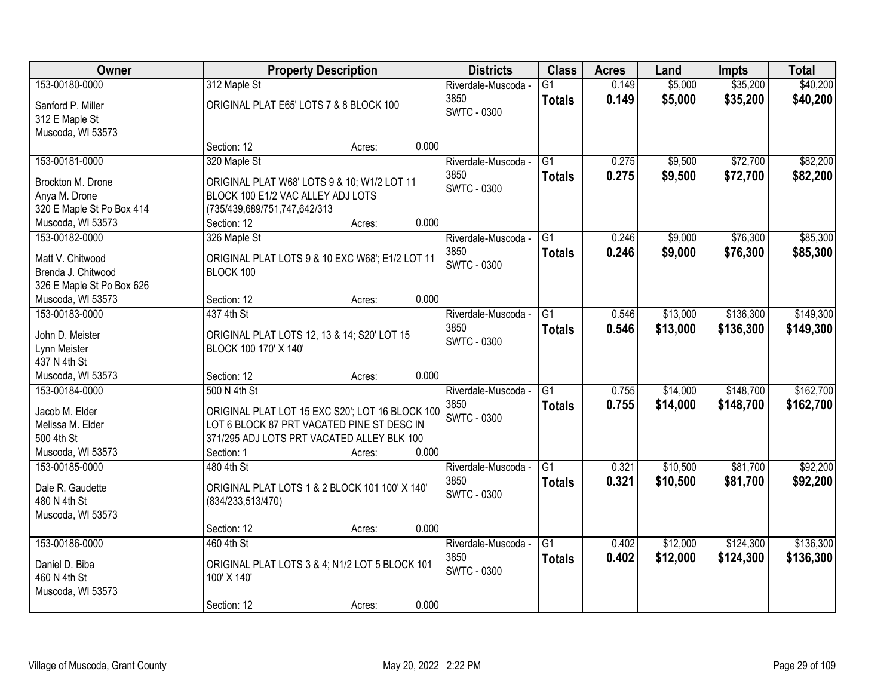| Owner                               |                                         | <b>Property Description</b>                     |       | <b>Districts</b>    | <b>Class</b>    | <b>Acres</b> | Land     | Impts     | <b>Total</b> |
|-------------------------------------|-----------------------------------------|-------------------------------------------------|-------|---------------------|-----------------|--------------|----------|-----------|--------------|
| 153-00180-0000                      | 312 Maple St                            |                                                 |       | Riverdale-Muscoda - | $\overline{G1}$ | 0.149        | \$5,000  | \$35,200  | \$40,200     |
| Sanford P. Miller                   | ORIGINAL PLAT E65' LOTS 7 & 8 BLOCK 100 |                                                 |       | 3850                | <b>Totals</b>   | 0.149        | \$5,000  | \$35,200  | \$40,200     |
| 312 E Maple St                      |                                         |                                                 |       | <b>SWTC - 0300</b>  |                 |              |          |           |              |
| Muscoda, WI 53573                   |                                         |                                                 |       |                     |                 |              |          |           |              |
|                                     | Section: 12                             | Acres:                                          | 0.000 |                     |                 |              |          |           |              |
| 153-00181-0000                      | 320 Maple St                            |                                                 |       | Riverdale-Muscoda - | $\overline{G1}$ | 0.275        | \$9,500  | \$72,700  | \$82,200     |
| Brockton M. Drone                   |                                         | ORIGINAL PLAT W68' LOTS 9 & 10; W1/2 LOT 11     |       | 3850                | <b>Totals</b>   | 0.275        | \$9,500  | \$72,700  | \$82,200     |
| Anya M. Drone                       | BLOCK 100 E1/2 VAC ALLEY ADJ LOTS       |                                                 |       | SWTC - 0300         |                 |              |          |           |              |
| 320 E Maple St Po Box 414           | (735/439,689/751,747,642/313            |                                                 |       |                     |                 |              |          |           |              |
| Muscoda, WI 53573                   | Section: 12                             | Acres:                                          | 0.000 |                     |                 |              |          |           |              |
| 153-00182-0000                      | 326 Maple St                            |                                                 |       | Riverdale-Muscoda - | G1              | 0.246        | \$9,000  | \$76,300  | \$85,300     |
|                                     |                                         |                                                 |       | 3850                | <b>Totals</b>   | 0.246        | \$9,000  | \$76,300  | \$85,300     |
| Matt V. Chitwood                    |                                         | ORIGINAL PLAT LOTS 9 & 10 EXC W68'; E1/2 LOT 11 |       | <b>SWTC - 0300</b>  |                 |              |          |           |              |
| Brenda J. Chitwood                  | BLOCK 100                               |                                                 |       |                     |                 |              |          |           |              |
| 326 E Maple St Po Box 626           | Section: 12                             |                                                 | 0.000 |                     |                 |              |          |           |              |
| Muscoda, WI 53573<br>153-00183-0000 | 437 4th St                              | Acres:                                          |       | Riverdale-Muscoda - | G1              | 0.546        | \$13,000 | \$136,300 | \$149,300    |
|                                     |                                         |                                                 |       | 3850                |                 |              |          |           |              |
| John D. Meister                     |                                         | ORIGINAL PLAT LOTS 12, 13 & 14; S20' LOT 15     |       | <b>SWTC - 0300</b>  | <b>Totals</b>   | 0.546        | \$13,000 | \$136,300 | \$149,300    |
| Lynn Meister                        | BLOCK 100 170' X 140'                   |                                                 |       |                     |                 |              |          |           |              |
| 437 N 4th St                        |                                         |                                                 |       |                     |                 |              |          |           |              |
| Muscoda, WI 53573                   | Section: 12                             | Acres:                                          | 0.000 |                     |                 |              |          |           |              |
| 153-00184-0000                      | 500 N 4th St                            |                                                 |       | Riverdale-Muscoda - | $\overline{G1}$ | 0.755        | \$14,000 | \$148,700 | \$162,700    |
| Jacob M. Elder                      |                                         | ORIGINAL PLAT LOT 15 EXC S20"; LOT 16 BLOCK 100 |       | 3850                | <b>Totals</b>   | 0.755        | \$14,000 | \$148,700 | \$162,700    |
| Melissa M. Elder                    |                                         | LOT 6 BLOCK 87 PRT VACATED PINE ST DESC IN      |       | <b>SWTC - 0300</b>  |                 |              |          |           |              |
| 500 4th St                          |                                         | 371/295 ADJ LOTS PRT VACATED ALLEY BLK 100      |       |                     |                 |              |          |           |              |
| Muscoda, WI 53573                   | Section: 1                              | Acres:                                          | 0.000 |                     |                 |              |          |           |              |
| 153-00185-0000                      | 480 4th St                              |                                                 |       | Riverdale-Muscoda - | $\overline{G1}$ | 0.321        | \$10,500 | \$81,700  | \$92,200     |
|                                     |                                         |                                                 |       | 3850                | <b>Totals</b>   | 0.321        | \$10,500 | \$81,700  | \$92,200     |
| Dale R. Gaudette                    |                                         | ORIGINAL PLAT LOTS 1 & 2 BLOCK 101 100' X 140'  |       | <b>SWTC - 0300</b>  |                 |              |          |           |              |
| 480 N 4th St                        | (834/233,513/470)                       |                                                 |       |                     |                 |              |          |           |              |
| Muscoda, WI 53573                   | Section: 12                             |                                                 | 0.000 |                     |                 |              |          |           |              |
| 153-00186-0000                      | 460 4th St                              | Acres:                                          |       | Riverdale-Muscoda - | $\overline{G1}$ | 0.402        | \$12,000 | \$124,300 | \$136,300    |
|                                     |                                         |                                                 |       | 3850                |                 | 0.402        | \$12,000 | \$124,300 |              |
| Daniel D. Biba                      |                                         | ORIGINAL PLAT LOTS 3 & 4; N1/2 LOT 5 BLOCK 101  |       | <b>SWTC - 0300</b>  | <b>Totals</b>   |              |          |           | \$136,300    |
| 460 N 4th St                        | 100' X 140'                             |                                                 |       |                     |                 |              |          |           |              |
| Muscoda, WI 53573                   |                                         |                                                 |       |                     |                 |              |          |           |              |
|                                     | Section: 12                             | Acres:                                          | 0.000 |                     |                 |              |          |           |              |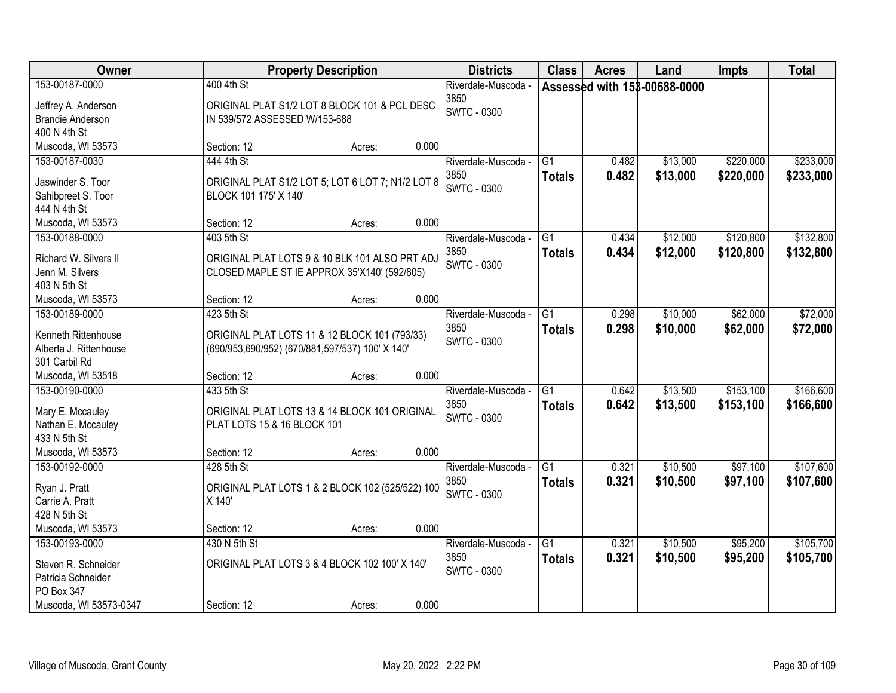| Owner                               |                               | <b>Property Description</b>                       |       | <b>Districts</b>            | <b>Class</b>    | <b>Acres</b> | Land                         | <b>Impts</b> | <b>Total</b> |
|-------------------------------------|-------------------------------|---------------------------------------------------|-------|-----------------------------|-----------------|--------------|------------------------------|--------------|--------------|
| 153-00187-0000                      | 400 4th St                    |                                                   |       | Riverdale-Muscoda -         |                 |              | Assessed with 153-00688-0000 |              |              |
| Jeffrey A. Anderson                 |                               | ORIGINAL PLAT S1/2 LOT 8 BLOCK 101 & PCL DESC     |       | 3850                        |                 |              |                              |              |              |
| <b>Brandie Anderson</b>             | IN 539/572 ASSESSED W/153-688 |                                                   |       | <b>SWTC - 0300</b>          |                 |              |                              |              |              |
| 400 N 4th St                        |                               |                                                   |       |                             |                 |              |                              |              |              |
| Muscoda, WI 53573                   | Section: 12                   | Acres:                                            | 0.000 |                             |                 |              |                              |              |              |
| 153-00187-0030                      | 444 4th St                    |                                                   |       | Riverdale-Muscoda -         | $\overline{G1}$ | 0.482        | \$13,000                     | \$220,000    | \$233,000    |
| Jaswinder S. Toor                   |                               | ORIGINAL PLAT S1/2 LOT 5; LOT 6 LOT 7; N1/2 LOT 8 |       | 3850                        | <b>Totals</b>   | 0.482        | \$13,000                     | \$220,000    | \$233,000    |
| Sahibpreet S. Toor                  | BLOCK 101 175' X 140'         |                                                   |       | <b>SWTC - 0300</b>          |                 |              |                              |              |              |
| 444 N 4th St                        |                               |                                                   |       |                             |                 |              |                              |              |              |
| Muscoda, WI 53573                   | Section: 12                   | Acres:                                            | 0.000 |                             |                 |              |                              |              |              |
| 153-00188-0000                      | 403 5th St                    |                                                   |       | Riverdale-Muscoda -         | G1              | 0.434        | \$12,000                     | \$120,800    | \$132,800    |
|                                     |                               |                                                   |       | 3850                        | <b>Totals</b>   | 0.434        | \$12,000                     | \$120,800    | \$132,800    |
| Richard W. Silvers II               |                               | ORIGINAL PLAT LOTS 9 & 10 BLK 101 ALSO PRT ADJ    |       | <b>SWTC - 0300</b>          |                 |              |                              |              |              |
| Jenn M. Silvers                     |                               | CLOSED MAPLE ST IE APPROX 35'X140' (592/805)      |       |                             |                 |              |                              |              |              |
| 403 N 5th St                        |                               |                                                   | 0.000 |                             |                 |              |                              |              |              |
| Muscoda, WI 53573<br>153-00189-0000 | Section: 12<br>423 5th St     | Acres:                                            |       |                             | $\overline{G1}$ | 0.298        | \$10,000                     | \$62,000     | \$72,000     |
|                                     |                               |                                                   |       | Riverdale-Muscoda -<br>3850 |                 |              |                              |              |              |
| Kenneth Rittenhouse                 |                               | ORIGINAL PLAT LOTS 11 & 12 BLOCK 101 (793/33)     |       | <b>SWTC - 0300</b>          | <b>Totals</b>   | 0.298        | \$10,000                     | \$62,000     | \$72,000     |
| Alberta J. Rittenhouse              |                               | (690/953,690/952) (670/881,597/537) 100' X 140'   |       |                             |                 |              |                              |              |              |
| 301 Carbil Rd                       |                               |                                                   |       |                             |                 |              |                              |              |              |
| Muscoda, WI 53518                   | Section: 12                   | Acres:                                            | 0.000 |                             |                 |              |                              |              |              |
| 153-00190-0000                      | 433 5th St                    |                                                   |       | Riverdale-Muscoda -         | $\overline{G1}$ | 0.642        | \$13,500                     | \$153,100    | \$166,600    |
| Mary E. Mccauley                    |                               | ORIGINAL PLAT LOTS 13 & 14 BLOCK 101 ORIGINAL     |       | 3850                        | <b>Totals</b>   | 0.642        | \$13,500                     | \$153,100    | \$166,600    |
| Nathan E. Mccauley                  | PLAT LOTS 15 & 16 BLOCK 101   |                                                   |       | <b>SWTC - 0300</b>          |                 |              |                              |              |              |
| 433 N 5th St                        |                               |                                                   |       |                             |                 |              |                              |              |              |
| Muscoda, WI 53573                   | Section: 12                   | Acres:                                            | 0.000 |                             |                 |              |                              |              |              |
| 153-00192-0000                      | 428 5th St                    |                                                   |       | Riverdale-Muscoda -         | G1              | 0.321        | \$10,500                     | \$97,100     | \$107,600    |
|                                     |                               |                                                   |       | 3850                        | <b>Totals</b>   | 0.321        | \$10,500                     | \$97,100     | \$107,600    |
| Ryan J. Pratt                       |                               | ORIGINAL PLAT LOTS 1 & 2 BLOCK 102 (525/522) 100  |       | <b>SWTC - 0300</b>          |                 |              |                              |              |              |
| Carrie A. Pratt                     | X 140'                        |                                                   |       |                             |                 |              |                              |              |              |
| 428 N 5th St<br>Muscoda, WI 53573   | Section: 12                   | Acres:                                            | 0.000 |                             |                 |              |                              |              |              |
|                                     |                               |                                                   |       |                             | $\overline{G1}$ | 0.321        | \$10,500                     | \$95,200     | \$105,700    |
| 153-00193-0000                      | 430 N 5th St                  |                                                   |       | Riverdale-Muscoda -<br>3850 |                 |              |                              |              |              |
| Steven R. Schneider                 |                               | ORIGINAL PLAT LOTS 3 & 4 BLOCK 102 100' X 140'    |       | <b>SWTC - 0300</b>          | <b>Totals</b>   | 0.321        | \$10,500                     | \$95,200     | \$105,700    |
| Patricia Schneider                  |                               |                                                   |       |                             |                 |              |                              |              |              |
| PO Box 347                          |                               |                                                   |       |                             |                 |              |                              |              |              |
| Muscoda, WI 53573-0347              | Section: 12                   | Acres:                                            | 0.000 |                             |                 |              |                              |              |              |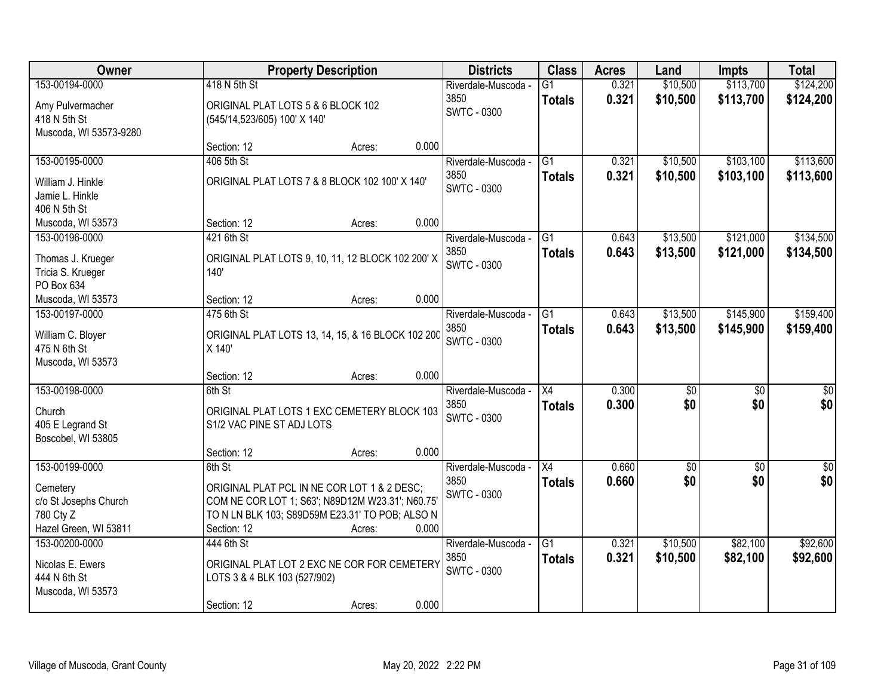| Owner                                  |                                                                    | <b>Property Description</b>                       |       | <b>Districts</b>            | <b>Class</b>                     | <b>Acres</b>   | Land                 | <b>Impts</b>           | <b>Total</b>           |
|----------------------------------------|--------------------------------------------------------------------|---------------------------------------------------|-------|-----------------------------|----------------------------------|----------------|----------------------|------------------------|------------------------|
| 153-00194-0000                         | 418 N 5th St                                                       |                                                   |       | Riverdale-Muscoda -<br>3850 | $\overline{G1}$<br><b>Totals</b> | 0.321<br>0.321 | \$10,500<br>\$10,500 | \$113,700<br>\$113,700 | \$124,200<br>\$124,200 |
| Amy Pulvermacher<br>418 N 5th St       | ORIGINAL PLAT LOTS 5 & 6 BLOCK 102<br>(545/14,523/605) 100' X 140' |                                                   |       | <b>SWTC - 0300</b>          |                                  |                |                      |                        |                        |
| Muscoda, WI 53573-9280                 | Section: 12                                                        | Acres:                                            | 0.000 |                             |                                  |                |                      |                        |                        |
| 153-00195-0000                         | 406 5th St                                                         |                                                   |       | Riverdale-Muscoda -         | $\overline{G1}$                  | 0.321          | \$10,500             | \$103,100              | \$113,600              |
| William J. Hinkle<br>Jamie L. Hinkle   |                                                                    | ORIGINAL PLAT LOTS 7 & 8 BLOCK 102 100' X 140'    |       | 3850<br><b>SWTC - 0300</b>  | <b>Totals</b>                    | 0.321          | \$10,500             | \$103,100              | \$113,600              |
| 406 N 5th St                           |                                                                    |                                                   |       |                             |                                  |                |                      |                        |                        |
| Muscoda, WI 53573                      | Section: 12                                                        | Acres:                                            | 0.000 |                             |                                  |                |                      |                        |                        |
| 153-00196-0000                         | 421 6th St                                                         |                                                   |       | Riverdale-Muscoda -         | G1                               | 0.643          | \$13,500             | \$121,000              | \$134,500              |
| Thomas J. Krueger<br>Tricia S. Krueger | 140'                                                               | ORIGINAL PLAT LOTS 9, 10, 11, 12 BLOCK 102 200' X |       | 3850<br>SWTC - 0300         | <b>Totals</b>                    | 0.643          | \$13,500             | \$121,000              | \$134,500              |
| PO Box 634                             |                                                                    |                                                   |       |                             |                                  |                |                      |                        |                        |
| Muscoda, WI 53573                      | Section: 12                                                        | Acres:                                            | 0.000 |                             |                                  |                |                      |                        |                        |
| 153-00197-0000                         | 475 6th St                                                         |                                                   |       | Riverdale-Muscoda -         | G1                               | 0.643          | \$13,500             | \$145,900              | \$159,400              |
| William C. Bloyer<br>475 N 6th St      | X 140'                                                             | ORIGINAL PLAT LOTS 13, 14, 15, & 16 BLOCK 102 200 |       | 3850<br>SWTC - 0300         | <b>Totals</b>                    | 0.643          | \$13,500             | \$145,900              | \$159,400              |
| Muscoda, WI 53573                      | Section: 12                                                        | Acres:                                            | 0.000 |                             |                                  |                |                      |                        |                        |
| 153-00198-0000                         | 6th St                                                             |                                                   |       | Riverdale-Muscoda -         | $\overline{X4}$                  | 0.300          | $\overline{50}$      | $\overline{30}$        | $\overline{30}$        |
| Church                                 |                                                                    | ORIGINAL PLAT LOTS 1 EXC CEMETERY BLOCK 103       |       | 3850                        | <b>Totals</b>                    | 0.300          | \$0                  | \$0                    | \$0                    |
| 405 E Legrand St<br>Boscobel, WI 53805 | S1/2 VAC PINE ST ADJ LOTS                                          |                                                   |       | <b>SWTC - 0300</b>          |                                  |                |                      |                        |                        |
|                                        | Section: 12                                                        | Acres:                                            | 0.000 |                             |                                  |                |                      |                        |                        |
| 153-00199-0000                         | 6th St                                                             |                                                   |       | Riverdale-Muscoda -         | $\overline{X4}$                  | 0.660          | $\overline{50}$      | $\overline{50}$        | $\overline{\$0}$       |
| Cemetery                               |                                                                    | ORIGINAL PLAT PCL IN NE COR LOT 1 & 2 DESC;       |       | 3850<br><b>SWTC - 0300</b>  | <b>Totals</b>                    | 0.660          | \$0                  | \$0                    | \$0                    |
| c/o St Josephs Church                  |                                                                    | COM NE COR LOT 1; S63'; N89D12M W23.31'; N60.75'  |       |                             |                                  |                |                      |                        |                        |
| 780 Cty Z<br>Hazel Green, WI 53811     | Section: 12                                                        | TO N LN BLK 103; S89D59M E23.31' TO POB; ALSO N   | 0.000 |                             |                                  |                |                      |                        |                        |
| 153-00200-0000                         | 444 6th St                                                         | Acres:                                            |       | Riverdale-Muscoda -         | $\overline{G1}$                  | 0.321          | \$10,500             | \$82,100               | \$92,600               |
|                                        |                                                                    |                                                   |       | 3850                        | <b>Totals</b>                    | 0.321          | \$10,500             | \$82,100               | \$92,600               |
| Nicolas E. Ewers<br>444 N 6th St       | LOTS 3 & 4 BLK 103 (527/902)                                       | ORIGINAL PLAT LOT 2 EXC NE COR FOR CEMETERY       |       | <b>SWTC - 0300</b>          |                                  |                |                      |                        |                        |
| Muscoda, WI 53573                      |                                                                    |                                                   |       |                             |                                  |                |                      |                        |                        |
|                                        | Section: 12                                                        | Acres:                                            | 0.000 |                             |                                  |                |                      |                        |                        |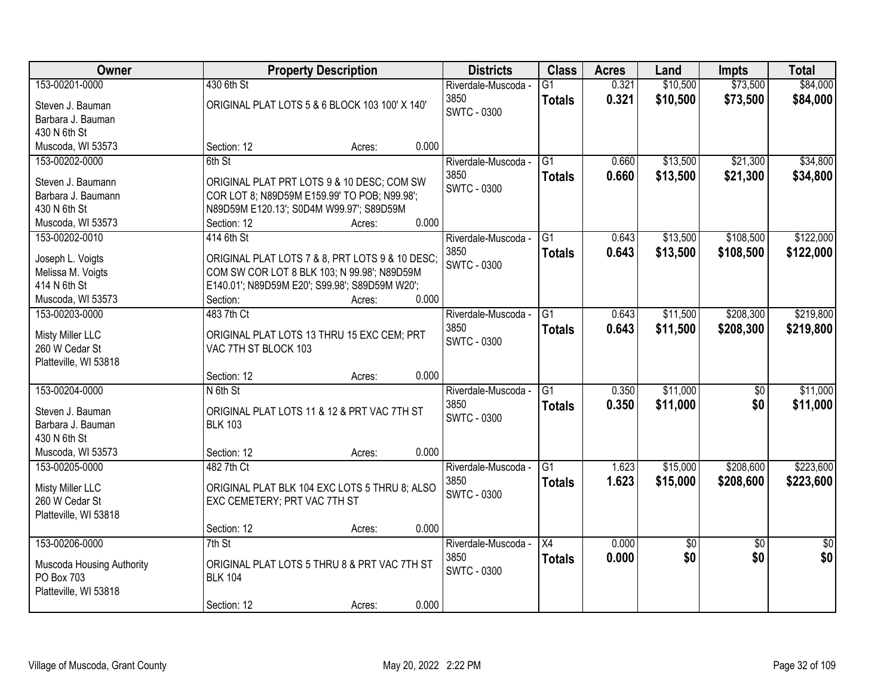| Owner                                   |                                                                                            | <b>Property Description</b> |       | <b>Districts</b>    | <b>Class</b>    | <b>Acres</b> | Land        | <b>Impts</b>    | <b>Total</b>    |
|-----------------------------------------|--------------------------------------------------------------------------------------------|-----------------------------|-------|---------------------|-----------------|--------------|-------------|-----------------|-----------------|
| 153-00201-0000                          | 430 6th St                                                                                 |                             |       | Riverdale-Muscoda - | G1              | 0.321        | \$10,500    | \$73,500        | \$84,000        |
| Steven J. Bauman                        | ORIGINAL PLAT LOTS 5 & 6 BLOCK 103 100' X 140'                                             |                             |       | 3850                | <b>Totals</b>   | 0.321        | \$10,500    | \$73,500        | \$84,000        |
| Barbara J. Bauman                       |                                                                                            |                             |       | <b>SWTC - 0300</b>  |                 |              |             |                 |                 |
| 430 N 6th St                            |                                                                                            |                             |       |                     |                 |              |             |                 |                 |
| Muscoda, WI 53573                       | Section: 12                                                                                | Acres:                      | 0.000 |                     |                 |              |             |                 |                 |
| 153-00202-0000                          | 6th St                                                                                     |                             |       | Riverdale-Muscoda - | G1              | 0.660        | \$13,500    | \$21,300        | \$34,800        |
|                                         |                                                                                            |                             |       | 3850                | <b>Totals</b>   | 0.660        | \$13,500    | \$21,300        | \$34,800        |
| Steven J. Baumann<br>Barbara J. Baumann | ORIGINAL PLAT PRT LOTS 9 & 10 DESC; COM SW<br>COR LOT 8; N89D59M E159.99' TO POB; N99.98'; |                             |       | SWTC - 0300         |                 |              |             |                 |                 |
| 430 N 6th St                            | N89D59M E120.13'; S0D4M W99.97'; S89D59M                                                   |                             |       |                     |                 |              |             |                 |                 |
| Muscoda, WI 53573                       | Section: 12                                                                                | Acres:                      | 0.000 |                     |                 |              |             |                 |                 |
| 153-00202-0010                          | 414 6th St                                                                                 |                             |       | Riverdale-Muscoda - | $\overline{G1}$ | 0.643        | \$13,500    | \$108,500       | \$122,000       |
|                                         |                                                                                            |                             |       | 3850                |                 | 0.643        | \$13,500    | \$108,500       | \$122,000       |
| Joseph L. Voigts                        | ORIGINAL PLAT LOTS 7 & 8, PRT LOTS 9 & 10 DESC;                                            |                             |       | <b>SWTC - 0300</b>  | <b>Totals</b>   |              |             |                 |                 |
| Melissa M. Voigts                       | COM SW COR LOT 8 BLK 103; N 99.98'; N89D59M                                                |                             |       |                     |                 |              |             |                 |                 |
| 414 N 6th St                            | E140.01'; N89D59M E20'; S99.98'; S89D59M W20';                                             |                             |       |                     |                 |              |             |                 |                 |
| Muscoda, WI 53573                       | Section:                                                                                   | Acres:                      | 0.000 |                     |                 |              |             |                 |                 |
| 153-00203-0000                          | 483 7th Ct                                                                                 |                             |       | Riverdale-Muscoda - | G1              | 0.643        | \$11,500    | \$208,300       | \$219,800       |
| Misty Miller LLC                        | ORIGINAL PLAT LOTS 13 THRU 15 EXC CEM; PRT                                                 |                             |       | 3850                | <b>Totals</b>   | 0.643        | \$11,500    | \$208,300       | \$219,800       |
| 260 W Cedar St                          | VAC 7TH ST BLOCK 103                                                                       |                             |       | <b>SWTC - 0300</b>  |                 |              |             |                 |                 |
| Platteville, WI 53818                   |                                                                                            |                             |       |                     |                 |              |             |                 |                 |
|                                         | Section: 12                                                                                | Acres:                      | 0.000 |                     |                 |              |             |                 |                 |
| 153-00204-0000                          | N 6th St                                                                                   |                             |       | Riverdale-Muscoda - | $\overline{G1}$ | 0.350        | \$11,000    | \$0             | \$11,000        |
|                                         |                                                                                            |                             |       | 3850                | <b>Totals</b>   | 0.350        | \$11,000    | \$0             | \$11,000        |
| Steven J. Bauman                        | ORIGINAL PLAT LOTS 11 & 12 & PRT VAC 7TH ST                                                |                             |       | <b>SWTC - 0300</b>  |                 |              |             |                 |                 |
| Barbara J. Bauman                       | <b>BLK 103</b>                                                                             |                             |       |                     |                 |              |             |                 |                 |
| 430 N 6th St                            |                                                                                            |                             |       |                     |                 |              |             |                 |                 |
| Muscoda, WI 53573                       | Section: 12                                                                                | Acres:                      | 0.000 |                     |                 |              |             |                 |                 |
| 153-00205-0000                          | 482 7th Ct                                                                                 |                             |       | Riverdale-Muscoda - | G1              | 1.623        | \$15,000    | \$208,600       | \$223,600       |
| Misty Miller LLC                        | ORIGINAL PLAT BLK 104 EXC LOTS 5 THRU 8; ALSO                                              |                             |       | 3850                | <b>Totals</b>   | 1.623        | \$15,000    | \$208,600       | \$223,600       |
| 260 W Cedar St                          | EXC CEMETERY; PRT VAC 7TH ST                                                               |                             |       | <b>SWTC - 0300</b>  |                 |              |             |                 |                 |
| Platteville, WI 53818                   |                                                                                            |                             |       |                     |                 |              |             |                 |                 |
|                                         | Section: 12                                                                                | Acres:                      | 0.000 |                     |                 |              |             |                 |                 |
| 153-00206-0000                          | 7th St                                                                                     |                             |       | Riverdale-Muscoda - | $\overline{X4}$ | 0.000        | $\sqrt{50}$ | $\overline{30}$ | $\overline{50}$ |
| Muscoda Housing Authority               | ORIGINAL PLAT LOTS 5 THRU 8 & PRT VAC 7TH ST                                               |                             |       | 3850                | <b>Totals</b>   | 0.000        | \$0         | \$0             | \$0             |
| PO Box 703                              | <b>BLK 104</b>                                                                             |                             |       | <b>SWTC - 0300</b>  |                 |              |             |                 |                 |
| Platteville, WI 53818                   |                                                                                            |                             |       |                     |                 |              |             |                 |                 |
|                                         | Section: 12                                                                                | Acres:                      | 0.000 |                     |                 |              |             |                 |                 |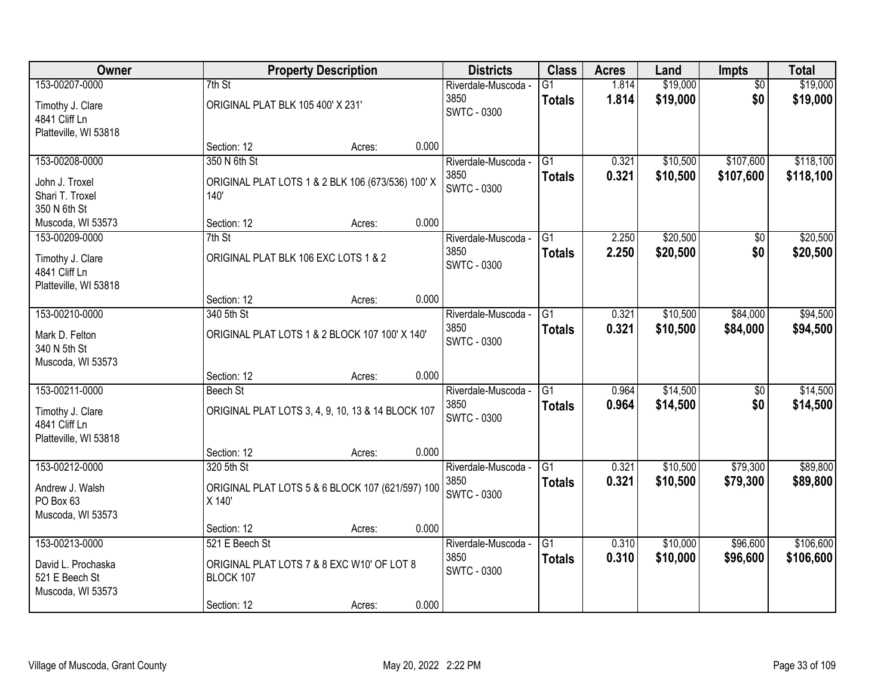| Owner                                                      |                                             | <b>Property Description</b>                       |       | <b>Districts</b>                                  | <b>Class</b>                     | <b>Acres</b>   | Land                 | <b>Impts</b>           | <b>Total</b>           |
|------------------------------------------------------------|---------------------------------------------|---------------------------------------------------|-------|---------------------------------------------------|----------------------------------|----------------|----------------------|------------------------|------------------------|
| 153-00207-0000<br>Timothy J. Clare<br>4841 Cliff Ln        | 7th St<br>ORIGINAL PLAT BLK 105 400' X 231' |                                                   |       | Riverdale-Muscoda -<br>3850<br><b>SWTC - 0300</b> | G1<br><b>Totals</b>              | 1.814<br>1.814 | \$19,000<br>\$19,000 | $\overline{50}$<br>\$0 | \$19,000<br>\$19,000   |
| Platteville, WI 53818                                      | Section: 12                                 | Acres:                                            | 0.000 |                                                   |                                  |                |                      |                        |                        |
| 153-00208-0000<br>John J. Troxel                           | 350 N 6th St                                | ORIGINAL PLAT LOTS 1 & 2 BLK 106 (673/536) 100' X |       | Riverdale-Muscoda -<br>3850                       | $\overline{G1}$<br><b>Totals</b> | 0.321<br>0.321 | \$10,500<br>\$10,500 | \$107,600<br>\$107,600 | \$118,100<br>\$118,100 |
| Shari T. Troxel<br>350 N 6th St                            | 140'                                        |                                                   |       | <b>SWTC - 0300</b>                                |                                  |                |                      |                        |                        |
| Muscoda, WI 53573                                          | Section: 12                                 | Acres:                                            | 0.000 |                                                   |                                  |                |                      |                        |                        |
| 153-00209-0000                                             | 7th St                                      |                                                   |       | Riverdale-Muscoda -                               | G1                               | 2.250          | \$20,500             | \$0                    | \$20,500               |
| Timothy J. Clare<br>4841 Cliff Ln<br>Platteville, WI 53818 | ORIGINAL PLAT BLK 106 EXC LOTS 1 & 2        |                                                   |       | 3850<br><b>SWTC - 0300</b>                        | <b>Totals</b>                    | 2.250          | \$20,500             | \$0                    | \$20,500               |
|                                                            | Section: 12                                 | Acres:                                            | 0.000 |                                                   |                                  |                |                      |                        |                        |
| 153-00210-0000                                             | 340 5th St                                  |                                                   |       | Riverdale-Muscoda -                               | G1                               | 0.321          | \$10,500             | \$84,000               | \$94,500               |
| Mark D. Felton<br>340 N 5th St<br>Muscoda, WI 53573        |                                             | ORIGINAL PLAT LOTS 1 & 2 BLOCK 107 100' X 140'    |       | 3850<br>SWTC - 0300                               | <b>Totals</b>                    | 0.321          | \$10,500             | \$84,000               | \$94,500               |
|                                                            | Section: 12                                 | Acres:                                            | 0.000 |                                                   |                                  |                |                      |                        |                        |
| 153-00211-0000                                             | <b>Beech St</b>                             |                                                   |       | Riverdale-Muscoda -<br>3850                       | $\overline{G1}$<br><b>Totals</b> | 0.964<br>0.964 | \$14,500<br>\$14,500 | $\overline{50}$<br>\$0 | \$14,500<br>\$14,500   |
| Timothy J. Clare<br>4841 Cliff Ln                          |                                             | ORIGINAL PLAT LOTS 3, 4, 9, 10, 13 & 14 BLOCK 107 |       | <b>SWTC - 0300</b>                                |                                  |                |                      |                        |                        |
| Platteville, WI 53818                                      |                                             |                                                   | 0.000 |                                                   |                                  |                |                      |                        |                        |
| 153-00212-0000                                             | Section: 12<br>320 5th St                   | Acres:                                            |       | Riverdale-Muscoda -                               | $\overline{G1}$                  | 0.321          | \$10,500             | \$79,300               | \$89,800               |
| Andrew J. Walsh<br>PO Box 63<br>Muscoda, WI 53573          | X 140'                                      | ORIGINAL PLAT LOTS 5 & 6 BLOCK 107 (621/597) 100  |       | 3850<br>SWTC - 0300                               | <b>Totals</b>                    | 0.321          | \$10,500             | \$79,300               | \$89,800               |
|                                                            | Section: 12                                 | Acres:                                            | 0.000 |                                                   |                                  |                |                      |                        |                        |
| 153-00213-0000                                             | 521 E Beech St                              |                                                   |       | Riverdale-Muscoda -                               | G1                               | 0.310          | \$10,000             | \$96,600               | \$106,600              |
| David L. Prochaska<br>521 E Beech St<br>Muscoda, WI 53573  | BLOCK 107                                   | ORIGINAL PLAT LOTS 7 & 8 EXC W10' OF LOT 8        |       | 3850<br><b>SWTC - 0300</b>                        | <b>Totals</b>                    | 0.310          | \$10,000             | \$96,600               | \$106,600              |
|                                                            | Section: 12                                 | Acres:                                            | 0.000 |                                                   |                                  |                |                      |                        |                        |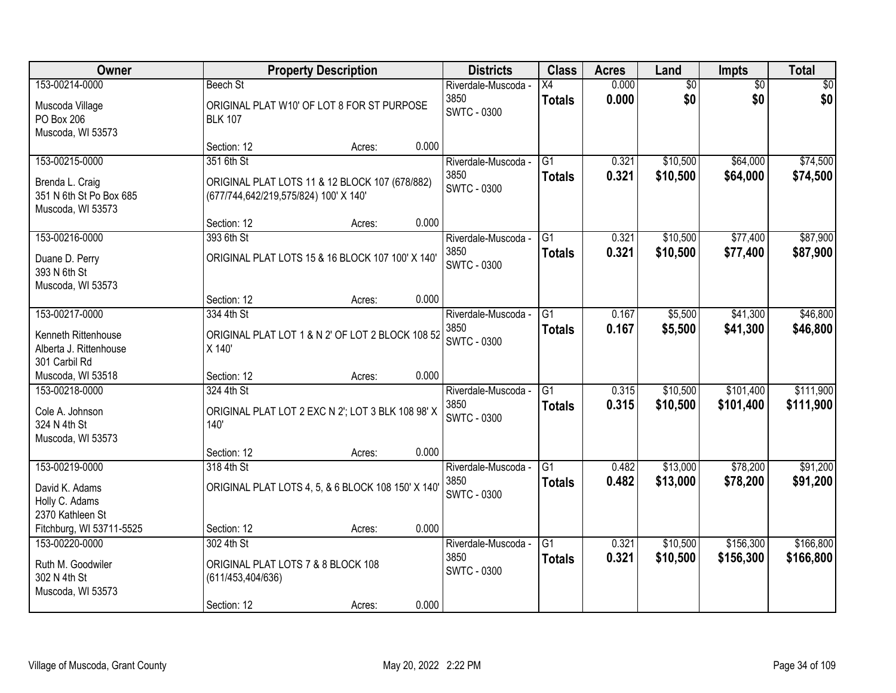| Owner                                                          |                                                              | <b>Property Description</b> |       | <b>Districts</b>            | <b>Class</b>                     | <b>Acres</b>   | Land                 | <b>Impts</b>         | <b>Total</b>         |
|----------------------------------------------------------------|--------------------------------------------------------------|-----------------------------|-------|-----------------------------|----------------------------------|----------------|----------------------|----------------------|----------------------|
| 153-00214-0000                                                 | <b>Beech St</b>                                              |                             |       | Riverdale-Muscoda -         | X4                               | 0.000          | $\overline{60}$      | $\overline{50}$      | \$0                  |
| Muscoda Village<br>PO Box 206<br>Muscoda, WI 53573             | ORIGINAL PLAT W10' OF LOT 8 FOR ST PURPOSE<br><b>BLK 107</b> |                             |       | 3850<br><b>SWTC - 0300</b>  | <b>Totals</b>                    | 0.000          | \$0                  | \$0                  | \$0                  |
|                                                                | Section: 12                                                  | Acres:                      | 0.000 |                             |                                  |                |                      |                      |                      |
| 153-00215-0000<br>Brenda L. Craig                              | 351 6th St<br>ORIGINAL PLAT LOTS 11 & 12 BLOCK 107 (678/882) |                             |       | Riverdale-Muscoda -<br>3850 | $\overline{G1}$<br><b>Totals</b> | 0.321<br>0.321 | \$10,500<br>\$10,500 | \$64,000<br>\$64,000 | \$74,500<br>\$74,500 |
| 351 N 6th St Po Box 685<br>Muscoda, WI 53573                   | (677/744,642/219,575/824) 100' X 140'                        |                             |       | <b>SWTC - 0300</b>          |                                  |                |                      |                      |                      |
| 153-00216-0000                                                 | Section: 12<br>393 6th St                                    | Acres:                      | 0.000 |                             | G1                               | 0.321          | \$10,500             | \$77,400             |                      |
| Duane D. Perry                                                 | ORIGINAL PLAT LOTS 15 & 16 BLOCK 107 100' X 140'             |                             |       | Riverdale-Muscoda -<br>3850 | <b>Totals</b>                    | 0.321          | \$10,500             | \$77,400             | \$87,900<br>\$87,900 |
| 393 N 6th St<br>Muscoda, WI 53573                              |                                                              |                             |       | <b>SWTC - 0300</b>          |                                  |                |                      |                      |                      |
|                                                                | Section: 12                                                  | Acres:                      | 0.000 |                             |                                  |                |                      |                      |                      |
| 153-00217-0000                                                 | 334 4th St                                                   |                             |       | Riverdale-Muscoda -         | G1                               | 0.167          | \$5,500              | \$41,300             | \$46,800             |
| Kenneth Rittenhouse<br>Alberta J. Rittenhouse<br>301 Carbil Rd | ORIGINAL PLAT LOT 1 & N 2' OF LOT 2 BLOCK 108 52<br>X 140'   |                             |       | 3850<br><b>SWTC - 0300</b>  | <b>Totals</b>                    | 0.167          | \$5,500              | \$41,300             | \$46,800             |
| Muscoda, WI 53518                                              | Section: 12                                                  | Acres:                      | 0.000 |                             |                                  |                |                      |                      |                      |
| 153-00218-0000                                                 | 324 4th St                                                   |                             |       | Riverdale-Muscoda -         | $\overline{G1}$                  | 0.315          | \$10,500             | \$101,400            | \$111,900            |
| Cole A. Johnson<br>324 N 4th St                                | ORIGINAL PLAT LOT 2 EXC N 2'; LOT 3 BLK 108 98' X<br>140'    |                             |       | 3850<br><b>SWTC - 0300</b>  | <b>Totals</b>                    | 0.315          | \$10,500             | \$101,400            | \$111,900            |
| Muscoda, WI 53573                                              | Section: 12                                                  | Acres:                      | 0.000 |                             |                                  |                |                      |                      |                      |
| 153-00219-0000                                                 | 318 4th St                                                   |                             |       | Riverdale-Muscoda -         | $\overline{G1}$                  | 0.482          | \$13,000             | \$78,200             | \$91,200             |
| David K. Adams<br>Holly C. Adams<br>2370 Kathleen St           | ORIGINAL PLAT LOTS 4, 5, & 6 BLOCK 108 150' X 140'           |                             |       | 3850<br><b>SWTC - 0300</b>  | <b>Totals</b>                    | 0.482          | \$13,000             | \$78,200             | \$91,200             |
| Fitchburg, WI 53711-5525                                       | Section: 12                                                  | Acres:                      | 0.000 |                             |                                  |                |                      |                      |                      |
| 153-00220-0000                                                 | 302 4th St                                                   |                             |       | Riverdale-Muscoda -         | $\overline{G1}$                  | 0.321          | \$10,500             | \$156,300            | \$166,800            |
| Ruth M. Goodwiler<br>302 N 4th St<br>Muscoda, WI 53573         | ORIGINAL PLAT LOTS 7 & 8 BLOCK 108<br>(611/453, 404/636)     |                             |       | 3850<br><b>SWTC - 0300</b>  | <b>Totals</b>                    | 0.321          | \$10,500             | \$156,300            | \$166,800            |
|                                                                | Section: 12                                                  | Acres:                      | 0.000 |                             |                                  |                |                      |                      |                      |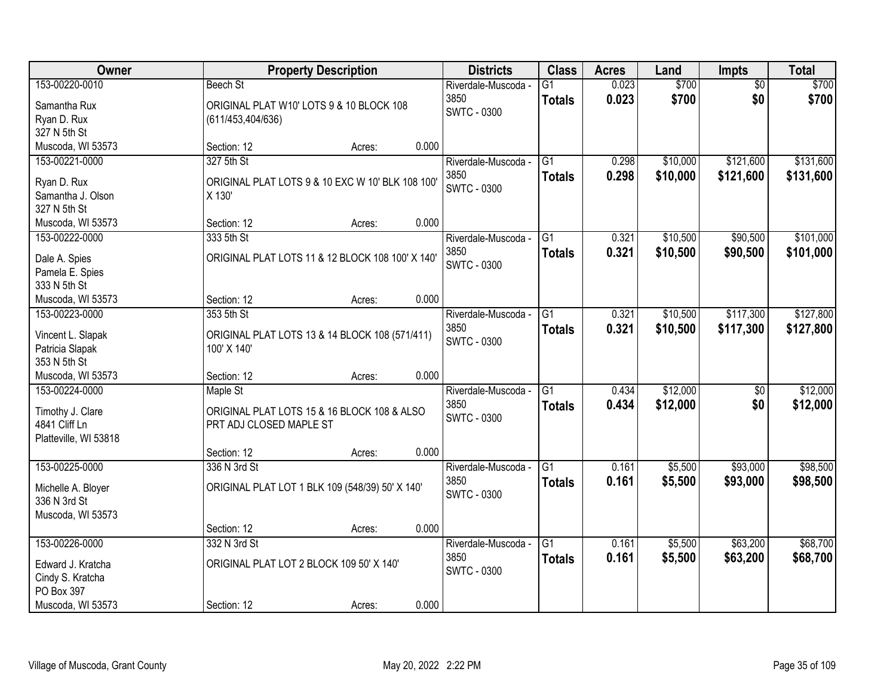| Owner                           | <b>Property Description</b>                                   | <b>Districts</b>    | <b>Class</b>    | <b>Acres</b> | Land     | <b>Impts</b>    | <b>Total</b> |
|---------------------------------|---------------------------------------------------------------|---------------------|-----------------|--------------|----------|-----------------|--------------|
| 153-00220-0010                  | Beech St                                                      | Riverdale-Muscoda - | $\overline{G1}$ | 0.023        | \$700    | $\overline{50}$ | \$700        |
| Samantha Rux                    | ORIGINAL PLAT W10' LOTS 9 & 10 BLOCK 108                      | 3850                | <b>Totals</b>   | 0.023        | \$700    | \$0             | \$700        |
| Ryan D. Rux                     | (611/453, 404/636)                                            | <b>SWTC - 0300</b>  |                 |              |          |                 |              |
| 327 N 5th St                    |                                                               |                     |                 |              |          |                 |              |
| Muscoda, WI 53573               | 0.000<br>Section: 12<br>Acres:                                |                     |                 |              |          |                 |              |
| 153-00221-0000                  | 327 5th St                                                    | Riverdale-Muscoda - | $\overline{G1}$ | 0.298        | \$10,000 | \$121,600       | \$131,600    |
| Ryan D. Rux                     | ORIGINAL PLAT LOTS 9 & 10 EXC W 10' BLK 108 100'              | 3850                | <b>Totals</b>   | 0.298        | \$10,000 | \$121,600       | \$131,600    |
| Samantha J. Olson               | X 130'                                                        | <b>SWTC - 0300</b>  |                 |              |          |                 |              |
| 327 N 5th St                    |                                                               |                     |                 |              |          |                 |              |
| Muscoda, WI 53573               | 0.000<br>Section: 12<br>Acres:                                |                     |                 |              |          |                 |              |
| 153-00222-0000                  | 333 5th St                                                    | Riverdale-Muscoda - | G <sub>1</sub>  | 0.321        | \$10,500 | \$90,500        | \$101,000    |
| Dale A. Spies                   | ORIGINAL PLAT LOTS 11 & 12 BLOCK 108 100' X 140'              | 3850                | <b>Totals</b>   | 0.321        | \$10,500 | \$90,500        | \$101,000    |
| Pamela E. Spies                 |                                                               | SWTC - 0300         |                 |              |          |                 |              |
| 333 N 5th St                    |                                                               |                     |                 |              |          |                 |              |
| Muscoda, WI 53573               | 0.000<br>Section: 12<br>Acres:                                |                     |                 |              |          |                 |              |
| 153-00223-0000                  | 353 5th St                                                    | Riverdale-Muscoda - | G1              | 0.321        | \$10,500 | \$117,300       | \$127,800    |
|                                 |                                                               | 3850                | <b>Totals</b>   | 0.321        | \$10,500 | \$117,300       | \$127,800    |
| Vincent L. Slapak               | ORIGINAL PLAT LOTS 13 & 14 BLOCK 108 (571/411)<br>100' X 140' | SWTC - 0300         |                 |              |          |                 |              |
| Patricia Slapak<br>353 N 5th St |                                                               |                     |                 |              |          |                 |              |
| Muscoda, WI 53573               | 0.000<br>Section: 12<br>Acres:                                |                     |                 |              |          |                 |              |
| 153-00224-0000                  | Maple St                                                      | Riverdale-Muscoda - | $\overline{G1}$ | 0.434        | \$12,000 | $\overline{50}$ | \$12,000     |
|                                 |                                                               | 3850                | <b>Totals</b>   | 0.434        | \$12,000 | \$0             | \$12,000     |
| Timothy J. Clare                | ORIGINAL PLAT LOTS 15 & 16 BLOCK 108 & ALSO                   | <b>SWTC - 0300</b>  |                 |              |          |                 |              |
| 4841 Cliff Ln                   | PRT ADJ CLOSED MAPLE ST                                       |                     |                 |              |          |                 |              |
| Platteville, WI 53818           | 0.000<br>Section: 12                                          |                     |                 |              |          |                 |              |
| 153-00225-0000                  | Acres:<br>336 N 3rd St                                        | Riverdale-Muscoda - | $\overline{G1}$ | 0.161        | \$5,500  | \$93,000        | \$98,500     |
|                                 |                                                               | 3850                | <b>Totals</b>   | 0.161        | \$5,500  | \$93,000        | \$98,500     |
| Michelle A. Bloyer              | ORIGINAL PLAT LOT 1 BLK 109 (548/39) 50' X 140'               | <b>SWTC - 0300</b>  |                 |              |          |                 |              |
| 336 N 3rd St                    |                                                               |                     |                 |              |          |                 |              |
| Muscoda, WI 53573               |                                                               |                     |                 |              |          |                 |              |
|                                 | 0.000<br>Section: 12<br>Acres:                                |                     |                 |              |          |                 |              |
| 153-00226-0000                  | 332 N 3rd St                                                  | Riverdale-Muscoda - | $\overline{G1}$ | 0.161        | \$5,500  | \$63,200        | \$68,700     |
| Edward J. Kratcha               | ORIGINAL PLAT LOT 2 BLOCK 109 50' X 140'                      | 3850<br>SWTC - 0300 | <b>Totals</b>   | 0.161        | \$5,500  | \$63,200        | \$68,700     |
| Cindy S. Kratcha                |                                                               |                     |                 |              |          |                 |              |
| PO Box 397                      |                                                               |                     |                 |              |          |                 |              |
| Muscoda, WI 53573               | 0.000<br>Section: 12<br>Acres:                                |                     |                 |              |          |                 |              |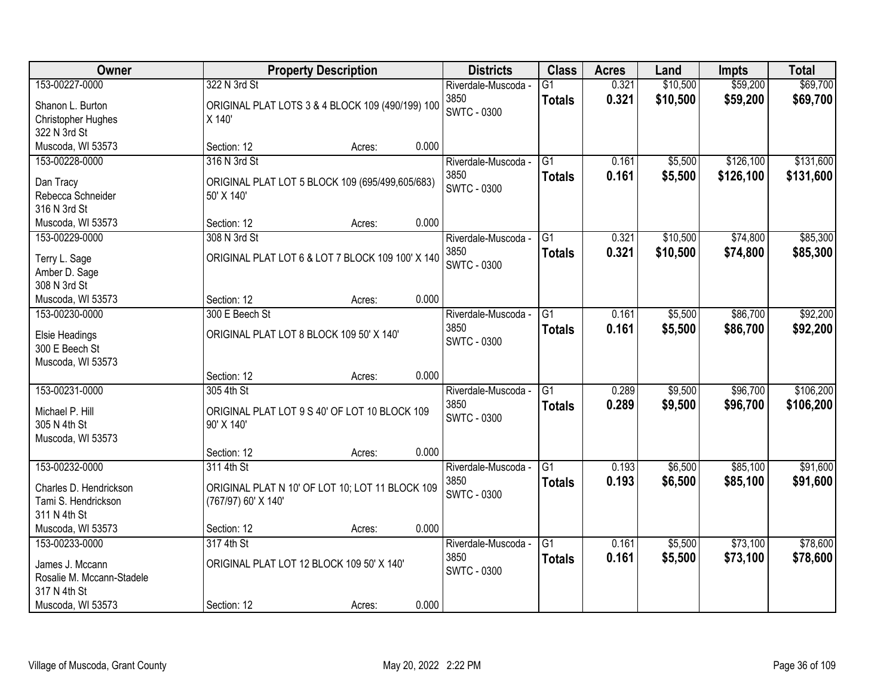| Owner                               |                           | <b>Property Description</b>                      |       | <b>Districts</b>            | <b>Class</b>    | <b>Acres</b> | Land     | <b>Impts</b> | <b>Total</b> |
|-------------------------------------|---------------------------|--------------------------------------------------|-------|-----------------------------|-----------------|--------------|----------|--------------|--------------|
| 153-00227-0000                      | 322 N 3rd St              |                                                  |       | Riverdale-Muscoda -         | $\overline{G1}$ | 0.321        | \$10,500 | \$59,200     | \$69,700     |
| Shanon L. Burton                    |                           | ORIGINAL PLAT LOTS 3 & 4 BLOCK 109 (490/199) 100 |       | 3850                        | <b>Totals</b>   | 0.321        | \$10,500 | \$59,200     | \$69,700     |
| Christopher Hughes                  | X 140'                    |                                                  |       | SWTC - 0300                 |                 |              |          |              |              |
| 322 N 3rd St                        |                           |                                                  |       |                             |                 |              |          |              |              |
| Muscoda, WI 53573                   | Section: 12               | Acres:                                           | 0.000 |                             |                 |              |          |              |              |
| 153-00228-0000                      | 316 N 3rd St              |                                                  |       | Riverdale-Muscoda -         | $\overline{G1}$ | 0.161        | \$5,500  | \$126,100    | \$131,600    |
| Dan Tracy                           |                           | ORIGINAL PLAT LOT 5 BLOCK 109 (695/499,605/683)  |       | 3850                        | <b>Totals</b>   | 0.161        | \$5,500  | \$126,100    | \$131,600    |
| Rebecca Schneider                   | 50' X 140'                |                                                  |       | <b>SWTC - 0300</b>          |                 |              |          |              |              |
| 316 N 3rd St                        |                           |                                                  |       |                             |                 |              |          |              |              |
| Muscoda, WI 53573                   | Section: 12               | Acres:                                           | 0.000 |                             |                 |              |          |              |              |
| 153-00229-0000                      | 308 N 3rd St              |                                                  |       | Riverdale-Muscoda -         | G1              | 0.321        | \$10,500 | \$74,800     | \$85,300     |
| Terry L. Sage                       |                           | ORIGINAL PLAT LOT 6 & LOT 7 BLOCK 109 100' X 140 |       | 3850                        | <b>Totals</b>   | 0.321        | \$10,500 | \$74,800     | \$85,300     |
| Amber D. Sage                       |                           |                                                  |       | <b>SWTC - 0300</b>          |                 |              |          |              |              |
| 308 N 3rd St                        |                           |                                                  |       |                             |                 |              |          |              |              |
| Muscoda, WI 53573                   | Section: 12               | Acres:                                           | 0.000 |                             |                 |              |          |              |              |
| 153-00230-0000                      | 300 E Beech St            |                                                  |       | Riverdale-Muscoda -         | G1              | 0.161        | \$5,500  | \$86,700     | \$92,200     |
|                                     |                           |                                                  |       | 3850                        | <b>Totals</b>   | 0.161        | \$5,500  | \$86,700     | \$92,200     |
| Elsie Headings<br>300 E Beech St    |                           | ORIGINAL PLAT LOT 8 BLOCK 109 50' X 140'         |       | <b>SWTC - 0300</b>          |                 |              |          |              |              |
| Muscoda, WI 53573                   |                           |                                                  |       |                             |                 |              |          |              |              |
|                                     | Section: 12               | Acres:                                           | 0.000 |                             |                 |              |          |              |              |
| 153-00231-0000                      | 305 4th St                |                                                  |       | Riverdale-Muscoda -         | $\overline{G1}$ | 0.289        | \$9,500  | \$96,700     | \$106,200    |
|                                     |                           |                                                  |       | 3850                        | <b>Totals</b>   | 0.289        | \$9,500  | \$96,700     | \$106,200    |
| Michael P. Hill                     |                           | ORIGINAL PLAT LOT 9 S 40' OF LOT 10 BLOCK 109    |       | <b>SWTC - 0300</b>          |                 |              |          |              |              |
| 305 N 4th St                        | 90' X 140'                |                                                  |       |                             |                 |              |          |              |              |
| Muscoda, WI 53573                   | Section: 12               | Acres:                                           | 0.000 |                             |                 |              |          |              |              |
| 153-00232-0000                      | 311 4th St                |                                                  |       | Riverdale-Muscoda -         | $\overline{G1}$ | 0.193        | \$6,500  | \$85,100     | \$91,600     |
|                                     |                           |                                                  |       | 3850                        | <b>Totals</b>   | 0.193        | \$6,500  | \$85,100     | \$91,600     |
| Charles D. Hendrickson              |                           | ORIGINAL PLAT N 10' OF LOT 10; LOT 11 BLOCK 109  |       | <b>SWTC - 0300</b>          |                 |              |          |              |              |
| Tami S. Hendrickson                 | (767/97) 60' X 140'       |                                                  |       |                             |                 |              |          |              |              |
| 311 N 4th St                        |                           |                                                  |       |                             |                 |              |          |              |              |
| Muscoda, WI 53573<br>153-00233-0000 | Section: 12<br>317 4th St | Acres:                                           | 0.000 |                             | $\overline{G1}$ | 0.161        | \$5,500  | \$73,100     | \$78,600     |
|                                     |                           |                                                  |       | Riverdale-Muscoda -<br>3850 |                 | 0.161        | \$5,500  | \$73,100     | \$78,600     |
| James J. Mccann                     |                           | ORIGINAL PLAT LOT 12 BLOCK 109 50' X 140'        |       | SWTC - 0300                 | <b>Totals</b>   |              |          |              |              |
| Rosalie M. Mccann-Stadele           |                           |                                                  |       |                             |                 |              |          |              |              |
| 317 N 4th St                        |                           |                                                  |       |                             |                 |              |          |              |              |
| Muscoda, WI 53573                   | Section: 12               | Acres:                                           | 0.000 |                             |                 |              |          |              |              |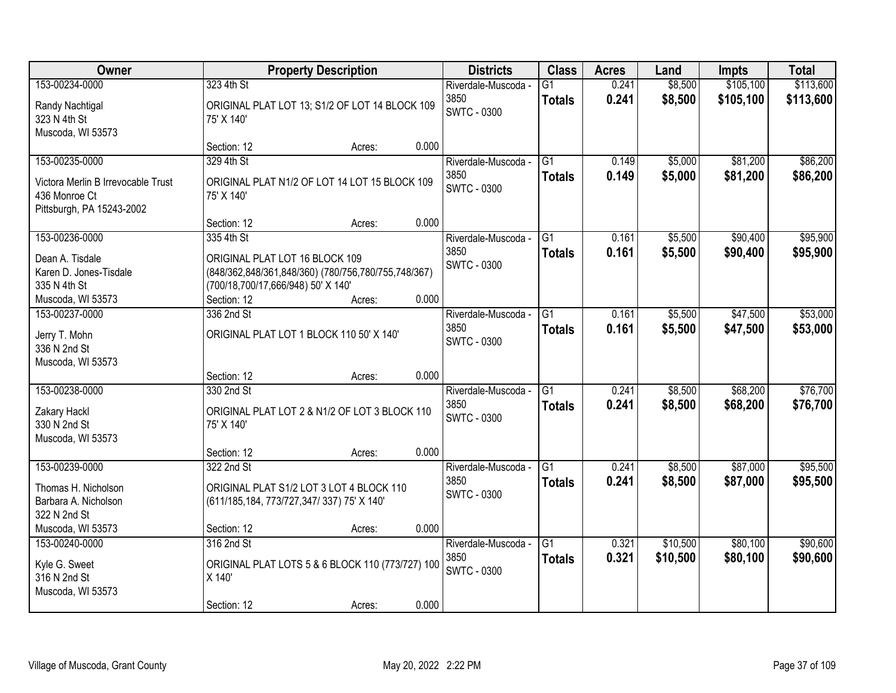| Owner                                                                                              | <b>Property Description</b>                                                                                                                              |                 | <b>Districts</b>                                  | <b>Class</b>                     | <b>Acres</b>   | Land               | <b>Impts</b>           | <b>Total</b>           |
|----------------------------------------------------------------------------------------------------|----------------------------------------------------------------------------------------------------------------------------------------------------------|-----------------|---------------------------------------------------|----------------------------------|----------------|--------------------|------------------------|------------------------|
| 153-00234-0000<br>Randy Nachtigal<br>323 N 4th St                                                  | 323 4th St<br>ORIGINAL PLAT LOT 13; S1/2 OF LOT 14 BLOCK 109<br>75' X 140'                                                                               |                 | Riverdale-Muscoda -<br>3850<br><b>SWTC - 0300</b> | $\overline{G1}$<br><b>Totals</b> | 0.241<br>0.241 | \$8,500<br>\$8,500 | \$105,100<br>\$105,100 | \$113,600<br>\$113,600 |
| Muscoda, WI 53573                                                                                  | Section: 12                                                                                                                                              | 0.000<br>Acres: |                                                   |                                  |                |                    |                        |                        |
| 153-00235-0000<br>Victora Merlin B Irrevocable Trust<br>436 Monroe Ct<br>Pittsburgh, PA 15243-2002 | 329 4th St<br>ORIGINAL PLAT N1/2 OF LOT 14 LOT 15 BLOCK 109<br>75' X 140'                                                                                |                 | Riverdale-Muscoda -<br>3850<br><b>SWTC - 0300</b> | $\overline{G1}$<br><b>Totals</b> | 0.149<br>0.149 | \$5,000<br>\$5,000 | \$81,200<br>\$81,200   | \$86,200<br>\$86,200   |
|                                                                                                    | Section: 12                                                                                                                                              | 0.000<br>Acres: |                                                   |                                  |                |                    |                        |                        |
| 153-00236-0000<br>Dean A. Tisdale<br>Karen D. Jones-Tisdale<br>335 N 4th St<br>Muscoda, WI 53573   | 335 4th St<br>ORIGINAL PLAT LOT 16 BLOCK 109<br>(848/362,848/361,848/360) (780/756,780/755,748/367)<br>(700/18,700/17,666/948) 50' X 140'<br>Section: 12 | 0.000<br>Acres: | Riverdale-Muscoda -<br>3850<br><b>SWTC - 0300</b> | G1<br><b>Totals</b>              | 0.161<br>0.161 | \$5,500<br>\$5,500 | \$90,400<br>\$90,400   | \$95,900<br>\$95,900   |
| 153-00237-0000<br>Jerry T. Mohn<br>336 N 2nd St<br>Muscoda, WI 53573                               | 336 2nd St<br>ORIGINAL PLAT LOT 1 BLOCK 110 50' X 140'                                                                                                   |                 | Riverdale-Muscoda -<br>3850<br><b>SWTC - 0300</b> | G1<br><b>Totals</b>              | 0.161<br>0.161 | \$5,500<br>\$5,500 | \$47,500<br>\$47,500   | \$53,000<br>\$53,000   |
| 153-00238-0000<br>Zakary Hackl<br>330 N 2nd St                                                     | Section: 12<br>330 2nd St<br>ORIGINAL PLAT LOT 2 & N1/2 OF LOT 3 BLOCK 110<br>75' X 140'                                                                 | 0.000<br>Acres: | Riverdale-Muscoda -<br>3850<br><b>SWTC - 0300</b> | $\overline{G1}$<br><b>Totals</b> | 0.241<br>0.241 | \$8,500<br>\$8,500 | \$68,200<br>\$68,200   | \$76,700<br>\$76,700   |
| Muscoda, WI 53573                                                                                  | Section: 12                                                                                                                                              | 0.000<br>Acres: |                                                   |                                  |                |                    |                        |                        |
| 153-00239-0000<br>Thomas H. Nicholson<br>Barbara A. Nicholson<br>322 N 2nd St                      | 322 2nd St<br>ORIGINAL PLAT S1/2 LOT 3 LOT 4 BLOCK 110<br>(611/185, 184, 773/727, 347/ 337) 75' X 140'                                                   |                 | Riverdale-Muscoda -<br>3850<br><b>SWTC - 0300</b> | G1<br><b>Totals</b>              | 0.241<br>0.241 | \$8,500<br>\$8,500 | \$87,000<br>\$87,000   | \$95,500<br>\$95,500   |
| Muscoda, WI 53573<br>153-00240-0000                                                                | Section: 12<br>316 2nd St                                                                                                                                | 0.000<br>Acres: | Riverdale-Muscoda -                               | $\overline{G1}$                  | 0.321          | \$10,500           | \$80,100               | \$90,600               |
| Kyle G. Sweet<br>316 N 2nd St<br>Muscoda, WI 53573                                                 | ORIGINAL PLAT LOTS 5 & 6 BLOCK 110 (773/727) 100<br>X 140'                                                                                               | 0.000           | 3850<br><b>SWTC - 0300</b>                        | <b>Totals</b>                    | 0.321          | \$10,500           | \$80,100               | \$90,600               |
|                                                                                                    | Section: 12                                                                                                                                              | Acres:          |                                                   |                                  |                |                    |                        |                        |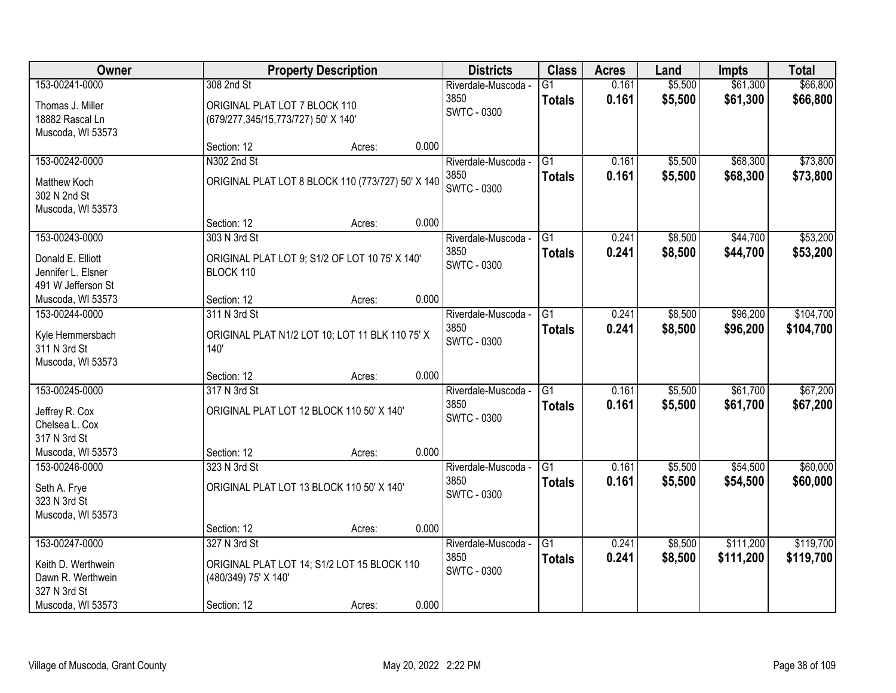| Owner                            |                                     | <b>Property Description</b>                       |       | <b>Districts</b>    | <b>Class</b>    | <b>Acres</b> | Land    | <b>Impts</b> | <b>Total</b> |
|----------------------------------|-------------------------------------|---------------------------------------------------|-------|---------------------|-----------------|--------------|---------|--------------|--------------|
| 153-00241-0000                   | 308 2nd St                          |                                                   |       | Riverdale-Muscoda - | $\overline{G1}$ | 0.161        | \$5,500 | \$61,300     | \$66,800     |
| Thomas J. Miller                 | ORIGINAL PLAT LOT 7 BLOCK 110       |                                                   |       | 3850                | <b>Totals</b>   | 0.161        | \$5,500 | \$61,300     | \$66,800     |
| 18882 Rascal Ln                  | (679/277,345/15,773/727) 50' X 140' |                                                   |       | <b>SWTC - 0300</b>  |                 |              |         |              |              |
| Muscoda, WI 53573                |                                     |                                                   |       |                     |                 |              |         |              |              |
|                                  | Section: 12                         | Acres:                                            | 0.000 |                     |                 |              |         |              |              |
| 153-00242-0000                   | N302 2nd St                         |                                                   |       | Riverdale-Muscoda - | $\overline{G1}$ | 0.161        | \$5,500 | \$68,300     | \$73,800     |
| Matthew Koch                     |                                     | ORIGINAL PLAT LOT 8 BLOCK 110 (773/727) 50' X 140 |       | 3850                | <b>Totals</b>   | 0.161        | \$5,500 | \$68,300     | \$73,800     |
| 302 N 2nd St                     |                                     |                                                   |       | <b>SWTC - 0300</b>  |                 |              |         |              |              |
| Muscoda, WI 53573                |                                     |                                                   |       |                     |                 |              |         |              |              |
|                                  | Section: 12                         | Acres:                                            | 0.000 |                     |                 |              |         |              |              |
| 153-00243-0000                   | 303 N 3rd St                        |                                                   |       | Riverdale-Muscoda - | G1              | 0.241        | \$8,500 | \$44,700     | \$53,200     |
| Donald E. Elliott                |                                     | ORIGINAL PLAT LOT 9; S1/2 OF LOT 10 75' X 140'    |       | 3850                | <b>Totals</b>   | 0.241        | \$8,500 | \$44,700     | \$53,200     |
| Jennifer L. Elsner               | BLOCK 110                           |                                                   |       | <b>SWTC - 0300</b>  |                 |              |         |              |              |
| 491 W Jefferson St               |                                     |                                                   |       |                     |                 |              |         |              |              |
| Muscoda, WI 53573                | Section: 12                         | Acres:                                            | 0.000 |                     |                 |              |         |              |              |
| 153-00244-0000                   | 311 N 3rd St                        |                                                   |       | Riverdale-Muscoda - | G1              | 0.241        | \$8,500 | \$96,200     | \$104,700    |
|                                  |                                     |                                                   |       | 3850                | <b>Totals</b>   | 0.241        | \$8,500 | \$96,200     | \$104,700    |
| Kyle Hemmersbach<br>311 N 3rd St | 140'                                | ORIGINAL PLAT N1/2 LOT 10; LOT 11 BLK 110 75' X   |       | SWTC - 0300         |                 |              |         |              |              |
| Muscoda, WI 53573                |                                     |                                                   |       |                     |                 |              |         |              |              |
|                                  | Section: 12                         | Acres:                                            | 0.000 |                     |                 |              |         |              |              |
| 153-00245-0000                   | 317 N 3rd St                        |                                                   |       | Riverdale-Muscoda - | $\overline{G1}$ | 0.161        | \$5,500 | \$61,700     | \$67,200     |
|                                  |                                     |                                                   |       | 3850                | <b>Totals</b>   | 0.161        | \$5,500 | \$61,700     | \$67,200     |
| Jeffrey R. Cox                   |                                     | ORIGINAL PLAT LOT 12 BLOCK 110 50' X 140'         |       | <b>SWTC - 0300</b>  |                 |              |         |              |              |
| Chelsea L. Cox<br>317 N 3rd St   |                                     |                                                   |       |                     |                 |              |         |              |              |
| Muscoda, WI 53573                | Section: 12                         | Acres:                                            | 0.000 |                     |                 |              |         |              |              |
| 153-00246-0000                   | 323 N 3rd St                        |                                                   |       | Riverdale-Muscoda - | $\overline{G1}$ | 0.161        | \$5,500 | \$54,500     | \$60,000     |
|                                  |                                     |                                                   |       | 3850                | <b>Totals</b>   | 0.161        | \$5,500 | \$54,500     | \$60,000     |
| Seth A. Frye                     |                                     | ORIGINAL PLAT LOT 13 BLOCK 110 50' X 140'         |       | SWTC - 0300         |                 |              |         |              |              |
| 323 N 3rd St                     |                                     |                                                   |       |                     |                 |              |         |              |              |
| Muscoda, WI 53573                |                                     |                                                   | 0.000 |                     |                 |              |         |              |              |
| 153-00247-0000                   | Section: 12<br>327 N 3rd St         | Acres:                                            |       | Riverdale-Muscoda - | G1              | 0.241        | \$8,500 | \$111,200    | \$119,700    |
|                                  |                                     |                                                   |       | 3850                |                 | 0.241        | \$8,500 | \$111,200    | \$119,700    |
| Keith D. Werthwein               |                                     | ORIGINAL PLAT LOT 14; S1/2 LOT 15 BLOCK 110       |       | <b>SWTC - 0300</b>  | <b>Totals</b>   |              |         |              |              |
| Dawn R. Werthwein                | (480/349) 75' X 140'                |                                                   |       |                     |                 |              |         |              |              |
| 327 N 3rd St                     |                                     |                                                   |       |                     |                 |              |         |              |              |
| Muscoda, WI 53573                | Section: 12                         | Acres:                                            | 0.000 |                     |                 |              |         |              |              |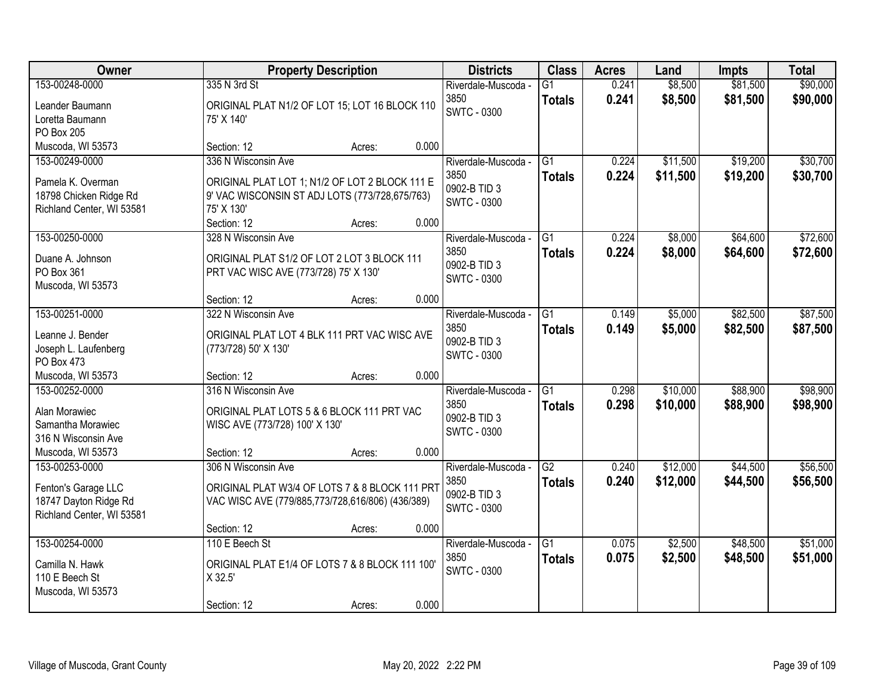| Owner                                                                                                                 | <b>Property Description</b>                                                                                                                                             | <b>Districts</b>                                                  | <b>Class</b>                     | <b>Acres</b>   | Land                 | <b>Impts</b>         | <b>Total</b>         |
|-----------------------------------------------------------------------------------------------------------------------|-------------------------------------------------------------------------------------------------------------------------------------------------------------------------|-------------------------------------------------------------------|----------------------------------|----------------|----------------------|----------------------|----------------------|
| 153-00248-0000<br>Leander Baumann<br>Loretta Baumann<br>PO Box 205                                                    | 335 N 3rd St<br>ORIGINAL PLAT N1/2 OF LOT 15; LOT 16 BLOCK 110<br>75' X 140'                                                                                            | Riverdale-Muscoda -<br>3850<br><b>SWTC - 0300</b>                 | G1<br><b>Totals</b>              | 0.241<br>0.241 | \$8,500<br>\$8,500   | \$81,500<br>\$81,500 | \$90,000<br>\$90,000 |
| Muscoda, WI 53573                                                                                                     | 0.000<br>Section: 12<br>Acres:                                                                                                                                          |                                                                   |                                  |                |                      |                      |                      |
| 153-00249-0000<br>Pamela K. Overman<br>18798 Chicken Ridge Rd<br>Richland Center, WI 53581                            | 336 N Wisconsin Ave<br>ORIGINAL PLAT LOT 1; N1/2 OF LOT 2 BLOCK 111 E<br>9' VAC WISCONSIN ST ADJ LOTS (773/728,675/763)<br>75' X 130'<br>Section: 12<br>0.000<br>Acres: | Riverdale-Muscoda -<br>3850<br>0902-B TID 3<br>SWTC - 0300        | $\overline{G1}$<br><b>Totals</b> | 0.224<br>0.224 | \$11,500<br>\$11,500 | \$19,200<br>\$19,200 | \$30,700<br>\$30,700 |
| 153-00250-0000<br>Duane A. Johnson<br>PO Box 361<br>Muscoda, WI 53573                                                 | 328 N Wisconsin Ave<br>ORIGINAL PLAT S1/2 OF LOT 2 LOT 3 BLOCK 111<br>PRT VAC WISC AVE (773/728) 75' X 130'<br>0.000<br>Section: 12<br>Acres:                           | Riverdale-Muscoda -<br>3850<br>0902-B TID 3<br><b>SWTC - 0300</b> | G1<br><b>Totals</b>              | 0.224<br>0.224 | \$8,000<br>\$8,000   | \$64,600<br>\$64,600 | \$72,600<br>\$72,600 |
| 153-00251-0000<br>Leanne J. Bender<br>Joseph L. Laufenberg<br>PO Box 473                                              | 322 N Wisconsin Ave<br>ORIGINAL PLAT LOT 4 BLK 111 PRT VAC WISC AVE<br>(773/728) 50' X 130'                                                                             | Riverdale-Muscoda -<br>3850<br>0902-B TID 3<br>SWTC - 0300        | $\overline{G1}$<br><b>Totals</b> | 0.149<br>0.149 | \$5,000<br>\$5,000   | \$82,500<br>\$82,500 | \$87,500<br>\$87,500 |
| Muscoda, WI 53573<br>153-00252-0000<br>Alan Morawiec<br>Samantha Morawiec<br>316 N Wisconsin Ave<br>Muscoda, WI 53573 | 0.000<br>Section: 12<br>Acres:<br>316 N Wisconsin Ave<br>ORIGINAL PLAT LOTS 5 & 6 BLOCK 111 PRT VAC<br>WISC AVE (773/728) 100' X 130'<br>0.000<br>Section: 12<br>Acres: | Riverdale-Muscoda -<br>3850<br>0902-B TID 3<br><b>SWTC - 0300</b> | $\overline{G1}$<br><b>Totals</b> | 0.298<br>0.298 | \$10,000<br>\$10,000 | \$88,900<br>\$88,900 | \$98,900<br>\$98,900 |
| 153-00253-0000<br>Fenton's Garage LLC<br>18747 Dayton Ridge Rd<br>Richland Center, WI 53581                           | 306 N Wisconsin Ave<br>ORIGINAL PLAT W3/4 OF LOTS 7 & 8 BLOCK 111 PRT<br>VAC WISC AVE (779/885,773/728,616/806) (436/389)<br>Section: 12<br>0.000<br>Acres:             | Riverdale-Muscoda -<br>3850<br>0902-B TID 3<br><b>SWTC - 0300</b> | $\overline{G2}$<br><b>Totals</b> | 0.240<br>0.240 | \$12,000<br>\$12,000 | \$44,500<br>\$44,500 | \$56,500<br>\$56,500 |
| 153-00254-0000<br>Camilla N. Hawk<br>110 E Beech St<br>Muscoda, WI 53573                                              | 110 E Beech St<br>ORIGINAL PLAT E1/4 OF LOTS 7 & 8 BLOCK 111 100'<br>X 32.5'<br>0.000<br>Section: 12<br>Acres:                                                          | Riverdale-Muscoda -<br>3850<br><b>SWTC - 0300</b>                 | $\overline{G1}$<br><b>Totals</b> | 0.075<br>0.075 | \$2,500<br>\$2,500   | \$48,500<br>\$48,500 | \$51,000<br>\$51,000 |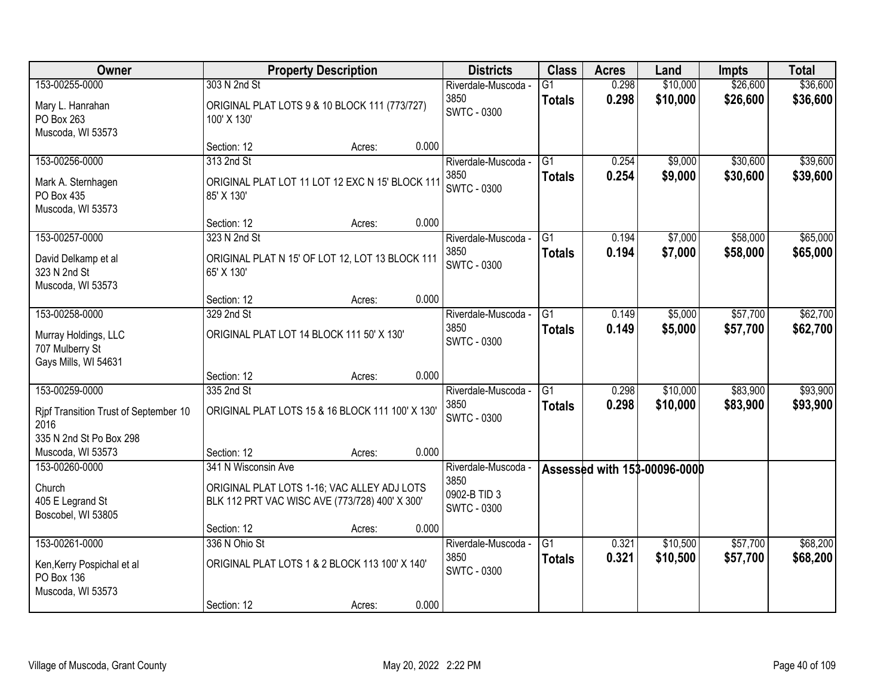| Owner                                                           |                                                                                               | <b>Property Description</b> |       | <b>Districts</b>                           | <b>Class</b>                     | <b>Acres</b>   | Land                         | <b>Impts</b>         | <b>Total</b>         |
|-----------------------------------------------------------------|-----------------------------------------------------------------------------------------------|-----------------------------|-------|--------------------------------------------|----------------------------------|----------------|------------------------------|----------------------|----------------------|
| 153-00255-0000                                                  | 303 N 2nd St                                                                                  |                             |       | Riverdale-Muscoda -                        | G1                               | 0.298          | \$10,000                     | \$26,600             | \$36,600             |
| Mary L. Hanrahan<br>PO Box 263<br>Muscoda, WI 53573             | ORIGINAL PLAT LOTS 9 & 10 BLOCK 111 (773/727)<br>100' X 130'                                  |                             |       | 3850<br><b>SWTC - 0300</b>                 | <b>Totals</b>                    | 0.298          | \$10,000                     | \$26,600             | \$36,600             |
|                                                                 | Section: 12                                                                                   | Acres:                      | 0.000 |                                            |                                  |                |                              |                      |                      |
| 153-00256-0000                                                  | 313 2nd St                                                                                    |                             |       | Riverdale-Muscoda -                        | $\overline{G1}$                  | 0.254          | \$9,000                      | \$30,600             | \$39,600             |
| Mark A. Sternhagen<br>PO Box 435<br>Muscoda, WI 53573           | ORIGINAL PLAT LOT 11 LOT 12 EXC N 15' BLOCK 111<br>85' X 130'                                 |                             |       | 3850<br><b>SWTC - 0300</b>                 | <b>Totals</b>                    | 0.254          | \$9,000                      | \$30,600             | \$39,600             |
|                                                                 | Section: 12                                                                                   | Acres:                      | 0.000 |                                            |                                  |                |                              |                      |                      |
| 153-00257-0000                                                  | 323 N 2nd St                                                                                  |                             |       | Riverdale-Muscoda -                        | G1                               | 0.194          | \$7,000                      | \$58,000             | \$65,000             |
| David Delkamp et al<br>323 N 2nd St<br>Muscoda, WI 53573        | ORIGINAL PLAT N 15' OF LOT 12, LOT 13 BLOCK 111<br>65' X 130'                                 |                             |       | 3850<br><b>SWTC - 0300</b>                 | <b>Totals</b>                    | 0.194          | \$7,000                      | \$58,000             | \$65,000             |
|                                                                 | Section: 12                                                                                   | Acres:                      | 0.000 |                                            |                                  |                |                              |                      |                      |
| 153-00258-0000                                                  | 329 2nd St                                                                                    |                             |       | Riverdale-Muscoda -                        | G1                               | 0.149          | \$5,000                      | \$57,700             | \$62,700             |
| Murray Holdings, LLC<br>707 Mulberry St<br>Gays Mills, WI 54631 | ORIGINAL PLAT LOT 14 BLOCK 111 50' X 130'                                                     |                             |       | 3850<br><b>SWTC - 0300</b>                 | <b>Totals</b>                    | 0.149          | \$5,000                      | \$57,700             | \$62,700             |
|                                                                 | Section: 12                                                                                   | Acres:                      | 0.000 |                                            |                                  |                |                              |                      |                      |
| 153-00259-0000                                                  | 335 2nd St<br>ORIGINAL PLAT LOTS 15 & 16 BLOCK 111 100' X 130'                                |                             |       | Riverdale-Muscoda -<br>3850                | $\overline{G1}$<br><b>Totals</b> | 0.298<br>0.298 | \$10,000<br>\$10,000         | \$83,900<br>\$83,900 | \$93,900<br>\$93,900 |
| Ripf Transition Trust of September 10<br>2016                   |                                                                                               |                             |       | <b>SWTC - 0300</b>                         |                                  |                |                              |                      |                      |
| 335 N 2nd St Po Box 298                                         |                                                                                               |                             |       |                                            |                                  |                |                              |                      |                      |
| Muscoda, WI 53573                                               | Section: 12                                                                                   | Acres:                      | 0.000 |                                            |                                  |                |                              |                      |                      |
| 153-00260-0000                                                  | 341 N Wisconsin Ave                                                                           |                             |       | Riverdale-Muscoda -                        |                                  |                | Assessed with 153-00096-0000 |                      |                      |
| Church<br>405 E Legrand St<br>Boscobel, WI 53805                | ORIGINAL PLAT LOTS 1-16; VAC ALLEY ADJ LOTS<br>BLK 112 PRT VAC WISC AVE (773/728) 400' X 300' |                             |       | 3850<br>0902-B TID 3<br><b>SWTC - 0300</b> |                                  |                |                              |                      |                      |
|                                                                 | Section: 12                                                                                   | Acres:                      | 0.000 |                                            |                                  |                |                              |                      |                      |
| 153-00261-0000                                                  | 336 N Ohio St                                                                                 |                             |       | Riverdale-Muscoda -                        | $\overline{G1}$                  | 0.321          | \$10,500                     | \$57,700             | \$68,200             |
| Ken, Kerry Pospichal et al<br>PO Box 136<br>Muscoda, WI 53573   | ORIGINAL PLAT LOTS 1 & 2 BLOCK 113 100' X 140'                                                |                             |       | 3850<br><b>SWTC - 0300</b>                 | <b>Totals</b>                    | 0.321          | \$10,500                     | \$57,700             | \$68,200             |
|                                                                 | Section: 12                                                                                   | Acres:                      | 0.000 |                                            |                                  |                |                              |                      |                      |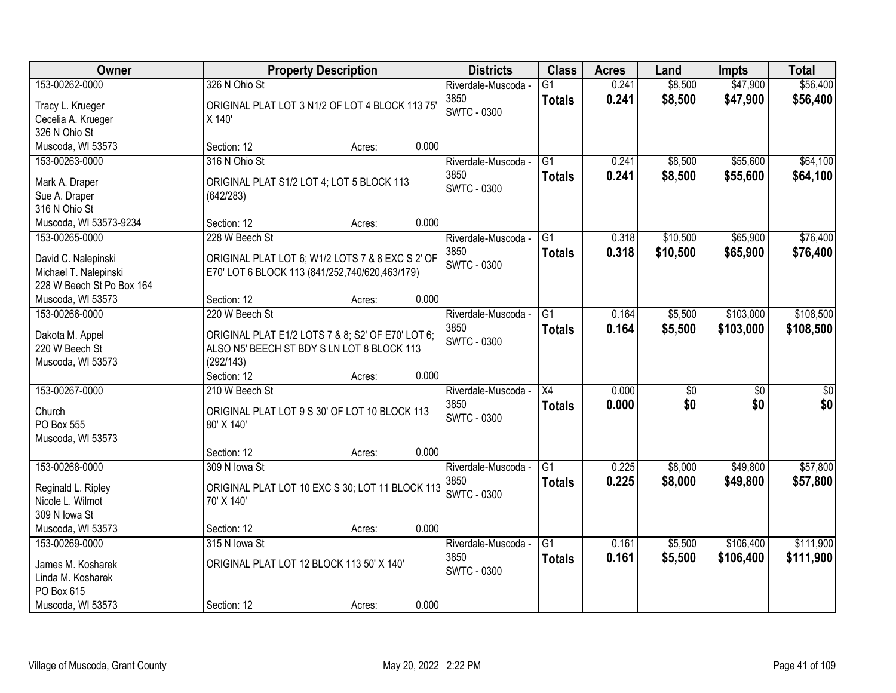| <b>Class</b><br>Owner<br><b>Property Description</b><br><b>Districts</b><br><b>Acres</b><br>Land<br><b>Impts</b>                       | <b>Total</b>                       |
|----------------------------------------------------------------------------------------------------------------------------------------|------------------------------------|
| 153-00262-0000<br>326 N Ohio St<br>\$8,500<br>$\overline{G1}$<br>0.241<br>Riverdale-Muscoda -                                          | \$47,900<br>\$56,400               |
| 3850<br>0.241<br>\$8,500<br><b>Totals</b><br>ORIGINAL PLAT LOT 3 N1/2 OF LOT 4 BLOCK 113 75'<br>Tracy L. Krueger<br><b>SWTC - 0300</b> | \$47,900<br>\$56,400               |
| Cecelia A. Krueger<br>X 140'                                                                                                           |                                    |
| 326 N Ohio St                                                                                                                          |                                    |
| 0.000<br>Muscoda, WI 53573<br>Section: 12<br>Acres:                                                                                    |                                    |
| 316 N Ohio St<br>\$8,500<br>153-00263-0000<br>$\overline{G1}$<br>0.241<br>Riverdale-Muscoda -                                          | \$55,600<br>\$64,100               |
| 3850<br>0.241<br>\$8,500<br><b>Totals</b><br>ORIGINAL PLAT S1/2 LOT 4; LOT 5 BLOCK 113<br>Mark A. Draper                               | \$55,600<br>\$64,100               |
| <b>SWTC - 0300</b><br>Sue A. Draper<br>(642/283)                                                                                       |                                    |
| 316 N Ohio St                                                                                                                          |                                    |
| 0.000<br>Muscoda, WI 53573-9234<br>Section: 12<br>Acres:                                                                               |                                    |
| 153-00265-0000<br>228 W Beech St<br>G1<br>0.318<br>\$10,500<br>Riverdale-Muscoda -                                                     | \$65,900<br>\$76,400               |
| 3850<br>0.318<br>\$10,500<br><b>Totals</b><br>ORIGINAL PLAT LOT 6; W1/2 LOTS 7 & 8 EXC S 2' OF<br>David C. Nalepinski                  | \$65,900<br>\$76,400               |
| <b>SWTC - 0300</b><br>Michael T. Nalepinski<br>E70' LOT 6 BLOCK 113 (841/252,740/620,463/179)                                          |                                    |
| 228 W Beech St Po Box 164                                                                                                              |                                    |
| 0.000<br>Muscoda, WI 53573<br>Section: 12<br>Acres:                                                                                    |                                    |
| \$5,500<br>153-00266-0000<br>220 W Beech St<br>G1<br>0.164<br>Riverdale-Muscoda -                                                      | \$103,000<br>\$108,500             |
| 3850<br>0.164<br>\$5,500<br><b>Totals</b>                                                                                              | \$103,000<br>\$108,500             |
| ORIGINAL PLAT E1/2 LOTS 7 & 8; S2' OF E70' LOT 6;<br>Dakota M. Appel<br><b>SWTC - 0300</b>                                             |                                    |
| 220 W Beech St<br>ALSO N5' BEECH ST BDY S LN LOT 8 BLOCK 113                                                                           |                                    |
| (292/143)<br>Muscoda, WI 53573                                                                                                         |                                    |
| 0.000<br>Section: 12<br>Acres:                                                                                                         |                                    |
| 153-00267-0000<br>210 W Beech St<br>$\overline{X4}$<br>0.000<br>$\overline{50}$<br>Riverdale-Muscoda -                                 | $\overline{50}$<br>$\overline{50}$ |
| 3850<br>0.000<br>\$0<br><b>Totals</b><br>ORIGINAL PLAT LOT 9 S 30' OF LOT 10 BLOCK 113<br>Church<br><b>SWTC - 0300</b>                 | \$0<br>\$0                         |
| PO Box 555<br>80' X 140'                                                                                                               |                                    |
| Muscoda, WI 53573                                                                                                                      |                                    |
| 0.000<br>Section: 12<br>Acres:                                                                                                         |                                    |
| $\overline{G1}$<br>\$8,000<br>153-00268-0000<br>0.225<br>309 N lowa St<br>Riverdale-Muscoda -                                          | \$49,800<br>\$57,800               |
| 3850<br>0.225<br>\$8,000<br><b>Totals</b><br>ORIGINAL PLAT LOT 10 EXC S 30; LOT 11 BLOCK 113<br>Reginald L. Ripley                     | \$49,800<br>\$57,800               |
| <b>SWTC - 0300</b><br>Nicole L. Wilmot<br>70' X 140'                                                                                   |                                    |
| 309 N Iowa St                                                                                                                          |                                    |
| 0.000<br>Muscoda, WI 53573<br>Section: 12<br>Acres:                                                                                    |                                    |
| 0.161<br>\$5,500<br>153-00269-0000<br>315 N lowa St<br>$\overline{G1}$<br>Riverdale-Muscoda -                                          | \$106,400<br>\$111,900             |
| 3850<br>0.161<br>\$5,500<br><b>Totals</b><br>ORIGINAL PLAT LOT 12 BLOCK 113 50' X 140'                                                 | \$106,400<br>\$111,900             |
| James M. Kosharek<br>SWTC - 0300<br>Linda M. Kosharek                                                                                  |                                    |
| PO Box 615                                                                                                                             |                                    |
| 0.000<br>Muscoda, WI 53573<br>Section: 12<br>Acres:                                                                                    |                                    |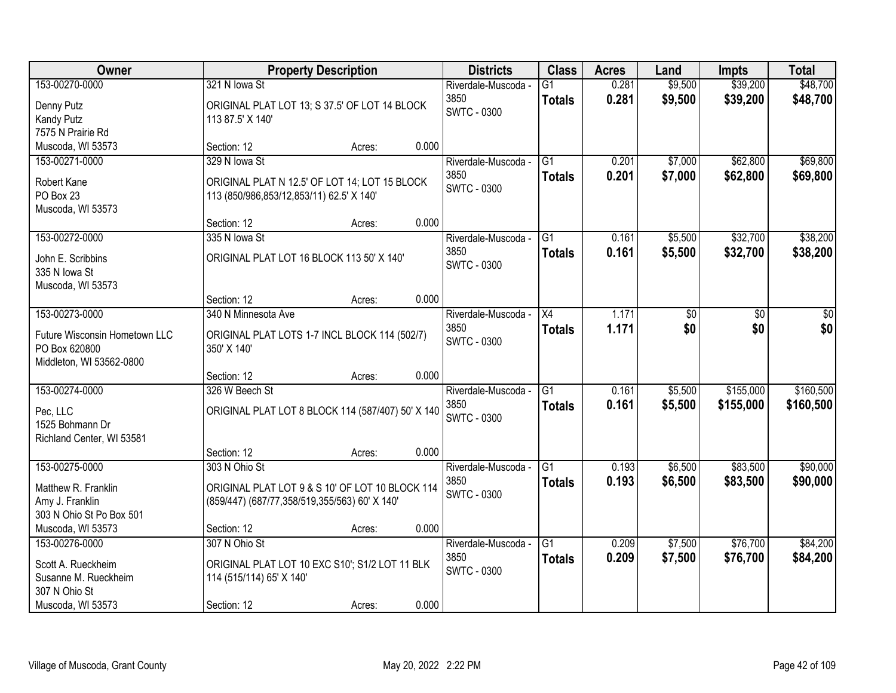| Owner                         |                                                   | <b>Property Description</b> |       | <b>Districts</b>    | <b>Class</b>    | <b>Acres</b> | Land    | <b>Impts</b> | <b>Total</b> |
|-------------------------------|---------------------------------------------------|-----------------------------|-------|---------------------|-----------------|--------------|---------|--------------|--------------|
| 153-00270-0000                | 321 N lowa St                                     |                             |       | Riverdale-Muscoda - | $\overline{G1}$ | 0.281        | \$9,500 | \$39,200     | \$48,700     |
| Denny Putz                    | ORIGINAL PLAT LOT 13; S 37.5' OF LOT 14 BLOCK     |                             |       | 3850                | <b>Totals</b>   | 0.281        | \$9,500 | \$39,200     | \$48,700     |
| Kandy Putz                    | 113 87.5' X 140'                                  |                             |       | <b>SWTC - 0300</b>  |                 |              |         |              |              |
| 7575 N Prairie Rd             |                                                   |                             |       |                     |                 |              |         |              |              |
| Muscoda, WI 53573             | Section: 12                                       | Acres:                      | 0.000 |                     |                 |              |         |              |              |
| 153-00271-0000                | 329 N lowa St                                     |                             |       | Riverdale-Muscoda - | G1              | 0.201        | \$7,000 | \$62,800     | \$69,800     |
| Robert Kane                   | ORIGINAL PLAT N 12.5' OF LOT 14; LOT 15 BLOCK     |                             |       | 3850                | <b>Totals</b>   | 0.201        | \$7,000 | \$62,800     | \$69,800     |
| PO Box 23                     | 113 (850/986,853/12,853/11) 62.5' X 140'          |                             |       | SWTC - 0300         |                 |              |         |              |              |
| Muscoda, WI 53573             |                                                   |                             |       |                     |                 |              |         |              |              |
|                               | Section: 12                                       | Acres:                      | 0.000 |                     |                 |              |         |              |              |
| 153-00272-0000                | 335 N lowa St                                     |                             |       | Riverdale-Muscoda - | G1              | 0.161        | \$5,500 | \$32,700     | \$38,200     |
| John E. Scribbins             | ORIGINAL PLAT LOT 16 BLOCK 113 50' X 140'         |                             |       | 3850                | <b>Totals</b>   | 0.161        | \$5,500 | \$32,700     | \$38,200     |
| 335 N Iowa St                 |                                                   |                             |       | <b>SWTC - 0300</b>  |                 |              |         |              |              |
| Muscoda, WI 53573             |                                                   |                             |       |                     |                 |              |         |              |              |
|                               | Section: 12                                       | Acres:                      | 0.000 |                     |                 |              |         |              |              |
| 153-00273-0000                | 340 N Minnesota Ave                               |                             |       | Riverdale-Muscoda - | X4              | 1.171        | \$0     | \$0          | \$0          |
| Future Wisconsin Hometown LLC | ORIGINAL PLAT LOTS 1-7 INCL BLOCK 114 (502/7)     |                             |       | 3850                | <b>Totals</b>   | 1.171        | \$0     | \$0          | \$0          |
| PO Box 620800                 | 350' X 140'                                       |                             |       | <b>SWTC - 0300</b>  |                 |              |         |              |              |
| Middleton, WI 53562-0800      |                                                   |                             |       |                     |                 |              |         |              |              |
|                               | Section: 12                                       | Acres:                      | 0.000 |                     |                 |              |         |              |              |
| 153-00274-0000                | 326 W Beech St                                    |                             |       | Riverdale-Muscoda - | $\overline{G1}$ | 0.161        | \$5,500 | \$155,000    | \$160,500    |
| Pec, LLC                      | ORIGINAL PLAT LOT 8 BLOCK 114 (587/407) 50' X 140 |                             |       | 3850                | <b>Totals</b>   | 0.161        | \$5,500 | \$155,000    | \$160,500    |
| 1525 Bohmann Dr               |                                                   |                             |       | <b>SWTC - 0300</b>  |                 |              |         |              |              |
| Richland Center, WI 53581     |                                                   |                             |       |                     |                 |              |         |              |              |
|                               | Section: 12                                       | Acres:                      | 0.000 |                     |                 |              |         |              |              |
| 153-00275-0000                | 303 N Ohio St                                     |                             |       | Riverdale-Muscoda - | G1              | 0.193        | \$6,500 | \$83,500     | \$90,000     |
| Matthew R. Franklin           | ORIGINAL PLAT LOT 9 & S 10' OF LOT 10 BLOCK 114   |                             |       | 3850                | <b>Totals</b>   | 0.193        | \$6,500 | \$83,500     | \$90,000     |
| Amy J. Franklin               | (859/447) (687/77,358/519,355/563) 60' X 140'     |                             |       | <b>SWTC - 0300</b>  |                 |              |         |              |              |
| 303 N Ohio St Po Box 501      |                                                   |                             |       |                     |                 |              |         |              |              |
| Muscoda, WI 53573             | Section: 12                                       | Acres:                      | 0.000 |                     |                 |              |         |              |              |
| 153-00276-0000                | 307 N Ohio St                                     |                             |       | Riverdale-Muscoda - | $\overline{G1}$ | 0.209        | \$7,500 | \$76,700     | \$84,200     |
| Scott A. Rueckheim            | ORIGINAL PLAT LOT 10 EXC S10'; S1/2 LOT 11 BLK    |                             |       | 3850                | <b>Totals</b>   | 0.209        | \$7,500 | \$76,700     | \$84,200     |
| Susanne M. Rueckheim          | 114 (515/114) 65' X 140'                          |                             |       | <b>SWTC - 0300</b>  |                 |              |         |              |              |
| 307 N Ohio St                 |                                                   |                             |       |                     |                 |              |         |              |              |
| Muscoda, WI 53573             | Section: 12                                       | Acres:                      | 0.000 |                     |                 |              |         |              |              |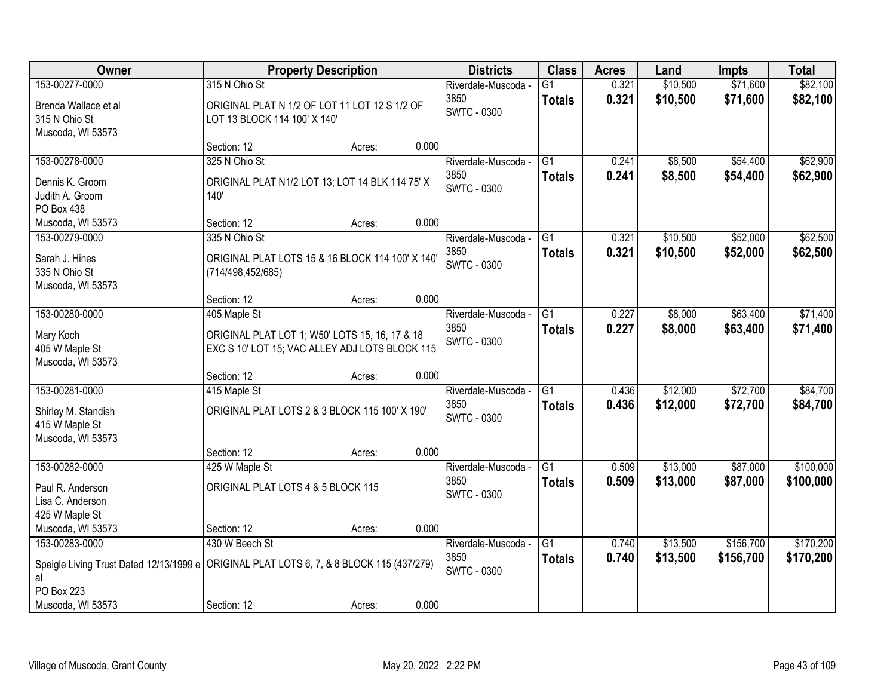| Owner                                                                                          |                                                                                                  | <b>Property Description</b> |       | <b>Districts</b>           | <b>Class</b>    | <b>Acres</b> | Land     | <b>Impts</b> | <b>Total</b> |
|------------------------------------------------------------------------------------------------|--------------------------------------------------------------------------------------------------|-----------------------------|-------|----------------------------|-----------------|--------------|----------|--------------|--------------|
| 153-00277-0000                                                                                 | 315 N Ohio St                                                                                    |                             |       | Riverdale-Muscoda -        | $\overline{G1}$ | 0.321        | \$10,500 | \$71,600     | \$82,100     |
| Brenda Wallace et al<br>315 N Ohio St<br>Muscoda, WI 53573                                     | ORIGINAL PLAT N 1/2 OF LOT 11 LOT 12 S 1/2 OF<br>LOT 13 BLOCK 114 100' X 140'                    |                             |       | 3850<br><b>SWTC - 0300</b> | <b>Totals</b>   | 0.321        | \$10,500 | \$71,600     | \$82,100     |
|                                                                                                | Section: 12                                                                                      | Acres:                      | 0.000 |                            |                 |              |          |              |              |
| 153-00278-0000                                                                                 | 325 N Ohio St                                                                                    |                             |       | Riverdale-Muscoda -        | G1              | 0.241        | \$8,500  | \$54,400     | \$62,900     |
| Dennis K. Groom<br>Judith A. Groom<br><b>PO Box 438</b>                                        | ORIGINAL PLAT N1/2 LOT 13; LOT 14 BLK 114 75' X<br>140'                                          |                             |       | 3850<br>SWTC - 0300        | <b>Totals</b>   | 0.241        | \$8,500  | \$54,400     | \$62,900     |
| Muscoda, WI 53573                                                                              | Section: 12                                                                                      | Acres:                      | 0.000 |                            |                 |              |          |              |              |
| 153-00279-0000                                                                                 | 335 N Ohio St                                                                                    |                             |       | Riverdale-Muscoda -        | G1              | 0.321        | \$10,500 | \$52,000     | \$62,500     |
| Sarah J. Hines<br>335 N Ohio St<br>Muscoda, WI 53573                                           | ORIGINAL PLAT LOTS 15 & 16 BLOCK 114 100' X 140'<br>(714/498,452/685)                            |                             |       | 3850<br><b>SWTC - 0300</b> | <b>Totals</b>   | 0.321        | \$10,500 | \$52,000     | \$62,500     |
|                                                                                                | Section: 12                                                                                      | Acres:                      | 0.000 |                            |                 |              |          |              |              |
| 153-00280-0000                                                                                 | 405 Maple St                                                                                     |                             |       | Riverdale-Muscoda -        | G1              | 0.227        | \$8,000  | \$63,400     | \$71,400     |
| Mary Koch<br>405 W Maple St<br>Muscoda, WI 53573                                               | ORIGINAL PLAT LOT 1; W50' LOTS 15, 16, 17 & 18<br>EXC S 10' LOT 15; VAC ALLEY ADJ LOTS BLOCK 115 |                             |       | 3850<br><b>SWTC - 0300</b> | <b>Totals</b>   | 0.227        | \$8,000  | \$63,400     | \$71,400     |
|                                                                                                | Section: 12                                                                                      | Acres:                      | 0.000 |                            |                 |              |          |              |              |
| 153-00281-0000                                                                                 | 415 Maple St                                                                                     |                             |       | Riverdale-Muscoda -        | $\overline{G1}$ | 0.436        | \$12,000 | \$72,700     | \$84,700     |
| Shirley M. Standish<br>415 W Maple St<br>Muscoda, WI 53573                                     | ORIGINAL PLAT LOTS 2 & 3 BLOCK 115 100' X 190'                                                   |                             |       | 3850<br><b>SWTC - 0300</b> | <b>Totals</b>   | 0.436        | \$12,000 | \$72,700     | \$84,700     |
|                                                                                                | Section: 12                                                                                      | Acres:                      | 0.000 |                            |                 |              |          |              |              |
| 153-00282-0000                                                                                 | 425 W Maple St                                                                                   |                             |       | Riverdale-Muscoda -        | $\overline{G1}$ | 0.509        | \$13,000 | \$87,000     | \$100,000    |
| Paul R. Anderson<br>Lisa C. Anderson<br>425 W Maple St                                         | ORIGINAL PLAT LOTS 4 & 5 BLOCK 115                                                               |                             |       | 3850<br><b>SWTC - 0300</b> | <b>Totals</b>   | 0.509        | \$13,000 | \$87,000     | \$100,000    |
| Muscoda, WI 53573                                                                              | Section: 12                                                                                      | Acres:                      | 0.000 |                            |                 |              |          |              |              |
| 153-00283-0000                                                                                 | 430 W Beech St                                                                                   |                             |       | Riverdale-Muscoda -        | $\overline{G1}$ | 0.740        | \$13,500 | \$156,700    | \$170,200    |
| Speigle Living Trust Dated 12/13/1999 e ORIGINAL PLAT LOTS 6, 7, & 8 BLOCK 115 (437/279)<br>al |                                                                                                  |                             |       | 3850<br><b>SWTC - 0300</b> | <b>Totals</b>   | 0.740        | \$13,500 | \$156,700    | \$170,200    |
| PO Box 223                                                                                     |                                                                                                  |                             |       |                            |                 |              |          |              |              |
| Muscoda, WI 53573                                                                              | Section: 12                                                                                      | Acres:                      | 0.000 |                            |                 |              |          |              |              |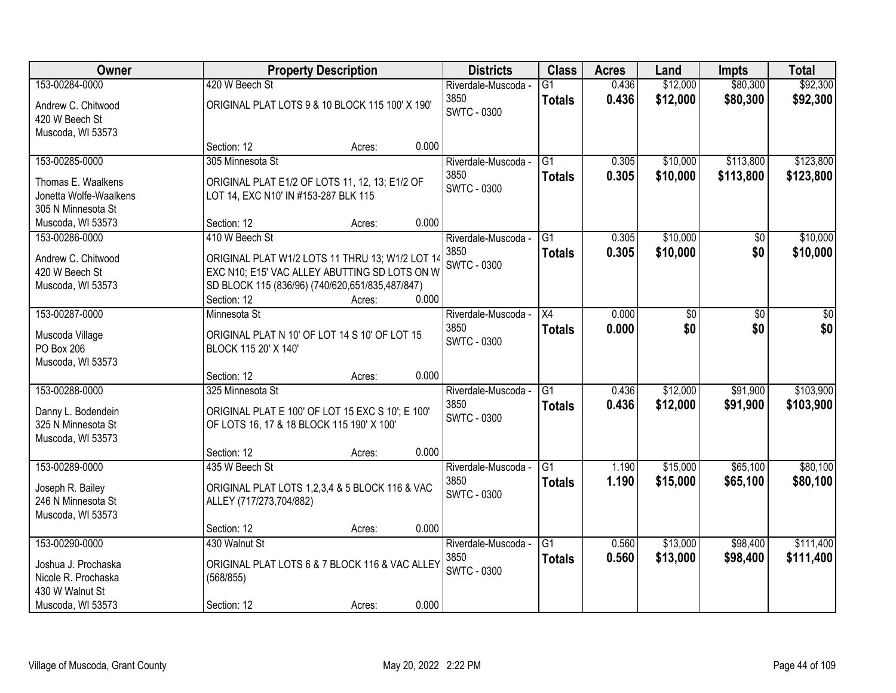| Owner                  | <b>Property Description</b>                      |        | <b>Districts</b>           | <b>Class</b>    | <b>Acres</b> | Land     | <b>Impts</b> | <b>Total</b> |
|------------------------|--------------------------------------------------|--------|----------------------------|-----------------|--------------|----------|--------------|--------------|
| 153-00284-0000         | 420 W Beech St                                   |        | Riverdale-Muscoda -        | $\overline{G1}$ | 0.436        | \$12,000 | \$80,300     | \$92,300     |
| Andrew C. Chitwood     | ORIGINAL PLAT LOTS 9 & 10 BLOCK 115 100' X 190'  |        | 3850                       | <b>Totals</b>   | 0.436        | \$12,000 | \$80,300     | \$92,300     |
| 420 W Beech St         |                                                  |        | <b>SWTC - 0300</b>         |                 |              |          |              |              |
| Muscoda, WI 53573      |                                                  |        |                            |                 |              |          |              |              |
|                        | Section: 12                                      | Acres: | 0.000                      |                 |              |          |              |              |
| 153-00285-0000         | 305 Minnesota St                                 |        | Riverdale-Muscoda -        | G1              | 0.305        | \$10,000 | \$113,800    | \$123,800    |
| Thomas E. Waalkens     | ORIGINAL PLAT E1/2 OF LOTS 11, 12, 13; E1/2 OF   |        | 3850<br><b>SWTC - 0300</b> | <b>Totals</b>   | 0.305        | \$10,000 | \$113,800    | \$123,800    |
| Jonetta Wolfe-Waalkens | LOT 14, EXC N10' IN #153-287 BLK 115             |        |                            |                 |              |          |              |              |
| 305 N Minnesota St     |                                                  |        |                            |                 |              |          |              |              |
| Muscoda, WI 53573      | Section: 12                                      | Acres: | 0.000                      |                 |              |          |              |              |
| 153-00286-0000         | 410 W Beech St                                   |        | Riverdale-Muscoda -        | G1              | 0.305        | \$10,000 | \$0          | \$10,000     |
| Andrew C. Chitwood     | ORIGINAL PLAT W1/2 LOTS 11 THRU 13; W1/2 LOT 14  |        | 3850<br><b>SWTC - 0300</b> | <b>Totals</b>   | 0.305        | \$10,000 | \$0          | \$10,000     |
| 420 W Beech St         | EXC N10; E15' VAC ALLEY ABUTTING SD LOTS ON W    |        |                            |                 |              |          |              |              |
| Muscoda, WI 53573      | SD BLOCK 115 (836/96) (740/620,651/835,487/847)  |        |                            |                 |              |          |              |              |
|                        | Section: 12                                      | Acres: | 0.000                      |                 |              |          |              |              |
| 153-00287-0000         | Minnesota St                                     |        | Riverdale-Muscoda -        | X4              | 0.000        | \$0      | \$0          | \$0          |
| Muscoda Village        | ORIGINAL PLAT N 10' OF LOT 14 S 10' OF LOT 15    |        | 3850<br><b>SWTC - 0300</b> | <b>Totals</b>   | 0.000        | \$0      | \$0          | \$0          |
| PO Box 206             | BLOCK 115 20' X 140'                             |        |                            |                 |              |          |              |              |
| Muscoda, WI 53573      |                                                  |        |                            |                 |              |          |              |              |
|                        | Section: 12                                      | Acres: | 0.000                      |                 |              |          |              |              |
| 153-00288-0000         | 325 Minnesota St                                 |        | Riverdale-Muscoda -        | $\overline{G1}$ | 0.436        | \$12,000 | \$91,900     | \$103,900    |
| Danny L. Bodendein     | ORIGINAL PLAT E 100' OF LOT 15 EXC S 10'; E 100' |        | 3850<br><b>SWTC - 0300</b> | <b>Totals</b>   | 0.436        | \$12,000 | \$91,900     | \$103,900    |
| 325 N Minnesota St     | OF LOTS 16, 17 & 18 BLOCK 115 190' X 100'        |        |                            |                 |              |          |              |              |
| Muscoda, WI 53573      |                                                  |        |                            |                 |              |          |              |              |
|                        | Section: 12                                      | Acres: | 0.000                      |                 |              |          |              |              |
| 153-00289-0000         | 435 W Beech St                                   |        | Riverdale-Muscoda -        | G1              | 1.190        | \$15,000 | \$65,100     | \$80,100     |
| Joseph R. Bailey       | ORIGINAL PLAT LOTS 1,2,3,4 & 5 BLOCK 116 & VAC   |        | 3850<br><b>SWTC - 0300</b> | <b>Totals</b>   | 1.190        | \$15,000 | \$65,100     | \$80,100     |
| 246 N Minnesota St     | ALLEY (717/273,704/882)                          |        |                            |                 |              |          |              |              |
| Muscoda, WI 53573      |                                                  |        |                            |                 |              |          |              |              |
|                        | Section: 12                                      | Acres: | 0.000                      |                 |              |          |              |              |
| 153-00290-0000         | 430 Walnut St                                    |        | Riverdale-Muscoda -        | $\overline{G1}$ | 0.560        | \$13,000 | \$98,400     | \$111,400    |
| Joshua J. Prochaska    | ORIGINAL PLAT LOTS 6 & 7 BLOCK 116 & VAC ALLEY   |        | 3850<br><b>SWTC - 0300</b> | <b>Totals</b>   | 0.560        | \$13,000 | \$98,400     | \$111,400    |
| Nicole R. Prochaska    | (568/855)                                        |        |                            |                 |              |          |              |              |
| 430 W Walnut St        |                                                  |        |                            |                 |              |          |              |              |
| Muscoda, WI 53573      | Section: 12                                      | Acres: | 0.000                      |                 |              |          |              |              |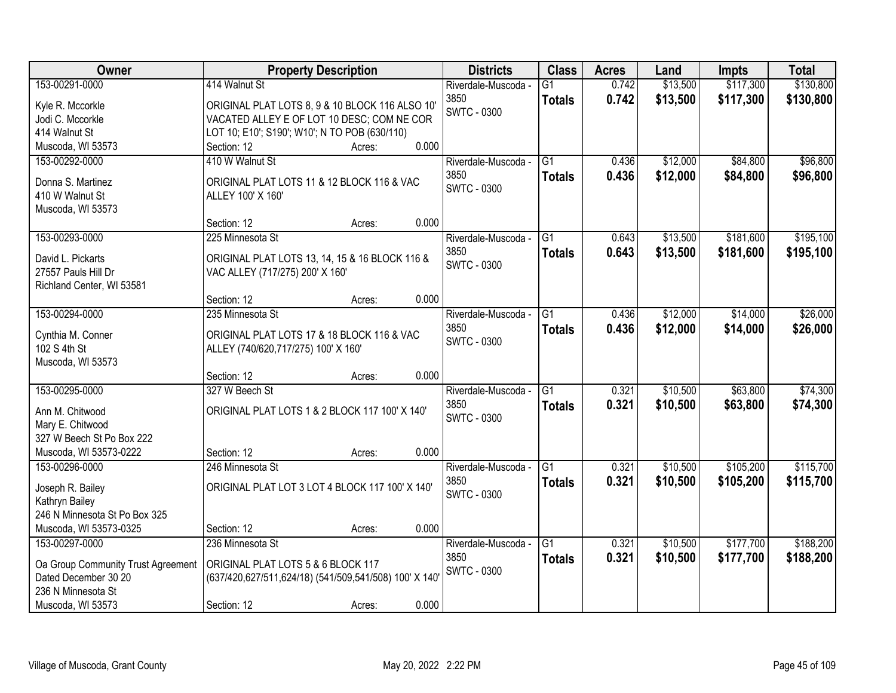| Owner                                               | <b>Property Description</b>                            |        |       | <b>Districts</b>    | <b>Class</b>    | <b>Acres</b> | Land     | <b>Impts</b> | <b>Total</b> |
|-----------------------------------------------------|--------------------------------------------------------|--------|-------|---------------------|-----------------|--------------|----------|--------------|--------------|
| 153-00291-0000                                      | 414 Walnut St                                          |        |       | Riverdale-Muscoda - | $\overline{G1}$ | 0.742        | \$13,500 | \$117,300    | \$130,800    |
| Kyle R. Mccorkle                                    | ORIGINAL PLAT LOTS 8, 9 & 10 BLOCK 116 ALSO 10'        |        |       | 3850                | <b>Totals</b>   | 0.742        | \$13,500 | \$117,300    | \$130,800    |
| Jodi C. Mccorkle                                    | VACATED ALLEY E OF LOT 10 DESC; COM NE COR             |        |       | <b>SWTC - 0300</b>  |                 |              |          |              |              |
| 414 Walnut St                                       | LOT 10; E10'; S190'; W10'; N TO POB (630/110)          |        |       |                     |                 |              |          |              |              |
| Muscoda, WI 53573                                   | Section: 12                                            | Acres: | 0.000 |                     |                 |              |          |              |              |
| 153-00292-0000                                      | 410 W Walnut St                                        |        |       | Riverdale-Muscoda - | $\overline{G1}$ | 0.436        | \$12,000 | \$84,800     | \$96,800     |
| Donna S. Martinez                                   | ORIGINAL PLAT LOTS 11 & 12 BLOCK 116 & VAC             |        |       | 3850                | <b>Totals</b>   | 0.436        | \$12,000 | \$84,800     | \$96,800     |
| 410 W Walnut St                                     | ALLEY 100' X 160'                                      |        |       | <b>SWTC - 0300</b>  |                 |              |          |              |              |
| Muscoda, WI 53573                                   |                                                        |        |       |                     |                 |              |          |              |              |
|                                                     | Section: 12                                            | Acres: | 0.000 |                     |                 |              |          |              |              |
| 153-00293-0000                                      | 225 Minnesota St                                       |        |       | Riverdale-Muscoda - | $\overline{G1}$ | 0.643        | \$13,500 | \$181,600    | \$195,100    |
| David L. Pickarts                                   | ORIGINAL PLAT LOTS 13, 14, 15 & 16 BLOCK 116 &         |        |       | 3850                | <b>Totals</b>   | 0.643        | \$13,500 | \$181,600    | \$195,100    |
| 27557 Pauls Hill Dr                                 | VAC ALLEY (717/275) 200' X 160'                        |        |       | SWTC - 0300         |                 |              |          |              |              |
| Richland Center, WI 53581                           |                                                        |        |       |                     |                 |              |          |              |              |
|                                                     | Section: 12                                            | Acres: | 0.000 |                     |                 |              |          |              |              |
| 153-00294-0000                                      | 235 Minnesota St                                       |        |       | Riverdale-Muscoda - | G1              | 0.436        | \$12,000 | \$14,000     | \$26,000     |
|                                                     |                                                        |        |       | 3850                | <b>Totals</b>   | 0.436        | \$12,000 | \$14,000     | \$26,000     |
| Cynthia M. Conner<br>102 S 4th St                   | ORIGINAL PLAT LOTS 17 & 18 BLOCK 116 & VAC             |        |       | <b>SWTC - 0300</b>  |                 |              |          |              |              |
| Muscoda, WI 53573                                   | ALLEY (740/620,717/275) 100' X 160'                    |        |       |                     |                 |              |          |              |              |
|                                                     | Section: 12                                            | Acres: | 0.000 |                     |                 |              |          |              |              |
| 153-00295-0000                                      | 327 W Beech St                                         |        |       | Riverdale-Muscoda - | $\overline{G1}$ | 0.321        | \$10,500 | \$63,800     | \$74,300     |
|                                                     |                                                        |        |       | 3850                | <b>Totals</b>   | 0.321        | \$10,500 | \$63,800     | \$74,300     |
| Ann M. Chitwood                                     | ORIGINAL PLAT LOTS 1 & 2 BLOCK 117 100' X 140'         |        |       | <b>SWTC - 0300</b>  |                 |              |          |              |              |
| Mary E. Chitwood                                    |                                                        |        |       |                     |                 |              |          |              |              |
| 327 W Beech St Po Box 222<br>Muscoda, WI 53573-0222 | Section: 12                                            |        | 0.000 |                     |                 |              |          |              |              |
| 153-00296-0000                                      | 246 Minnesota St                                       | Acres: |       | Riverdale-Muscoda - | $\overline{G1}$ | 0.321        | \$10,500 | \$105,200    | \$115,700    |
|                                                     |                                                        |        |       | 3850                |                 | 0.321        | \$10,500 | \$105,200    | \$115,700    |
| Joseph R. Bailey                                    | ORIGINAL PLAT LOT 3 LOT 4 BLOCK 117 100' X 140'        |        |       | <b>SWTC - 0300</b>  | <b>Totals</b>   |              |          |              |              |
| Kathryn Bailey                                      |                                                        |        |       |                     |                 |              |          |              |              |
| 246 N Minnesota St Po Box 325                       |                                                        |        |       |                     |                 |              |          |              |              |
| Muscoda, WI 53573-0325                              | Section: 12                                            | Acres: | 0.000 |                     |                 |              |          |              |              |
| 153-00297-0000                                      | 236 Minnesota St                                       |        |       | Riverdale-Muscoda - | $\overline{G1}$ | 0.321        | \$10,500 | \$177,700    | \$188,200    |
| Oa Group Community Trust Agreement                  | ORIGINAL PLAT LOTS 5 & 6 BLOCK 117                     |        |       | 3850                | <b>Totals</b>   | 0.321        | \$10,500 | \$177,700    | \$188,200    |
| Dated December 30 20                                | (637/420,627/511,624/18) (541/509,541/508) 100' X 140' |        |       | <b>SWTC - 0300</b>  |                 |              |          |              |              |
| 236 N Minnesota St                                  |                                                        |        |       |                     |                 |              |          |              |              |
| Muscoda, WI 53573                                   | Section: 12                                            | Acres: | 0.000 |                     |                 |              |          |              |              |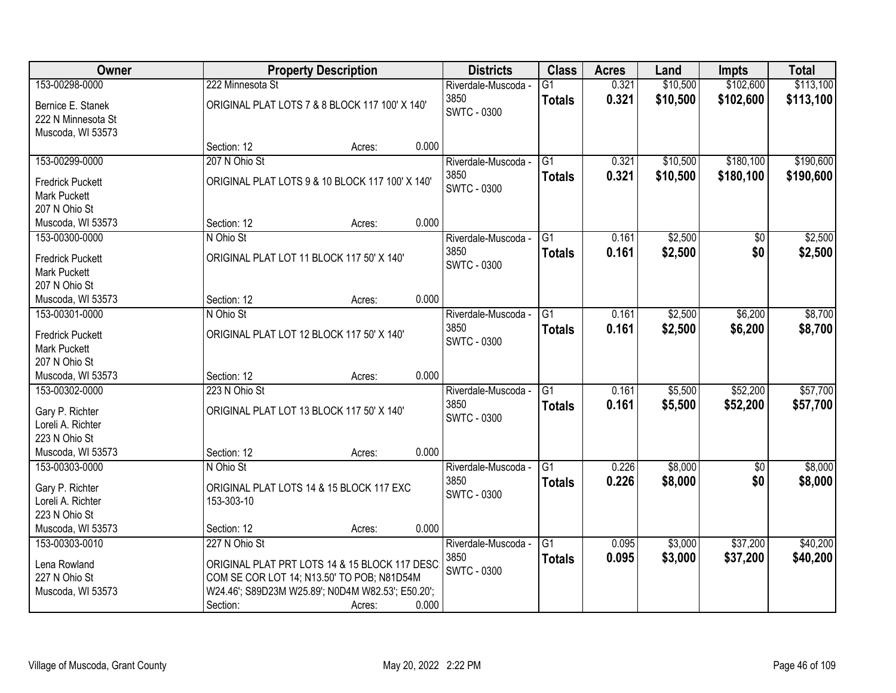| Owner                                                                   | <b>Property Description</b>                                                                                                                                       |       | <b>Districts</b>                                  | <b>Class</b>                     | <b>Acres</b>   | Land               | <b>Impts</b>         | <b>Total</b>         |
|-------------------------------------------------------------------------|-------------------------------------------------------------------------------------------------------------------------------------------------------------------|-------|---------------------------------------------------|----------------------------------|----------------|--------------------|----------------------|----------------------|
| 153-00298-0000                                                          | 222 Minnesota St                                                                                                                                                  |       | Riverdale-Muscoda -                               | $\overline{G1}$                  | 0.321          | \$10,500           | \$102,600            | \$113,100            |
| Bernice E. Stanek<br>222 N Minnesota St<br>Muscoda, WI 53573            | ORIGINAL PLAT LOTS 7 & 8 BLOCK 117 100' X 140'                                                                                                                    |       | 3850<br><b>SWTC - 0300</b>                        | <b>Totals</b>                    | 0.321          | \$10,500           | \$102,600            | \$113,100            |
|                                                                         | Section: 12<br>Acres:                                                                                                                                             | 0.000 |                                                   |                                  |                |                    |                      |                      |
| 153-00299-0000                                                          | 207 N Ohio St                                                                                                                                                     |       | Riverdale-Muscoda -                               | $\overline{G1}$                  | 0.321          | \$10,500           | \$180,100            | \$190,600            |
| <b>Fredrick Puckett</b><br><b>Mark Puckett</b><br>207 N Ohio St         | ORIGINAL PLAT LOTS 9 & 10 BLOCK 117 100' X 140'                                                                                                                   |       | 3850<br>SWTC - 0300                               | <b>Totals</b>                    | 0.321          | \$10,500           | \$180,100            | \$190,600            |
| Muscoda, WI 53573                                                       | Section: 12<br>Acres:                                                                                                                                             | 0.000 |                                                   |                                  |                |                    |                      |                      |
| 153-00300-0000                                                          | N Ohio St                                                                                                                                                         |       | Riverdale-Muscoda -                               | G <sub>1</sub>                   | 0.161          | \$2,500            | \$0                  | \$2,500              |
| <b>Fredrick Puckett</b><br><b>Mark Puckett</b><br>207 N Ohio St         | ORIGINAL PLAT LOT 11 BLOCK 117 50' X 140'                                                                                                                         |       | 3850<br><b>SWTC - 0300</b>                        | <b>Totals</b>                    | 0.161          | \$2,500            | \$0                  | \$2,500              |
| Muscoda, WI 53573                                                       | Section: 12<br>Acres:                                                                                                                                             | 0.000 |                                                   |                                  |                |                    |                      |                      |
| 153-00301-0000                                                          | N Ohio St                                                                                                                                                         |       | Riverdale-Muscoda -                               | G1                               | 0.161          | \$2,500            | \$6,200              | \$8,700              |
| <b>Fredrick Puckett</b><br>Mark Puckett<br>207 N Ohio St                | ORIGINAL PLAT LOT 12 BLOCK 117 50' X 140'                                                                                                                         |       | 3850<br><b>SWTC - 0300</b>                        | <b>Totals</b>                    | 0.161          | \$2,500            | \$6,200              | \$8,700              |
| Muscoda, WI 53573                                                       | Section: 12<br>Acres:                                                                                                                                             | 0.000 |                                                   |                                  |                |                    |                      |                      |
| 153-00302-0000<br>Gary P. Richter<br>Loreli A. Richter                  | 223 N Ohio St<br>ORIGINAL PLAT LOT 13 BLOCK 117 50' X 140'                                                                                                        |       | Riverdale-Muscoda -<br>3850<br><b>SWTC - 0300</b> | $\overline{G1}$<br><b>Totals</b> | 0.161<br>0.161 | \$5,500<br>\$5,500 | \$52,200<br>\$52,200 | \$57,700<br>\$57,700 |
| 223 N Ohio St                                                           |                                                                                                                                                                   |       |                                                   |                                  |                |                    |                      |                      |
| Muscoda, WI 53573                                                       | Section: 12<br>Acres:                                                                                                                                             | 0.000 |                                                   |                                  |                |                    |                      |                      |
| 153-00303-0000<br>Gary P. Richter<br>Loreli A. Richter<br>223 N Ohio St | N Ohio St<br>ORIGINAL PLAT LOTS 14 & 15 BLOCK 117 EXC<br>153-303-10                                                                                               |       | Riverdale-Muscoda -<br>3850<br><b>SWTC - 0300</b> | $\overline{G1}$<br><b>Totals</b> | 0.226<br>0.226 | \$8,000<br>\$8,000 | \$0<br>\$0           | \$8,000<br>\$8,000   |
| Muscoda, WI 53573                                                       | Section: 12<br>Acres:                                                                                                                                             | 0.000 |                                                   |                                  |                |                    |                      |                      |
| 153-00303-0010<br>Lena Rowland<br>227 N Ohio St<br>Muscoda, WI 53573    | 227 N Ohio St<br>ORIGINAL PLAT PRT LOTS 14 & 15 BLOCK 117 DESC<br>COM SE COR LOT 14; N13.50' TO POB; N81D54M<br>W24.46'; S89D23M W25.89'; N0D4M W82.53'; E50.20'; | 0.000 | Riverdale-Muscoda -<br>3850<br><b>SWTC - 0300</b> | G1<br><b>Totals</b>              | 0.095<br>0.095 | \$3,000<br>\$3,000 | \$37,200<br>\$37,200 | \$40,200<br>\$40,200 |
|                                                                         | Section:<br>Acres:                                                                                                                                                |       |                                                   |                                  |                |                    |                      |                      |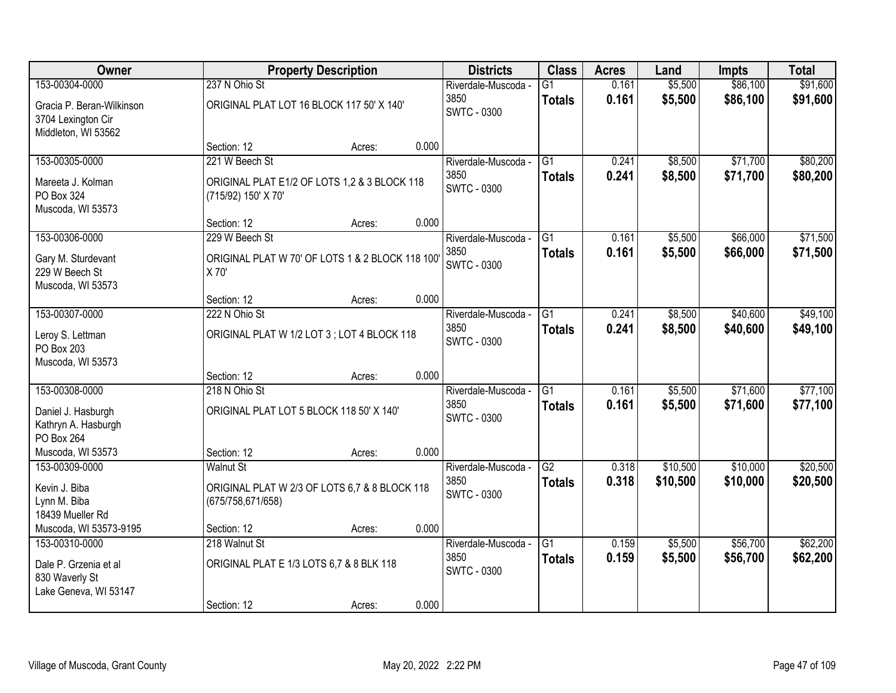| Owner                                                                  |                                                                     | <b>Property Description</b> |       | <b>Districts</b>           | <b>Class</b>    | <b>Acres</b> | Land     | <b>Impts</b> | <b>Total</b> |
|------------------------------------------------------------------------|---------------------------------------------------------------------|-----------------------------|-------|----------------------------|-----------------|--------------|----------|--------------|--------------|
| 153-00304-0000                                                         | 237 N Ohio St                                                       |                             |       | Riverdale-Muscoda -        | G1              | 0.161        | \$5,500  | \$86,100     | \$91,600     |
| Gracia P. Beran-Wilkinson<br>3704 Lexington Cir<br>Middleton, WI 53562 | ORIGINAL PLAT LOT 16 BLOCK 117 50' X 140'                           |                             |       | 3850<br><b>SWTC - 0300</b> | <b>Totals</b>   | 0.161        | \$5,500  | \$86,100     | \$91,600     |
|                                                                        | Section: 12                                                         | Acres:                      | 0.000 |                            |                 |              |          |              |              |
| 153-00305-0000                                                         | 221 W Beech St                                                      |                             |       | Riverdale-Muscoda -        | $\overline{G1}$ | 0.241        | \$8,500  | \$71,700     | \$80,200     |
| Mareeta J. Kolman<br>PO Box 324<br>Muscoda, WI 53573                   | ORIGINAL PLAT E1/2 OF LOTS 1,2 & 3 BLOCK 118<br>(715/92) 150' X 70' |                             |       | 3850<br><b>SWTC - 0300</b> | <b>Totals</b>   | 0.241        | \$8,500  | \$71,700     | \$80,200     |
|                                                                        | Section: 12                                                         | Acres:                      | 0.000 |                            |                 |              |          |              |              |
| 153-00306-0000                                                         | 229 W Beech St                                                      |                             |       | Riverdale-Muscoda -        | $\overline{G1}$ | 0.161        | \$5,500  | \$66,000     | \$71,500     |
| Gary M. Sturdevant<br>229 W Beech St<br>Muscoda, WI 53573              | ORIGINAL PLAT W 70' OF LOTS 1 & 2 BLOCK 118 100'<br>X 70'           |                             |       | 3850<br><b>SWTC - 0300</b> | <b>Totals</b>   | 0.161        | \$5,500  | \$66,000     | \$71,500     |
|                                                                        | Section: 12                                                         | Acres:                      | 0.000 |                            |                 |              |          |              |              |
| 153-00307-0000                                                         | 222 N Ohio St                                                       |                             |       | Riverdale-Muscoda -        | G1              | 0.241        | \$8,500  | \$40,600     | \$49,100     |
| Leroy S. Lettman<br>PO Box 203<br>Muscoda, WI 53573                    | ORIGINAL PLAT W 1/2 LOT 3; LOT 4 BLOCK 118                          |                             |       | 3850<br><b>SWTC - 0300</b> | <b>Totals</b>   | 0.241        | \$8,500  | \$40,600     | \$49,100     |
|                                                                        | Section: 12                                                         | Acres:                      | 0.000 |                            |                 |              |          |              |              |
| 153-00308-0000                                                         | 218 N Ohio St                                                       |                             |       | Riverdale-Muscoda -        | $\overline{G1}$ | 0.161        | \$5,500  | \$71,600     | \$77,100     |
| Daniel J. Hasburgh<br>Kathryn A. Hasburgh<br>PO Box 264                | ORIGINAL PLAT LOT 5 BLOCK 118 50' X 140'                            |                             |       | 3850<br><b>SWTC - 0300</b> | <b>Totals</b>   | 0.161        | \$5,500  | \$71,600     | \$77,100     |
| Muscoda, WI 53573                                                      | Section: 12                                                         | Acres:                      | 0.000 |                            |                 |              |          |              |              |
| 153-00309-0000                                                         | <b>Walnut St</b>                                                    |                             |       | Riverdale-Muscoda -        | $\overline{G2}$ | 0.318        | \$10,500 | \$10,000     | \$20,500     |
| Kevin J. Biba<br>Lynn M. Biba<br>18439 Mueller Rd                      | ORIGINAL PLAT W 2/3 OF LOTS 6,7 & 8 BLOCK 118<br>(675/758,671/658)  |                             |       | 3850<br>SWTC - 0300        | <b>Totals</b>   | 0.318        | \$10,500 | \$10,000     | \$20,500     |
| Muscoda, WI 53573-9195                                                 | Section: 12                                                         | Acres:                      | 0.000 |                            |                 |              |          |              |              |
| 153-00310-0000                                                         | 218 Walnut St                                                       |                             |       | Riverdale-Muscoda -        | $\overline{G1}$ | 0.159        | \$5,500  | \$56,700     | \$62,200     |
| Dale P. Grzenia et al<br>830 Waverly St<br>Lake Geneva, WI 53147       | ORIGINAL PLAT E 1/3 LOTS 6,7 & 8 BLK 118                            |                             |       | 3850<br><b>SWTC - 0300</b> | <b>Totals</b>   | 0.159        | \$5,500  | \$56,700     | \$62,200     |
|                                                                        | Section: 12                                                         | Acres:                      | 0.000 |                            |                 |              |          |              |              |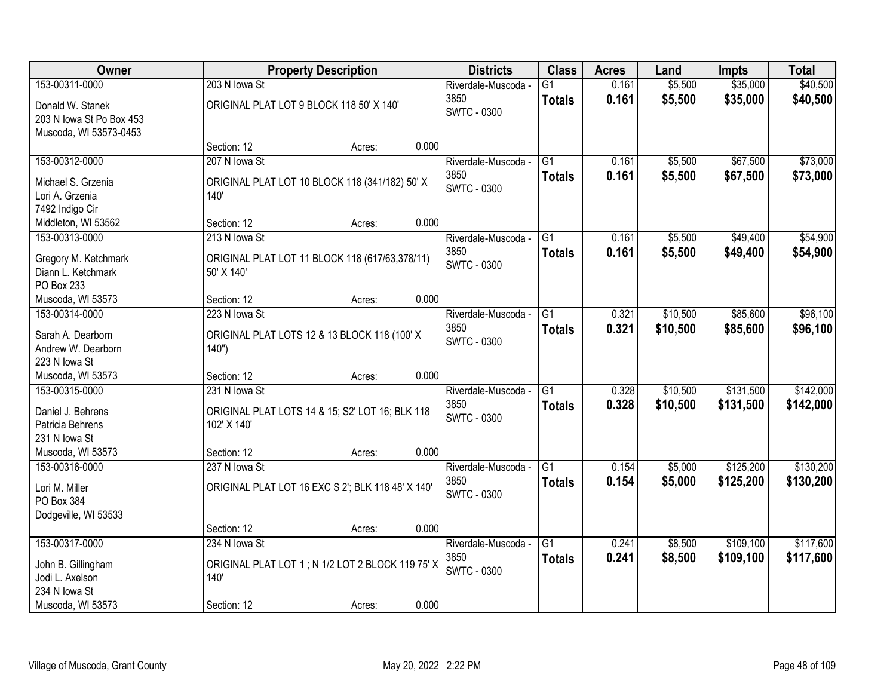| 153-00311-0000<br>\$5,500<br>\$35,000<br>203 N lowa St<br>0.161<br>Riverdale-Muscoda -<br>$\overline{G1}$<br>3850<br>0.161<br>\$5,500<br>\$35,000<br>\$40,500<br><b>Totals</b><br>ORIGINAL PLAT LOT 9 BLOCK 118 50' X 140'<br>Donald W. Stanek<br><b>SWTC - 0300</b><br>203 N Iowa St Po Box 453<br>Muscoda, WI 53573-0453<br>0.000<br>Section: 12<br>Acres:<br>207 N lowa St<br>\$5,500<br>\$67,500<br>\$73,000<br>153-00312-0000<br>$\overline{G1}$<br>0.161<br>Riverdale-Muscoda -<br>3850<br>0.161<br>\$5,500<br>\$67,500<br>\$73,000<br><b>Totals</b><br>ORIGINAL PLAT LOT 10 BLOCK 118 (341/182) 50' X<br>Michael S. Grzenia<br><b>SWTC - 0300</b><br>Lori A. Grzenia<br>140'<br>7492 Indigo Cir<br>0.000<br>Middleton, WI 53562<br>Section: 12<br>Acres:<br>\$49,400<br>153-00313-0000<br>G1<br>\$5,500<br>213 N Iowa St<br>Riverdale-Muscoda -<br>0.161<br>3850<br>0.161<br>\$5,500<br>\$49,400<br><b>Totals</b><br>Gregory M. Ketchmark<br>ORIGINAL PLAT LOT 11 BLOCK 118 (617/63,378/11)<br><b>SWTC - 0300</b><br>Diann L. Ketchmark<br>50' X 140' | Owner | <b>Property Description</b> | <b>Districts</b> | <b>Class</b> | <b>Acres</b> | Land | <b>Impts</b> | <b>Total</b> |
|--------------------------------------------------------------------------------------------------------------------------------------------------------------------------------------------------------------------------------------------------------------------------------------------------------------------------------------------------------------------------------------------------------------------------------------------------------------------------------------------------------------------------------------------------------------------------------------------------------------------------------------------------------------------------------------------------------------------------------------------------------------------------------------------------------------------------------------------------------------------------------------------------------------------------------------------------------------------------------------------------------------------------------------------------------------|-------|-----------------------------|------------------|--------------|--------------|------|--------------|--------------|
|                                                                                                                                                                                                                                                                                                                                                                                                                                                                                                                                                                                                                                                                                                                                                                                                                                                                                                                                                                                                                                                              |       |                             |                  |              |              |      |              | \$40,500     |
|                                                                                                                                                                                                                                                                                                                                                                                                                                                                                                                                                                                                                                                                                                                                                                                                                                                                                                                                                                                                                                                              |       |                             |                  |              |              |      |              |              |
|                                                                                                                                                                                                                                                                                                                                                                                                                                                                                                                                                                                                                                                                                                                                                                                                                                                                                                                                                                                                                                                              |       |                             |                  |              |              |      |              |              |
|                                                                                                                                                                                                                                                                                                                                                                                                                                                                                                                                                                                                                                                                                                                                                                                                                                                                                                                                                                                                                                                              |       |                             |                  |              |              |      |              |              |
|                                                                                                                                                                                                                                                                                                                                                                                                                                                                                                                                                                                                                                                                                                                                                                                                                                                                                                                                                                                                                                                              |       |                             |                  |              |              |      |              |              |
|                                                                                                                                                                                                                                                                                                                                                                                                                                                                                                                                                                                                                                                                                                                                                                                                                                                                                                                                                                                                                                                              |       |                             |                  |              |              |      |              |              |
|                                                                                                                                                                                                                                                                                                                                                                                                                                                                                                                                                                                                                                                                                                                                                                                                                                                                                                                                                                                                                                                              |       |                             |                  |              |              |      |              |              |
|                                                                                                                                                                                                                                                                                                                                                                                                                                                                                                                                                                                                                                                                                                                                                                                                                                                                                                                                                                                                                                                              |       |                             |                  |              |              |      |              |              |
|                                                                                                                                                                                                                                                                                                                                                                                                                                                                                                                                                                                                                                                                                                                                                                                                                                                                                                                                                                                                                                                              |       |                             |                  |              |              |      |              |              |
|                                                                                                                                                                                                                                                                                                                                                                                                                                                                                                                                                                                                                                                                                                                                                                                                                                                                                                                                                                                                                                                              |       |                             |                  |              |              |      |              |              |
|                                                                                                                                                                                                                                                                                                                                                                                                                                                                                                                                                                                                                                                                                                                                                                                                                                                                                                                                                                                                                                                              |       |                             |                  |              |              |      |              | \$54,900     |
|                                                                                                                                                                                                                                                                                                                                                                                                                                                                                                                                                                                                                                                                                                                                                                                                                                                                                                                                                                                                                                                              |       |                             |                  |              |              |      |              | \$54,900     |
|                                                                                                                                                                                                                                                                                                                                                                                                                                                                                                                                                                                                                                                                                                                                                                                                                                                                                                                                                                                                                                                              |       |                             |                  |              |              |      |              |              |
| PO Box 233                                                                                                                                                                                                                                                                                                                                                                                                                                                                                                                                                                                                                                                                                                                                                                                                                                                                                                                                                                                                                                                   |       |                             |                  |              |              |      |              |              |
| 0.000<br>Section: 12<br>Muscoda, WI 53573<br>Acres:                                                                                                                                                                                                                                                                                                                                                                                                                                                                                                                                                                                                                                                                                                                                                                                                                                                                                                                                                                                                          |       |                             |                  |              |              |      |              |              |
| \$10,500<br>\$85,600<br>153-00314-0000<br>223 N lowa St<br>G1<br>0.321<br>Riverdale-Muscoda -                                                                                                                                                                                                                                                                                                                                                                                                                                                                                                                                                                                                                                                                                                                                                                                                                                                                                                                                                                |       |                             |                  |              |              |      |              | \$96,100     |
| 3850<br>0.321<br>\$85,600<br>\$10,500<br><b>Totals</b><br>Sarah A. Dearborn                                                                                                                                                                                                                                                                                                                                                                                                                                                                                                                                                                                                                                                                                                                                                                                                                                                                                                                                                                                  |       |                             |                  |              |              |      |              | \$96,100     |
| ORIGINAL PLAT LOTS 12 & 13 BLOCK 118 (100' X<br>SWTC - 0300<br>Andrew W. Dearborn<br>140")                                                                                                                                                                                                                                                                                                                                                                                                                                                                                                                                                                                                                                                                                                                                                                                                                                                                                                                                                                   |       |                             |                  |              |              |      |              |              |
| 223 N lowa St                                                                                                                                                                                                                                                                                                                                                                                                                                                                                                                                                                                                                                                                                                                                                                                                                                                                                                                                                                                                                                                |       |                             |                  |              |              |      |              |              |
| 0.000<br>Muscoda, WI 53573<br>Section: 12<br>Acres:                                                                                                                                                                                                                                                                                                                                                                                                                                                                                                                                                                                                                                                                                                                                                                                                                                                                                                                                                                                                          |       |                             |                  |              |              |      |              |              |
| 231 N lowa St<br>\$131,500<br>153-00315-0000<br>$\overline{G1}$<br>0.328<br>\$10,500<br>Riverdale-Muscoda -                                                                                                                                                                                                                                                                                                                                                                                                                                                                                                                                                                                                                                                                                                                                                                                                                                                                                                                                                  |       |                             |                  |              |              |      |              | \$142,000    |
| 3850<br>0.328<br>\$10,500<br>\$131,500<br><b>Totals</b>                                                                                                                                                                                                                                                                                                                                                                                                                                                                                                                                                                                                                                                                                                                                                                                                                                                                                                                                                                                                      |       |                             |                  |              |              |      |              | \$142,000    |
| Daniel J. Behrens<br>ORIGINAL PLAT LOTS 14 & 15; S2' LOT 16; BLK 118<br><b>SWTC - 0300</b><br>102' X 140'<br>Patricia Behrens                                                                                                                                                                                                                                                                                                                                                                                                                                                                                                                                                                                                                                                                                                                                                                                                                                                                                                                                |       |                             |                  |              |              |      |              |              |
| 231 N Iowa St                                                                                                                                                                                                                                                                                                                                                                                                                                                                                                                                                                                                                                                                                                                                                                                                                                                                                                                                                                                                                                                |       |                             |                  |              |              |      |              |              |
| Muscoda, WI 53573<br>0.000<br>Section: 12<br>Acres:                                                                                                                                                                                                                                                                                                                                                                                                                                                                                                                                                                                                                                                                                                                                                                                                                                                                                                                                                                                                          |       |                             |                  |              |              |      |              |              |
| $\overline{G1}$<br>\$125,200<br>153-00316-0000<br>0.154<br>\$5,000<br>237 N lowa St<br>Riverdale-Muscoda -                                                                                                                                                                                                                                                                                                                                                                                                                                                                                                                                                                                                                                                                                                                                                                                                                                                                                                                                                   |       |                             |                  |              |              |      |              | \$130,200    |
| 3850<br>0.154<br>\$125,200<br>\$5,000<br><b>Totals</b>                                                                                                                                                                                                                                                                                                                                                                                                                                                                                                                                                                                                                                                                                                                                                                                                                                                                                                                                                                                                       |       |                             |                  |              |              |      |              | \$130,200    |
| ORIGINAL PLAT LOT 16 EXC S 2'; BLK 118 48' X 140'<br>Lori M. Miller<br><b>SWTC - 0300</b>                                                                                                                                                                                                                                                                                                                                                                                                                                                                                                                                                                                                                                                                                                                                                                                                                                                                                                                                                                    |       |                             |                  |              |              |      |              |              |
| PO Box 384<br>Dodgeville, WI 53533                                                                                                                                                                                                                                                                                                                                                                                                                                                                                                                                                                                                                                                                                                                                                                                                                                                                                                                                                                                                                           |       |                             |                  |              |              |      |              |              |
| 0.000<br>Section: 12<br>Acres:                                                                                                                                                                                                                                                                                                                                                                                                                                                                                                                                                                                                                                                                                                                                                                                                                                                                                                                                                                                                                               |       |                             |                  |              |              |      |              |              |
| 153-00317-0000<br>\$8,500<br>\$109,100<br>234 N lowa St<br>G1<br>0.241<br>Riverdale-Muscoda -                                                                                                                                                                                                                                                                                                                                                                                                                                                                                                                                                                                                                                                                                                                                                                                                                                                                                                                                                                |       |                             |                  |              |              |      |              | \$117,600    |
| 3850<br>0.241<br>\$8,500<br>\$109,100<br><b>Totals</b>                                                                                                                                                                                                                                                                                                                                                                                                                                                                                                                                                                                                                                                                                                                                                                                                                                                                                                                                                                                                       |       |                             |                  |              |              |      |              | \$117,600    |
| ORIGINAL PLAT LOT 1; N 1/2 LOT 2 BLOCK 119 75' X<br>John B. Gillingham<br>SWTC - 0300                                                                                                                                                                                                                                                                                                                                                                                                                                                                                                                                                                                                                                                                                                                                                                                                                                                                                                                                                                        |       |                             |                  |              |              |      |              |              |
| Jodi L. Axelson<br>140'<br>234 N Iowa St                                                                                                                                                                                                                                                                                                                                                                                                                                                                                                                                                                                                                                                                                                                                                                                                                                                                                                                                                                                                                     |       |                             |                  |              |              |      |              |              |
| 0.000<br>Muscoda, WI 53573<br>Section: 12<br>Acres:                                                                                                                                                                                                                                                                                                                                                                                                                                                                                                                                                                                                                                                                                                                                                                                                                                                                                                                                                                                                          |       |                             |                  |              |              |      |              |              |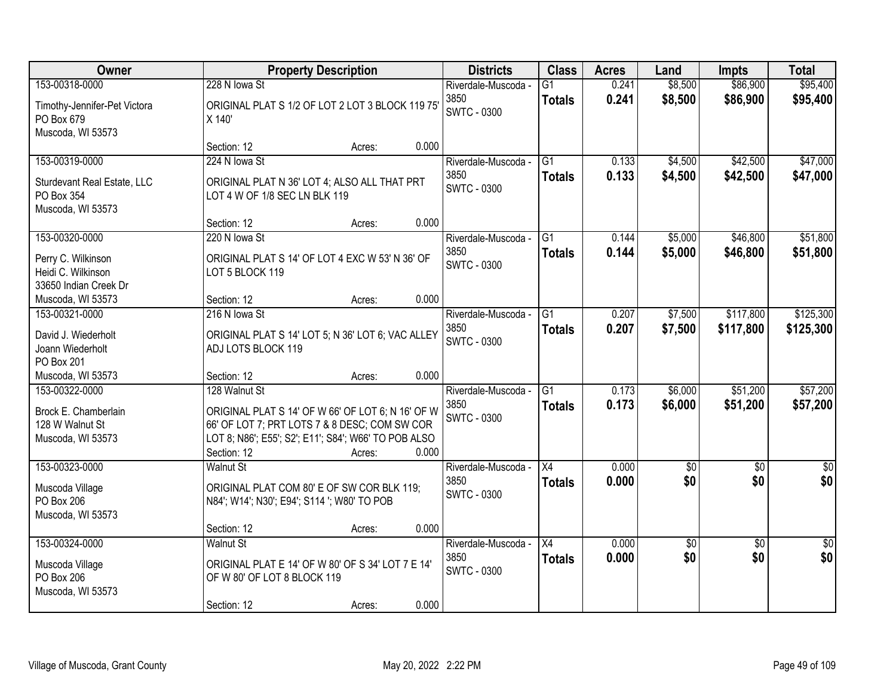| Owner                                                                               |                                                                                                                                                                                            | <b>Property Description</b> |       | <b>Districts</b>                                  | <b>Class</b>                     | <b>Acres</b>   | Land                   | <b>Impts</b>           | <b>Total</b>            |
|-------------------------------------------------------------------------------------|--------------------------------------------------------------------------------------------------------------------------------------------------------------------------------------------|-----------------------------|-------|---------------------------------------------------|----------------------------------|----------------|------------------------|------------------------|-------------------------|
| 153-00318-0000<br>Timothy-Jennifer-Pet Victora<br>PO Box 679<br>Muscoda, WI 53573   | 228 N lowa St<br>ORIGINAL PLAT S 1/2 OF LOT 2 LOT 3 BLOCK 119 75'<br>X 140'                                                                                                                |                             |       | Riverdale-Muscoda -<br>3850<br><b>SWTC - 0300</b> | $\overline{G1}$<br><b>Totals</b> | 0.241<br>0.241 | \$8,500<br>\$8,500     | \$86,900<br>\$86,900   | \$95,400<br>\$95,400    |
|                                                                                     | Section: 12                                                                                                                                                                                | Acres:                      | 0.000 |                                                   |                                  |                |                        |                        |                         |
| 153-00319-0000<br>Sturdevant Real Estate, LLC<br>PO Box 354<br>Muscoda, WI 53573    | 224 N lowa St<br>ORIGINAL PLAT N 36' LOT 4; ALSO ALL THAT PRT<br>LOT 4 W OF 1/8 SEC LN BLK 119                                                                                             |                             |       | Riverdale-Muscoda -<br>3850<br><b>SWTC - 0300</b> | $\overline{G1}$<br><b>Totals</b> | 0.133<br>0.133 | \$4,500<br>\$4,500     | \$42,500<br>\$42,500   | \$47,000<br>\$47,000    |
|                                                                                     | Section: 12                                                                                                                                                                                | Acres:                      | 0.000 |                                                   |                                  |                |                        |                        |                         |
| 153-00320-0000<br>Perry C. Wilkinson<br>Heidi C. Wilkinson<br>33650 Indian Creek Dr | 220 N Iowa St<br>ORIGINAL PLAT S 14' OF LOT 4 EXC W 53' N 36' OF<br>LOT 5 BLOCK 119                                                                                                        |                             |       | Riverdale-Muscoda -<br>3850<br><b>SWTC - 0300</b> | G1<br><b>Totals</b>              | 0.144<br>0.144 | \$5,000<br>\$5,000     | \$46,800<br>\$46,800   | \$51,800<br>\$51,800    |
| Muscoda, WI 53573                                                                   | Section: 12                                                                                                                                                                                | Acres:                      | 0.000 |                                                   |                                  |                |                        |                        |                         |
| 153-00321-0000<br>David J. Wiederholt<br>Joann Wiederholt<br>PO Box 201             | 216 N lowa St<br>ORIGINAL PLAT S 14' LOT 5; N 36' LOT 6; VAC ALLEY<br>ADJ LOTS BLOCK 119                                                                                                   |                             |       | Riverdale-Muscoda -<br>3850<br><b>SWTC - 0300</b> | G1<br><b>Totals</b>              | 0.207<br>0.207 | \$7,500<br>\$7,500     | \$117,800<br>\$117,800 | \$125,300<br>\$125,300  |
| Muscoda, WI 53573                                                                   | Section: 12                                                                                                                                                                                | Acres:                      | 0.000 |                                                   |                                  |                |                        |                        |                         |
| 153-00322-0000<br>Brock E. Chamberlain<br>128 W Walnut St<br>Muscoda, WI 53573      | 128 Walnut St<br>ORIGINAL PLAT S 14' OF W 66' OF LOT 6; N 16' OF W<br>66' OF LOT 7; PRT LOTS 7 & 8 DESC; COM SW COR<br>LOT 8; N86'; E55'; S2'; E11'; S84'; W66' TO POB ALSO<br>Section: 12 | Acres:                      | 0.000 | Riverdale-Muscoda -<br>3850<br><b>SWTC - 0300</b> | $\overline{G1}$<br><b>Totals</b> | 0.173<br>0.173 | \$6,000<br>\$6,000     | \$51,200<br>\$51,200   | \$57,200<br>\$57,200    |
| 153-00323-0000<br>Muscoda Village<br>PO Box 206<br>Muscoda, WI 53573                | <b>Walnut St</b><br>ORIGINAL PLAT COM 80' E OF SW COR BLK 119;<br>N84'; W14'; N30'; E94'; S114 '; W80' TO POB<br>Section: 12                                                               | Acres:                      | 0.000 | Riverdale-Muscoda -<br>3850<br><b>SWTC - 0300</b> | $\overline{X4}$<br><b>Totals</b> | 0.000<br>0.000 | $\overline{50}$<br>\$0 | $\overline{50}$<br>\$0 | $\overline{\$0}$<br>\$0 |
| 153-00324-0000<br>Muscoda Village<br>PO Box 206<br>Muscoda, WI 53573                | <b>Walnut St</b><br>ORIGINAL PLAT E 14' OF W 80' OF S 34' LOT 7 E 14'<br>OF W 80' OF LOT 8 BLOCK 119<br>Section: 12                                                                        | Acres:                      | 0.000 | Riverdale-Muscoda -<br>3850<br><b>SWTC - 0300</b> | $\overline{X4}$<br><b>Totals</b> | 0.000<br>0.000 | \$0<br>\$0             | $\overline{50}$<br>\$0 | $\overline{50}$<br>\$0  |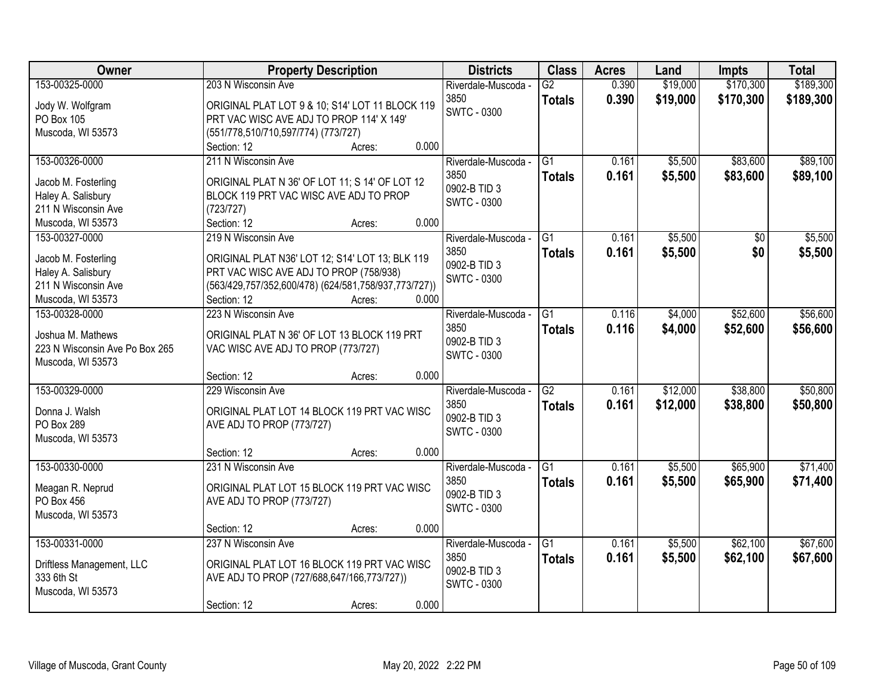| Owner                          | <b>Property Description</b>                          | <b>Districts</b>    | <b>Class</b>    | <b>Acres</b> | Land     | <b>Impts</b>    | <b>Total</b> |
|--------------------------------|------------------------------------------------------|---------------------|-----------------|--------------|----------|-----------------|--------------|
| 153-00325-0000                 | 203 N Wisconsin Ave                                  | Riverdale-Muscoda - | G2              | 0.390        | \$19,000 | \$170,300       | \$189,300    |
| Jody W. Wolfgram               | ORIGINAL PLAT LOT 9 & 10; S14' LOT 11 BLOCK 119      | 3850                | <b>Totals</b>   | 0.390        | \$19,000 | \$170,300       | \$189,300    |
| PO Box 105                     | PRT VAC WISC AVE ADJ TO PROP 114' X 149'             | <b>SWTC - 0300</b>  |                 |              |          |                 |              |
| Muscoda, WI 53573              | (551/778,510/710,597/774) (773/727)                  |                     |                 |              |          |                 |              |
|                                | 0.000<br>Section: 12<br>Acres:                       |                     |                 |              |          |                 |              |
| 153-00326-0000                 | 211 N Wisconsin Ave                                  | Riverdale-Muscoda - | $\overline{G1}$ | 0.161        | \$5,500  | \$83,600        | \$89,100     |
| Jacob M. Fosterling            | ORIGINAL PLAT N 36' OF LOT 11; S 14' OF LOT 12       | 3850                | <b>Totals</b>   | 0.161        | \$5,500  | \$83,600        | \$89,100     |
| Haley A. Salisbury             | BLOCK 119 PRT VAC WISC AVE ADJ TO PROP               | 0902-B TID 3        |                 |              |          |                 |              |
| 211 N Wisconsin Ave            | (723/727)                                            | <b>SWTC - 0300</b>  |                 |              |          |                 |              |
| Muscoda, WI 53573              | 0.000<br>Section: 12<br>Acres:                       |                     |                 |              |          |                 |              |
| 153-00327-0000                 | 219 N Wisconsin Ave                                  | Riverdale-Muscoda - | $\overline{G1}$ | 0.161        | \$5,500  | $\overline{50}$ | \$5,500      |
|                                |                                                      | 3850                | <b>Totals</b>   | 0.161        | \$5,500  | \$0             | \$5,500      |
| Jacob M. Fosterling            | ORIGINAL PLAT N36' LOT 12; S14' LOT 13; BLK 119      | 0902-B TID 3        |                 |              |          |                 |              |
| Haley A. Salisbury             | PRT VAC WISC AVE ADJ TO PROP (758/938)               | <b>SWTC - 0300</b>  |                 |              |          |                 |              |
| 211 N Wisconsin Ave            | (563/429,757/352,600/478) (624/581,758/937,773/727)) |                     |                 |              |          |                 |              |
| Muscoda, WI 53573              | Section: 12<br>0.000<br>Acres:                       |                     |                 |              |          |                 |              |
| 153-00328-0000                 | 223 N Wisconsin Ave                                  | Riverdale-Muscoda - | G1              | 0.116        | \$4,000  | \$52,600        | \$56,600     |
| Joshua M. Mathews              | ORIGINAL PLAT N 36' OF LOT 13 BLOCK 119 PRT          | 3850                | <b>Totals</b>   | 0.116        | \$4,000  | \$52,600        | \$56,600     |
| 223 N Wisconsin Ave Po Box 265 | VAC WISC AVE ADJ TO PROP (773/727)                   | 0902-B TID 3        |                 |              |          |                 |              |
| Muscoda, WI 53573              |                                                      | <b>SWTC - 0300</b>  |                 |              |          |                 |              |
|                                | 0.000<br>Section: 12<br>Acres:                       |                     |                 |              |          |                 |              |
| 153-00329-0000                 | 229 Wisconsin Ave                                    | Riverdale-Muscoda - | $\overline{G2}$ | 0.161        | \$12,000 | \$38,800        | \$50,800     |
|                                |                                                      | 3850                | <b>Totals</b>   | 0.161        | \$12,000 | \$38,800        | \$50,800     |
| Donna J. Walsh                 | ORIGINAL PLAT LOT 14 BLOCK 119 PRT VAC WISC          | 0902-B TID 3        |                 |              |          |                 |              |
| PO Box 289                     | AVE ADJ TO PROP (773/727)                            | <b>SWTC - 0300</b>  |                 |              |          |                 |              |
| Muscoda, WI 53573              |                                                      |                     |                 |              |          |                 |              |
|                                | 0.000<br>Section: 12<br>Acres:                       |                     |                 |              |          |                 |              |
| 153-00330-0000                 | 231 N Wisconsin Ave                                  | Riverdale-Muscoda - | G1              | 0.161        | \$5,500  | \$65,900        | \$71,400     |
| Meagan R. Neprud               | ORIGINAL PLAT LOT 15 BLOCK 119 PRT VAC WISC          | 3850                | <b>Totals</b>   | 0.161        | \$5,500  | \$65,900        | \$71,400     |
| PO Box 456                     | AVE ADJ TO PROP (773/727)                            | 0902-B TID 3        |                 |              |          |                 |              |
| Muscoda, WI 53573              |                                                      | <b>SWTC - 0300</b>  |                 |              |          |                 |              |
|                                | 0.000<br>Section: 12<br>Acres:                       |                     |                 |              |          |                 |              |
| 153-00331-0000                 | 237 N Wisconsin Ave                                  | Riverdale-Muscoda - | $\overline{G1}$ | 0.161        | \$5,500  | \$62,100        | \$67,600     |
|                                |                                                      | 3850                | <b>Totals</b>   | 0.161        | \$5,500  | \$62,100        | \$67,600     |
| Driftless Management, LLC      | ORIGINAL PLAT LOT 16 BLOCK 119 PRT VAC WISC          | 0902-B TID 3        |                 |              |          |                 |              |
| 333 6th St                     | AVE ADJ TO PROP (727/688,647/166,773/727))           | <b>SWTC - 0300</b>  |                 |              |          |                 |              |
| Muscoda, WI 53573              |                                                      |                     |                 |              |          |                 |              |
|                                | 0.000<br>Section: 12<br>Acres:                       |                     |                 |              |          |                 |              |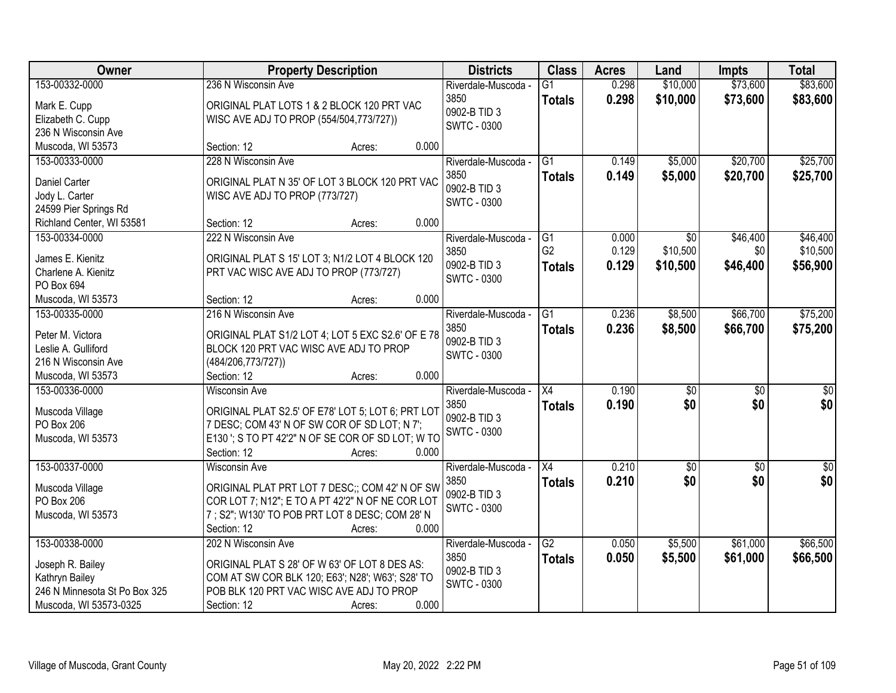| Owner                                   | <b>Property Description</b>                                                                 | <b>Districts</b>    | <b>Class</b>         | <b>Acres</b>   | Land            | <b>Impts</b>    | <b>Total</b>    |
|-----------------------------------------|---------------------------------------------------------------------------------------------|---------------------|----------------------|----------------|-----------------|-----------------|-----------------|
| 153-00332-0000                          | 236 N Wisconsin Ave                                                                         | Riverdale-Muscoda - | $\overline{G1}$      | 0.298          | \$10,000        | \$73,600        | \$83,600        |
| Mark E. Cupp                            | ORIGINAL PLAT LOTS 1 & 2 BLOCK 120 PRT VAC                                                  | 3850                | <b>Totals</b>        | 0.298          | \$10,000        | \$73,600        | \$83,600        |
| Elizabeth C. Cupp                       | WISC AVE ADJ TO PROP (554/504,773/727))                                                     | 0902-B TID 3        |                      |                |                 |                 |                 |
| 236 N Wisconsin Ave                     |                                                                                             | <b>SWTC - 0300</b>  |                      |                |                 |                 |                 |
| Muscoda, WI 53573                       | 0.000<br>Section: 12<br>Acres:                                                              |                     |                      |                |                 |                 |                 |
| 153-00333-0000                          | 228 N Wisconsin Ave                                                                         | Riverdale-Muscoda - | $\overline{G1}$      | 0.149          | \$5,000         | \$20,700        | \$25,700        |
|                                         |                                                                                             | 3850                | <b>Totals</b>        | 0.149          | \$5,000         | \$20,700        | \$25,700        |
| <b>Daniel Carter</b>                    | ORIGINAL PLAT N 35' OF LOT 3 BLOCK 120 PRT VAC                                              | 0902-B TID 3        |                      |                |                 |                 |                 |
| Jody L. Carter                          | WISC AVE ADJ TO PROP (773/727)                                                              | <b>SWTC - 0300</b>  |                      |                |                 |                 |                 |
| 24599 Pier Springs Rd                   | 0.000                                                                                       |                     |                      |                |                 |                 |                 |
| Richland Center, WI 53581               | Section: 12<br>Acres:                                                                       |                     |                      |                |                 |                 |                 |
| 153-00334-0000                          | 222 N Wisconsin Ave                                                                         | Riverdale-Muscoda - | G1<br>G <sub>2</sub> | 0.000<br>0.129 | $\overline{50}$ | \$46,400        | \$46,400        |
| James E. Kienitz                        | ORIGINAL PLAT S 15' LOT 3; N1/2 LOT 4 BLOCK 120                                             | 3850                |                      |                | \$10,500        | \$0             | \$10,500        |
| Charlene A. Kienitz                     | PRT VAC WISC AVE ADJ TO PROP (773/727)                                                      | 0902-B TID 3        | <b>Totals</b>        | 0.129          | \$10,500        | \$46,400        | \$56,900        |
| PO Box 694                              |                                                                                             | <b>SWTC - 0300</b>  |                      |                |                 |                 |                 |
| Muscoda, WI 53573                       | 0.000<br>Section: 12<br>Acres:                                                              |                     |                      |                |                 |                 |                 |
| 153-00335-0000                          | 216 N Wisconsin Ave                                                                         | Riverdale-Muscoda - | G1                   | 0.236          | \$8,500         | \$66,700        | \$75,200        |
|                                         |                                                                                             | 3850                | <b>Totals</b>        | 0.236          | \$8,500         | \$66,700        | \$75,200        |
| Peter M. Victora<br>Leslie A. Gulliford | ORIGINAL PLAT S1/2 LOT 4; LOT 5 EXC S2.6' OF E 78<br>BLOCK 120 PRT VAC WISC AVE ADJ TO PROP | 0902-B TID 3        |                      |                |                 |                 |                 |
| 216 N Wisconsin Ave                     | (484/206, 773/727))                                                                         | <b>SWTC - 0300</b>  |                      |                |                 |                 |                 |
| Muscoda, WI 53573                       | 0.000<br>Section: 12                                                                        |                     |                      |                |                 |                 |                 |
| 153-00336-0000                          | Acres:<br><b>Wisconsin Ave</b>                                                              | Riverdale-Muscoda - | $\overline{X4}$      | 0.190          | $\overline{50}$ | $\overline{50}$ | $\overline{50}$ |
|                                         |                                                                                             | 3850                |                      |                |                 |                 |                 |
| Muscoda Village                         | ORIGINAL PLAT S2.5' OF E78' LOT 5; LOT 6; PRT LOT                                           | 0902-B TID 3        | <b>Totals</b>        | 0.190          | \$0             | \$0             | \$0             |
| PO Box 206                              | 7 DESC; COM 43' N OF SW COR OF SD LOT; N 7';                                                | <b>SWTC - 0300</b>  |                      |                |                 |                 |                 |
| Muscoda, WI 53573                       | E130 '; S TO PT 42'2" N OF SE COR OF SD LOT; W TO                                           |                     |                      |                |                 |                 |                 |
|                                         | Section: 12<br>0.000<br>Acres:                                                              |                     |                      |                |                 |                 |                 |
| 153-00337-0000                          | Wisconsin Ave                                                                               | Riverdale-Muscoda - | X4                   | 0.210          | \$0             | \$0             | \$0             |
| Muscoda Village                         | ORIGINAL PLAT PRT LOT 7 DESC;; COM 42' N OF SW                                              | 3850                | <b>Totals</b>        | 0.210          | \$0             | \$0             | \$0             |
| PO Box 206                              | COR LOT 7; N12"; E TO A PT 42'2" N OF NE COR LOT                                            | 0902-B TID 3        |                      |                |                 |                 |                 |
| Muscoda, WI 53573                       | 7 ; S2"; W130' TO POB PRT LOT 8 DESC; COM 28' N                                             | <b>SWTC - 0300</b>  |                      |                |                 |                 |                 |
|                                         | 0.000<br>Section: 12<br>Acres:                                                              |                     |                      |                |                 |                 |                 |
| 153-00338-0000                          | 202 N Wisconsin Ave                                                                         | Riverdale-Muscoda - | $\overline{G2}$      | 0.050          | \$5,500         | \$61,000        | \$66,500        |
|                                         |                                                                                             | 3850                | <b>Totals</b>        | 0.050          | \$5,500         | \$61,000        | \$66,500        |
| Joseph R. Bailey                        | ORIGINAL PLAT S 28' OF W 63' OF LOT 8 DES AS:                                               | 0902-B TID 3        |                      |                |                 |                 |                 |
| Kathryn Bailey                          | COM AT SW COR BLK 120; E63'; N28'; W63'; S28' TO                                            | <b>SWTC - 0300</b>  |                      |                |                 |                 |                 |
| 246 N Minnesota St Po Box 325           | POB BLK 120 PRT VAC WISC AVE ADJ TO PROP                                                    |                     |                      |                |                 |                 |                 |
| Muscoda, WI 53573-0325                  | 0.000<br>Section: 12<br>Acres:                                                              |                     |                      |                |                 |                 |                 |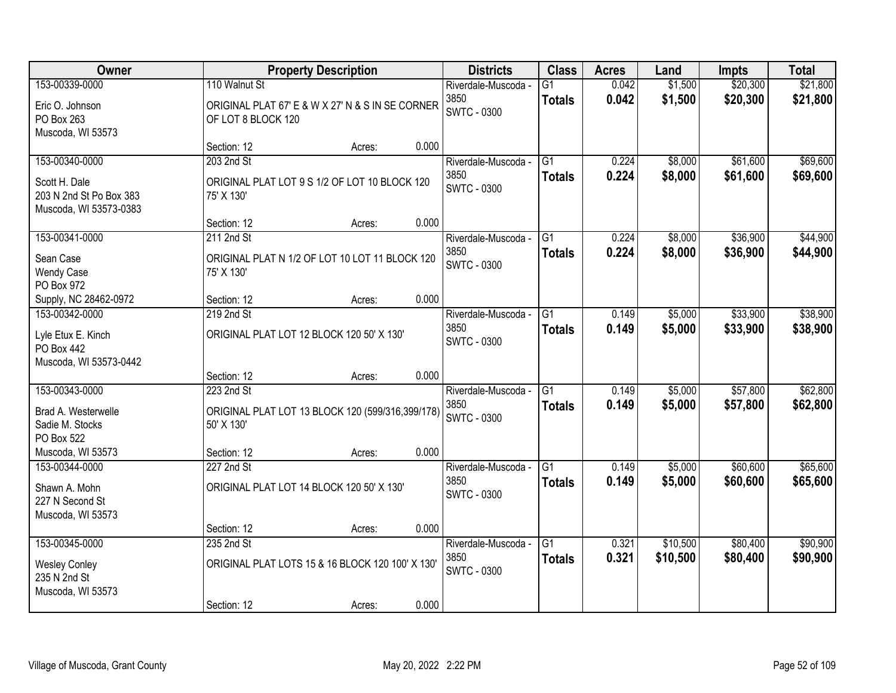| Owner                                                                                |                                     | <b>Property Description</b>                                |       | <b>Districts</b>                                  | <b>Class</b>                     | <b>Acres</b>   | Land                 | <b>Impts</b>         | <b>Total</b>         |
|--------------------------------------------------------------------------------------|-------------------------------------|------------------------------------------------------------|-------|---------------------------------------------------|----------------------------------|----------------|----------------------|----------------------|----------------------|
| 153-00339-0000<br>Eric O. Johnson<br>PO Box 263                                      | 110 Walnut St<br>OF LOT 8 BLOCK 120 | ORIGINAL PLAT 67' E & W X 27' N & S IN SE CORNER           |       | Riverdale-Muscoda -<br>3850<br><b>SWTC - 0300</b> | G1<br><b>Totals</b>              | 0.042<br>0.042 | \$1,500<br>\$1,500   | \$20,300<br>\$20,300 | \$21,800<br>\$21,800 |
| Muscoda, WI 53573                                                                    | Section: 12                         | Acres:                                                     | 0.000 |                                                   |                                  |                |                      |                      |                      |
| 153-00340-0000<br>Scott H. Dale<br>203 N 2nd St Po Box 383<br>Muscoda, WI 53573-0383 | 203 2nd St<br>75' X 130'            | ORIGINAL PLAT LOT 9 S 1/2 OF LOT 10 BLOCK 120              |       | Riverdale-Muscoda -<br>3850<br><b>SWTC - 0300</b> | $\overline{G1}$<br><b>Totals</b> | 0.224<br>0.224 | \$8,000<br>\$8,000   | \$61,600<br>\$61,600 | \$69,600<br>\$69,600 |
|                                                                                      | Section: 12                         | Acres:                                                     | 0.000 |                                                   |                                  |                |                      |                      |                      |
| 153-00341-0000<br>Sean Case<br><b>Wendy Case</b><br>PO Box 972                       | 211 2nd St<br>75' X 130'            | ORIGINAL PLAT N 1/2 OF LOT 10 LOT 11 BLOCK 120             |       | Riverdale-Muscoda -<br>3850<br><b>SWTC - 0300</b> | G1<br><b>Totals</b>              | 0.224<br>0.224 | \$8,000<br>\$8,000   | \$36,900<br>\$36,900 | \$44,900<br>\$44,900 |
| Supply, NC 28462-0972                                                                | Section: 12                         | Acres:                                                     | 0.000 |                                                   |                                  |                |                      |                      |                      |
| 153-00342-0000<br>Lyle Etux E. Kinch<br><b>PO Box 442</b><br>Muscoda, WI 53573-0442  | 219 2nd St                          | ORIGINAL PLAT LOT 12 BLOCK 120 50' X 130'                  |       | Riverdale-Muscoda -<br>3850<br>SWTC - 0300        | G1<br><b>Totals</b>              | 0.149<br>0.149 | \$5,000<br>\$5,000   | \$33,900<br>\$33,900 | \$38,900<br>\$38,900 |
|                                                                                      | Section: 12                         | Acres:                                                     | 0.000 |                                                   |                                  |                |                      |                      |                      |
| 153-00343-0000<br>Brad A. Westerwelle<br>Sadie M. Stocks<br>PO Box 522               | 223 2nd St<br>50' X 130'            | ORIGINAL PLAT LOT 13 BLOCK 120 (599/316,399/178)           |       | Riverdale-Muscoda -<br>3850<br><b>SWTC - 0300</b> | $\overline{G1}$<br><b>Totals</b> | 0.149<br>0.149 | \$5,000<br>\$5,000   | \$57,800<br>\$57,800 | \$62,800<br>\$62,800 |
| Muscoda, WI 53573                                                                    | Section: 12                         | Acres:                                                     | 0.000 |                                                   |                                  |                |                      |                      |                      |
| 153-00344-0000<br>Shawn A. Mohn<br>227 N Second St<br>Muscoda, WI 53573              | 227 2nd St                          | ORIGINAL PLAT LOT 14 BLOCK 120 50' X 130'                  |       | Riverdale-Muscoda -<br>3850<br><b>SWTC - 0300</b> | $\overline{G1}$<br><b>Totals</b> | 0.149<br>0.149 | \$5,000<br>\$5,000   | \$60,600<br>\$60,600 | \$65,600<br>\$65,600 |
|                                                                                      | Section: 12                         | Acres:                                                     | 0.000 |                                                   |                                  |                |                      |                      |                      |
| 153-00345-0000<br><b>Wesley Conley</b><br>235 N 2nd St<br>Muscoda, WI 53573          | 235 2nd St<br>Section: 12           | ORIGINAL PLAT LOTS 15 & 16 BLOCK 120 100' X 130'<br>Acres: | 0.000 | Riverdale-Muscoda -<br>3850<br><b>SWTC - 0300</b> | $\overline{G1}$<br><b>Totals</b> | 0.321<br>0.321 | \$10,500<br>\$10,500 | \$80,400<br>\$80,400 | \$90,900<br>\$90,900 |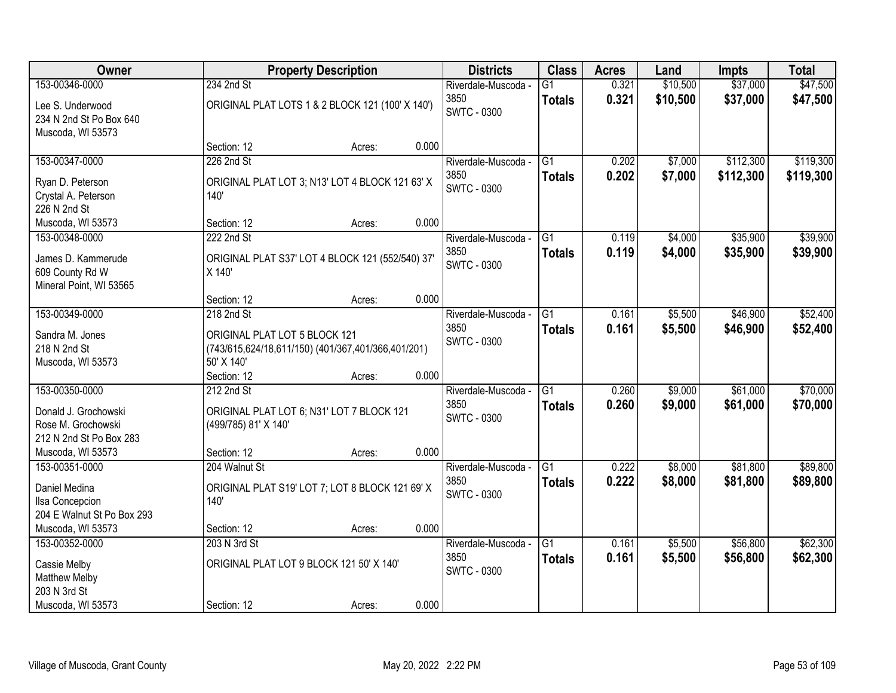| <b>Owner</b>                                                                     |                                             | <b>Property Description</b>                        |       | <b>Districts</b>                                  | <b>Class</b>                     | <b>Acres</b>   | Land               | <b>Impts</b>         | <b>Total</b>         |
|----------------------------------------------------------------------------------|---------------------------------------------|----------------------------------------------------|-------|---------------------------------------------------|----------------------------------|----------------|--------------------|----------------------|----------------------|
| 153-00346-0000                                                                   | 234 2nd St                                  |                                                    |       | Riverdale-Muscoda -                               | $\overline{G1}$                  | 0.321          | \$10,500           | \$37,000             | \$47,500             |
| Lee S. Underwood<br>234 N 2nd St Po Box 640<br>Muscoda, WI 53573                 |                                             | ORIGINAL PLAT LOTS 1 & 2 BLOCK 121 (100' X 140')   |       | 3850<br><b>SWTC - 0300</b>                        | <b>Totals</b>                    | 0.321          | \$10,500           | \$37,000             | \$47,500             |
|                                                                                  | Section: 12                                 | Acres:                                             | 0.000 |                                                   |                                  |                |                    |                      |                      |
| 153-00347-0000                                                                   | 226 2nd St                                  |                                                    |       | Riverdale-Muscoda -                               | $\overline{G1}$                  | 0.202          | \$7,000            | \$112,300            | \$119,300            |
| Ryan D. Peterson<br>Crystal A. Peterson<br>226 N 2nd St                          | 140'                                        | ORIGINAL PLAT LOT 3; N13' LOT 4 BLOCK 121 63' X    |       | 3850<br><b>SWTC - 0300</b>                        | <b>Totals</b>                    | 0.202          | \$7,000            | \$112,300            | \$119,300            |
| Muscoda, WI 53573                                                                | Section: 12                                 | Acres:                                             | 0.000 |                                                   |                                  |                |                    |                      |                      |
| 153-00348-0000                                                                   | 222 2nd St                                  |                                                    |       | Riverdale-Muscoda -                               | G1                               | 0.119          | \$4,000            | \$35,900             | \$39,900             |
| James D. Kammerude<br>609 County Rd W<br>Mineral Point, WI 53565                 | X 140'                                      | ORIGINAL PLAT S37' LOT 4 BLOCK 121 (552/540) 37'   |       | 3850<br><b>SWTC - 0300</b>                        | <b>Totals</b>                    | 0.119          | \$4,000            | \$35,900             | \$39,900             |
|                                                                                  | Section: 12                                 | Acres:                                             | 0.000 |                                                   |                                  |                |                    |                      |                      |
| 153-00349-0000                                                                   | 218 2nd St                                  |                                                    |       | Riverdale-Muscoda -                               | G1                               | 0.161          | \$5,500            | \$46,900             | \$52,400             |
| Sandra M. Jones<br>218 N 2nd St<br>Muscoda, WI 53573                             | ORIGINAL PLAT LOT 5 BLOCK 121<br>50' X 140' | (743/615,624/18,611/150) (401/367,401/366,401/201) |       | 3850<br><b>SWTC - 0300</b>                        | <b>Totals</b>                    | 0.161          | \$5,500            | \$46,900             | \$52,400             |
|                                                                                  | Section: 12                                 | Acres:                                             | 0.000 |                                                   |                                  |                |                    |                      |                      |
| 153-00350-0000<br>Donald J. Grochowski<br>Rose M. Grochowski                     | 212 2nd St<br>(499/785) 81' X 140'          | ORIGINAL PLAT LOT 6; N31' LOT 7 BLOCK 121          |       | Riverdale-Muscoda -<br>3850<br><b>SWTC - 0300</b> | $\overline{G1}$<br><b>Totals</b> | 0.260<br>0.260 | \$9,000<br>\$9,000 | \$61,000<br>\$61,000 | \$70,000<br>\$70,000 |
| 212 N 2nd St Po Box 283                                                          |                                             |                                                    |       |                                                   |                                  |                |                    |                      |                      |
| Muscoda, WI 53573                                                                | Section: 12                                 | Acres:                                             | 0.000 |                                                   |                                  |                |                    |                      |                      |
| 153-00351-0000<br>Daniel Medina<br>Ilsa Concepcion<br>204 E Walnut St Po Box 293 | 204 Walnut St<br>140'                       | ORIGINAL PLAT S19' LOT 7; LOT 8 BLOCK 121 69' X    |       | Riverdale-Muscoda -<br>3850<br><b>SWTC - 0300</b> | $\overline{G1}$<br><b>Totals</b> | 0.222<br>0.222 | \$8,000<br>\$8,000 | \$81,800<br>\$81,800 | \$89,800<br>\$89,800 |
| Muscoda, WI 53573                                                                | Section: 12                                 | Acres:                                             | 0.000 |                                                   |                                  |                |                    |                      |                      |
| 153-00352-0000<br>Cassie Melby<br>Matthew Melby<br>203 N 3rd St                  | 203 N 3rd St                                | ORIGINAL PLAT LOT 9 BLOCK 121 50' X 140'           |       | Riverdale-Muscoda -<br>3850<br><b>SWTC - 0300</b> | $\overline{G1}$<br><b>Totals</b> | 0.161<br>0.161 | \$5,500<br>\$5,500 | \$56,800<br>\$56,800 | \$62,300<br>\$62,300 |
| Muscoda, WI 53573                                                                | Section: 12                                 | Acres:                                             | 0.000 |                                                   |                                  |                |                    |                      |                      |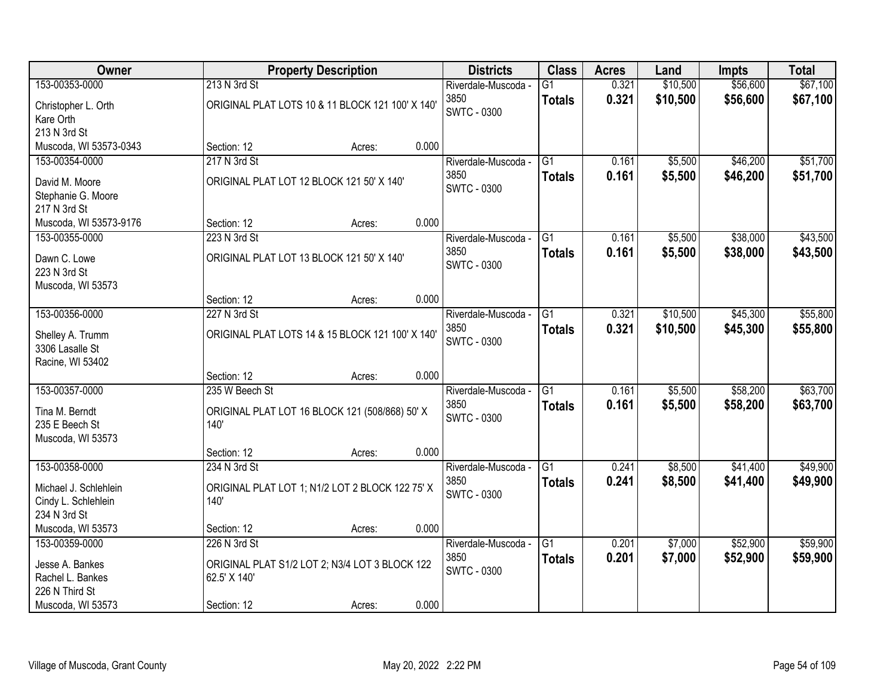| Owner                  |                                                  | <b>Property Description</b> |       | <b>Districts</b>    | <b>Class</b>    | <b>Acres</b> | Land     | <b>Impts</b> | <b>Total</b> |
|------------------------|--------------------------------------------------|-----------------------------|-------|---------------------|-----------------|--------------|----------|--------------|--------------|
| 153-00353-0000         | 213 N 3rd St                                     |                             |       | Riverdale-Muscoda - | $\overline{G1}$ | 0.321        | \$10,500 | \$56,600     | \$67,100     |
| Christopher L. Orth    | ORIGINAL PLAT LOTS 10 & 11 BLOCK 121 100' X 140' |                             |       | 3850                | <b>Totals</b>   | 0.321        | \$10,500 | \$56,600     | \$67,100     |
| Kare Orth              |                                                  |                             |       | <b>SWTC - 0300</b>  |                 |              |          |              |              |
| 213 N 3rd St           |                                                  |                             |       |                     |                 |              |          |              |              |
| Muscoda, WI 53573-0343 | Section: 12                                      | Acres:                      | 0.000 |                     |                 |              |          |              |              |
| 153-00354-0000         | 217 N 3rd St                                     |                             |       | Riverdale-Muscoda - | $\overline{G1}$ | 0.161        | \$5,500  | \$46,200     | \$51,700     |
| David M. Moore         | ORIGINAL PLAT LOT 12 BLOCK 121 50' X 140'        |                             |       | 3850                | <b>Totals</b>   | 0.161        | \$5,500  | \$46,200     | \$51,700     |
| Stephanie G. Moore     |                                                  |                             |       | <b>SWTC - 0300</b>  |                 |              |          |              |              |
| 217 N 3rd St           |                                                  |                             |       |                     |                 |              |          |              |              |
| Muscoda, WI 53573-9176 | Section: 12                                      | Acres:                      | 0.000 |                     |                 |              |          |              |              |
| 153-00355-0000         | 223 N 3rd St                                     |                             |       | Riverdale-Muscoda - | G1              | 0.161        | \$5,500  | \$38,000     | \$43,500     |
| Dawn C. Lowe           | ORIGINAL PLAT LOT 13 BLOCK 121 50' X 140'        |                             |       | 3850                | <b>Totals</b>   | 0.161        | \$5,500  | \$38,000     | \$43,500     |
| 223 N 3rd St           |                                                  |                             |       | <b>SWTC - 0300</b>  |                 |              |          |              |              |
| Muscoda, WI 53573      |                                                  |                             |       |                     |                 |              |          |              |              |
|                        | Section: 12                                      | Acres:                      | 0.000 |                     |                 |              |          |              |              |
| 153-00356-0000         | 227 N 3rd St                                     |                             |       | Riverdale-Muscoda - | G1              | 0.321        | \$10,500 | \$45,300     | \$55,800     |
| Shelley A. Trumm       | ORIGINAL PLAT LOTS 14 & 15 BLOCK 121 100' X 140' |                             |       | 3850                | <b>Totals</b>   | 0.321        | \$10,500 | \$45,300     | \$55,800     |
| 3306 Lasalle St        |                                                  |                             |       | <b>SWTC - 0300</b>  |                 |              |          |              |              |
| Racine, WI 53402       |                                                  |                             |       |                     |                 |              |          |              |              |
|                        | Section: 12                                      | Acres:                      | 0.000 |                     |                 |              |          |              |              |
| 153-00357-0000         | 235 W Beech St                                   |                             |       | Riverdale-Muscoda - | $\overline{G1}$ | 0.161        | \$5,500  | \$58,200     | \$63,700     |
| Tina M. Berndt         | ORIGINAL PLAT LOT 16 BLOCK 121 (508/868) 50' X   |                             |       | 3850                | <b>Totals</b>   | 0.161        | \$5,500  | \$58,200     | \$63,700     |
| 235 E Beech St         | 140'                                             |                             |       | <b>SWTC - 0300</b>  |                 |              |          |              |              |
| Muscoda, WI 53573      |                                                  |                             |       |                     |                 |              |          |              |              |
|                        | Section: 12                                      | Acres:                      | 0.000 |                     |                 |              |          |              |              |
| 153-00358-0000         | 234 N 3rd St                                     |                             |       | Riverdale-Muscoda - | $\overline{G1}$ | 0.241        | \$8,500  | \$41,400     | \$49,900     |
| Michael J. Schlehlein  | ORIGINAL PLAT LOT 1; N1/2 LOT 2 BLOCK 122 75' X  |                             |       | 3850                | <b>Totals</b>   | 0.241        | \$8,500  | \$41,400     | \$49,900     |
| Cindy L. Schlehlein    | 140'                                             |                             |       | SWTC - 0300         |                 |              |          |              |              |
| 234 N 3rd St           |                                                  |                             |       |                     |                 |              |          |              |              |
| Muscoda, WI 53573      | Section: 12                                      | Acres:                      | 0.000 |                     |                 |              |          |              |              |
| 153-00359-0000         | 226 N 3rd St                                     |                             |       | Riverdale-Muscoda - | $\overline{G1}$ | 0.201        | \$7,000  | \$52,900     | \$59,900     |
| Jesse A. Bankes        | ORIGINAL PLAT S1/2 LOT 2; N3/4 LOT 3 BLOCK 122   |                             |       | 3850                | <b>Totals</b>   | 0.201        | \$7,000  | \$52,900     | \$59,900     |
| Rachel L. Bankes       | 62.5' X 140'                                     |                             |       | <b>SWTC - 0300</b>  |                 |              |          |              |              |
| 226 N Third St         |                                                  |                             |       |                     |                 |              |          |              |              |
| Muscoda, WI 53573      | Section: 12                                      | Acres:                      | 0.000 |                     |                 |              |          |              |              |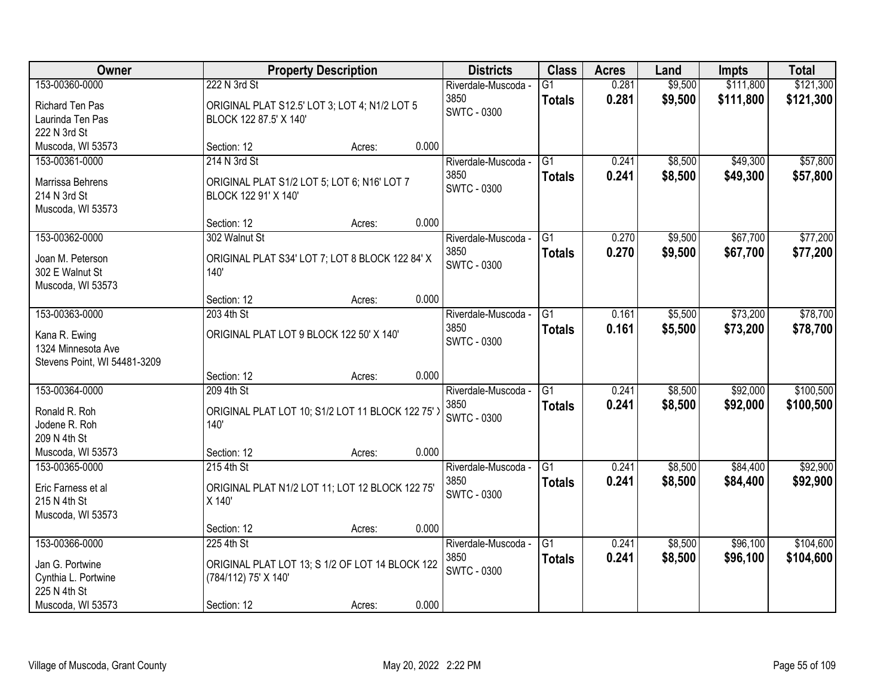| Owner                                                 |                                                                                         | <b>Property Description</b> |       | <b>Districts</b>                                  | <b>Class</b>        | <b>Acres</b>   | Land               | <b>Impts</b>           | <b>Total</b>           |
|-------------------------------------------------------|-----------------------------------------------------------------------------------------|-----------------------------|-------|---------------------------------------------------|---------------------|----------------|--------------------|------------------------|------------------------|
| 153-00360-0000<br>Richard Ten Pas<br>Laurinda Ten Pas | 222 N 3rd St<br>ORIGINAL PLAT S12.5' LOT 3; LOT 4; N1/2 LOT 5<br>BLOCK 122 87.5' X 140' |                             |       | Riverdale-Muscoda -<br>3850<br><b>SWTC - 0300</b> | G1<br><b>Totals</b> | 0.281<br>0.281 | \$9,500<br>\$9,500 | \$111,800<br>\$111,800 | \$121,300<br>\$121,300 |
| 222 N 3rd St                                          |                                                                                         |                             | 0.000 |                                                   |                     |                |                    |                        |                        |
| Muscoda, WI 53573<br>153-00361-0000                   | Section: 12<br>214 N 3rd St                                                             | Acres:                      |       |                                                   | $\overline{G1}$     | 0.241          |                    | \$49,300               | \$57,800               |
|                                                       |                                                                                         |                             |       | Riverdale-Muscoda -<br>3850                       |                     | 0.241          | \$8,500<br>\$8,500 | \$49,300               |                        |
| Marrissa Behrens                                      | ORIGINAL PLAT S1/2 LOT 5; LOT 6; N16' LOT 7                                             |                             |       | SWTC - 0300                                       | <b>Totals</b>       |                |                    |                        | \$57,800               |
| 214 N 3rd St                                          | BLOCK 122 91' X 140'                                                                    |                             |       |                                                   |                     |                |                    |                        |                        |
| Muscoda, WI 53573                                     |                                                                                         |                             |       |                                                   |                     |                |                    |                        |                        |
|                                                       | Section: 12                                                                             | Acres:                      | 0.000 |                                                   |                     |                |                    |                        |                        |
| 153-00362-0000                                        | 302 Walnut St                                                                           |                             |       | Riverdale-Muscoda -                               | G1                  | 0.270          | \$9,500            | \$67,700               | \$77,200               |
| Joan M. Peterson                                      | ORIGINAL PLAT S34' LOT 7; LOT 8 BLOCK 122 84' X                                         |                             |       | 3850                                              | <b>Totals</b>       | 0.270          | \$9,500            | \$67,700               | \$77,200               |
| 302 E Walnut St                                       | 140'                                                                                    |                             |       | <b>SWTC - 0300</b>                                |                     |                |                    |                        |                        |
| Muscoda, WI 53573                                     |                                                                                         |                             |       |                                                   |                     |                |                    |                        |                        |
|                                                       | Section: 12                                                                             | Acres:                      | 0.000 |                                                   |                     |                |                    |                        |                        |
| 153-00363-0000                                        | 203 4th St                                                                              |                             |       | Riverdale-Muscoda -                               | G1                  | 0.161          | \$5,500            | \$73,200               | \$78,700               |
| Kana R. Ewing                                         | ORIGINAL PLAT LOT 9 BLOCK 122 50' X 140'                                                |                             |       | 3850                                              | <b>Totals</b>       | 0.161          | \$5,500            | \$73,200               | \$78,700               |
| 1324 Minnesota Ave                                    |                                                                                         |                             |       | SWTC - 0300                                       |                     |                |                    |                        |                        |
| Stevens Point, WI 54481-3209                          |                                                                                         |                             |       |                                                   |                     |                |                    |                        |                        |
|                                                       | Section: 12                                                                             | Acres:                      | 0.000 |                                                   |                     |                |                    |                        |                        |
| 153-00364-0000                                        | 209 4th St                                                                              |                             |       | Riverdale-Muscoda -                               | $\overline{G1}$     | 0.241          | \$8,500            | \$92,000               | \$100,500              |
|                                                       |                                                                                         |                             |       | 3850                                              | <b>Totals</b>       | 0.241          | \$8,500            | \$92,000               | \$100,500              |
| Ronald R. Roh<br>Jodene R. Roh                        | ORIGINAL PLAT LOT 10; S1/2 LOT 11 BLOCK 122 75'<br>140'                                 |                             |       | <b>SWTC - 0300</b>                                |                     |                |                    |                        |                        |
| 209 N 4th St                                          |                                                                                         |                             |       |                                                   |                     |                |                    |                        |                        |
| Muscoda, WI 53573                                     | Section: 12                                                                             | Acres:                      | 0.000 |                                                   |                     |                |                    |                        |                        |
| 153-00365-0000                                        | 215 4th St                                                                              |                             |       | Riverdale-Muscoda -                               | $\overline{G1}$     | 0.241          | \$8,500            | \$84,400               | \$92,900               |
|                                                       |                                                                                         |                             |       | 3850                                              | <b>Totals</b>       | 0.241          | \$8,500            | \$84,400               | \$92,900               |
| Eric Farness et al                                    | ORIGINAL PLAT N1/2 LOT 11; LOT 12 BLOCK 122 75'                                         |                             |       | <b>SWTC - 0300</b>                                |                     |                |                    |                        |                        |
| 215 N 4th St                                          | X 140'                                                                                  |                             |       |                                                   |                     |                |                    |                        |                        |
| Muscoda, WI 53573                                     |                                                                                         |                             |       |                                                   |                     |                |                    |                        |                        |
|                                                       | Section: 12                                                                             | Acres:                      | 0.000 |                                                   |                     |                |                    |                        |                        |
| 153-00366-0000                                        | 225 4th St                                                                              |                             |       | Riverdale-Muscoda -                               | G1                  | 0.241          | \$8,500            | \$96,100               | \$104,600              |
| Jan G. Portwine                                       | ORIGINAL PLAT LOT 13; S 1/2 OF LOT 14 BLOCK 122                                         |                             |       | 3850<br><b>SWTC - 0300</b>                        | <b>Totals</b>       | 0.241          | \$8,500            | \$96,100               | \$104,600              |
| Cynthia L. Portwine                                   | (784/112) 75' X 140'                                                                    |                             |       |                                                   |                     |                |                    |                        |                        |
| 225 N 4th St                                          |                                                                                         |                             |       |                                                   |                     |                |                    |                        |                        |
| Muscoda, WI 53573                                     | Section: 12                                                                             | Acres:                      | 0.000 |                                                   |                     |                |                    |                        |                        |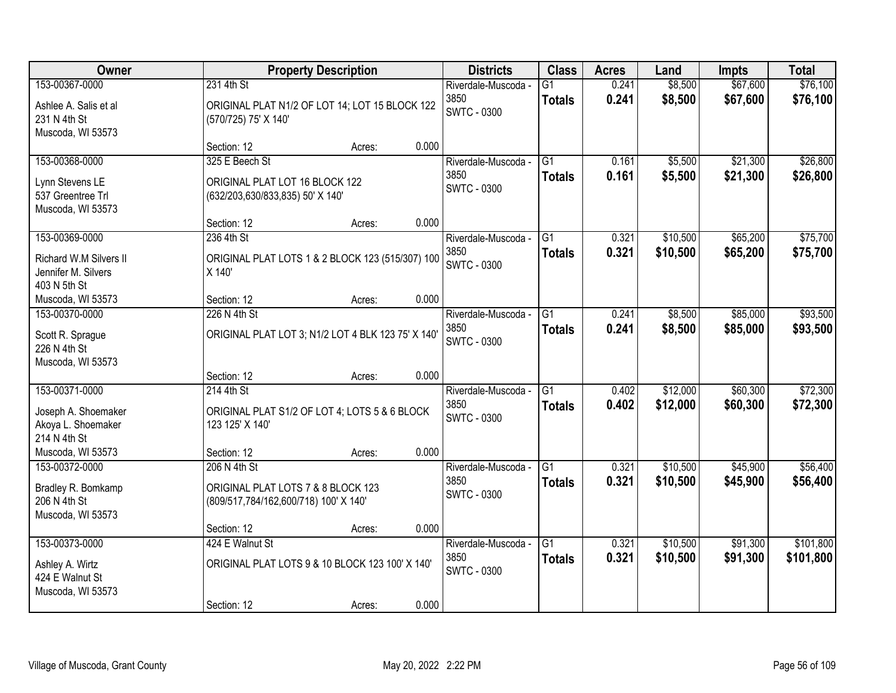| Owner                                                                           | <b>Property Description</b>                                                                 | <b>Districts</b> | <b>Class</b> | <b>Acres</b>                                      | Land                             | <b>Impts</b>   | <b>Total</b>         |                      |                        |
|---------------------------------------------------------------------------------|---------------------------------------------------------------------------------------------|------------------|--------------|---------------------------------------------------|----------------------------------|----------------|----------------------|----------------------|------------------------|
| 153-00367-0000<br>Ashlee A. Salis et al<br>231 N 4th St<br>Muscoda, WI 53573    | 231 4th St<br>ORIGINAL PLAT N1/2 OF LOT 14; LOT 15 BLOCK 122<br>(570/725) 75' X 140'        |                  |              | Riverdale-Muscoda -<br>3850<br><b>SWTC - 0300</b> | $\overline{G1}$<br><b>Totals</b> | 0.241<br>0.241 | \$8,500<br>\$8,500   | \$67,600<br>\$67,600 | \$76,100<br>\$76,100   |
|                                                                                 | Section: 12                                                                                 | Acres:           | 0.000        |                                                   |                                  |                |                      |                      |                        |
| 153-00368-0000<br>Lynn Stevens LE<br>537 Greentree Trl<br>Muscoda, WI 53573     | 325 E Beech St<br>ORIGINAL PLAT LOT 16 BLOCK 122<br>(632/203,630/833,835) 50' X 140'        |                  |              | Riverdale-Muscoda -<br>3850<br><b>SWTC - 0300</b> | $\overline{G1}$<br><b>Totals</b> | 0.161<br>0.161 | \$5,500<br>\$5,500   | \$21,300<br>\$21,300 | \$26,800<br>\$26,800   |
|                                                                                 | Section: 12                                                                                 | Acres:           | 0.000        |                                                   |                                  |                |                      |                      |                        |
| 153-00369-0000<br>Richard W.M Silvers II<br>Jennifer M. Silvers<br>403 N 5th St | 236 4th St<br>ORIGINAL PLAT LOTS 1 & 2 BLOCK 123 (515/307) 100<br>X 140'                    |                  |              | Riverdale-Muscoda -<br>3850<br><b>SWTC - 0300</b> | G1<br><b>Totals</b>              | 0.321<br>0.321 | \$10,500<br>\$10,500 | \$65,200<br>\$65,200 | \$75,700<br>\$75,700   |
| Muscoda, WI 53573                                                               | Section: 12                                                                                 | Acres:           | 0.000        |                                                   |                                  |                |                      |                      |                        |
| 153-00370-0000<br>Scott R. Sprague<br>226 N 4th St<br>Muscoda, WI 53573         | 226 N 4th St<br>ORIGINAL PLAT LOT 3; N1/2 LOT 4 BLK 123 75' X 140'                          |                  |              | Riverdale-Muscoda -<br>3850<br><b>SWTC - 0300</b> | G1<br><b>Totals</b>              | 0.241<br>0.241 | \$8,500<br>\$8,500   | \$85,000<br>\$85,000 | \$93,500<br>\$93,500   |
|                                                                                 | Section: 12                                                                                 | Acres:           | 0.000        |                                                   |                                  |                |                      |                      |                        |
| 153-00371-0000<br>Joseph A. Shoemaker<br>Akoya L. Shoemaker<br>214 N 4th St     | 214 4th St<br>ORIGINAL PLAT S1/2 OF LOT 4; LOTS 5 & 6 BLOCK<br>123 125' X 140'              |                  |              | Riverdale-Muscoda -<br>3850<br><b>SWTC - 0300</b> | $\overline{G1}$<br><b>Totals</b> | 0.402<br>0.402 | \$12,000<br>\$12,000 | \$60,300<br>\$60,300 | \$72,300<br>\$72,300   |
| Muscoda, WI 53573                                                               | Section: 12                                                                                 | Acres:           | 0.000        |                                                   |                                  |                |                      |                      |                        |
| 153-00372-0000<br>Bradley R. Bomkamp<br>206 N 4th St<br>Muscoda, WI 53573       | 206 N 4th St<br>ORIGINAL PLAT LOTS 7 & 8 BLOCK 123<br>(809/517,784/162,600/718) 100' X 140' |                  |              | Riverdale-Muscoda -<br>3850<br><b>SWTC - 0300</b> | $\overline{G1}$<br><b>Totals</b> | 0.321<br>0.321 | \$10,500<br>\$10,500 | \$45,900<br>\$45,900 | \$56,400<br>\$56,400   |
|                                                                                 | Section: 12                                                                                 | Acres:           | 0.000        |                                                   |                                  |                |                      |                      |                        |
| 153-00373-0000<br>Ashley A. Wirtz<br>424 E Walnut St<br>Muscoda, WI 53573       | 424 E Walnut St<br>ORIGINAL PLAT LOTS 9 & 10 BLOCK 123 100' X 140'<br>Section: 12           | Acres:           | 0.000        | Riverdale-Muscoda -<br>3850<br><b>SWTC - 0300</b> | $\overline{G1}$<br><b>Totals</b> | 0.321<br>0.321 | \$10,500<br>\$10,500 | \$91,300<br>\$91,300 | \$101,800<br>\$101,800 |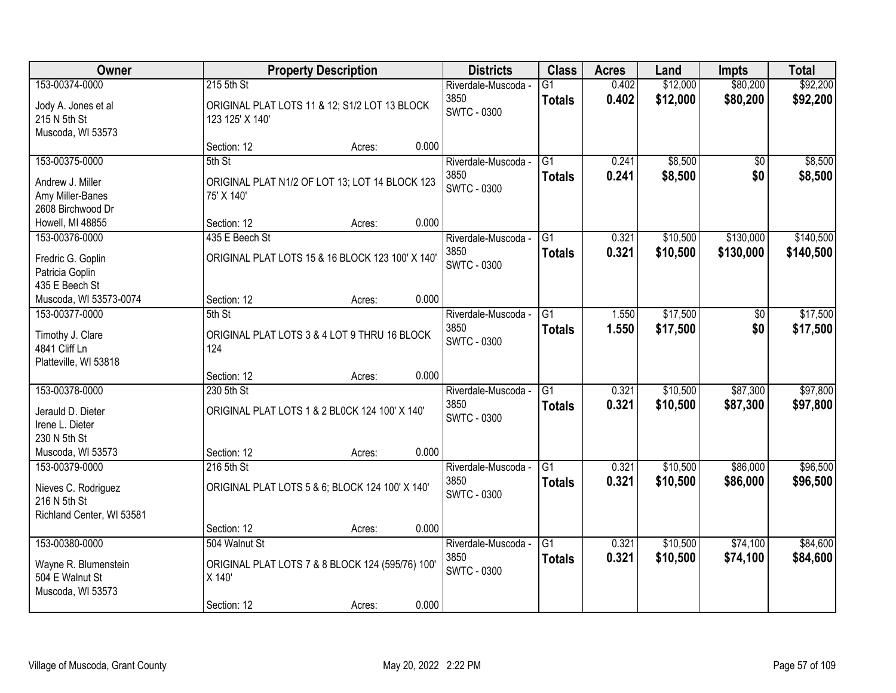| Owner                                                                                       |                                                                                            | <b>Property Description</b> |       | <b>Districts</b>                                  | <b>Class</b>                     | <b>Acres</b>   | Land                 | <b>Impts</b>           | <b>Total</b>           |
|---------------------------------------------------------------------------------------------|--------------------------------------------------------------------------------------------|-----------------------------|-------|---------------------------------------------------|----------------------------------|----------------|----------------------|------------------------|------------------------|
| 153-00374-0000<br>Jody A. Jones et al<br>215 N 5th St<br>Muscoda, WI 53573                  | 215 5th St<br>ORIGINAL PLAT LOTS 11 & 12; S1/2 LOT 13 BLOCK<br>123 125' X 140'             |                             |       | Riverdale-Muscoda -<br>3850<br>SWTC - 0300        | G1<br><b>Totals</b>              | 0.402<br>0.402 | \$12,000<br>\$12,000 | \$80,200<br>\$80,200   | \$92,200<br>\$92,200   |
|                                                                                             | Section: 12                                                                                | Acres:                      | 0.000 |                                                   |                                  |                |                      |                        |                        |
| 153-00375-0000<br>Andrew J. Miller<br>Amy Miller-Banes<br>2608 Birchwood Dr                 | 5th St<br>ORIGINAL PLAT N1/2 OF LOT 13; LOT 14 BLOCK 123<br>75' X 140'                     |                             |       | Riverdale-Muscoda -<br>3850<br><b>SWTC - 0300</b> | $\overline{G1}$<br><b>Totals</b> | 0.241<br>0.241 | \$8,500<br>\$8,500   | \$0<br>\$0             | \$8,500<br>\$8,500     |
| Howell, MI 48855                                                                            | Section: 12                                                                                | Acres:                      | 0.000 |                                                   |                                  |                |                      |                        |                        |
| 153-00376-0000<br>Fredric G. Goplin<br>Patricia Goplin<br>435 E Beech St                    | 435 E Beech St<br>ORIGINAL PLAT LOTS 15 & 16 BLOCK 123 100' X 140'                         |                             |       | Riverdale-Muscoda -<br>3850<br>SWTC - 0300        | G1<br><b>Totals</b>              | 0.321<br>0.321 | \$10,500<br>\$10,500 | \$130,000<br>\$130,000 | \$140,500<br>\$140,500 |
| Muscoda, WI 53573-0074                                                                      | Section: 12                                                                                | Acres:                      | 0.000 |                                                   |                                  |                |                      |                        |                        |
| 153-00377-0000<br>Timothy J. Clare<br>4841 Cliff Ln<br>Platteville, WI 53818                | 5th St<br>ORIGINAL PLAT LOTS 3 & 4 LOT 9 THRU 16 BLOCK<br>124                              |                             |       | Riverdale-Muscoda -<br>3850<br>SWTC - 0300        | G1<br><b>Totals</b>              | 1.550<br>1.550 | \$17,500<br>\$17,500 | \$0<br>\$0             | \$17,500<br>\$17,500   |
|                                                                                             | Section: 12                                                                                | Acres:                      | 0.000 |                                                   |                                  |                |                      |                        |                        |
| 153-00378-0000<br>Jerauld D. Dieter<br>Irene L. Dieter<br>230 N 5th St<br>Muscoda, WI 53573 | 230 5th St<br>ORIGINAL PLAT LOTS 1 & 2 BL0CK 124 100' X 140'<br>Section: 12                | Acres:                      | 0.000 | Riverdale-Muscoda -<br>3850<br><b>SWTC - 0300</b> | $\overline{G1}$<br><b>Totals</b> | 0.321<br>0.321 | \$10,500<br>\$10,500 | \$87,300<br>\$87,300   | \$97,800<br>\$97,800   |
| 153-00379-0000<br>Nieves C. Rodriguez<br>216 N 5th St<br>Richland Center, WI 53581          | 216 5th St<br>ORIGINAL PLAT LOTS 5 & 6; BLOCK 124 100' X 140'<br>Section: 12               | Acres:                      | 0.000 | Riverdale-Muscoda -<br>3850<br><b>SWTC - 0300</b> | $\overline{G1}$<br><b>Totals</b> | 0.321<br>0.321 | \$10,500<br>\$10,500 | \$86,000<br>\$86,000   | \$96,500<br>\$96,500   |
| 153-00380-0000<br>Wayne R. Blumenstein<br>504 E Walnut St<br>Muscoda, WI 53573              | 504 Walnut St<br>ORIGINAL PLAT LOTS 7 & 8 BLOCK 124 (595/76) 100'<br>X 140'<br>Section: 12 | Acres:                      | 0.000 | Riverdale-Muscoda -<br>3850<br><b>SWTC - 0300</b> | $\overline{G1}$<br><b>Totals</b> | 0.321<br>0.321 | \$10,500<br>\$10,500 | \$74,100<br>\$74,100   | \$84,600<br>\$84,600   |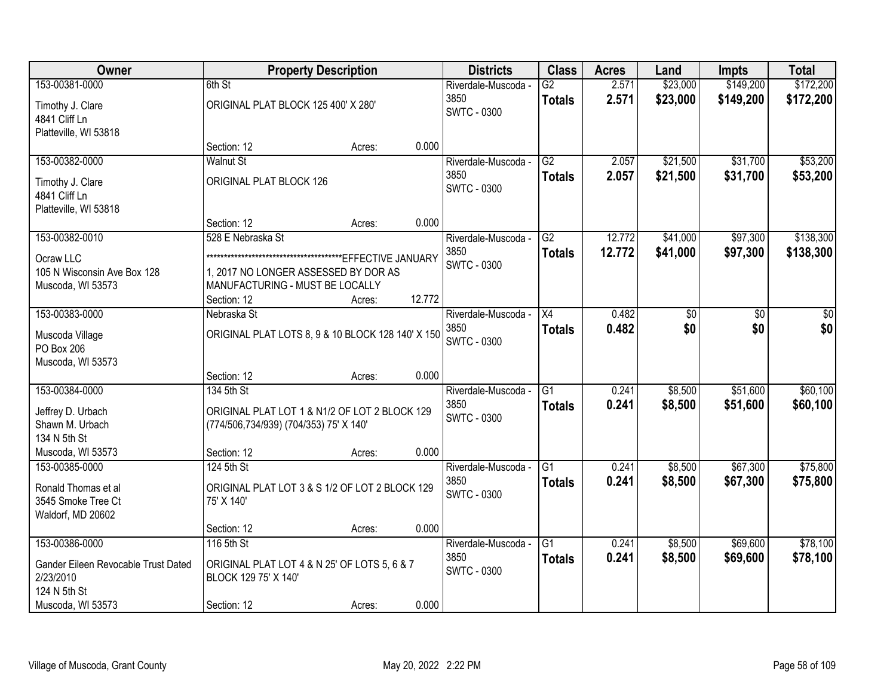| <b>Owner</b>                        |                                                   | <b>Property Description</b> |        | <b>Districts</b>    | <b>Class</b>    | <b>Acres</b> | Land     | <b>Impts</b> | <b>Total</b> |
|-------------------------------------|---------------------------------------------------|-----------------------------|--------|---------------------|-----------------|--------------|----------|--------------|--------------|
| 153-00381-0000                      | 6th St                                            |                             |        | Riverdale-Muscoda - | $\overline{G2}$ | 2.571        | \$23,000 | \$149,200    | \$172,200    |
| Timothy J. Clare                    | ORIGINAL PLAT BLOCK 125 400' X 280'               |                             |        | 3850                | <b>Totals</b>   | 2.571        | \$23,000 | \$149,200    | \$172,200    |
| 4841 Cliff Ln                       |                                                   |                             |        | SWTC - 0300         |                 |              |          |              |              |
| Platteville, WI 53818               |                                                   |                             |        |                     |                 |              |          |              |              |
|                                     | Section: 12                                       | Acres:                      | 0.000  |                     |                 |              |          |              |              |
| 153-00382-0000                      | <b>Walnut St</b>                                  |                             |        | Riverdale-Muscoda - | $\overline{G2}$ | 2.057        | \$21,500 | \$31,700     | \$53,200     |
| Timothy J. Clare                    | ORIGINAL PLAT BLOCK 126                           |                             |        | 3850                | <b>Totals</b>   | 2.057        | \$21,500 | \$31,700     | \$53,200     |
| 4841 Cliff Ln                       |                                                   |                             |        | <b>SWTC - 0300</b>  |                 |              |          |              |              |
| Platteville, WI 53818               |                                                   |                             |        |                     |                 |              |          |              |              |
|                                     | Section: 12                                       | Acres:                      | 0.000  |                     |                 |              |          |              |              |
| 153-00382-0010                      | 528 E Nebraska St                                 |                             |        | Riverdale-Muscoda - | G2              | 12.772       | \$41,000 | \$97,300     | \$138,300    |
| Ocraw LLC                           |                                                   |                             |        | 3850                | <b>Totals</b>   | 12.772       | \$41,000 | \$97,300     | \$138,300    |
| 105 N Wisconsin Ave Box 128         | 1, 2017 NO LONGER ASSESSED BY DOR AS              |                             |        | <b>SWTC - 0300</b>  |                 |              |          |              |              |
| Muscoda, WI 53573                   | MANUFACTURING - MUST BE LOCALLY                   |                             |        |                     |                 |              |          |              |              |
|                                     | Section: 12                                       | Acres:                      | 12.772 |                     |                 |              |          |              |              |
| 153-00383-0000                      | Nebraska St                                       |                             |        | Riverdale-Muscoda - | X4              | 0.482        | \$0      | \$0          | \$0          |
| Muscoda Village                     | ORIGINAL PLAT LOTS 8, 9 & 10 BLOCK 128 140' X 150 |                             |        | 3850                | <b>Totals</b>   | 0.482        | \$0      | \$0          | \$0          |
| PO Box 206                          |                                                   |                             |        | <b>SWTC - 0300</b>  |                 |              |          |              |              |
| Muscoda, WI 53573                   |                                                   |                             |        |                     |                 |              |          |              |              |
|                                     | Section: 12                                       | Acres:                      | 0.000  |                     |                 |              |          |              |              |
| 153-00384-0000                      | 134 5th St                                        |                             |        | Riverdale-Muscoda - | $\overline{G1}$ | 0.241        | \$8,500  | \$51,600     | \$60,100     |
| Jeffrey D. Urbach                   | ORIGINAL PLAT LOT 1 & N1/2 OF LOT 2 BLOCK 129     |                             |        | 3850                | <b>Totals</b>   | 0.241        | \$8,500  | \$51,600     | \$60,100     |
| Shawn M. Urbach                     | (774/506,734/939) (704/353) 75' X 140'            |                             |        | <b>SWTC - 0300</b>  |                 |              |          |              |              |
| 134 N 5th St                        |                                                   |                             |        |                     |                 |              |          |              |              |
| Muscoda, WI 53573                   | Section: 12                                       | Acres:                      | 0.000  |                     |                 |              |          |              |              |
| 153-00385-0000                      | 124 5th St                                        |                             |        | Riverdale-Muscoda - | $\overline{G1}$ | 0.241        | \$8,500  | \$67,300     | \$75,800     |
| Ronald Thomas et al                 | ORIGINAL PLAT LOT 3 & S 1/2 OF LOT 2 BLOCK 129    |                             |        | 3850                | <b>Totals</b>   | 0.241        | \$8,500  | \$67,300     | \$75,800     |
| 3545 Smoke Tree Ct                  | 75' X 140'                                        |                             |        | SWTC - 0300         |                 |              |          |              |              |
| Waldorf, MD 20602                   |                                                   |                             |        |                     |                 |              |          |              |              |
|                                     | Section: 12                                       | Acres:                      | 0.000  |                     |                 |              |          |              |              |
| 153-00386-0000                      | 116 5th St                                        |                             |        | Riverdale-Muscoda - | G1              | 0.241        | \$8,500  | \$69,600     | \$78,100     |
| Gander Eileen Revocable Trust Dated | ORIGINAL PLAT LOT 4 & N 25' OF LOTS 5, 6 & 7      |                             |        | 3850                | <b>Totals</b>   | 0.241        | \$8,500  | \$69,600     | \$78,100     |
| 2/23/2010                           | BLOCK 129 75' X 140'                              |                             |        | <b>SWTC - 0300</b>  |                 |              |          |              |              |
| 124 N 5th St                        |                                                   |                             |        |                     |                 |              |          |              |              |
| Muscoda, WI 53573                   | Section: 12                                       | Acres:                      | 0.000  |                     |                 |              |          |              |              |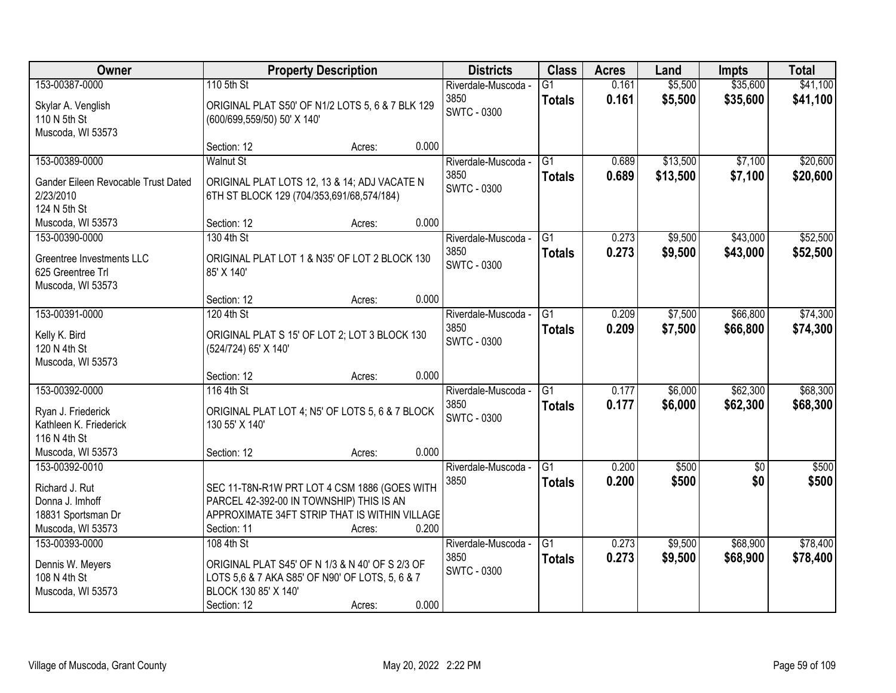| Owner                                                            | <b>Property Description</b>                                                                                                |        |       | <b>Districts</b>            | <b>Class</b>                     | <b>Acres</b>   | Land               | <b>Impts</b>         | <b>Total</b>         |
|------------------------------------------------------------------|----------------------------------------------------------------------------------------------------------------------------|--------|-------|-----------------------------|----------------------------------|----------------|--------------------|----------------------|----------------------|
| 153-00387-0000                                                   | 110 5th St                                                                                                                 |        |       | Riverdale-Muscoda -         | G1                               | 0.161          | \$5,500            | \$35,600             | \$41,100             |
| Skylar A. Venglish<br>110 N 5th St                               | ORIGINAL PLAT S50' OF N1/2 LOTS 5, 6 & 7 BLK 129<br>(600/699,559/50) 50' X 140'                                            |        |       | 3850<br><b>SWTC - 0300</b>  | <b>Totals</b>                    | 0.161          | \$5,500            | \$35,600             | \$41,100             |
| Muscoda, WI 53573                                                |                                                                                                                            |        |       |                             |                                  |                |                    |                      |                      |
|                                                                  | Section: 12                                                                                                                | Acres: | 0.000 |                             |                                  |                |                    |                      |                      |
| 153-00389-0000                                                   | <b>Walnut St</b>                                                                                                           |        |       | Riverdale-Muscoda -         | $\overline{G1}$                  | 0.689          | \$13,500           | \$7,100              | \$20,600             |
| Gander Eileen Revocable Trust Dated<br>2/23/2010<br>124 N 5th St | ORIGINAL PLAT LOTS 12, 13 & 14; ADJ VACATE N<br>6TH ST BLOCK 129 (704/353,691/68,574/184)                                  |        |       | 3850<br><b>SWTC - 0300</b>  | <b>Totals</b>                    | 0.689          | \$13,500           | \$7,100              | \$20,600             |
| Muscoda, WI 53573                                                | Section: 12                                                                                                                | Acres: | 0.000 |                             |                                  |                |                    |                      |                      |
| 153-00390-0000                                                   | 130 4th St                                                                                                                 |        |       | Riverdale-Muscoda -         | G1                               | 0.273          | \$9,500            | \$43,000             | \$52,500             |
| Greentree Investments LLC<br>625 Greentree Trl                   | ORIGINAL PLAT LOT 1 & N35' OF LOT 2 BLOCK 130<br>85' X 140'                                                                |        |       | 3850<br><b>SWTC - 0300</b>  | <b>Totals</b>                    | 0.273          | \$9,500            | \$43,000             | \$52,500             |
| Muscoda, WI 53573                                                | Section: 12                                                                                                                | Acres: | 0.000 |                             |                                  |                |                    |                      |                      |
| 153-00391-0000                                                   | 120 4th St                                                                                                                 |        |       | Riverdale-Muscoda -         | G1                               | 0.209          | \$7,500            | \$66,800             | \$74,300             |
| Kelly K. Bird<br>120 N 4th St<br>Muscoda, WI 53573               | ORIGINAL PLAT S 15' OF LOT 2; LOT 3 BLOCK 130<br>(524/724) 65' X 140'                                                      |        |       | 3850<br><b>SWTC - 0300</b>  | <b>Totals</b>                    | 0.209          | \$7,500            | \$66,800             | \$74,300             |
|                                                                  | Section: 12                                                                                                                | Acres: | 0.000 |                             |                                  |                |                    |                      |                      |
| 153-00392-0000                                                   | 116 4th St                                                                                                                 |        |       | Riverdale-Muscoda -<br>3850 | $\overline{G1}$<br><b>Totals</b> | 0.177<br>0.177 | \$6,000<br>\$6,000 | \$62,300<br>\$62,300 | \$68,300<br>\$68,300 |
| Ryan J. Friederick<br>Kathleen K. Friederick<br>116 N 4th St     | ORIGINAL PLAT LOT 4; N5' OF LOTS 5, 6 & 7 BLOCK<br>130 55' X 140'                                                          |        |       | <b>SWTC - 0300</b>          |                                  |                |                    |                      |                      |
| Muscoda, WI 53573                                                | Section: 12                                                                                                                | Acres: | 0.000 |                             |                                  |                |                    |                      |                      |
| 153-00392-0010                                                   |                                                                                                                            |        |       | Riverdale-Muscoda -         | $\overline{G1}$                  | 0.200          | \$500              | $\overline{50}$      | \$500                |
| Richard J. Rut                                                   | SEC 11-T8N-R1W PRT LOT 4 CSM 1886 (GOES WITH                                                                               |        |       | 3850                        | <b>Totals</b>                    | 0.200          | \$500              | \$0                  | \$500                |
| Donna J. Imhoff<br>18831 Sportsman Dr                            | PARCEL 42-392-00 IN TOWNSHIP) THIS IS AN<br>APPROXIMATE 34FT STRIP THAT IS WITHIN VILLAGE                                  |        |       |                             |                                  |                |                    |                      |                      |
| Muscoda, WI 53573                                                | Section: 11                                                                                                                | Acres: | 0.200 |                             |                                  |                |                    |                      |                      |
| 153-00393-0000                                                   | 108 4th St                                                                                                                 |        |       | Riverdale-Muscoda -         | G1                               | 0.273          | \$9,500            | \$68,900             | \$78,400             |
| Dennis W. Meyers<br>108 N 4th St<br>Muscoda, WI 53573            | ORIGINAL PLAT S45' OF N 1/3 & N 40' OF S 2/3 OF<br>LOTS 5,6 & 7 AKA S85' OF N90' OF LOTS, 5, 6 & 7<br>BLOCK 130 85' X 140' |        |       | 3850<br>SWTC - 0300         | <b>Totals</b>                    | 0.273          | \$9,500            | \$68,900             | \$78,400             |
|                                                                  | Section: 12                                                                                                                | Acres: | 0.000 |                             |                                  |                |                    |                      |                      |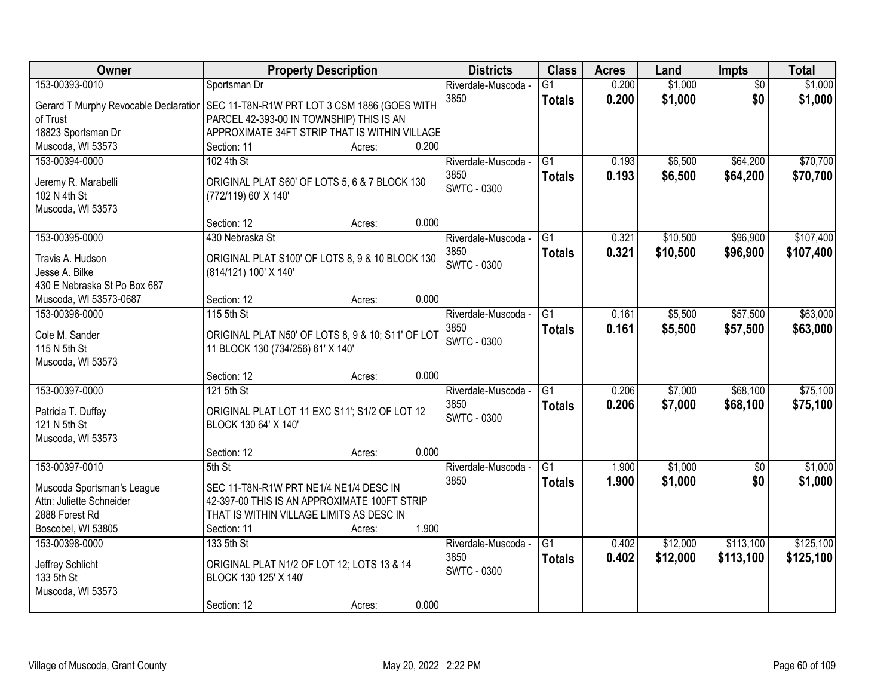| Owner                                 | <b>Property Description</b>                       | <b>Districts</b>    | <b>Class</b>    | <b>Acres</b> | Land     | <b>Impts</b>    | <b>Total</b> |
|---------------------------------------|---------------------------------------------------|---------------------|-----------------|--------------|----------|-----------------|--------------|
| 153-00393-0010                        | Sportsman Dr                                      | Riverdale-Muscoda - | $\overline{G1}$ | 0.200        | \$1,000  | $\overline{50}$ | \$1,000      |
| Gerard T Murphy Revocable Declaration | SEC 11-T8N-R1W PRT LOT 3 CSM 1886 (GOES WITH      | 3850                | <b>Totals</b>   | 0.200        | \$1,000  | \$0             | \$1,000      |
| of Trust                              | PARCEL 42-393-00 IN TOWNSHIP) THIS IS AN          |                     |                 |              |          |                 |              |
| 18823 Sportsman Dr                    | APPROXIMATE 34FT STRIP THAT IS WITHIN VILLAGE     |                     |                 |              |          |                 |              |
| Muscoda, WI 53573                     | 0.200<br>Section: 11<br>Acres:                    |                     |                 |              |          |                 |              |
| 153-00394-0000                        | 102 4th St                                        | Riverdale-Muscoda - | G1              | 0.193        | \$6,500  | \$64,200        | \$70,700     |
|                                       |                                                   | 3850                | <b>Totals</b>   | 0.193        | \$6,500  | \$64,200        | \$70,700     |
| Jeremy R. Marabelli                   | ORIGINAL PLAT S60' OF LOTS 5, 6 & 7 BLOCK 130     | <b>SWTC - 0300</b>  |                 |              |          |                 |              |
| 102 N 4th St                          | (772/119) 60' X 140'                              |                     |                 |              |          |                 |              |
| Muscoda, WI 53573                     |                                                   |                     |                 |              |          |                 |              |
|                                       | 0.000<br>Section: 12<br>Acres:                    |                     |                 |              |          |                 |              |
| 153-00395-0000                        | 430 Nebraska St                                   | Riverdale-Muscoda - | G1              | 0.321        | \$10,500 | \$96,900        | \$107,400    |
| Travis A. Hudson                      | ORIGINAL PLAT S100' OF LOTS 8, 9 & 10 BLOCK 130   | 3850                | <b>Totals</b>   | 0.321        | \$10,500 | \$96,900        | \$107,400    |
| Jesse A. Bilke                        | (814/121) 100' X 140'                             | <b>SWTC - 0300</b>  |                 |              |          |                 |              |
| 430 E Nebraska St Po Box 687          |                                                   |                     |                 |              |          |                 |              |
| Muscoda, WI 53573-0687                | 0.000<br>Section: 12<br>Acres:                    |                     |                 |              |          |                 |              |
| 153-00396-0000                        | 115 5th St                                        | Riverdale-Muscoda - | G1              | 0.161        | \$5,500  | \$57,500        | \$63,000     |
|                                       |                                                   | 3850                | <b>Totals</b>   | 0.161        | \$5,500  | \$57,500        | \$63,000     |
| Cole M. Sander                        | ORIGINAL PLAT N50' OF LOTS 8, 9 & 10; S11' OF LOT | <b>SWTC - 0300</b>  |                 |              |          |                 |              |
| 115 N 5th St                          | 11 BLOCK 130 (734/256) 61' X 140'                 |                     |                 |              |          |                 |              |
| Muscoda, WI 53573                     | 0.000                                             |                     |                 |              |          |                 |              |
| 153-00397-0000                        | Section: 12<br>Acres:<br>121 5th St               |                     | $\overline{G1}$ | 0.206        |          | \$68,100        | \$75,100     |
|                                       |                                                   | Riverdale-Muscoda - |                 |              | \$7,000  |                 |              |
| Patricia T. Duffey                    | ORIGINAL PLAT LOT 11 EXC S11'; S1/2 OF LOT 12     | 3850                | <b>Totals</b>   | 0.206        | \$7,000  | \$68,100        | \$75,100     |
| 121 N 5th St                          | BLOCK 130 64' X 140'                              | <b>SWTC - 0300</b>  |                 |              |          |                 |              |
| Muscoda, WI 53573                     |                                                   |                     |                 |              |          |                 |              |
|                                       | 0.000<br>Section: 12<br>Acres:                    |                     |                 |              |          |                 |              |
| 153-00397-0010                        | 5th St                                            | Riverdale-Muscoda - | $\overline{G1}$ | 1.900        | \$1,000  | $\sqrt{$0}$     | \$1,000      |
| Muscoda Sportsman's League            | SEC 11-T8N-R1W PRT NE1/4 NE1/4 DESC IN            | 3850                | <b>Totals</b>   | 1.900        | \$1,000  | \$0             | \$1,000      |
| Attn: Juliette Schneider              | 42-397-00 THIS IS AN APPROXIMATE 100FT STRIP      |                     |                 |              |          |                 |              |
| 2888 Forest Rd                        | THAT IS WITHIN VILLAGE LIMITS AS DESC IN          |                     |                 |              |          |                 |              |
| Boscobel, WI 53805                    | 1.900<br>Section: 11                              |                     |                 |              |          |                 |              |
| 153-00398-0000                        | Acres:<br>133 5th St                              | Riverdale-Muscoda - | $\overline{G1}$ | 0.402        | \$12,000 | \$113,100       | \$125,100    |
|                                       |                                                   | 3850                |                 | 0.402        |          |                 |              |
| Jeffrey Schlicht                      | ORIGINAL PLAT N1/2 OF LOT 12; LOTS 13 & 14        | <b>SWTC - 0300</b>  | <b>Totals</b>   |              | \$12,000 | \$113,100       | \$125,100    |
| 133 5th St                            | BLOCK 130 125' X 140'                             |                     |                 |              |          |                 |              |
| Muscoda, WI 53573                     |                                                   |                     |                 |              |          |                 |              |
|                                       | 0.000<br>Section: 12<br>Acres:                    |                     |                 |              |          |                 |              |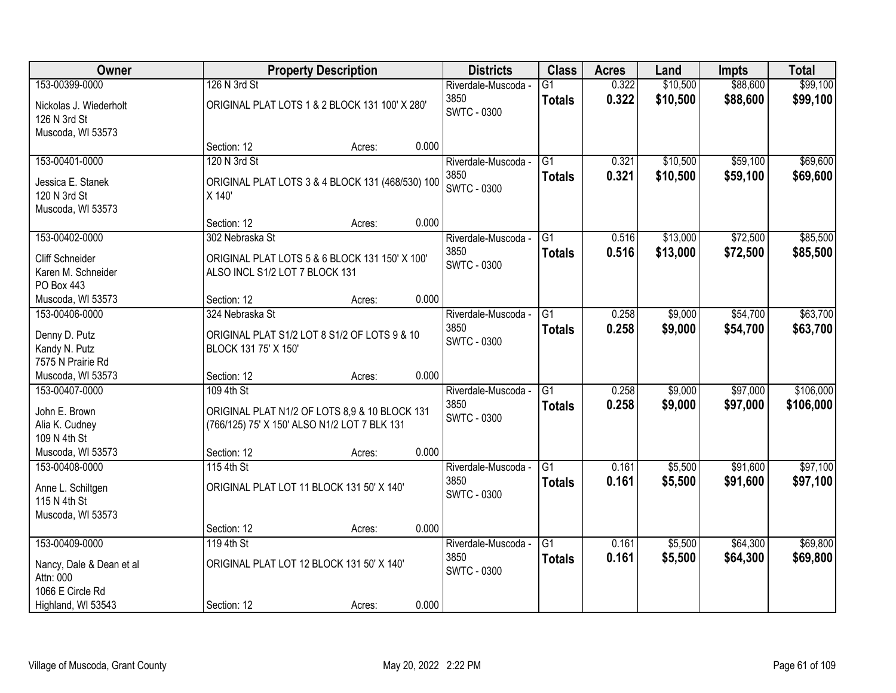| Owner                    |                                | <b>Property Description</b>                      |       | <b>Districts</b>    | <b>Class</b>    | <b>Acres</b> | Land     | <b>Impts</b> | <b>Total</b> |
|--------------------------|--------------------------------|--------------------------------------------------|-------|---------------------|-----------------|--------------|----------|--------------|--------------|
| 153-00399-0000           | 126 N 3rd St                   |                                                  |       | Riverdale-Muscoda - | $\overline{G1}$ | 0.322        | \$10,500 | \$88,600     | \$99,100     |
| Nickolas J. Wiederholt   |                                | ORIGINAL PLAT LOTS 1 & 2 BLOCK 131 100' X 280'   |       | 3850                | <b>Totals</b>   | 0.322        | \$10,500 | \$88,600     | \$99,100     |
| 126 N 3rd St             |                                |                                                  |       | <b>SWTC - 0300</b>  |                 |              |          |              |              |
| Muscoda, WI 53573        |                                |                                                  |       |                     |                 |              |          |              |              |
|                          | Section: 12                    | Acres:                                           | 0.000 |                     |                 |              |          |              |              |
| 153-00401-0000           | 120 N 3rd St                   |                                                  |       | Riverdale-Muscoda - | $\overline{G1}$ | 0.321        | \$10,500 | \$59,100     | \$69,600     |
| Jessica E. Stanek        |                                | ORIGINAL PLAT LOTS 3 & 4 BLOCK 131 (468/530) 100 |       | 3850                | <b>Totals</b>   | 0.321        | \$10,500 | \$59,100     | \$69,600     |
| 120 N 3rd St             | X 140'                         |                                                  |       | <b>SWTC - 0300</b>  |                 |              |          |              |              |
| Muscoda, WI 53573        |                                |                                                  |       |                     |                 |              |          |              |              |
|                          | Section: 12                    | Acres:                                           | 0.000 |                     |                 |              |          |              |              |
| 153-00402-0000           | 302 Nebraska St                |                                                  |       | Riverdale-Muscoda - | G1              | 0.516        | \$13,000 | \$72,500     | \$85,500     |
| <b>Cliff Schneider</b>   |                                | ORIGINAL PLAT LOTS 5 & 6 BLOCK 131 150' X 100'   |       | 3850                | <b>Totals</b>   | 0.516        | \$13,000 | \$72,500     | \$85,500     |
| Karen M. Schneider       | ALSO INCL S1/2 LOT 7 BLOCK 131 |                                                  |       | <b>SWTC - 0300</b>  |                 |              |          |              |              |
| PO Box 443               |                                |                                                  |       |                     |                 |              |          |              |              |
| Muscoda, WI 53573        | Section: 12                    | Acres:                                           | 0.000 |                     |                 |              |          |              |              |
| 153-00406-0000           | 324 Nebraska St                |                                                  |       | Riverdale-Muscoda - | G1              | 0.258        | \$9,000  | \$54,700     | \$63,700     |
| Denny D. Putz            |                                | ORIGINAL PLAT S1/2 LOT 8 S1/2 OF LOTS 9 & 10     |       | 3850                | <b>Totals</b>   | 0.258        | \$9,000  | \$54,700     | \$63,700     |
| Kandy N. Putz            | BLOCK 131 75' X 150'           |                                                  |       | SWTC - 0300         |                 |              |          |              |              |
| 7575 N Prairie Rd        |                                |                                                  |       |                     |                 |              |          |              |              |
| Muscoda, WI 53573        | Section: 12                    | Acres:                                           | 0.000 |                     |                 |              |          |              |              |
| 153-00407-0000           | 109 4th St                     |                                                  |       | Riverdale-Muscoda - | $\overline{G1}$ | 0.258        | \$9,000  | \$97,000     | \$106,000    |
| John E. Brown            |                                | ORIGINAL PLAT N1/2 OF LOTS 8,9 & 10 BLOCK 131    |       | 3850                | <b>Totals</b>   | 0.258        | \$9,000  | \$97,000     | \$106,000    |
| Alia K. Cudney           |                                | (766/125) 75' X 150' ALSO N1/2 LOT 7 BLK 131     |       | SWTC - 0300         |                 |              |          |              |              |
| 109 N 4th St             |                                |                                                  |       |                     |                 |              |          |              |              |
| Muscoda, WI 53573        | Section: 12                    | Acres:                                           | 0.000 |                     |                 |              |          |              |              |
| 153-00408-0000           | 115 4th St                     |                                                  |       | Riverdale-Muscoda - | $\overline{G1}$ | 0.161        | \$5,500  | \$91,600     | \$97,100     |
| Anne L. Schiltgen        |                                | ORIGINAL PLAT LOT 11 BLOCK 131 50' X 140'        |       | 3850                | <b>Totals</b>   | 0.161        | \$5,500  | \$91,600     | \$97,100     |
| 115 N 4th St             |                                |                                                  |       | SWTC - 0300         |                 |              |          |              |              |
| Muscoda, WI 53573        |                                |                                                  |       |                     |                 |              |          |              |              |
|                          | Section: 12                    | Acres:                                           | 0.000 |                     |                 |              |          |              |              |
| 153-00409-0000           | 119 4th St                     |                                                  |       | Riverdale-Muscoda - | $\overline{G1}$ | 0.161        | \$5,500  | \$64,300     | \$69,800     |
| Nancy, Dale & Dean et al |                                | ORIGINAL PLAT LOT 12 BLOCK 131 50' X 140'        |       | 3850                | <b>Totals</b>   | 0.161        | \$5,500  | \$64,300     | \$69,800     |
| Attn: 000                |                                |                                                  |       | <b>SWTC - 0300</b>  |                 |              |          |              |              |
| 1066 E Circle Rd         |                                |                                                  |       |                     |                 |              |          |              |              |
| Highland, WI 53543       | Section: 12                    | Acres:                                           | 0.000 |                     |                 |              |          |              |              |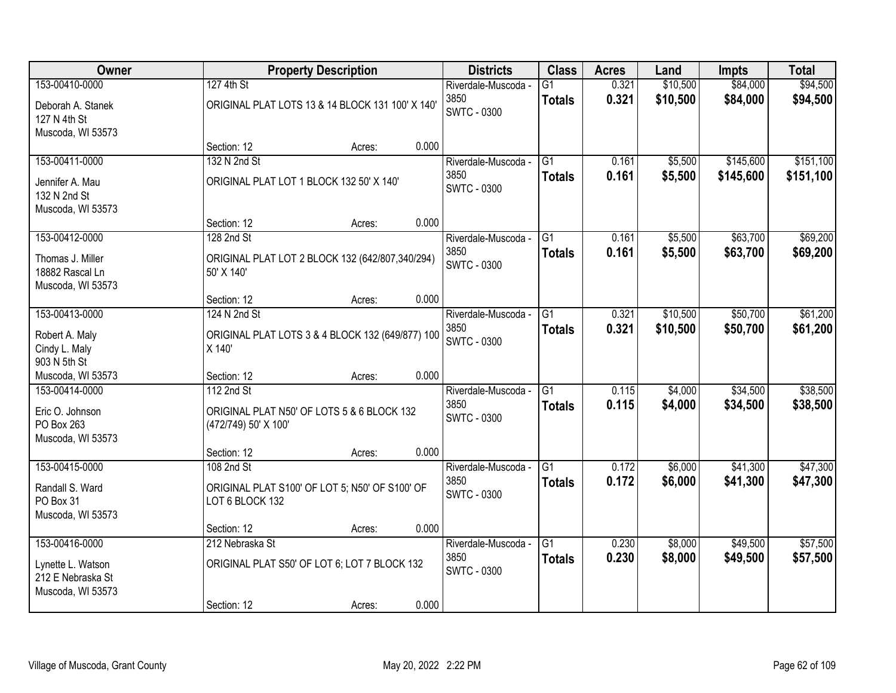| Owner                                                       |                                          | <b>Property Description</b>                      |       | <b>Districts</b>            | <b>Class</b>                     | <b>Acres</b>   | Land                 | <b>Impts</b>         | <b>Total</b>         |
|-------------------------------------------------------------|------------------------------------------|--------------------------------------------------|-------|-----------------------------|----------------------------------|----------------|----------------------|----------------------|----------------------|
| 153-00410-0000<br>Deborah A. Stanek                         | 127 4th St                               | ORIGINAL PLAT LOTS 13 & 14 BLOCK 131 100' X 140' |       | Riverdale-Muscoda -<br>3850 | $\overline{G1}$<br><b>Totals</b> | 0.321<br>0.321 | \$10,500<br>\$10,500 | \$84,000<br>\$84,000 | \$94,500<br>\$94,500 |
| 127 N 4th St<br>Muscoda, WI 53573                           |                                          |                                                  |       | SWTC - 0300                 |                                  |                |                      |                      |                      |
|                                                             | Section: 12                              | Acres:                                           | 0.000 |                             |                                  |                |                      |                      |                      |
| 153-00411-0000                                              | 132 N 2nd St                             |                                                  |       | Riverdale-Muscoda -         | $\overline{G1}$                  | 0.161          | \$5,500              | \$145,600            | \$151,100            |
| Jennifer A. Mau<br>132 N 2nd St<br>Muscoda, WI 53573        | ORIGINAL PLAT LOT 1 BLOCK 132 50' X 140' |                                                  |       | 3850<br><b>SWTC - 0300</b>  | <b>Totals</b>                    | 0.161          | \$5,500              | \$145,600            | \$151,100            |
|                                                             | Section: 12                              | Acres:                                           | 0.000 |                             |                                  |                |                      |                      |                      |
| 153-00412-0000                                              | 128 2nd St                               |                                                  |       | Riverdale-Muscoda -         | G1                               | 0.161          | \$5,500              | \$63,700             | \$69,200             |
| Thomas J. Miller<br>18882 Rascal Ln<br>Muscoda, WI 53573    | 50' X 140'                               | ORIGINAL PLAT LOT 2 BLOCK 132 (642/807,340/294)  |       | 3850<br>SWTC - 0300         | <b>Totals</b>                    | 0.161          | \$5,500              | \$63,700             | \$69,200             |
|                                                             | Section: 12                              | Acres:                                           | 0.000 |                             |                                  |                |                      |                      |                      |
| 153-00413-0000                                              | 124 N 2nd St                             |                                                  |       | Riverdale-Muscoda -         | G1                               | 0.321          | \$10,500             | \$50,700             | \$61,200             |
| Robert A. Maly<br>Cindy L. Maly<br>903 N 5th St             | X 140'                                   | ORIGINAL PLAT LOTS 3 & 4 BLOCK 132 (649/877) 100 |       | 3850<br><b>SWTC - 0300</b>  | <b>Totals</b>                    | 0.321          | \$10,500             | \$50,700             | \$61,200             |
| Muscoda, WI 53573                                           | Section: 12                              | Acres:                                           | 0.000 |                             |                                  |                |                      |                      |                      |
| 153-00414-0000                                              | 112 2nd St                               |                                                  |       | Riverdale-Muscoda -         | $\overline{G1}$                  | 0.115          | \$4,000              | \$34,500             | \$38,500             |
| Eric O. Johnson<br>PO Box 263<br>Muscoda, WI 53573          | (472/749) 50' X 100'                     | ORIGINAL PLAT N50' OF LOTS 5 & 6 BLOCK 132       |       | 3850<br><b>SWTC - 0300</b>  | <b>Totals</b>                    | 0.115          | \$4,000              | \$34,500             | \$38,500             |
|                                                             | Section: 12                              | Acres:                                           | 0.000 |                             |                                  |                |                      |                      |                      |
| 153-00415-0000                                              | 108 2nd St                               |                                                  |       | Riverdale-Muscoda -         | $\overline{G1}$                  | 0.172          | \$6,000              | \$41,300             | \$47,300             |
| Randall S. Ward<br>PO Box 31<br>Muscoda, WI 53573           | LOT 6 BLOCK 132                          | ORIGINAL PLAT S100' OF LOT 5; N50' OF S100' OF   |       | 3850<br><b>SWTC - 0300</b>  | <b>Totals</b>                    | 0.172          | \$6,000              | \$41,300             | \$47,300             |
|                                                             | Section: 12                              | Acres:                                           | 0.000 |                             |                                  |                |                      |                      |                      |
| 153-00416-0000                                              | 212 Nebraska St                          |                                                  |       | Riverdale-Muscoda -         | $\overline{G1}$                  | 0.230          | \$8,000              | \$49,500             | \$57,500             |
| Lynette L. Watson<br>212 E Nebraska St<br>Muscoda, WI 53573 |                                          | ORIGINAL PLAT S50' OF LOT 6; LOT 7 BLOCK 132     |       | 3850<br>SWTC - 0300         | <b>Totals</b>                    | 0.230          | \$8,000              | \$49,500             | \$57,500             |
|                                                             | Section: 12                              | Acres:                                           | 0.000 |                             |                                  |                |                      |                      |                      |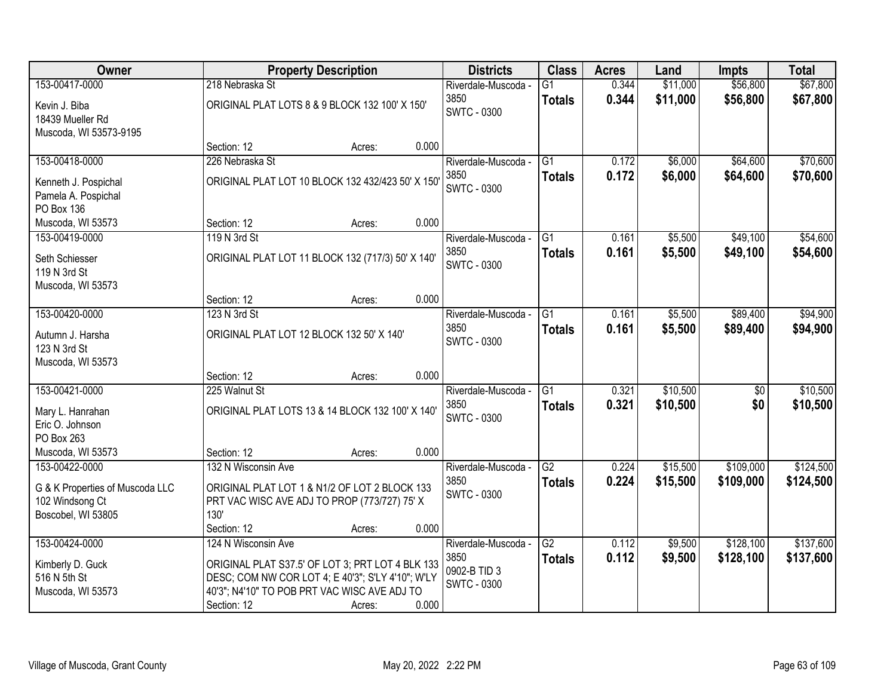| 153-00417-0000<br>\$11,000<br>\$56,800<br>\$67,800<br>218 Nebraska St<br>$\overline{G1}$<br>0.344<br>Riverdale-Muscoda -<br>\$11,000<br>\$56,800<br>3850<br>0.344<br>\$67,800<br><b>Totals</b><br>ORIGINAL PLAT LOTS 8 & 9 BLOCK 132 100' X 150'<br>Kevin J. Biba<br><b>SWTC - 0300</b><br>18439 Mueller Rd<br>Muscoda, WI 53573-9195<br>0.000<br>Section: 12<br>Acres:<br>\$6,000<br>\$64,600<br>\$70,600<br>153-00418-0000<br>226 Nebraska St<br>$\overline{G1}$<br>0.172<br>Riverdale-Muscoda -<br>0.172<br>3850<br>\$6,000<br>\$64,600<br>\$70,600<br><b>Totals</b><br>ORIGINAL PLAT LOT 10 BLOCK 132 432/423 50' X 150'<br>Kenneth J. Pospichal<br><b>SWTC - 0300</b><br>Pamela A. Pospichal<br>PO Box 136<br>0.000<br>Section: 12<br>Muscoda, WI 53573<br>Acres:<br>\$49,100<br>\$54,600<br>153-00419-0000<br>119 N 3rd St<br>G <sub>1</sub><br>0.161<br>\$5,500<br>Riverdale-Muscoda -<br>3850<br>0.161<br>\$5,500<br>\$49,100<br>\$54,600<br><b>Totals</b><br>ORIGINAL PLAT LOT 11 BLOCK 132 (717/3) 50' X 140'<br>Seth Schiesser<br>SWTC - 0300<br>119 N 3rd St<br>Muscoda, WI 53573<br>0.000<br>Section: 12<br>Acres:<br>\$94,900<br>153-00420-0000<br>123 N 3rd St<br>0.161<br>\$5,500<br>\$89,400<br>Riverdale-Muscoda -<br>G1<br>3850<br>0.161<br>\$5,500<br>\$89,400<br>\$94,900<br><b>Totals</b><br>ORIGINAL PLAT LOT 12 BLOCK 132 50' X 140'<br>Autumn J. Harsha<br><b>SWTC - 0300</b><br>123 N 3rd St<br>Muscoda, WI 53573<br>0.000<br>Section: 12<br>Acres:<br>\$10,500<br>\$10,500<br>153-00421-0000<br>225 Walnut St<br>$\overline{G1}$<br>0.321<br>\$0<br>Riverdale-Muscoda -<br>3850<br>\$10,500<br>\$0<br>\$10,500<br>0.321<br><b>Totals</b><br>ORIGINAL PLAT LOTS 13 & 14 BLOCK 132 100' X 140'<br>Mary L. Hanrahan<br><b>SWTC - 0300</b><br>Eric O. Johnson<br>PO Box 263<br>0.000<br>Muscoda, WI 53573<br>Section: 12<br>Acres:<br>$\overline{G2}$<br>\$109,000<br>153-00422-0000<br>132 N Wisconsin Ave<br>Riverdale-Muscoda -<br>0.224<br>\$15,500<br>3850<br>0.224<br>\$15,500<br>\$109,000<br><b>Totals</b><br>ORIGINAL PLAT LOT 1 & N1/2 OF LOT 2 BLOCK 133<br>G & K Properties of Muscoda LLC<br><b>SWTC - 0300</b><br>PRT VAC WISC AVE ADJ TO PROP (773/727) 75' X<br>102 Windsong Ct<br>130'<br>Boscobel, WI 53805<br>Section: 12<br>0.000<br>Acres:<br>\$128,100<br>153-00424-0000<br>G2<br>0.112<br>\$9,500<br>124 N Wisconsin Ave<br>Riverdale-Muscoda -<br>0.112<br>3850<br>\$9,500<br>\$128,100<br>\$137,600<br><b>Totals</b><br>Kimberly D. Guck<br>ORIGINAL PLAT S37.5' OF LOT 3; PRT LOT 4 BLK 133<br>0902-B TID 3<br>516 N 5th St<br>DESC; COM NW COR LOT 4; E 40'3"; S'LY 4'10"; W'LY<br><b>SWTC - 0300</b><br>40'3"; N4'10" TO POB PRT VAC WISC AVE ADJ TO<br>Muscoda, WI 53573 | Owner |             | <b>Property Description</b> | <b>Districts</b> | <b>Class</b> | <b>Acres</b> | Land | <b>Impts</b> | <b>Total</b> |
|------------------------------------------------------------------------------------------------------------------------------------------------------------------------------------------------------------------------------------------------------------------------------------------------------------------------------------------------------------------------------------------------------------------------------------------------------------------------------------------------------------------------------------------------------------------------------------------------------------------------------------------------------------------------------------------------------------------------------------------------------------------------------------------------------------------------------------------------------------------------------------------------------------------------------------------------------------------------------------------------------------------------------------------------------------------------------------------------------------------------------------------------------------------------------------------------------------------------------------------------------------------------------------------------------------------------------------------------------------------------------------------------------------------------------------------------------------------------------------------------------------------------------------------------------------------------------------------------------------------------------------------------------------------------------------------------------------------------------------------------------------------------------------------------------------------------------------------------------------------------------------------------------------------------------------------------------------------------------------------------------------------------------------------------------------------------------------------------------------------------------------------------------------------------------------------------------------------------------------------------------------------------------------------------------------------------------------------------------------------------------------------------------------------------------------------------------------------------------------------------------------------------------------------------------------------------------------------------------------------------------------------------------------------------------------------------------------------------------|-------|-------------|-----------------------------|------------------|--------------|--------------|------|--------------|--------------|
|                                                                                                                                                                                                                                                                                                                                                                                                                                                                                                                                                                                                                                                                                                                                                                                                                                                                                                                                                                                                                                                                                                                                                                                                                                                                                                                                                                                                                                                                                                                                                                                                                                                                                                                                                                                                                                                                                                                                                                                                                                                                                                                                                                                                                                                                                                                                                                                                                                                                                                                                                                                                                                                                                                                              |       |             |                             |                  |              |              |      |              |              |
|                                                                                                                                                                                                                                                                                                                                                                                                                                                                                                                                                                                                                                                                                                                                                                                                                                                                                                                                                                                                                                                                                                                                                                                                                                                                                                                                                                                                                                                                                                                                                                                                                                                                                                                                                                                                                                                                                                                                                                                                                                                                                                                                                                                                                                                                                                                                                                                                                                                                                                                                                                                                                                                                                                                              |       |             |                             |                  |              |              |      |              |              |
|                                                                                                                                                                                                                                                                                                                                                                                                                                                                                                                                                                                                                                                                                                                                                                                                                                                                                                                                                                                                                                                                                                                                                                                                                                                                                                                                                                                                                                                                                                                                                                                                                                                                                                                                                                                                                                                                                                                                                                                                                                                                                                                                                                                                                                                                                                                                                                                                                                                                                                                                                                                                                                                                                                                              |       |             |                             |                  |              |              |      |              |              |
|                                                                                                                                                                                                                                                                                                                                                                                                                                                                                                                                                                                                                                                                                                                                                                                                                                                                                                                                                                                                                                                                                                                                                                                                                                                                                                                                                                                                                                                                                                                                                                                                                                                                                                                                                                                                                                                                                                                                                                                                                                                                                                                                                                                                                                                                                                                                                                                                                                                                                                                                                                                                                                                                                                                              |       |             |                             |                  |              |              |      |              |              |
|                                                                                                                                                                                                                                                                                                                                                                                                                                                                                                                                                                                                                                                                                                                                                                                                                                                                                                                                                                                                                                                                                                                                                                                                                                                                                                                                                                                                                                                                                                                                                                                                                                                                                                                                                                                                                                                                                                                                                                                                                                                                                                                                                                                                                                                                                                                                                                                                                                                                                                                                                                                                                                                                                                                              |       |             |                             |                  |              |              |      |              |              |
|                                                                                                                                                                                                                                                                                                                                                                                                                                                                                                                                                                                                                                                                                                                                                                                                                                                                                                                                                                                                                                                                                                                                                                                                                                                                                                                                                                                                                                                                                                                                                                                                                                                                                                                                                                                                                                                                                                                                                                                                                                                                                                                                                                                                                                                                                                                                                                                                                                                                                                                                                                                                                                                                                                                              |       |             |                             |                  |              |              |      |              |              |
|                                                                                                                                                                                                                                                                                                                                                                                                                                                                                                                                                                                                                                                                                                                                                                                                                                                                                                                                                                                                                                                                                                                                                                                                                                                                                                                                                                                                                                                                                                                                                                                                                                                                                                                                                                                                                                                                                                                                                                                                                                                                                                                                                                                                                                                                                                                                                                                                                                                                                                                                                                                                                                                                                                                              |       |             |                             |                  |              |              |      |              |              |
|                                                                                                                                                                                                                                                                                                                                                                                                                                                                                                                                                                                                                                                                                                                                                                                                                                                                                                                                                                                                                                                                                                                                                                                                                                                                                                                                                                                                                                                                                                                                                                                                                                                                                                                                                                                                                                                                                                                                                                                                                                                                                                                                                                                                                                                                                                                                                                                                                                                                                                                                                                                                                                                                                                                              |       |             |                             |                  |              |              |      |              |              |
|                                                                                                                                                                                                                                                                                                                                                                                                                                                                                                                                                                                                                                                                                                                                                                                                                                                                                                                                                                                                                                                                                                                                                                                                                                                                                                                                                                                                                                                                                                                                                                                                                                                                                                                                                                                                                                                                                                                                                                                                                                                                                                                                                                                                                                                                                                                                                                                                                                                                                                                                                                                                                                                                                                                              |       |             |                             |                  |              |              |      |              |              |
|                                                                                                                                                                                                                                                                                                                                                                                                                                                                                                                                                                                                                                                                                                                                                                                                                                                                                                                                                                                                                                                                                                                                                                                                                                                                                                                                                                                                                                                                                                                                                                                                                                                                                                                                                                                                                                                                                                                                                                                                                                                                                                                                                                                                                                                                                                                                                                                                                                                                                                                                                                                                                                                                                                                              |       |             |                             |                  |              |              |      |              |              |
|                                                                                                                                                                                                                                                                                                                                                                                                                                                                                                                                                                                                                                                                                                                                                                                                                                                                                                                                                                                                                                                                                                                                                                                                                                                                                                                                                                                                                                                                                                                                                                                                                                                                                                                                                                                                                                                                                                                                                                                                                                                                                                                                                                                                                                                                                                                                                                                                                                                                                                                                                                                                                                                                                                                              |       |             |                             |                  |              |              |      |              |              |
|                                                                                                                                                                                                                                                                                                                                                                                                                                                                                                                                                                                                                                                                                                                                                                                                                                                                                                                                                                                                                                                                                                                                                                                                                                                                                                                                                                                                                                                                                                                                                                                                                                                                                                                                                                                                                                                                                                                                                                                                                                                                                                                                                                                                                                                                                                                                                                                                                                                                                                                                                                                                                                                                                                                              |       |             |                             |                  |              |              |      |              |              |
|                                                                                                                                                                                                                                                                                                                                                                                                                                                                                                                                                                                                                                                                                                                                                                                                                                                                                                                                                                                                                                                                                                                                                                                                                                                                                                                                                                                                                                                                                                                                                                                                                                                                                                                                                                                                                                                                                                                                                                                                                                                                                                                                                                                                                                                                                                                                                                                                                                                                                                                                                                                                                                                                                                                              |       |             |                             |                  |              |              |      |              |              |
|                                                                                                                                                                                                                                                                                                                                                                                                                                                                                                                                                                                                                                                                                                                                                                                                                                                                                                                                                                                                                                                                                                                                                                                                                                                                                                                                                                                                                                                                                                                                                                                                                                                                                                                                                                                                                                                                                                                                                                                                                                                                                                                                                                                                                                                                                                                                                                                                                                                                                                                                                                                                                                                                                                                              |       |             |                             |                  |              |              |      |              |              |
|                                                                                                                                                                                                                                                                                                                                                                                                                                                                                                                                                                                                                                                                                                                                                                                                                                                                                                                                                                                                                                                                                                                                                                                                                                                                                                                                                                                                                                                                                                                                                                                                                                                                                                                                                                                                                                                                                                                                                                                                                                                                                                                                                                                                                                                                                                                                                                                                                                                                                                                                                                                                                                                                                                                              |       |             |                             |                  |              |              |      |              |              |
|                                                                                                                                                                                                                                                                                                                                                                                                                                                                                                                                                                                                                                                                                                                                                                                                                                                                                                                                                                                                                                                                                                                                                                                                                                                                                                                                                                                                                                                                                                                                                                                                                                                                                                                                                                                                                                                                                                                                                                                                                                                                                                                                                                                                                                                                                                                                                                                                                                                                                                                                                                                                                                                                                                                              |       |             |                             |                  |              |              |      |              |              |
|                                                                                                                                                                                                                                                                                                                                                                                                                                                                                                                                                                                                                                                                                                                                                                                                                                                                                                                                                                                                                                                                                                                                                                                                                                                                                                                                                                                                                                                                                                                                                                                                                                                                                                                                                                                                                                                                                                                                                                                                                                                                                                                                                                                                                                                                                                                                                                                                                                                                                                                                                                                                                                                                                                                              |       |             |                             |                  |              |              |      |              |              |
|                                                                                                                                                                                                                                                                                                                                                                                                                                                                                                                                                                                                                                                                                                                                                                                                                                                                                                                                                                                                                                                                                                                                                                                                                                                                                                                                                                                                                                                                                                                                                                                                                                                                                                                                                                                                                                                                                                                                                                                                                                                                                                                                                                                                                                                                                                                                                                                                                                                                                                                                                                                                                                                                                                                              |       |             |                             |                  |              |              |      |              |              |
|                                                                                                                                                                                                                                                                                                                                                                                                                                                                                                                                                                                                                                                                                                                                                                                                                                                                                                                                                                                                                                                                                                                                                                                                                                                                                                                                                                                                                                                                                                                                                                                                                                                                                                                                                                                                                                                                                                                                                                                                                                                                                                                                                                                                                                                                                                                                                                                                                                                                                                                                                                                                                                                                                                                              |       |             |                             |                  |              |              |      |              |              |
|                                                                                                                                                                                                                                                                                                                                                                                                                                                                                                                                                                                                                                                                                                                                                                                                                                                                                                                                                                                                                                                                                                                                                                                                                                                                                                                                                                                                                                                                                                                                                                                                                                                                                                                                                                                                                                                                                                                                                                                                                                                                                                                                                                                                                                                                                                                                                                                                                                                                                                                                                                                                                                                                                                                              |       |             |                             |                  |              |              |      |              |              |
|                                                                                                                                                                                                                                                                                                                                                                                                                                                                                                                                                                                                                                                                                                                                                                                                                                                                                                                                                                                                                                                                                                                                                                                                                                                                                                                                                                                                                                                                                                                                                                                                                                                                                                                                                                                                                                                                                                                                                                                                                                                                                                                                                                                                                                                                                                                                                                                                                                                                                                                                                                                                                                                                                                                              |       |             |                             |                  |              |              |      |              |              |
|                                                                                                                                                                                                                                                                                                                                                                                                                                                                                                                                                                                                                                                                                                                                                                                                                                                                                                                                                                                                                                                                                                                                                                                                                                                                                                                                                                                                                                                                                                                                                                                                                                                                                                                                                                                                                                                                                                                                                                                                                                                                                                                                                                                                                                                                                                                                                                                                                                                                                                                                                                                                                                                                                                                              |       |             |                             |                  |              |              |      |              |              |
|                                                                                                                                                                                                                                                                                                                                                                                                                                                                                                                                                                                                                                                                                                                                                                                                                                                                                                                                                                                                                                                                                                                                                                                                                                                                                                                                                                                                                                                                                                                                                                                                                                                                                                                                                                                                                                                                                                                                                                                                                                                                                                                                                                                                                                                                                                                                                                                                                                                                                                                                                                                                                                                                                                                              |       |             |                             |                  |              |              |      |              |              |
|                                                                                                                                                                                                                                                                                                                                                                                                                                                                                                                                                                                                                                                                                                                                                                                                                                                                                                                                                                                                                                                                                                                                                                                                                                                                                                                                                                                                                                                                                                                                                                                                                                                                                                                                                                                                                                                                                                                                                                                                                                                                                                                                                                                                                                                                                                                                                                                                                                                                                                                                                                                                                                                                                                                              |       |             |                             |                  |              |              |      |              |              |
| \$124,500<br>\$124,500<br>\$137,600                                                                                                                                                                                                                                                                                                                                                                                                                                                                                                                                                                                                                                                                                                                                                                                                                                                                                                                                                                                                                                                                                                                                                                                                                                                                                                                                                                                                                                                                                                                                                                                                                                                                                                                                                                                                                                                                                                                                                                                                                                                                                                                                                                                                                                                                                                                                                                                                                                                                                                                                                                                                                                                                                          |       |             |                             |                  |              |              |      |              |              |
|                                                                                                                                                                                                                                                                                                                                                                                                                                                                                                                                                                                                                                                                                                                                                                                                                                                                                                                                                                                                                                                                                                                                                                                                                                                                                                                                                                                                                                                                                                                                                                                                                                                                                                                                                                                                                                                                                                                                                                                                                                                                                                                                                                                                                                                                                                                                                                                                                                                                                                                                                                                                                                                                                                                              |       |             |                             |                  |              |              |      |              |              |
|                                                                                                                                                                                                                                                                                                                                                                                                                                                                                                                                                                                                                                                                                                                                                                                                                                                                                                                                                                                                                                                                                                                                                                                                                                                                                                                                                                                                                                                                                                                                                                                                                                                                                                                                                                                                                                                                                                                                                                                                                                                                                                                                                                                                                                                                                                                                                                                                                                                                                                                                                                                                                                                                                                                              |       |             |                             |                  |              |              |      |              |              |
|                                                                                                                                                                                                                                                                                                                                                                                                                                                                                                                                                                                                                                                                                                                                                                                                                                                                                                                                                                                                                                                                                                                                                                                                                                                                                                                                                                                                                                                                                                                                                                                                                                                                                                                                                                                                                                                                                                                                                                                                                                                                                                                                                                                                                                                                                                                                                                                                                                                                                                                                                                                                                                                                                                                              |       |             |                             |                  |              |              |      |              |              |
|                                                                                                                                                                                                                                                                                                                                                                                                                                                                                                                                                                                                                                                                                                                                                                                                                                                                                                                                                                                                                                                                                                                                                                                                                                                                                                                                                                                                                                                                                                                                                                                                                                                                                                                                                                                                                                                                                                                                                                                                                                                                                                                                                                                                                                                                                                                                                                                                                                                                                                                                                                                                                                                                                                                              |       |             |                             |                  |              |              |      |              |              |
|                                                                                                                                                                                                                                                                                                                                                                                                                                                                                                                                                                                                                                                                                                                                                                                                                                                                                                                                                                                                                                                                                                                                                                                                                                                                                                                                                                                                                                                                                                                                                                                                                                                                                                                                                                                                                                                                                                                                                                                                                                                                                                                                                                                                                                                                                                                                                                                                                                                                                                                                                                                                                                                                                                                              |       |             |                             |                  |              |              |      |              |              |
|                                                                                                                                                                                                                                                                                                                                                                                                                                                                                                                                                                                                                                                                                                                                                                                                                                                                                                                                                                                                                                                                                                                                                                                                                                                                                                                                                                                                                                                                                                                                                                                                                                                                                                                                                                                                                                                                                                                                                                                                                                                                                                                                                                                                                                                                                                                                                                                                                                                                                                                                                                                                                                                                                                                              |       |             |                             |                  |              |              |      |              |              |
|                                                                                                                                                                                                                                                                                                                                                                                                                                                                                                                                                                                                                                                                                                                                                                                                                                                                                                                                                                                                                                                                                                                                                                                                                                                                                                                                                                                                                                                                                                                                                                                                                                                                                                                                                                                                                                                                                                                                                                                                                                                                                                                                                                                                                                                                                                                                                                                                                                                                                                                                                                                                                                                                                                                              |       |             |                             |                  |              |              |      |              |              |
|                                                                                                                                                                                                                                                                                                                                                                                                                                                                                                                                                                                                                                                                                                                                                                                                                                                                                                                                                                                                                                                                                                                                                                                                                                                                                                                                                                                                                                                                                                                                                                                                                                                                                                                                                                                                                                                                                                                                                                                                                                                                                                                                                                                                                                                                                                                                                                                                                                                                                                                                                                                                                                                                                                                              |       |             |                             |                  |              |              |      |              |              |
|                                                                                                                                                                                                                                                                                                                                                                                                                                                                                                                                                                                                                                                                                                                                                                                                                                                                                                                                                                                                                                                                                                                                                                                                                                                                                                                                                                                                                                                                                                                                                                                                                                                                                                                                                                                                                                                                                                                                                                                                                                                                                                                                                                                                                                                                                                                                                                                                                                                                                                                                                                                                                                                                                                                              |       |             |                             |                  |              |              |      |              |              |
|                                                                                                                                                                                                                                                                                                                                                                                                                                                                                                                                                                                                                                                                                                                                                                                                                                                                                                                                                                                                                                                                                                                                                                                                                                                                                                                                                                                                                                                                                                                                                                                                                                                                                                                                                                                                                                                                                                                                                                                                                                                                                                                                                                                                                                                                                                                                                                                                                                                                                                                                                                                                                                                                                                                              |       | Section: 12 | 0.000<br>Acres:             |                  |              |              |      |              |              |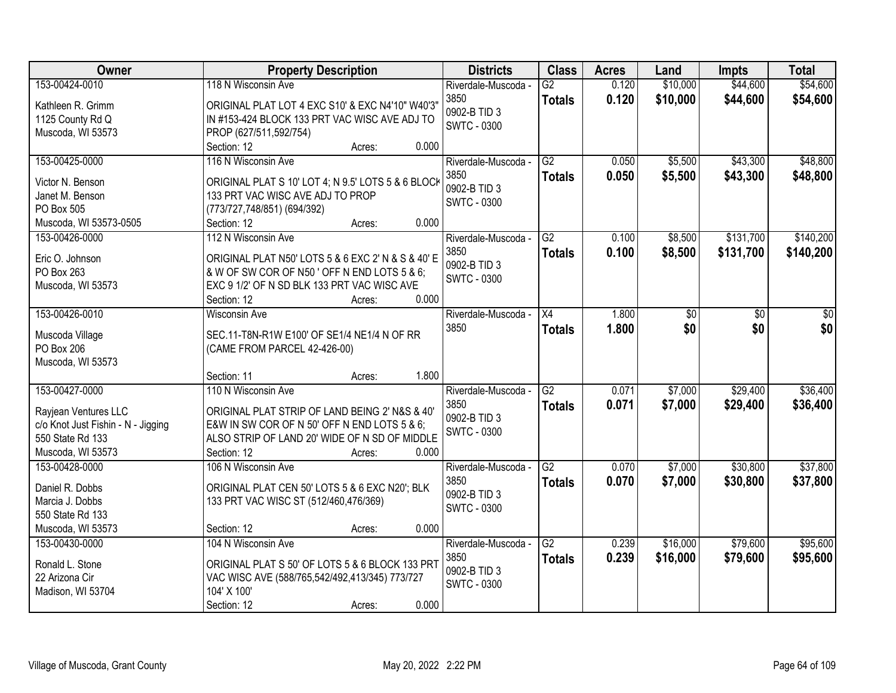| Owner                              | <b>Property Description</b>                                                            | <b>Districts</b>    | <b>Class</b>    | <b>Acres</b> | Land     | <b>Impts</b> | <b>Total</b> |
|------------------------------------|----------------------------------------------------------------------------------------|---------------------|-----------------|--------------|----------|--------------|--------------|
| 153-00424-0010                     | 118 N Wisconsin Ave                                                                    | Riverdale-Muscoda - | $\overline{G2}$ | 0.120        | \$10,000 | \$44,600     | \$54,600     |
| Kathleen R. Grimm                  | ORIGINAL PLAT LOT 4 EXC S10' & EXC N4'10" W40'3"                                       | 3850                | <b>Totals</b>   | 0.120        | \$10,000 | \$44,600     | \$54,600     |
| 1125 County Rd Q                   | IN #153-424 BLOCK 133 PRT VAC WISC AVE ADJ TO                                          | 0902-B TID 3        |                 |              |          |              |              |
| Muscoda, WI 53573                  | PROP (627/511,592/754)                                                                 | <b>SWTC - 0300</b>  |                 |              |          |              |              |
|                                    | 0.000<br>Section: 12<br>Acres:                                                         |                     |                 |              |          |              |              |
| 153-00425-0000                     | 116 N Wisconsin Ave                                                                    | Riverdale-Muscoda - | $\overline{G2}$ | 0.050        | \$5,500  | \$43,300     | \$48,800     |
| Victor N. Benson                   |                                                                                        | 3850                | <b>Totals</b>   | 0.050        | \$5,500  | \$43,300     | \$48,800     |
| Janet M. Benson                    | ORIGINAL PLAT S 10' LOT 4; N 9.5' LOTS 5 & 6 BLOCK<br>133 PRT VAC WISC AVE ADJ TO PROP | 0902-B TID 3        |                 |              |          |              |              |
| PO Box 505                         | (773/727,748/851) (694/392)                                                            | <b>SWTC - 0300</b>  |                 |              |          |              |              |
| Muscoda, WI 53573-0505             | 0.000<br>Section: 12<br>Acres:                                                         |                     |                 |              |          |              |              |
| 153-00426-0000                     | 112 N Wisconsin Ave                                                                    | Riverdale-Muscoda - | G2              | 0.100        | \$8,500  | \$131,700    | \$140,200    |
|                                    |                                                                                        | 3850                |                 | 0.100        |          |              |              |
| Eric O. Johnson                    | ORIGINAL PLAT N50' LOTS 5 & 6 EXC 2' N & S & 40' E                                     | 0902-B TID 3        | <b>Totals</b>   |              | \$8,500  | \$131,700    | \$140,200    |
| PO Box 263                         | & W OF SW COR OF N50 ' OFF N END LOTS 5 & 6;                                           | <b>SWTC - 0300</b>  |                 |              |          |              |              |
| Muscoda, WI 53573                  | EXC 9 1/2' OF N SD BLK 133 PRT VAC WISC AVE                                            |                     |                 |              |          |              |              |
|                                    | 0.000<br>Section: 12<br>Acres:                                                         |                     |                 |              |          |              |              |
| 153-00426-0010                     | <b>Wisconsin Ave</b>                                                                   | Riverdale-Muscoda - | X4              | 1.800        | \$0      | \$0          | \$0          |
| Muscoda Village                    | SEC.11-T8N-R1W E100' OF SE1/4 NE1/4 N OF RR                                            | 3850                | <b>Totals</b>   | 1.800        | \$0      | \$0          | \$0          |
| PO Box 206                         | (CAME FROM PARCEL 42-426-00)                                                           |                     |                 |              |          |              |              |
| Muscoda, WI 53573                  |                                                                                        |                     |                 |              |          |              |              |
|                                    | 1.800<br>Section: 11<br>Acres:                                                         |                     |                 |              |          |              |              |
| 153-00427-0000                     | 110 N Wisconsin Ave                                                                    | Riverdale-Muscoda - | $\overline{G2}$ | 0.071        | \$7,000  | \$29,400     | \$36,400     |
|                                    |                                                                                        | 3850                | <b>Totals</b>   | 0.071        | \$7,000  | \$29,400     | \$36,400     |
| Rayjean Ventures LLC               | ORIGINAL PLAT STRIP OF LAND BEING 2' N&S & 40'                                         | 0902-B TID 3        |                 |              |          |              |              |
| c/o Knot Just Fishin - N - Jigging | E&W IN SW COR OF N 50' OFF N END LOTS 5 & 6;                                           | <b>SWTC - 0300</b>  |                 |              |          |              |              |
| 550 State Rd 133                   | ALSO STRIP OF LAND 20' WIDE OF N SD OF MIDDLE                                          |                     |                 |              |          |              |              |
| Muscoda, WI 53573                  | Section: 12<br>0.000<br>Acres:                                                         |                     |                 |              |          |              |              |
| 153-00428-0000                     | 106 N Wisconsin Ave                                                                    | Riverdale-Muscoda - | G2              | 0.070        | \$7,000  | \$30,800     | \$37,800     |
| Daniel R. Dobbs                    | ORIGINAL PLAT CEN 50' LOTS 5 & 6 EXC N20'; BLK                                         | 3850                | <b>Totals</b>   | 0.070        | \$7,000  | \$30,800     | \$37,800     |
| Marcia J. Dobbs                    | 133 PRT VAC WISC ST (512/460,476/369)                                                  | 0902-B TID 3        |                 |              |          |              |              |
| 550 State Rd 133                   |                                                                                        | <b>SWTC - 0300</b>  |                 |              |          |              |              |
| Muscoda, WI 53573                  | 0.000<br>Section: 12<br>Acres:                                                         |                     |                 |              |          |              |              |
| 153-00430-0000                     | 104 N Wisconsin Ave                                                                    | Riverdale-Muscoda - | $\overline{G2}$ | 0.239        | \$16,000 | \$79,600     | \$95,600     |
|                                    |                                                                                        | 3850                | <b>Totals</b>   | 0.239        | \$16,000 | \$79,600     | \$95,600     |
| Ronald L. Stone                    | ORIGINAL PLAT S 50' OF LOTS 5 & 6 BLOCK 133 PRT                                        | 0902-B TID 3        |                 |              |          |              |              |
| 22 Arizona Cir                     | VAC WISC AVE (588/765,542/492,413/345) 773/727                                         | <b>SWTC - 0300</b>  |                 |              |          |              |              |
| Madison, WI 53704                  | 104' X 100'                                                                            |                     |                 |              |          |              |              |
|                                    | 0.000<br>Section: 12<br>Acres:                                                         |                     |                 |              |          |              |              |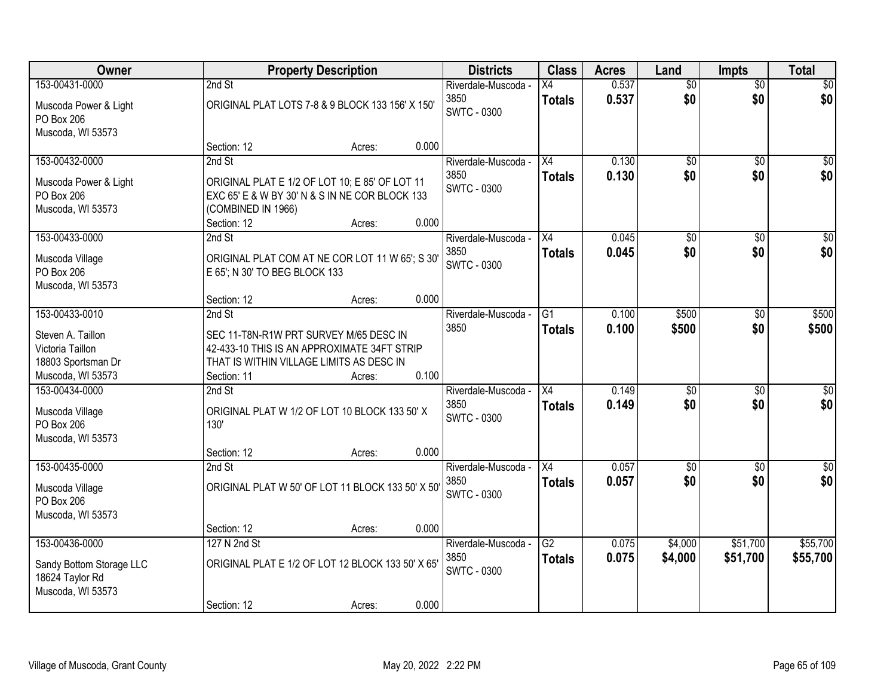| Owner                                                                              |                                   | <b>Property Description</b>                                                                                                       |       | <b>Districts</b>                                  | <b>Class</b>                     | <b>Acres</b>   | Land                   | <b>Impts</b>         | <b>Total</b>            |
|------------------------------------------------------------------------------------|-----------------------------------|-----------------------------------------------------------------------------------------------------------------------------------|-------|---------------------------------------------------|----------------------------------|----------------|------------------------|----------------------|-------------------------|
| 153-00431-0000                                                                     | 2nd St                            |                                                                                                                                   |       | Riverdale-Muscoda -                               | Х4                               | 0.537          | $\overline{50}$        | $\overline{50}$      | \$0                     |
| Muscoda Power & Light<br>PO Box 206                                                |                                   | ORIGINAL PLAT LOTS 7-8 & 9 BLOCK 133 156' X 150'                                                                                  |       | 3850<br><b>SWTC - 0300</b>                        | <b>Totals</b>                    | 0.537          | \$0                    | \$0                  | \$0                     |
| Muscoda, WI 53573                                                                  | Section: 12                       | Acres:                                                                                                                            | 0.000 |                                                   |                                  |                |                        |                      |                         |
| 153-00432-0000                                                                     | 2nd St                            |                                                                                                                                   |       | Riverdale-Muscoda -                               | $\overline{X4}$                  | 0.130          | $\overline{50}$        | $\overline{50}$      | \$0                     |
| Muscoda Power & Light<br><b>PO Box 206</b><br>Muscoda, WI 53573                    | (COMBINED IN 1966)<br>Section: 12 | ORIGINAL PLAT E 1/2 OF LOT 10; E 85' OF LOT 11<br>EXC 65' E & W BY 30' N & S IN NE COR BLOCK 133<br>Acres:                        | 0.000 | 3850<br><b>SWTC - 0300</b>                        | <b>Totals</b>                    | 0.130          | \$0                    | \$0                  | \$0                     |
| 153-00433-0000                                                                     | 2nd St                            |                                                                                                                                   |       | Riverdale-Muscoda -                               | X4                               | 0.045          | $\overline{50}$        | \$0                  | $\overline{50}$         |
| Muscoda Village<br>PO Box 206<br>Muscoda, WI 53573                                 | E 65'; N 30' TO BEG BLOCK 133     | ORIGINAL PLAT COM AT NE COR LOT 11 W 65'; S 30'                                                                                   |       | 3850<br><b>SWTC - 0300</b>                        | <b>Totals</b>                    | 0.045          | \$0                    | \$0                  | \$0                     |
|                                                                                    | Section: 12                       | Acres:                                                                                                                            | 0.000 |                                                   |                                  |                |                        |                      |                         |
| 153-00433-0010                                                                     | 2nd St                            |                                                                                                                                   |       | Riverdale-Muscoda -                               | G1                               | 0.100          | \$500                  | \$0                  | \$500                   |
| Steven A. Taillon<br>Victoria Taillon<br>18803 Sportsman Dr                        |                                   | SEC 11-T8N-R1W PRT SURVEY M/65 DESC IN<br>42-433-10 THIS IS AN APPROXIMATE 34FT STRIP<br>THAT IS WITHIN VILLAGE LIMITS AS DESC IN |       | 3850                                              | <b>Totals</b>                    | 0.100          | \$500                  | \$0                  | \$500                   |
| Muscoda, WI 53573                                                                  | Section: 11                       | Acres:                                                                                                                            | 0.100 |                                                   |                                  |                |                        |                      |                         |
| 153-00434-0000<br>Muscoda Village<br>PO Box 206<br>Muscoda, WI 53573               | 2nd St<br>130'                    | ORIGINAL PLAT W 1/2 OF LOT 10 BLOCK 133 50' X                                                                                     |       | Riverdale-Muscoda -<br>3850<br><b>SWTC - 0300</b> | $\overline{X4}$<br><b>Totals</b> | 0.149<br>0.149 | $\overline{50}$<br>\$0 | \$0<br>\$0           | $\sqrt{50}$<br>\$0      |
|                                                                                    | Section: 12                       | Acres:                                                                                                                            | 0.000 |                                                   |                                  |                |                        |                      |                         |
| 153-00435-0000<br>Muscoda Village<br>PO Box 206<br>Muscoda, WI 53573               | 2nd St                            | ORIGINAL PLAT W 50' OF LOT 11 BLOCK 133 50' X 50'                                                                                 |       | Riverdale-Muscoda -<br>3850<br><b>SWTC - 0300</b> | $\overline{X4}$<br><b>Totals</b> | 0.057<br>0.057 | $\overline{50}$<br>\$0 | \$0<br>\$0           | $\overline{\$0}$<br>\$0 |
|                                                                                    | Section: 12                       | Acres:                                                                                                                            | 0.000 |                                                   |                                  |                |                        |                      |                         |
| 153-00436-0000<br>Sandy Bottom Storage LLC<br>18624 Taylor Rd<br>Muscoda, WI 53573 | 127 N 2nd St                      | ORIGINAL PLAT E 1/2 OF LOT 12 BLOCK 133 50' X 65'                                                                                 |       | Riverdale-Muscoda -<br>3850<br><b>SWTC - 0300</b> | $\overline{G2}$<br><b>Totals</b> | 0.075<br>0.075 | \$4,000<br>\$4,000     | \$51,700<br>\$51,700 | \$55,700<br>\$55,700    |
|                                                                                    | Section: 12                       | Acres:                                                                                                                            | 0.000 |                                                   |                                  |                |                        |                      |                         |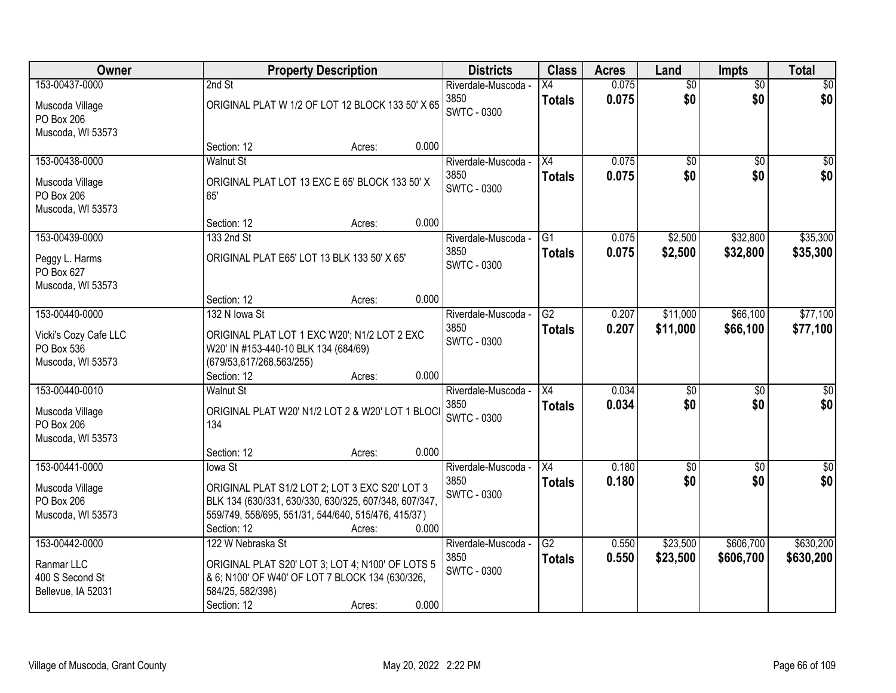| <b>Owner</b>          | <b>Property Description</b>                           |                 | <b>Districts</b>           | <b>Class</b>    | <b>Acres</b> | Land            | <b>Impts</b>    | <b>Total</b>    |
|-----------------------|-------------------------------------------------------|-----------------|----------------------------|-----------------|--------------|-----------------|-----------------|-----------------|
| 153-00437-0000        | 2nd St                                                |                 | Riverdale-Muscoda -        | X4              | 0.075        | $\overline{50}$ | $\overline{50}$ | $\sqrt{30}$     |
| Muscoda Village       | ORIGINAL PLAT W 1/2 OF LOT 12 BLOCK 133 50' X 65      |                 | 3850                       | <b>Totals</b>   | 0.075        | \$0             | \$0             | \$0             |
| PO Box 206            |                                                       |                 | <b>SWTC - 0300</b>         |                 |              |                 |                 |                 |
| Muscoda, WI 53573     |                                                       |                 |                            |                 |              |                 |                 |                 |
|                       | Section: 12<br>Acres:                                 | 0.000           |                            |                 |              |                 |                 |                 |
| 153-00438-0000        | <b>Walnut St</b>                                      |                 | Riverdale-Muscoda -        | $\overline{X4}$ | 0.075        | $\overline{50}$ | $\overline{50}$ | \$0             |
| Muscoda Village       | ORIGINAL PLAT LOT 13 EXC E 65' BLOCK 133 50' X        |                 | 3850<br><b>SWTC - 0300</b> | <b>Totals</b>   | 0.075        | \$0             | \$0             | \$0             |
| PO Box 206            | 65'                                                   |                 |                            |                 |              |                 |                 |                 |
| Muscoda, WI 53573     |                                                       |                 |                            |                 |              |                 |                 |                 |
|                       | Section: 12                                           | 0.000<br>Acres: |                            |                 |              |                 |                 |                 |
| 153-00439-0000        | 133 2nd St                                            |                 | Riverdale-Muscoda -        | $\overline{G1}$ | 0.075        | \$2,500         | \$32,800        | \$35,300        |
| Peggy L. Harms        | ORIGINAL PLAT E65' LOT 13 BLK 133 50' X 65'           |                 | 3850                       | <b>Totals</b>   | 0.075        | \$2,500         | \$32,800        | \$35,300        |
| PO Box 627            |                                                       |                 | <b>SWTC - 0300</b>         |                 |              |                 |                 |                 |
| Muscoda, WI 53573     |                                                       |                 |                            |                 |              |                 |                 |                 |
|                       | Section: 12<br>Acres:                                 | 0.000           |                            |                 |              |                 |                 |                 |
| 153-00440-0000        | 132 N Iowa St                                         |                 | Riverdale-Muscoda -        | $\overline{G2}$ | 0.207        | \$11,000        | \$66,100        | \$77,100        |
| Vicki's Cozy Cafe LLC | ORIGINAL PLAT LOT 1 EXC W20'; N1/2 LOT 2 EXC          |                 | 3850                       | <b>Totals</b>   | 0.207        | \$11,000        | \$66,100        | \$77,100        |
| PO Box 536            | W20' IN #153-440-10 BLK 134 (684/69)                  |                 | <b>SWTC - 0300</b>         |                 |              |                 |                 |                 |
| Muscoda, WI 53573     | (679/53,617/268,563/255)                              |                 |                            |                 |              |                 |                 |                 |
|                       | Section: 12<br>Acres:                                 | 0.000           |                            |                 |              |                 |                 |                 |
| 153-00440-0010        | <b>Walnut St</b>                                      |                 | Riverdale-Muscoda -        | $\overline{X4}$ | 0.034        | $\overline{50}$ | $\overline{30}$ | $\overline{30}$ |
| Muscoda Village       | ORIGINAL PLAT W20' N1/2 LOT 2 & W20' LOT 1 BLOCI      |                 | 3850                       | <b>Totals</b>   | 0.034        | \$0             | \$0             | \$0             |
| PO Box 206            | 134                                                   |                 | <b>SWTC - 0300</b>         |                 |              |                 |                 |                 |
| Muscoda, WI 53573     |                                                       |                 |                            |                 |              |                 |                 |                 |
|                       | Section: 12<br>Acres:                                 | 0.000           |                            |                 |              |                 |                 |                 |
| 153-00441-0000        | lowa St                                               |                 | Riverdale-Muscoda -        | X4              | 0.180        | $\sqrt{6}$      | $\sqrt{6}$      | $\frac{1}{6}$   |
| Muscoda Village       | ORIGINAL PLAT S1/2 LOT 2; LOT 3 EXC S20' LOT 3        |                 | 3850                       | <b>Totals</b>   | 0.180        | \$0             | \$0             | \$0             |
| PO Box 206            | BLK 134 (630/331, 630/330, 630/325, 607/348, 607/347, |                 | <b>SWTC - 0300</b>         |                 |              |                 |                 |                 |
| Muscoda, WI 53573     | 559/749, 558/695, 551/31, 544/640, 515/476, 415/37)   |                 |                            |                 |              |                 |                 |                 |
|                       | Section: 12<br>Acres:                                 | 0.000           |                            |                 |              |                 |                 |                 |
| 153-00442-0000        | 122 W Nebraska St                                     |                 | Riverdale-Muscoda -        | $\overline{G2}$ | 0.550        | \$23,500        | \$606,700       | \$630,200       |
| Ranmar LLC            | ORIGINAL PLAT S20' LOT 3; LOT 4; N100' OF LOTS 5      |                 | 3850                       | <b>Totals</b>   | 0.550        | \$23,500        | \$606,700       | \$630,200       |
| 400 S Second St       | & 6; N100' OF W40' OF LOT 7 BLOCK 134 (630/326,       |                 | SWTC - 0300                |                 |              |                 |                 |                 |
| Bellevue, IA 52031    | 584/25, 582/398)                                      |                 |                            |                 |              |                 |                 |                 |
|                       | Section: 12<br>Acres:                                 | 0.000           |                            |                 |              |                 |                 |                 |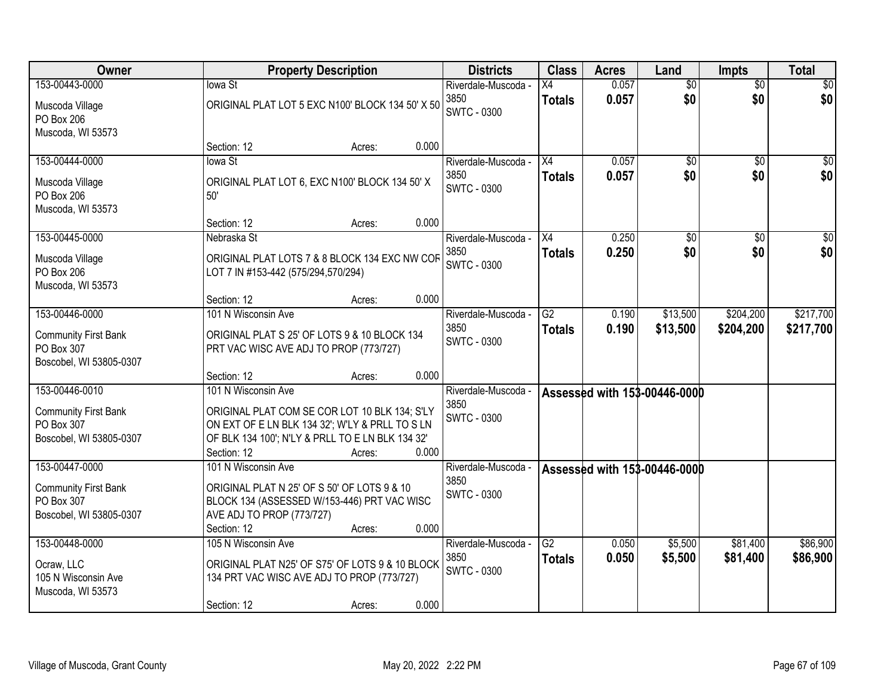| Owner                                     |                                                                 | <b>Property Description</b> |       | <b>Districts</b>            | <b>Class</b>        | <b>Acres</b>   | Land                         | <b>Impts</b>    | <b>Total</b>           |
|-------------------------------------------|-----------------------------------------------------------------|-----------------------------|-------|-----------------------------|---------------------|----------------|------------------------------|-----------------|------------------------|
| 153-00443-0000                            | lowa St                                                         |                             |       | Riverdale-Muscoda -         | X4                  | 0.057          | $\overline{50}$              | $\overline{50}$ | \$0                    |
| Muscoda Village                           | ORIGINAL PLAT LOT 5 EXC N100' BLOCK 134 50' X 50                |                             |       | 3850<br><b>SWTC - 0300</b>  | <b>Totals</b>       | 0.057          | \$0                          | \$0             | \$0                    |
| PO Box 206<br>Muscoda, WI 53573           |                                                                 |                             |       |                             |                     |                |                              |                 |                        |
|                                           | Section: 12                                                     | Acres:                      | 0.000 |                             |                     |                |                              |                 |                        |
| 153-00444-0000                            | lowa St                                                         |                             |       | Riverdale-Muscoda -         | $\overline{X4}$     | 0.057          | \$0                          | $\overline{50}$ | $\overline{50}$        |
| Muscoda Village                           | ORIGINAL PLAT LOT 6, EXC N100' BLOCK 134 50' X                  |                             |       | 3850                        | <b>Totals</b>       | 0.057          | \$0                          | \$0             | \$0                    |
| PO Box 206                                | 50'                                                             |                             |       | <b>SWTC - 0300</b>          |                     |                |                              |                 |                        |
| Muscoda, WI 53573                         |                                                                 |                             |       |                             |                     |                |                              |                 |                        |
|                                           | Section: 12                                                     | Acres:                      | 0.000 |                             |                     |                |                              |                 |                        |
| 153-00445-0000                            | Nebraska St                                                     |                             |       | Riverdale-Muscoda -<br>3850 | X4<br><b>Totals</b> | 0.250<br>0.250 | $\overline{50}$<br>\$0       | \$0<br>\$0      | $\overline{50}$<br>\$0 |
| Muscoda Village                           | ORIGINAL PLAT LOTS 7 & 8 BLOCK 134 EXC NW COF                   |                             |       | <b>SWTC - 0300</b>          |                     |                |                              |                 |                        |
| PO Box 206<br>Muscoda, WI 53573           | LOT 7 IN #153-442 (575/294,570/294)                             |                             |       |                             |                     |                |                              |                 |                        |
|                                           | Section: 12                                                     | Acres:                      | 0.000 |                             |                     |                |                              |                 |                        |
| 153-00446-0000                            | 101 N Wisconsin Ave                                             |                             |       | Riverdale-Muscoda -         | $\overline{G2}$     | 0.190          | \$13,500                     | \$204,200       | \$217,700              |
| <b>Community First Bank</b>               | ORIGINAL PLAT S 25' OF LOTS 9 & 10 BLOCK 134                    |                             |       | 3850                        | <b>Totals</b>       | 0.190          | \$13,500                     | \$204,200       | \$217,700              |
| PO Box 307                                | PRT VAC WISC AVE ADJ TO PROP (773/727)                          |                             |       | <b>SWTC - 0300</b>          |                     |                |                              |                 |                        |
| Boscobel, WI 53805-0307                   |                                                                 |                             |       |                             |                     |                |                              |                 |                        |
|                                           | Section: 12                                                     | Acres:                      | 0.000 |                             |                     |                |                              |                 |                        |
| 153-00446-0010                            | 101 N Wisconsin Ave                                             |                             |       | Riverdale-Muscoda -<br>3850 |                     |                | Assessed with 153-00446-0000 |                 |                        |
| <b>Community First Bank</b>               | ORIGINAL PLAT COM SE COR LOT 10 BLK 134; S'LY                   |                             |       | <b>SWTC - 0300</b>          |                     |                |                              |                 |                        |
| PO Box 307                                | ON EXT OF E LN BLK 134 32'; W'LY & PRLL TO S LN                 |                             |       |                             |                     |                |                              |                 |                        |
| Boscobel, WI 53805-0307                   | OF BLK 134 100'; N'LY & PRLL TO E LN BLK 134 32'<br>Section: 12 | Acres:                      | 0.000 |                             |                     |                |                              |                 |                        |
| 153-00447-0000                            | 101 N Wisconsin Ave                                             |                             |       | Riverdale-Muscoda           |                     |                | Assessed with 153-00446-0000 |                 |                        |
|                                           | ORIGINAL PLAT N 25' OF S 50' OF LOTS 9 & 10                     |                             |       | 3850                        |                     |                |                              |                 |                        |
| <b>Community First Bank</b><br>PO Box 307 | BLOCK 134 (ASSESSED W/153-446) PRT VAC WISC                     |                             |       | <b>SWTC - 0300</b>          |                     |                |                              |                 |                        |
| Boscobel, WI 53805-0307                   | AVE ADJ TO PROP (773/727)                                       |                             |       |                             |                     |                |                              |                 |                        |
|                                           | Section: 12                                                     | Acres:                      | 0.000 |                             |                     |                |                              |                 |                        |
| 153-00448-0000                            | 105 N Wisconsin Ave                                             |                             |       | Riverdale-Muscoda -         | G2                  | 0.050          | \$5,500                      | \$81,400        | \$86,900               |
| Ocraw, LLC                                | ORIGINAL PLAT N25' OF S75' OF LOTS 9 & 10 BLOCK                 |                             |       | 3850<br><b>SWTC - 0300</b>  | <b>Totals</b>       | 0.050          | \$5,500                      | \$81,400        | \$86,900               |
| 105 N Wisconsin Ave                       | 134 PRT VAC WISC AVE ADJ TO PROP (773/727)                      |                             |       |                             |                     |                |                              |                 |                        |
| Muscoda, WI 53573                         |                                                                 |                             |       |                             |                     |                |                              |                 |                        |
|                                           | Section: 12                                                     | Acres:                      | 0.000 |                             |                     |                |                              |                 |                        |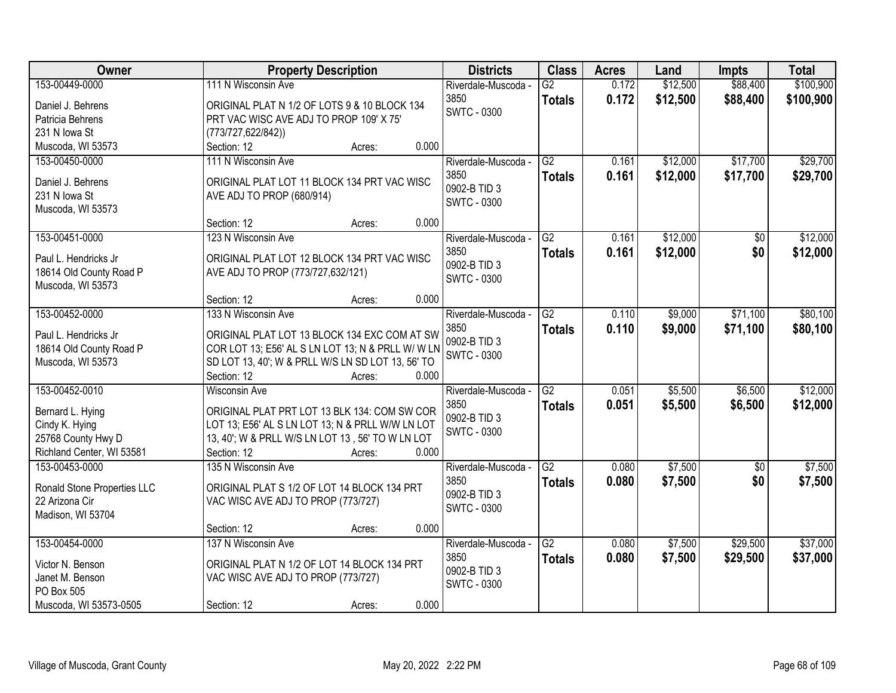| \$100,900<br>153-00449-0000<br>111 N Wisconsin Ave<br>$\overline{G2}$<br>\$12,500<br>\$88,400<br>0.172<br>Riverdale-Muscoda -<br>3850<br>0.172<br>\$12,500<br>\$88,400<br>\$100,900<br><b>Totals</b><br>Daniel J. Behrens<br>ORIGINAL PLAT N 1/2 OF LOTS 9 & 10 BLOCK 134<br><b>SWTC - 0300</b><br>PRT VAC WISC AVE ADJ TO PROP 109' X 75'<br>Patricia Behrens<br>231 N Iowa St<br>(773/727, 622/842))<br>0.000<br>Muscoda, WI 53573<br>Section: 12<br>Acres:<br>\$17,700<br>\$29,700<br>111 N Wisconsin Ave<br>$\overline{G2}$<br>\$12,000<br>153-00450-0000<br>0.161<br>Riverdale-Muscoda -<br>3850<br>0.161<br>\$12,000<br>\$17,700<br><b>Totals</b><br>Daniel J. Behrens<br>ORIGINAL PLAT LOT 11 BLOCK 134 PRT VAC WISC<br>0902-B TID 3<br>231 N Iowa St<br>AVE ADJ TO PROP (680/914)<br><b>SWTC - 0300</b><br>Muscoda, WI 53573<br>0.000<br>Section: 12<br>Acres:<br>\$12,000<br>153-00451-0000<br>123 N Wisconsin Ave<br>G2<br>$\overline{50}$<br>Riverdale-Muscoda -<br>0.161<br>3850<br>\$12,000<br>\$0<br>0.161<br><b>Totals</b><br>ORIGINAL PLAT LOT 12 BLOCK 134 PRT VAC WISC<br>Paul L. Hendricks Jr<br>0902-B TID 3<br>18614 Old County Road P<br>AVE ADJ TO PROP (773/727,632/121)<br><b>SWTC - 0300</b><br>Muscoda, WI 53573<br>0.000<br>Section: 12<br>Acres:<br>153-00452-0000<br>133 N Wisconsin Ave<br>\$9,000<br>\$71,100<br>Riverdale-Muscoda -<br>G2<br>0.110<br>3850<br>0.110<br>\$9,000<br>\$71,100<br><b>Totals</b><br>ORIGINAL PLAT LOT 13 BLOCK 134 EXC COM AT SW<br>Paul L. Hendricks Jr<br>0902-B TID 3<br>COR LOT 13; E56' AL S LN LOT 13; N & PRLL W/ W LN<br>18614 Old County Road P<br><b>SWTC - 0300</b><br>Muscoda, WI 53573<br>SD LOT 13, 40'; W & PRLL W/S LN SD LOT 13, 56' TO<br>0.000<br>Section: 12<br>Acres:<br>153-00452-0010<br>$\overline{G2}$<br>\$5,500<br>0.051<br>\$6,500<br><b>Wisconsin Ave</b><br>Riverdale-Muscoda -<br>3850<br>0.051<br>\$5,500<br>\$6,500<br><b>Totals</b><br>ORIGINAL PLAT PRT LOT 13 BLK 134: COM SW COR<br>Bernard L. Hying<br>0902-B TID 3<br>LOT 13; E56' AL S LN LOT 13; N & PRLL W/W LN LOT<br>Cindy K. Hying<br><b>SWTC - 0300</b><br>25768 County Hwy D<br>13, 40'; W & PRLL W/S LN LOT 13, 56' TO W LN LOT<br>0.000<br>Richland Center, WI 53581<br>Section: 12<br>Acres:<br>$\overline{G2}$<br>153-00453-0000<br>\$7,500<br>135 N Wisconsin Ave<br>0.080<br>$\overline{50}$<br>Riverdale-Muscoda -<br>3850<br>0.080<br>\$7,500<br>\$0<br><b>Totals</b><br>Ronald Stone Properties LLC<br>ORIGINAL PLAT S 1/2 OF LOT 14 BLOCK 134 PRT<br>0902-B TID 3<br>22 Arizona Cir<br>VAC WISC AVE ADJ TO PROP (773/727)<br><b>SWTC - 0300</b><br>Madison, WI 53704<br>0.000<br>Section: 12<br>Acres:<br>\$7,500<br>\$29,500<br>153-00454-0000<br>137 N Wisconsin Ave<br>$\overline{G2}$<br>0.080<br>Riverdale-Muscoda - | Owner | <b>Property Description</b> |  | <b>Districts</b> | <b>Class</b> | <b>Acres</b> | Land | <b>Impts</b> | <b>Total</b> |
|------------------------------------------------------------------------------------------------------------------------------------------------------------------------------------------------------------------------------------------------------------------------------------------------------------------------------------------------------------------------------------------------------------------------------------------------------------------------------------------------------------------------------------------------------------------------------------------------------------------------------------------------------------------------------------------------------------------------------------------------------------------------------------------------------------------------------------------------------------------------------------------------------------------------------------------------------------------------------------------------------------------------------------------------------------------------------------------------------------------------------------------------------------------------------------------------------------------------------------------------------------------------------------------------------------------------------------------------------------------------------------------------------------------------------------------------------------------------------------------------------------------------------------------------------------------------------------------------------------------------------------------------------------------------------------------------------------------------------------------------------------------------------------------------------------------------------------------------------------------------------------------------------------------------------------------------------------------------------------------------------------------------------------------------------------------------------------------------------------------------------------------------------------------------------------------------------------------------------------------------------------------------------------------------------------------------------------------------------------------------------------------------------------------------------------------------------------------------------------------------------------------------------------------------------------------------------------------------------------------------------------------------------------------------------------------------------------------------------------------------------------------------------------------------|-------|-----------------------------|--|------------------|--------------|--------------|------|--------------|--------------|
|                                                                                                                                                                                                                                                                                                                                                                                                                                                                                                                                                                                                                                                                                                                                                                                                                                                                                                                                                                                                                                                                                                                                                                                                                                                                                                                                                                                                                                                                                                                                                                                                                                                                                                                                                                                                                                                                                                                                                                                                                                                                                                                                                                                                                                                                                                                                                                                                                                                                                                                                                                                                                                                                                                                                                                                                |       |                             |  |                  |              |              |      |              |              |
|                                                                                                                                                                                                                                                                                                                                                                                                                                                                                                                                                                                                                                                                                                                                                                                                                                                                                                                                                                                                                                                                                                                                                                                                                                                                                                                                                                                                                                                                                                                                                                                                                                                                                                                                                                                                                                                                                                                                                                                                                                                                                                                                                                                                                                                                                                                                                                                                                                                                                                                                                                                                                                                                                                                                                                                                |       |                             |  |                  |              |              |      |              |              |
|                                                                                                                                                                                                                                                                                                                                                                                                                                                                                                                                                                                                                                                                                                                                                                                                                                                                                                                                                                                                                                                                                                                                                                                                                                                                                                                                                                                                                                                                                                                                                                                                                                                                                                                                                                                                                                                                                                                                                                                                                                                                                                                                                                                                                                                                                                                                                                                                                                                                                                                                                                                                                                                                                                                                                                                                |       |                             |  |                  |              |              |      |              |              |
|                                                                                                                                                                                                                                                                                                                                                                                                                                                                                                                                                                                                                                                                                                                                                                                                                                                                                                                                                                                                                                                                                                                                                                                                                                                                                                                                                                                                                                                                                                                                                                                                                                                                                                                                                                                                                                                                                                                                                                                                                                                                                                                                                                                                                                                                                                                                                                                                                                                                                                                                                                                                                                                                                                                                                                                                |       |                             |  |                  |              |              |      |              |              |
|                                                                                                                                                                                                                                                                                                                                                                                                                                                                                                                                                                                                                                                                                                                                                                                                                                                                                                                                                                                                                                                                                                                                                                                                                                                                                                                                                                                                                                                                                                                                                                                                                                                                                                                                                                                                                                                                                                                                                                                                                                                                                                                                                                                                                                                                                                                                                                                                                                                                                                                                                                                                                                                                                                                                                                                                |       |                             |  |                  |              |              |      |              |              |
| \$29,700<br>\$12,000<br>\$12,000<br>\$80,100<br>\$80,100<br>\$12,000<br>\$12,000<br>\$7,500<br>\$7,500<br>\$37,000                                                                                                                                                                                                                                                                                                                                                                                                                                                                                                                                                                                                                                                                                                                                                                                                                                                                                                                                                                                                                                                                                                                                                                                                                                                                                                                                                                                                                                                                                                                                                                                                                                                                                                                                                                                                                                                                                                                                                                                                                                                                                                                                                                                                                                                                                                                                                                                                                                                                                                                                                                                                                                                                             |       |                             |  |                  |              |              |      |              |              |
|                                                                                                                                                                                                                                                                                                                                                                                                                                                                                                                                                                                                                                                                                                                                                                                                                                                                                                                                                                                                                                                                                                                                                                                                                                                                                                                                                                                                                                                                                                                                                                                                                                                                                                                                                                                                                                                                                                                                                                                                                                                                                                                                                                                                                                                                                                                                                                                                                                                                                                                                                                                                                                                                                                                                                                                                |       |                             |  |                  |              |              |      |              |              |
|                                                                                                                                                                                                                                                                                                                                                                                                                                                                                                                                                                                                                                                                                                                                                                                                                                                                                                                                                                                                                                                                                                                                                                                                                                                                                                                                                                                                                                                                                                                                                                                                                                                                                                                                                                                                                                                                                                                                                                                                                                                                                                                                                                                                                                                                                                                                                                                                                                                                                                                                                                                                                                                                                                                                                                                                |       |                             |  |                  |              |              |      |              |              |
|                                                                                                                                                                                                                                                                                                                                                                                                                                                                                                                                                                                                                                                                                                                                                                                                                                                                                                                                                                                                                                                                                                                                                                                                                                                                                                                                                                                                                                                                                                                                                                                                                                                                                                                                                                                                                                                                                                                                                                                                                                                                                                                                                                                                                                                                                                                                                                                                                                                                                                                                                                                                                                                                                                                                                                                                |       |                             |  |                  |              |              |      |              |              |
|                                                                                                                                                                                                                                                                                                                                                                                                                                                                                                                                                                                                                                                                                                                                                                                                                                                                                                                                                                                                                                                                                                                                                                                                                                                                                                                                                                                                                                                                                                                                                                                                                                                                                                                                                                                                                                                                                                                                                                                                                                                                                                                                                                                                                                                                                                                                                                                                                                                                                                                                                                                                                                                                                                                                                                                                |       |                             |  |                  |              |              |      |              |              |
|                                                                                                                                                                                                                                                                                                                                                                                                                                                                                                                                                                                                                                                                                                                                                                                                                                                                                                                                                                                                                                                                                                                                                                                                                                                                                                                                                                                                                                                                                                                                                                                                                                                                                                                                                                                                                                                                                                                                                                                                                                                                                                                                                                                                                                                                                                                                                                                                                                                                                                                                                                                                                                                                                                                                                                                                |       |                             |  |                  |              |              |      |              |              |
|                                                                                                                                                                                                                                                                                                                                                                                                                                                                                                                                                                                                                                                                                                                                                                                                                                                                                                                                                                                                                                                                                                                                                                                                                                                                                                                                                                                                                                                                                                                                                                                                                                                                                                                                                                                                                                                                                                                                                                                                                                                                                                                                                                                                                                                                                                                                                                                                                                                                                                                                                                                                                                                                                                                                                                                                |       |                             |  |                  |              |              |      |              |              |
|                                                                                                                                                                                                                                                                                                                                                                                                                                                                                                                                                                                                                                                                                                                                                                                                                                                                                                                                                                                                                                                                                                                                                                                                                                                                                                                                                                                                                                                                                                                                                                                                                                                                                                                                                                                                                                                                                                                                                                                                                                                                                                                                                                                                                                                                                                                                                                                                                                                                                                                                                                                                                                                                                                                                                                                                |       |                             |  |                  |              |              |      |              |              |
|                                                                                                                                                                                                                                                                                                                                                                                                                                                                                                                                                                                                                                                                                                                                                                                                                                                                                                                                                                                                                                                                                                                                                                                                                                                                                                                                                                                                                                                                                                                                                                                                                                                                                                                                                                                                                                                                                                                                                                                                                                                                                                                                                                                                                                                                                                                                                                                                                                                                                                                                                                                                                                                                                                                                                                                                |       |                             |  |                  |              |              |      |              |              |
|                                                                                                                                                                                                                                                                                                                                                                                                                                                                                                                                                                                                                                                                                                                                                                                                                                                                                                                                                                                                                                                                                                                                                                                                                                                                                                                                                                                                                                                                                                                                                                                                                                                                                                                                                                                                                                                                                                                                                                                                                                                                                                                                                                                                                                                                                                                                                                                                                                                                                                                                                                                                                                                                                                                                                                                                |       |                             |  |                  |              |              |      |              |              |
|                                                                                                                                                                                                                                                                                                                                                                                                                                                                                                                                                                                                                                                                                                                                                                                                                                                                                                                                                                                                                                                                                                                                                                                                                                                                                                                                                                                                                                                                                                                                                                                                                                                                                                                                                                                                                                                                                                                                                                                                                                                                                                                                                                                                                                                                                                                                                                                                                                                                                                                                                                                                                                                                                                                                                                                                |       |                             |  |                  |              |              |      |              |              |
|                                                                                                                                                                                                                                                                                                                                                                                                                                                                                                                                                                                                                                                                                                                                                                                                                                                                                                                                                                                                                                                                                                                                                                                                                                                                                                                                                                                                                                                                                                                                                                                                                                                                                                                                                                                                                                                                                                                                                                                                                                                                                                                                                                                                                                                                                                                                                                                                                                                                                                                                                                                                                                                                                                                                                                                                |       |                             |  |                  |              |              |      |              |              |
|                                                                                                                                                                                                                                                                                                                                                                                                                                                                                                                                                                                                                                                                                                                                                                                                                                                                                                                                                                                                                                                                                                                                                                                                                                                                                                                                                                                                                                                                                                                                                                                                                                                                                                                                                                                                                                                                                                                                                                                                                                                                                                                                                                                                                                                                                                                                                                                                                                                                                                                                                                                                                                                                                                                                                                                                |       |                             |  |                  |              |              |      |              |              |
|                                                                                                                                                                                                                                                                                                                                                                                                                                                                                                                                                                                                                                                                                                                                                                                                                                                                                                                                                                                                                                                                                                                                                                                                                                                                                                                                                                                                                                                                                                                                                                                                                                                                                                                                                                                                                                                                                                                                                                                                                                                                                                                                                                                                                                                                                                                                                                                                                                                                                                                                                                                                                                                                                                                                                                                                |       |                             |  |                  |              |              |      |              |              |
|                                                                                                                                                                                                                                                                                                                                                                                                                                                                                                                                                                                                                                                                                                                                                                                                                                                                                                                                                                                                                                                                                                                                                                                                                                                                                                                                                                                                                                                                                                                                                                                                                                                                                                                                                                                                                                                                                                                                                                                                                                                                                                                                                                                                                                                                                                                                                                                                                                                                                                                                                                                                                                                                                                                                                                                                |       |                             |  |                  |              |              |      |              |              |
|                                                                                                                                                                                                                                                                                                                                                                                                                                                                                                                                                                                                                                                                                                                                                                                                                                                                                                                                                                                                                                                                                                                                                                                                                                                                                                                                                                                                                                                                                                                                                                                                                                                                                                                                                                                                                                                                                                                                                                                                                                                                                                                                                                                                                                                                                                                                                                                                                                                                                                                                                                                                                                                                                                                                                                                                |       |                             |  |                  |              |              |      |              |              |
|                                                                                                                                                                                                                                                                                                                                                                                                                                                                                                                                                                                                                                                                                                                                                                                                                                                                                                                                                                                                                                                                                                                                                                                                                                                                                                                                                                                                                                                                                                                                                                                                                                                                                                                                                                                                                                                                                                                                                                                                                                                                                                                                                                                                                                                                                                                                                                                                                                                                                                                                                                                                                                                                                                                                                                                                |       |                             |  |                  |              |              |      |              |              |
|                                                                                                                                                                                                                                                                                                                                                                                                                                                                                                                                                                                                                                                                                                                                                                                                                                                                                                                                                                                                                                                                                                                                                                                                                                                                                                                                                                                                                                                                                                                                                                                                                                                                                                                                                                                                                                                                                                                                                                                                                                                                                                                                                                                                                                                                                                                                                                                                                                                                                                                                                                                                                                                                                                                                                                                                |       |                             |  |                  |              |              |      |              |              |
|                                                                                                                                                                                                                                                                                                                                                                                                                                                                                                                                                                                                                                                                                                                                                                                                                                                                                                                                                                                                                                                                                                                                                                                                                                                                                                                                                                                                                                                                                                                                                                                                                                                                                                                                                                                                                                                                                                                                                                                                                                                                                                                                                                                                                                                                                                                                                                                                                                                                                                                                                                                                                                                                                                                                                                                                |       |                             |  |                  |              |              |      |              |              |
|                                                                                                                                                                                                                                                                                                                                                                                                                                                                                                                                                                                                                                                                                                                                                                                                                                                                                                                                                                                                                                                                                                                                                                                                                                                                                                                                                                                                                                                                                                                                                                                                                                                                                                                                                                                                                                                                                                                                                                                                                                                                                                                                                                                                                                                                                                                                                                                                                                                                                                                                                                                                                                                                                                                                                                                                |       |                             |  |                  |              |              |      |              |              |
|                                                                                                                                                                                                                                                                                                                                                                                                                                                                                                                                                                                                                                                                                                                                                                                                                                                                                                                                                                                                                                                                                                                                                                                                                                                                                                                                                                                                                                                                                                                                                                                                                                                                                                                                                                                                                                                                                                                                                                                                                                                                                                                                                                                                                                                                                                                                                                                                                                                                                                                                                                                                                                                                                                                                                                                                |       |                             |  |                  |              |              |      |              |              |
|                                                                                                                                                                                                                                                                                                                                                                                                                                                                                                                                                                                                                                                                                                                                                                                                                                                                                                                                                                                                                                                                                                                                                                                                                                                                                                                                                                                                                                                                                                                                                                                                                                                                                                                                                                                                                                                                                                                                                                                                                                                                                                                                                                                                                                                                                                                                                                                                                                                                                                                                                                                                                                                                                                                                                                                                |       |                             |  |                  |              |              |      |              |              |
|                                                                                                                                                                                                                                                                                                                                                                                                                                                                                                                                                                                                                                                                                                                                                                                                                                                                                                                                                                                                                                                                                                                                                                                                                                                                                                                                                                                                                                                                                                                                                                                                                                                                                                                                                                                                                                                                                                                                                                                                                                                                                                                                                                                                                                                                                                                                                                                                                                                                                                                                                                                                                                                                                                                                                                                                |       |                             |  |                  |              |              |      |              |              |
|                                                                                                                                                                                                                                                                                                                                                                                                                                                                                                                                                                                                                                                                                                                                                                                                                                                                                                                                                                                                                                                                                                                                                                                                                                                                                                                                                                                                                                                                                                                                                                                                                                                                                                                                                                                                                                                                                                                                                                                                                                                                                                                                                                                                                                                                                                                                                                                                                                                                                                                                                                                                                                                                                                                                                                                                |       |                             |  |                  |              |              |      |              |              |
|                                                                                                                                                                                                                                                                                                                                                                                                                                                                                                                                                                                                                                                                                                                                                                                                                                                                                                                                                                                                                                                                                                                                                                                                                                                                                                                                                                                                                                                                                                                                                                                                                                                                                                                                                                                                                                                                                                                                                                                                                                                                                                                                                                                                                                                                                                                                                                                                                                                                                                                                                                                                                                                                                                                                                                                                |       |                             |  |                  |              |              |      |              |              |
|                                                                                                                                                                                                                                                                                                                                                                                                                                                                                                                                                                                                                                                                                                                                                                                                                                                                                                                                                                                                                                                                                                                                                                                                                                                                                                                                                                                                                                                                                                                                                                                                                                                                                                                                                                                                                                                                                                                                                                                                                                                                                                                                                                                                                                                                                                                                                                                                                                                                                                                                                                                                                                                                                                                                                                                                |       |                             |  |                  |              |              |      |              |              |
| 3850<br>0.080<br>\$29,500<br>\$37,000<br>\$7,500<br><b>Totals</b>                                                                                                                                                                                                                                                                                                                                                                                                                                                                                                                                                                                                                                                                                                                                                                                                                                                                                                                                                                                                                                                                                                                                                                                                                                                                                                                                                                                                                                                                                                                                                                                                                                                                                                                                                                                                                                                                                                                                                                                                                                                                                                                                                                                                                                                                                                                                                                                                                                                                                                                                                                                                                                                                                                                              |       |                             |  |                  |              |              |      |              |              |
| Victor N. Benson<br>ORIGINAL PLAT N 1/2 OF LOT 14 BLOCK 134 PRT<br>0902-B TID 3                                                                                                                                                                                                                                                                                                                                                                                                                                                                                                                                                                                                                                                                                                                                                                                                                                                                                                                                                                                                                                                                                                                                                                                                                                                                                                                                                                                                                                                                                                                                                                                                                                                                                                                                                                                                                                                                                                                                                                                                                                                                                                                                                                                                                                                                                                                                                                                                                                                                                                                                                                                                                                                                                                                |       |                             |  |                  |              |              |      |              |              |
| Janet M. Benson<br>VAC WISC AVE ADJ TO PROP (773/727)<br>SWTC - 0300<br>PO Box 505                                                                                                                                                                                                                                                                                                                                                                                                                                                                                                                                                                                                                                                                                                                                                                                                                                                                                                                                                                                                                                                                                                                                                                                                                                                                                                                                                                                                                                                                                                                                                                                                                                                                                                                                                                                                                                                                                                                                                                                                                                                                                                                                                                                                                                                                                                                                                                                                                                                                                                                                                                                                                                                                                                             |       |                             |  |                  |              |              |      |              |              |
| Muscoda, WI 53573-0505<br>0.000<br>Section: 12<br>Acres:                                                                                                                                                                                                                                                                                                                                                                                                                                                                                                                                                                                                                                                                                                                                                                                                                                                                                                                                                                                                                                                                                                                                                                                                                                                                                                                                                                                                                                                                                                                                                                                                                                                                                                                                                                                                                                                                                                                                                                                                                                                                                                                                                                                                                                                                                                                                                                                                                                                                                                                                                                                                                                                                                                                                       |       |                             |  |                  |              |              |      |              |              |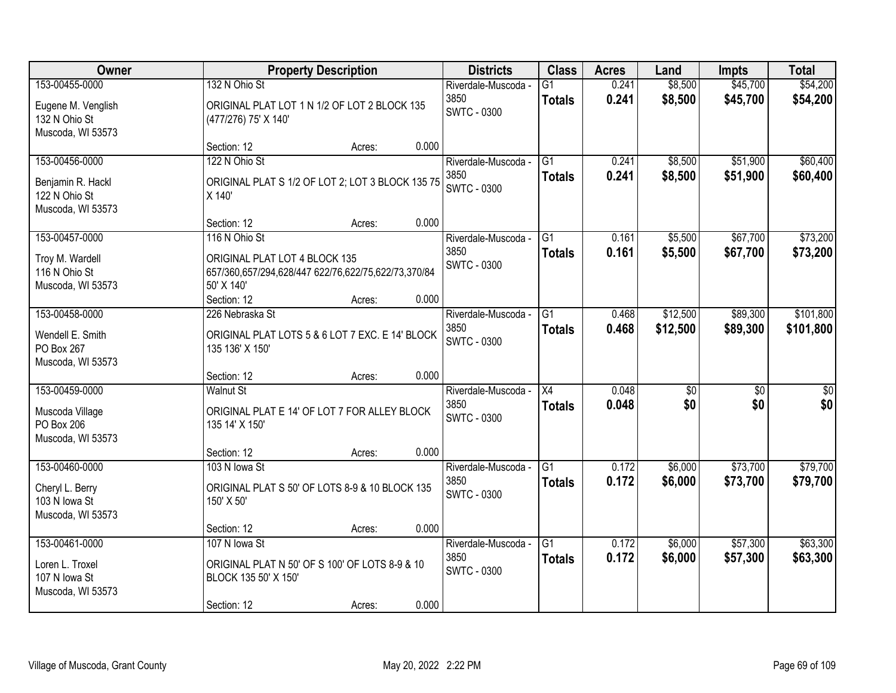| Owner                                                                      |                                                                                                                                    | <b>Property Description</b> |       | <b>Districts</b>                                  | <b>Class</b>                     | <b>Acres</b>   | Land                   | <b>Impts</b>           | <b>Total</b>           |
|----------------------------------------------------------------------------|------------------------------------------------------------------------------------------------------------------------------------|-----------------------------|-------|---------------------------------------------------|----------------------------------|----------------|------------------------|------------------------|------------------------|
| 153-00455-0000<br>Eugene M. Venglish<br>132 N Ohio St<br>Muscoda, WI 53573 | 132 N Ohio St<br>ORIGINAL PLAT LOT 1 N 1/2 OF LOT 2 BLOCK 135<br>(477/276) 75' X 140'                                              |                             |       | Riverdale-Muscoda -<br>3850<br><b>SWTC - 0300</b> | G1<br><b>Totals</b>              | 0.241<br>0.241 | \$8,500<br>\$8,500     | \$45,700<br>\$45,700   | \$54,200<br>\$54,200   |
|                                                                            | Section: 12                                                                                                                        | Acres:                      | 0.000 |                                                   |                                  |                |                        |                        |                        |
| 153-00456-0000<br>Benjamin R. Hackl<br>122 N Ohio St<br>Muscoda, WI 53573  | 122 N Ohio St<br>ORIGINAL PLAT S 1/2 OF LOT 2; LOT 3 BLOCK 135 75<br>X 140'                                                        |                             |       | Riverdale-Muscoda -<br>3850<br><b>SWTC - 0300</b> | $\overline{G1}$<br><b>Totals</b> | 0.241<br>0.241 | \$8,500<br>\$8,500     | \$51,900<br>\$51,900   | \$60,400<br>\$60,400   |
|                                                                            | Section: 12                                                                                                                        | Acres:                      | 0.000 |                                                   |                                  |                |                        |                        |                        |
| 153-00457-0000<br>Troy M. Wardell<br>116 N Ohio St<br>Muscoda, WI 53573    | 116 N Ohio St<br>ORIGINAL PLAT LOT 4 BLOCK 135<br>657/360,657/294,628/447 622/76,622/75,622/73,370/84<br>50' X 140'<br>Section: 12 | Acres:                      | 0.000 | Riverdale-Muscoda -<br>3850<br><b>SWTC - 0300</b> | G1<br><b>Totals</b>              | 0.161<br>0.161 | \$5,500<br>\$5,500     | \$67,700<br>\$67,700   | \$73,200<br>\$73,200   |
| 153-00458-0000                                                             | 226 Nebraska St                                                                                                                    |                             |       | Riverdale-Muscoda -                               | G1                               | 0.468          | \$12,500               | \$89,300               | \$101,800              |
| Wendell E. Smith<br>PO Box 267<br>Muscoda, WI 53573                        | ORIGINAL PLAT LOTS 5 & 6 LOT 7 EXC. E 14' BLOCK<br>135 136' X 150'                                                                 |                             |       | 3850<br>SWTC - 0300                               | <b>Totals</b>                    | 0.468          | \$12,500               | \$89,300               | \$101,800              |
|                                                                            | Section: 12                                                                                                                        | Acres:                      | 0.000 |                                                   |                                  |                |                        |                        |                        |
| 153-00459-0000<br>Muscoda Village<br>PO Box 206<br>Muscoda, WI 53573       | <b>Walnut St</b><br>ORIGINAL PLAT E 14' OF LOT 7 FOR ALLEY BLOCK<br>135 14' X 150'                                                 |                             |       | Riverdale-Muscoda -<br>3850<br><b>SWTC - 0300</b> | X4<br><b>Totals</b>              | 0.048<br>0.048 | $\overline{50}$<br>\$0 | $\overline{30}$<br>\$0 | $\overline{30}$<br>\$0 |
|                                                                            | Section: 12                                                                                                                        | Acres:                      | 0.000 |                                                   |                                  |                |                        |                        |                        |
| 153-00460-0000<br>Cheryl L. Berry<br>103 N Iowa St<br>Muscoda, WI 53573    | 103 N Iowa St<br>ORIGINAL PLAT S 50' OF LOTS 8-9 & 10 BLOCK 135<br>150' X 50'                                                      |                             |       | Riverdale-Muscoda -<br>3850<br><b>SWTC - 0300</b> | $\overline{G1}$<br><b>Totals</b> | 0.172<br>0.172 | \$6,000<br>\$6,000     | \$73,700<br>\$73,700   | \$79,700<br>\$79,700   |
|                                                                            | Section: 12                                                                                                                        | Acres:                      | 0.000 |                                                   |                                  |                |                        |                        |                        |
| 153-00461-0000<br>Loren L. Troxel<br>107 N lowa St<br>Muscoda, WI 53573    | 107 N lowa St<br>ORIGINAL PLAT N 50' OF S 100' OF LOTS 8-9 & 10<br>BLOCK 135 50' X 150'<br>Section: 12                             | Acres:                      | 0.000 | Riverdale-Muscoda -<br>3850<br>SWTC - 0300        | G1<br><b>Totals</b>              | 0.172<br>0.172 | \$6,000<br>\$6,000     | \$57,300<br>\$57,300   | \$63,300<br>\$63,300   |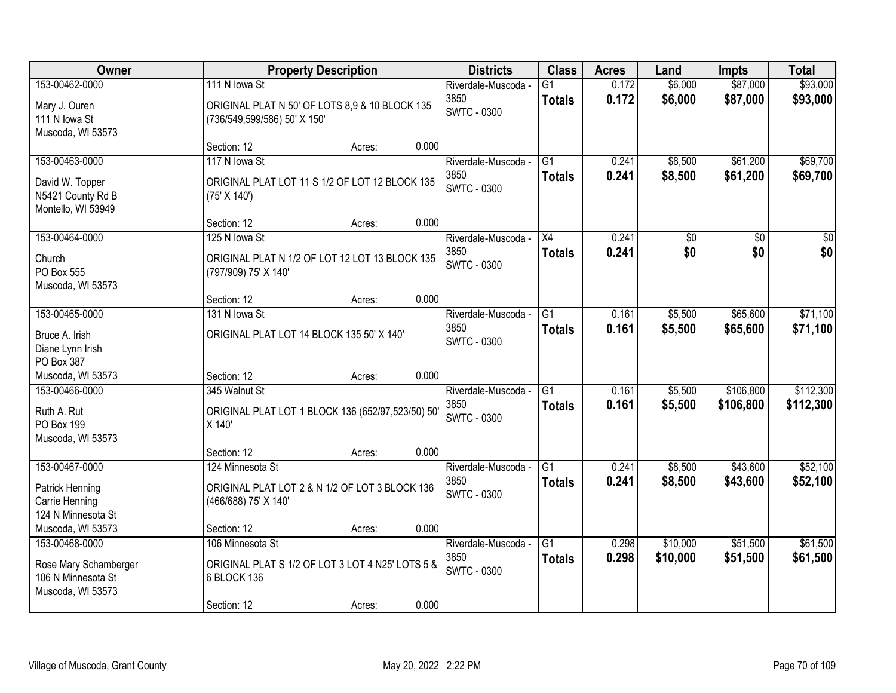| Owner                 |                                                   | <b>Property Description</b> |       | <b>Districts</b>    | <b>Class</b>    | <b>Acres</b> | Land            | <b>Impts</b> | <b>Total</b>    |
|-----------------------|---------------------------------------------------|-----------------------------|-------|---------------------|-----------------|--------------|-----------------|--------------|-----------------|
| 153-00462-0000        | 111 N Iowa St                                     |                             |       | Riverdale-Muscoda - | $\overline{G1}$ | 0.172        | \$6,000         | \$87,000     | \$93,000        |
| Mary J. Ouren         | ORIGINAL PLAT N 50' OF LOTS 8,9 & 10 BLOCK 135    |                             |       | 3850                | <b>Totals</b>   | 0.172        | \$6,000         | \$87,000     | \$93,000        |
| 111 N Iowa St         | (736/549,599/586) 50' X 150'                      |                             |       | <b>SWTC - 0300</b>  |                 |              |                 |              |                 |
| Muscoda, WI 53573     |                                                   |                             |       |                     |                 |              |                 |              |                 |
|                       | Section: 12                                       | Acres:                      | 0.000 |                     |                 |              |                 |              |                 |
| 153-00463-0000        | 117 N lowa St                                     |                             |       | Riverdale-Muscoda - | $\overline{G1}$ | 0.241        | \$8,500         | \$61,200     | \$69,700        |
| David W. Topper       | ORIGINAL PLAT LOT 11 S 1/2 OF LOT 12 BLOCK 135    |                             |       | 3850                | <b>Totals</b>   | 0.241        | \$8,500         | \$61,200     | \$69,700        |
| N5421 County Rd B     | (75' X 140')                                      |                             |       | SWTC - 0300         |                 |              |                 |              |                 |
| Montello, WI 53949    |                                                   |                             |       |                     |                 |              |                 |              |                 |
|                       | Section: 12                                       | Acres:                      | 0.000 |                     |                 |              |                 |              |                 |
| 153-00464-0000        | 125 N lowa St                                     |                             |       | Riverdale-Muscoda - | X4              | 0.241        | $\overline{50}$ | \$0          | $\overline{50}$ |
| Church                | ORIGINAL PLAT N 1/2 OF LOT 12 LOT 13 BLOCK 135    |                             |       | 3850                | <b>Totals</b>   | 0.241        | \$0             | \$0          | \$0             |
| PO Box 555            | (797/909) 75' X 140'                              |                             |       | <b>SWTC - 0300</b>  |                 |              |                 |              |                 |
| Muscoda, WI 53573     |                                                   |                             |       |                     |                 |              |                 |              |                 |
|                       | Section: 12                                       | Acres:                      | 0.000 |                     |                 |              |                 |              |                 |
| 153-00465-0000        | 131 N lowa St                                     |                             |       | Riverdale-Muscoda - | G1              | 0.161        | \$5,500         | \$65,600     | \$71,100        |
| Bruce A. Irish        | ORIGINAL PLAT LOT 14 BLOCK 135 50' X 140'         |                             |       | 3850                | <b>Totals</b>   | 0.161        | \$5,500         | \$65,600     | \$71,100        |
| Diane Lynn Irish      |                                                   |                             |       | <b>SWTC - 0300</b>  |                 |              |                 |              |                 |
| PO Box 387            |                                                   |                             |       |                     |                 |              |                 |              |                 |
| Muscoda, WI 53573     | Section: 12                                       | Acres:                      | 0.000 |                     |                 |              |                 |              |                 |
| 153-00466-0000        | 345 Walnut St                                     |                             |       | Riverdale-Muscoda - | $\overline{G1}$ | 0.161        | \$5,500         | \$106,800    | \$112,300       |
| Ruth A. Rut           | ORIGINAL PLAT LOT 1 BLOCK 136 (652/97,523/50) 50' |                             |       | 3850                | <b>Totals</b>   | 0.161        | \$5,500         | \$106,800    | \$112,300       |
| PO Box 199            | X 140'                                            |                             |       | <b>SWTC - 0300</b>  |                 |              |                 |              |                 |
| Muscoda, WI 53573     |                                                   |                             |       |                     |                 |              |                 |              |                 |
|                       | Section: 12                                       | Acres:                      | 0.000 |                     |                 |              |                 |              |                 |
| 153-00467-0000        | 124 Minnesota St                                  |                             |       | Riverdale-Muscoda - | G1              | 0.241        | \$8,500         | \$43,600     | \$52,100        |
| Patrick Henning       | ORIGINAL PLAT LOT 2 & N 1/2 OF LOT 3 BLOCK 136    |                             |       | 3850                | <b>Totals</b>   | 0.241        | \$8,500         | \$43,600     | \$52,100        |
| Carrie Henning        | (466/688) 75' X 140'                              |                             |       | <b>SWTC - 0300</b>  |                 |              |                 |              |                 |
| 124 N Minnesota St    |                                                   |                             |       |                     |                 |              |                 |              |                 |
| Muscoda, WI 53573     | Section: 12                                       | Acres:                      | 0.000 |                     |                 |              |                 |              |                 |
| 153-00468-0000        | 106 Minnesota St                                  |                             |       | Riverdale-Muscoda - | $\overline{G1}$ | 0.298        | \$10,000        | \$51,500     | \$61,500        |
| Rose Mary Schamberger | ORIGINAL PLAT S 1/2 OF LOT 3 LOT 4 N25' LOTS 5 &  |                             |       | 3850                | <b>Totals</b>   | 0.298        | \$10,000        | \$51,500     | \$61,500        |
| 106 N Minnesota St    | 6 BLOCK 136                                       |                             |       | <b>SWTC - 0300</b>  |                 |              |                 |              |                 |
| Muscoda, WI 53573     |                                                   |                             |       |                     |                 |              |                 |              |                 |
|                       | Section: 12                                       | Acres:                      | 0.000 |                     |                 |              |                 |              |                 |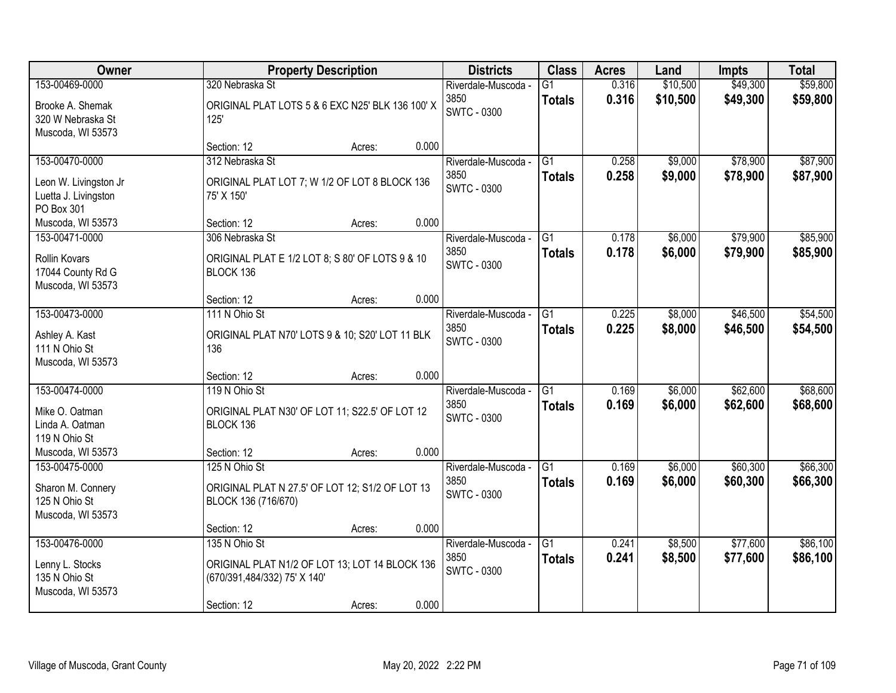| Owner                                                          |                                                                        | <b>Property Description</b> |       | <b>Districts</b>                           | <b>Class</b>                     | <b>Acres</b>   | Land               | <b>Impts</b>         | <b>Total</b>         |
|----------------------------------------------------------------|------------------------------------------------------------------------|-----------------------------|-------|--------------------------------------------|----------------------------------|----------------|--------------------|----------------------|----------------------|
| 153-00469-0000                                                 | 320 Nebraska St                                                        |                             |       | Riverdale-Muscoda -                        | G1                               | 0.316          | \$10,500           | \$49,300             | \$59,800             |
| Brooke A. Shemak<br>320 W Nebraska St<br>Muscoda, WI 53573     | ORIGINAL PLAT LOTS 5 & 6 EXC N25' BLK 136 100' X<br>125'               |                             |       | 3850<br>SWTC - 0300                        | <b>Totals</b>                    | 0.316          | \$10,500           | \$49,300             | \$59,800             |
|                                                                | Section: 12                                                            | Acres:                      | 0.000 |                                            |                                  |                |                    |                      |                      |
| 153-00470-0000                                                 | 312 Nebraska St                                                        |                             |       | Riverdale-Muscoda -<br>3850                | $\overline{G1}$<br><b>Totals</b> | 0.258<br>0.258 | \$9,000<br>\$9,000 | \$78,900<br>\$78,900 | \$87,900<br>\$87,900 |
| Leon W. Livingston Jr<br>Luetta J. Livingston<br>PO Box 301    | ORIGINAL PLAT LOT 7; W 1/2 OF LOT 8 BLOCK 136<br>75' X 150'            |                             |       | <b>SWTC - 0300</b>                         |                                  |                |                    |                      |                      |
| Muscoda, WI 53573                                              | Section: 12                                                            | Acres:                      | 0.000 |                                            |                                  |                |                    |                      |                      |
| 153-00471-0000                                                 | 306 Nebraska St                                                        |                             |       | Riverdale-Muscoda -                        | G1                               | 0.178          | \$6,000            | \$79,900             | \$85,900             |
| <b>Rollin Kovars</b><br>17044 County Rd G<br>Muscoda, WI 53573 | ORIGINAL PLAT E 1/2 LOT 8; S 80' OF LOTS 9 & 10<br>BLOCK 136           |                             |       | 3850<br><b>SWTC - 0300</b>                 | <b>Totals</b>                    | 0.178          | \$6,000            | \$79,900             | \$85,900             |
|                                                                | Section: 12                                                            | Acres:                      | 0.000 |                                            |                                  |                |                    |                      |                      |
| 153-00473-0000                                                 | 111 N Ohio St                                                          |                             |       | Riverdale-Muscoda -                        | G1                               | 0.225          | \$8,000            | \$46,500             | \$54,500             |
| Ashley A. Kast<br>111 N Ohio St<br>Muscoda, WI 53573           | ORIGINAL PLAT N70' LOTS 9 & 10; S20' LOT 11 BLK<br>136                 |                             |       | 3850<br>SWTC - 0300                        | <b>Totals</b>                    | 0.225          | \$8,000            | \$46,500             | \$54,500             |
|                                                                | Section: 12                                                            | Acres:                      | 0.000 |                                            |                                  |                |                    |                      |                      |
| 153-00474-0000                                                 | 119 N Ohio St                                                          |                             |       | Riverdale-Muscoda -<br>3850                | $\overline{G1}$<br><b>Totals</b> | 0.169<br>0.169 | \$6,000<br>\$6,000 | \$62,600<br>\$62,600 | \$68,600<br>\$68,600 |
| Mike O. Oatman<br>Linda A. Oatman<br>119 N Ohio St             | ORIGINAL PLAT N30' OF LOT 11; S22.5' OF LOT 12<br>BLOCK 136            |                             |       | <b>SWTC - 0300</b>                         |                                  |                |                    |                      |                      |
| Muscoda, WI 53573                                              | Section: 12                                                            | Acres:                      | 0.000 |                                            |                                  |                |                    |                      |                      |
| 153-00475-0000                                                 | 125 N Ohio St                                                          |                             |       | Riverdale-Muscoda -                        | $\overline{G1}$                  | 0.169          | \$6,000            | \$60,300             | \$66,300             |
| Sharon M. Connery<br>125 N Ohio St<br>Muscoda, WI 53573        | ORIGINAL PLAT N 27.5' OF LOT 12; S1/2 OF LOT 13<br>BLOCK 136 (716/670) |                             |       | 3850<br><b>SWTC - 0300</b>                 | <b>Totals</b>                    | 0.169          | \$6,000            | \$60,300             | \$66,300             |
|                                                                | Section: 12                                                            | Acres:                      | 0.000 |                                            |                                  |                |                    |                      |                      |
| 153-00476-0000<br>Lenny L. Stocks                              | 135 N Ohio St<br>ORIGINAL PLAT N1/2 OF LOT 13; LOT 14 BLOCK 136        |                             |       | Riverdale-Muscoda -<br>3850<br>SWTC - 0300 | G1<br><b>Totals</b>              | 0.241<br>0.241 | \$8,500<br>\$8,500 | \$77,600<br>\$77,600 | \$86,100<br>\$86,100 |
| 135 N Ohio St<br>Muscoda, WI 53573                             | (670/391,484/332) 75' X 140'<br>Section: 12                            | Acres:                      | 0.000 |                                            |                                  |                |                    |                      |                      |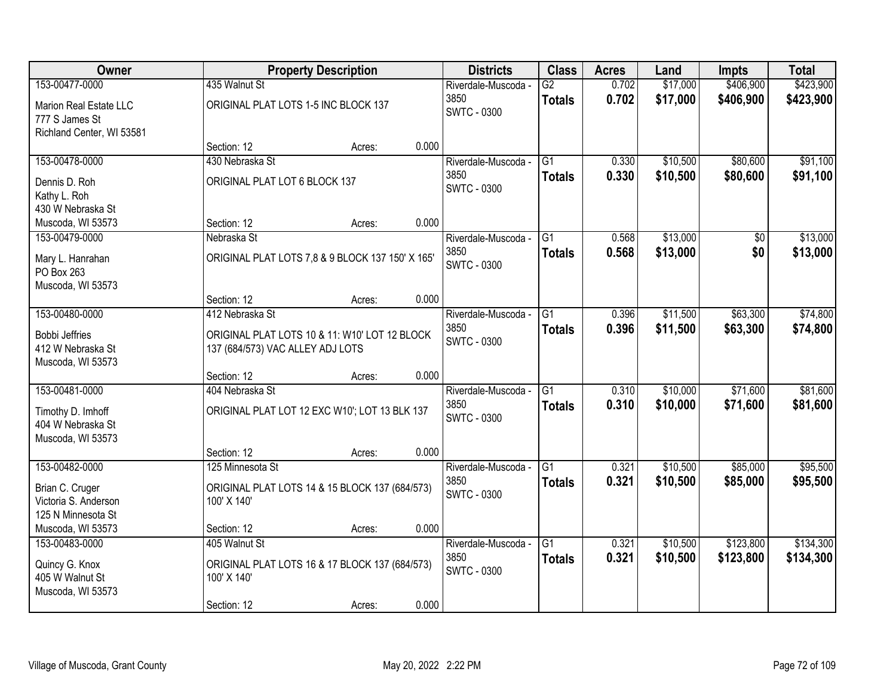| Owner                                    |                                                  | <b>Property Description</b> |       | <b>Districts</b>           | <b>Class</b>    | <b>Acres</b> | Land     | <b>Impts</b> | <b>Total</b> |
|------------------------------------------|--------------------------------------------------|-----------------------------|-------|----------------------------|-----------------|--------------|----------|--------------|--------------|
| 153-00477-0000                           | 435 Walnut St                                    |                             |       | Riverdale-Muscoda -        | $\overline{G2}$ | 0.702        | \$17,000 | \$406,900    | \$423,900    |
| Marion Real Estate LLC<br>777 S James St | ORIGINAL PLAT LOTS 1-5 INC BLOCK 137             |                             |       | 3850<br><b>SWTC - 0300</b> | <b>Totals</b>   | 0.702        | \$17,000 | \$406,900    | \$423,900    |
| Richland Center, WI 53581                |                                                  |                             |       |                            |                 |              |          |              |              |
|                                          | Section: 12                                      | Acres:                      | 0.000 |                            |                 |              |          |              |              |
| 153-00478-0000                           | 430 Nebraska St                                  |                             |       | Riverdale-Muscoda -        | $\overline{G1}$ | 0.330        | \$10,500 | \$80,600     | \$91,100     |
| Dennis D. Roh                            | ORIGINAL PLAT LOT 6 BLOCK 137                    |                             |       | 3850                       | <b>Totals</b>   | 0.330        | \$10,500 | \$80,600     | \$91,100     |
| Kathy L. Roh                             |                                                  |                             |       | <b>SWTC - 0300</b>         |                 |              |          |              |              |
| 430 W Nebraska St                        |                                                  |                             |       |                            |                 |              |          |              |              |
| Muscoda, WI 53573                        | Section: 12                                      | Acres:                      | 0.000 |                            |                 |              |          |              |              |
| 153-00479-0000                           | Nebraska St                                      |                             |       | Riverdale-Muscoda -        | G1              | 0.568        | \$13,000 | \$0          | \$13,000     |
| Mary L. Hanrahan                         | ORIGINAL PLAT LOTS 7,8 & 9 BLOCK 137 150' X 165' |                             |       | 3850                       | <b>Totals</b>   | 0.568        | \$13,000 | \$0          | \$13,000     |
| PO Box 263                               |                                                  |                             |       | <b>SWTC - 0300</b>         |                 |              |          |              |              |
| Muscoda, WI 53573                        |                                                  |                             |       |                            |                 |              |          |              |              |
|                                          | Section: 12                                      | Acres:                      | 0.000 |                            |                 |              |          |              |              |
| 153-00480-0000                           | 412 Nebraska St                                  |                             |       | Riverdale-Muscoda -        | G1              | 0.396        | \$11,500 | \$63,300     | \$74,800     |
| <b>Bobbi Jeffries</b>                    | ORIGINAL PLAT LOTS 10 & 11: W10' LOT 12 BLOCK    |                             |       | 3850                       | <b>Totals</b>   | 0.396        | \$11,500 | \$63,300     | \$74,800     |
| 412 W Nebraska St                        | 137 (684/573) VAC ALLEY ADJ LOTS                 |                             |       | <b>SWTC - 0300</b>         |                 |              |          |              |              |
| Muscoda, WI 53573                        |                                                  |                             |       |                            |                 |              |          |              |              |
|                                          | Section: 12                                      | Acres:                      | 0.000 |                            |                 |              |          |              |              |
| 153-00481-0000                           | 404 Nebraska St                                  |                             |       | Riverdale-Muscoda -        | $\overline{G1}$ | 0.310        | \$10,000 | \$71,600     | \$81,600     |
| Timothy D. Imhoff                        | ORIGINAL PLAT LOT 12 EXC W10'; LOT 13 BLK 137    |                             |       | 3850                       | <b>Totals</b>   | 0.310        | \$10,000 | \$71,600     | \$81,600     |
| 404 W Nebraska St                        |                                                  |                             |       | <b>SWTC - 0300</b>         |                 |              |          |              |              |
| Muscoda, WI 53573                        |                                                  |                             |       |                            |                 |              |          |              |              |
|                                          | Section: 12                                      | Acres:                      | 0.000 |                            |                 |              |          |              |              |
| 153-00482-0000                           | 125 Minnesota St                                 |                             |       | Riverdale-Muscoda -        | $\overline{G1}$ | 0.321        | \$10,500 | \$85,000     | \$95,500     |
| Brian C. Cruger                          | ORIGINAL PLAT LOTS 14 & 15 BLOCK 137 (684/573)   |                             |       | 3850                       | <b>Totals</b>   | 0.321        | \$10,500 | \$85,000     | \$95,500     |
| Victoria S. Anderson                     | 100' X 140'                                      |                             |       | <b>SWTC - 0300</b>         |                 |              |          |              |              |
| 125 N Minnesota St                       |                                                  |                             |       |                            |                 |              |          |              |              |
| Muscoda, WI 53573                        | Section: 12                                      | Acres:                      | 0.000 |                            |                 |              |          |              |              |
| 153-00483-0000                           | 405 Walnut St                                    |                             |       | Riverdale-Muscoda -        | $\overline{G1}$ | 0.321        | \$10,500 | \$123,800    | \$134,300    |
| Quincy G. Knox                           | ORIGINAL PLAT LOTS 16 & 17 BLOCK 137 (684/573)   |                             |       | 3850                       | <b>Totals</b>   | 0.321        | \$10,500 | \$123,800    | \$134,300    |
| 405 W Walnut St                          | 100' X 140'                                      |                             |       | <b>SWTC - 0300</b>         |                 |              |          |              |              |
| Muscoda, WI 53573                        |                                                  |                             |       |                            |                 |              |          |              |              |
|                                          | Section: 12                                      | Acres:                      | 0.000 |                            |                 |              |          |              |              |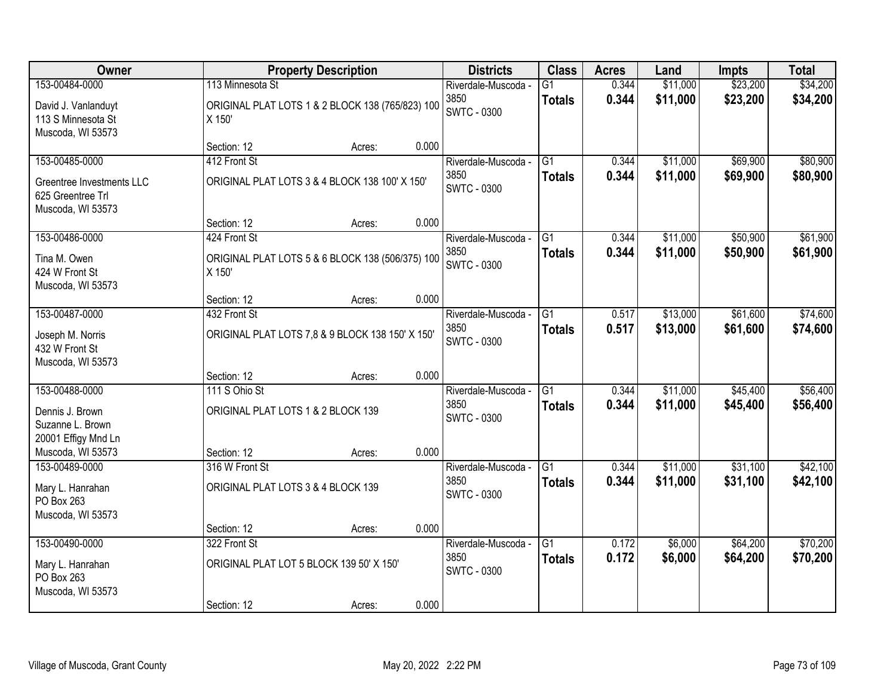| <b>Owner</b>                                                        |                                                      | <b>Property Description</b>                      |       | <b>Districts</b>                                  | <b>Class</b>                     | <b>Acres</b>   | Land                 | <b>Impts</b> | <b>Total</b> |
|---------------------------------------------------------------------|------------------------------------------------------|--------------------------------------------------|-------|---------------------------------------------------|----------------------------------|----------------|----------------------|--------------|--------------|
| 153-00484-0000                                                      | 113 Minnesota St                                     |                                                  |       | Riverdale-Muscoda -                               | $\overline{G1}$                  | 0.344          | \$11,000             | \$23,200     | \$34,200     |
| David J. Vanlanduyt<br>113 S Minnesota St<br>Muscoda, WI 53573      | X 150'                                               | ORIGINAL PLAT LOTS 1 & 2 BLOCK 138 (765/823) 100 |       | 3850<br><b>SWTC - 0300</b>                        | <b>Totals</b>                    | 0.344          | \$11,000             | \$23,200     | \$34,200     |
|                                                                     | Section: 12                                          | Acres:                                           | 0.000 |                                                   |                                  |                |                      |              |              |
| 153-00485-0000                                                      | 412 Front St                                         |                                                  |       | Riverdale-Muscoda -                               | G1                               | 0.344          | \$11,000             | \$69,900     | \$80,900     |
| Greentree Investments LLC<br>625 Greentree Trl<br>Muscoda, WI 53573 |                                                      | ORIGINAL PLAT LOTS 3 & 4 BLOCK 138 100' X 150'   |       | 3850<br><b>SWTC - 0300</b>                        | <b>Totals</b>                    | 0.344          | \$11,000             | \$69,900     | \$80,900     |
|                                                                     | Section: 12                                          | Acres:                                           | 0.000 |                                                   |                                  |                |                      |              |              |
| 153-00486-0000                                                      | 424 Front St                                         |                                                  |       | Riverdale-Muscoda -                               | G1                               | 0.344          | \$11,000             | \$50,900     | \$61,900     |
| Tina M. Owen<br>424 W Front St<br>Muscoda, WI 53573                 | X 150'                                               | ORIGINAL PLAT LOTS 5 & 6 BLOCK 138 (506/375) 100 |       | 3850<br><b>SWTC - 0300</b>                        | <b>Totals</b>                    | 0.344          | \$11,000             | \$50,900     | \$61,900     |
|                                                                     | Section: 12                                          | Acres:                                           | 0.000 |                                                   |                                  |                |                      |              |              |
| 153-00487-0000                                                      | 432 Front St                                         |                                                  |       | Riverdale-Muscoda -                               | G1                               | 0.517          | \$13,000             | \$61,600     | \$74,600     |
| Joseph M. Norris<br>432 W Front St<br>Muscoda, WI 53573             |                                                      | ORIGINAL PLAT LOTS 7,8 & 9 BLOCK 138 150' X 150' |       | 3850<br><b>SWTC - 0300</b>                        | <b>Totals</b>                    | 0.517          | \$13,000             | \$61,600     | \$74,600     |
|                                                                     | Section: 12                                          | Acres:                                           | 0.000 |                                                   |                                  |                |                      |              |              |
| 153-00488-0000                                                      | 111 S Ohio St                                        |                                                  |       | Riverdale-Muscoda -                               | $\overline{G1}$                  | 0.344          | \$11,000             | \$45,400     | \$56,400     |
| Dennis J. Brown<br>Suzanne L. Brown                                 | ORIGINAL PLAT LOTS 1 & 2 BLOCK 139                   |                                                  |       | 3850<br><b>SWTC - 0300</b>                        | <b>Totals</b>                    | 0.344          | \$11,000             | \$45,400     | \$56,400     |
| 20001 Effigy Mnd Ln                                                 |                                                      |                                                  |       |                                                   |                                  |                |                      |              |              |
| Muscoda, WI 53573<br>153-00489-0000                                 | Section: 12                                          | Acres:                                           | 0.000 |                                                   |                                  |                |                      | \$31,100     | \$42,100     |
| Mary L. Hanrahan<br>PO Box 263<br>Muscoda, WI 53573                 | 316 W Front St<br>ORIGINAL PLAT LOTS 3 & 4 BLOCK 139 |                                                  |       | Riverdale-Muscoda -<br>3850<br><b>SWTC - 0300</b> | $\overline{G1}$<br><b>Totals</b> | 0.344<br>0.344 | \$11,000<br>\$11,000 | \$31,100     | \$42,100     |
|                                                                     | Section: 12                                          | Acres:                                           | 0.000 |                                                   |                                  |                |                      |              |              |
| 153-00490-0000                                                      | 322 Front St                                         |                                                  |       | Riverdale-Muscoda -                               | $\overline{G1}$                  | 0.172          | \$6,000              | \$64,200     | \$70,200     |
| Mary L. Hanrahan<br>PO Box 263                                      |                                                      | ORIGINAL PLAT LOT 5 BLOCK 139 50' X 150'         |       | 3850<br><b>SWTC - 0300</b>                        | <b>Totals</b>                    | 0.172          | \$6,000              | \$64,200     | \$70,200     |
| Muscoda, WI 53573                                                   | Section: 12                                          | Acres:                                           | 0.000 |                                                   |                                  |                |                      |              |              |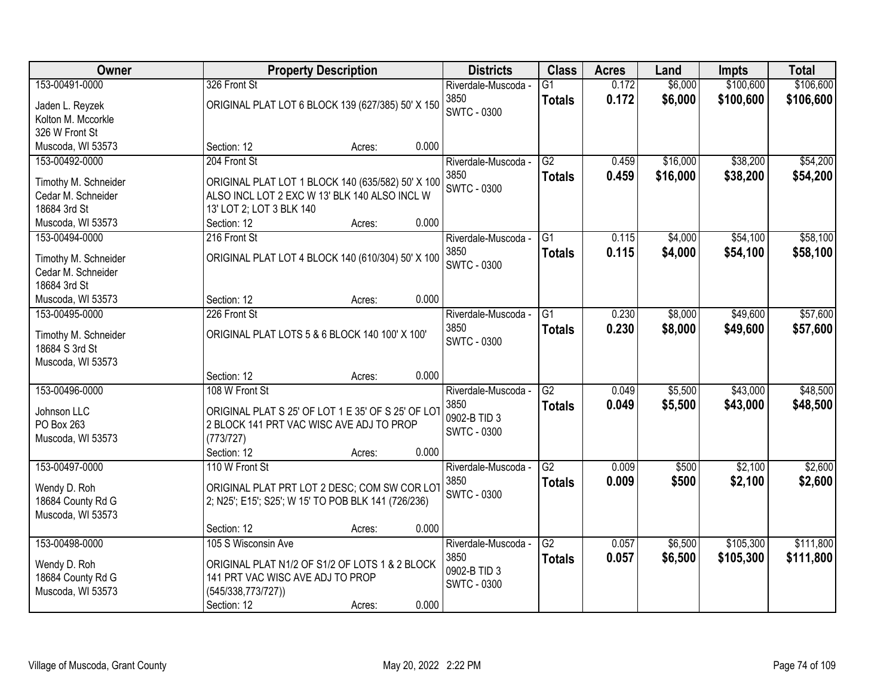| \$106,600<br>153-00491-0000<br>326 Front St<br>0.172<br>\$6,000<br>\$100,600<br>$\overline{G1}$<br>Riverdale-Muscoda -<br>3850<br>0.172<br>\$6,000<br>\$100,600<br>\$106,600<br><b>Totals</b><br>ORIGINAL PLAT LOT 6 BLOCK 139 (627/385) 50' X 150<br>Jaden L. Reyzek<br><b>SWTC - 0300</b><br>Kolton M. Mccorkle<br>326 W Front St<br>0.000<br>Muscoda, WI 53573<br>Section: 12<br>Acres:<br>\$38,200<br>204 Front St<br>$\overline{G2}$<br>\$16,000<br>153-00492-0000<br>0.459<br>Riverdale-Muscoda -<br>3850<br>0.459<br>\$16,000<br>\$38,200<br>\$54,200<br><b>Totals</b><br>Timothy M. Schneider<br>ORIGINAL PLAT LOT 1 BLOCK 140 (635/582) 50' X 100<br><b>SWTC - 0300</b><br>Cedar M. Schneider<br>ALSO INCL LOT 2 EXC W 13' BLK 140 ALSO INCL W<br>18684 3rd St<br>13' LOT 2; LOT 3 BLK 140<br>0.000<br>Muscoda, WI 53573<br>Section: 12<br>Acres:<br>\$54,100<br>153-00494-0000<br>216 Front St<br>$\overline{G1}$<br>0.115<br>\$4,000<br>Riverdale-Muscoda -<br>3850<br>0.115<br>\$4,000<br>\$54,100<br><b>Totals</b><br>ORIGINAL PLAT LOT 4 BLOCK 140 (610/304) 50' X 100<br>Timothy M. Schneider<br><b>SWTC - 0300</b><br>Cedar M. Schneider<br>18684 3rd St<br>0.000<br>Section: 12<br>Muscoda, WI 53573<br>Acres:<br>226 Front St<br>\$8,000<br>\$49,600<br>153-00495-0000<br>Riverdale-Muscoda -<br>G1<br>0.230<br>3850<br>0.230<br>\$8,000<br>\$49,600<br><b>Totals</b><br>ORIGINAL PLAT LOTS 5 & 6 BLOCK 140 100' X 100'<br>Timothy M. Schneider<br>SWTC - 0300<br>18684 S 3rd St<br>Muscoda, WI 53573<br>0.000<br>Section: 12<br>Acres:<br>$\overline{G2}$<br>\$5,500<br>\$43,000<br>153-00496-0000<br>108 W Front St<br>0.049<br>Riverdale-Muscoda -<br>3850<br>0.049<br>\$5,500<br>\$43,000<br>\$48,500<br><b>Totals</b><br>ORIGINAL PLAT S 25' OF LOT 1 E 35' OF S 25' OF LOT<br>Johnson LLC<br>0902-B TID 3<br>PO Box 263<br>2 BLOCK 141 PRT VAC WISC AVE ADJ TO PROP<br><b>SWTC - 0300</b><br>(773/727)<br>Muscoda, WI 53573<br>0.000<br>Section: 12<br>Acres:<br>G2<br>\$2,100<br>153-00497-0000<br>110 W Front St<br>Riverdale-Muscoda -<br>0.009<br>\$500<br>3850<br>0.009<br>\$500<br>\$2,100<br><b>Totals</b><br>Wendy D. Roh<br>ORIGINAL PLAT PRT LOT 2 DESC; COM SW COR LOT<br><b>SWTC - 0300</b><br>18684 County Rd G<br>2; N25'; E15'; S25'; W 15' TO POB BLK 141 (726/236)<br>Muscoda, WI 53573<br>0.000<br>Section: 12<br>Acres:<br>153-00498-0000<br>$\overline{G2}$<br>\$6,500<br>\$105,300<br>105 S Wisconsin Ave<br>Riverdale-Muscoda -<br>0.057<br>3850<br>0.057<br>\$105,300<br>\$6,500<br>\$111,800<br><b>Totals</b><br>Wendy D. Roh<br>ORIGINAL PLAT N1/2 OF S1/2 OF LOTS 1 & 2 BLOCK<br>0902-B TID 3<br>18684 County Rd G<br>141 PRT VAC WISC AVE ADJ TO PROP | Owner             | <b>Property Description</b> |  | <b>Districts</b> | <b>Class</b> | <b>Acres</b> | Land | <b>Impts</b> | <b>Total</b> |  |
|----------------------------------------------------------------------------------------------------------------------------------------------------------------------------------------------------------------------------------------------------------------------------------------------------------------------------------------------------------------------------------------------------------------------------------------------------------------------------------------------------------------------------------------------------------------------------------------------------------------------------------------------------------------------------------------------------------------------------------------------------------------------------------------------------------------------------------------------------------------------------------------------------------------------------------------------------------------------------------------------------------------------------------------------------------------------------------------------------------------------------------------------------------------------------------------------------------------------------------------------------------------------------------------------------------------------------------------------------------------------------------------------------------------------------------------------------------------------------------------------------------------------------------------------------------------------------------------------------------------------------------------------------------------------------------------------------------------------------------------------------------------------------------------------------------------------------------------------------------------------------------------------------------------------------------------------------------------------------------------------------------------------------------------------------------------------------------------------------------------------------------------------------------------------------------------------------------------------------------------------------------------------------------------------------------------------------------------------------------------------------------------------------------------------------------------------------------------------------------------------------------------------------------------------------------------------------------------------------------------------------------------------------------------------------------------------------------|-------------------|-----------------------------|--|------------------|--------------|--------------|------|--------------|--------------|--|
| \$54,200<br>\$58,100<br>\$58,100<br>\$57,600<br>\$57,600<br>\$48,500<br>\$2,600<br>\$2,600<br>\$111,800                                                                                                                                                                                                                                                                                                                                                                                                                                                                                                                                                                                                                                                                                                                                                                                                                                                                                                                                                                                                                                                                                                                                                                                                                                                                                                                                                                                                                                                                                                                                                                                                                                                                                                                                                                                                                                                                                                                                                                                                                                                                                                                                                                                                                                                                                                                                                                                                                                                                                                                                                                                                  |                   |                             |  |                  |              |              |      |              |              |  |
|                                                                                                                                                                                                                                                                                                                                                                                                                                                                                                                                                                                                                                                                                                                                                                                                                                                                                                                                                                                                                                                                                                                                                                                                                                                                                                                                                                                                                                                                                                                                                                                                                                                                                                                                                                                                                                                                                                                                                                                                                                                                                                                                                                                                                                                                                                                                                                                                                                                                                                                                                                                                                                                                                                          |                   |                             |  |                  |              |              |      |              |              |  |
|                                                                                                                                                                                                                                                                                                                                                                                                                                                                                                                                                                                                                                                                                                                                                                                                                                                                                                                                                                                                                                                                                                                                                                                                                                                                                                                                                                                                                                                                                                                                                                                                                                                                                                                                                                                                                                                                                                                                                                                                                                                                                                                                                                                                                                                                                                                                                                                                                                                                                                                                                                                                                                                                                                          |                   |                             |  |                  |              |              |      |              |              |  |
|                                                                                                                                                                                                                                                                                                                                                                                                                                                                                                                                                                                                                                                                                                                                                                                                                                                                                                                                                                                                                                                                                                                                                                                                                                                                                                                                                                                                                                                                                                                                                                                                                                                                                                                                                                                                                                                                                                                                                                                                                                                                                                                                                                                                                                                                                                                                                                                                                                                                                                                                                                                                                                                                                                          |                   |                             |  |                  |              |              |      |              |              |  |
|                                                                                                                                                                                                                                                                                                                                                                                                                                                                                                                                                                                                                                                                                                                                                                                                                                                                                                                                                                                                                                                                                                                                                                                                                                                                                                                                                                                                                                                                                                                                                                                                                                                                                                                                                                                                                                                                                                                                                                                                                                                                                                                                                                                                                                                                                                                                                                                                                                                                                                                                                                                                                                                                                                          |                   |                             |  |                  |              |              |      |              |              |  |
|                                                                                                                                                                                                                                                                                                                                                                                                                                                                                                                                                                                                                                                                                                                                                                                                                                                                                                                                                                                                                                                                                                                                                                                                                                                                                                                                                                                                                                                                                                                                                                                                                                                                                                                                                                                                                                                                                                                                                                                                                                                                                                                                                                                                                                                                                                                                                                                                                                                                                                                                                                                                                                                                                                          |                   |                             |  |                  |              |              |      |              |              |  |
|                                                                                                                                                                                                                                                                                                                                                                                                                                                                                                                                                                                                                                                                                                                                                                                                                                                                                                                                                                                                                                                                                                                                                                                                                                                                                                                                                                                                                                                                                                                                                                                                                                                                                                                                                                                                                                                                                                                                                                                                                                                                                                                                                                                                                                                                                                                                                                                                                                                                                                                                                                                                                                                                                                          |                   |                             |  |                  |              |              |      |              |              |  |
|                                                                                                                                                                                                                                                                                                                                                                                                                                                                                                                                                                                                                                                                                                                                                                                                                                                                                                                                                                                                                                                                                                                                                                                                                                                                                                                                                                                                                                                                                                                                                                                                                                                                                                                                                                                                                                                                                                                                                                                                                                                                                                                                                                                                                                                                                                                                                                                                                                                                                                                                                                                                                                                                                                          |                   |                             |  |                  |              |              |      |              |              |  |
|                                                                                                                                                                                                                                                                                                                                                                                                                                                                                                                                                                                                                                                                                                                                                                                                                                                                                                                                                                                                                                                                                                                                                                                                                                                                                                                                                                                                                                                                                                                                                                                                                                                                                                                                                                                                                                                                                                                                                                                                                                                                                                                                                                                                                                                                                                                                                                                                                                                                                                                                                                                                                                                                                                          |                   |                             |  |                  |              |              |      |              |              |  |
|                                                                                                                                                                                                                                                                                                                                                                                                                                                                                                                                                                                                                                                                                                                                                                                                                                                                                                                                                                                                                                                                                                                                                                                                                                                                                                                                                                                                                                                                                                                                                                                                                                                                                                                                                                                                                                                                                                                                                                                                                                                                                                                                                                                                                                                                                                                                                                                                                                                                                                                                                                                                                                                                                                          |                   |                             |  |                  |              |              |      |              |              |  |
|                                                                                                                                                                                                                                                                                                                                                                                                                                                                                                                                                                                                                                                                                                                                                                                                                                                                                                                                                                                                                                                                                                                                                                                                                                                                                                                                                                                                                                                                                                                                                                                                                                                                                                                                                                                                                                                                                                                                                                                                                                                                                                                                                                                                                                                                                                                                                                                                                                                                                                                                                                                                                                                                                                          |                   |                             |  |                  |              |              |      |              |              |  |
|                                                                                                                                                                                                                                                                                                                                                                                                                                                                                                                                                                                                                                                                                                                                                                                                                                                                                                                                                                                                                                                                                                                                                                                                                                                                                                                                                                                                                                                                                                                                                                                                                                                                                                                                                                                                                                                                                                                                                                                                                                                                                                                                                                                                                                                                                                                                                                                                                                                                                                                                                                                                                                                                                                          |                   |                             |  |                  |              |              |      |              |              |  |
|                                                                                                                                                                                                                                                                                                                                                                                                                                                                                                                                                                                                                                                                                                                                                                                                                                                                                                                                                                                                                                                                                                                                                                                                                                                                                                                                                                                                                                                                                                                                                                                                                                                                                                                                                                                                                                                                                                                                                                                                                                                                                                                                                                                                                                                                                                                                                                                                                                                                                                                                                                                                                                                                                                          |                   |                             |  |                  |              |              |      |              |              |  |
|                                                                                                                                                                                                                                                                                                                                                                                                                                                                                                                                                                                                                                                                                                                                                                                                                                                                                                                                                                                                                                                                                                                                                                                                                                                                                                                                                                                                                                                                                                                                                                                                                                                                                                                                                                                                                                                                                                                                                                                                                                                                                                                                                                                                                                                                                                                                                                                                                                                                                                                                                                                                                                                                                                          |                   |                             |  |                  |              |              |      |              |              |  |
|                                                                                                                                                                                                                                                                                                                                                                                                                                                                                                                                                                                                                                                                                                                                                                                                                                                                                                                                                                                                                                                                                                                                                                                                                                                                                                                                                                                                                                                                                                                                                                                                                                                                                                                                                                                                                                                                                                                                                                                                                                                                                                                                                                                                                                                                                                                                                                                                                                                                                                                                                                                                                                                                                                          |                   |                             |  |                  |              |              |      |              |              |  |
|                                                                                                                                                                                                                                                                                                                                                                                                                                                                                                                                                                                                                                                                                                                                                                                                                                                                                                                                                                                                                                                                                                                                                                                                                                                                                                                                                                                                                                                                                                                                                                                                                                                                                                                                                                                                                                                                                                                                                                                                                                                                                                                                                                                                                                                                                                                                                                                                                                                                                                                                                                                                                                                                                                          |                   |                             |  |                  |              |              |      |              |              |  |
|                                                                                                                                                                                                                                                                                                                                                                                                                                                                                                                                                                                                                                                                                                                                                                                                                                                                                                                                                                                                                                                                                                                                                                                                                                                                                                                                                                                                                                                                                                                                                                                                                                                                                                                                                                                                                                                                                                                                                                                                                                                                                                                                                                                                                                                                                                                                                                                                                                                                                                                                                                                                                                                                                                          |                   |                             |  |                  |              |              |      |              |              |  |
|                                                                                                                                                                                                                                                                                                                                                                                                                                                                                                                                                                                                                                                                                                                                                                                                                                                                                                                                                                                                                                                                                                                                                                                                                                                                                                                                                                                                                                                                                                                                                                                                                                                                                                                                                                                                                                                                                                                                                                                                                                                                                                                                                                                                                                                                                                                                                                                                                                                                                                                                                                                                                                                                                                          |                   |                             |  |                  |              |              |      |              |              |  |
|                                                                                                                                                                                                                                                                                                                                                                                                                                                                                                                                                                                                                                                                                                                                                                                                                                                                                                                                                                                                                                                                                                                                                                                                                                                                                                                                                                                                                                                                                                                                                                                                                                                                                                                                                                                                                                                                                                                                                                                                                                                                                                                                                                                                                                                                                                                                                                                                                                                                                                                                                                                                                                                                                                          |                   |                             |  |                  |              |              |      |              |              |  |
|                                                                                                                                                                                                                                                                                                                                                                                                                                                                                                                                                                                                                                                                                                                                                                                                                                                                                                                                                                                                                                                                                                                                                                                                                                                                                                                                                                                                                                                                                                                                                                                                                                                                                                                                                                                                                                                                                                                                                                                                                                                                                                                                                                                                                                                                                                                                                                                                                                                                                                                                                                                                                                                                                                          |                   |                             |  |                  |              |              |      |              |              |  |
|                                                                                                                                                                                                                                                                                                                                                                                                                                                                                                                                                                                                                                                                                                                                                                                                                                                                                                                                                                                                                                                                                                                                                                                                                                                                                                                                                                                                                                                                                                                                                                                                                                                                                                                                                                                                                                                                                                                                                                                                                                                                                                                                                                                                                                                                                                                                                                                                                                                                                                                                                                                                                                                                                                          |                   |                             |  |                  |              |              |      |              |              |  |
|                                                                                                                                                                                                                                                                                                                                                                                                                                                                                                                                                                                                                                                                                                                                                                                                                                                                                                                                                                                                                                                                                                                                                                                                                                                                                                                                                                                                                                                                                                                                                                                                                                                                                                                                                                                                                                                                                                                                                                                                                                                                                                                                                                                                                                                                                                                                                                                                                                                                                                                                                                                                                                                                                                          |                   |                             |  |                  |              |              |      |              |              |  |
|                                                                                                                                                                                                                                                                                                                                                                                                                                                                                                                                                                                                                                                                                                                                                                                                                                                                                                                                                                                                                                                                                                                                                                                                                                                                                                                                                                                                                                                                                                                                                                                                                                                                                                                                                                                                                                                                                                                                                                                                                                                                                                                                                                                                                                                                                                                                                                                                                                                                                                                                                                                                                                                                                                          |                   |                             |  |                  |              |              |      |              |              |  |
|                                                                                                                                                                                                                                                                                                                                                                                                                                                                                                                                                                                                                                                                                                                                                                                                                                                                                                                                                                                                                                                                                                                                                                                                                                                                                                                                                                                                                                                                                                                                                                                                                                                                                                                                                                                                                                                                                                                                                                                                                                                                                                                                                                                                                                                                                                                                                                                                                                                                                                                                                                                                                                                                                                          |                   |                             |  |                  |              |              |      |              |              |  |
|                                                                                                                                                                                                                                                                                                                                                                                                                                                                                                                                                                                                                                                                                                                                                                                                                                                                                                                                                                                                                                                                                                                                                                                                                                                                                                                                                                                                                                                                                                                                                                                                                                                                                                                                                                                                                                                                                                                                                                                                                                                                                                                                                                                                                                                                                                                                                                                                                                                                                                                                                                                                                                                                                                          |                   |                             |  |                  |              |              |      |              |              |  |
|                                                                                                                                                                                                                                                                                                                                                                                                                                                                                                                                                                                                                                                                                                                                                                                                                                                                                                                                                                                                                                                                                                                                                                                                                                                                                                                                                                                                                                                                                                                                                                                                                                                                                                                                                                                                                                                                                                                                                                                                                                                                                                                                                                                                                                                                                                                                                                                                                                                                                                                                                                                                                                                                                                          |                   |                             |  |                  |              |              |      |              |              |  |
|                                                                                                                                                                                                                                                                                                                                                                                                                                                                                                                                                                                                                                                                                                                                                                                                                                                                                                                                                                                                                                                                                                                                                                                                                                                                                                                                                                                                                                                                                                                                                                                                                                                                                                                                                                                                                                                                                                                                                                                                                                                                                                                                                                                                                                                                                                                                                                                                                                                                                                                                                                                                                                                                                                          |                   |                             |  |                  |              |              |      |              |              |  |
|                                                                                                                                                                                                                                                                                                                                                                                                                                                                                                                                                                                                                                                                                                                                                                                                                                                                                                                                                                                                                                                                                                                                                                                                                                                                                                                                                                                                                                                                                                                                                                                                                                                                                                                                                                                                                                                                                                                                                                                                                                                                                                                                                                                                                                                                                                                                                                                                                                                                                                                                                                                                                                                                                                          |                   |                             |  |                  |              |              |      |              |              |  |
|                                                                                                                                                                                                                                                                                                                                                                                                                                                                                                                                                                                                                                                                                                                                                                                                                                                                                                                                                                                                                                                                                                                                                                                                                                                                                                                                                                                                                                                                                                                                                                                                                                                                                                                                                                                                                                                                                                                                                                                                                                                                                                                                                                                                                                                                                                                                                                                                                                                                                                                                                                                                                                                                                                          |                   |                             |  |                  |              |              |      |              |              |  |
|                                                                                                                                                                                                                                                                                                                                                                                                                                                                                                                                                                                                                                                                                                                                                                                                                                                                                                                                                                                                                                                                                                                                                                                                                                                                                                                                                                                                                                                                                                                                                                                                                                                                                                                                                                                                                                                                                                                                                                                                                                                                                                                                                                                                                                                                                                                                                                                                                                                                                                                                                                                                                                                                                                          |                   |                             |  |                  |              |              |      |              |              |  |
|                                                                                                                                                                                                                                                                                                                                                                                                                                                                                                                                                                                                                                                                                                                                                                                                                                                                                                                                                                                                                                                                                                                                                                                                                                                                                                                                                                                                                                                                                                                                                                                                                                                                                                                                                                                                                                                                                                                                                                                                                                                                                                                                                                                                                                                                                                                                                                                                                                                                                                                                                                                                                                                                                                          |                   |                             |  |                  |              |              |      |              |              |  |
|                                                                                                                                                                                                                                                                                                                                                                                                                                                                                                                                                                                                                                                                                                                                                                                                                                                                                                                                                                                                                                                                                                                                                                                                                                                                                                                                                                                                                                                                                                                                                                                                                                                                                                                                                                                                                                                                                                                                                                                                                                                                                                                                                                                                                                                                                                                                                                                                                                                                                                                                                                                                                                                                                                          |                   |                             |  |                  |              |              |      |              |              |  |
|                                                                                                                                                                                                                                                                                                                                                                                                                                                                                                                                                                                                                                                                                                                                                                                                                                                                                                                                                                                                                                                                                                                                                                                                                                                                                                                                                                                                                                                                                                                                                                                                                                                                                                                                                                                                                                                                                                                                                                                                                                                                                                                                                                                                                                                                                                                                                                                                                                                                                                                                                                                                                                                                                                          |                   |                             |  |                  |              |              |      |              |              |  |
|                                                                                                                                                                                                                                                                                                                                                                                                                                                                                                                                                                                                                                                                                                                                                                                                                                                                                                                                                                                                                                                                                                                                                                                                                                                                                                                                                                                                                                                                                                                                                                                                                                                                                                                                                                                                                                                                                                                                                                                                                                                                                                                                                                                                                                                                                                                                                                                                                                                                                                                                                                                                                                                                                                          |                   |                             |  |                  |              |              |      |              |              |  |
|                                                                                                                                                                                                                                                                                                                                                                                                                                                                                                                                                                                                                                                                                                                                                                                                                                                                                                                                                                                                                                                                                                                                                                                                                                                                                                                                                                                                                                                                                                                                                                                                                                                                                                                                                                                                                                                                                                                                                                                                                                                                                                                                                                                                                                                                                                                                                                                                                                                                                                                                                                                                                                                                                                          | Muscoda, WI 53573 | (545/338,773/727))          |  |                  | SWTC - 0300  |              |      |              |              |  |
| 0.000<br>Section: 12<br>Acres:                                                                                                                                                                                                                                                                                                                                                                                                                                                                                                                                                                                                                                                                                                                                                                                                                                                                                                                                                                                                                                                                                                                                                                                                                                                                                                                                                                                                                                                                                                                                                                                                                                                                                                                                                                                                                                                                                                                                                                                                                                                                                                                                                                                                                                                                                                                                                                                                                                                                                                                                                                                                                                                                           |                   |                             |  |                  |              |              |      |              |              |  |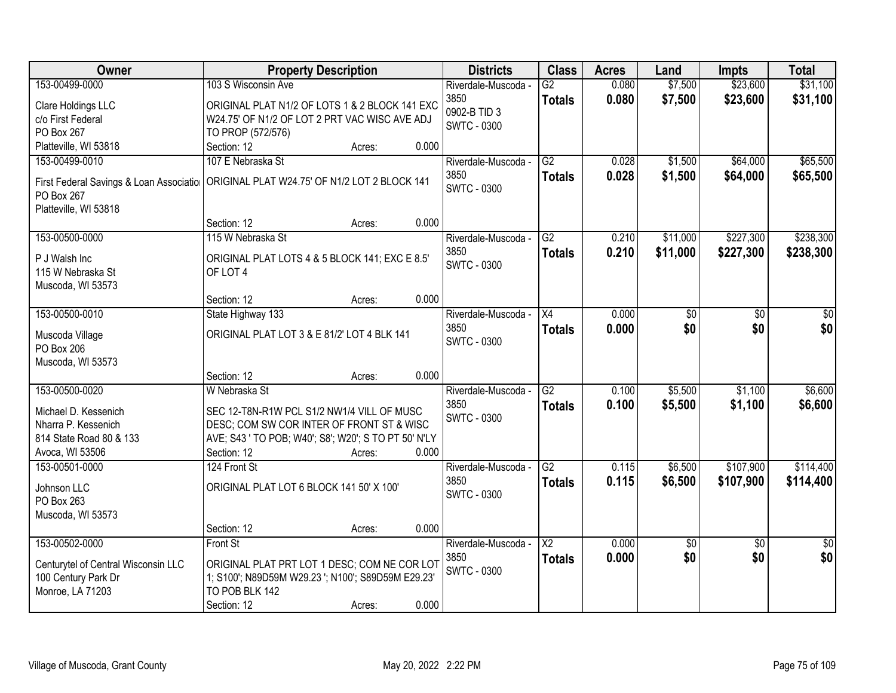| Owner                                   |                                                      | <b>Property Description</b> |       | <b>Districts</b>            | <b>Class</b>           | <b>Acres</b> | Land            | <b>Impts</b>    | <b>Total</b>    |
|-----------------------------------------|------------------------------------------------------|-----------------------------|-------|-----------------------------|------------------------|--------------|-----------------|-----------------|-----------------|
| 153-00499-0000                          | 103 S Wisconsin Ave                                  |                             |       | Riverdale-Muscoda -         | $\overline{G2}$        | 0.080        | \$7,500         | \$23,600        | \$31,100        |
| Clare Holdings LLC                      | ORIGINAL PLAT N1/2 OF LOTS 1 & 2 BLOCK 141 EXC       |                             |       | 3850                        | <b>Totals</b>          | 0.080        | \$7,500         | \$23,600        | \$31,100        |
| c/o First Federal                       | W24.75' OF N1/2 OF LOT 2 PRT VAC WISC AVE ADJ        |                             |       | 0902-B TID 3                |                        |              |                 |                 |                 |
| PO Box 267                              | TO PROP (572/576)                                    |                             |       | SWTC - 0300                 |                        |              |                 |                 |                 |
| Platteville, WI 53818                   | Section: 12                                          | Acres:                      | 0.000 |                             |                        |              |                 |                 |                 |
| 153-00499-0010                          | 107 E Nebraska St                                    |                             |       | Riverdale-Muscoda -         | $\overline{G2}$        | 0.028        | \$1,500         | \$64,000        | \$65,500        |
| First Federal Savings & Loan Associatio | ORIGINAL PLAT W24.75' OF N1/2 LOT 2 BLOCK 141        |                             |       | 3850                        | <b>Totals</b>          | 0.028        | \$1,500         | \$64,000        | \$65,500        |
| PO Box 267                              |                                                      |                             |       | <b>SWTC - 0300</b>          |                        |              |                 |                 |                 |
| Platteville, WI 53818                   |                                                      |                             |       |                             |                        |              |                 |                 |                 |
|                                         | Section: 12                                          | Acres:                      | 0.000 |                             |                        |              |                 |                 |                 |
| 153-00500-0000                          | 115 W Nebraska St                                    |                             |       | Riverdale-Muscoda -         | G2                     | 0.210        | \$11,000        | \$227,300       | \$238,300       |
|                                         |                                                      |                             |       | 3850                        | <b>Totals</b>          | 0.210        | \$11,000        | \$227,300       | \$238,300       |
| P J Walsh Inc                           | ORIGINAL PLAT LOTS 4 & 5 BLOCK 141; EXC E 8.5'       |                             |       | <b>SWTC - 0300</b>          |                        |              |                 |                 |                 |
| 115 W Nebraska St<br>Muscoda, WI 53573  | OF LOT 4                                             |                             |       |                             |                        |              |                 |                 |                 |
|                                         | Section: 12                                          | Acres:                      | 0.000 |                             |                        |              |                 |                 |                 |
| 153-00500-0010                          | State Highway 133                                    |                             |       | Riverdale-Muscoda -         | X4                     | 0.000        | \$0             | \$0             | \$0             |
|                                         |                                                      |                             |       | 3850                        | <b>Totals</b>          | 0.000        | \$0             | \$0             | \$0             |
| Muscoda Village                         | ORIGINAL PLAT LOT 3 & E 81/2' LOT 4 BLK 141          |                             |       | <b>SWTC - 0300</b>          |                        |              |                 |                 |                 |
| PO Box 206                              |                                                      |                             |       |                             |                        |              |                 |                 |                 |
| Muscoda, WI 53573                       |                                                      |                             | 0.000 |                             |                        |              |                 |                 |                 |
| 153-00500-0020                          | Section: 12<br>W Nebraska St                         | Acres:                      |       |                             | $\overline{G2}$        | 0.100        |                 |                 |                 |
|                                         |                                                      |                             |       | Riverdale-Muscoda -<br>3850 |                        | 0.100        | \$5,500         | \$1,100         | \$6,600         |
| Michael D. Kessenich                    | SEC 12-T8N-R1W PCL S1/2 NW1/4 VILL OF MUSC           |                             |       | <b>SWTC - 0300</b>          | <b>Totals</b>          |              | \$5,500         | \$1,100         | \$6,600         |
| Nharra P. Kessenich                     | DESC; COM SW COR INTER OF FRONT ST & WISC            |                             |       |                             |                        |              |                 |                 |                 |
| 814 State Road 80 & 133                 | AVE; S43 ' TO POB; W40'; S8'; W20'; S TO PT 50' N'LY |                             |       |                             |                        |              |                 |                 |                 |
| Avoca, WI 53506                         | Section: 12                                          | Acres:                      | 0.000 |                             |                        |              |                 |                 |                 |
| 153-00501-0000                          | 124 Front St                                         |                             |       | Riverdale-Muscoda -         | $\overline{G2}$        | 0.115        | \$6,500         | \$107,900       | \$114,400       |
| Johnson LLC                             | ORIGINAL PLAT LOT 6 BLOCK 141 50' X 100'             |                             |       | 3850                        | <b>Totals</b>          | 0.115        | \$6,500         | \$107,900       | \$114,400       |
| PO Box 263                              |                                                      |                             |       | <b>SWTC - 0300</b>          |                        |              |                 |                 |                 |
| Muscoda, WI 53573                       |                                                      |                             |       |                             |                        |              |                 |                 |                 |
|                                         | Section: 12                                          | Acres:                      | 0.000 |                             |                        |              |                 |                 |                 |
| 153-00502-0000                          | Front St                                             |                             |       | Riverdale-Muscoda -         | $\overline{\text{X2}}$ | 0.000        | $\overline{50}$ | $\overline{30}$ | $\overline{50}$ |
| Centurytel of Central Wisconsin LLC     | ORIGINAL PLAT PRT LOT 1 DESC; COM NE COR LOT         |                             |       | 3850                        | <b>Totals</b>          | 0.000        | \$0             | \$0             | \$0             |
| 100 Century Park Dr                     | 1; S100'; N89D59M W29.23 '; N100'; S89D59M E29.23'   |                             |       | <b>SWTC - 0300</b>          |                        |              |                 |                 |                 |
| Monroe, LA 71203                        | TO POB BLK 142                                       |                             |       |                             |                        |              |                 |                 |                 |
|                                         | Section: 12                                          | Acres:                      | 0.000 |                             |                        |              |                 |                 |                 |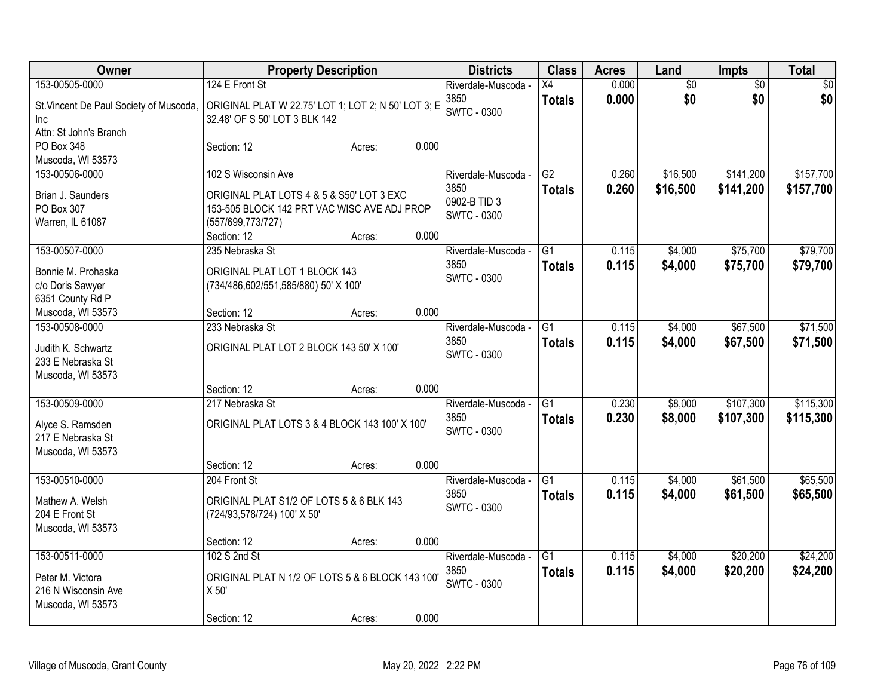| <b>Owner</b>                                                                                        | <b>Property Description</b>                                                                                                                                            | <b>Districts</b>                                                  | <b>Class</b>                     | <b>Acres</b>   | Land                   | Impts                  | <b>Total</b>           |
|-----------------------------------------------------------------------------------------------------|------------------------------------------------------------------------------------------------------------------------------------------------------------------------|-------------------------------------------------------------------|----------------------------------|----------------|------------------------|------------------------|------------------------|
| 153-00505-0000<br>St. Vincent De Paul Society of Muscoda,<br><b>Inc</b>                             | 124 E Front St<br>ORIGINAL PLAT W 22.75' LOT 1; LOT 2; N 50' LOT 3; E<br>32.48' OF S 50' LOT 3 BLK 142                                                                 | Riverdale-Muscoda -<br>3850<br><b>SWTC - 0300</b>                 | X4<br><b>Totals</b>              | 0.000<br>0.000 | $\overline{50}$<br>\$0 | $\overline{50}$<br>\$0 | \$0<br>\$0             |
| Attn: St John's Branch<br>PO Box 348<br>Muscoda, WI 53573                                           | 0.000<br>Section: 12<br>Acres:                                                                                                                                         |                                                                   |                                  |                |                        |                        |                        |
| 153-00506-0000<br>Brian J. Saunders<br>PO Box 307<br>Warren, IL 61087                               | 102 S Wisconsin Ave<br>ORIGINAL PLAT LOTS 4 & 5 & S50' LOT 3 EXC<br>153-505 BLOCK 142 PRT VAC WISC AVE ADJ PROP<br>(557/699,773/727)<br>0.000<br>Section: 12<br>Acres: | Riverdale-Muscoda -<br>3850<br>0902-B TID 3<br><b>SWTC - 0300</b> | G2<br><b>Totals</b>              | 0.260<br>0.260 | \$16,500<br>\$16,500   | \$141,200<br>\$141,200 | \$157,700<br>\$157,700 |
| 153-00507-0000<br>Bonnie M. Prohaska<br>c/o Doris Sawyer<br>6351 County Rd P                        | 235 Nebraska St<br>ORIGINAL PLAT LOT 1 BLOCK 143<br>(734/486,602/551,585/880) 50' X 100'                                                                               | Riverdale-Muscoda -<br>3850<br><b>SWTC - 0300</b>                 | $\overline{G1}$<br><b>Totals</b> | 0.115<br>0.115 | \$4,000<br>\$4,000     | \$75,700<br>\$75,700   | \$79,700<br>\$79,700   |
| Muscoda, WI 53573<br>153-00508-0000<br>Judith K. Schwartz<br>233 E Nebraska St<br>Muscoda, WI 53573 | 0.000<br>Section: 12<br>Acres:<br>233 Nebraska St<br>ORIGINAL PLAT LOT 2 BLOCK 143 50' X 100'                                                                          | Riverdale-Muscoda -<br>3850<br><b>SWTC - 0300</b>                 | $\overline{G1}$<br><b>Totals</b> | 0.115<br>0.115 | \$4,000<br>\$4,000     | \$67,500<br>\$67,500   | \$71,500<br>\$71,500   |
| 153-00509-0000<br>Alyce S. Ramsden<br>217 E Nebraska St<br>Muscoda, WI 53573                        | 0.000<br>Section: 12<br>Acres:<br>217 Nebraska St<br>ORIGINAL PLAT LOTS 3 & 4 BLOCK 143 100' X 100'                                                                    | Riverdale-Muscoda -<br>3850<br><b>SWTC - 0300</b>                 | G1<br><b>Totals</b>              | 0.230<br>0.230 | \$8,000<br>\$8,000     | \$107,300<br>\$107,300 | \$115,300<br>\$115,300 |
| 153-00510-0000<br>Mathew A. Welsh<br>204 E Front St<br>Muscoda, WI 53573                            | 0.000<br>Section: 12<br>Acres:<br>204 Front St<br>ORIGINAL PLAT S1/2 OF LOTS 5 & 6 BLK 143<br>(724/93,578/724) 100' X 50'                                              | Riverdale-Muscoda -<br>3850<br><b>SWTC - 0300</b>                 | $\overline{G1}$<br><b>Totals</b> | 0.115<br>0.115 | \$4,000<br>\$4,000     | \$61,500<br>\$61,500   | \$65,500<br>\$65,500   |
| 153-00511-0000<br>Peter M. Victora<br>216 N Wisconsin Ave<br>Muscoda, WI 53573                      | 0.000<br>Section: 12<br>Acres:<br>102 S 2nd St<br>ORIGINAL PLAT N 1/2 OF LOTS 5 & 6 BLOCK 143 100'<br>X 50'<br>0.000<br>Section: 12<br>Acres:                          | Riverdale-Muscoda -<br>3850<br><b>SWTC - 0300</b>                 | $\overline{G1}$<br><b>Totals</b> | 0.115<br>0.115 | \$4,000<br>\$4,000     | \$20,200<br>\$20,200   | \$24,200<br>\$24,200   |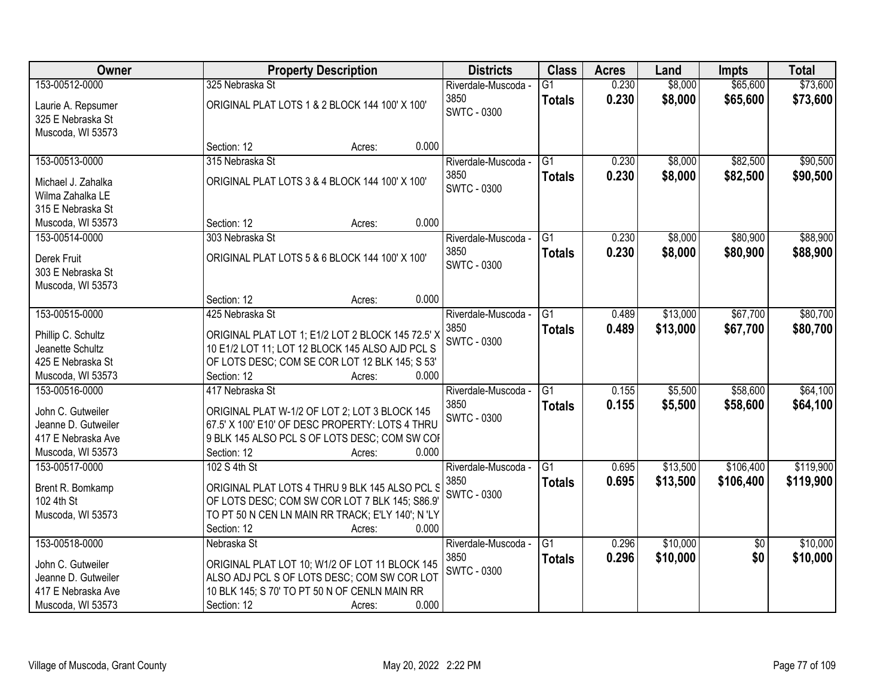| Owner               | <b>Property Description</b>                       | <b>Districts</b>            | <b>Class</b>    | <b>Acres</b> | Land     | <b>Impts</b>    | <b>Total</b> |
|---------------------|---------------------------------------------------|-----------------------------|-----------------|--------------|----------|-----------------|--------------|
| 153-00512-0000      | 325 Nebraska St                                   | Riverdale-Muscoda -         | $\overline{G1}$ | 0.230        | \$8,000  | \$65,600        | \$73,600     |
| Laurie A. Repsumer  | ORIGINAL PLAT LOTS 1 & 2 BLOCK 144 100' X 100'    | 3850<br><b>SWTC - 0300</b>  | <b>Totals</b>   | 0.230        | \$8,000  | \$65,600        | \$73,600     |
| 325 E Nebraska St   |                                                   |                             |                 |              |          |                 |              |
| Muscoda, WI 53573   |                                                   |                             |                 |              |          |                 |              |
|                     | 0.000<br>Section: 12<br>Acres:                    |                             |                 |              |          |                 |              |
| 153-00513-0000      | 315 Nebraska St                                   | Riverdale-Muscoda -         | $\overline{G1}$ | 0.230        | \$8,000  | \$82,500        | \$90,500     |
| Michael J. Zahalka  | ORIGINAL PLAT LOTS 3 & 4 BLOCK 144 100' X 100'    | 3850                        | <b>Totals</b>   | 0.230        | \$8,000  | \$82,500        | \$90,500     |
| Wilma Zahalka LE    |                                                   | SWTC - 0300                 |                 |              |          |                 |              |
| 315 E Nebraska St   |                                                   |                             |                 |              |          |                 |              |
| Muscoda, WI 53573   | 0.000<br>Section: 12<br>Acres:                    |                             |                 |              |          |                 |              |
| 153-00514-0000      | 303 Nebraska St                                   | Riverdale-Muscoda -         | G1              | 0.230        | \$8,000  | \$80,900        | \$88,900     |
|                     |                                                   | 3850                        | <b>Totals</b>   | 0.230        | \$8,000  | \$80,900        | \$88,900     |
| Derek Fruit         | ORIGINAL PLAT LOTS 5 & 6 BLOCK 144 100' X 100'    | <b>SWTC - 0300</b>          |                 |              |          |                 |              |
| 303 E Nebraska St   |                                                   |                             |                 |              |          |                 |              |
| Muscoda, WI 53573   | 0.000<br>Section: 12                              |                             |                 |              |          |                 |              |
| 153-00515-0000      | Acres:<br>425 Nebraska St                         |                             | G1              | 0.489        | \$13,000 | \$67,700        | \$80,700     |
|                     |                                                   | Riverdale-Muscoda -<br>3850 |                 |              |          |                 |              |
| Phillip C. Schultz  | ORIGINAL PLAT LOT 1; E1/2 LOT 2 BLOCK 145 72.5' X | <b>SWTC - 0300</b>          | <b>Totals</b>   | 0.489        | \$13,000 | \$67,700        | \$80,700     |
| Jeanette Schultz    | 10 E1/2 LOT 11; LOT 12 BLOCK 145 ALSO AJD PCL S   |                             |                 |              |          |                 |              |
| 425 E Nebraska St   | OF LOTS DESC; COM SE COR LOT 12 BLK 145; S 53'    |                             |                 |              |          |                 |              |
| Muscoda, WI 53573   | Section: 12<br>0.000<br>Acres:                    |                             |                 |              |          |                 |              |
| 153-00516-0000      | 417 Nebraska St                                   | Riverdale-Muscoda -         | $\overline{G1}$ | 0.155        | \$5,500  | \$58,600        | \$64,100     |
| John C. Gutweiler   | ORIGINAL PLAT W-1/2 OF LOT 2; LOT 3 BLOCK 145     | 3850                        | <b>Totals</b>   | 0.155        | \$5,500  | \$58,600        | \$64,100     |
| Jeanne D. Gutweiler | 67.5' X 100' E10' OF DESC PROPERTY: LOTS 4 THRU   | <b>SWTC - 0300</b>          |                 |              |          |                 |              |
| 417 E Nebraska Ave  | 9 BLK 145 ALSO PCL S OF LOTS DESC; COM SW COF     |                             |                 |              |          |                 |              |
| Muscoda, WI 53573   | 0.000<br>Section: 12<br>Acres:                    |                             |                 |              |          |                 |              |
| 153-00517-0000      | 102 S 4th St                                      | Riverdale-Muscoda -         | $\overline{G1}$ | 0.695        | \$13,500 | \$106,400       | \$119,900    |
|                     |                                                   | 3850                        | <b>Totals</b>   | 0.695        | \$13,500 | \$106,400       | \$119,900    |
| Brent R. Bomkamp    | ORIGINAL PLAT LOTS 4 THRU 9 BLK 145 ALSO PCL S    | <b>SWTC - 0300</b>          |                 |              |          |                 |              |
| 102 4th St          | OF LOTS DESC; COM SW COR LOT 7 BLK 145; S86.9'    |                             |                 |              |          |                 |              |
| Muscoda, WI 53573   | TO PT 50 N CEN LN MAIN RR TRACK; E'LY 140'; N 'LY |                             |                 |              |          |                 |              |
|                     | 0.000<br>Section: 12<br>Acres:                    |                             |                 |              |          |                 |              |
| 153-00518-0000      | Nebraska St                                       | Riverdale-Muscoda -         | G1              | 0.296        | \$10,000 | $\overline{30}$ | \$10,000     |
| John C. Gutweiler   | ORIGINAL PLAT LOT 10; W1/2 OF LOT 11 BLOCK 145    | 3850                        | <b>Totals</b>   | 0.296        | \$10,000 | \$0             | \$10,000     |
| Jeanne D. Gutweiler | ALSO ADJ PCL S OF LOTS DESC; COM SW COR LOT       | SWTC - 0300                 |                 |              |          |                 |              |
| 417 E Nebraska Ave  | 10 BLK 145; S 70' TO PT 50 N OF CENLN MAIN RR     |                             |                 |              |          |                 |              |
| Muscoda, WI 53573   | 0.000<br>Section: 12<br>Acres:                    |                             |                 |              |          |                 |              |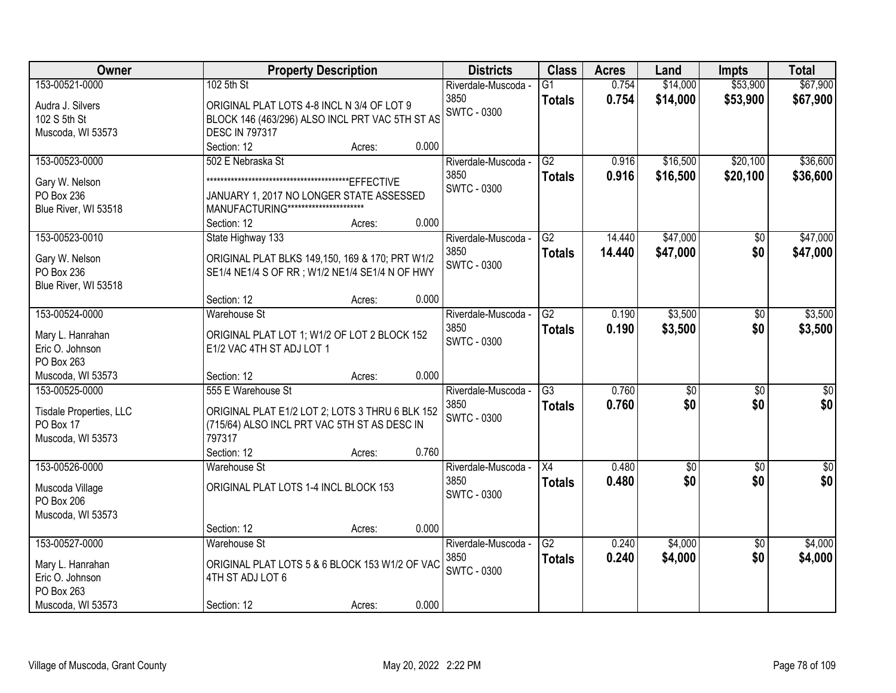| Owner                          | <b>Property Description</b>                                   | <b>Districts</b>    | <b>Class</b>    | <b>Acres</b> | Land            | <b>Impts</b>    | <b>Total</b>    |
|--------------------------------|---------------------------------------------------------------|---------------------|-----------------|--------------|-----------------|-----------------|-----------------|
| 153-00521-0000                 | 102 5th St                                                    | Riverdale-Muscoda - | $\overline{G1}$ | 0.754        | \$14,000        | \$53,900        | \$67,900        |
| Audra J. Silvers               | ORIGINAL PLAT LOTS 4-8 INCL N 3/4 OF LOT 9                    | 3850                | <b>Totals</b>   | 0.754        | \$14,000        | \$53,900        | \$67,900        |
| 102 S 5th St                   | BLOCK 146 (463/296) ALSO INCL PRT VAC 5TH ST AS               | <b>SWTC - 0300</b>  |                 |              |                 |                 |                 |
| Muscoda, WI 53573              | <b>DESC IN 797317</b>                                         |                     |                 |              |                 |                 |                 |
|                                | 0.000<br>Section: 12<br>Acres:                                |                     |                 |              |                 |                 |                 |
| 153-00523-0000                 | 502 E Nebraska St                                             | Riverdale-Muscoda - | G2              | 0.916        | \$16,500        | \$20,100        | \$36,600        |
|                                |                                                               | 3850                | <b>Totals</b>   | 0.916        | \$16,500        | \$20,100        | \$36,600        |
| Gary W. Nelson                 |                                                               | <b>SWTC - 0300</b>  |                 |              |                 |                 |                 |
| PO Box 236                     | JANUARY 1, 2017 NO LONGER STATE ASSESSED                      |                     |                 |              |                 |                 |                 |
| Blue River, WI 53518           | MANUFACTURING ***********************<br>0.000<br>Section: 12 |                     |                 |              |                 |                 |                 |
| 153-00523-0010                 | Acres:<br>State Highway 133                                   | Riverdale-Muscoda - | G2              | 14.440       | \$47,000        | $\sqrt[6]{}$    | \$47,000        |
|                                |                                                               | 3850                |                 | 14.440       | \$47,000        | \$0             |                 |
| Gary W. Nelson                 | ORIGINAL PLAT BLKS 149,150, 169 & 170; PRT W1/2               | <b>SWTC - 0300</b>  | <b>Totals</b>   |              |                 |                 | \$47,000        |
| PO Box 236                     | SE1/4 NE1/4 S OF RR ; W1/2 NE1/4 SE1/4 N OF HWY               |                     |                 |              |                 |                 |                 |
| Blue River, WI 53518           |                                                               |                     |                 |              |                 |                 |                 |
|                                | Section: 12<br>0.000<br>Acres:                                |                     |                 |              |                 |                 |                 |
| 153-00524-0000                 | <b>Warehouse St</b>                                           | Riverdale-Muscoda - | G2              | 0.190        | \$3,500         | \$0             | \$3,500         |
| Mary L. Hanrahan               | ORIGINAL PLAT LOT 1; W1/2 OF LOT 2 BLOCK 152                  | 3850                | <b>Totals</b>   | 0.190        | \$3,500         | \$0             | \$3,500         |
| Eric O. Johnson                | E1/2 VAC 4TH ST ADJ LOT 1                                     | <b>SWTC - 0300</b>  |                 |              |                 |                 |                 |
| PO Box 263                     |                                                               |                     |                 |              |                 |                 |                 |
| Muscoda, WI 53573              | 0.000<br>Section: 12<br>Acres:                                |                     |                 |              |                 |                 |                 |
| 153-00525-0000                 | 555 E Warehouse St                                            | Riverdale-Muscoda - | $\overline{G3}$ | 0.760        | $\overline{50}$ | $\overline{30}$ | $\overline{30}$ |
|                                |                                                               | 3850                | <b>Totals</b>   | 0.760        | \$0             | \$0             | \$0             |
| Tisdale Properties, LLC        | ORIGINAL PLAT E1/2 LOT 2; LOTS 3 THRU 6 BLK 152               | <b>SWTC - 0300</b>  |                 |              |                 |                 |                 |
| PO Box 17<br>Muscoda, WI 53573 | (715/64) ALSO INCL PRT VAC 5TH ST AS DESC IN<br>797317        |                     |                 |              |                 |                 |                 |
|                                | Section: 12<br>0.760<br>Acres:                                |                     |                 |              |                 |                 |                 |
| 153-00526-0000                 | Warehouse St                                                  | Riverdale-Muscoda - | X4              | 0.480        | $\sqrt{$0}$     | $\sqrt{6}$      | $\sqrt{50}$     |
|                                |                                                               | 3850                |                 | 0.480        | \$0             | \$0             | \$0             |
| Muscoda Village                | ORIGINAL PLAT LOTS 1-4 INCL BLOCK 153                         | <b>SWTC - 0300</b>  | <b>Totals</b>   |              |                 |                 |                 |
| PO Box 206                     |                                                               |                     |                 |              |                 |                 |                 |
| Muscoda, WI 53573              |                                                               |                     |                 |              |                 |                 |                 |
|                                | 0.000<br>Section: 12<br>Acres:                                |                     |                 |              |                 |                 |                 |
| 153-00527-0000                 | <b>Warehouse St</b>                                           | Riverdale-Muscoda - | G2              | 0.240        | \$4,000         | $\overline{50}$ | \$4,000         |
| Mary L. Hanrahan               | ORIGINAL PLAT LOTS 5 & 6 BLOCK 153 W1/2 OF VAC                | 3850                | <b>Totals</b>   | 0.240        | \$4,000         | \$0             | \$4,000         |
| Eric O. Johnson                | 4TH ST ADJ LOT 6                                              | <b>SWTC - 0300</b>  |                 |              |                 |                 |                 |
| PO Box 263                     |                                                               |                     |                 |              |                 |                 |                 |
| Muscoda, WI 53573              | 0.000<br>Section: 12<br>Acres:                                |                     |                 |              |                 |                 |                 |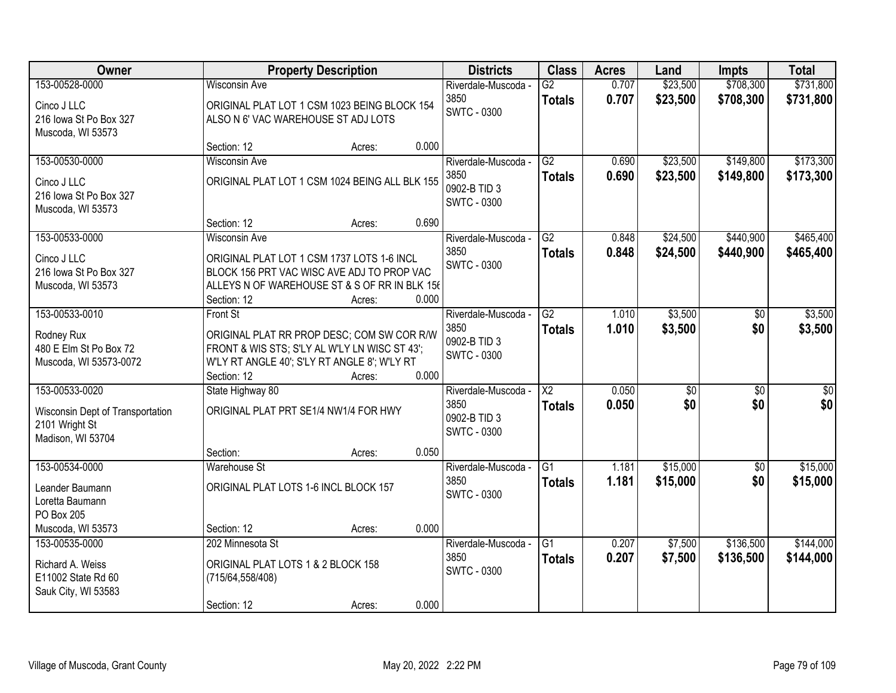| Owner                                                          |                                                                                                                                             | <b>Property Description</b> |       | <b>Districts</b>                           | <b>Class</b>                            | <b>Acres</b>   | Land                 | <b>Impts</b>           | <b>Total</b>           |
|----------------------------------------------------------------|---------------------------------------------------------------------------------------------------------------------------------------------|-----------------------------|-------|--------------------------------------------|-----------------------------------------|----------------|----------------------|------------------------|------------------------|
| 153-00528-0000                                                 | <b>Wisconsin Ave</b>                                                                                                                        |                             |       | Riverdale-Muscoda -<br>3850                | $\overline{G2}$<br><b>Totals</b>        | 0.707<br>0.707 | \$23,500<br>\$23,500 | \$708,300<br>\$708,300 | \$731,800<br>\$731,800 |
| Cinco J LLC<br>216 Iowa St Po Box 327<br>Muscoda, WI 53573     | ORIGINAL PLAT LOT 1 CSM 1023 BEING BLOCK 154<br>ALSO N 6' VAC WAREHOUSE ST ADJ LOTS                                                         |                             |       | <b>SWTC - 0300</b>                         |                                         |                |                      |                        |                        |
|                                                                | Section: 12                                                                                                                                 | Acres:                      | 0.000 |                                            |                                         |                |                      |                        |                        |
| 153-00530-0000                                                 | <b>Wisconsin Ave</b>                                                                                                                        |                             |       | Riverdale-Muscoda -                        | G2                                      | 0.690          | \$23,500             | \$149,800              | \$173,300              |
| Cinco J LLC<br>216 Iowa St Po Box 327<br>Muscoda, WI 53573     | ORIGINAL PLAT LOT 1 CSM 1024 BEING ALL BLK 155                                                                                              |                             |       | 3850<br>0902-B TID 3<br><b>SWTC - 0300</b> | <b>Totals</b>                           | 0.690          | \$23,500             | \$149,800              | \$173,300              |
|                                                                | Section: 12                                                                                                                                 | Acres:                      | 0.690 |                                            |                                         |                |                      |                        |                        |
| 153-00533-0000                                                 | <b>Wisconsin Ave</b>                                                                                                                        |                             |       | Riverdale-Muscoda -                        | G2                                      | 0.848          | \$24,500             | \$440,900              | \$465,400              |
| Cinco J LLC                                                    | ORIGINAL PLAT LOT 1 CSM 1737 LOTS 1-6 INCL                                                                                                  |                             |       | 3850<br><b>SWTC - 0300</b>                 | <b>Totals</b>                           | 0.848          | \$24,500             | \$440,900              | \$465,400              |
| 216 Iowa St Po Box 327                                         | BLOCK 156 PRT VAC WISC AVE ADJ TO PROP VAC                                                                                                  |                             |       |                                            |                                         |                |                      |                        |                        |
| Muscoda, WI 53573                                              | ALLEYS N OF WAREHOUSE ST & S OF RR IN BLK 156<br>Section: 12                                                                                | Acres:                      | 0.000 |                                            |                                         |                |                      |                        |                        |
| 153-00533-0010                                                 | Front St                                                                                                                                    |                             |       | Riverdale-Muscoda -                        | $\overline{G2}$                         | 1.010          | \$3,500              | \$0                    | \$3,500                |
| Rodney Rux<br>480 E Elm St Po Box 72<br>Muscoda, WI 53573-0072 | ORIGINAL PLAT RR PROP DESC; COM SW COR R/W<br>FRONT & WIS STS; S'LY AL W'LY LN WISC ST 43';<br>W'LY RT ANGLE 40'; S'LY RT ANGLE 8'; W'LY RT |                             |       | 3850<br>0902-B TID 3<br><b>SWTC - 0300</b> | <b>Totals</b>                           | 1.010          | \$3,500              | \$0                    | \$3,500                |
|                                                                | Section: 12                                                                                                                                 | Acres:                      | 0.000 |                                            |                                         |                |                      |                        |                        |
| 153-00533-0020                                                 | State Highway 80                                                                                                                            |                             |       | Riverdale-Muscoda -<br>3850                | $\overline{\text{X2}}$<br><b>Totals</b> | 0.050<br>0.050 | \$0<br>\$0           | $\overline{50}$<br>\$0 | $\overline{50}$<br>\$0 |
| Wisconsin Dept of Transportation<br>2101 Wright St             | ORIGINAL PLAT PRT SE1/4 NW1/4 FOR HWY                                                                                                       |                             |       | 0902-B TID 3                               |                                         |                |                      |                        |                        |
| Madison, WI 53704                                              |                                                                                                                                             |                             |       | <b>SWTC - 0300</b>                         |                                         |                |                      |                        |                        |
|                                                                | Section:                                                                                                                                    | Acres:                      | 0.050 |                                            |                                         |                |                      |                        |                        |
| 153-00534-0000                                                 | <b>Warehouse St</b>                                                                                                                         |                             |       | Riverdale-Muscoda -                        | $\overline{G1}$                         | 1.181          | \$15,000             | $\overline{60}$        | \$15,000               |
| Leander Baumann<br>Loretta Baumann<br>PO Box 205               | ORIGINAL PLAT LOTS 1-6 INCL BLOCK 157                                                                                                       |                             |       | 3850<br><b>SWTC - 0300</b>                 | <b>Totals</b>                           | 1.181          | \$15,000             | \$0                    | \$15,000               |
| Muscoda, WI 53573                                              | Section: 12                                                                                                                                 | Acres:                      | 0.000 |                                            |                                         |                |                      |                        |                        |
| 153-00535-0000                                                 | 202 Minnesota St                                                                                                                            |                             |       | Riverdale-Muscoda -                        | $\overline{G1}$                         | 0.207          | \$7,500              | \$136,500              | \$144,000              |
| Richard A. Weiss<br>E11002 State Rd 60<br>Sauk City, WI 53583  | ORIGINAL PLAT LOTS 1 & 2 BLOCK 158<br>(715/64, 558/408)                                                                                     |                             |       | 3850<br><b>SWTC - 0300</b>                 | <b>Totals</b>                           | 0.207          | \$7,500              | \$136,500              | \$144,000              |
|                                                                | Section: 12                                                                                                                                 | Acres:                      | 0.000 |                                            |                                         |                |                      |                        |                        |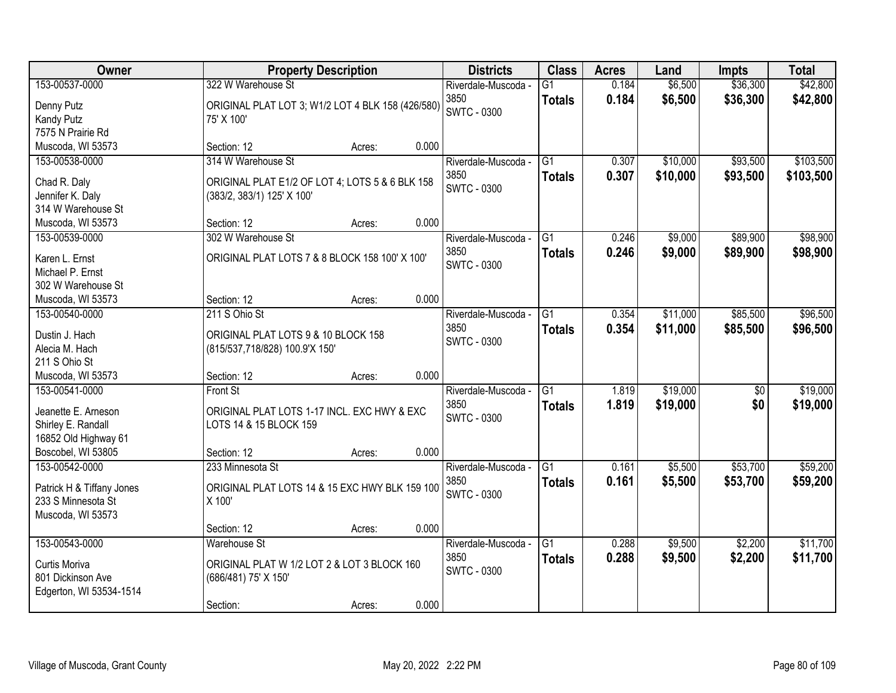| <b>Owner</b>                           | <b>Property Description</b>                       |        |       | <b>Districts</b>    | <b>Class</b>    | <b>Acres</b> | Land     | <b>Impts</b>    | <b>Total</b> |
|----------------------------------------|---------------------------------------------------|--------|-------|---------------------|-----------------|--------------|----------|-----------------|--------------|
| 153-00537-0000                         | 322 W Warehouse St                                |        |       | Riverdale-Muscoda - | $\overline{G1}$ | 0.184        | \$6,500  | \$36,300        | \$42,800     |
| Denny Putz                             | ORIGINAL PLAT LOT 3; W1/2 LOT 4 BLK 158 (426/580) |        |       | 3850                | <b>Totals</b>   | 0.184        | \$6,500  | \$36,300        | \$42,800     |
| <b>Kandy Putz</b>                      | 75' X 100'                                        |        |       | <b>SWTC - 0300</b>  |                 |              |          |                 |              |
| 7575 N Prairie Rd                      |                                                   |        |       |                     |                 |              |          |                 |              |
| Muscoda, WI 53573                      | Section: 12                                       | Acres: | 0.000 |                     |                 |              |          |                 |              |
| 153-00538-0000                         | 314 W Warehouse St                                |        |       | Riverdale-Muscoda - | $\overline{G1}$ | 0.307        | \$10,000 | \$93,500        | \$103,500    |
| Chad R. Daly                           | ORIGINAL PLAT E1/2 OF LOT 4; LOTS 5 & 6 BLK 158   |        |       | 3850                | <b>Totals</b>   | 0.307        | \$10,000 | \$93,500        | \$103,500    |
| Jennifer K. Daly                       | (383/2, 383/1) 125' X 100'                        |        |       | <b>SWTC - 0300</b>  |                 |              |          |                 |              |
| 314 W Warehouse St                     |                                                   |        |       |                     |                 |              |          |                 |              |
| Muscoda, WI 53573                      | Section: 12                                       | Acres: | 0.000 |                     |                 |              |          |                 |              |
| 153-00539-0000                         | 302 W Warehouse St                                |        |       | Riverdale-Muscoda - | G1              | 0.246        | \$9,000  | \$89,900        | \$98,900     |
|                                        |                                                   |        |       | 3850                | <b>Totals</b>   | 0.246        | \$9,000  | \$89,900        | \$98,900     |
| Karen L. Ernst                         | ORIGINAL PLAT LOTS 7 & 8 BLOCK 158 100' X 100'    |        |       | <b>SWTC - 0300</b>  |                 |              |          |                 |              |
| Michael P. Ernst<br>302 W Warehouse St |                                                   |        |       |                     |                 |              |          |                 |              |
| Muscoda, WI 53573                      | Section: 12                                       | Acres: | 0.000 |                     |                 |              |          |                 |              |
| 153-00540-0000                         | 211 S Ohio St                                     |        |       | Riverdale-Muscoda - | G1              | 0.354        | \$11,000 | \$85,500        | \$96,500     |
|                                        |                                                   |        |       | 3850                | <b>Totals</b>   | 0.354        | \$11,000 | \$85,500        | \$96,500     |
| Dustin J. Hach                         | ORIGINAL PLAT LOTS 9 & 10 BLOCK 158               |        |       | <b>SWTC - 0300</b>  |                 |              |          |                 |              |
| Alecia M. Hach                         | (815/537,718/828) 100.9'X 150'                    |        |       |                     |                 |              |          |                 |              |
| 211 S Ohio St                          |                                                   |        |       |                     |                 |              |          |                 |              |
| Muscoda, WI 53573                      | Section: 12                                       | Acres: | 0.000 |                     |                 |              |          |                 |              |
| 153-00541-0000                         | Front St                                          |        |       | Riverdale-Muscoda - | $\overline{G1}$ | 1.819        | \$19,000 | $\overline{50}$ | \$19,000     |
| Jeanette E. Arneson                    | ORIGINAL PLAT LOTS 1-17 INCL. EXC HWY & EXC       |        |       | 3850                | <b>Totals</b>   | 1.819        | \$19,000 | \$0             | \$19,000     |
| Shirley E. Randall                     | LOTS 14 & 15 BLOCK 159                            |        |       | <b>SWTC - 0300</b>  |                 |              |          |                 |              |
| 16852 Old Highway 61                   |                                                   |        |       |                     |                 |              |          |                 |              |
| Boscobel, WI 53805                     | Section: 12                                       | Acres: | 0.000 |                     |                 |              |          |                 |              |
| 153-00542-0000                         | 233 Minnesota St                                  |        |       | Riverdale-Muscoda - | $\overline{G1}$ | 0.161        | \$5,500  | \$53,700        | \$59,200     |
| Patrick H & Tiffany Jones              | ORIGINAL PLAT LOTS 14 & 15 EXC HWY BLK 159 100    |        |       | 3850                | <b>Totals</b>   | 0.161        | \$5,500  | \$53,700        | \$59,200     |
| 233 S Minnesota St                     | X 100'                                            |        |       | <b>SWTC - 0300</b>  |                 |              |          |                 |              |
| Muscoda, WI 53573                      |                                                   |        |       |                     |                 |              |          |                 |              |
|                                        | Section: 12                                       | Acres: | 0.000 |                     |                 |              |          |                 |              |
| 153-00543-0000                         | <b>Warehouse St</b>                               |        |       | Riverdale-Muscoda - | $\overline{G1}$ | 0.288        | \$9,500  | \$2,200         | \$11,700     |
|                                        | ORIGINAL PLAT W 1/2 LOT 2 & LOT 3 BLOCK 160       |        |       | 3850                | <b>Totals</b>   | 0.288        | \$9,500  | \$2,200         | \$11,700     |
| Curtis Moriva<br>801 Dickinson Ave     |                                                   |        |       | <b>SWTC - 0300</b>  |                 |              |          |                 |              |
| Edgerton, WI 53534-1514                | (686/481) 75' X 150'                              |        |       |                     |                 |              |          |                 |              |
|                                        | Section:                                          | Acres: | 0.000 |                     |                 |              |          |                 |              |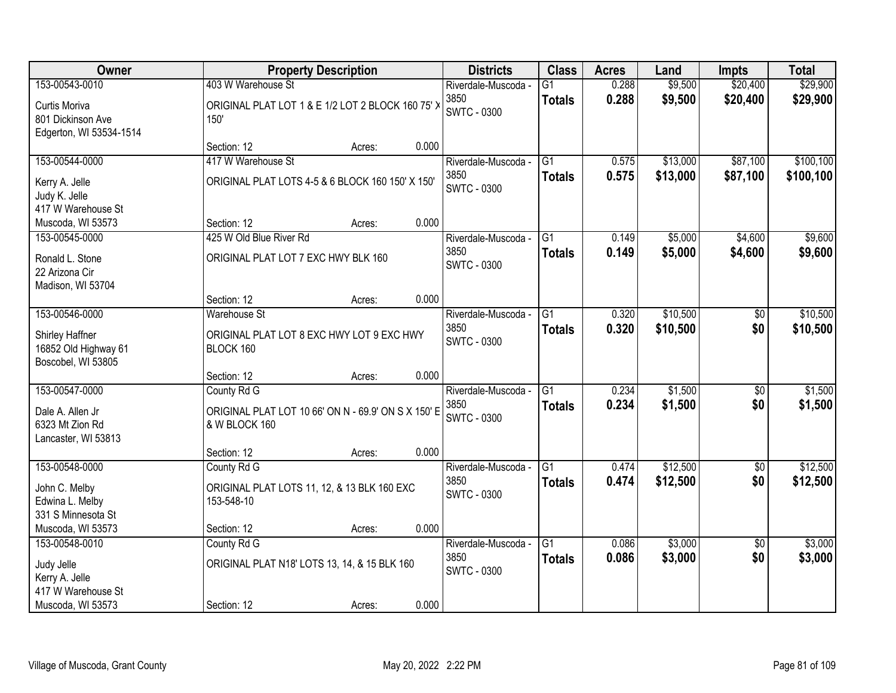| Owner                                                         |                                                                      | <b>Property Description</b> |       | <b>Districts</b>                                  | <b>Class</b>                     | <b>Acres</b>   | Land               | <b>Impts</b>           | <b>Total</b>       |
|---------------------------------------------------------------|----------------------------------------------------------------------|-----------------------------|-------|---------------------------------------------------|----------------------------------|----------------|--------------------|------------------------|--------------------|
| 153-00543-0010                                                | 403 W Warehouse St                                                   |                             |       | Riverdale-Muscoda -                               | $\overline{G1}$                  | 0.288          | \$9,500            | \$20,400               | \$29,900           |
| Curtis Moriva<br>801 Dickinson Ave<br>Edgerton, WI 53534-1514 | ORIGINAL PLAT LOT 1 & E 1/2 LOT 2 BLOCK 160 75' ><br>150'            |                             |       | 3850<br><b>SWTC - 0300</b>                        | <b>Totals</b>                    | 0.288          | \$9,500            | \$20,400               | \$29,900           |
|                                                               | Section: 12                                                          | Acres:                      | 0.000 |                                                   |                                  |                |                    |                        |                    |
| 153-00544-0000                                                | 417 W Warehouse St                                                   |                             |       | Riverdale-Muscoda -                               | G1                               | 0.575          | \$13,000           | \$87,100               | \$100, 100         |
| Kerry A. Jelle<br>Judy K. Jelle<br>417 W Warehouse St         | ORIGINAL PLAT LOTS 4-5 & 6 BLOCK 160 150' X 150'                     |                             |       | 3850<br><b>SWTC - 0300</b>                        | <b>Totals</b>                    | 0.575          | \$13,000           | \$87,100               | \$100,100          |
| Muscoda, WI 53573                                             | Section: 12                                                          | Acres:                      | 0.000 |                                                   |                                  |                |                    |                        |                    |
| 153-00545-0000                                                | 425 W Old Blue River Rd                                              |                             |       | Riverdale-Muscoda -                               | G1                               | 0.149          | \$5,000            | \$4,600                | \$9,600            |
| Ronald L. Stone<br>22 Arizona Cir<br>Madison, WI 53704        | ORIGINAL PLAT LOT 7 EXC HWY BLK 160                                  |                             |       | 3850<br><b>SWTC - 0300</b>                        | <b>Totals</b>                    | 0.149          | \$5,000            | \$4,600                | \$9,600            |
|                                                               | Section: 12                                                          | Acres:                      | 0.000 |                                                   |                                  |                |                    |                        |                    |
| 153-00546-0000                                                | <b>Warehouse St</b>                                                  |                             |       | Riverdale-Muscoda -                               | $\overline{G1}$                  | 0.320          | \$10,500           | \$0                    | \$10,500           |
| Shirley Haffner<br>16852 Old Highway 61<br>Boscobel, WI 53805 | ORIGINAL PLAT LOT 8 EXC HWY LOT 9 EXC HWY<br>BLOCK 160               |                             |       | 3850<br><b>SWTC - 0300</b>                        | <b>Totals</b>                    | 0.320          | \$10,500           | \$0                    | \$10,500           |
|                                                               | Section: 12                                                          | Acres:                      | 0.000 |                                                   |                                  |                |                    |                        |                    |
| 153-00547-0000                                                | County Rd G                                                          |                             |       | Riverdale-Muscoda -                               | $\overline{G1}$                  | 0.234          | \$1,500            | \$0                    | \$1,500            |
| Dale A. Allen Jr<br>6323 Mt Zion Rd<br>Lancaster, WI 53813    | ORIGINAL PLAT LOT 10 66' ON N - 69.9' ON S X 150' E<br>& W BLOCK 160 |                             |       | 3850<br><b>SWTC - 0300</b>                        | <b>Totals</b>                    | 0.234          | \$1,500            | \$0                    | \$1,500            |
|                                                               | Section: 12                                                          | Acres:                      | 0.000 |                                                   |                                  |                |                    |                        |                    |
| 153-00548-0000                                                | County Rd G                                                          |                             |       | Riverdale-Muscoda -                               | $\overline{G1}$                  | 0.474          | \$12,500           | $\overline{50}$        | \$12,500           |
| John C. Melby<br>Edwina L. Melby<br>331 S Minnesota St        | ORIGINAL PLAT LOTS 11, 12, & 13 BLK 160 EXC<br>153-548-10            |                             |       | 3850<br><b>SWTC - 0300</b>                        | <b>Totals</b>                    | 0.474          | \$12,500           | \$0                    | \$12,500           |
| Muscoda, WI 53573                                             | Section: 12                                                          | Acres:                      | 0.000 |                                                   |                                  |                |                    |                        |                    |
| 153-00548-0010<br>Judy Jelle<br>Kerry A. Jelle                | County Rd G<br>ORIGINAL PLAT N18' LOTS 13, 14, & 15 BLK 160          |                             |       | Riverdale-Muscoda -<br>3850<br><b>SWTC - 0300</b> | $\overline{G1}$<br><b>Totals</b> | 0.086<br>0.086 | \$3,000<br>\$3,000 | $\overline{50}$<br>\$0 | \$3,000<br>\$3,000 |
| 417 W Warehouse St                                            |                                                                      |                             |       |                                                   |                                  |                |                    |                        |                    |
| Muscoda, WI 53573                                             | Section: 12                                                          | Acres:                      | 0.000 |                                                   |                                  |                |                    |                        |                    |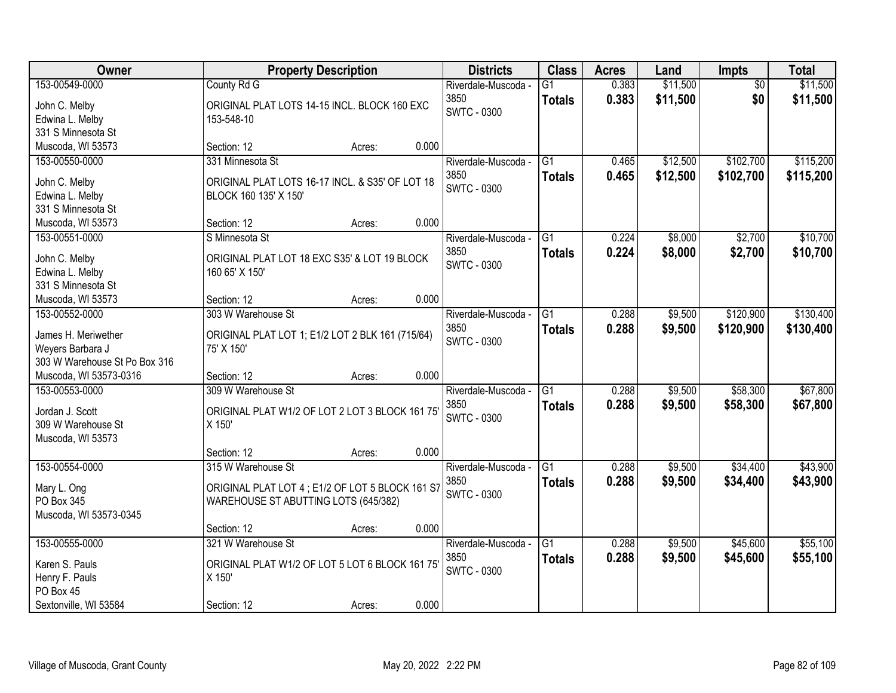| Owner                                                                                      | <b>Property Description</b>                                                                                    | <b>Districts</b>                                  | <b>Class</b>                     | <b>Acres</b>   | Land                 | Impts                  | <b>Total</b>           |
|--------------------------------------------------------------------------------------------|----------------------------------------------------------------------------------------------------------------|---------------------------------------------------|----------------------------------|----------------|----------------------|------------------------|------------------------|
| 153-00549-0000<br>John C. Melby<br>Edwina L. Melby<br>331 S Minnesota St                   | County Rd G<br>ORIGINAL PLAT LOTS 14-15 INCL. BLOCK 160 EXC<br>153-548-10                                      | Riverdale-Muscoda -<br>3850<br><b>SWTC - 0300</b> | $\overline{G1}$<br><b>Totals</b> | 0.383<br>0.383 | \$11,500<br>\$11,500 | $\overline{50}$<br>\$0 | \$11,500<br>\$11,500   |
| Muscoda, WI 53573                                                                          | 0.000<br>Section: 12<br>Acres:                                                                                 |                                                   |                                  |                |                      |                        |                        |
| 153-00550-0000<br>John C. Melby<br>Edwina L. Melby<br>331 S Minnesota St                   | 331 Minnesota St<br>ORIGINAL PLAT LOTS 16-17 INCL. & S35' OF LOT 18<br>BLOCK 160 135' X 150'                   | Riverdale-Muscoda -<br>3850<br><b>SWTC - 0300</b> | $\overline{G1}$<br><b>Totals</b> | 0.465<br>0.465 | \$12,500<br>\$12,500 | \$102,700<br>\$102,700 | \$115,200<br>\$115,200 |
| Muscoda, WI 53573                                                                          | 0.000<br>Section: 12<br>Acres:                                                                                 |                                                   |                                  |                |                      |                        |                        |
| 153-00551-0000<br>John C. Melby<br>Edwina L. Melby<br>331 S Minnesota St                   | S Minnesota St<br>ORIGINAL PLAT LOT 18 EXC S35' & LOT 19 BLOCK<br>160 65' X 150'                               | Riverdale-Muscoda -<br>3850<br><b>SWTC - 0300</b> | G1<br><b>Totals</b>              | 0.224<br>0.224 | \$8,000<br>\$8,000   | \$2,700<br>\$2,700     | \$10,700<br>\$10,700   |
| Muscoda, WI 53573                                                                          | 0.000<br>Section: 12<br>Acres:                                                                                 |                                                   |                                  |                |                      |                        |                        |
| 153-00552-0000<br>James H. Meriwether<br>Weyers Barbara J<br>303 W Warehouse St Po Box 316 | 303 W Warehouse St<br>ORIGINAL PLAT LOT 1; E1/2 LOT 2 BLK 161 (715/64)<br>75' X 150'                           | Riverdale-Muscoda -<br>3850<br>SWTC - 0300        | G1<br><b>Totals</b>              | 0.288<br>0.288 | \$9,500<br>\$9,500   | \$120,900<br>\$120,900 | \$130,400<br>\$130,400 |
| Muscoda, WI 53573-0316                                                                     | 0.000<br>Section: 12<br>Acres:                                                                                 |                                                   |                                  |                |                      |                        |                        |
| 153-00553-0000<br>Jordan J. Scott<br>309 W Warehouse St<br>Muscoda, WI 53573               | 309 W Warehouse St<br>ORIGINAL PLAT W1/2 OF LOT 2 LOT 3 BLOCK 161 75<br>X 150'                                 | Riverdale-Muscoda -<br>3850<br><b>SWTC - 0300</b> | $\overline{G1}$<br><b>Totals</b> | 0.288<br>0.288 | \$9,500<br>\$9,500   | \$58,300<br>\$58,300   | \$67,800<br>\$67,800   |
|                                                                                            | 0.000<br>Section: 12<br>Acres:                                                                                 |                                                   |                                  |                |                      |                        |                        |
| 153-00554-0000<br>Mary L. Ong<br>PO Box 345<br>Muscoda, WI 53573-0345                      | 315 W Warehouse St<br>ORIGINAL PLAT LOT 4 ; E1/2 OF LOT 5 BLOCK 161 S7<br>WAREHOUSE ST ABUTTING LOTS (645/382) | Riverdale-Muscoda -<br>3850<br><b>SWTC - 0300</b> | $\overline{G1}$<br><b>Totals</b> | 0.288<br>0.288 | \$9,500<br>\$9,500   | \$34,400<br>\$34,400   | \$43,900<br>\$43,900   |
|                                                                                            | 0.000<br>Section: 12<br>Acres:                                                                                 |                                                   |                                  |                |                      |                        |                        |
| 153-00555-0000<br>Karen S. Pauls<br>Henry F. Pauls<br>PO Box 45<br>Sextonville, WI 53584   | 321 W Warehouse St<br>ORIGINAL PLAT W1/2 OF LOT 5 LOT 6 BLOCK 161 75<br>X 150'<br>0.000<br>Section: 12         | Riverdale-Muscoda -<br>3850<br>SWTC - 0300        | $\overline{G1}$<br><b>Totals</b> | 0.288<br>0.288 | \$9,500<br>\$9,500   | \$45,600<br>\$45,600   | \$55,100<br>\$55,100   |
|                                                                                            | Acres:                                                                                                         |                                                   |                                  |                |                      |                        |                        |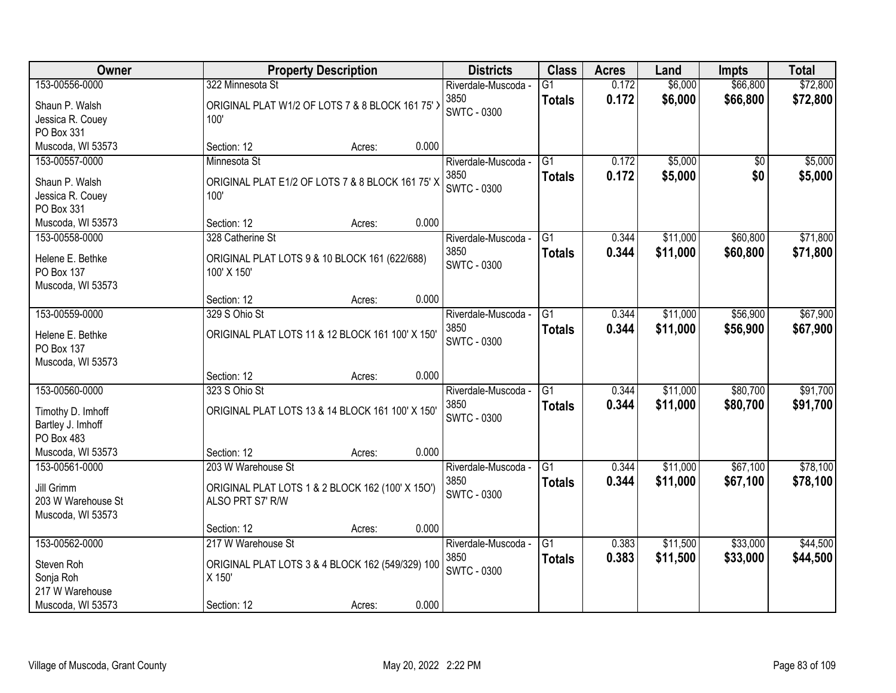| Owner              | <b>Property Description</b>                      | <b>Districts</b>    | <b>Class</b>    | <b>Acres</b> | Land     | <b>Impts</b> | <b>Total</b> |
|--------------------|--------------------------------------------------|---------------------|-----------------|--------------|----------|--------------|--------------|
| 153-00556-0000     | 322 Minnesota St                                 | Riverdale-Muscoda - | $\overline{G1}$ | 0.172        | \$6,000  | \$66,800     | \$72,800     |
| Shaun P. Walsh     | ORIGINAL PLAT W1/2 OF LOTS 7 & 8 BLOCK 161 75' > | 3850                | <b>Totals</b>   | 0.172        | \$6,000  | \$66,800     | \$72,800     |
| Jessica R. Couey   | 100'                                             | <b>SWTC - 0300</b>  |                 |              |          |              |              |
| PO Box 331         |                                                  |                     |                 |              |          |              |              |
| Muscoda, WI 53573  | Section: 12<br>Acres:                            | 0.000               |                 |              |          |              |              |
| 153-00557-0000     | Minnesota St                                     | Riverdale-Muscoda - | $\overline{G1}$ | 0.172        | \$5,000  | \$0          | \$5,000      |
| Shaun P. Walsh     | ORIGINAL PLAT E1/2 OF LOTS 7 & 8 BLOCK 161 75' X | 3850                | <b>Totals</b>   | 0.172        | \$5,000  | \$0          | \$5,000      |
| Jessica R. Couey   | 100'                                             | <b>SWTC - 0300</b>  |                 |              |          |              |              |
| PO Box 331         |                                                  |                     |                 |              |          |              |              |
| Muscoda, WI 53573  | Section: 12<br>Acres:                            | 0.000               |                 |              |          |              |              |
| 153-00558-0000     | 328 Catherine St                                 | Riverdale-Muscoda - | G1              | 0.344        | \$11,000 | \$60,800     | \$71,800     |
| Helene E. Bethke   | ORIGINAL PLAT LOTS 9 & 10 BLOCK 161 (622/688)    | 3850                | <b>Totals</b>   | 0.344        | \$11,000 | \$60,800     | \$71,800     |
| PO Box 137         | 100' X 150'                                      | <b>SWTC - 0300</b>  |                 |              |          |              |              |
| Muscoda, WI 53573  |                                                  |                     |                 |              |          |              |              |
|                    | Section: 12<br>Acres:                            | 0.000               |                 |              |          |              |              |
| 153-00559-0000     | 329 S Ohio St                                    | Riverdale-Muscoda - | G1              | 0.344        | \$11,000 | \$56,900     | \$67,900     |
| Helene E. Bethke   | ORIGINAL PLAT LOTS 11 & 12 BLOCK 161 100' X 150' | 3850                | <b>Totals</b>   | 0.344        | \$11,000 | \$56,900     | \$67,900     |
| <b>PO Box 137</b>  |                                                  | <b>SWTC - 0300</b>  |                 |              |          |              |              |
| Muscoda, WI 53573  |                                                  |                     |                 |              |          |              |              |
|                    | Section: 12<br>Acres:                            | 0.000               |                 |              |          |              |              |
| 153-00560-0000     | 323 S Ohio St                                    | Riverdale-Muscoda - | $\overline{G1}$ | 0.344        | \$11,000 | \$80,700     | \$91,700     |
| Timothy D. Imhoff  | ORIGINAL PLAT LOTS 13 & 14 BLOCK 161 100' X 150' | 3850                | <b>Totals</b>   | 0.344        | \$11,000 | \$80,700     | \$91,700     |
| Bartley J. Imhoff  |                                                  | <b>SWTC - 0300</b>  |                 |              |          |              |              |
| PO Box 483         |                                                  |                     |                 |              |          |              |              |
| Muscoda, WI 53573  | Section: 12<br>Acres:                            | 0.000               |                 |              |          |              |              |
| 153-00561-0000     | 203 W Warehouse St                               | Riverdale-Muscoda - | $\overline{G1}$ | 0.344        | \$11,000 | \$67,100     | \$78,100     |
| Jill Grimm         | ORIGINAL PLAT LOTS 1 & 2 BLOCK 162 (100' X 150') | 3850                | <b>Totals</b>   | 0.344        | \$11,000 | \$67,100     | \$78,100     |
| 203 W Warehouse St | ALSO PRT S7' R/W                                 | <b>SWTC - 0300</b>  |                 |              |          |              |              |
| Muscoda, WI 53573  |                                                  |                     |                 |              |          |              |              |
|                    | Section: 12<br>Acres:                            | 0.000               |                 |              |          |              |              |
| 153-00562-0000     | 217 W Warehouse St                               | Riverdale-Muscoda - | $\overline{G1}$ | 0.383        | \$11,500 | \$33,000     | \$44,500     |
| Steven Roh         | ORIGINAL PLAT LOTS 3 & 4 BLOCK 162 (549/329) 100 | 3850                | <b>Totals</b>   | 0.383        | \$11,500 | \$33,000     | \$44,500     |
| Sonja Roh          | X 150'                                           | SWTC - 0300         |                 |              |          |              |              |
| 217 W Warehouse    |                                                  |                     |                 |              |          |              |              |
| Muscoda, WI 53573  | Section: 12<br>Acres:                            | 0.000               |                 |              |          |              |              |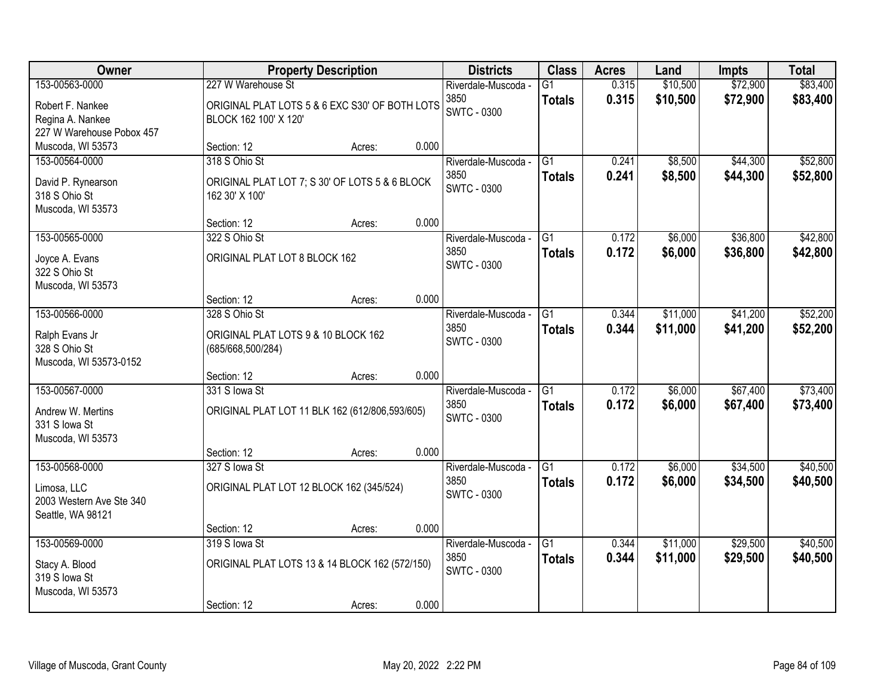| Owner                                         |                                     | <b>Property Description</b>                    |       | <b>Districts</b>                                  | <b>Class</b>                     | <b>Acres</b>   | Land                 | <b>Impts</b>         | <b>Total</b>         |
|-----------------------------------------------|-------------------------------------|------------------------------------------------|-------|---------------------------------------------------|----------------------------------|----------------|----------------------|----------------------|----------------------|
| 153-00563-0000<br>Robert F. Nankee            | 227 W Warehouse St                  | ORIGINAL PLAT LOTS 5 & 6 EXC S30' OF BOTH LOTS |       | Riverdale-Muscoda -<br>3850<br><b>SWTC - 0300</b> | $\overline{G1}$<br><b>Totals</b> | 0.315<br>0.315 | \$10,500<br>\$10,500 | \$72,900<br>\$72,900 | \$83,400<br>\$83,400 |
| Regina A. Nankee<br>227 W Warehouse Pobox 457 | BLOCK 162 100' X 120'               |                                                |       |                                                   |                                  |                |                      |                      |                      |
| Muscoda, WI 53573                             | Section: 12                         | Acres:                                         | 0.000 |                                                   |                                  |                |                      |                      |                      |
| 153-00564-0000                                | 318 S Ohio St                       |                                                |       | Riverdale-Muscoda -                               | $\overline{G1}$                  | 0.241          | \$8,500              | \$44,300             | \$52,800             |
| David P. Rynearson<br>318 S Ohio St           | 162 30' X 100'                      | ORIGINAL PLAT LOT 7; S 30' OF LOTS 5 & 6 BLOCK |       | 3850<br><b>SWTC - 0300</b>                        | <b>Totals</b>                    | 0.241          | \$8,500              | \$44,300             | \$52,800             |
| Muscoda, WI 53573                             |                                     |                                                |       |                                                   |                                  |                |                      |                      |                      |
|                                               | Section: 12                         | Acres:                                         | 0.000 |                                                   |                                  |                |                      |                      |                      |
| 153-00565-0000                                | 322 S Ohio St                       |                                                |       | Riverdale-Muscoda -                               | G1                               | 0.172          | \$6,000              | \$36,800             | \$42,800             |
| Joyce A. Evans                                | ORIGINAL PLAT LOT 8 BLOCK 162       |                                                |       | 3850                                              | <b>Totals</b>                    | 0.172          | \$6,000              | \$36,800             | \$42,800             |
| 322 S Ohio St                                 |                                     |                                                |       | SWTC - 0300                                       |                                  |                |                      |                      |                      |
| Muscoda, WI 53573                             |                                     |                                                |       |                                                   |                                  |                |                      |                      |                      |
|                                               | Section: 12                         | Acres:                                         | 0.000 |                                                   |                                  |                |                      |                      |                      |
| 153-00566-0000                                | 328 S Ohio St                       |                                                |       | Riverdale-Muscoda -                               | G1                               | 0.344          | \$11,000             | \$41,200             | \$52,200             |
|                                               |                                     |                                                |       | 3850                                              | <b>Totals</b>                    | 0.344          | \$11,000             | \$41,200             | \$52,200             |
| Ralph Evans Jr                                | ORIGINAL PLAT LOTS 9 & 10 BLOCK 162 |                                                |       | <b>SWTC - 0300</b>                                |                                  |                |                      |                      |                      |
| 328 S Ohio St                                 | (685/668,500/284)                   |                                                |       |                                                   |                                  |                |                      |                      |                      |
| Muscoda, WI 53573-0152                        |                                     |                                                |       |                                                   |                                  |                |                      |                      |                      |
|                                               | Section: 12                         | Acres:                                         | 0.000 |                                                   |                                  |                |                      |                      |                      |
| 153-00567-0000                                | 331 S lowa St                       |                                                |       | Riverdale-Muscoda -                               | $\overline{G1}$                  | 0.172          | \$6,000              | \$67,400             | \$73,400             |
| Andrew W. Mertins                             |                                     | ORIGINAL PLAT LOT 11 BLK 162 (612/806,593/605) |       | 3850                                              | <b>Totals</b>                    | 0.172          | \$6,000              | \$67,400             | \$73,400             |
| 331 S Iowa St                                 |                                     |                                                |       | SWTC - 0300                                       |                                  |                |                      |                      |                      |
| Muscoda, WI 53573                             |                                     |                                                |       |                                                   |                                  |                |                      |                      |                      |
|                                               | Section: 12                         | Acres:                                         | 0.000 |                                                   |                                  |                |                      |                      |                      |
| 153-00568-0000                                | 327 S lowa St                       |                                                |       | Riverdale-Muscoda -                               | $\overline{G1}$                  | 0.172          | \$6,000              | \$34,500             | \$40,500             |
| Limosa, LLC                                   |                                     | ORIGINAL PLAT LOT 12 BLOCK 162 (345/524)       |       | 3850                                              | <b>Totals</b>                    | 0.172          | \$6,000              | \$34,500             | \$40,500             |
| 2003 Western Ave Ste 340                      |                                     |                                                |       | <b>SWTC - 0300</b>                                |                                  |                |                      |                      |                      |
| Seattle, WA 98121                             |                                     |                                                |       |                                                   |                                  |                |                      |                      |                      |
|                                               | Section: 12                         | Acres:                                         | 0.000 |                                                   |                                  |                |                      |                      |                      |
| 153-00569-0000                                | 319 S lowa St                       |                                                |       | Riverdale-Muscoda -                               | $\overline{G1}$                  | 0.344          | \$11,000             | \$29,500             | \$40,500             |
|                                               |                                     |                                                |       | 3850                                              | <b>Totals</b>                    | 0.344          | \$11,000             | \$29,500             | \$40,500             |
| Stacy A. Blood                                |                                     | ORIGINAL PLAT LOTS 13 & 14 BLOCK 162 (572/150) |       | <b>SWTC - 0300</b>                                |                                  |                |                      |                      |                      |
| 319 S lowa St                                 |                                     |                                                |       |                                                   |                                  |                |                      |                      |                      |
| Muscoda, WI 53573                             |                                     |                                                |       |                                                   |                                  |                |                      |                      |                      |
|                                               | Section: 12                         | Acres:                                         | 0.000 |                                                   |                                  |                |                      |                      |                      |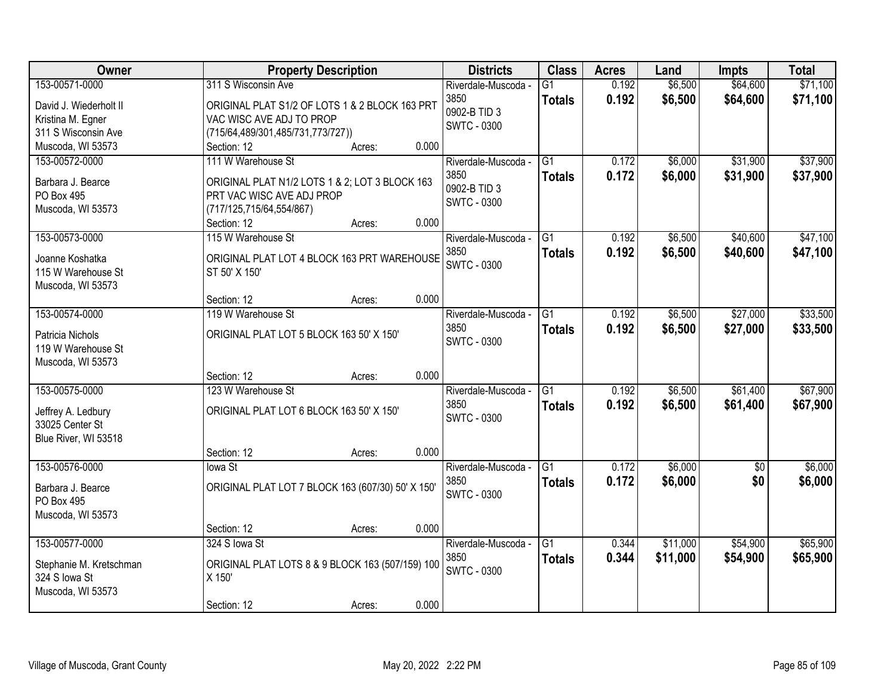| Owner                                 | <b>Property Description</b>                                  |       |                     |                 | <b>Acres</b> | Land     | <b>Impts</b>    | <b>Total</b> |
|---------------------------------------|--------------------------------------------------------------|-------|---------------------|-----------------|--------------|----------|-----------------|--------------|
| 153-00571-0000                        | 311 S Wisconsin Ave                                          |       | Riverdale-Muscoda - | G1              | 0.192        | \$6,500  | \$64,600        | \$71,100     |
| David J. Wiederholt II                | ORIGINAL PLAT S1/2 OF LOTS 1 & 2 BLOCK 163 PRT               |       | 3850                | <b>Totals</b>   | 0.192        | \$6,500  | \$64,600        | \$71,100     |
| Kristina M. Egner                     | VAC WISC AVE ADJ TO PROP                                     |       | 0902-B TID 3        |                 |              |          |                 |              |
| 311 S Wisconsin Ave                   | (715/64,489/301,485/731,773/727))                            |       | <b>SWTC - 0300</b>  |                 |              |          |                 |              |
| Muscoda, WI 53573                     | Section: 12<br>Acres:                                        | 0.000 |                     |                 |              |          |                 |              |
| 153-00572-0000                        | 111 W Warehouse St                                           |       | Riverdale-Muscoda - | $\overline{G1}$ | 0.172        | \$6,000  | \$31,900        | \$37,900     |
| Barbara J. Bearce                     | ORIGINAL PLAT N1/2 LOTS 1 & 2; LOT 3 BLOCK 163               |       | 3850                | <b>Totals</b>   | 0.172        | \$6,000  | \$31,900        | \$37,900     |
| PO Box 495                            | PRT VAC WISC AVE ADJ PROP                                    |       | 0902-B TID 3        |                 |              |          |                 |              |
| Muscoda, WI 53573                     | (717/125,715/64,554/867)                                     |       | <b>SWTC - 0300</b>  |                 |              |          |                 |              |
|                                       | Section: 12<br>Acres:                                        | 0.000 |                     |                 |              |          |                 |              |
| 153-00573-0000                        | 115 W Warehouse St                                           |       | Riverdale-Muscoda - | $\overline{G1}$ | 0.192        | \$6,500  | \$40,600        | \$47,100     |
|                                       |                                                              |       | 3850                | <b>Totals</b>   | 0.192        | \$6,500  | \$40,600        | \$47,100     |
| Joanne Koshatka<br>115 W Warehouse St | ORIGINAL PLAT LOT 4 BLOCK 163 PRT WAREHOUSE<br>ST 50' X 150' |       | <b>SWTC - 0300</b>  |                 |              |          |                 |              |
| Muscoda, WI 53573                     |                                                              |       |                     |                 |              |          |                 |              |
|                                       | Section: 12<br>Acres:                                        | 0.000 |                     |                 |              |          |                 |              |
| 153-00574-0000                        | 119 W Warehouse St                                           |       | Riverdale-Muscoda - | $\overline{G1}$ | 0.192        | \$6,500  | \$27,000        | \$33,500     |
|                                       |                                                              |       | 3850                | <b>Totals</b>   | 0.192        | \$6,500  | \$27,000        | \$33,500     |
| Patricia Nichols                      | ORIGINAL PLAT LOT 5 BLOCK 163 50' X 150'                     |       | <b>SWTC - 0300</b>  |                 |              |          |                 |              |
| 119 W Warehouse St                    |                                                              |       |                     |                 |              |          |                 |              |
| Muscoda, WI 53573                     | Section: 12                                                  | 0.000 |                     |                 |              |          |                 |              |
| 153-00575-0000                        | Acres:<br>123 W Warehouse St                                 |       | Riverdale-Muscoda - | $\overline{G1}$ | 0.192        | \$6,500  | \$61,400        | \$67,900     |
|                                       |                                                              |       | 3850                |                 | 0.192        | \$6,500  | \$61,400        | \$67,900     |
| Jeffrey A. Ledbury                    | ORIGINAL PLAT LOT 6 BLOCK 163 50' X 150'                     |       | <b>SWTC - 0300</b>  | <b>Totals</b>   |              |          |                 |              |
| 33025 Center St                       |                                                              |       |                     |                 |              |          |                 |              |
| Blue River, WI 53518                  |                                                              |       |                     |                 |              |          |                 |              |
|                                       | Section: 12<br>Acres:                                        | 0.000 |                     |                 |              |          |                 |              |
| 153-00576-0000                        | lowa St                                                      |       | Riverdale-Muscoda - | $\overline{G1}$ | 0.172        | \$6,000  | $\overline{50}$ | \$6,000      |
| Barbara J. Bearce                     | ORIGINAL PLAT LOT 7 BLOCK 163 (607/30) 50' X 150'            |       | 3850                | <b>Totals</b>   | 0.172        | \$6,000  | \$0             | \$6,000      |
| <b>PO Box 495</b>                     |                                                              |       | <b>SWTC - 0300</b>  |                 |              |          |                 |              |
| Muscoda, WI 53573                     |                                                              |       |                     |                 |              |          |                 |              |
|                                       | Section: 12<br>Acres:                                        | 0.000 |                     |                 |              |          |                 |              |
| 153-00577-0000                        | 324 S lowa St                                                |       | Riverdale-Muscoda - | $\overline{G1}$ | 0.344        | \$11,000 | \$54,900        | \$65,900     |
| Stephanie M. Kretschman               | ORIGINAL PLAT LOTS 8 & 9 BLOCK 163 (507/159) 100             |       | 3850                | <b>Totals</b>   | 0.344        | \$11,000 | \$54,900        | \$65,900     |
| 324 S lowa St                         | X 150'                                                       |       | <b>SWTC - 0300</b>  |                 |              |          |                 |              |
| Muscoda, WI 53573                     |                                                              |       |                     |                 |              |          |                 |              |
|                                       | Section: 12<br>Acres:                                        | 0.000 |                     |                 |              |          |                 |              |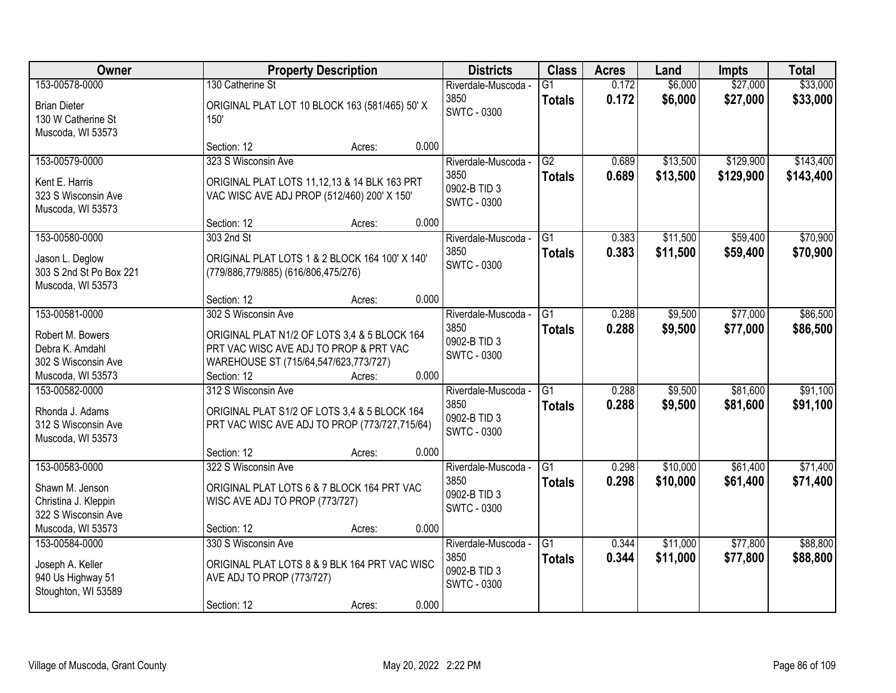| Owner                                                                          | <b>Property Description</b>                                                                                                     | <b>Districts</b>                                                  | <b>Class</b>                     | <b>Acres</b>   | Land                 | <b>Impts</b>         | <b>Total</b>         |
|--------------------------------------------------------------------------------|---------------------------------------------------------------------------------------------------------------------------------|-------------------------------------------------------------------|----------------------------------|----------------|----------------------|----------------------|----------------------|
| 153-00578-0000                                                                 | 130 Catherine St                                                                                                                | Riverdale-Muscoda -                                               | $\overline{G1}$                  | 0.172          | \$6,000              | \$27,000             | \$33,000             |
| <b>Brian Dieter</b><br>130 W Catherine St<br>Muscoda, WI 53573                 | ORIGINAL PLAT LOT 10 BLOCK 163 (581/465) 50' X<br>150'                                                                          | 3850<br><b>SWTC - 0300</b>                                        | <b>Totals</b>                    | 0.172          | \$6,000              | \$27,000             | \$33,000             |
|                                                                                | 0.000<br>Section: 12<br>Acres:                                                                                                  |                                                                   |                                  |                |                      |                      |                      |
| 153-00579-0000                                                                 | 323 S Wisconsin Ave                                                                                                             | Riverdale-Muscoda -                                               | G2                               | 0.689          | \$13,500             | \$129,900            | \$143,400            |
| Kent E. Harris<br>323 S Wisconsin Ave<br>Muscoda, WI 53573                     | ORIGINAL PLAT LOTS 11,12,13 & 14 BLK 163 PRT<br>VAC WISC AVE ADJ PROP (512/460) 200' X 150'                                     | 3850<br>0902-B TID 3<br><b>SWTC - 0300</b>                        | <b>Totals</b>                    | 0.689          | \$13,500             | \$129,900            | \$143,400            |
|                                                                                | 0.000<br>Section: 12<br>Acres:                                                                                                  |                                                                   |                                  |                |                      |                      |                      |
| 153-00580-0000                                                                 | 303 2nd St                                                                                                                      | Riverdale-Muscoda -                                               | G1                               | 0.383          | \$11,500             | \$59,400             | \$70,900             |
| Jason L. Deglow<br>303 S 2nd St Po Box 221<br>Muscoda, WI 53573                | ORIGINAL PLAT LOTS 1 & 2 BLOCK 164 100' X 140'<br>(779/886,779/885) (616/806,475/276)                                           | 3850<br><b>SWTC - 0300</b>                                        | <b>Totals</b>                    | 0.383          | \$11,500             | \$59,400             | \$70,900             |
|                                                                                | 0.000<br>Section: 12<br>Acres:                                                                                                  |                                                                   |                                  |                |                      |                      |                      |
| 153-00581-0000                                                                 | 302 S Wisconsin Ave                                                                                                             | Riverdale-Muscoda -                                               | G1                               | 0.288          | \$9,500              | \$77,000             | \$86,500             |
| Robert M. Bowers<br>Debra K. Amdahl<br>302 S Wisconsin Ave                     | ORIGINAL PLAT N1/2 OF LOTS 3,4 & 5 BLOCK 164<br>PRT VAC WISC AVE ADJ TO PROP & PRT VAC<br>WAREHOUSE ST (715/64,547/623,773/727) | 3850<br>0902-B TID 3<br><b>SWTC - 0300</b>                        | <b>Totals</b>                    | 0.288          | \$9,500              | \$77,000             | \$86,500             |
| Muscoda, WI 53573                                                              | 0.000<br>Section: 12<br>Acres:                                                                                                  |                                                                   |                                  |                |                      |                      |                      |
| 153-00582-0000<br>Rhonda J. Adams<br>312 S Wisconsin Ave<br>Muscoda, WI 53573  | 312 S Wisconsin Ave<br>ORIGINAL PLAT S1/2 OF LOTS 3,4 & 5 BLOCK 164<br>PRT VAC WISC AVE ADJ TO PROP (773/727,715/64)            | Riverdale-Muscoda -<br>3850<br>0902-B TID 3<br><b>SWTC - 0300</b> | $\overline{G1}$<br><b>Totals</b> | 0.288<br>0.288 | \$9,500<br>\$9,500   | \$81,600<br>\$81,600 | \$91,100<br>\$91,100 |
|                                                                                | Section: 12<br>0.000<br>Acres:                                                                                                  |                                                                   |                                  |                |                      |                      |                      |
| 153-00583-0000                                                                 | 322 S Wisconsin Ave                                                                                                             | Riverdale-Muscoda -                                               | G1                               | 0.298          | \$10,000             | \$61,400             | \$71,400             |
| Shawn M. Jenson<br>Christina J. Kleppin<br>322 S Wisconsin Ave                 | ORIGINAL PLAT LOTS 6 & 7 BLOCK 164 PRT VAC<br>WISC AVE ADJ TO PROP (773/727)                                                    | 3850<br>0902-B TID 3<br><b>SWTC - 0300</b>                        | <b>Totals</b>                    | 0.298          | \$10,000             | \$61,400             | \$71,400             |
| Muscoda, WI 53573                                                              | 0.000<br>Section: 12<br>Acres:                                                                                                  |                                                                   |                                  |                |                      |                      |                      |
| 153-00584-0000<br>Joseph A. Keller<br>940 Us Highway 51<br>Stoughton, WI 53589 | 330 S Wisconsin Ave<br>ORIGINAL PLAT LOTS 8 & 9 BLK 164 PRT VAC WISC<br>AVE ADJ TO PROP (773/727)                               | Riverdale-Muscoda -<br>3850<br>0902-B TID 3<br><b>SWTC - 0300</b> | $\overline{G1}$<br><b>Totals</b> | 0.344<br>0.344 | \$11,000<br>\$11,000 | \$77,800<br>\$77,800 | \$88,800<br>\$88,800 |
|                                                                                | 0.000<br>Section: 12<br>Acres:                                                                                                  |                                                                   |                                  |                |                      |                      |                      |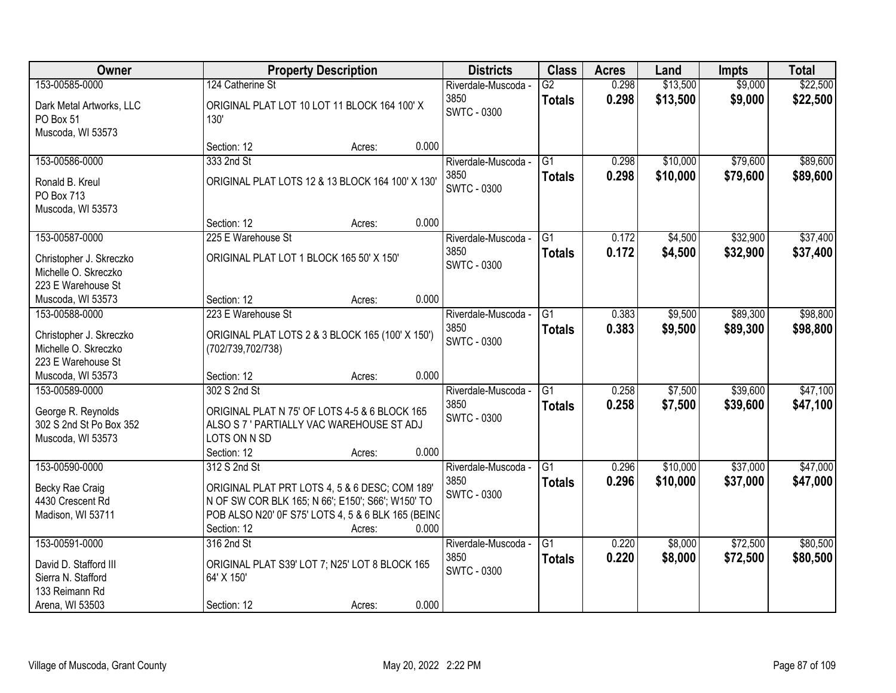| Owner                                                                                | <b>Property Description</b>                                                                                                                                                                                 | <b>Districts</b>                                  | <b>Class</b>                     | <b>Acres</b>   | Land               | <b>Impts</b>         | <b>Total</b>         |
|--------------------------------------------------------------------------------------|-------------------------------------------------------------------------------------------------------------------------------------------------------------------------------------------------------------|---------------------------------------------------|----------------------------------|----------------|--------------------|----------------------|----------------------|
| 153-00585-0000                                                                       | 124 Catherine St                                                                                                                                                                                            | Riverdale-Muscoda -                               | $\overline{G2}$                  | 0.298          | \$13,500           | \$9,000              | \$22,500             |
| Dark Metal Artworks, LLC<br>PO Box 51<br>Muscoda, WI 53573                           | ORIGINAL PLAT LOT 10 LOT 11 BLOCK 164 100' X<br>130'                                                                                                                                                        | 3850<br><b>SWTC - 0300</b>                        | <b>Totals</b>                    | 0.298          | \$13,500           | \$9,000              | \$22,500             |
|                                                                                      | 0.000<br>Section: 12<br>Acres:                                                                                                                                                                              |                                                   |                                  |                |                    |                      |                      |
| 153-00586-0000                                                                       | 333 2nd St                                                                                                                                                                                                  | Riverdale-Muscoda -                               | $\overline{G1}$                  | 0.298          | \$10,000           | \$79,600             | \$89,600             |
| Ronald B. Kreul<br>PO Box 713<br>Muscoda, WI 53573                                   | ORIGINAL PLAT LOTS 12 & 13 BLOCK 164 100' X 130'                                                                                                                                                            | 3850<br>SWTC - 0300                               | <b>Totals</b>                    | 0.298          | \$10,000           | \$79,600             | \$89,600             |
|                                                                                      | 0.000<br>Section: 12<br>Acres:                                                                                                                                                                              |                                                   |                                  |                |                    |                      |                      |
| 153-00587-0000                                                                       | 225 E Warehouse St                                                                                                                                                                                          | Riverdale-Muscoda -                               | G1                               | 0.172          | \$4,500            | \$32,900             | \$37,400             |
| Christopher J. Skreczko<br>Michelle O. Skreczko<br>223 E Warehouse St                | ORIGINAL PLAT LOT 1 BLOCK 165 50' X 150'                                                                                                                                                                    | 3850<br><b>SWTC - 0300</b>                        | <b>Totals</b>                    | 0.172          | \$4,500            | \$32,900             | \$37,400             |
| Muscoda, WI 53573                                                                    | 0.000<br>Section: 12<br>Acres:                                                                                                                                                                              |                                                   |                                  |                |                    |                      |                      |
| 153-00588-0000                                                                       | 223 E Warehouse St                                                                                                                                                                                          | Riverdale-Muscoda -                               | $\overline{G1}$                  | 0.383          | \$9,500            | \$89,300             | \$98,800             |
| Christopher J. Skreczko<br>Michelle O. Skreczko<br>223 E Warehouse St                | ORIGINAL PLAT LOTS 2 & 3 BLOCK 165 (100' X 150')<br>(702/739,702/738)                                                                                                                                       | 3850<br><b>SWTC - 0300</b>                        | <b>Totals</b>                    | 0.383          | \$9,500            | \$89,300             | \$98,800             |
| Muscoda, WI 53573                                                                    | 0.000<br>Section: 12<br>Acres:                                                                                                                                                                              |                                                   |                                  |                |                    |                      |                      |
| 153-00589-0000<br>George R. Reynolds<br>302 S 2nd St Po Box 352<br>Muscoda, WI 53573 | 302 S 2nd St<br>ORIGINAL PLAT N 75' OF LOTS 4-5 & 6 BLOCK 165<br>ALSO S 7 ' PARTIALLY VAC WAREHOUSE ST ADJ<br>LOTS ON N SD                                                                                  | Riverdale-Muscoda -<br>3850<br><b>SWTC - 0300</b> | $\overline{G1}$<br><b>Totals</b> | 0.258<br>0.258 | \$7,500<br>\$7,500 | \$39,600<br>\$39,600 | \$47,100<br>\$47,100 |
|                                                                                      | Section: 12<br>0.000<br>Acres:                                                                                                                                                                              |                                                   | $\overline{G1}$                  |                | \$10,000           |                      |                      |
| 153-00590-0000<br>Becky Rae Craig<br>4430 Crescent Rd<br>Madison, WI 53711           | 312 S 2nd St<br>ORIGINAL PLAT PRT LOTS 4, 5 & 6 DESC; COM 189'<br>N OF SW COR BLK 165; N 66'; E150'; S66'; W150' TO<br>POB ALSO N20' 0F S75' LOTS 4, 5 & 6 BLK 165 (BEING<br>0.000<br>Section: 12<br>Acres: | Riverdale-Muscoda -<br>3850<br><b>SWTC - 0300</b> | <b>Totals</b>                    | 0.296<br>0.296 | \$10,000           | \$37,000<br>\$37,000 | \$47,000<br>\$47,000 |
| 153-00591-0000                                                                       | 316 2nd St                                                                                                                                                                                                  | Riverdale-Muscoda -                               | $\overline{G1}$                  | 0.220          | \$8,000            | \$72,500             | \$80,500             |
| David D. Stafford III<br>Sierra N. Stafford<br>133 Reimann Rd<br>Arena, WI 53503     | ORIGINAL PLAT S39' LOT 7; N25' LOT 8 BLOCK 165<br>64' X 150'<br>0.000<br>Section: 12<br>Acres:                                                                                                              | 3850<br><b>SWTC - 0300</b>                        | <b>Totals</b>                    | 0.220          | \$8,000            | \$72,500             | \$80,500             |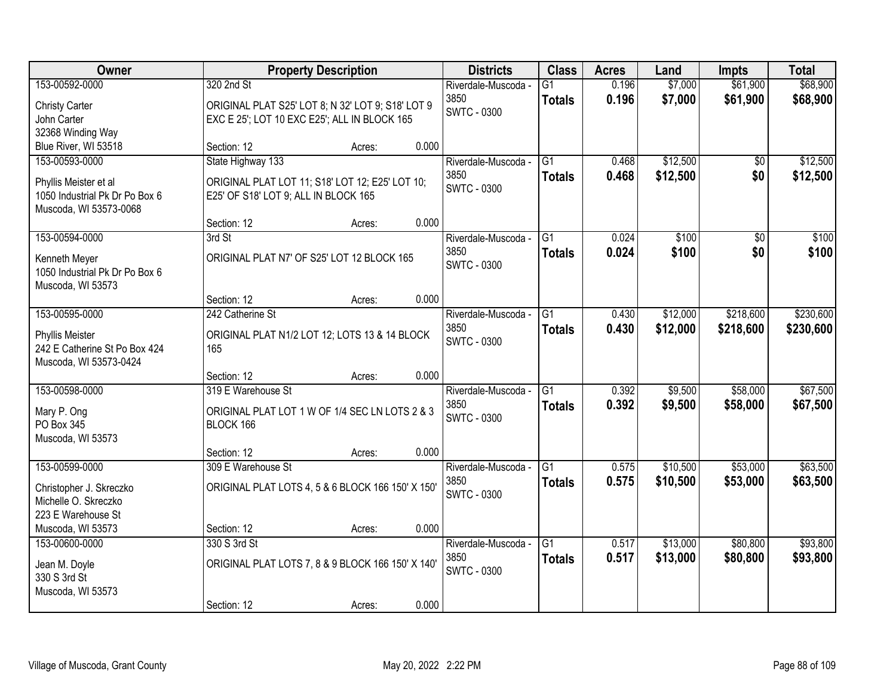| Owner                                                                                               | <b>Property Description</b>                                                                                         | <b>Districts</b>                                  | <b>Class</b>                     | <b>Acres</b>   | Land                 | <b>Impts</b>           | <b>Total</b>         |
|-----------------------------------------------------------------------------------------------------|---------------------------------------------------------------------------------------------------------------------|---------------------------------------------------|----------------------------------|----------------|----------------------|------------------------|----------------------|
| 153-00592-0000<br><b>Christy Carter</b>                                                             | 320 2nd St<br>ORIGINAL PLAT S25' LOT 8; N 32' LOT 9; S18' LOT 9                                                     | Riverdale-Muscoda -<br>3850<br><b>SWTC - 0300</b> | $\overline{G1}$<br><b>Totals</b> | 0.196<br>0.196 | \$7,000<br>\$7,000   | \$61,900<br>\$61,900   | \$68,900<br>\$68,900 |
| John Carter<br>32368 Winding Way<br>Blue River, WI 53518                                            | EXC E 25'; LOT 10 EXC E25'; ALL IN BLOCK 165<br>0.000<br>Section: 12<br>Acres:                                      |                                                   |                                  |                |                      |                        |                      |
| 153-00593-0000<br>Phyllis Meister et al<br>1050 Industrial Pk Dr Po Box 6<br>Muscoda, WI 53573-0068 | State Highway 133<br>ORIGINAL PLAT LOT 11; S18' LOT 12; E25' LOT 10;<br>E25' OF S18' LOT 9; ALL IN BLOCK 165        | Riverdale-Muscoda -<br>3850<br><b>SWTC - 0300</b> | $\overline{G1}$<br><b>Totals</b> | 0.468<br>0.468 | \$12,500<br>\$12,500 | $\overline{50}$<br>\$0 | \$12,500<br>\$12,500 |
| 153-00594-0000<br>Kenneth Meyer<br>1050 Industrial Pk Dr Po Box 6                                   | 0.000<br>Section: 12<br>Acres:<br>3rd St<br>ORIGINAL PLAT N7' OF S25' LOT 12 BLOCK 165                              | Riverdale-Muscoda -<br>3850<br><b>SWTC - 0300</b> | G1<br><b>Totals</b>              | 0.024<br>0.024 | \$100<br>\$100       | \$0<br>\$0             | \$100<br>\$100       |
| Muscoda, WI 53573<br>153-00595-0000                                                                 | 0.000<br>Section: 12<br>Acres:<br>242 Catherine St                                                                  | Riverdale-Muscoda -                               | G1                               | 0.430          | \$12,000             | \$218,600              | \$230,600            |
| <b>Phyllis Meister</b><br>242 E Catherine St Po Box 424<br>Muscoda, WI 53573-0424                   | ORIGINAL PLAT N1/2 LOT 12; LOTS 13 & 14 BLOCK<br>165                                                                | 3850<br><b>SWTC - 0300</b>                        | <b>Totals</b>                    | 0.430          | \$12,000             | \$218,600              | \$230,600            |
| 153-00598-0000<br>Mary P. Ong<br>PO Box 345                                                         | 0.000<br>Section: 12<br>Acres:<br>319 E Warehouse St<br>ORIGINAL PLAT LOT 1 W OF 1/4 SEC LN LOTS 2 & 3<br>BLOCK 166 | Riverdale-Muscoda -<br>3850<br><b>SWTC - 0300</b> | $\overline{G1}$<br><b>Totals</b> | 0.392<br>0.392 | \$9,500<br>\$9,500   | \$58,000<br>\$58,000   | \$67,500<br>\$67,500 |
| Muscoda, WI 53573                                                                                   | 0.000<br>Section: 12<br>Acres:                                                                                      |                                                   | $\overline{G1}$                  |                |                      |                        |                      |
| 153-00599-0000<br>Christopher J. Skreczko<br>Michelle O. Skreczko<br>223 E Warehouse St             | 309 E Warehouse St<br>ORIGINAL PLAT LOTS 4, 5 & 6 BLOCK 166 150' X 150'                                             | Riverdale-Muscoda -<br>3850<br><b>SWTC - 0300</b> | <b>Totals</b>                    | 0.575<br>0.575 | \$10,500<br>\$10,500 | \$53,000<br>\$53,000   | \$63,500<br>\$63,500 |
| Muscoda, WI 53573                                                                                   | 0.000<br>Section: 12<br>Acres:                                                                                      |                                                   |                                  |                |                      |                        |                      |
| 153-00600-0000<br>Jean M. Doyle<br>330 S 3rd St<br>Muscoda, WI 53573                                | 330 S 3rd St<br>ORIGINAL PLAT LOTS 7, 8 & 9 BLOCK 166 150' X 140'                                                   | Riverdale-Muscoda -<br>3850<br><b>SWTC - 0300</b> | G1<br><b>Totals</b>              | 0.517<br>0.517 | \$13,000<br>\$13,000 | \$80,800<br>\$80,800   | \$93,800<br>\$93,800 |
|                                                                                                     | 0.000<br>Section: 12<br>Acres:                                                                                      |                                                   |                                  |                |                      |                        |                      |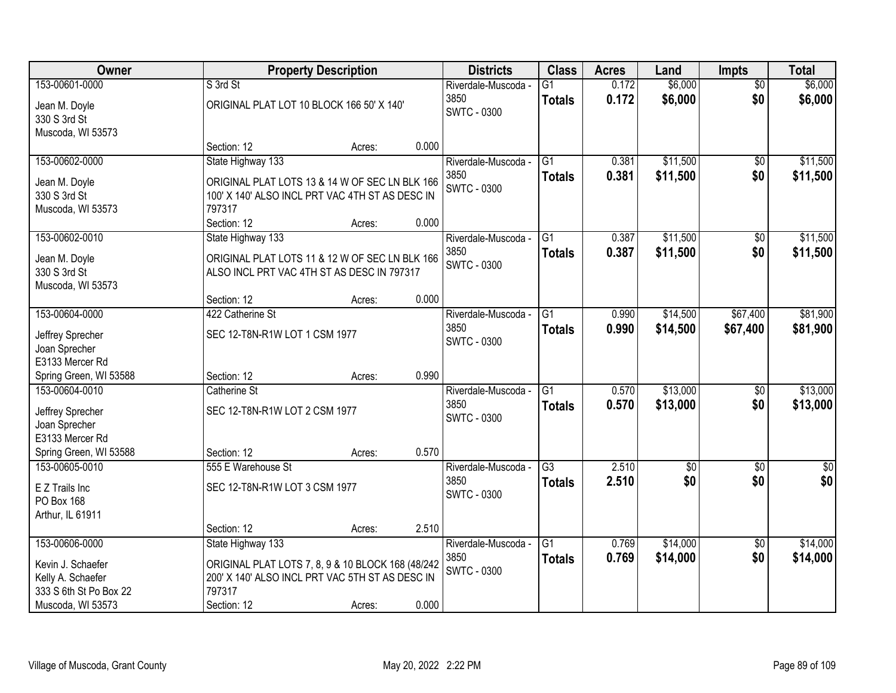| Owner                  |                                                   | <b>Property Description</b> |       |                            | <b>Class</b>    | <b>Acres</b> | Land             | <b>Impts</b>    | <b>Total</b>     |
|------------------------|---------------------------------------------------|-----------------------------|-------|----------------------------|-----------------|--------------|------------------|-----------------|------------------|
| 153-00601-0000         | S 3rd St                                          |                             |       | Riverdale-Muscoda -        | $\overline{G1}$ | 0.172        | \$6,000          | $\overline{50}$ | \$6,000          |
| Jean M. Doyle          | ORIGINAL PLAT LOT 10 BLOCK 166 50' X 140'         |                             |       | 3850<br><b>SWTC - 0300</b> | <b>Totals</b>   | 0.172        | \$6,000          | \$0             | \$6,000          |
| 330 S 3rd St           |                                                   |                             |       |                            |                 |              |                  |                 |                  |
| Muscoda, WI 53573      |                                                   |                             |       |                            |                 |              |                  |                 |                  |
|                        | Section: 12                                       | Acres:                      | 0.000 |                            |                 |              |                  |                 |                  |
| 153-00602-0000         | State Highway 133                                 |                             |       | Riverdale-Muscoda -        | $\overline{G1}$ | 0.381        | \$11,500         | \$0             | \$11,500         |
| Jean M. Doyle          | ORIGINAL PLAT LOTS 13 & 14 W OF SEC LN BLK 166    |                             |       | 3850<br><b>SWTC - 0300</b> | <b>Totals</b>   | 0.381        | \$11,500         | \$0             | \$11,500         |
| 330 S 3rd St           | 100' X 140' ALSO INCL PRT VAC 4TH ST AS DESC IN   |                             |       |                            |                 |              |                  |                 |                  |
| Muscoda, WI 53573      | 797317                                            |                             |       |                            |                 |              |                  |                 |                  |
|                        | Section: 12                                       | Acres:                      | 0.000 |                            |                 |              |                  |                 |                  |
| 153-00602-0010         | State Highway 133                                 |                             |       | Riverdale-Muscoda -        | G1              | 0.387        | \$11,500         | $\sqrt[6]{3}$   | \$11,500         |
| Jean M. Doyle          | ORIGINAL PLAT LOTS 11 & 12 W OF SEC LN BLK 166    |                             |       | 3850                       | <b>Totals</b>   | 0.387        | \$11,500         | \$0             | \$11,500         |
| 330 S 3rd St           | ALSO INCL PRT VAC 4TH ST AS DESC IN 797317        |                             |       | <b>SWTC - 0300</b>         |                 |              |                  |                 |                  |
| Muscoda, WI 53573      |                                                   |                             |       |                            |                 |              |                  |                 |                  |
|                        | Section: 12                                       | Acres:                      | 0.000 |                            |                 |              |                  |                 |                  |
| 153-00604-0000         | 422 Catherine St                                  |                             |       | Riverdale-Muscoda -        | $\overline{G1}$ | 0.990        | \$14,500         | \$67,400        | \$81,900         |
| Jeffrey Sprecher       | SEC 12-T8N-R1W LOT 1 CSM 1977                     |                             |       | 3850                       | <b>Totals</b>   | 0.990        | \$14,500         | \$67,400        | \$81,900         |
| Joan Sprecher          |                                                   |                             |       | <b>SWTC - 0300</b>         |                 |              |                  |                 |                  |
| E3133 Mercer Rd        |                                                   |                             |       |                            |                 |              |                  |                 |                  |
| Spring Green, WI 53588 | Section: 12                                       | Acres:                      | 0.990 |                            |                 |              |                  |                 |                  |
| 153-00604-0010         | Catherine St                                      |                             |       | Riverdale-Muscoda -        | $\overline{G1}$ | 0.570        | \$13,000         | \$0             | \$13,000         |
| Jeffrey Sprecher       | SEC 12-T8N-R1W LOT 2 CSM 1977                     |                             |       | 3850                       | <b>Totals</b>   | 0.570        | \$13,000         | \$0             | \$13,000         |
| Joan Sprecher          |                                                   |                             |       | <b>SWTC - 0300</b>         |                 |              |                  |                 |                  |
| E3133 Mercer Rd        |                                                   |                             |       |                            |                 |              |                  |                 |                  |
| Spring Green, WI 53588 | Section: 12                                       | Acres:                      | 0.570 |                            |                 |              |                  |                 |                  |
| 153-00605-0010         | 555 E Warehouse St                                |                             |       | Riverdale-Muscoda -        | $\overline{G3}$ | 2.510        | $\overline{\$0}$ | $\overline{50}$ | $\overline{\$0}$ |
| E Z Trails Inc         | SEC 12-T8N-R1W LOT 3 CSM 1977                     |                             |       | 3850                       | <b>Totals</b>   | 2.510        | \$0              | \$0             | \$0              |
| PO Box 168             |                                                   |                             |       | <b>SWTC - 0300</b>         |                 |              |                  |                 |                  |
| Arthur, IL 61911       |                                                   |                             |       |                            |                 |              |                  |                 |                  |
|                        | Section: 12                                       | Acres:                      | 2.510 |                            |                 |              |                  |                 |                  |
| 153-00606-0000         | State Highway 133                                 |                             |       | Riverdale-Muscoda -        | $\overline{G1}$ | 0.769        | \$14,000         | \$0             | \$14,000         |
| Kevin J. Schaefer      | ORIGINAL PLAT LOTS 7, 8, 9 & 10 BLOCK 168 (48/242 |                             |       | 3850                       | <b>Totals</b>   | 0.769        | \$14,000         | \$0             | \$14,000         |
| Kelly A. Schaefer      | 200' X 140' ALSO INCL PRT VAC 5TH ST AS DESC IN   |                             |       | <b>SWTC - 0300</b>         |                 |              |                  |                 |                  |
| 333 S 6th St Po Box 22 | 797317                                            |                             |       |                            |                 |              |                  |                 |                  |
| Muscoda, WI 53573      | Section: 12                                       | Acres:                      | 0.000 |                            |                 |              |                  |                 |                  |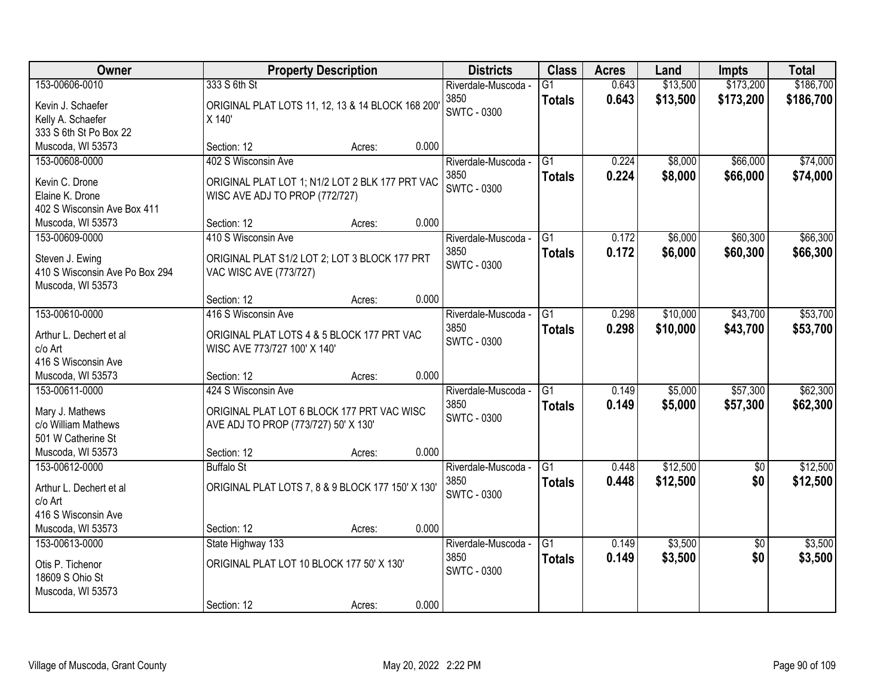| <b>Owner</b>                           |                                                                                    | <b>Property Description</b> |       | <b>Districts</b>    | <b>Class</b>    | <b>Acres</b> | Land     | <b>Impts</b>    | <b>Total</b> |
|----------------------------------------|------------------------------------------------------------------------------------|-----------------------------|-------|---------------------|-----------------|--------------|----------|-----------------|--------------|
| 153-00606-0010                         | 333 S 6th St                                                                       |                             |       | Riverdale-Muscoda - | $\overline{G1}$ | 0.643        | \$13,500 | \$173,200       | \$186,700    |
| Kevin J. Schaefer                      | ORIGINAL PLAT LOTS 11, 12, 13 & 14 BLOCK 168 200                                   |                             |       | 3850                | <b>Totals</b>   | 0.643        | \$13,500 | \$173,200       | \$186,700    |
| Kelly A. Schaefer                      | X 140'                                                                             |                             |       | <b>SWTC - 0300</b>  |                 |              |          |                 |              |
| 333 S 6th St Po Box 22                 |                                                                                    |                             |       |                     |                 |              |          |                 |              |
| Muscoda, WI 53573                      | Section: 12                                                                        | Acres:                      | 0.000 |                     |                 |              |          |                 |              |
| 153-00608-0000                         | 402 S Wisconsin Ave                                                                |                             |       | Riverdale-Muscoda - | G1              | 0.224        | \$8,000  | \$66,000        | \$74,000     |
| Kevin C. Drone                         | ORIGINAL PLAT LOT 1; N1/2 LOT 2 BLK 177 PRT VAC                                    |                             |       | 3850                | <b>Totals</b>   | 0.224        | \$8,000  | \$66,000        | \$74,000     |
| Elaine K. Drone                        | WISC AVE ADJ TO PROP (772/727)                                                     |                             |       | <b>SWTC - 0300</b>  |                 |              |          |                 |              |
| 402 S Wisconsin Ave Box 411            |                                                                                    |                             |       |                     |                 |              |          |                 |              |
| Muscoda, WI 53573                      | Section: 12                                                                        | Acres:                      | 0.000 |                     |                 |              |          |                 |              |
| 153-00609-0000                         | 410 S Wisconsin Ave                                                                |                             |       | Riverdale-Muscoda - | G1              | 0.172        | \$6,000  | \$60,300        | \$66,300     |
| Steven J. Ewing                        | ORIGINAL PLAT S1/2 LOT 2; LOT 3 BLOCK 177 PRT                                      |                             |       | 3850                | <b>Totals</b>   | 0.172        | \$6,000  | \$60,300        | \$66,300     |
| 410 S Wisconsin Ave Po Box 294         | VAC WISC AVE (773/727)                                                             |                             |       | <b>SWTC - 0300</b>  |                 |              |          |                 |              |
| Muscoda, WI 53573                      |                                                                                    |                             |       |                     |                 |              |          |                 |              |
|                                        | Section: 12                                                                        | Acres:                      | 0.000 |                     |                 |              |          |                 |              |
| 153-00610-0000                         | 416 S Wisconsin Ave                                                                |                             |       | Riverdale-Muscoda - | G1              | 0.298        | \$10,000 | \$43,700        | \$53,700     |
| Arthur L. Dechert et al                | ORIGINAL PLAT LOTS 4 & 5 BLOCK 177 PRT VAC                                         |                             |       | 3850                | <b>Totals</b>   | 0.298        | \$10,000 | \$43,700        | \$53,700     |
| c/o Art                                | WISC AVE 773/727 100' X 140'                                                       |                             |       | <b>SWTC - 0300</b>  |                 |              |          |                 |              |
| 416 S Wisconsin Ave                    |                                                                                    |                             |       |                     |                 |              |          |                 |              |
| Muscoda, WI 53573                      | Section: 12                                                                        | Acres:                      | 0.000 |                     |                 |              |          |                 |              |
| 153-00611-0000                         | 424 S Wisconsin Ave                                                                |                             |       | Riverdale-Muscoda - | $\overline{G1}$ | 0.149        | \$5,000  | \$57,300        | \$62,300     |
|                                        |                                                                                    |                             |       | 3850                | <b>Totals</b>   | 0.149        | \$5,000  | \$57,300        | \$62,300     |
| Mary J. Mathews<br>c/o William Mathews | ORIGINAL PLAT LOT 6 BLOCK 177 PRT VAC WISC<br>AVE ADJ TO PROP (773/727) 50' X 130' |                             |       | <b>SWTC - 0300</b>  |                 |              |          |                 |              |
| 501 W Catherine St                     |                                                                                    |                             |       |                     |                 |              |          |                 |              |
| Muscoda, WI 53573                      | Section: 12                                                                        | Acres:                      | 0.000 |                     |                 |              |          |                 |              |
| 153-00612-0000                         | <b>Buffalo St</b>                                                                  |                             |       | Riverdale-Muscoda - | $\overline{G1}$ | 0.448        | \$12,500 | $\overline{50}$ | \$12,500     |
|                                        |                                                                                    |                             |       | 3850                | <b>Totals</b>   | 0.448        | \$12,500 | \$0             | \$12,500     |
| Arthur L. Dechert et al                | ORIGINAL PLAT LOTS 7, 8 & 9 BLOCK 177 150' X 130'                                  |                             |       | <b>SWTC - 0300</b>  |                 |              |          |                 |              |
| c/o Art<br>416 S Wisconsin Ave         |                                                                                    |                             |       |                     |                 |              |          |                 |              |
| Muscoda, WI 53573                      | Section: 12                                                                        | Acres:                      | 0.000 |                     |                 |              |          |                 |              |
| 153-00613-0000                         | State Highway 133                                                                  |                             |       | Riverdale-Muscoda - | $\overline{G1}$ | 0.149        | \$3,500  | $\overline{50}$ | \$3,500      |
|                                        |                                                                                    |                             |       | 3850                | <b>Totals</b>   | 0.149        | \$3,500  | \$0             | \$3,500      |
| Otis P. Tichenor                       | ORIGINAL PLAT LOT 10 BLOCK 177 50' X 130'                                          |                             |       | <b>SWTC - 0300</b>  |                 |              |          |                 |              |
| 18609 S Ohio St                        |                                                                                    |                             |       |                     |                 |              |          |                 |              |
| Muscoda, WI 53573                      | Section: 12                                                                        |                             | 0.000 |                     |                 |              |          |                 |              |
|                                        |                                                                                    | Acres:                      |       |                     |                 |              |          |                 |              |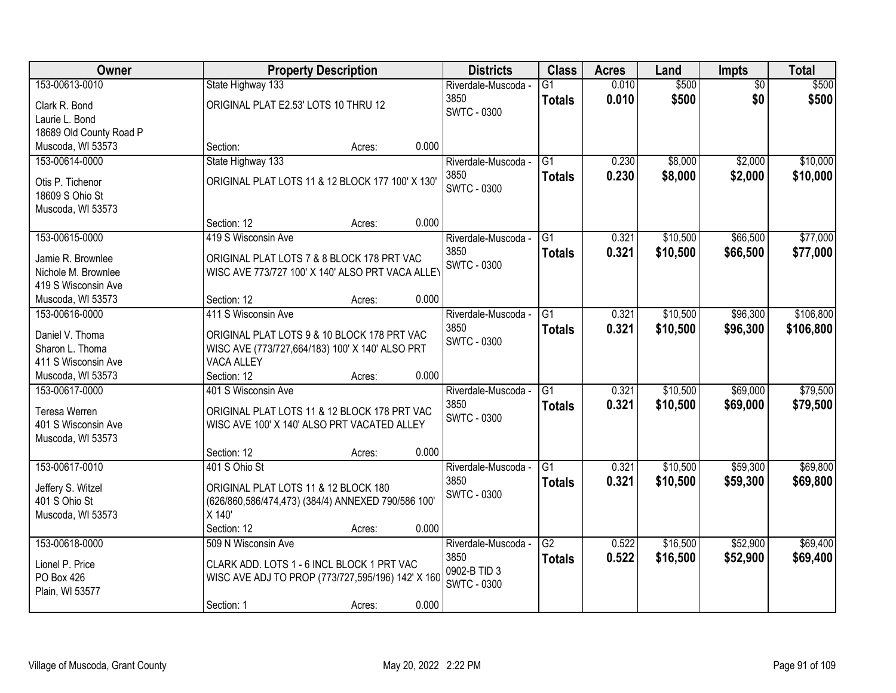| Owner                   | <b>Property Description</b>                        | <b>Districts</b>    | <b>Class</b>    | <b>Acres</b> | Land     | <b>Impts</b>    | <b>Total</b> |
|-------------------------|----------------------------------------------------|---------------------|-----------------|--------------|----------|-----------------|--------------|
| 153-00613-0010          | State Highway 133                                  | Riverdale-Muscoda - | $\overline{G1}$ | 0.010        | \$500    | $\overline{50}$ | \$500        |
| Clark R. Bond           | ORIGINAL PLAT E2.53' LOTS 10 THRU 12               | 3850                | <b>Totals</b>   | 0.010        | \$500    | \$0             | \$500        |
| Laurie L. Bond          |                                                    | <b>SWTC - 0300</b>  |                 |              |          |                 |              |
| 18689 Old County Road P |                                                    |                     |                 |              |          |                 |              |
| Muscoda, WI 53573       | 0.000<br>Section:<br>Acres:                        |                     |                 |              |          |                 |              |
| 153-00614-0000          | State Highway 133                                  | Riverdale-Muscoda - | $\overline{G1}$ | 0.230        | \$8,000  | \$2,000         | \$10,000     |
|                         |                                                    | 3850                | <b>Totals</b>   | 0.230        | \$8,000  | \$2,000         | \$10,000     |
| Otis P. Tichenor        | ORIGINAL PLAT LOTS 11 & 12 BLOCK 177 100' X 130'   | <b>SWTC - 0300</b>  |                 |              |          |                 |              |
| 18609 S Ohio St         |                                                    |                     |                 |              |          |                 |              |
| Muscoda, WI 53573       | 0.000<br>Section: 12                               |                     |                 |              |          |                 |              |
| 153-00615-0000          | Acres:<br>419 S Wisconsin Ave                      | Riverdale-Muscoda - | $\overline{G1}$ | 0.321        | \$10,500 | \$66,500        | \$77,000     |
|                         |                                                    | 3850                |                 |              |          |                 |              |
| Jamie R. Brownlee       | ORIGINAL PLAT LOTS 7 & 8 BLOCK 178 PRT VAC         | <b>SWTC - 0300</b>  | <b>Totals</b>   | 0.321        | \$10,500 | \$66,500        | \$77,000     |
| Nichole M. Brownlee     | WISC AVE 773/727 100' X 140' ALSO PRT VACA ALLEY   |                     |                 |              |          |                 |              |
| 419 S Wisconsin Ave     |                                                    |                     |                 |              |          |                 |              |
| Muscoda, WI 53573       | 0.000<br>Section: 12<br>Acres:                     |                     |                 |              |          |                 |              |
| 153-00616-0000          | 411 S Wisconsin Ave                                | Riverdale-Muscoda - | G1              | 0.321        | \$10,500 | \$96,300        | \$106,800    |
| Daniel V. Thoma         | ORIGINAL PLAT LOTS 9 & 10 BLOCK 178 PRT VAC        | 3850                | <b>Totals</b>   | 0.321        | \$10,500 | \$96,300        | \$106,800    |
| Sharon L. Thoma         | WISC AVE (773/727,664/183) 100' X 140' ALSO PRT    | SWTC - 0300         |                 |              |          |                 |              |
| 411 S Wisconsin Ave     | <b>VACA ALLEY</b>                                  |                     |                 |              |          |                 |              |
| Muscoda, WI 53573       | 0.000<br>Section: 12<br>Acres:                     |                     |                 |              |          |                 |              |
| 153-00617-0000          | 401 S Wisconsin Ave                                | Riverdale-Muscoda - | $\overline{G1}$ | 0.321        | \$10,500 | \$69,000        | \$79,500     |
|                         |                                                    | 3850                |                 | 0.321        | \$10,500 | \$69,000        | \$79,500     |
| Teresa Werren           | ORIGINAL PLAT LOTS 11 & 12 BLOCK 178 PRT VAC       | <b>SWTC - 0300</b>  | <b>Totals</b>   |              |          |                 |              |
| 401 S Wisconsin Ave     | WISC AVE 100' X 140' ALSO PRT VACATED ALLEY        |                     |                 |              |          |                 |              |
| Muscoda, WI 53573       |                                                    |                     |                 |              |          |                 |              |
|                         | 0.000<br>Section: 12<br>Acres:                     |                     |                 |              |          |                 |              |
| 153-00617-0010          | 401 S Ohio St                                      | Riverdale-Muscoda - | $\overline{G1}$ | 0.321        | \$10,500 | \$59,300        | \$69,800     |
| Jeffery S. Witzel       | ORIGINAL PLAT LOTS 11 & 12 BLOCK 180               | 3850                | <b>Totals</b>   | 0.321        | \$10,500 | \$59,300        | \$69,800     |
| 401 S Ohio St           | (626/860,586/474,473) (384/4) ANNEXED 790/586 100' | <b>SWTC - 0300</b>  |                 |              |          |                 |              |
| Muscoda, WI 53573       | X 140'                                             |                     |                 |              |          |                 |              |
|                         | 0.000<br>Section: 12<br>Acres:                     |                     |                 |              |          |                 |              |
| 153-00618-0000          | 509 N Wisconsin Ave                                | Riverdale-Muscoda - | $\overline{G2}$ | 0.522        | \$16,500 | \$52,900        | \$69,400     |
|                         |                                                    | 3850                | <b>Totals</b>   | 0.522        | \$16,500 | \$52,900        | \$69,400     |
| Lionel P. Price         | CLARK ADD. LOTS 1 - 6 INCL BLOCK 1 PRT VAC         | 0902-B TID 3        |                 |              |          |                 |              |
| PO Box 426              | WISC AVE ADJ TO PROP (773/727,595/196) 142' X 160  | SWTC - 0300         |                 |              |          |                 |              |
| Plain, WI 53577         |                                                    |                     |                 |              |          |                 |              |
|                         | 0.000<br>Section: 1<br>Acres:                      |                     |                 |              |          |                 |              |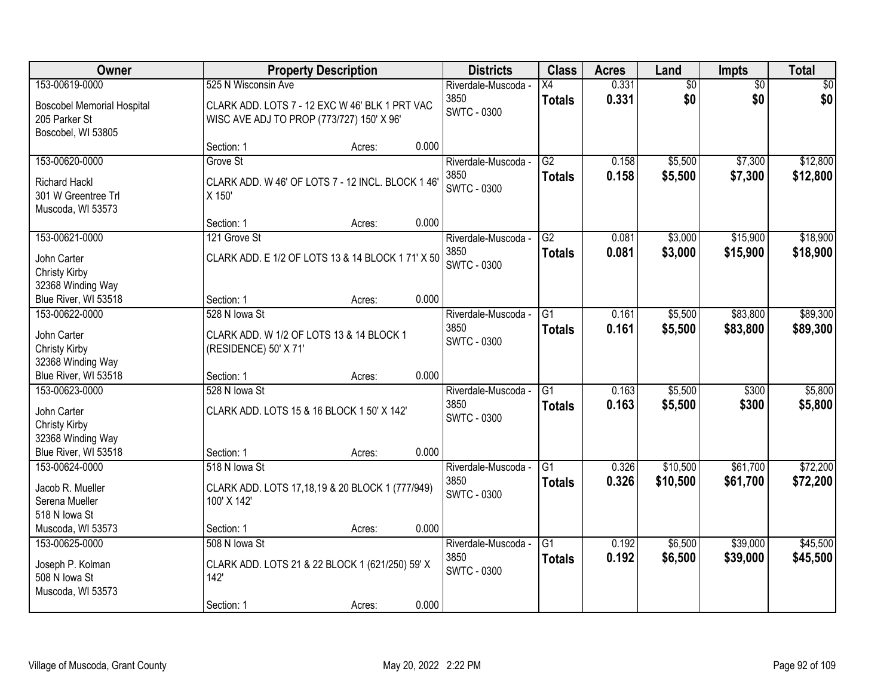| Owner                                                                    | <b>Property Description</b>                                                                 |        |       | <b>Districts</b>                                  | <b>Class</b>                     | <b>Acres</b>   | Land               | Impts                | <b>Total</b>         |
|--------------------------------------------------------------------------|---------------------------------------------------------------------------------------------|--------|-------|---------------------------------------------------|----------------------------------|----------------|--------------------|----------------------|----------------------|
| 153-00619-0000                                                           | 525 N Wisconsin Ave                                                                         |        |       | Riverdale-Muscoda -                               | X4                               | 0.331          | $\overline{50}$    | $\overline{50}$      | $\overline{50}$      |
| <b>Boscobel Memorial Hospital</b><br>205 Parker St<br>Boscobel, WI 53805 | CLARK ADD. LOTS 7 - 12 EXC W 46' BLK 1 PRT VAC<br>WISC AVE ADJ TO PROP (773/727) 150' X 96' |        |       | 3850<br><b>SWTC - 0300</b>                        | <b>Totals</b>                    | 0.331          | \$0                | \$0                  | \$0                  |
|                                                                          | Section: 1                                                                                  | Acres: | 0.000 |                                                   |                                  |                |                    |                      |                      |
| 153-00620-0000                                                           | Grove St                                                                                    |        |       | Riverdale-Muscoda -                               | $\overline{G2}$                  | 0.158          | \$5,500            | \$7,300              | \$12,800             |
| <b>Richard Hackl</b><br>301 W Greentree Trl<br>Muscoda, WI 53573         | CLARK ADD. W 46' OF LOTS 7 - 12 INCL. BLOCK 1 46'<br>X 150'                                 |        |       | 3850<br><b>SWTC - 0300</b>                        | <b>Totals</b>                    | 0.158          | \$5,500            | \$7,300              | \$12,800             |
|                                                                          | Section: 1                                                                                  | Acres: | 0.000 |                                                   |                                  |                |                    |                      |                      |
| 153-00621-0000                                                           | 121 Grove St                                                                                |        |       | Riverdale-Muscoda -                               | G2                               | 0.081          | \$3,000            | \$15,900             | \$18,900             |
| John Carter<br>Christy Kirby<br>32368 Winding Way                        | CLARK ADD. E 1/2 OF LOTS 13 & 14 BLOCK 1 71' X 50                                           |        |       | 3850<br><b>SWTC - 0300</b>                        | <b>Totals</b>                    | 0.081          | \$3,000            | \$15,900             | \$18,900             |
| Blue River, WI 53518                                                     | Section: 1                                                                                  | Acres: | 0.000 |                                                   |                                  |                |                    |                      |                      |
| 153-00622-0000                                                           | 528 N lowa St                                                                               |        |       | Riverdale-Muscoda -                               | G1                               | 0.161          | \$5,500            | \$83,800             | \$89,300             |
| John Carter<br>Christy Kirby<br>32368 Winding Way                        | CLARK ADD. W 1/2 OF LOTS 13 & 14 BLOCK 1<br>(RESIDENCE) 50' X 71'                           |        |       | 3850<br><b>SWTC - 0300</b>                        | <b>Totals</b>                    | 0.161          | \$5,500            | \$83,800             | \$89,300             |
| Blue River, WI 53518                                                     | Section: 1                                                                                  | Acres: | 0.000 |                                                   |                                  |                |                    |                      |                      |
| 153-00623-0000<br>John Carter<br>Christy Kirby                           | 528 N lowa St<br>CLARK ADD. LOTS 15 & 16 BLOCK 1 50' X 142'                                 |        |       | Riverdale-Muscoda -<br>3850<br><b>SWTC - 0300</b> | $\overline{G1}$<br><b>Totals</b> | 0.163<br>0.163 | \$5,500<br>\$5,500 | \$300<br>\$300       | \$5,800<br>\$5,800   |
| 32368 Winding Way<br>Blue River, WI 53518                                | Section: 1                                                                                  | Acres: | 0.000 |                                                   |                                  |                |                    |                      |                      |
| 153-00624-0000                                                           | 518 N lowa St                                                                               |        |       | Riverdale-Muscoda -                               | G1                               | 0.326          | \$10,500           | \$61,700             | \$72,200             |
| Jacob R. Mueller<br>Serena Mueller<br>518 N Iowa St                      | CLARK ADD. LOTS 17,18,19 & 20 BLOCK 1 (777/949)<br>100' X 142'                              |        |       | 3850<br><b>SWTC - 0300</b>                        | <b>Totals</b>                    | 0.326          | \$10,500           | \$61,700             | \$72,200             |
| Muscoda, WI 53573                                                        | Section: 1                                                                                  | Acres: | 0.000 |                                                   |                                  |                |                    |                      |                      |
| 153-00625-0000<br>Joseph P. Kolman<br>508 N Iowa St<br>Muscoda, WI 53573 | 508 N lowa St<br>CLARK ADD. LOTS 21 & 22 BLOCK 1 (621/250) 59' X<br>142'<br>Section: 1      | Acres: | 0.000 | Riverdale-Muscoda -<br>3850<br><b>SWTC - 0300</b> | $\overline{G1}$<br><b>Totals</b> | 0.192<br>0.192 | \$6,500<br>\$6,500 | \$39,000<br>\$39,000 | \$45,500<br>\$45,500 |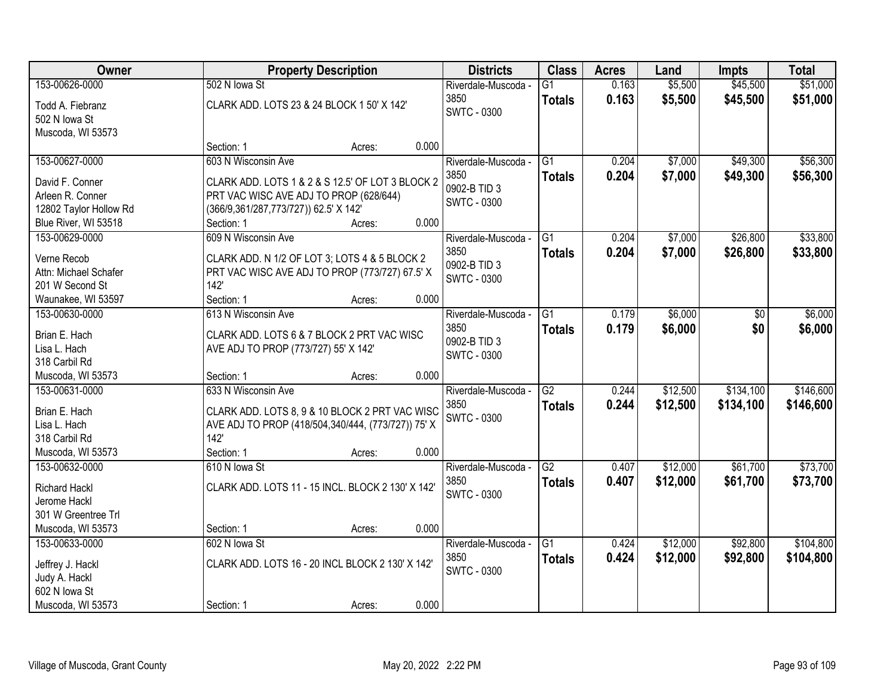| Owner                  | <b>Property Description</b>                        |        |       | <b>Districts</b>                   | <b>Class</b>    | <b>Acres</b> | Land     | <b>Impts</b> | <b>Total</b> |
|------------------------|----------------------------------------------------|--------|-------|------------------------------------|-----------------|--------------|----------|--------------|--------------|
| 153-00626-0000         | 502 N lowa St                                      |        |       | Riverdale-Muscoda -                | $\overline{G1}$ | 0.163        | \$5,500  | \$45,500     | \$51,000     |
| Todd A. Fiebranz       | CLARK ADD. LOTS 23 & 24 BLOCK 1 50' X 142'         |        |       | 3850                               | <b>Totals</b>   | 0.163        | \$5,500  | \$45,500     | \$51,000     |
| 502 N Iowa St          |                                                    |        |       | <b>SWTC - 0300</b>                 |                 |              |          |              |              |
| Muscoda, WI 53573      |                                                    |        |       |                                    |                 |              |          |              |              |
|                        | Section: 1                                         | Acres: | 0.000 |                                    |                 |              |          |              |              |
| 153-00627-0000         | 603 N Wisconsin Ave                                |        |       | Riverdale-Muscoda -                | $\overline{G1}$ | 0.204        | \$7,000  | \$49,300     | \$56,300     |
| David F. Conner        | CLARK ADD. LOTS 1 & 2 & S 12.5' OF LOT 3 BLOCK 2   |        |       | 3850                               | <b>Totals</b>   | 0.204        | \$7,000  | \$49,300     | \$56,300     |
| Arleen R. Conner       | PRT VAC WISC AVE ADJ TO PROP (628/644)             |        |       | 0902-B TID 3                       |                 |              |          |              |              |
| 12802 Taylor Hollow Rd | (366/9,361/287,773/727)) 62.5' X 142'              |        |       | SWTC - 0300                        |                 |              |          |              |              |
| Blue River, WI 53518   | Section: 1                                         | Acres: | 0.000 |                                    |                 |              |          |              |              |
| 153-00629-0000         | 609 N Wisconsin Ave                                |        |       | Riverdale-Muscoda -                | G1              | 0.204        | \$7,000  | \$26,800     | \$33,800     |
|                        |                                                    |        |       | 3850                               | <b>Totals</b>   | 0.204        | \$7,000  | \$26,800     | \$33,800     |
| Verne Recob            | CLARK ADD. N 1/2 OF LOT 3; LOTS 4 & 5 BLOCK 2      |        |       | 0902-B TID 3                       |                 |              |          |              |              |
| Attn: Michael Schafer  | PRT VAC WISC AVE ADJ TO PROP (773/727) 67.5' X     |        |       | <b>SWTC - 0300</b>                 |                 |              |          |              |              |
| 201 W Second St        | 142'                                               |        |       |                                    |                 |              |          |              |              |
| Waunakee, WI 53597     | Section: 1                                         | Acres: | 0.000 |                                    |                 |              |          |              |              |
| 153-00630-0000         | 613 N Wisconsin Ave                                |        |       | Riverdale-Muscoda -                | G1              | 0.179        | \$6,000  | \$0          | \$6,000      |
| Brian E. Hach          | CLARK ADD. LOTS 6 & 7 BLOCK 2 PRT VAC WISC         |        |       | 3850                               | <b>Totals</b>   | 0.179        | \$6,000  | \$0          | \$6,000      |
| Lisa L. Hach           | AVE ADJ TO PROP (773/727) 55' X 142'               |        |       | 0902-B TID 3<br><b>SWTC - 0300</b> |                 |              |          |              |              |
| 318 Carbil Rd          |                                                    |        |       |                                    |                 |              |          |              |              |
| Muscoda, WI 53573      | Section: 1                                         | Acres: | 0.000 |                                    |                 |              |          |              |              |
| 153-00631-0000         | 633 N Wisconsin Ave                                |        |       | Riverdale-Muscoda -                | $\overline{G2}$ | 0.244        | \$12,500 | \$134,100    | \$146,600    |
| Brian E. Hach          | CLARK ADD. LOTS 8, 9 & 10 BLOCK 2 PRT VAC WISC     |        |       | 3850                               | <b>Totals</b>   | 0.244        | \$12,500 | \$134,100    | \$146,600    |
| Lisa L. Hach           | AVE ADJ TO PROP (418/504,340/444, (773/727)) 75' X |        |       | <b>SWTC - 0300</b>                 |                 |              |          |              |              |
| 318 Carbil Rd          | 142'                                               |        |       |                                    |                 |              |          |              |              |
| Muscoda, WI 53573      | Section: 1                                         | Acres: | 0.000 |                                    |                 |              |          |              |              |
| 153-00632-0000         | 610 N lowa St                                      |        |       | Riverdale-Muscoda -                | $\overline{G2}$ | 0.407        | \$12,000 | \$61,700     | \$73,700     |
|                        |                                                    |        |       | 3850                               | <b>Totals</b>   | 0.407        | \$12,000 | \$61,700     | \$73,700     |
| <b>Richard Hackl</b>   | CLARK ADD. LOTS 11 - 15 INCL. BLOCK 2 130' X 142'  |        |       | <b>SWTC - 0300</b>                 |                 |              |          |              |              |
| Jerome Hackl           |                                                    |        |       |                                    |                 |              |          |              |              |
| 301 W Greentree Trl    |                                                    |        |       |                                    |                 |              |          |              |              |
| Muscoda, WI 53573      | Section: 1                                         | Acres: | 0.000 |                                    |                 |              |          |              |              |
| 153-00633-0000         | 602 N lowa St                                      |        |       | Riverdale-Muscoda -<br>3850        | G1              | 0.424        | \$12,000 | \$92,800     | \$104,800    |
| Jeffrey J. Hackl       | CLARK ADD. LOTS 16 - 20 INCL BLOCK 2 130' X 142'   |        |       |                                    | <b>Totals</b>   | 0.424        | \$12,000 | \$92,800     | \$104,800    |
| Judy A. Hackl          |                                                    |        |       | SWTC - 0300                        |                 |              |          |              |              |
| 602 N lowa St          |                                                    |        |       |                                    |                 |              |          |              |              |
| Muscoda, WI 53573      | Section: 1                                         | Acres: | 0.000 |                                    |                 |              |          |              |              |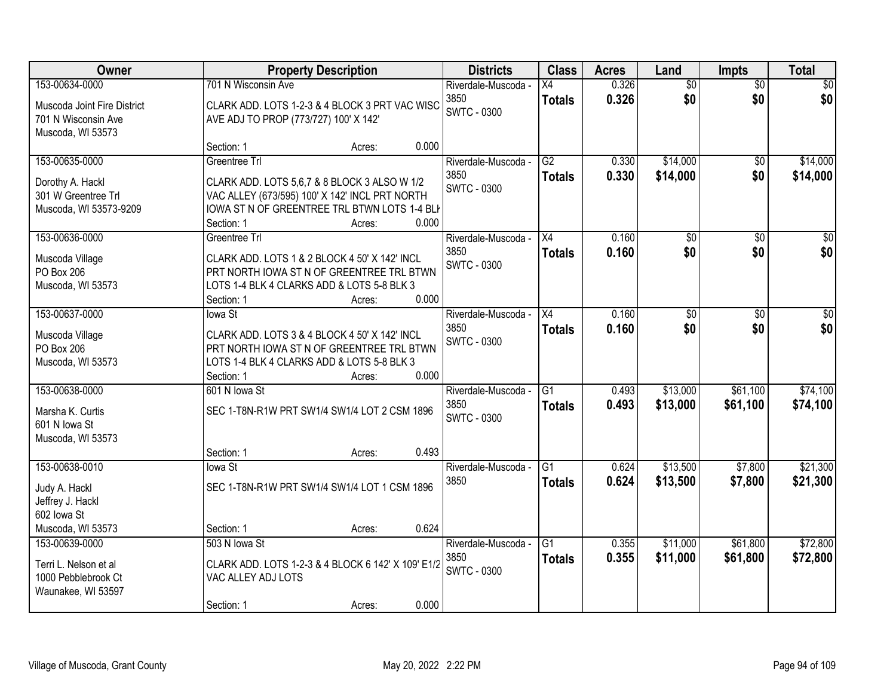| Owner                           |                                       | <b>Property Description</b>                                                                |                             |                     | <b>Districts</b> |                      | <b>Class</b>       | <b>Acres</b>         | Land | <b>Impts</b> | <b>Total</b> |
|---------------------------------|---------------------------------------|--------------------------------------------------------------------------------------------|-----------------------------|---------------------|------------------|----------------------|--------------------|----------------------|------|--------------|--------------|
| 153-00634-0000                  | 701 N Wisconsin Ave                   |                                                                                            | Riverdale-Muscoda -         | Х4                  | 0.326            | $\overline{50}$      | $\overline{50}$    | \$0                  |      |              |              |
| Muscoda Joint Fire District     |                                       | CLARK ADD. LOTS 1-2-3 & 4 BLOCK 3 PRT VAC WISC                                             | 3850<br><b>SWTC - 0300</b>  | <b>Totals</b>       | 0.326            | \$0                  | \$0                | \$0                  |      |              |              |
| 701 N Wisconsin Ave             | AVE ADJ TO PROP (773/727) 100' X 142' |                                                                                            |                             |                     |                  |                      |                    |                      |      |              |              |
| Muscoda, WI 53573               | Section: 1                            | 0.000<br>Acres:                                                                            |                             |                     |                  |                      |                    |                      |      |              |              |
| 153-00635-0000                  | Greentree Trl                         |                                                                                            | Riverdale-Muscoda -         | $\overline{G2}$     | 0.330            | \$14,000             | \$0                | \$14,000             |      |              |              |
| Dorothy A. Hackl                |                                       | CLARK ADD. LOTS 5,6,7 & 8 BLOCK 3 ALSO W 1/2                                               | 3850                        | <b>Totals</b>       | 0.330            | \$14,000             | \$0                | \$14,000             |      |              |              |
| 301 W Greentree Trl             |                                       | VAC ALLEY (673/595) 100' X 142' INCL PRT NORTH                                             | <b>SWTC - 0300</b>          |                     |                  |                      |                    |                      |      |              |              |
| Muscoda, WI 53573-9209          |                                       | IOWA ST N OF GREENTREE TRL BTWN LOTS 1-4 BLI                                               |                             |                     |                  |                      |                    |                      |      |              |              |
|                                 | Section: 1                            | 0.000<br>Acres:                                                                            |                             |                     |                  |                      |                    |                      |      |              |              |
| 153-00636-0000                  | Greentree Trl                         |                                                                                            | Riverdale-Muscoda -         | X4                  | 0.160            | \$0                  | \$0                | $\overline{50}$      |      |              |              |
| Muscoda Village                 |                                       | CLARK ADD. LOTS 1 & 2 BLOCK 4 50' X 142' INCL                                              | 3850<br><b>SWTC - 0300</b>  | <b>Totals</b>       | 0.160            | \$0                  | \$0                | \$0                  |      |              |              |
| PO Box 206                      |                                       | PRT NORTH IOWA ST N OF GREENTREE TRL BTWN                                                  |                             |                     |                  |                      |                    |                      |      |              |              |
| Muscoda, WI 53573               |                                       | LOTS 1-4 BLK 4 CLARKS ADD & LOTS 5-8 BLK 3<br>0.000                                        |                             |                     |                  |                      |                    |                      |      |              |              |
| 153-00637-0000                  | Section: 1<br>lowa St                 | Acres:                                                                                     | Riverdale-Muscoda -         | X4                  | 0.160            | \$0                  | $\sqrt[6]{3}$      | $\sqrt{50}$          |      |              |              |
|                                 |                                       |                                                                                            | 3850                        | <b>Totals</b>       | 0.160            | \$0                  | \$0                | \$0                  |      |              |              |
| Muscoda Village<br>PO Box 206   |                                       | CLARK ADD. LOTS 3 & 4 BLOCK 4 50' X 142' INCL<br>PRT NORTH IOWA ST N OF GREENTREE TRL BTWN | <b>SWTC - 0300</b>          |                     |                  |                      |                    |                      |      |              |              |
| Muscoda, WI 53573               |                                       | LOTS 1-4 BLK 4 CLARKS ADD & LOTS 5-8 BLK 3                                                 |                             |                     |                  |                      |                    |                      |      |              |              |
|                                 | Section: 1                            | 0.000<br>Acres:                                                                            |                             |                     |                  |                      |                    |                      |      |              |              |
| 153-00638-0000                  | 601 N lowa St                         |                                                                                            | Riverdale-Muscoda -         | $\overline{G1}$     | 0.493            | \$13,000             | \$61,100           | \$74,100             |      |              |              |
| Marsha K. Curtis                |                                       | SEC 1-T8N-R1W PRT SW1/4 SW1/4 LOT 2 CSM 1896                                               | 3850                        | <b>Totals</b>       | 0.493            | \$13,000             | \$61,100           | \$74,100             |      |              |              |
| 601 N Iowa St                   |                                       |                                                                                            | <b>SWTC - 0300</b>          |                     |                  |                      |                    |                      |      |              |              |
| Muscoda, WI 53573               |                                       |                                                                                            |                             |                     |                  |                      |                    |                      |      |              |              |
|                                 | Section: 1                            | 0.493<br>Acres:                                                                            |                             |                     |                  |                      |                    |                      |      |              |              |
| 153-00638-0010                  | lowa St                               |                                                                                            | Riverdale-Muscoda -<br>3850 | G1<br><b>Totals</b> | 0.624<br>0.624   | \$13,500<br>\$13,500 | \$7,800<br>\$7,800 | \$21,300<br>\$21,300 |      |              |              |
| Judy A. Hackl                   |                                       | SEC 1-T8N-R1W PRT SW1/4 SW1/4 LOT 1 CSM 1896                                               |                             |                     |                  |                      |                    |                      |      |              |              |
| Jeffrey J. Hackl<br>602 lowa St |                                       |                                                                                            |                             |                     |                  |                      |                    |                      |      |              |              |
| Muscoda, WI 53573               | Section: 1                            | 0.624<br>Acres:                                                                            |                             |                     |                  |                      |                    |                      |      |              |              |
| 153-00639-0000                  | 503 N lowa St                         |                                                                                            | Riverdale-Muscoda -         | G1                  | 0.355            | \$11,000             | \$61,800           | \$72,800             |      |              |              |
| Terri L. Nelson et al           |                                       | CLARK ADD. LOTS 1-2-3 & 4 BLOCK 6 142' X 109' E1/2                                         | 3850                        | <b>Totals</b>       | 0.355            | \$11,000             | \$61,800           | \$72,800             |      |              |              |
| 1000 Pebblebrook Ct             | VAC ALLEY ADJ LOTS                    |                                                                                            | SWTC - 0300                 |                     |                  |                      |                    |                      |      |              |              |
| Waunakee, WI 53597              |                                       |                                                                                            |                             |                     |                  |                      |                    |                      |      |              |              |
|                                 | Section: 1                            | 0.000<br>Acres:                                                                            |                             |                     |                  |                      |                    |                      |      |              |              |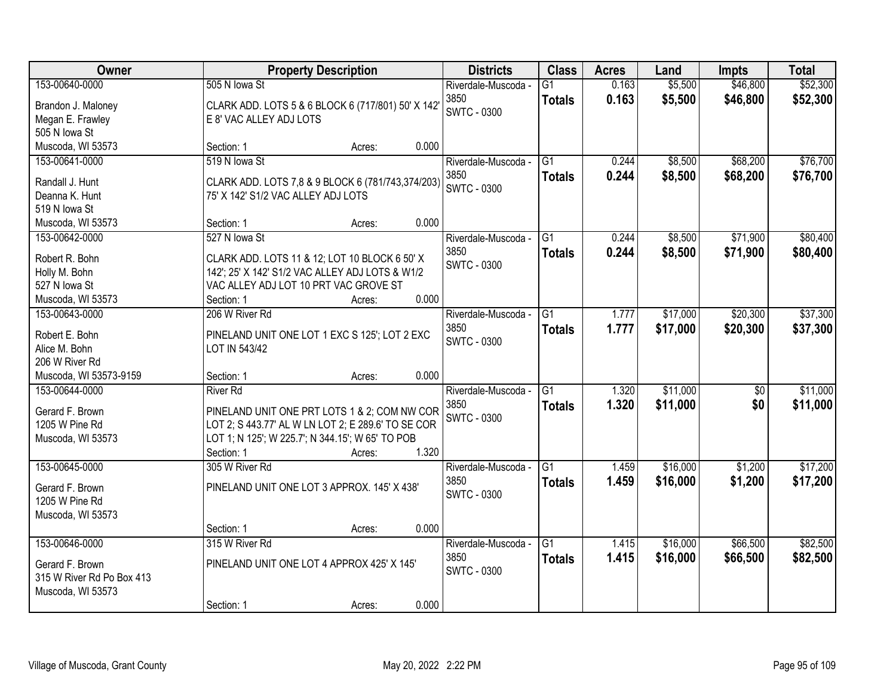| Owner                                                                                              |                                                                      | <b>Property Description</b>                                                                                                                                                |                | <b>Districts</b>                                  | <b>Class</b>                     | <b>Acres</b><br>Land |                      | <b>Impts</b>           | <b>Total</b>         |
|----------------------------------------------------------------------------------------------------|----------------------------------------------------------------------|----------------------------------------------------------------------------------------------------------------------------------------------------------------------------|----------------|---------------------------------------------------|----------------------------------|----------------------|----------------------|------------------------|----------------------|
| 153-00640-0000<br>Brandon J. Maloney<br>Megan E. Frawley                                           | 505 N lowa St<br>E 8' VAC ALLEY ADJ LOTS                             | CLARK ADD. LOTS 5 & 6 BLOCK 6 (717/801) 50' X 142                                                                                                                          |                | Riverdale-Muscoda -<br>3850<br><b>SWTC - 0300</b> | $\overline{G1}$<br><b>Totals</b> | 0.163<br>0.163       | \$5,500<br>\$5,500   | \$46,800<br>\$46,800   | \$52,300<br>\$52,300 |
| 505 N Iowa St<br>Muscoda, WI 53573                                                                 | Section: 1                                                           | Acres:                                                                                                                                                                     | 0.000          |                                                   |                                  |                      |                      |                        |                      |
| 153-00641-0000<br>Randall J. Hunt<br>Deanna K. Hunt<br>519 N Iowa St                               | 519 N lowa St<br>75' X 142' S1/2 VAC ALLEY ADJ LOTS                  | CLARK ADD. LOTS 7,8 & 9 BLOCK 6 (781/743,374/203)                                                                                                                          |                | Riverdale-Muscoda -<br>3850<br><b>SWTC - 0300</b> | $\overline{G1}$<br><b>Totals</b> | 0.244<br>0.244       | \$8,500<br>\$8,500   | \$68,200<br>\$68,200   | \$76,700<br>\$76,700 |
| Muscoda, WI 53573                                                                                  | Section: 1                                                           | Acres:                                                                                                                                                                     | 0.000          |                                                   |                                  |                      |                      |                        |                      |
| 153-00642-0000<br>Robert R. Bohn<br>Holly M. Bohn<br>527 N lowa St<br>Muscoda, WI 53573            | 527 N lowa St<br>VAC ALLEY ADJ LOT 10 PRT VAC GROVE ST<br>Section: 1 | CLARK ADD. LOTS 11 & 12; LOT 10 BLOCK 6 50' X<br>142'; 25' X 142' S1/2 VAC ALLEY ADJ LOTS & W1/2<br>Acres:                                                                 | 0.000          | Riverdale-Muscoda -<br>3850<br><b>SWTC - 0300</b> | G1<br><b>Totals</b>              | 0.244<br>0.244       | \$8,500<br>\$8,500   | \$71,900<br>\$71,900   | \$80,400<br>\$80,400 |
| 153-00643-0000<br>Robert E. Bohn<br>Alice M. Bohn<br>206 W River Rd                                | 206 W River Rd<br>LOT IN 543/42                                      | PINELAND UNIT ONE LOT 1 EXC S 125'; LOT 2 EXC                                                                                                                              |                | Riverdale-Muscoda -<br>3850<br><b>SWTC - 0300</b> | $\overline{G1}$<br><b>Totals</b> | 1.777<br>1.777       | \$17,000<br>\$17,000 | \$20,300<br>\$20,300   | \$37,300<br>\$37,300 |
| Muscoda, WI 53573-9159<br>153-00644-0000<br>Gerard F. Brown<br>1205 W Pine Rd<br>Muscoda, WI 53573 | Section: 1<br><b>River Rd</b><br>Section: 1                          | Acres:<br>PINELAND UNIT ONE PRT LOTS 1 & 2; COM NW COR<br>LOT 2; S 443.77' AL W LN LOT 2; E 289.6' TO SE COR<br>LOT 1; N 125'; W 225.7'; N 344.15'; W 65' TO POB<br>Acres: | 0.000<br>1.320 | Riverdale-Muscoda -<br>3850<br><b>SWTC - 0300</b> | $\overline{G1}$<br><b>Totals</b> | 1.320<br>1.320       | \$11,000<br>\$11,000 | $\overline{50}$<br>\$0 | \$11,000<br>\$11,000 |
| 153-00645-0000<br>Gerard F. Brown<br>1205 W Pine Rd<br>Muscoda, WI 53573                           | 305 W River Rd<br>Section: 1                                         | PINELAND UNIT ONE LOT 3 APPROX. 145' X 438'<br>Acres:                                                                                                                      | 0.000          | Riverdale-Muscoda -<br>3850<br><b>SWTC - 0300</b> | G1<br><b>Totals</b>              | 1.459<br>1.459       | \$16,000<br>\$16,000 | \$1,200<br>\$1,200     | \$17,200<br>\$17,200 |
| 153-00646-0000<br>Gerard F. Brown<br>315 W River Rd Po Box 413<br>Muscoda, WI 53573                | 315 W River Rd<br>Section: 1                                         | PINELAND UNIT ONE LOT 4 APPROX 425' X 145'<br>Acres:                                                                                                                       | 0.000          | Riverdale-Muscoda -<br>3850<br><b>SWTC - 0300</b> | G1<br><b>Totals</b>              | 1.415<br>1.415       | \$16,000<br>\$16,000 | \$66,500<br>\$66,500   | \$82,500<br>\$82,500 |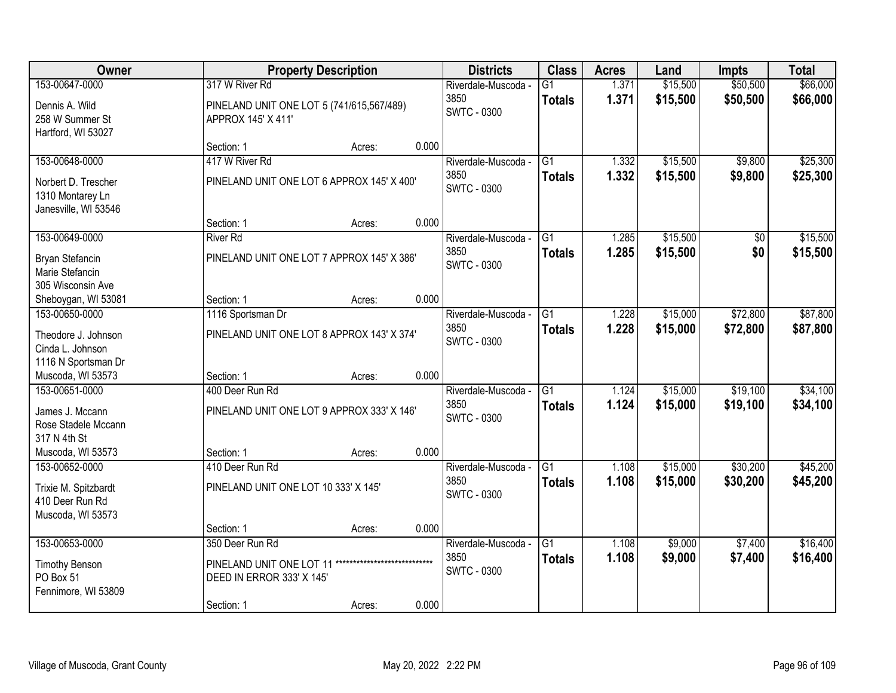| Owner                                                           |                                                                 | <b>Property Description</b>  |       |                                                   | <b>Class</b>                     | <b>Acres</b>   | Land                 | <b>Impts</b>         | <b>Total</b>         |
|-----------------------------------------------------------------|-----------------------------------------------------------------|------------------------------|-------|---------------------------------------------------|----------------------------------|----------------|----------------------|----------------------|----------------------|
| 153-00647-0000                                                  | 317 W River Rd                                                  |                              |       | Riverdale-Muscoda -                               | $\overline{G1}$                  | 1.371          | \$15,500             | \$50,500             | \$66,000             |
| Dennis A. Wild<br>258 W Summer St<br>Hartford, WI 53027         | PINELAND UNIT ONE LOT 5 (741/615,567/489)<br>APPROX 145' X 411' |                              |       | 3850<br><b>SWTC - 0300</b>                        | <b>Totals</b>                    | 1.371          | \$15,500             | \$50,500             | \$66,000             |
|                                                                 | Section: 1                                                      | Acres:                       | 0.000 |                                                   |                                  |                |                      |                      |                      |
| 153-00648-0000                                                  | 417 W River Rd                                                  |                              |       | Riverdale-Muscoda -                               | G1                               | 1.332          | \$15,500             | \$9,800              | \$25,300             |
| Norbert D. Trescher<br>1310 Montarey Ln<br>Janesville, WI 53546 | PINELAND UNIT ONE LOT 6 APPROX 145' X 400'                      |                              |       | 3850<br>SWTC - 0300                               | <b>Totals</b>                    | 1.332          | \$15,500             | \$9,800              | \$25,300             |
|                                                                 | Section: 1                                                      | Acres:                       | 0.000 |                                                   |                                  |                |                      |                      |                      |
| 153-00649-0000                                                  | <b>River Rd</b>                                                 |                              |       | Riverdale-Muscoda -                               | G1                               | 1.285          | \$15,500             | $\sqrt[6]{30}$       | \$15,500             |
| Bryan Stefancin<br>Marie Stefancin<br>305 Wisconsin Ave         | PINELAND UNIT ONE LOT 7 APPROX 145' X 386'                      |                              |       | 3850<br><b>SWTC - 0300</b>                        | <b>Totals</b>                    | 1.285          | \$15,500             | \$0                  | \$15,500             |
| Sheboygan, WI 53081                                             | Section: 1                                                      | Acres:                       | 0.000 |                                                   |                                  |                |                      |                      |                      |
| 153-00650-0000                                                  | 1116 Sportsman Dr                                               |                              |       | Riverdale-Muscoda -                               | G1                               | 1.228          | \$15,000             | \$72,800             | \$87,800             |
| Theodore J. Johnson<br>Cinda L. Johnson<br>1116 N Sportsman Dr  | PINELAND UNIT ONE LOT 8 APPROX 143' X 374'                      |                              |       | 3850<br><b>SWTC - 0300</b>                        | <b>Totals</b>                    | 1.228          | \$15,000             | \$72,800             | \$87,800             |
| Muscoda, WI 53573                                               | Section: 1                                                      | Acres:                       | 0.000 |                                                   |                                  |                |                      |                      |                      |
| 153-00651-0000<br>James J. Mccann<br>Rose Stadele Mccann        | 400 Deer Run Rd<br>PINELAND UNIT ONE LOT 9 APPROX 333' X 146'   |                              |       | Riverdale-Muscoda -<br>3850<br><b>SWTC - 0300</b> | $\overline{G1}$<br><b>Totals</b> | 1.124<br>1.124 | \$15,000<br>\$15,000 | \$19,100<br>\$19,100 | \$34,100<br>\$34,100 |
| 317 N 4th St                                                    |                                                                 |                              |       |                                                   |                                  |                |                      |                      |                      |
| Muscoda, WI 53573                                               | Section: 1                                                      | Acres:                       | 0.000 |                                                   |                                  |                |                      |                      |                      |
| 153-00652-0000                                                  | 410 Deer Run Rd                                                 |                              |       | Riverdale-Muscoda -                               | G1                               | 1.108          | \$15,000             | \$30,200             | \$45,200             |
| Trixie M. Spitzbardt<br>410 Deer Run Rd<br>Muscoda, WI 53573    | PINELAND UNIT ONE LOT 10 333' X 145'                            |                              |       | 3850<br><b>SWTC - 0300</b>                        | <b>Totals</b>                    | 1.108          | \$15,000             | \$30,200             | \$45,200             |
|                                                                 | Section: 1                                                      | Acres:                       | 0.000 |                                                   |                                  |                |                      |                      |                      |
| 153-00653-0000                                                  | 350 Deer Run Rd                                                 |                              |       | Riverdale-Muscoda -                               | $\overline{G1}$                  | 1.108          | \$9,000              | \$7,400              | \$16,400             |
| <b>Timothy Benson</b><br>PO Box 51<br>Fennimore, WI 53809       | PINELAND UNIT ONE LOT 11<br>DEED IN ERROR 333' X 145'           | **************************** |       | 3850<br><b>SWTC - 0300</b>                        | <b>Totals</b>                    | 1.108          | \$9,000              | \$7,400              | \$16,400             |
|                                                                 | Section: 1                                                      | Acres:                       | 0.000 |                                                   |                                  |                |                      |                      |                      |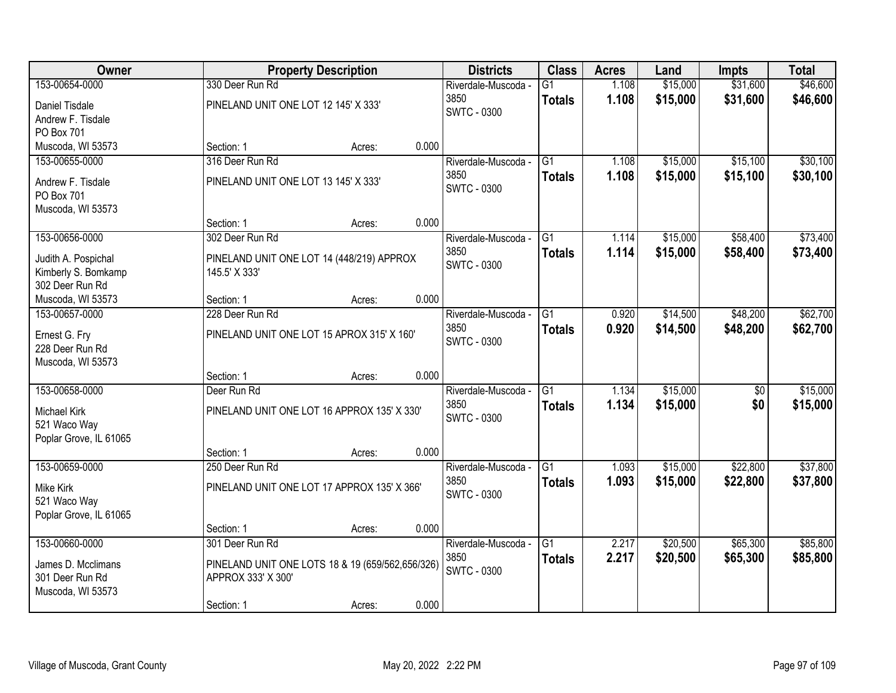| <b>Owner</b>                           |                                                  | <b>Property Description</b> |       | <b>Districts</b>    | <b>Class</b>    | <b>Acres</b> | Land     | <b>Impts</b>    | <b>Total</b> |
|----------------------------------------|--------------------------------------------------|-----------------------------|-------|---------------------|-----------------|--------------|----------|-----------------|--------------|
| 153-00654-0000                         | 330 Deer Run Rd                                  |                             |       | Riverdale-Muscoda - | $\overline{G1}$ | 1.108        | \$15,000 | \$31,600        | \$46,600     |
| Daniel Tisdale                         | PINELAND UNIT ONE LOT 12 145' X 333'             |                             |       | 3850                | <b>Totals</b>   | 1.108        | \$15,000 | \$31,600        | \$46,600     |
| Andrew F. Tisdale                      |                                                  |                             |       | <b>SWTC - 0300</b>  |                 |              |          |                 |              |
| PO Box 701                             |                                                  |                             |       |                     |                 |              |          |                 |              |
| Muscoda, WI 53573                      | Section: 1                                       | Acres:                      | 0.000 |                     |                 |              |          |                 |              |
| 153-00655-0000                         | 316 Deer Run Rd                                  |                             |       | Riverdale-Muscoda - | $\overline{G1}$ | 1.108        | \$15,000 | \$15,100        | \$30,100     |
| Andrew F. Tisdale                      | PINELAND UNIT ONE LOT 13 145' X 333'             |                             |       | 3850                | <b>Totals</b>   | 1.108        | \$15,000 | \$15,100        | \$30,100     |
| PO Box 701                             |                                                  |                             |       | <b>SWTC - 0300</b>  |                 |              |          |                 |              |
| Muscoda, WI 53573                      |                                                  |                             |       |                     |                 |              |          |                 |              |
|                                        | Section: 1                                       | Acres:                      | 0.000 |                     |                 |              |          |                 |              |
| 153-00656-0000                         | 302 Deer Run Rd                                  |                             |       | Riverdale-Muscoda - | G1              | 1.114        | \$15,000 | \$58,400        | \$73,400     |
| Judith A. Pospichal                    | PINELAND UNIT ONE LOT 14 (448/219) APPROX        |                             |       | 3850                | <b>Totals</b>   | 1.114        | \$15,000 | \$58,400        | \$73,400     |
| Kimberly S. Bomkamp                    | 145.5' X 333'                                    |                             |       | <b>SWTC - 0300</b>  |                 |              |          |                 |              |
| 302 Deer Run Rd                        |                                                  |                             |       |                     |                 |              |          |                 |              |
| Muscoda, WI 53573                      | Section: 1                                       | Acres:                      | 0.000 |                     |                 |              |          |                 |              |
| 153-00657-0000                         | 228 Deer Run Rd                                  |                             |       | Riverdale-Muscoda - | G1              | 0.920        | \$14,500 | \$48,200        | \$62,700     |
|                                        |                                                  |                             |       | 3850                | <b>Totals</b>   | 0.920        | \$14,500 | \$48,200        | \$62,700     |
| Ernest G. Fry<br>228 Deer Run Rd       | PINELAND UNIT ONE LOT 15 APROX 315' X 160'       |                             |       | SWTC - 0300         |                 |              |          |                 |              |
| Muscoda, WI 53573                      |                                                  |                             |       |                     |                 |              |          |                 |              |
|                                        | Section: 1                                       | Acres:                      | 0.000 |                     |                 |              |          |                 |              |
| 153-00658-0000                         | Deer Run Rd                                      |                             |       | Riverdale-Muscoda - | $\overline{G1}$ | 1.134        | \$15,000 | $\overline{50}$ | \$15,000     |
|                                        |                                                  |                             |       | 3850                | <b>Totals</b>   | 1.134        | \$15,000 | \$0             | \$15,000     |
| Michael Kirk                           | PINELAND UNIT ONE LOT 16 APPROX 135' X 330'      |                             |       | <b>SWTC - 0300</b>  |                 |              |          |                 |              |
| 521 Waco Way<br>Poplar Grove, IL 61065 |                                                  |                             |       |                     |                 |              |          |                 |              |
|                                        | Section: 1                                       | Acres:                      | 0.000 |                     |                 |              |          |                 |              |
| 153-00659-0000                         | 250 Deer Run Rd                                  |                             |       | Riverdale-Muscoda - | $\overline{G1}$ | 1.093        | \$15,000 | \$22,800        | \$37,800     |
|                                        |                                                  |                             |       | 3850                | <b>Totals</b>   | 1.093        | \$15,000 | \$22,800        | \$37,800     |
| Mike Kirk                              | PINELAND UNIT ONE LOT 17 APPROX 135' X 366'      |                             |       | <b>SWTC - 0300</b>  |                 |              |          |                 |              |
| 521 Waco Way                           |                                                  |                             |       |                     |                 |              |          |                 |              |
| Poplar Grove, IL 61065                 | Section: 1                                       | Acres:                      | 0.000 |                     |                 |              |          |                 |              |
| 153-00660-0000                         | 301 Deer Run Rd                                  |                             |       | Riverdale-Muscoda - | $\overline{G1}$ | 2.217        | \$20,500 | \$65,300        | \$85,800     |
|                                        |                                                  |                             |       | 3850                | <b>Totals</b>   | 2.217        | \$20,500 | \$65,300        | \$85,800     |
| James D. Mcclimans                     | PINELAND UNIT ONE LOTS 18 & 19 (659/562,656/326) |                             |       | <b>SWTC - 0300</b>  |                 |              |          |                 |              |
| 301 Deer Run Rd                        | APPROX 333' X 300'                               |                             |       |                     |                 |              |          |                 |              |
| Muscoda, WI 53573                      |                                                  |                             |       |                     |                 |              |          |                 |              |
|                                        | Section: 1                                       | Acres:                      | 0.000 |                     |                 |              |          |                 |              |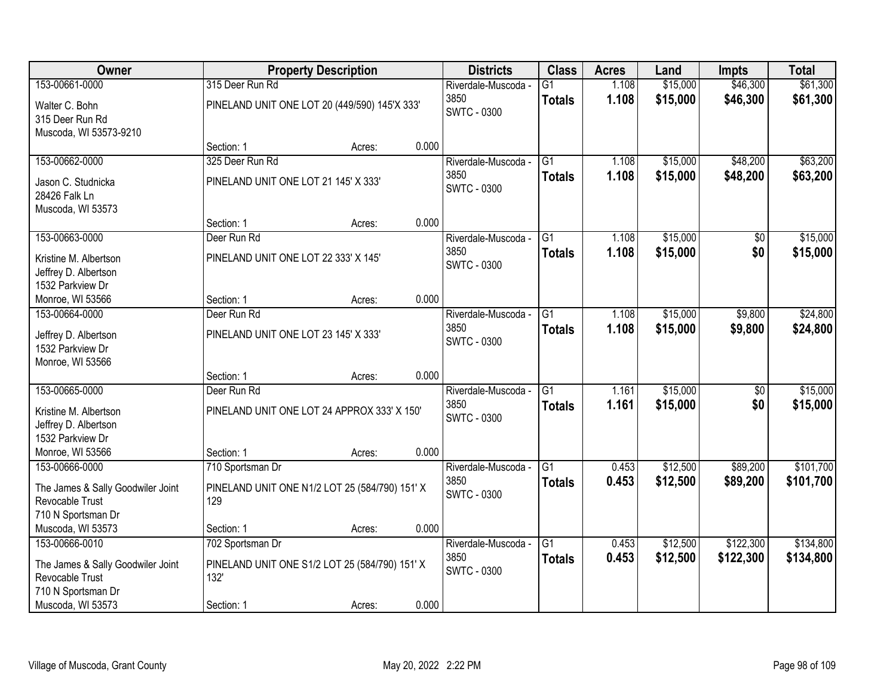| 153-00661-0000<br>\$15,000<br>\$46,300<br>315 Deer Run Rd<br>$\overline{G1}$<br>1.108                                                | \$61,300                    |
|--------------------------------------------------------------------------------------------------------------------------------------|-----------------------------|
| Riverdale-Muscoda -                                                                                                                  |                             |
| 1.108<br>\$15,000<br>\$46,300<br>3850<br><b>Totals</b><br>PINELAND UNIT ONE LOT 20 (449/590) 145'X 333'<br>Walter C. Bohn            | \$61,300                    |
| <b>SWTC - 0300</b><br>315 Deer Run Rd                                                                                                |                             |
| Muscoda, WI 53573-9210                                                                                                               |                             |
| 0.000<br>Section: 1<br>Acres:                                                                                                        |                             |
| \$15,000<br>\$48,200<br>153-00662-0000<br>325 Deer Run Rd<br>$\overline{G1}$<br>Riverdale-Muscoda -<br>1.108                         | \$63,200                    |
| 1.108<br>3850<br>\$15,000<br>\$48,200<br><b>Totals</b><br>PINELAND UNIT ONE LOT 21 145' X 333'<br>Jason C. Studnicka                 | \$63,200                    |
| <b>SWTC - 0300</b><br>28426 Falk Ln                                                                                                  |                             |
| Muscoda, WI 53573                                                                                                                    |                             |
| 0.000<br>Section: 1<br>Acres:                                                                                                        |                             |
| 153-00663-0000<br>\$15,000<br>Deer Run Rd<br>G1<br>1.108<br>Riverdale-Muscoda -                                                      | \$15,000<br>\$0             |
| 3850<br>1.108<br>\$15,000<br><b>Totals</b><br>PINELAND UNIT ONE LOT 22 333' X 145'<br>Kristine M. Albertson                          | \$0<br>\$15,000             |
| <b>SWTC - 0300</b><br>Jeffrey D. Albertson                                                                                           |                             |
| 1532 Parkview Dr                                                                                                                     |                             |
| 0.000<br>Monroe, WI 53566<br>Section: 1<br>Acres:                                                                                    |                             |
| \$15,000<br>\$9,800<br>153-00664-0000<br>Riverdale-Muscoda -<br>G1<br>1.108<br>Deer Run Rd                                           | \$24,800                    |
| 3850<br>1.108<br>\$15,000<br>\$9,800<br><b>Totals</b><br>PINELAND UNIT ONE LOT 23 145' X 333'<br>Jeffrey D. Albertson                | \$24,800                    |
| <b>SWTC - 0300</b><br>1532 Parkview Dr                                                                                               |                             |
| Monroe, WI 53566                                                                                                                     |                             |
| 0.000<br>Section: 1<br>Acres:                                                                                                        |                             |
| 153-00665-0000<br>$\overline{G1}$<br>1.161<br>\$15,000<br>Deer Run Rd<br>Riverdale-Muscoda -                                         | \$15,000<br>$\overline{50}$ |
| 3850<br>1.161<br>\$15,000<br><b>Totals</b><br>PINELAND UNIT ONE LOT 24 APPROX 333' X 150'<br>Kristine M. Albertson                   | \$0<br>\$15,000             |
| <b>SWTC - 0300</b><br>Jeffrey D. Albertson                                                                                           |                             |
| 1532 Parkview Dr                                                                                                                     |                             |
| Monroe, WI 53566<br>0.000<br>Section: 1<br>Acres:                                                                                    |                             |
| \$12,500<br>\$89,200<br>153-00666-0000<br>G1<br>710 Sportsman Dr<br>Riverdale-Muscoda -<br>0.453                                     | \$101,700                   |
| 3850<br>0.453<br>\$12,500<br>\$89,200<br><b>Totals</b>                                                                               | \$101,700                   |
| The James & Sally Goodwiler Joint<br>PINELAND UNIT ONE N1/2 LOT 25 (584/790) 151' X<br><b>SWTC - 0300</b><br>129<br>Revocable Trust  |                             |
| 710 N Sportsman Dr                                                                                                                   |                             |
| 0.000<br>Muscoda, WI 53573<br>Section: 1<br>Acres:                                                                                   |                             |
| 153-00666-0010<br>702 Sportsman Dr<br>$\overline{G1}$<br>\$12,500<br>\$122,300<br>Riverdale-Muscoda -<br>0.453                       | \$134,800                   |
| 0.453<br>3850<br>\$12,500<br>\$122,300<br><b>Totals</b>                                                                              | \$134,800                   |
| PINELAND UNIT ONE S1/2 LOT 25 (584/790) 151' X<br>The James & Sally Goodwiler Joint<br><b>SWTC - 0300</b><br>Revocable Trust<br>132' |                             |
| 710 N Sportsman Dr                                                                                                                   |                             |
| 0.000<br>Muscoda, WI 53573<br>Section: 1<br>Acres:                                                                                   |                             |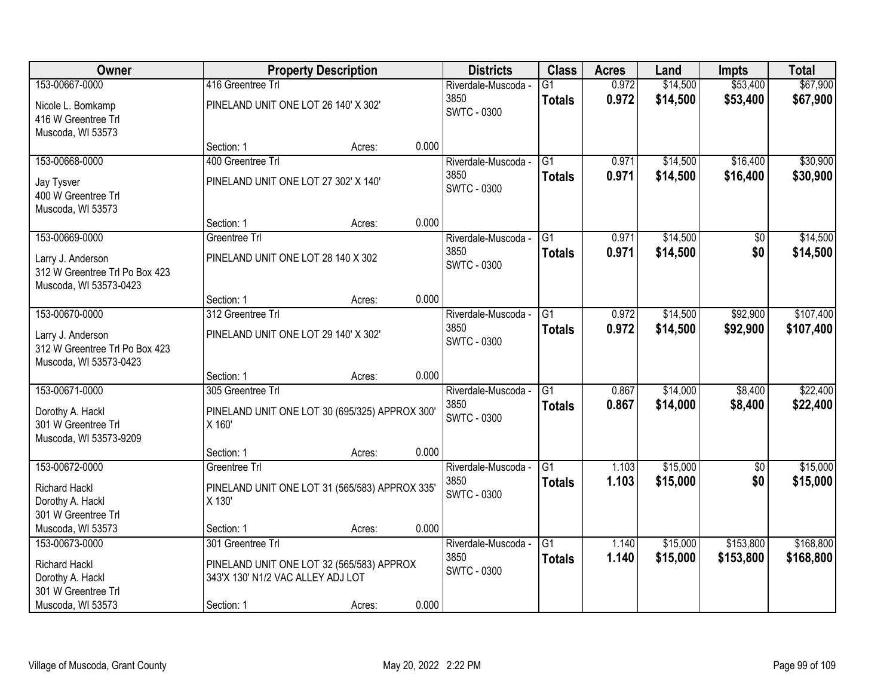| <b>Owner</b>                                                                  |                                                           | <b>Property Description</b> |       | <b>Districts</b>            | <b>Class</b>        | <b>Acres</b>   | Land                 | <b>Impts</b>         | <b>Total</b>         |
|-------------------------------------------------------------------------------|-----------------------------------------------------------|-----------------------------|-------|-----------------------------|---------------------|----------------|----------------------|----------------------|----------------------|
| 153-00667-0000                                                                | 416 Greentree Trl                                         |                             |       | Riverdale-Muscoda -         | $\overline{G1}$     | 0.972          | \$14,500             | \$53,400             | \$67,900             |
| Nicole L. Bomkamp<br>416 W Greentree Trl<br>Muscoda, WI 53573                 | PINELAND UNIT ONE LOT 26 140' X 302'                      |                             |       | 3850<br><b>SWTC - 0300</b>  | <b>Totals</b>       | 0.972          | \$14,500             | \$53,400             | \$67,900             |
|                                                                               | Section: 1                                                | Acres:                      | 0.000 |                             |                     |                |                      |                      |                      |
| 153-00668-0000                                                                | 400 Greentree Trl<br>PINELAND UNIT ONE LOT 27 302' X 140' |                             |       | Riverdale-Muscoda -<br>3850 | G1<br><b>Totals</b> | 0.971<br>0.971 | \$14,500<br>\$14,500 | \$16,400<br>\$16,400 | \$30,900<br>\$30,900 |
| Jay Tysver<br>400 W Greentree Trl<br>Muscoda, WI 53573                        |                                                           |                             |       | <b>SWTC - 0300</b>          |                     |                |                      |                      |                      |
|                                                                               | Section: 1                                                | Acres:                      | 0.000 |                             |                     |                |                      |                      |                      |
| 153-00669-0000                                                                | Greentree Trl                                             |                             |       | Riverdale-Muscoda -         | G1                  | 0.971          | \$14,500             | \$0                  | \$14,500             |
| Larry J. Anderson<br>312 W Greentree Trl Po Box 423<br>Muscoda, WI 53573-0423 | PINELAND UNIT ONE LOT 28 140 X 302                        |                             |       | 3850<br><b>SWTC - 0300</b>  | <b>Totals</b>       | 0.971          | \$14,500             | \$0                  | \$14,500             |
|                                                                               | Section: 1                                                | Acres:                      | 0.000 |                             |                     |                |                      |                      |                      |
| 153-00670-0000                                                                | 312 Greentree Trl                                         |                             |       | Riverdale-Muscoda -         | $\overline{G1}$     | 0.972          | \$14,500             | \$92,900             | \$107,400            |
| Larry J. Anderson<br>312 W Greentree Trl Po Box 423<br>Muscoda, WI 53573-0423 | PINELAND UNIT ONE LOT 29 140' X 302'                      |                             |       | 3850<br><b>SWTC - 0300</b>  | <b>Totals</b>       | 0.972          | \$14,500             | \$92,900             | \$107,400            |
|                                                                               | Section: 1                                                | Acres:                      | 0.000 |                             |                     |                |                      |                      |                      |
| 153-00671-0000                                                                | 305 Greentree Trl                                         |                             |       | Riverdale-Muscoda -         | $\overline{G1}$     | 0.867          | \$14,000             | \$8,400              | \$22,400             |
| Dorothy A. Hackl                                                              | PINELAND UNIT ONE LOT 30 (695/325) APPROX 300'            |                             |       | 3850                        | <b>Totals</b>       | 0.867          | \$14,000             | \$8,400              | \$22,400             |
| 301 W Greentree Trl                                                           | X 160'                                                    |                             |       | <b>SWTC - 0300</b>          |                     |                |                      |                      |                      |
| Muscoda, WI 53573-9209                                                        |                                                           |                             |       |                             |                     |                |                      |                      |                      |
|                                                                               | Section: 1                                                | Acres:                      | 0.000 |                             |                     |                |                      |                      |                      |
| 153-00672-0000                                                                | Greentree Trl                                             |                             |       | Riverdale-Muscoda -         | $\overline{G1}$     | 1.103          | \$15,000             | $\sqrt{6}$           | \$15,000             |
| <b>Richard Hackl</b>                                                          | PINELAND UNIT ONE LOT 31 (565/583) APPROX 335'            |                             |       | 3850                        | <b>Totals</b>       | 1.103          | \$15,000             | \$0                  | \$15,000             |
| Dorothy A. Hackl                                                              | X 130'                                                    |                             |       | <b>SWTC - 0300</b>          |                     |                |                      |                      |                      |
| 301 W Greentree Trl                                                           |                                                           |                             |       |                             |                     |                |                      |                      |                      |
| Muscoda, WI 53573                                                             | Section: 1                                                | Acres:                      | 0.000 |                             |                     |                |                      |                      |                      |
| 153-00673-0000                                                                | 301 Greentree Trl                                         |                             |       | Riverdale-Muscoda -         | $\overline{G1}$     | 1.140          | \$15,000             | \$153,800            | \$168,800            |
| <b>Richard Hackl</b>                                                          | PINELAND UNIT ONE LOT 32 (565/583) APPROX                 |                             |       | 3850                        | <b>Totals</b>       | 1.140          | \$15,000             | \$153,800            | \$168,800            |
| Dorothy A. Hackl                                                              | 343'X 130' N1/2 VAC ALLEY ADJ LOT                         |                             |       | <b>SWTC - 0300</b>          |                     |                |                      |                      |                      |
| 301 W Greentree Trl                                                           |                                                           |                             |       |                             |                     |                |                      |                      |                      |
| Muscoda, WI 53573                                                             | Section: 1                                                | Acres:                      | 0.000 |                             |                     |                |                      |                      |                      |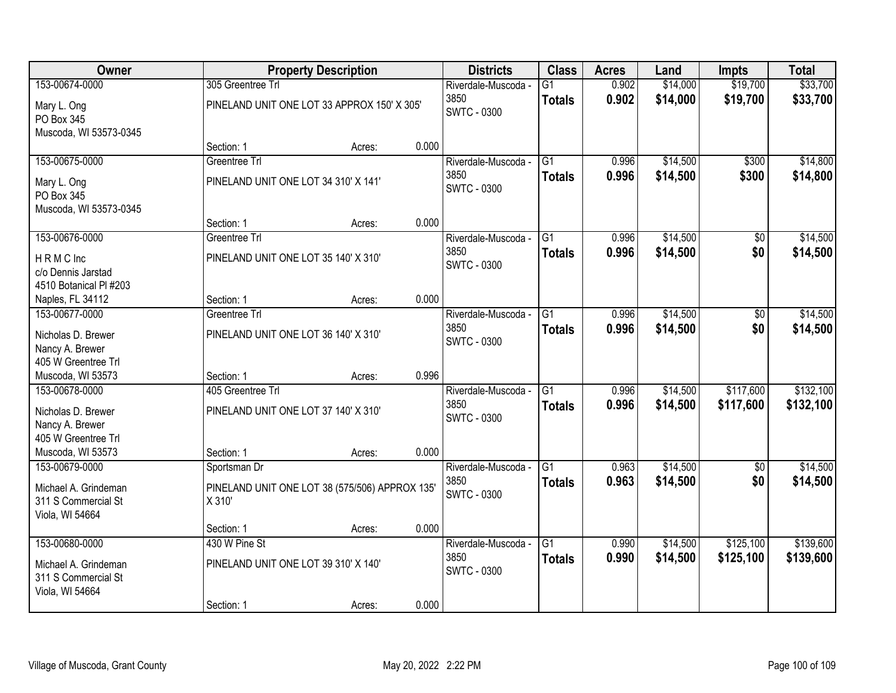| Owner                                                                          |                                                                          | <b>Property Description</b> |       | <b>Districts</b>                                  | <b>Class</b>                     | <b>Acres</b>   | Land                 | <b>Impts</b>           | <b>Total</b>           |
|--------------------------------------------------------------------------------|--------------------------------------------------------------------------|-----------------------------|-------|---------------------------------------------------|----------------------------------|----------------|----------------------|------------------------|------------------------|
| 153-00674-0000                                                                 | 305 Greentree Trl                                                        |                             |       | Riverdale-Muscoda -                               | G1                               | 0.902          | \$14,000             | \$19,700               | \$33,700               |
| Mary L. Ong<br>PO Box 345<br>Muscoda, WI 53573-0345                            | PINELAND UNIT ONE LOT 33 APPROX 150' X 305'                              |                             |       | 3850<br><b>SWTC - 0300</b>                        | <b>Totals</b>                    | 0.902          | \$14,000             | \$19,700               | \$33,700               |
|                                                                                | Section: 1                                                               | Acres:                      | 0.000 |                                                   |                                  |                |                      |                        |                        |
| 153-00675-0000                                                                 | Greentree Trl                                                            |                             |       | Riverdale-Muscoda -                               | $\overline{G1}$                  | 0.996          | \$14,500             | \$300                  | \$14,800               |
| Mary L. Ong<br>PO Box 345<br>Muscoda, WI 53573-0345                            | PINELAND UNIT ONE LOT 34 310' X 141'                                     |                             |       | 3850<br><b>SWTC - 0300</b>                        | <b>Totals</b>                    | 0.996          | \$14,500             | \$300                  | \$14,800               |
|                                                                                | Section: 1                                                               | Acres:                      | 0.000 |                                                   |                                  |                |                      |                        |                        |
| 153-00676-0000                                                                 | Greentree Trl                                                            |                             |       | Riverdale-Muscoda -                               | G1                               | 0.996          | \$14,500             | $\overline{50}$        | \$14,500               |
| HRMC Inc<br>c/o Dennis Jarstad<br>4510 Botanical PI #203                       | PINELAND UNIT ONE LOT 35 140' X 310'                                     |                             |       | 3850<br><b>SWTC - 0300</b>                        | <b>Totals</b>                    | 0.996          | \$14,500             | \$0                    | \$14,500               |
| Naples, FL 34112                                                               | Section: 1                                                               | Acres:                      | 0.000 |                                                   |                                  |                |                      |                        |                        |
| 153-00677-0000                                                                 | Greentree Trl                                                            |                             |       | Riverdale-Muscoda -                               | $\overline{G1}$                  | 0.996          | \$14,500             | $\overline{50}$        | \$14,500               |
| Nicholas D. Brewer<br>Nancy A. Brewer<br>405 W Greentree Trl                   | PINELAND UNIT ONE LOT 36 140' X 310'                                     |                             |       | 3850<br><b>SWTC - 0300</b>                        | <b>Totals</b>                    | 0.996          | \$14,500             | \$0                    | \$14,500               |
| Muscoda, WI 53573                                                              | Section: 1                                                               | Acres:                      | 0.996 |                                                   |                                  |                |                      |                        |                        |
| 153-00678-0000<br>Nicholas D. Brewer<br>Nancy A. Brewer<br>405 W Greentree Trl | 405 Greentree Trl<br>PINELAND UNIT ONE LOT 37 140' X 310'                |                             |       | Riverdale-Muscoda -<br>3850<br><b>SWTC - 0300</b> | $\overline{G1}$<br><b>Totals</b> | 0.996<br>0.996 | \$14,500<br>\$14,500 | \$117,600<br>\$117,600 | \$132,100<br>\$132,100 |
| Muscoda, WI 53573                                                              | Section: 1                                                               | Acres:                      | 0.000 |                                                   |                                  |                |                      |                        |                        |
| 153-00679-0000<br>Michael A. Grindeman<br>311 S Commercial St                  | Sportsman Dr<br>PINELAND UNIT ONE LOT 38 (575/506) APPROX 135'<br>X 310' |                             |       | Riverdale-Muscoda -<br>3850<br><b>SWTC - 0300</b> | $\overline{G1}$<br><b>Totals</b> | 0.963<br>0.963 | \$14,500<br>\$14,500 | $\sqrt{6}$<br>\$0      | \$14,500<br>\$14,500   |
| Viola, WI 54664                                                                | Section: 1                                                               | Acres:                      | 0.000 |                                                   |                                  |                |                      |                        |                        |
| 153-00680-0000                                                                 | 430 W Pine St                                                            |                             |       | Riverdale-Muscoda -                               | $\overline{G1}$                  | 0.990          | \$14,500             | \$125,100              | \$139,600              |
| Michael A. Grindeman<br>311 S Commercial St<br>Viola, WI 54664                 | PINELAND UNIT ONE LOT 39 310' X 140'                                     |                             |       | 3850<br><b>SWTC - 0300</b>                        | <b>Totals</b>                    | 0.990          | \$14,500             | \$125,100              | \$139,600              |
|                                                                                | Section: 1                                                               | Acres:                      | 0.000 |                                                   |                                  |                |                      |                        |                        |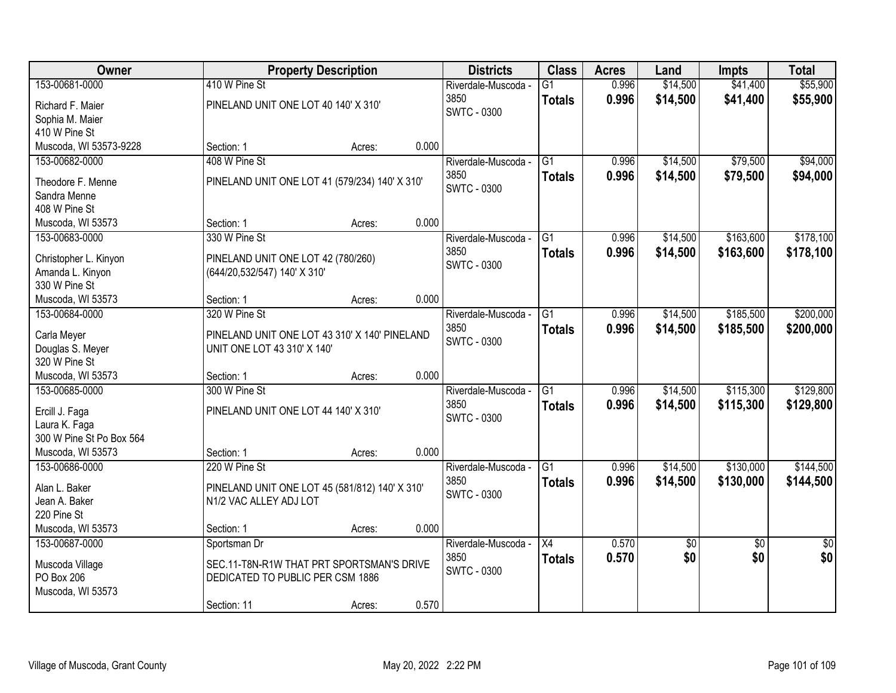| Owner                    |                                                | <b>Property Description</b> |       | <b>Districts</b>    | <b>Class</b>    | <b>Acres</b> | Land            | <b>Impts</b>    | <b>Total</b>    |
|--------------------------|------------------------------------------------|-----------------------------|-------|---------------------|-----------------|--------------|-----------------|-----------------|-----------------|
| 153-00681-0000           | 410 W Pine St                                  |                             |       | Riverdale-Muscoda - | $\overline{G1}$ | 0.996        | \$14,500        | \$41,400        | \$55,900        |
| Richard F. Maier         | PINELAND UNIT ONE LOT 40 140' X 310'           |                             |       | 3850                | <b>Totals</b>   | 0.996        | \$14,500        | \$41,400        | \$55,900        |
| Sophia M. Maier          |                                                |                             |       | <b>SWTC - 0300</b>  |                 |              |                 |                 |                 |
| 410 W Pine St            |                                                |                             |       |                     |                 |              |                 |                 |                 |
| Muscoda, WI 53573-9228   | Section: 1                                     | Acres:                      | 0.000 |                     |                 |              |                 |                 |                 |
| 153-00682-0000           | 408 W Pine St                                  |                             |       | Riverdale-Muscoda - | $\overline{G1}$ | 0.996        | \$14,500        | \$79,500        | \$94,000        |
| Theodore F. Menne        | PINELAND UNIT ONE LOT 41 (579/234) 140' X 310' |                             |       | 3850                | <b>Totals</b>   | 0.996        | \$14,500        | \$79,500        | \$94,000        |
| Sandra Menne             |                                                |                             |       | <b>SWTC - 0300</b>  |                 |              |                 |                 |                 |
| 408 W Pine St            |                                                |                             |       |                     |                 |              |                 |                 |                 |
| Muscoda, WI 53573        | Section: 1                                     | Acres:                      | 0.000 |                     |                 |              |                 |                 |                 |
| 153-00683-0000           | 330 W Pine St                                  |                             |       | Riverdale-Muscoda - | G1              | 0.996        | \$14,500        | \$163,600       | \$178,100       |
|                          |                                                |                             |       | 3850                | <b>Totals</b>   | 0.996        | \$14,500        | \$163,600       | \$178,100       |
| Christopher L. Kinyon    | PINELAND UNIT ONE LOT 42 (780/260)             |                             |       | <b>SWTC - 0300</b>  |                 |              |                 |                 |                 |
| Amanda L. Kinyon         | (644/20,532/547) 140' X 310'                   |                             |       |                     |                 |              |                 |                 |                 |
| 330 W Pine St            |                                                |                             |       |                     |                 |              |                 |                 |                 |
| Muscoda, WI 53573        | Section: 1                                     | Acres:                      | 0.000 |                     |                 |              |                 |                 |                 |
| 153-00684-0000           | 320 W Pine St                                  |                             |       | Riverdale-Muscoda - | $\overline{G1}$ | 0.996        | \$14,500        | \$185,500       | \$200,000       |
| Carla Meyer              | PINELAND UNIT ONE LOT 43 310' X 140' PINELAND  |                             |       | 3850                | <b>Totals</b>   | 0.996        | \$14,500        | \$185,500       | \$200,000       |
| Douglas S. Meyer         | UNIT ONE LOT 43 310' X 140'                    |                             |       | <b>SWTC - 0300</b>  |                 |              |                 |                 |                 |
| 320 W Pine St            |                                                |                             |       |                     |                 |              |                 |                 |                 |
| Muscoda, WI 53573        | Section: 1                                     | Acres:                      | 0.000 |                     |                 |              |                 |                 |                 |
| 153-00685-0000           | 300 W Pine St                                  |                             |       | Riverdale-Muscoda - | $\overline{G1}$ | 0.996        | \$14,500        | \$115,300       | \$129,800       |
| Ercill J. Faga           | PINELAND UNIT ONE LOT 44 140' X 310'           |                             |       | 3850                | <b>Totals</b>   | 0.996        | \$14,500        | \$115,300       | \$129,800       |
| Laura K. Faga            |                                                |                             |       | <b>SWTC - 0300</b>  |                 |              |                 |                 |                 |
| 300 W Pine St Po Box 564 |                                                |                             |       |                     |                 |              |                 |                 |                 |
| Muscoda, WI 53573        | Section: 1                                     | Acres:                      | 0.000 |                     |                 |              |                 |                 |                 |
| 153-00686-0000           | 220 W Pine St                                  |                             |       | Riverdale-Muscoda - | $\overline{G1}$ | 0.996        | \$14,500        | \$130,000       | \$144,500       |
|                          |                                                |                             |       | 3850                | <b>Totals</b>   | 0.996        | \$14,500        | \$130,000       | \$144,500       |
| Alan L. Baker            | PINELAND UNIT ONE LOT 45 (581/812) 140' X 310' |                             |       | <b>SWTC - 0300</b>  |                 |              |                 |                 |                 |
| Jean A. Baker            | N1/2 VAC ALLEY ADJ LOT                         |                             |       |                     |                 |              |                 |                 |                 |
| 220 Pine St              |                                                |                             |       |                     |                 |              |                 |                 |                 |
| Muscoda, WI 53573        | Section: 1                                     | Acres:                      | 0.000 |                     |                 |              |                 |                 |                 |
| 153-00687-0000           | Sportsman Dr                                   |                             |       | Riverdale-Muscoda - | $\overline{X4}$ | 0.570        | $\overline{50}$ | $\overline{30}$ | $\overline{50}$ |
| Muscoda Village          | SEC.11-T8N-R1W THAT PRT SPORTSMAN'S DRIVE      |                             |       | 3850                | <b>Totals</b>   | 0.570        | \$0             | \$0             | \$0             |
| PO Box 206               | DEDICATED TO PUBLIC PER CSM 1886               |                             |       | <b>SWTC - 0300</b>  |                 |              |                 |                 |                 |
| Muscoda, WI 53573        |                                                |                             |       |                     |                 |              |                 |                 |                 |
|                          | Section: 11                                    | Acres:                      | 0.570 |                     |                 |              |                 |                 |                 |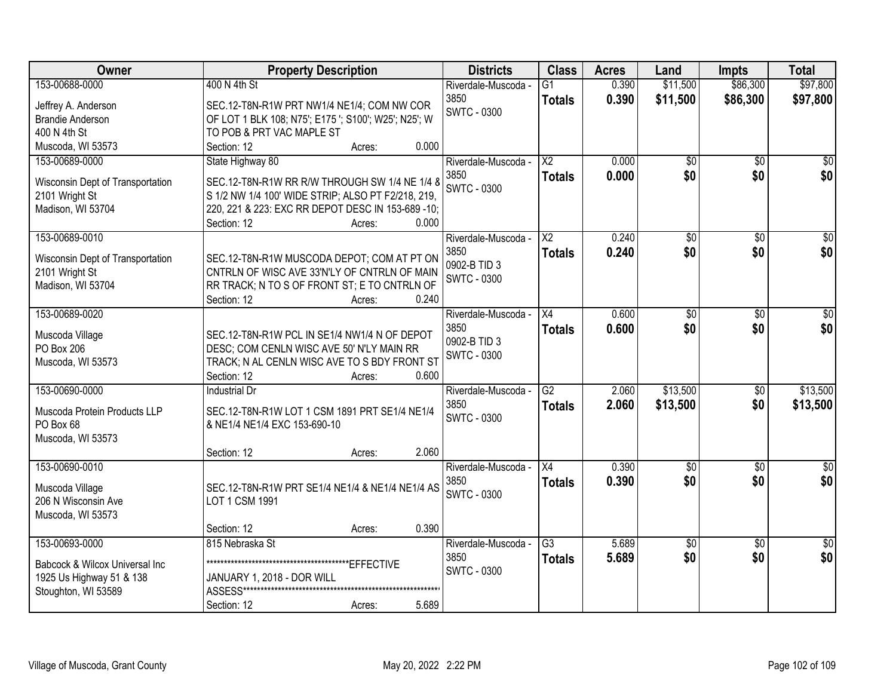| Owner                               | <b>Property Description</b>                                                                         |                 | <b>Districts</b>            | <b>Class</b>           | <b>Acres</b> | Land            | <b>Impts</b>    | <b>Total</b>    |
|-------------------------------------|-----------------------------------------------------------------------------------------------------|-----------------|-----------------------------|------------------------|--------------|-----------------|-----------------|-----------------|
| 153-00688-0000                      | 400 N 4th St                                                                                        |                 | Riverdale-Muscoda -         | G1                     | 0.390        | \$11,500        | \$86,300        | \$97,800        |
| Jeffrey A. Anderson                 | SEC.12-T8N-R1W PRT NW1/4 NE1/4; COM NW COR                                                          |                 | 3850                        | <b>Totals</b>          | 0.390        | \$11,500        | \$86,300        | \$97,800        |
| <b>Brandie Anderson</b>             | OF LOT 1 BLK 108; N75'; E175 '; S100'; W25'; N25'; W                                                |                 | <b>SWTC - 0300</b>          |                        |              |                 |                 |                 |
| 400 N 4th St                        | TO POB & PRT VAC MAPLE ST                                                                           |                 |                             |                        |              |                 |                 |                 |
| Muscoda, WI 53573                   | Section: 12                                                                                         | 0.000<br>Acres: |                             |                        |              |                 |                 |                 |
| 153-00689-0000                      | State Highway 80                                                                                    |                 | Riverdale-Muscoda -         | $\overline{\text{X2}}$ | 0.000        | $\overline{50}$ | $\overline{50}$ | $\sqrt{50}$     |
|                                     |                                                                                                     |                 | 3850                        | <b>Totals</b>          | 0.000        | \$0             | \$0             | \$0             |
| Wisconsin Dept of Transportation    | SEC.12-T8N-R1W RR R/W THROUGH SW 1/4 NE 1/4 8<br>S 1/2 NW 1/4 100' WIDE STRIP; ALSO PT F2/218, 219, |                 | <b>SWTC - 0300</b>          |                        |              |                 |                 |                 |
| 2101 Wright St<br>Madison, WI 53704 | 220, 221 & 223: EXC RR DEPOT DESC IN 153-689 -10;                                                   |                 |                             |                        |              |                 |                 |                 |
|                                     | Section: 12                                                                                         | 0.000<br>Acres: |                             |                        |              |                 |                 |                 |
| 153-00689-0010                      |                                                                                                     |                 | Riverdale-Muscoda -         | $\overline{X2}$        | 0.240        | $\overline{50}$ | $\overline{50}$ | $\overline{50}$ |
|                                     |                                                                                                     |                 | 3850                        | <b>Totals</b>          | 0.240        | \$0             | \$0             | \$0             |
| Wisconsin Dept of Transportation    | SEC.12-T8N-R1W MUSCODA DEPOT; COM AT PT ON                                                          |                 | 0902-B TID 3                |                        |              |                 |                 |                 |
| 2101 Wright St                      | CNTRLN OF WISC AVE 33'N'LY OF CNTRLN OF MAIN                                                        |                 | <b>SWTC - 0300</b>          |                        |              |                 |                 |                 |
| Madison, WI 53704                   | RR TRACK; N TO S OF FRONT ST; E TO CNTRLN OF                                                        |                 |                             |                        |              |                 |                 |                 |
| 153-00689-0020                      | Section: 12                                                                                         | 0.240<br>Acres: |                             | X4                     | 0.600        |                 |                 |                 |
|                                     |                                                                                                     |                 | Riverdale-Muscoda -<br>3850 |                        |              | \$0<br>\$0      | \$0             | \$0<br>\$0      |
| Muscoda Village                     | SEC.12-T8N-R1W PCL IN SE1/4 NW1/4 N OF DEPOT                                                        |                 | 0902-B TID 3                | <b>Totals</b>          | 0.600        |                 | \$0             |                 |
| PO Box 206                          | DESC; COM CENLN WISC AVE 50' N'LY MAIN RR                                                           |                 | SWTC - 0300                 |                        |              |                 |                 |                 |
| Muscoda, WI 53573                   | TRACK; N AL CENLN WISC AVE TO S BDY FRONT ST                                                        |                 |                             |                        |              |                 |                 |                 |
|                                     | Section: 12                                                                                         | 0.600<br>Acres: |                             |                        |              |                 |                 |                 |
| 153-00690-0000                      | Industrial Dr                                                                                       |                 | Riverdale-Muscoda -         | $\overline{G2}$        | 2.060        | \$13,500        | \$0             | \$13,500        |
| Muscoda Protein Products LLP        | SEC.12-T8N-R1W LOT 1 CSM 1891 PRT SE1/4 NE1/4                                                       |                 | 3850                        | <b>Totals</b>          | 2.060        | \$13,500        | \$0             | \$13,500        |
| PO Box 68                           | & NE1/4 NE1/4 EXC 153-690-10                                                                        |                 | <b>SWTC - 0300</b>          |                        |              |                 |                 |                 |
| Muscoda, WI 53573                   |                                                                                                     |                 |                             |                        |              |                 |                 |                 |
|                                     | Section: 12                                                                                         | 2.060<br>Acres: |                             |                        |              |                 |                 |                 |
| 153-00690-0010                      |                                                                                                     |                 | Riverdale-Muscoda -         | X4                     | 0.390        | $\overline{60}$ | $\overline{50}$ | $\sqrt{50}$     |
| Muscoda Village                     | SEC.12-T8N-R1W PRT SE1/4 NE1/4 & NE1/4 NE1/4 AS                                                     |                 | 3850                        | <b>Totals</b>          | 0.390        | \$0             | \$0             | \$0             |
| 206 N Wisconsin Ave                 | LOT 1 CSM 1991                                                                                      |                 | <b>SWTC - 0300</b>          |                        |              |                 |                 |                 |
| Muscoda, WI 53573                   |                                                                                                     |                 |                             |                        |              |                 |                 |                 |
|                                     | Section: 12                                                                                         | 0.390<br>Acres: |                             |                        |              |                 |                 |                 |
| 153-00693-0000                      | 815 Nebraska St                                                                                     |                 | Riverdale-Muscoda -         | $\overline{G3}$        | 5.689        | $\overline{50}$ | $\overline{30}$ | $\overline{50}$ |
| Babcock & Wilcox Universal Inc      |                                                                                                     |                 | 3850                        | <b>Totals</b>          | 5.689        | \$0             | \$0             | \$0             |
| 1925 Us Highway 51 & 138            | JANUARY 1, 2018 - DOR WILL                                                                          |                 | <b>SWTC - 0300</b>          |                        |              |                 |                 |                 |
| Stoughton, WI 53589                 |                                                                                                     |                 |                             |                        |              |                 |                 |                 |
|                                     | Section: 12                                                                                         | 5.689<br>Acres: |                             |                        |              |                 |                 |                 |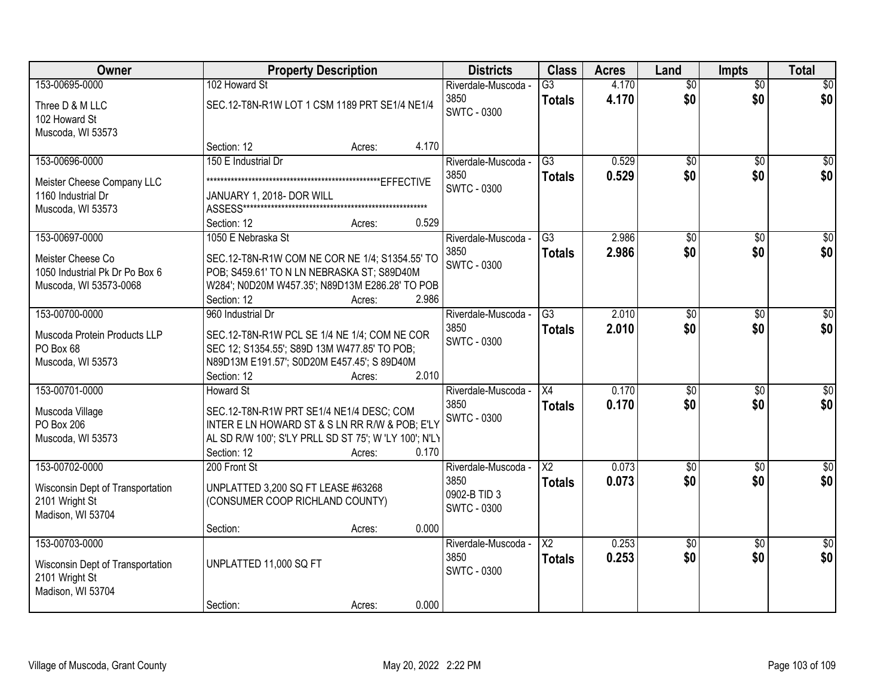| Owner                            | <b>Property Description</b>                                                   | <b>Districts</b>    | <b>Class</b>             | <b>Acres</b> | Land            | <b>Impts</b>    | <b>Total</b>    |
|----------------------------------|-------------------------------------------------------------------------------|---------------------|--------------------------|--------------|-----------------|-----------------|-----------------|
| 153-00695-0000                   | 102 Howard St                                                                 | Riverdale-Muscoda - | $\overline{G3}$          | 4.170        | $\overline{50}$ | $\overline{50}$ | $\overline{30}$ |
| Three D & M LLC                  | SEC.12-T8N-R1W LOT 1 CSM 1189 PRT SE1/4 NE1/4                                 | 3850                | <b>Totals</b>            | 4.170        | \$0             | \$0             | \$0             |
| 102 Howard St                    |                                                                               | <b>SWTC - 0300</b>  |                          |              |                 |                 |                 |
| Muscoda, WI 53573                |                                                                               |                     |                          |              |                 |                 |                 |
|                                  | 4.170<br>Section: 12<br>Acres:                                                |                     |                          |              |                 |                 |                 |
| 153-00696-0000                   | 150 E Industrial Dr                                                           | Riverdale-Muscoda - | $\overline{G3}$          | 0.529        | $\overline{50}$ | $\overline{50}$ | $\frac{1}{20}$  |
| Meister Cheese Company LLC       |                                                                               | 3850                | <b>Totals</b>            | 0.529        | \$0             | \$0             | \$0             |
| 1160 Industrial Dr               | JANUARY 1, 2018- DOR WILL                                                     | <b>SWTC - 0300</b>  |                          |              |                 |                 |                 |
| Muscoda, WI 53573                |                                                                               |                     |                          |              |                 |                 |                 |
|                                  | 0.529<br>Section: 12<br>Acres:                                                |                     |                          |              |                 |                 |                 |
| 153-00697-0000                   | 1050 E Nebraska St                                                            | Riverdale-Muscoda - | $\overline{G3}$          | 2.986        | \$0             | \$0             | $\overline{30}$ |
| Meister Cheese Co                | SEC.12-T8N-R1W COM NE COR NE 1/4; S1354.55' TO                                | 3850                | <b>Totals</b>            | 2.986        | \$0             | \$0             | \$0             |
| 1050 Industrial Pk Dr Po Box 6   | POB; S459.61' TO N LN NEBRASKA ST; S89D40M                                    | <b>SWTC - 0300</b>  |                          |              |                 |                 |                 |
| Muscoda, WI 53573-0068           | W284'; N0D20M W457.35'; N89D13M E286.28' TO POB                               |                     |                          |              |                 |                 |                 |
|                                  | 2.986<br>Section: 12<br>Acres:                                                |                     |                          |              |                 |                 |                 |
| 153-00700-0000                   | 960 Industrial Dr                                                             | Riverdale-Muscoda - | $\overline{G3}$          | 2.010        | $\overline{50}$ | \$0             | \$0             |
|                                  |                                                                               | 3850                | <b>Totals</b>            | 2.010        | \$0             | \$0             | \$0             |
| Muscoda Protein Products LLP     | SEC.12-T8N-R1W PCL SE 1/4 NE 1/4; COM NE COR                                  | <b>SWTC - 0300</b>  |                          |              |                 |                 |                 |
| PO Box 68                        | SEC 12; S1354.55'; S89D 13M W477.85' TO POB;                                  |                     |                          |              |                 |                 |                 |
| Muscoda, WI 53573                | N89D13M E191.57'; S0D20M E457.45'; S 89D40M<br>2.010<br>Section: 12<br>Acres: |                     |                          |              |                 |                 |                 |
| 153-00701-0000                   | <b>Howard St</b>                                                              | Riverdale-Muscoda - | $\overline{X4}$          | 0.170        | $\overline{50}$ | $\overline{50}$ | \$0             |
|                                  |                                                                               | 3850                |                          | 0.170        | \$0             | \$0             | \$0             |
| Muscoda Village                  | SEC.12-T8N-R1W PRT SE1/4 NE1/4 DESC; COM                                      | <b>SWTC - 0300</b>  | <b>Totals</b>            |              |                 |                 |                 |
| PO Box 206                       | INTER E LN HOWARD ST & S LN RR R/W & POB; E'LY                                |                     |                          |              |                 |                 |                 |
| Muscoda, WI 53573                | AL SD R/W 100'; S'LY PRLL SD ST 75'; W 'LY 100'; N'LY                         |                     |                          |              |                 |                 |                 |
|                                  | 0.170<br>Section: 12<br>Acres:                                                |                     |                          |              |                 |                 |                 |
| 153-00702-0000                   | 200 Front St                                                                  | Riverdale-Muscoda - | $\overline{X2}$          | 0.073        | $\sqrt{6}$      | $\sqrt{6}$      | $\sqrt{50}$     |
| Wisconsin Dept of Transportation | UNPLATTED 3,200 SQ FT LEASE #63268                                            | 3850                | <b>Totals</b>            | 0.073        | \$0             | \$0             | \$0             |
| 2101 Wright St                   | (CONSUMER COOP RICHLAND COUNTY)                                               | 0902-B TID 3        |                          |              |                 |                 |                 |
| Madison, WI 53704                |                                                                               | <b>SWTC - 0300</b>  |                          |              |                 |                 |                 |
|                                  | 0.000<br>Section:<br>Acres:                                                   |                     |                          |              |                 |                 |                 |
| 153-00703-0000                   |                                                                               | Riverdale-Muscoda - | $\overline{\mathsf{X2}}$ | 0.253        | $\overline{50}$ | $\overline{50}$ | $\overline{50}$ |
| Wisconsin Dept of Transportation | UNPLATTED 11,000 SQ FT                                                        | 3850                | <b>Totals</b>            | 0.253        | \$0             | \$0             | \$0             |
| 2101 Wright St                   |                                                                               | <b>SWTC - 0300</b>  |                          |              |                 |                 |                 |
| Madison, WI 53704                |                                                                               |                     |                          |              |                 |                 |                 |
|                                  | 0.000<br>Section:<br>Acres:                                                   |                     |                          |              |                 |                 |                 |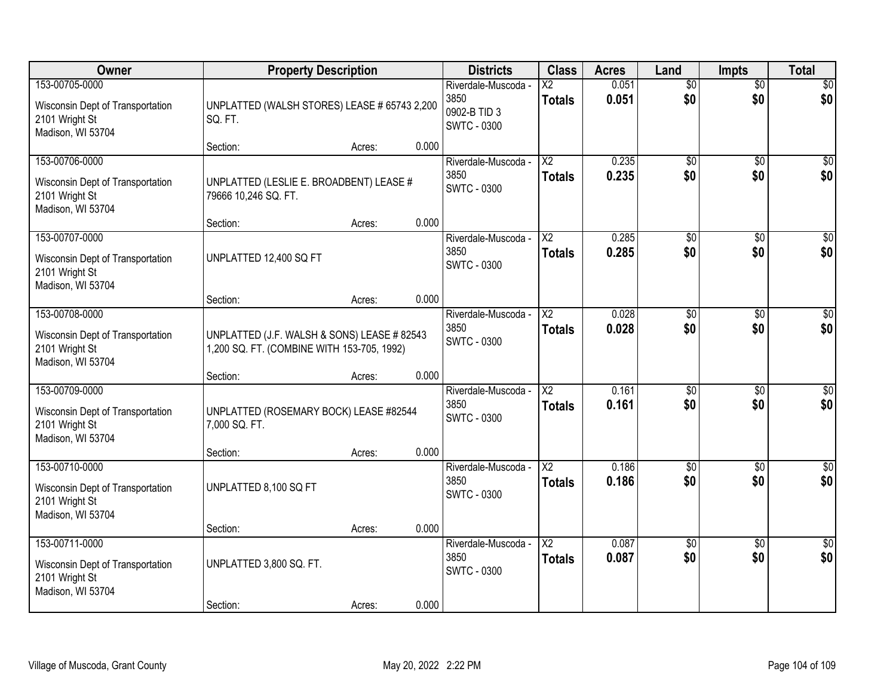| Owner                                                                                     | <b>Property Description</b>                                                               |        |       | <b>Districts</b>                                                  | <b>Class</b>                            | <b>Acres</b>   | Land                   | <b>Impts</b>           | <b>Total</b>           |
|-------------------------------------------------------------------------------------------|-------------------------------------------------------------------------------------------|--------|-------|-------------------------------------------------------------------|-----------------------------------------|----------------|------------------------|------------------------|------------------------|
| 153-00705-0000<br>Wisconsin Dept of Transportation<br>2101 Wright St<br>Madison, WI 53704 | UNPLATTED (WALSH STORES) LEASE # 65743 2,200<br>SQ. FT.                                   |        |       | Riverdale-Muscoda -<br>3850<br>0902-B TID 3<br><b>SWTC - 0300</b> | $\overline{\text{X2}}$<br><b>Totals</b> | 0.051<br>0.051 | $\overline{60}$<br>\$0 | $\overline{50}$<br>\$0 | \$0<br>\$0             |
|                                                                                           | Section:                                                                                  | Acres: | 0.000 |                                                                   |                                         |                |                        |                        |                        |
| 153-00706-0000<br>Wisconsin Dept of Transportation<br>2101 Wright St<br>Madison, WI 53704 | UNPLATTED (LESLIE E. BROADBENT) LEASE #<br>79666 10,246 SQ. FT.                           |        |       | Riverdale-Muscoda -<br>3850<br><b>SWTC - 0300</b>                 | $\overline{\text{X2}}$<br><b>Totals</b> | 0.235<br>0.235 | $\overline{50}$<br>\$0 | $\overline{50}$<br>\$0 | \$0<br>\$0             |
| 153-00707-0000                                                                            | Section:                                                                                  | Acres: | 0.000 | Riverdale-Muscoda -                                               | $\overline{\text{X2}}$                  | 0.285          | $\overline{50}$        | \$0                    | $\overline{\$0}$       |
| Wisconsin Dept of Transportation<br>2101 Wright St<br>Madison, WI 53704                   | UNPLATTED 12,400 SQ FT                                                                    |        |       | 3850<br><b>SWTC - 0300</b>                                        | <b>Totals</b>                           | 0.285          | \$0                    | \$0                    | \$0                    |
|                                                                                           | Section:                                                                                  | Acres: | 0.000 |                                                                   |                                         |                |                        |                        |                        |
| 153-00708-0000<br>Wisconsin Dept of Transportation<br>2101 Wright St<br>Madison, WI 53704 | UNPLATTED (J.F. WALSH & SONS) LEASE # 82543<br>1,200 SQ. FT. (COMBINE WITH 153-705, 1992) |        |       | Riverdale-Muscoda -<br>3850<br><b>SWTC - 0300</b>                 | X2<br><b>Totals</b>                     | 0.028<br>0.028 | \$0<br>\$0             | $\sqrt[6]{3}$<br>\$0   | $\sqrt{50}$<br>\$0     |
|                                                                                           | Section:                                                                                  | Acres: | 0.000 |                                                                   |                                         |                |                        |                        |                        |
| 153-00709-0000<br>Wisconsin Dept of Transportation<br>2101 Wright St<br>Madison, WI 53704 | UNPLATTED (ROSEMARY BOCK) LEASE #82544<br>7,000 SQ. FT.                                   |        |       | Riverdale-Muscoda -<br>3850<br><b>SWTC - 0300</b>                 | $\overline{\text{X2}}$<br><b>Totals</b> | 0.161<br>0.161 | $\overline{50}$<br>\$0 | $\overline{50}$<br>\$0 | $\overline{50}$<br>\$0 |
| 153-00710-0000                                                                            | Section:                                                                                  | Acres: | 0.000 |                                                                   |                                         |                |                        |                        |                        |
| Wisconsin Dept of Transportation<br>2101 Wright St<br>Madison, WI 53704                   | UNPLATTED 8,100 SQ FT                                                                     |        |       | Riverdale-Muscoda -<br>3850<br><b>SWTC - 0300</b>                 | $\overline{X2}$<br><b>Totals</b>        | 0.186<br>0.186 | $\sqrt{6}$<br>\$0      | \$0<br>\$0             | \$0<br>\$0             |
|                                                                                           | Section:                                                                                  | Acres: | 0.000 |                                                                   |                                         |                |                        |                        |                        |
| 153-00711-0000<br>Wisconsin Dept of Transportation<br>2101 Wright St<br>Madison, WI 53704 | UNPLATTED 3,800 SQ. FT.<br>Section:                                                       | Acres: | 0.000 | Riverdale-Muscoda -<br>3850<br><b>SWTC - 0300</b>                 | $\overline{\text{X2}}$<br><b>Totals</b> | 0.087<br>0.087 | $\overline{60}$<br>\$0 | $\overline{30}$<br>\$0 | $\overline{30}$<br>\$0 |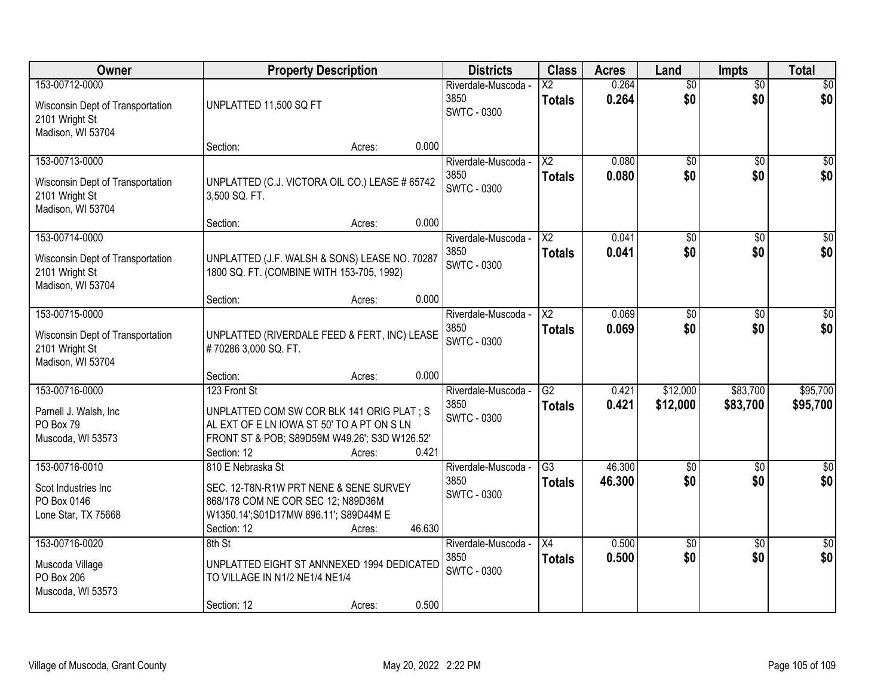| Owner                                                                                     | <b>Property Description</b>                                                                                                                                                                 | <b>Districts</b>                                  | <b>Class</b>                              | <b>Acres</b>     | Land                   | <b>Impts</b>           | <b>Total</b>            |
|-------------------------------------------------------------------------------------------|---------------------------------------------------------------------------------------------------------------------------------------------------------------------------------------------|---------------------------------------------------|-------------------------------------------|------------------|------------------------|------------------------|-------------------------|
| 153-00712-0000<br>Wisconsin Dept of Transportation<br>2101 Wright St<br>Madison, WI 53704 | UNPLATTED 11,500 SQ FT                                                                                                                                                                      | Riverdale-Muscoda -<br>3850<br><b>SWTC - 0300</b> | $\overline{\text{X2}}$<br><b>Totals</b>   | 0.264<br>0.264   | $\overline{50}$<br>\$0 | $\overline{50}$<br>\$0 | \$0<br>\$0              |
|                                                                                           | 0.000<br>Section:<br>Acres:                                                                                                                                                                 |                                                   |                                           |                  |                        |                        |                         |
| 153-00713-0000<br>Wisconsin Dept of Transportation<br>2101 Wright St<br>Madison, WI 53704 | UNPLATTED (C.J. VICTORA OIL CO.) LEASE # 65742<br>3,500 SQ. FT.                                                                                                                             | Riverdale-Muscoda -<br>3850<br><b>SWTC - 0300</b> | $\overline{X2}$<br><b>Totals</b>          | 0.080<br>0.080   | $\overline{50}$<br>\$0 | $\overline{50}$<br>\$0 | \$0<br>\$0              |
| 153-00714-0000                                                                            | 0.000<br>Section:<br>Acres:                                                                                                                                                                 |                                                   | $\overline{X2}$                           | 0.041            | $\overline{50}$        |                        | $\overline{50}$         |
| Wisconsin Dept of Transportation<br>2101 Wright St<br>Madison, WI 53704                   | UNPLATTED (J.F. WALSH & SONS) LEASE NO. 70287<br>1800 SQ. FT. (COMBINE WITH 153-705, 1992)                                                                                                  | Riverdale-Muscoda -<br>3850<br><b>SWTC - 0300</b> | <b>Totals</b>                             | 0.041            | \$0                    | \$0<br>\$0             | \$0                     |
|                                                                                           | 0.000<br>Section:<br>Acres:                                                                                                                                                                 |                                                   |                                           |                  |                        |                        |                         |
| 153-00715-0000<br>Wisconsin Dept of Transportation<br>2101 Wright St<br>Madison, WI 53704 | UNPLATTED (RIVERDALE FEED & FERT, INC) LEASE<br>#70286 3,000 SQ. FT.                                                                                                                        | Riverdale-Muscoda -<br>3850<br><b>SWTC - 0300</b> | $\overline{\mathsf{X2}}$<br><b>Totals</b> | 0.069<br>0.069   | $\overline{50}$<br>\$0 | \$0<br>\$0             | $\sqrt{50}$<br>\$0      |
|                                                                                           | 0.000<br>Section:<br>Acres:                                                                                                                                                                 |                                                   |                                           |                  |                        |                        |                         |
| 153-00716-0000<br>Parnell J. Walsh, Inc.<br>PO Box 79<br>Muscoda, WI 53573                | 123 Front St<br>UNPLATTED COM SW COR BLK 141 ORIG PLAT ; S<br>AL EXT OF E LN IOWA ST 50' TO A PT ON S LN<br>FRONT ST & POB; S89D59M W49.26'; S3D W126.52'<br>0.421<br>Section: 12<br>Acres: | Riverdale-Muscoda -<br>3850<br><b>SWTC - 0300</b> | $\overline{G2}$<br><b>Totals</b>          | 0.421<br>0.421   | \$12,000<br>\$12,000   | \$83,700<br>\$83,700   | \$95,700<br>\$95,700    |
| 153-00716-0010<br>Scot Industries Inc<br>PO Box 0146<br>Lone Star, TX 75668               | 810 E Nebraska St<br>SEC. 12-T8N-R1W PRT NENE & SENE SURVEY<br>868/178 COM NE COR SEC 12; N89D36M<br>W1350.14';S01D17MW 896.11'; S89D44M E<br>46.630<br>Section: 12<br>Acres:               | Riverdale-Muscoda -<br>3850<br><b>SWTC - 0300</b> | $\overline{G3}$<br><b>Totals</b>          | 46.300<br>46.300 | $\overline{50}$<br>\$0 | $\overline{30}$<br>\$0 | $\overline{\$0}$<br>\$0 |
| 153-00716-0020<br>Muscoda Village<br>PO Box 206<br>Muscoda, WI 53573                      | 8th St<br>UNPLATTED EIGHT ST ANNNEXED 1994 DEDICATED<br>TO VILLAGE IN N1/2 NE1/4 NE1/4<br>0.500<br>Section: 12<br>Acres:                                                                    | Riverdale-Muscoda -<br>3850<br><b>SWTC - 0300</b> | $\overline{X4}$<br><b>Totals</b>          | 0.500<br>0.500   | $\overline{50}$<br>\$0 | $\overline{50}$<br>\$0 | $\overline{30}$<br>\$0  |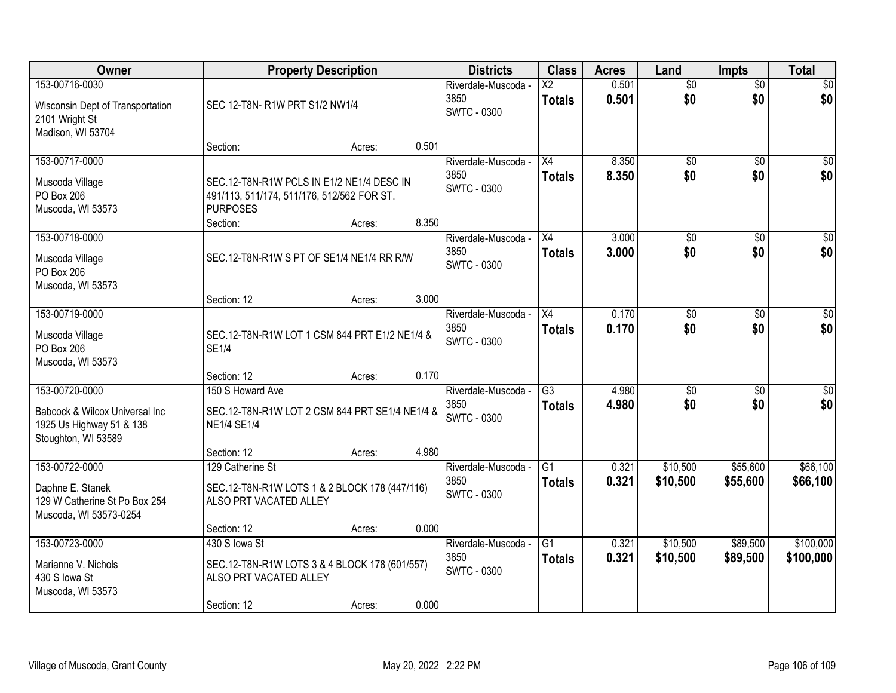| Owner                                                                                               |                                                                                                                        | <b>Property Description</b> |       | <b>Districts</b>                                  | <b>Class</b>                              | <b>Acres</b>   | Land                   | <b>Impts</b>           | <b>Total</b>           |
|-----------------------------------------------------------------------------------------------------|------------------------------------------------------------------------------------------------------------------------|-----------------------------|-------|---------------------------------------------------|-------------------------------------------|----------------|------------------------|------------------------|------------------------|
| 153-00716-0030<br>Wisconsin Dept of Transportation<br>2101 Wright St<br>Madison, WI 53704           | SEC 12-T8N-R1W PRT S1/2 NW1/4                                                                                          |                             |       | Riverdale-Muscoda -<br>3850<br><b>SWTC - 0300</b> | $\overline{\mathsf{X2}}$<br><b>Totals</b> | 0.501<br>0.501 | $\overline{50}$<br>\$0 | $\overline{50}$<br>\$0 | \$0<br>\$0             |
|                                                                                                     | Section:                                                                                                               | Acres:                      | 0.501 |                                                   |                                           |                |                        |                        |                        |
| 153-00717-0000<br>Muscoda Village<br>PO Box 206<br>Muscoda, WI 53573                                | SEC.12-T8N-R1W PCLS IN E1/2 NE1/4 DESC IN<br>491/113, 511/174, 511/176, 512/562 FOR ST.<br><b>PURPOSES</b><br>Section: | Acres:                      | 8.350 | Riverdale-Muscoda -<br>3850<br><b>SWTC - 0300</b> | X4<br><b>Totals</b>                       | 8.350<br>8.350 | $\overline{50}$<br>\$0 | $\overline{50}$<br>\$0 | \$0<br>\$0             |
| 153-00718-0000<br>Muscoda Village<br>PO Box 206<br>Muscoda, WI 53573                                | SEC.12-T8N-R1W S PT OF SE1/4 NE1/4 RR R/W<br>Section: 12                                                               | Acres:                      | 3.000 | Riverdale-Muscoda -<br>3850<br><b>SWTC - 0300</b> | X4<br><b>Totals</b>                       | 3.000<br>3.000 | \$0<br>\$0             | \$0<br>\$0             | $\overline{50}$<br>\$0 |
| 153-00719-0000<br>Muscoda Village<br>PO Box 206<br>Muscoda, WI 53573                                | SEC.12-T8N-R1W LOT 1 CSM 844 PRT E1/2 NE1/4 &<br><b>SE1/4</b><br>Section: 12                                           | Acres:                      | 0.170 | Riverdale-Muscoda -<br>3850<br><b>SWTC - 0300</b> | X4<br><b>Totals</b>                       | 0.170<br>0.170 | \$0<br>\$0             | $\sqrt[6]{3}$<br>\$0   | $\sqrt{50}$<br>\$0     |
| 153-00720-0000<br>Babcock & Wilcox Universal Inc<br>1925 Us Highway 51 & 138<br>Stoughton, WI 53589 | 150 S Howard Ave<br>SEC.12-T8N-R1W LOT 2 CSM 844 PRT SE1/4 NE1/4 &<br><b>NE1/4 SE1/4</b><br>Section: 12                | Acres:                      | 4.980 | Riverdale-Muscoda -<br>3850<br><b>SWTC - 0300</b> | $\overline{G3}$<br><b>Totals</b>          | 4.980<br>4.980 | $\overline{50}$<br>\$0 | $\overline{50}$<br>\$0 | $\overline{50}$<br>\$0 |
| 153-00722-0000<br>Daphne E. Stanek<br>129 W Catherine St Po Box 254<br>Muscoda, WI 53573-0254       | 129 Catherine St<br>SEC.12-T8N-R1W LOTS 1 & 2 BLOCK 178 (447/116)<br>ALSO PRT VACATED ALLEY<br>Section: 12             | Acres:                      | 0.000 | Riverdale-Muscoda -<br>3850<br><b>SWTC - 0300</b> | $\overline{G1}$<br><b>Totals</b>          | 0.321<br>0.321 | \$10,500<br>\$10,500   | \$55,600<br>\$55,600   | \$66,100<br>\$66,100   |
| 153-00723-0000<br>Marianne V. Nichols<br>430 S Iowa St<br>Muscoda, WI 53573                         | 430 S lowa St<br>SEC.12-T8N-R1W LOTS 3 & 4 BLOCK 178 (601/557)<br>ALSO PRT VACATED ALLEY<br>Section: 12                | Acres:                      | 0.000 | Riverdale-Muscoda -<br>3850<br><b>SWTC - 0300</b> | G1<br><b>Totals</b>                       | 0.321<br>0.321 | \$10,500<br>\$10,500   | \$89,500<br>\$89,500   | \$100,000<br>\$100,000 |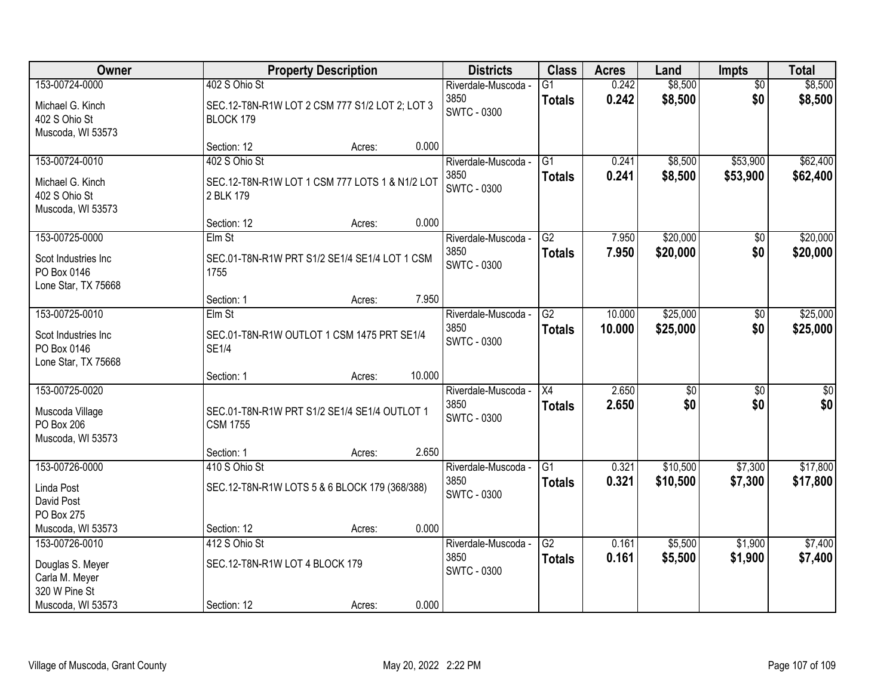| Owner                                                     |                                                                 | <b>Property Description</b> |        | <b>Districts</b>           | <b>Class</b>    | <b>Acres</b> | Land     | <b>Impts</b>    | <b>Total</b> |
|-----------------------------------------------------------|-----------------------------------------------------------------|-----------------------------|--------|----------------------------|-----------------|--------------|----------|-----------------|--------------|
| 153-00724-0000                                            | 402 S Ohio St                                                   |                             |        | Riverdale-Muscoda -        | G1              | 0.242        | \$8,500  | $\overline{50}$ | \$8,500      |
| Michael G. Kinch<br>402 S Ohio St<br>Muscoda, WI 53573    | SEC.12-T8N-R1W LOT 2 CSM 777 S1/2 LOT 2; LOT 3<br>BLOCK 179     |                             |        | 3850<br><b>SWTC - 0300</b> | <b>Totals</b>   | 0.242        | \$8,500  | \$0             | \$8,500      |
|                                                           | Section: 12                                                     | Acres:                      | 0.000  |                            |                 |              |          |                 |              |
| 153-00724-0010                                            | 402 S Ohio St                                                   |                             |        | Riverdale-Muscoda -        | G1              | 0.241        | \$8,500  | \$53,900        | \$62,400     |
| Michael G. Kinch<br>402 S Ohio St<br>Muscoda, WI 53573    | SEC.12-T8N-R1W LOT 1 CSM 777 LOTS 1 & N1/2 LOT<br>2 BLK 179     |                             |        | 3850<br>SWTC - 0300        | <b>Totals</b>   | 0.241        | \$8,500  | \$53,900        | \$62,400     |
|                                                           | Section: 12                                                     | Acres:                      | 0.000  |                            |                 |              |          |                 |              |
| 153-00725-0000                                            | Elm St                                                          |                             |        | Riverdale-Muscoda -        | G2              | 7.950        | \$20,000 | \$0             | \$20,000     |
| Scot Industries Inc<br>PO Box 0146<br>Lone Star, TX 75668 | SEC.01-T8N-R1W PRT S1/2 SE1/4 SE1/4 LOT 1 CSM<br>1755           |                             |        | 3850<br><b>SWTC - 0300</b> | <b>Totals</b>   | 7.950        | \$20,000 | \$0             | \$20,000     |
|                                                           | Section: 1                                                      | Acres:                      | 7.950  |                            |                 |              |          |                 |              |
| 153-00725-0010                                            | Elm St                                                          |                             |        | Riverdale-Muscoda -        | $\overline{G2}$ | 10.000       | \$25,000 | \$0             | \$25,000     |
| Scot Industries Inc<br>PO Box 0146<br>Lone Star, TX 75668 | SEC.01-T8N-R1W OUTLOT 1 CSM 1475 PRT SE1/4<br><b>SE1/4</b>      |                             |        | 3850<br><b>SWTC - 0300</b> | <b>Totals</b>   | 10.000       | \$25,000 | \$0             | \$25,000     |
|                                                           | Section: 1                                                      | Acres:                      | 10.000 |                            |                 |              |          |                 |              |
| 153-00725-0020                                            |                                                                 |                             |        | Riverdale-Muscoda -        | X4              | 2.650        | \$0      | $\overline{50}$ | \$0          |
| Muscoda Village<br>PO Box 206<br>Muscoda, WI 53573        | SEC.01-T8N-R1W PRT S1/2 SE1/4 SE1/4 OUTLOT 1<br><b>CSM 1755</b> |                             |        | 3850<br><b>SWTC - 0300</b> | <b>Totals</b>   | 2.650        | \$0      | \$0             | \$0          |
|                                                           | Section: 1                                                      | Acres:                      | 2.650  |                            |                 |              |          |                 |              |
| 153-00726-0000                                            | 410 S Ohio St                                                   |                             |        | Riverdale-Muscoda -        | $\overline{G1}$ | 0.321        | \$10,500 | \$7,300         | \$17,800     |
| Linda Post<br>David Post<br>PO Box 275                    | SEC.12-T8N-R1W LOTS 5 & 6 BLOCK 179 (368/388)                   |                             |        | 3850<br><b>SWTC - 0300</b> | <b>Totals</b>   | 0.321        | \$10,500 | \$7,300         | \$17,800     |
| Muscoda, WI 53573                                         | Section: 12                                                     | Acres:                      | 0.000  |                            |                 |              |          |                 |              |
| 153-00726-0010                                            | 412 S Ohio St                                                   |                             |        | Riverdale-Muscoda -        | $\overline{G2}$ | 0.161        | \$5,500  | \$1,900         | \$7,400      |
| Douglas S. Meyer<br>Carla M. Meyer<br>320 W Pine St       | SEC.12-T8N-R1W LOT 4 BLOCK 179                                  |                             |        | 3850<br><b>SWTC - 0300</b> | <b>Totals</b>   | 0.161        | \$5,500  | \$1,900         | \$7,400      |
| Muscoda, WI 53573                                         | Section: 12                                                     | Acres:                      | 0.000  |                            |                 |              |          |                 |              |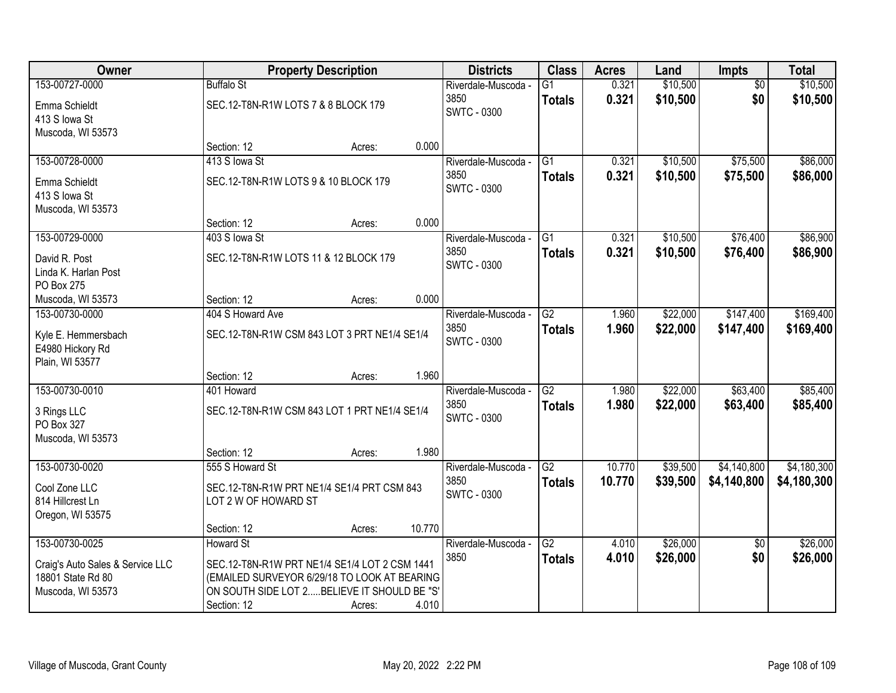| Owner                            |                                              | <b>Property Description</b>                   |        | <b>Districts</b>    | <b>Class</b>    | <b>Acres</b> | Land     | Impts           | <b>Total</b> |
|----------------------------------|----------------------------------------------|-----------------------------------------------|--------|---------------------|-----------------|--------------|----------|-----------------|--------------|
| 153-00727-0000                   | <b>Buffalo St</b>                            |                                               |        | Riverdale-Muscoda - | $\overline{G1}$ | 0.321        | \$10,500 | $\overline{50}$ | \$10,500     |
| Emma Schieldt                    | SEC.12-T8N-R1W LOTS 7 & 8 BLOCK 179          |                                               |        | 3850                | <b>Totals</b>   | 0.321        | \$10,500 | \$0             | \$10,500     |
| 413 S lowa St                    |                                              |                                               |        | <b>SWTC - 0300</b>  |                 |              |          |                 |              |
| Muscoda, WI 53573                |                                              |                                               |        |                     |                 |              |          |                 |              |
|                                  | Section: 12                                  | Acres:                                        | 0.000  |                     |                 |              |          |                 |              |
| 153-00728-0000                   | 413 S lowa St                                |                                               |        | Riverdale-Muscoda - | $\overline{G1}$ | 0.321        | \$10,500 | \$75,500        | \$86,000     |
| Emma Schieldt                    | SEC.12-T8N-R1W LOTS 9 & 10 BLOCK 179         |                                               |        | 3850                | <b>Totals</b>   | 0.321        | \$10,500 | \$75,500        | \$86,000     |
| 413 S lowa St                    |                                              |                                               |        | <b>SWTC - 0300</b>  |                 |              |          |                 |              |
| Muscoda, WI 53573                |                                              |                                               |        |                     |                 |              |          |                 |              |
|                                  | Section: 12                                  | Acres:                                        | 0.000  |                     |                 |              |          |                 |              |
| 153-00729-0000                   | 403 S lowa St                                |                                               |        | Riverdale-Muscoda - | $\overline{G1}$ | 0.321        | \$10,500 | \$76,400        | \$86,900     |
| David R. Post                    | SEC.12-T8N-R1W LOTS 11 & 12 BLOCK 179        |                                               |        | 3850                | <b>Totals</b>   | 0.321        | \$10,500 | \$76,400        | \$86,900     |
| Linda K. Harlan Post             |                                              |                                               |        | <b>SWTC - 0300</b>  |                 |              |          |                 |              |
| PO Box 275                       |                                              |                                               |        |                     |                 |              |          |                 |              |
| Muscoda, WI 53573                | Section: 12                                  | Acres:                                        | 0.000  |                     |                 |              |          |                 |              |
| 153-00730-0000                   | 404 S Howard Ave                             |                                               |        | Riverdale-Muscoda - | $\overline{G2}$ | 1.960        | \$22,000 | \$147,400       | \$169,400    |
| Kyle E. Hemmersbach              | SEC.12-T8N-R1W CSM 843 LOT 3 PRT NE1/4 SE1/4 |                                               |        | 3850                | <b>Totals</b>   | 1.960        | \$22,000 | \$147,400       | \$169,400    |
| E4980 Hickory Rd                 |                                              |                                               |        | <b>SWTC - 0300</b>  |                 |              |          |                 |              |
| Plain, WI 53577                  |                                              |                                               |        |                     |                 |              |          |                 |              |
|                                  | Section: 12                                  | Acres:                                        | 1.960  |                     |                 |              |          |                 |              |
| 153-00730-0010                   | 401 Howard                                   |                                               |        | Riverdale-Muscoda - | $\overline{G2}$ | 1.980        | \$22,000 | \$63,400        | \$85,400     |
| 3 Rings LLC                      | SEC.12-T8N-R1W CSM 843 LOT 1 PRT NE1/4 SE1/4 |                                               |        | 3850                | <b>Totals</b>   | 1.980        | \$22,000 | \$63,400        | \$85,400     |
| PO Box 327                       |                                              |                                               |        | <b>SWTC - 0300</b>  |                 |              |          |                 |              |
| Muscoda, WI 53573                |                                              |                                               |        |                     |                 |              |          |                 |              |
|                                  | Section: 12                                  | Acres:                                        | 1.980  |                     |                 |              |          |                 |              |
| 153-00730-0020                   | 555 S Howard St                              |                                               |        | Riverdale-Muscoda - | $\overline{G2}$ | 10.770       | \$39,500 | \$4,140,800     | \$4,180,300  |
| Cool Zone LLC                    | SEC.12-T8N-R1W PRT NE1/4 SE1/4 PRT CSM 843   |                                               |        | 3850                | <b>Totals</b>   | 10.770       | \$39,500 | \$4,140,800     | \$4,180,300  |
| 814 Hillcrest Ln                 | LOT 2 W OF HOWARD ST                         |                                               |        | <b>SWTC - 0300</b>  |                 |              |          |                 |              |
| Oregon, WI 53575                 |                                              |                                               |        |                     |                 |              |          |                 |              |
|                                  | Section: 12                                  | Acres:                                        | 10.770 |                     |                 |              |          |                 |              |
| 153-00730-0025                   | <b>Howard St</b>                             |                                               |        | Riverdale-Muscoda - | G2              | 4.010        | \$26,000 | $\overline{50}$ | \$26,000     |
| Craig's Auto Sales & Service LLC |                                              | SEC.12-T8N-R1W PRT NE1/4 SE1/4 LOT 2 CSM 1441 |        | 3850                | <b>Totals</b>   | 4.010        | \$26,000 | \$0             | \$26,000     |
| 18801 State Rd 80                |                                              | (EMAILED SURVEYOR 6/29/18 TO LOOK AT BEARING  |        |                     |                 |              |          |                 |              |
| Muscoda, WI 53573                | ON SOUTH SIDE LOT 2 BELIEVE IT SHOULD BE "S' |                                               |        |                     |                 |              |          |                 |              |
|                                  | Section: 12                                  | Acres:                                        | 4.010  |                     |                 |              |          |                 |              |